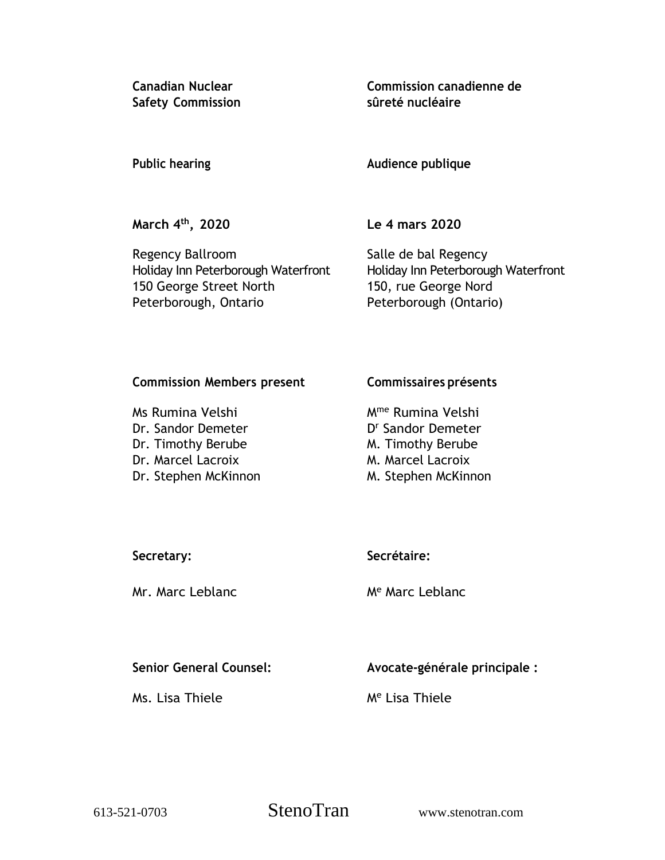**Safety Commission sûreté nucléaire**

**Canadian Nuclear Commission canadienne de**

**Public hearing Audience publique**

**March 4 th**

**, 2020 Le 4 mars 2020**

Regency Ballroom Salle de bal Regency Holiday Inn Peterborough Waterfront Holiday Inn Peterborough Waterfront 150 George Street North 150, rue George Nord Peterborough, Ontario Peterborough (Ontario)

## **Commission Members present Commissaires présents**

Ms Rumina Velshi Mme Rumina Velshi Dr. Sandor Demeter Dr. Timothy Berube M. Timothy Berube Dr. Marcel Lacroix M. Marcel Lacroix Dr. Stephen McKinnon M. Stephen McKinnon

D<sup>r</sup> Sandor Demeter

# **Secretary: Secrétaire:**

## Mr. Marc Leblanc Me Marc Leblanc

**Senior General Counsel: Avocate-générale principale :**

Ms. Lisa Thiele Me Lisa Thiele

613-521-0703 StenoTran www.stenotran.com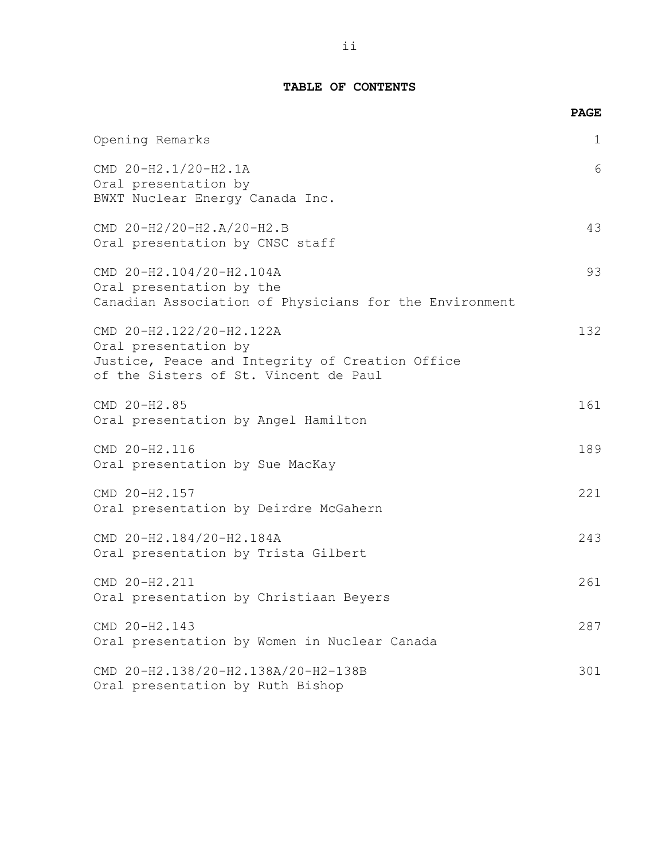## **TABLE OF CONTENTS**

|                                                                                                                                              | <b>PAGE</b>  |
|----------------------------------------------------------------------------------------------------------------------------------------------|--------------|
| Opening Remarks                                                                                                                              | $\mathbf{1}$ |
| CMD 20-H2.1/20-H2.1A<br>Oral presentation by<br>BWXT Nuclear Energy Canada Inc.                                                              | 6            |
| CMD 20-H2/20-H2.A/20-H2.B<br>Oral presentation by CNSC staff                                                                                 | 43           |
| CMD 20-H2.104/20-H2.104A<br>Oral presentation by the<br>Canadian Association of Physicians for the Environment                               | 93           |
| CMD 20-H2.122/20-H2.122A<br>Oral presentation by<br>Justice, Peace and Integrity of Creation Office<br>of the Sisters of St. Vincent de Paul | 132          |
| CMD 20-H2.85<br>Oral presentation by Angel Hamilton                                                                                          | 161          |
| CMD 20-H2.116<br>Oral presentation by Sue MacKay                                                                                             | 189          |
| CMD 20-H2.157<br>Oral presentation by Deirdre McGahern                                                                                       | 221          |
| CMD 20-H2.184/20-H2.184A<br>Oral presentation by Trista Gilbert                                                                              | 243          |
| CMD 20-H2.211<br>Oral presentation by Christiaan Beyers                                                                                      | 261          |
| CMD 20-H2.143<br>Oral presentation by Women in Nuclear Canada                                                                                | 287          |
| CMD 20-H2.138/20-H2.138A/20-H2-138B<br>Oral presentation by Ruth Bishop                                                                      | 301          |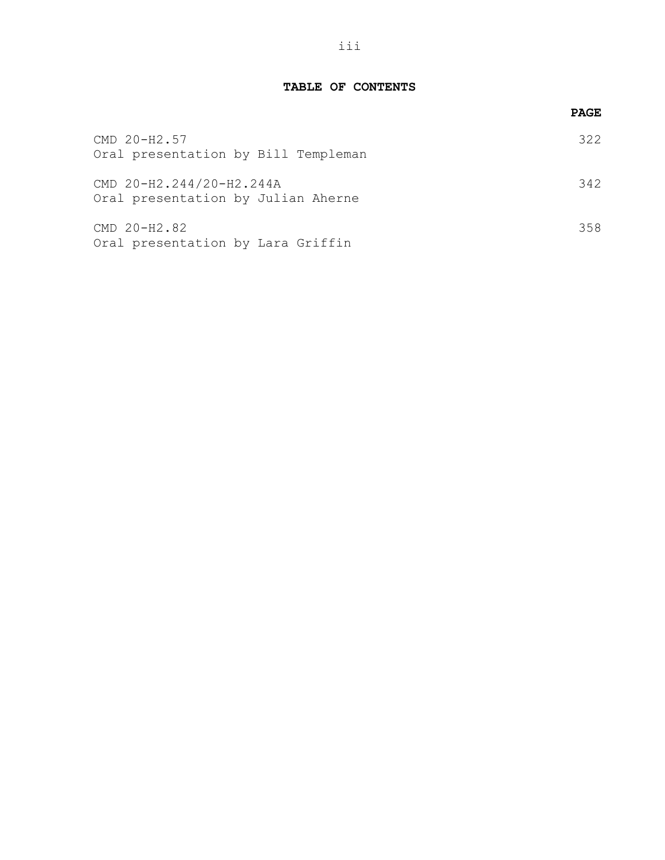### **TABLE OF CONTENTS**

|                                                                | <b>PAGE</b> |
|----------------------------------------------------------------|-------------|
| CMD 20-H2.57<br>Oral presentation by Bill Templeman            | 322         |
| CMD 20-H2.244/20-H2.244A<br>Oral presentation by Julian Aherne | 342         |
| CMD 20-H2.82<br>Oral presentation by Lara Griffin              | 358         |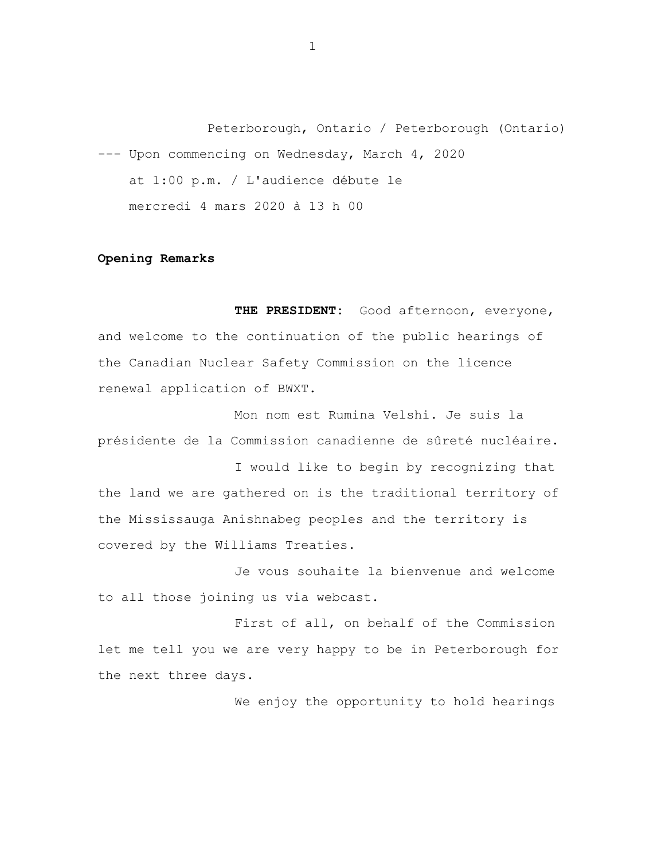Peterborough, Ontario / Peterborough (Ontario) --- Upon commencing on Wednesday, March 4, 2020 at 1:00 p.m. / L'audience débute le mercredi 4 mars 2020 à 13 h 00

### **Opening Remarks**

**THE PRESIDENT:** Good afternoon, everyone, and welcome to the continuation of the public hearings of the Canadian Nuclear Safety Commission on the licence renewal application of BWXT.

Mon nom est Rumina Velshi. Je suis la présidente de la Commission canadienne de sûreté nucléaire.

I would like to begin by recognizing that the land we are gathered on is the traditional territory of the Mississauga Anishnabeg peoples and the territory is covered by the Williams Treaties.

Je vous souhaite la bienvenue and welcome to all those joining us via webcast.

First of all, on behalf of the Commission let me tell you we are very happy to be in Peterborough for the next three days.

We enjoy the opportunity to hold hearings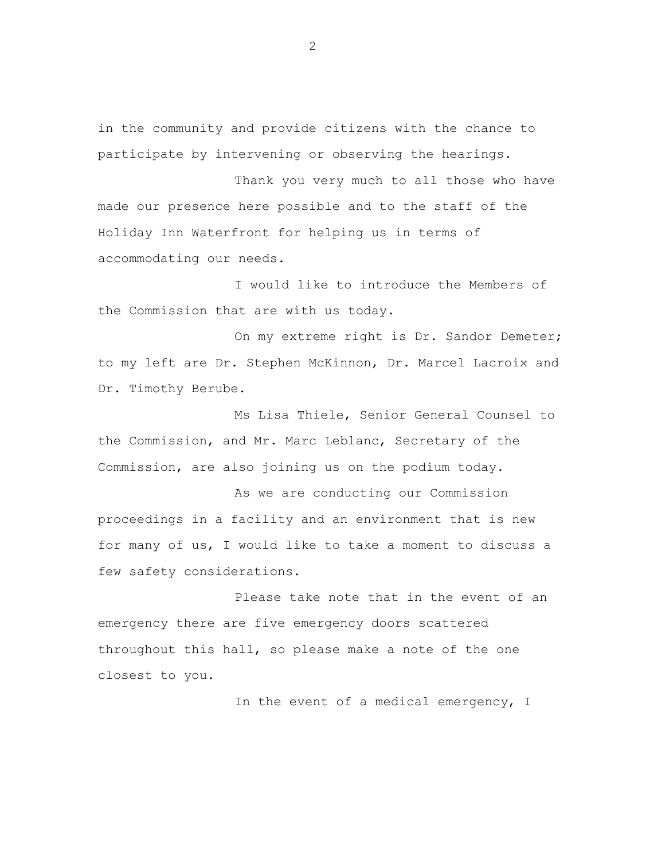in the community and provide citizens with the chance to participate by intervening or observing the hearings.

Thank you very much to all those who have made our presence here possible and to the staff of the Holiday Inn Waterfront for helping us in terms of accommodating our needs.

I would like to introduce the Members of the Commission that are with us today.

On my extreme right is Dr. Sandor Demeter; to my left are Dr. Stephen McKinnon, Dr. Marcel Lacroix and Dr. Timothy Berube.

Ms Lisa Thiele, Senior General Counsel to the Commission, and Mr. Marc Leblanc, Secretary of the Commission, are also joining us on the podium today.

As we are conducting our Commission proceedings in a facility and an environment that is new for many of us, I would like to take a moment to discuss a few safety considerations.

Please take note that in the event of an emergency there are five emergency doors scattered throughout this hall, so please make a note of the one closest to you.

In the event of a medical emergency, I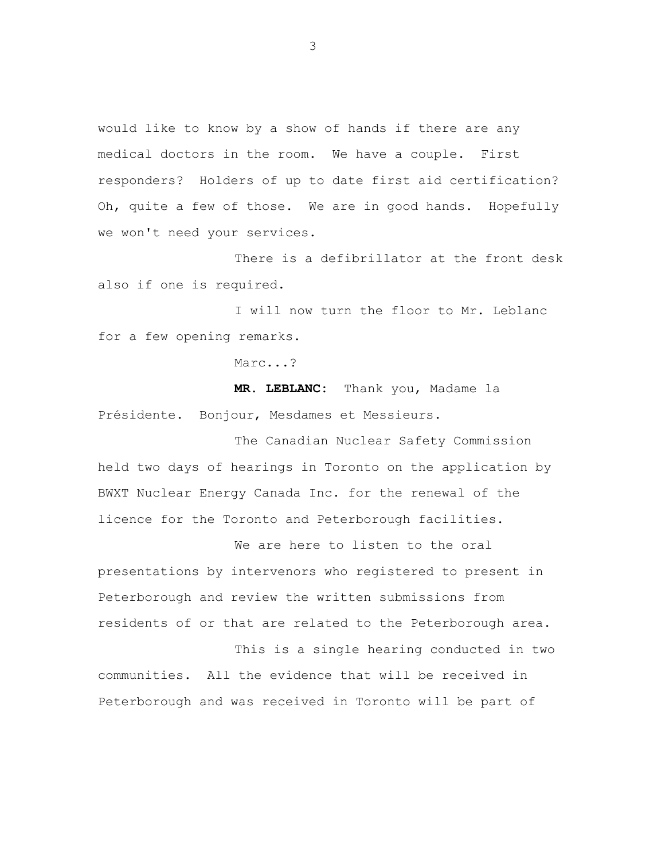would like to know by a show of hands if there are any medical doctors in the room. We have a couple. First responders? Holders of up to date first aid certification? Oh, quite a few of those. We are in good hands. Hopefully we won't need your services.

There is a defibrillator at the front desk also if one is required.

I will now turn the floor to Mr. Leblanc for a few opening remarks.

Marc...?

**MR. LEBLANC:** Thank you, Madame la Présidente. Bonjour, Mesdames et Messieurs.

The Canadian Nuclear Safety Commission held two days of hearings in Toronto on the application by BWXT Nuclear Energy Canada Inc. for the renewal of the licence for the Toronto and Peterborough facilities.

We are here to listen to the oral presentations by intervenors who registered to present in Peterborough and review the written submissions from residents of or that are related to the Peterborough area.

This is a single hearing conducted in two communities. All the evidence that will be received in Peterborough and was received in Toronto will be part of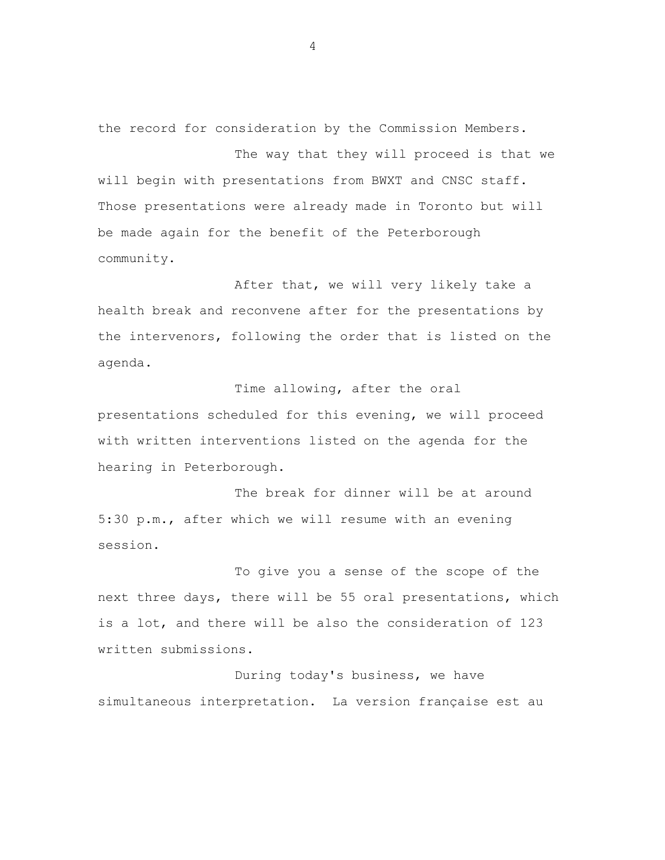the record for consideration by the Commission Members.

The way that they will proceed is that we will begin with presentations from BWXT and CNSC staff. Those presentations were already made in Toronto but will be made again for the benefit of the Peterborough community.

After that, we will very likely take a health break and reconvene after for the presentations by the intervenors, following the order that is listed on the agenda.

Time allowing, after the oral presentations scheduled for this evening, we will proceed with written interventions listed on the agenda for the hearing in Peterborough.

The break for dinner will be at around 5:30 p.m., after which we will resume with an evening session.

To give you a sense of the scope of the next three days, there will be 55 oral presentations, which is a lot, and there will be also the consideration of 123 written submissions.

During today's business, we have simultaneous interpretation. La version française est au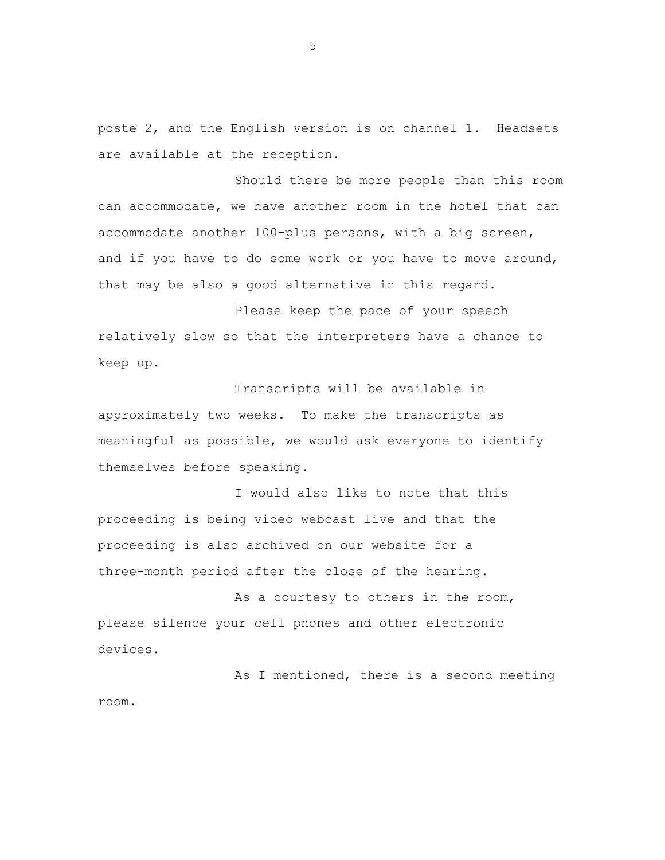poste 2, and the English version is on channel 1. Headsets are available at the reception.

Should there be more people than this room can accommodate, we have another room in the hotel that can accommodate another 100-plus persons, with a big screen, and if you have to do some work or you have to move around, that may be also a good alternative in this regard.

Please keep the pace of your speech relatively slow so that the interpreters have a chance to keep up.

Transcripts will be available in approximately two weeks. To make the transcripts as meaningful as possible, we would ask everyone to identify themselves before speaking.

I would also like to note that this proceeding is being video webcast live and that the proceeding is also archived on our website for a three-month period after the close of the hearing.

As a courtesy to others in the room, please silence your cell phones and other electronic devices.

As I mentioned, there is a second meeting room.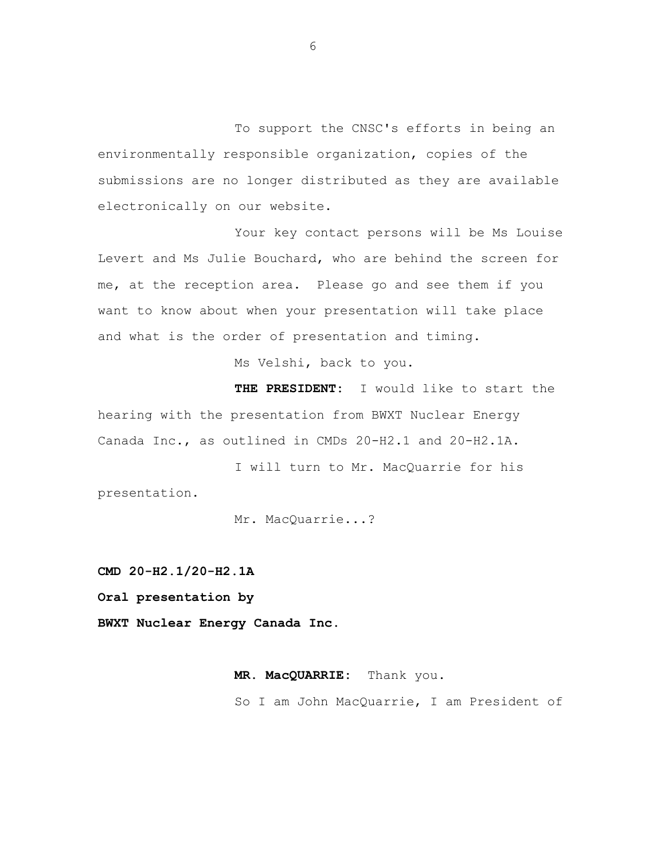To support the CNSC's efforts in being an environmentally responsible organization, copies of the submissions are no longer distributed as they are available electronically on our website.

Your key contact persons will be Ms Louise Levert and Ms Julie Bouchard, who are behind the screen for me, at the reception area. Please go and see them if you want to know about when your presentation will take place and what is the order of presentation and timing.

Ms Velshi, back to you.

**THE PRESIDENT:** I would like to start the hearing with the presentation from BWXT Nuclear Energy Canada Inc., as outlined in CMDs 20-H2.1 and 20-H2.1A.

I will turn to Mr. MacQuarrie for his presentation.

Mr. MacQuarrie...?

**CMD 20-H2.1/20-H2.1A**

**Oral presentation by**

**BWXT Nuclear Energy Canada Inc.**

**MR. MacQUARRIE:** Thank you. So I am John MacQuarrie, I am President of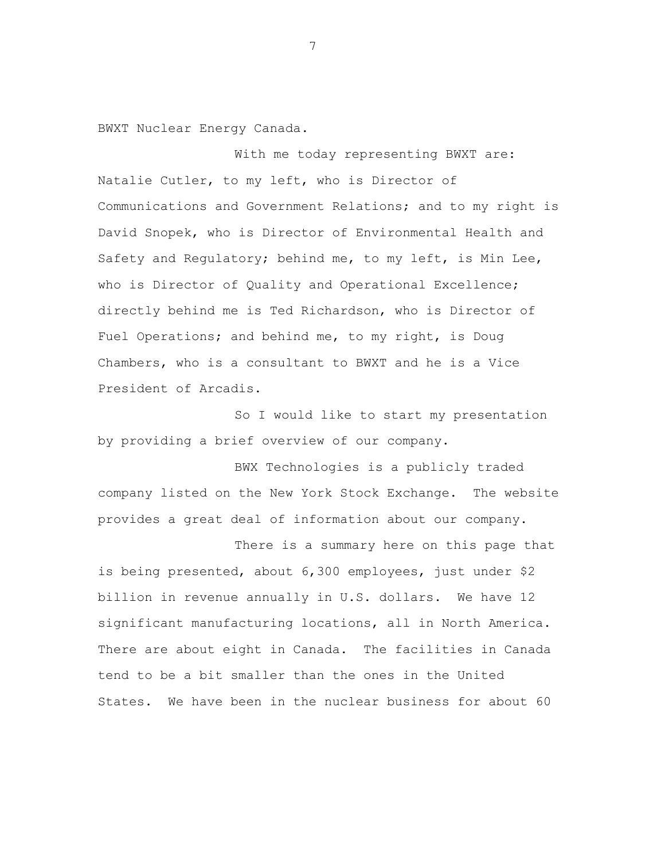BWXT Nuclear Energy Canada.

With me today representing BWXT are: Natalie Cutler, to my left, who is Director of Communications and Government Relations; and to my right is David Snopek, who is Director of Environmental Health and Safety and Regulatory; behind me, to my left, is Min Lee, who is Director of Quality and Operational Excellence; directly behind me is Ted Richardson, who is Director of Fuel Operations; and behind me, to my right, is Doug Chambers, who is a consultant to BWXT and he is a Vice President of Arcadis.

So I would like to start my presentation by providing a brief overview of our company.

BWX Technologies is a publicly traded company listed on the New York Stock Exchange. The website provides a great deal of information about our company.

There is a summary here on this page that is being presented, about 6,300 employees, just under \$2 billion in revenue annually in U.S. dollars. We have 12 significant manufacturing locations, all in North America. There are about eight in Canada. The facilities in Canada tend to be a bit smaller than the ones in the United States. We have been in the nuclear business for about 60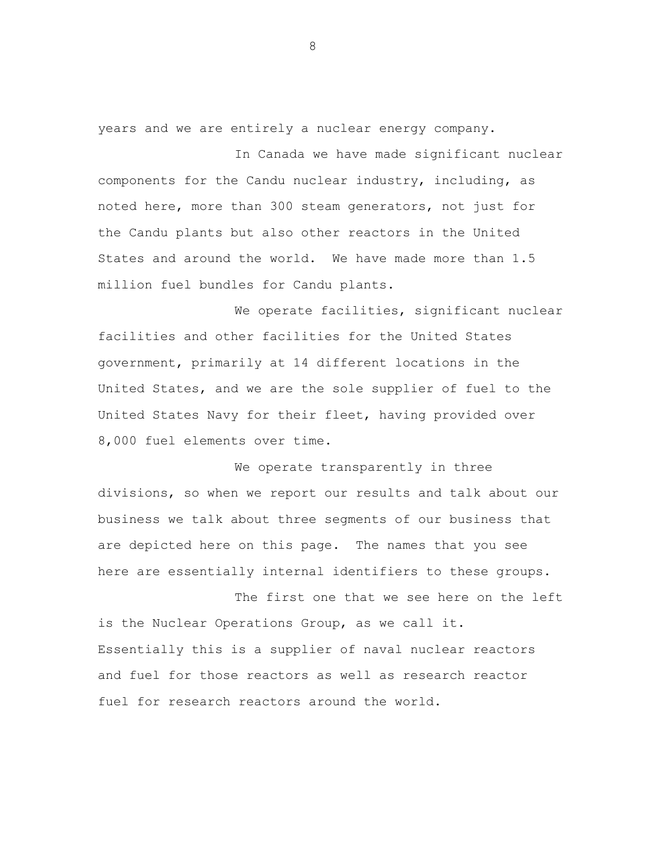years and we are entirely a nuclear energy company.

In Canada we have made significant nuclear components for the Candu nuclear industry, including, as noted here, more than 300 steam generators, not just for the Candu plants but also other reactors in the United States and around the world. We have made more than 1.5 million fuel bundles for Candu plants.

We operate facilities, significant nuclear facilities and other facilities for the United States government, primarily at 14 different locations in the United States, and we are the sole supplier of fuel to the United States Navy for their fleet, having provided over 8,000 fuel elements over time.

We operate transparently in three divisions, so when we report our results and talk about our business we talk about three segments of our business that are depicted here on this page. The names that you see here are essentially internal identifiers to these groups.

The first one that we see here on the left is the Nuclear Operations Group, as we call it. Essentially this is a supplier of naval nuclear reactors and fuel for those reactors as well as research reactor fuel for research reactors around the world.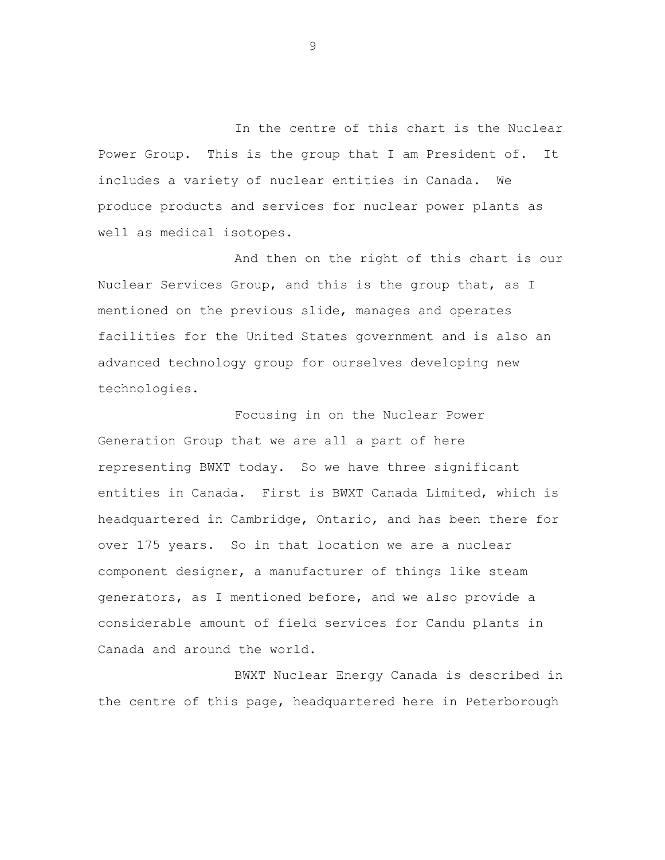In the centre of this chart is the Nuclear Power Group. This is the group that I am President of. It includes a variety of nuclear entities in Canada. We produce products and services for nuclear power plants as well as medical isotopes.

And then on the right of this chart is our Nuclear Services Group, and this is the group that, as I mentioned on the previous slide, manages and operates facilities for the United States government and is also an advanced technology group for ourselves developing new technologies.

Focusing in on the Nuclear Power Generation Group that we are all a part of here representing BWXT today. So we have three significant entities in Canada. First is BWXT Canada Limited, which is headquartered in Cambridge, Ontario, and has been there for over 175 years. So in that location we are a nuclear component designer, a manufacturer of things like steam generators, as I mentioned before, and we also provide a considerable amount of field services for Candu plants in Canada and around the world.

BWXT Nuclear Energy Canada is described in the centre of this page, headquartered here in Peterborough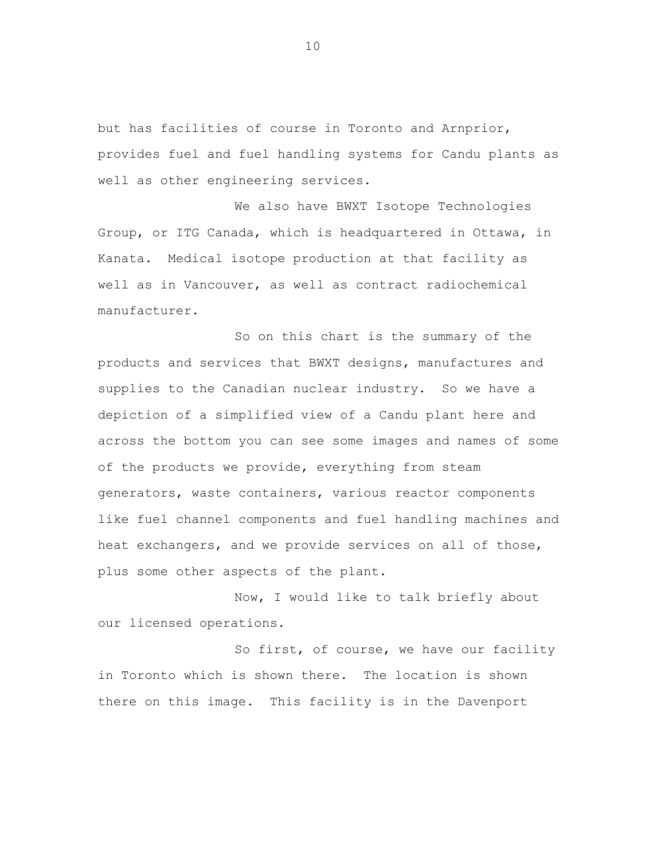but has facilities of course in Toronto and Arnprior, provides fuel and fuel handling systems for Candu plants as well as other engineering services.

We also have BWXT Isotope Technologies Group, or ITG Canada, which is headquartered in Ottawa, in Kanata. Medical isotope production at that facility as well as in Vancouver, as well as contract radiochemical manufacturer.

So on this chart is the summary of the products and services that BWXT designs, manufactures and supplies to the Canadian nuclear industry. So we have a depiction of a simplified view of a Candu plant here and across the bottom you can see some images and names of some of the products we provide, everything from steam generators, waste containers, various reactor components like fuel channel components and fuel handling machines and heat exchangers, and we provide services on all of those, plus some other aspects of the plant.

Now, I would like to talk briefly about our licensed operations.

So first, of course, we have our facility in Toronto which is shown there. The location is shown there on this image. This facility is in the Davenport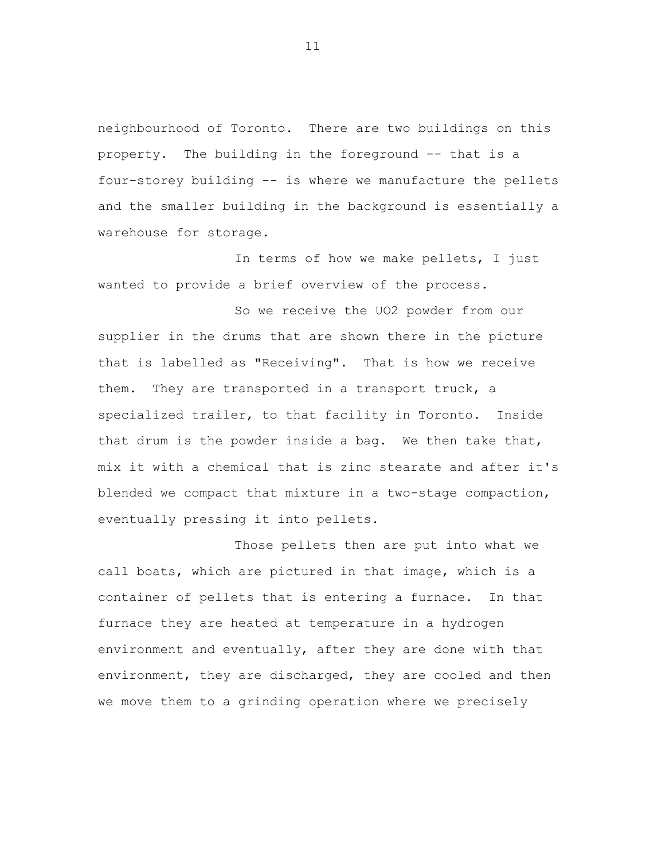neighbourhood of Toronto. There are two buildings on this property. The building in the foreground -- that is a four-storey building -- is where we manufacture the pellets and the smaller building in the background is essentially a warehouse for storage.

In terms of how we make pellets, I just wanted to provide a brief overview of the process.

So we receive the UO2 powder from our supplier in the drums that are shown there in the picture that is labelled as "Receiving". That is how we receive them. They are transported in a transport truck, a specialized trailer, to that facility in Toronto. Inside that drum is the powder inside a bag. We then take that, mix it with a chemical that is zinc stearate and after it's blended we compact that mixture in a two-stage compaction, eventually pressing it into pellets.

Those pellets then are put into what we call boats, which are pictured in that image, which is a container of pellets that is entering a furnace. In that furnace they are heated at temperature in a hydrogen environment and eventually, after they are done with that environment, they are discharged, they are cooled and then we move them to a grinding operation where we precisely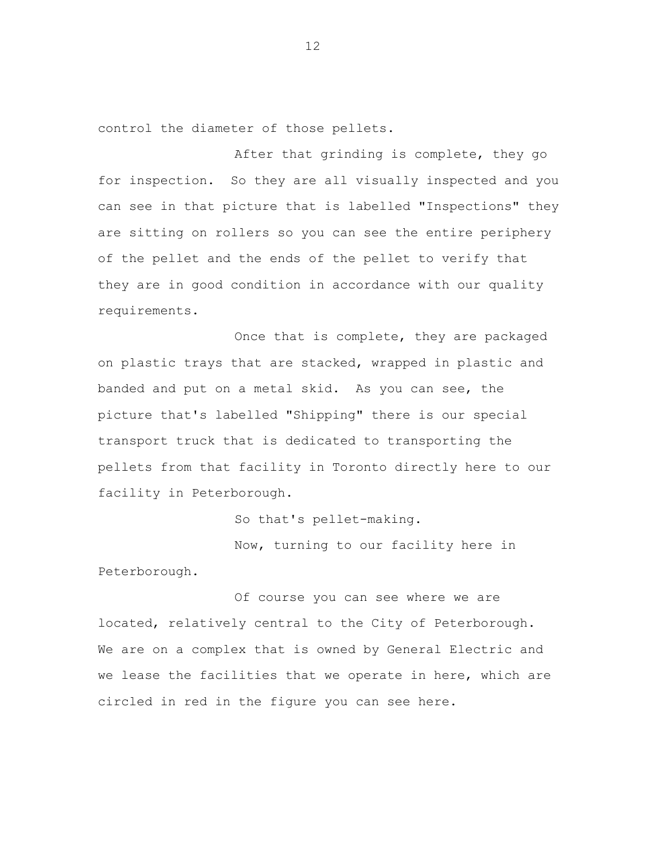control the diameter of those pellets.

After that grinding is complete, they go for inspection. So they are all visually inspected and you can see in that picture that is labelled "Inspections" they are sitting on rollers so you can see the entire periphery of the pellet and the ends of the pellet to verify that they are in good condition in accordance with our quality requirements.

Once that is complete, they are packaged on plastic trays that are stacked, wrapped in plastic and banded and put on a metal skid. As you can see, the picture that's labelled "Shipping" there is our special transport truck that is dedicated to transporting the pellets from that facility in Toronto directly here to our facility in Peterborough.

So that's pellet-making.

Now, turning to our facility here in Peterborough.

Of course you can see where we are located, relatively central to the City of Peterborough. We are on a complex that is owned by General Electric and we lease the facilities that we operate in here, which are circled in red in the figure you can see here.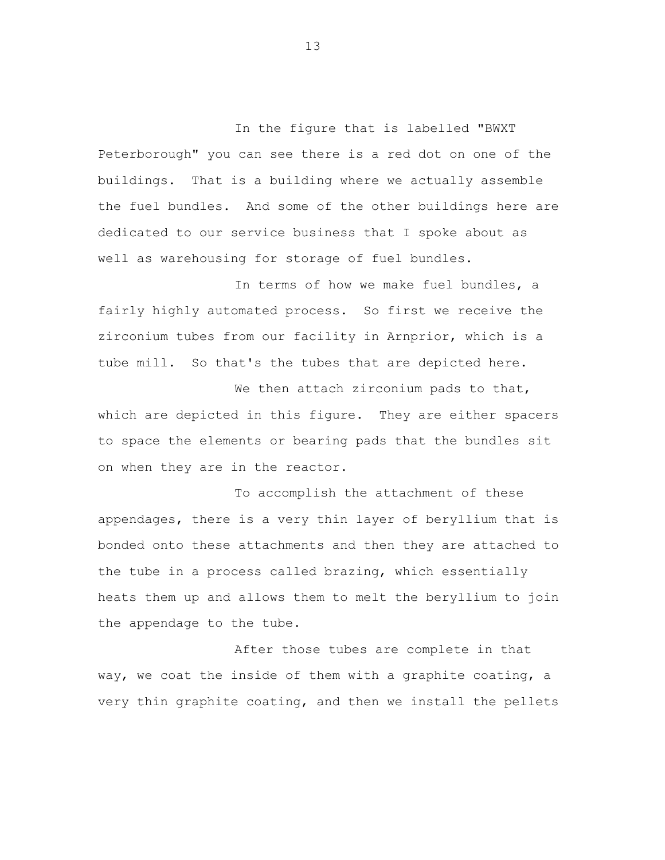In the figure that is labelled "BWXT Peterborough" you can see there is a red dot on one of the buildings. That is a building where we actually assemble the fuel bundles. And some of the other buildings here are dedicated to our service business that I spoke about as well as warehousing for storage of fuel bundles.

In terms of how we make fuel bundles, a fairly highly automated process. So first we receive the zirconium tubes from our facility in Arnprior, which is a tube mill. So that's the tubes that are depicted here.

We then attach zirconium pads to that, which are depicted in this figure. They are either spacers to space the elements or bearing pads that the bundles sit on when they are in the reactor.

To accomplish the attachment of these appendages, there is a very thin layer of beryllium that is bonded onto these attachments and then they are attached to the tube in a process called brazing, which essentially heats them up and allows them to melt the beryllium to join the appendage to the tube.

After those tubes are complete in that way, we coat the inside of them with a graphite coating, a very thin graphite coating, and then we install the pellets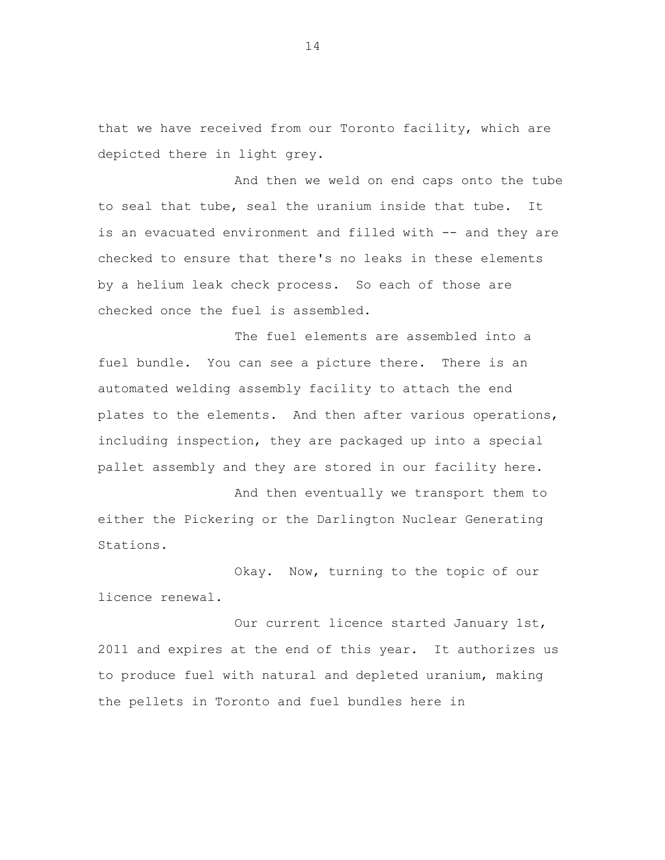that we have received from our Toronto facility, which are depicted there in light grey.

And then we weld on end caps onto the tube to seal that tube, seal the uranium inside that tube. It is an evacuated environment and filled with -- and they are checked to ensure that there's no leaks in these elements by a helium leak check process. So each of those are checked once the fuel is assembled.

The fuel elements are assembled into a fuel bundle. You can see a picture there. There is an automated welding assembly facility to attach the end plates to the elements. And then after various operations, including inspection, they are packaged up into a special pallet assembly and they are stored in our facility here.

And then eventually we transport them to either the Pickering or the Darlington Nuclear Generating Stations.

Okay. Now, turning to the topic of our licence renewal.

Our current licence started January 1st, 2011 and expires at the end of this year. It authorizes us to produce fuel with natural and depleted uranium, making the pellets in Toronto and fuel bundles here in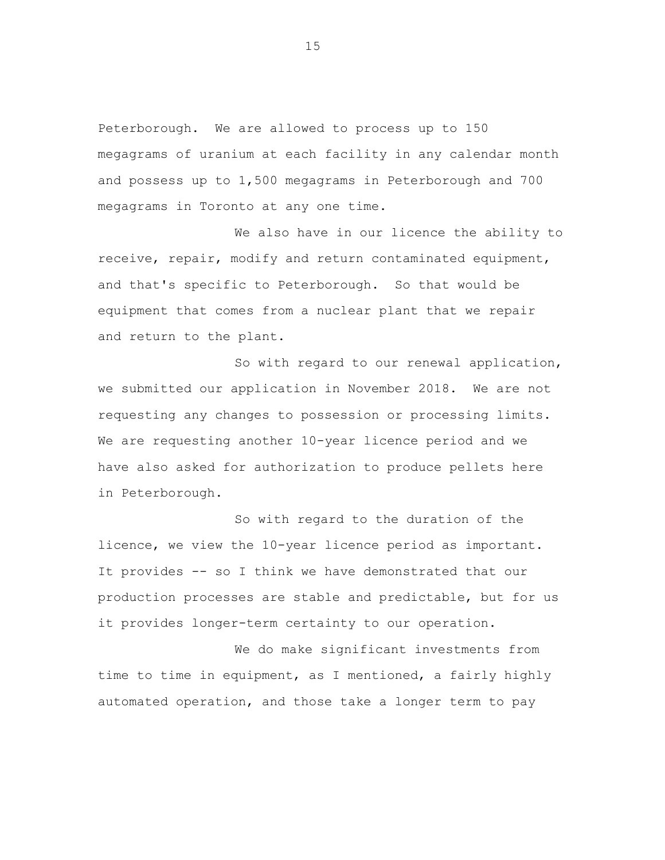Peterborough. We are allowed to process up to 150 megagrams of uranium at each facility in any calendar month and possess up to 1,500 megagrams in Peterborough and 700 megagrams in Toronto at any one time.

We also have in our licence the ability to receive, repair, modify and return contaminated equipment, and that's specific to Peterborough. So that would be equipment that comes from a nuclear plant that we repair and return to the plant.

So with regard to our renewal application, we submitted our application in November 2018. We are not requesting any changes to possession or processing limits. We are requesting another 10-year licence period and we have also asked for authorization to produce pellets here in Peterborough.

So with regard to the duration of the licence, we view the 10-year licence period as important. It provides -- so I think we have demonstrated that our production processes are stable and predictable, but for us it provides longer-term certainty to our operation.

We do make significant investments from time to time in equipment, as I mentioned, a fairly highly automated operation, and those take a longer term to pay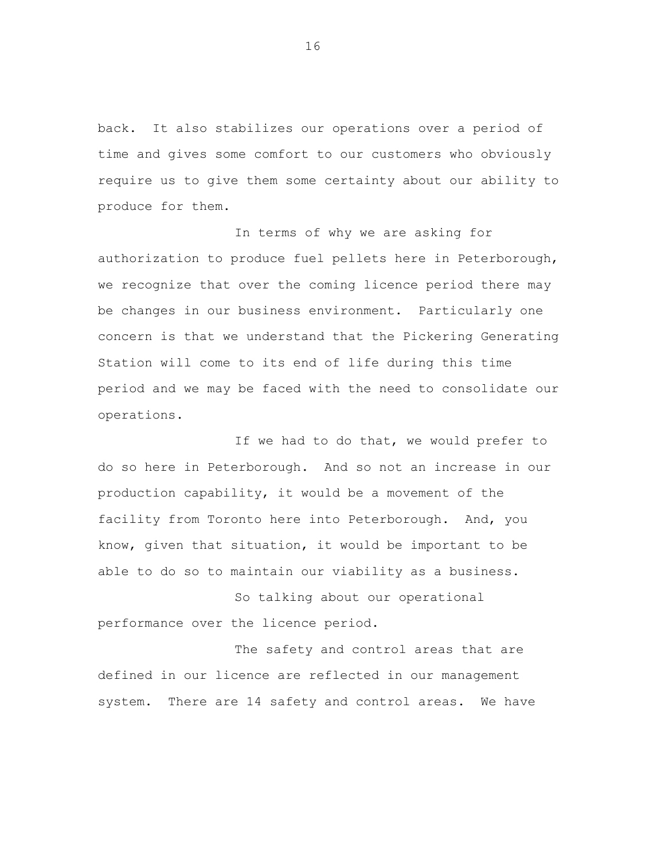back. It also stabilizes our operations over a period of time and gives some comfort to our customers who obviously require us to give them some certainty about our ability to produce for them.

In terms of why we are asking for authorization to produce fuel pellets here in Peterborough, we recognize that over the coming licence period there may be changes in our business environment. Particularly one concern is that we understand that the Pickering Generating Station will come to its end of life during this time period and we may be faced with the need to consolidate our operations.

If we had to do that, we would prefer to do so here in Peterborough. And so not an increase in our production capability, it would be a movement of the facility from Toronto here into Peterborough. And, you know, given that situation, it would be important to be able to do so to maintain our viability as a business.

So talking about our operational performance over the licence period.

The safety and control areas that are defined in our licence are reflected in our management system. There are 14 safety and control areas. We have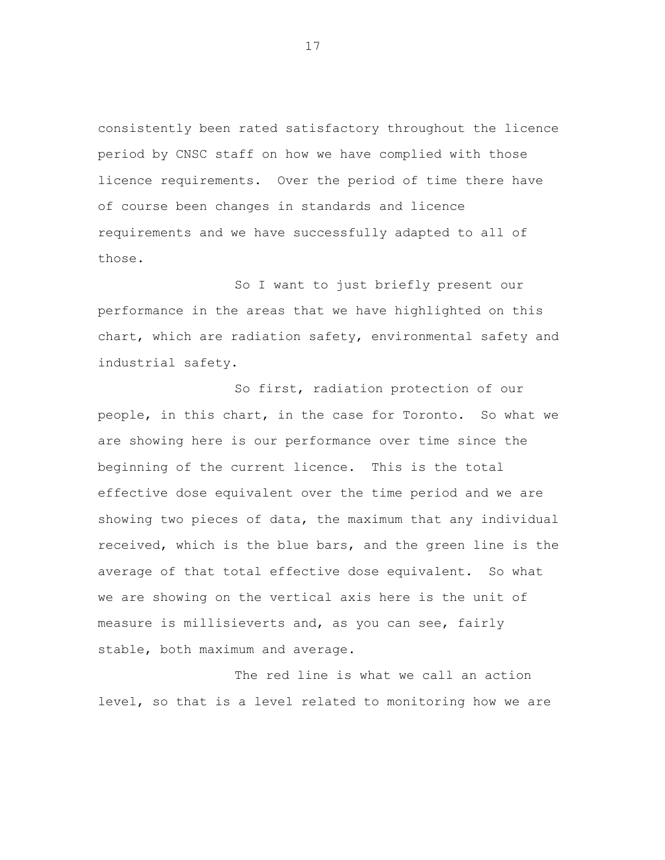consistently been rated satisfactory throughout the licence period by CNSC staff on how we have complied with those licence requirements. Over the period of time there have of course been changes in standards and licence requirements and we have successfully adapted to all of those.

So I want to just briefly present our performance in the areas that we have highlighted on this chart, which are radiation safety, environmental safety and industrial safety.

So first, radiation protection of our people, in this chart, in the case for Toronto. So what we are showing here is our performance over time since the beginning of the current licence. This is the total effective dose equivalent over the time period and we are showing two pieces of data, the maximum that any individual received, which is the blue bars, and the green line is the average of that total effective dose equivalent. So what we are showing on the vertical axis here is the unit of measure is millisieverts and, as you can see, fairly stable, both maximum and average.

The red line is what we call an action level, so that is a level related to monitoring how we are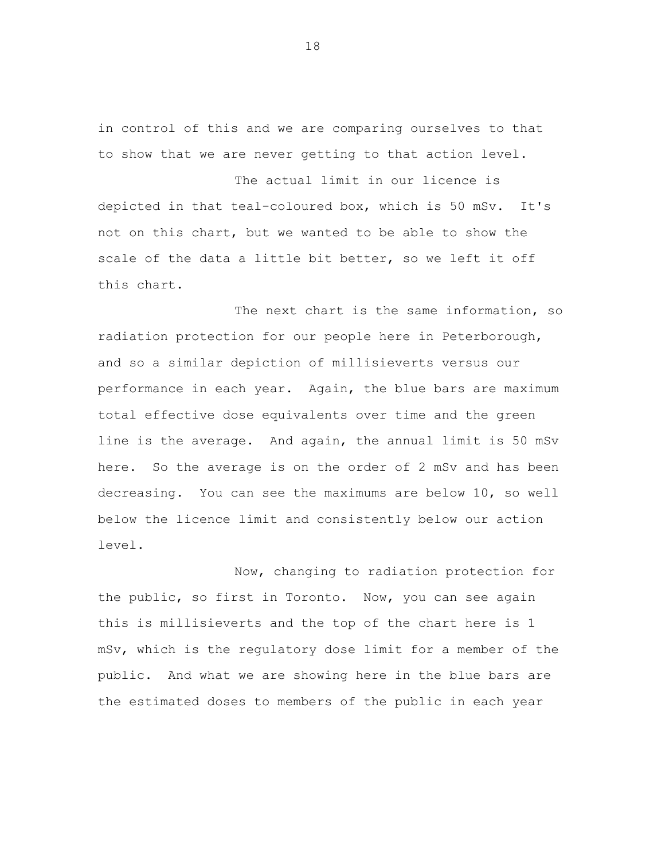in control of this and we are comparing ourselves to that to show that we are never getting to that action level.

The actual limit in our licence is depicted in that teal-coloured box, which is 50 mSv. It's not on this chart, but we wanted to be able to show the scale of the data a little bit better, so we left it off this chart.

The next chart is the same information, so radiation protection for our people here in Peterborough, and so a similar depiction of millisieverts versus our performance in each year. Again, the blue bars are maximum total effective dose equivalents over time and the green line is the average. And again, the annual limit is 50 mSv here. So the average is on the order of 2 mSv and has been decreasing. You can see the maximums are below 10, so well below the licence limit and consistently below our action level.

Now, changing to radiation protection for the public, so first in Toronto. Now, you can see again this is millisieverts and the top of the chart here is 1 mSv, which is the regulatory dose limit for a member of the public. And what we are showing here in the blue bars are the estimated doses to members of the public in each year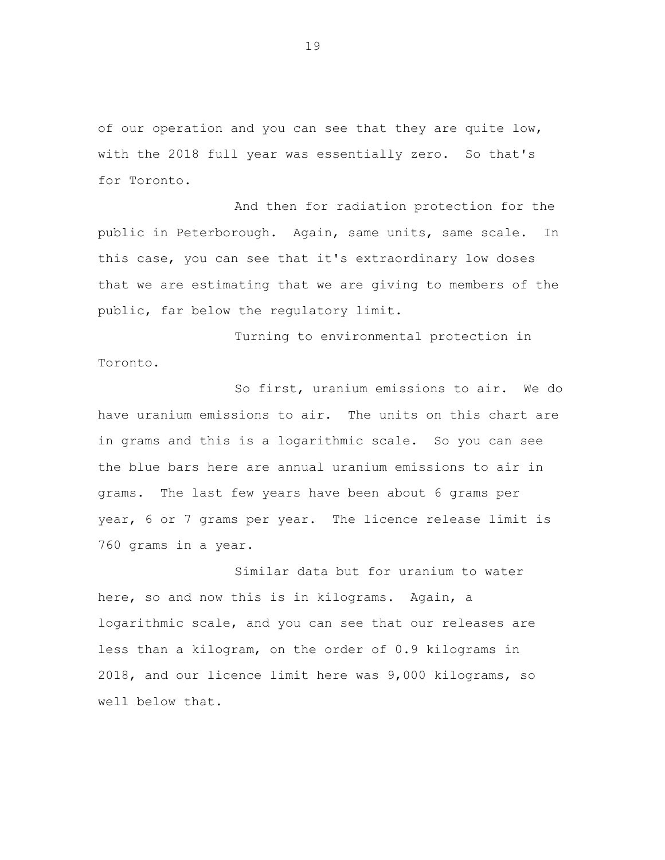of our operation and you can see that they are quite low, with the 2018 full year was essentially zero. So that's for Toronto.

And then for radiation protection for the public in Peterborough. Again, same units, same scale. In this case, you can see that it's extraordinary low doses that we are estimating that we are giving to members of the public, far below the regulatory limit.

Turning to environmental protection in Toronto.

So first, uranium emissions to air. We do have uranium emissions to air. The units on this chart are in grams and this is a logarithmic scale. So you can see the blue bars here are annual uranium emissions to air in grams. The last few years have been about 6 grams per year, 6 or 7 grams per year. The licence release limit is 760 grams in a year.

Similar data but for uranium to water here, so and now this is in kilograms. Again, a logarithmic scale, and you can see that our releases are less than a kilogram, on the order of 0.9 kilograms in 2018, and our licence limit here was 9,000 kilograms, so well below that.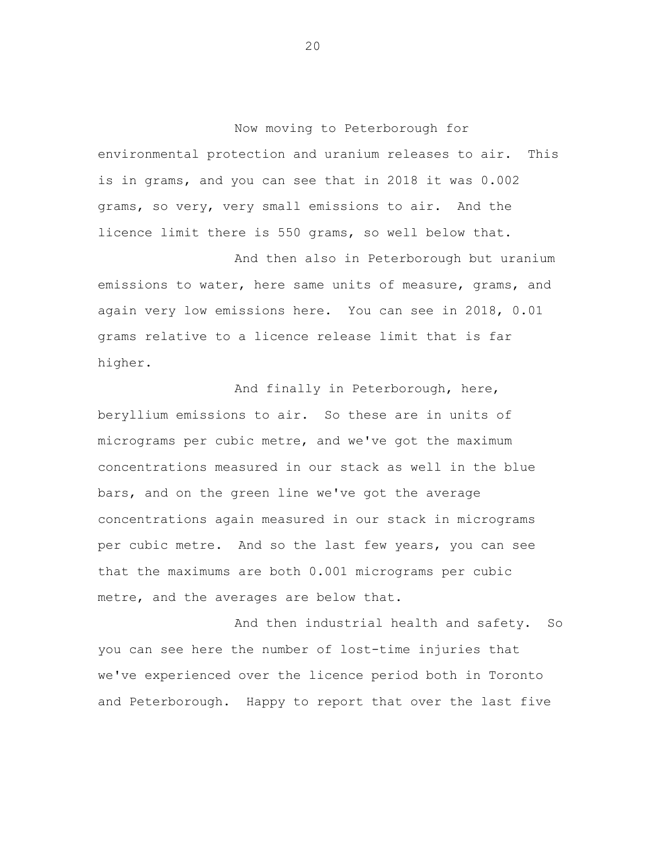Now moving to Peterborough for environmental protection and uranium releases to air. This is in grams, and you can see that in 2018 it was 0.002 grams, so very, very small emissions to air. And the licence limit there is 550 grams, so well below that.

And then also in Peterborough but uranium emissions to water, here same units of measure, grams, and again very low emissions here. You can see in 2018, 0.01 grams relative to a licence release limit that is far higher.

And finally in Peterborough, here, beryllium emissions to air. So these are in units of micrograms per cubic metre, and we've got the maximum concentrations measured in our stack as well in the blue bars, and on the green line we've got the average concentrations again measured in our stack in micrograms per cubic metre. And so the last few years, you can see that the maximums are both 0.001 micrograms per cubic metre, and the averages are below that.

And then industrial health and safety. So you can see here the number of lost-time injuries that we've experienced over the licence period both in Toronto and Peterborough. Happy to report that over the last five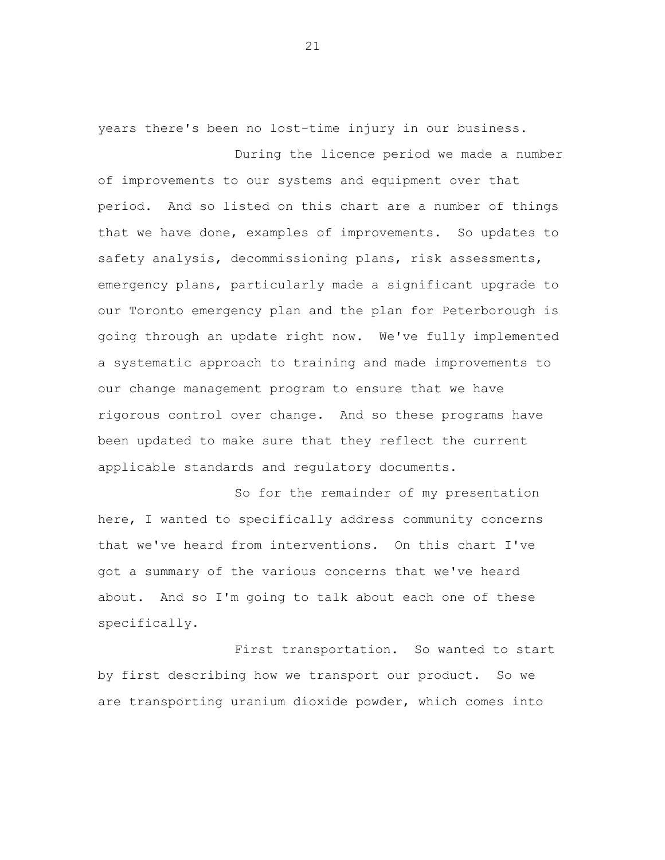years there's been no lost-time injury in our business. During the licence period we made a number

of improvements to our systems and equipment over that period. And so listed on this chart are a number of things that we have done, examples of improvements. So updates to safety analysis, decommissioning plans, risk assessments, emergency plans, particularly made a significant upgrade to our Toronto emergency plan and the plan for Peterborough is going through an update right now. We've fully implemented a systematic approach to training and made improvements to our change management program to ensure that we have rigorous control over change. And so these programs have been updated to make sure that they reflect the current applicable standards and regulatory documents.

So for the remainder of my presentation here, I wanted to specifically address community concerns that we've heard from interventions. On this chart I've got a summary of the various concerns that we've heard about. And so I'm going to talk about each one of these specifically.

First transportation. So wanted to start by first describing how we transport our product. So we are transporting uranium dioxide powder, which comes into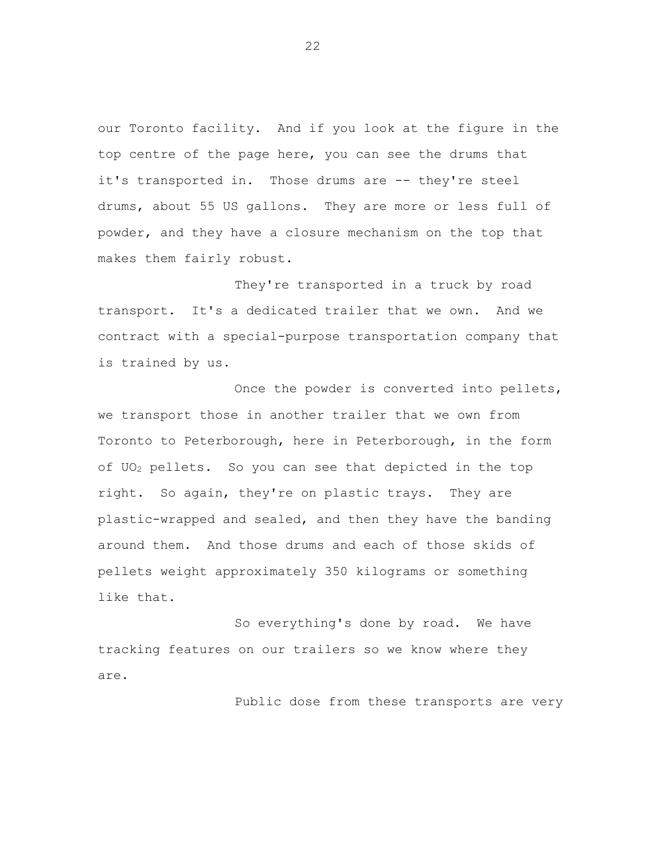our Toronto facility. And if you look at the figure in the top centre of the page here, you can see the drums that it's transported in. Those drums are -- they're steel drums, about 55 US gallons. They are more or less full of powder, and they have a closure mechanism on the top that makes them fairly robust.

They're transported in a truck by road transport. It's a dedicated trailer that we own. And we contract with a special-purpose transportation company that is trained by us.

Once the powder is converted into pellets, we transport those in another trailer that we own from Toronto to Peterborough, here in Peterborough, in the form of UO<sup>2</sup> pellets. So you can see that depicted in the top right. So again, they're on plastic trays. They are plastic-wrapped and sealed, and then they have the banding around them. And those drums and each of those skids of pellets weight approximately 350 kilograms or something like that.

So everything's done by road. We have tracking features on our trailers so we know where they are.

Public dose from these transports are very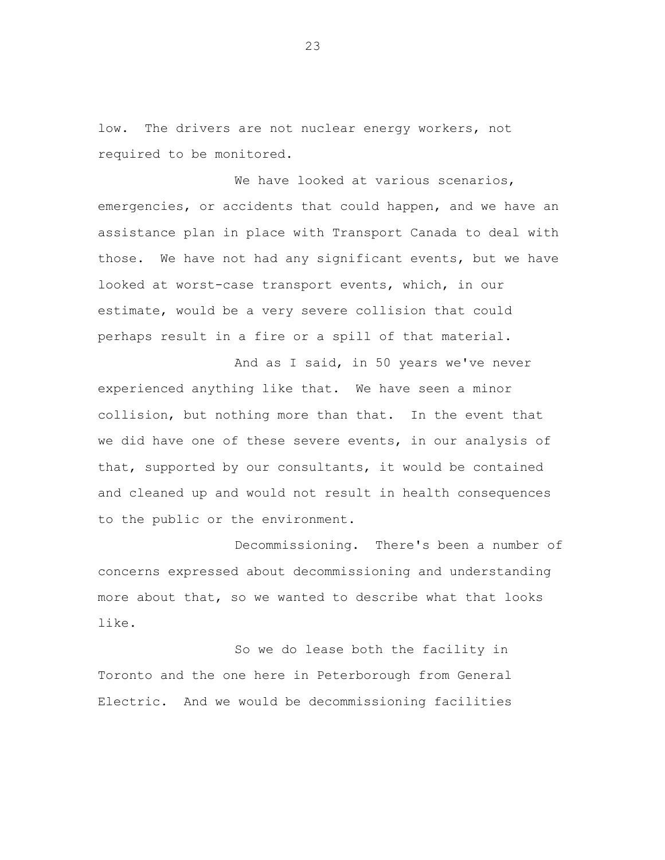low. The drivers are not nuclear energy workers, not required to be monitored.

We have looked at various scenarios, emergencies, or accidents that could happen, and we have an assistance plan in place with Transport Canada to deal with those. We have not had any significant events, but we have looked at worst-case transport events, which, in our estimate, would be a very severe collision that could perhaps result in a fire or a spill of that material.

And as I said, in 50 years we've never experienced anything like that. We have seen a minor collision, but nothing more than that. In the event that we did have one of these severe events, in our analysis of that, supported by our consultants, it would be contained and cleaned up and would not result in health consequences to the public or the environment.

Decommissioning. There's been a number of concerns expressed about decommissioning and understanding more about that, so we wanted to describe what that looks like.

So we do lease both the facility in Toronto and the one here in Peterborough from General Electric. And we would be decommissioning facilities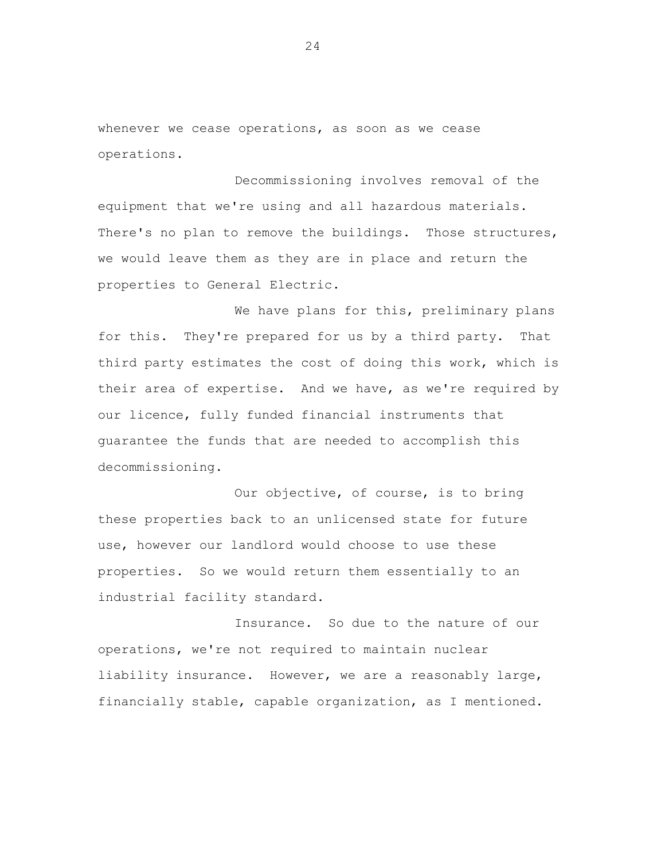whenever we cease operations, as soon as we cease operations.

Decommissioning involves removal of the equipment that we're using and all hazardous materials. There's no plan to remove the buildings. Those structures, we would leave them as they are in place and return the properties to General Electric.

We have plans for this, preliminary plans for this. They're prepared for us by a third party. That third party estimates the cost of doing this work, which is their area of expertise. And we have, as we're required by our licence, fully funded financial instruments that guarantee the funds that are needed to accomplish this decommissioning.

Our objective, of course, is to bring these properties back to an unlicensed state for future use, however our landlord would choose to use these properties. So we would return them essentially to an industrial facility standard.

Insurance. So due to the nature of our operations, we're not required to maintain nuclear liability insurance. However, we are a reasonably large, financially stable, capable organization, as I mentioned.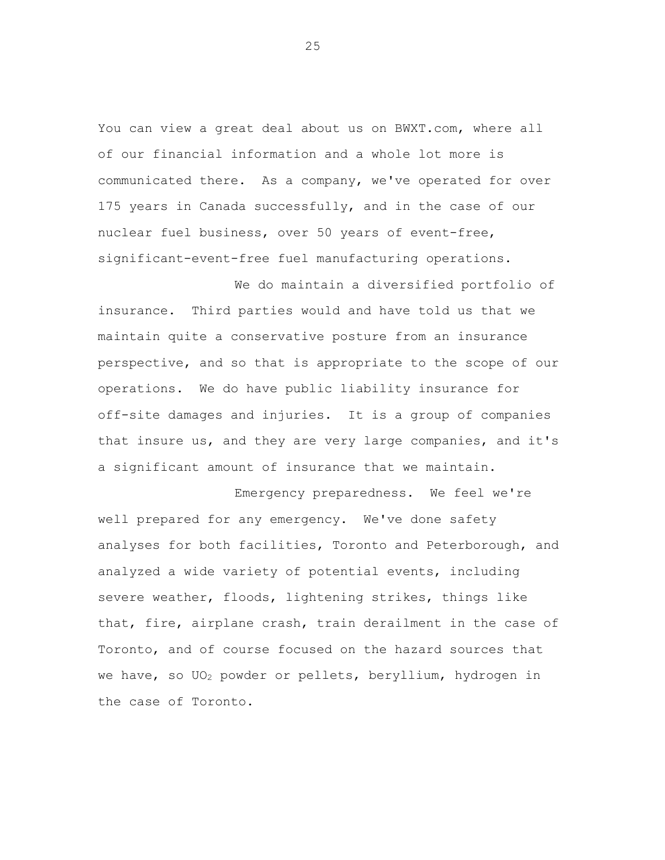You can view a great deal about us on BWXT.com, where all of our financial information and a whole lot more is communicated there. As a company, we've operated for over 175 years in Canada successfully, and in the case of our nuclear fuel business, over 50 years of event-free, significant-event-free fuel manufacturing operations.

We do maintain a diversified portfolio of insurance. Third parties would and have told us that we maintain quite a conservative posture from an insurance perspective, and so that is appropriate to the scope of our operations. We do have public liability insurance for off-site damages and injuries. It is a group of companies that insure us, and they are very large companies, and it's a significant amount of insurance that we maintain.

Emergency preparedness. We feel we're well prepared for any emergency. We've done safety analyses for both facilities, Toronto and Peterborough, and analyzed a wide variety of potential events, including severe weather, floods, lightening strikes, things like that, fire, airplane crash, train derailment in the case of Toronto, and of course focused on the hazard sources that we have, so UO<sub>2</sub> powder or pellets, beryllium, hydrogen in the case of Toronto.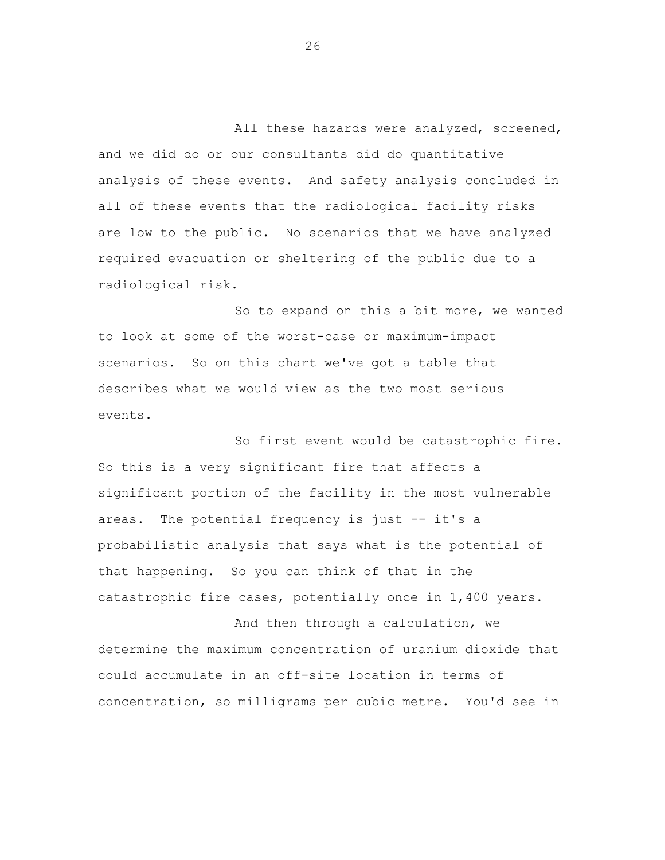All these hazards were analyzed, screened, and we did do or our consultants did do quantitative analysis of these events. And safety analysis concluded in all of these events that the radiological facility risks are low to the public. No scenarios that we have analyzed required evacuation or sheltering of the public due to a radiological risk.

So to expand on this a bit more, we wanted to look at some of the worst-case or maximum-impact scenarios. So on this chart we've got a table that describes what we would view as the two most serious events.

So first event would be catastrophic fire. So this is a very significant fire that affects a significant portion of the facility in the most vulnerable areas. The potential frequency is just -- it's a probabilistic analysis that says what is the potential of that happening. So you can think of that in the catastrophic fire cases, potentially once in 1,400 years.

And then through a calculation, we determine the maximum concentration of uranium dioxide that could accumulate in an off-site location in terms of concentration, so milligrams per cubic metre. You'd see in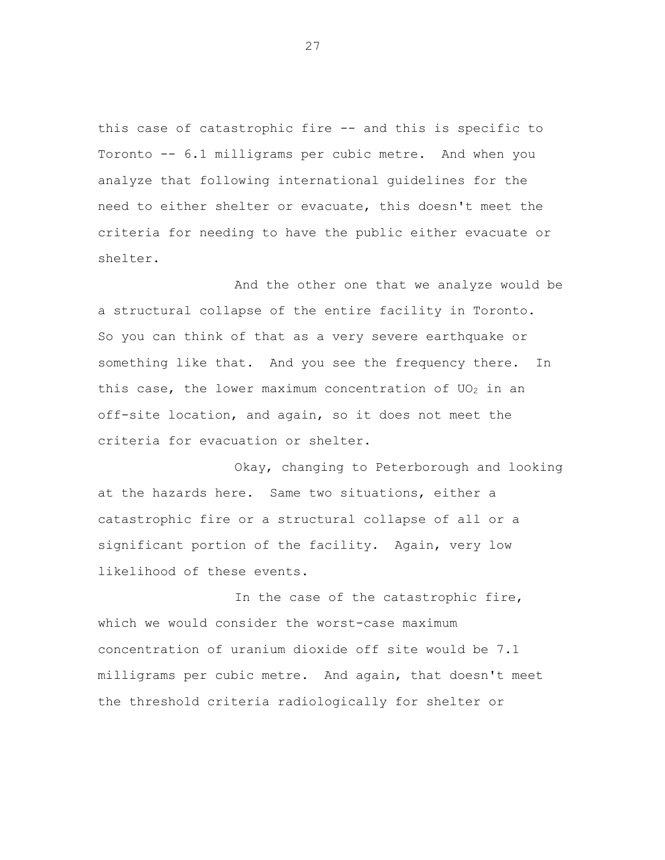this case of catastrophic fire -- and this is specific to Toronto -- 6.1 milligrams per cubic metre. And when you analyze that following international guidelines for the need to either shelter or evacuate, this doesn't meet the criteria for needing to have the public either evacuate or shelter.

And the other one that we analyze would be a structural collapse of the entire facility in Toronto. So you can think of that as a very severe earthquake or something like that. And you see the frequency there. In this case, the lower maximum concentration of  $UO<sub>2</sub>$  in an off-site location, and again, so it does not meet the criteria for evacuation or shelter.

Okay, changing to Peterborough and looking at the hazards here. Same two situations, either a catastrophic fire or a structural collapse of all or a significant portion of the facility. Again, very low likelihood of these events.

In the case of the catastrophic fire, which we would consider the worst-case maximum concentration of uranium dioxide off site would be 7.1 milligrams per cubic metre. And again, that doesn't meet the threshold criteria radiologically for shelter or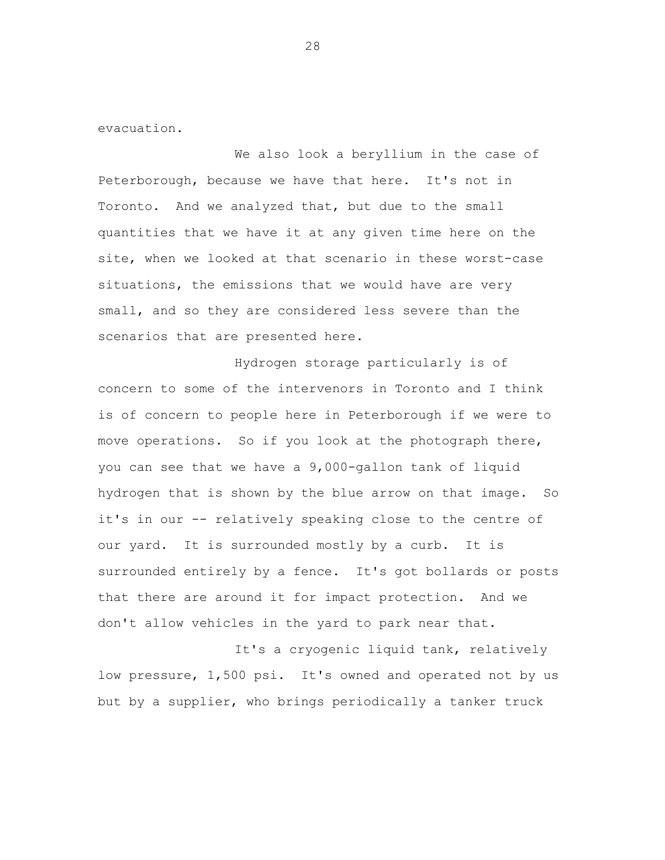evacuation.

We also look a beryllium in the case of Peterborough, because we have that here. It's not in Toronto. And we analyzed that, but due to the small quantities that we have it at any given time here on the site, when we looked at that scenario in these worst-case situations, the emissions that we would have are very small, and so they are considered less severe than the scenarios that are presented here.

Hydrogen storage particularly is of concern to some of the intervenors in Toronto and I think is of concern to people here in Peterborough if we were to move operations. So if you look at the photograph there, you can see that we have a 9,000-gallon tank of liquid hydrogen that is shown by the blue arrow on that image. So it's in our -- relatively speaking close to the centre of our yard. It is surrounded mostly by a curb. It is surrounded entirely by a fence. It's got bollards or posts that there are around it for impact protection. And we don't allow vehicles in the yard to park near that.

It's a cryogenic liquid tank, relatively low pressure, 1,500 psi. It's owned and operated not by us but by a supplier, who brings periodically a tanker truck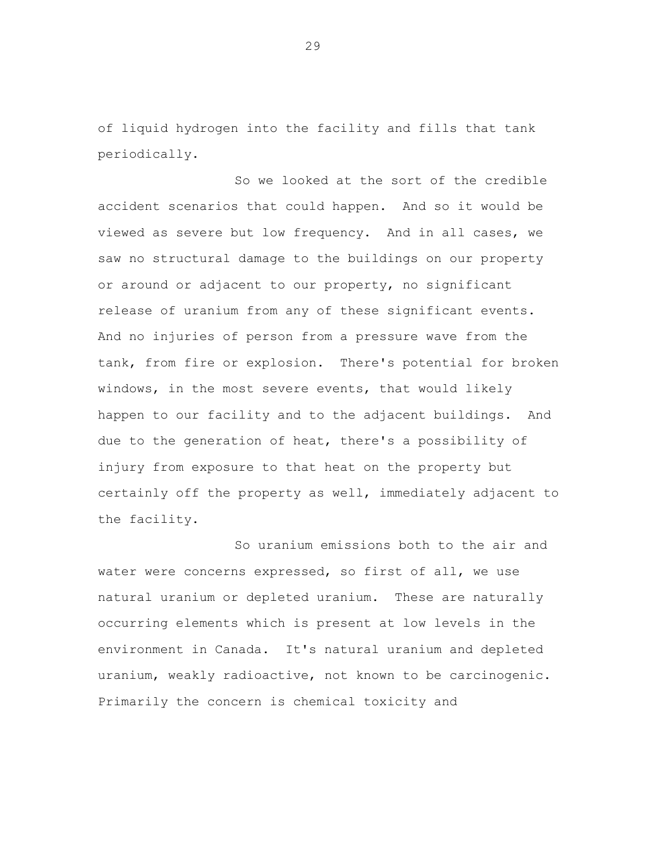of liquid hydrogen into the facility and fills that tank periodically.

So we looked at the sort of the credible accident scenarios that could happen. And so it would be viewed as severe but low frequency. And in all cases, we saw no structural damage to the buildings on our property or around or adjacent to our property, no significant release of uranium from any of these significant events. And no injuries of person from a pressure wave from the tank, from fire or explosion. There's potential for broken windows, in the most severe events, that would likely happen to our facility and to the adjacent buildings. And due to the generation of heat, there's a possibility of injury from exposure to that heat on the property but certainly off the property as well, immediately adjacent to the facility.

So uranium emissions both to the air and water were concerns expressed, so first of all, we use natural uranium or depleted uranium. These are naturally occurring elements which is present at low levels in the environment in Canada. It's natural uranium and depleted uranium, weakly radioactive, not known to be carcinogenic. Primarily the concern is chemical toxicity and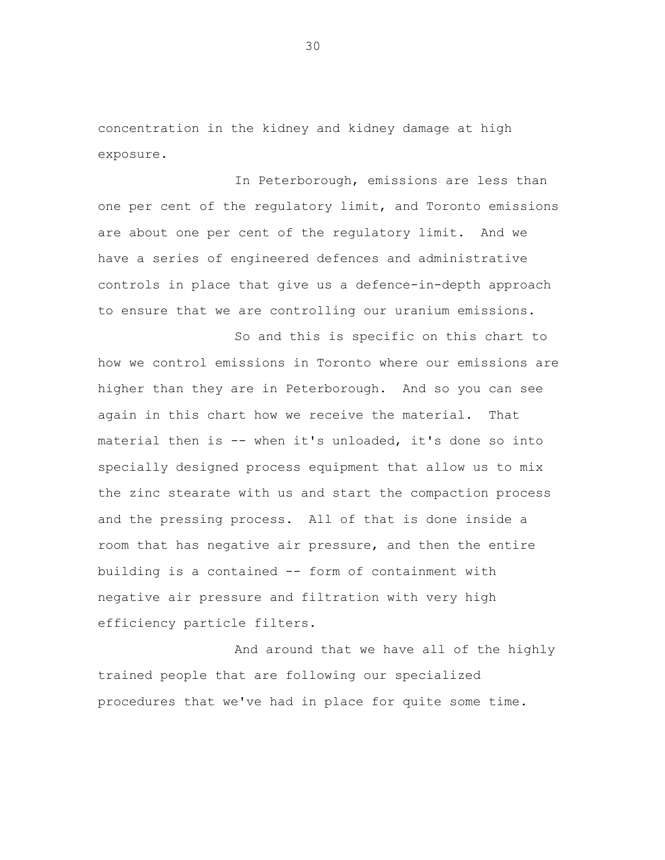concentration in the kidney and kidney damage at high exposure.

In Peterborough, emissions are less than one per cent of the regulatory limit, and Toronto emissions are about one per cent of the regulatory limit. And we have a series of engineered defences and administrative controls in place that give us a defence-in-depth approach to ensure that we are controlling our uranium emissions.

So and this is specific on this chart to how we control emissions in Toronto where our emissions are higher than they are in Peterborough. And so you can see again in this chart how we receive the material. That material then is -- when it's unloaded, it's done so into specially designed process equipment that allow us to mix the zinc stearate with us and start the compaction process and the pressing process. All of that is done inside a room that has negative air pressure, and then the entire building is a contained -- form of containment with negative air pressure and filtration with very high efficiency particle filters.

And around that we have all of the highly trained people that are following our specialized procedures that we've had in place for quite some time.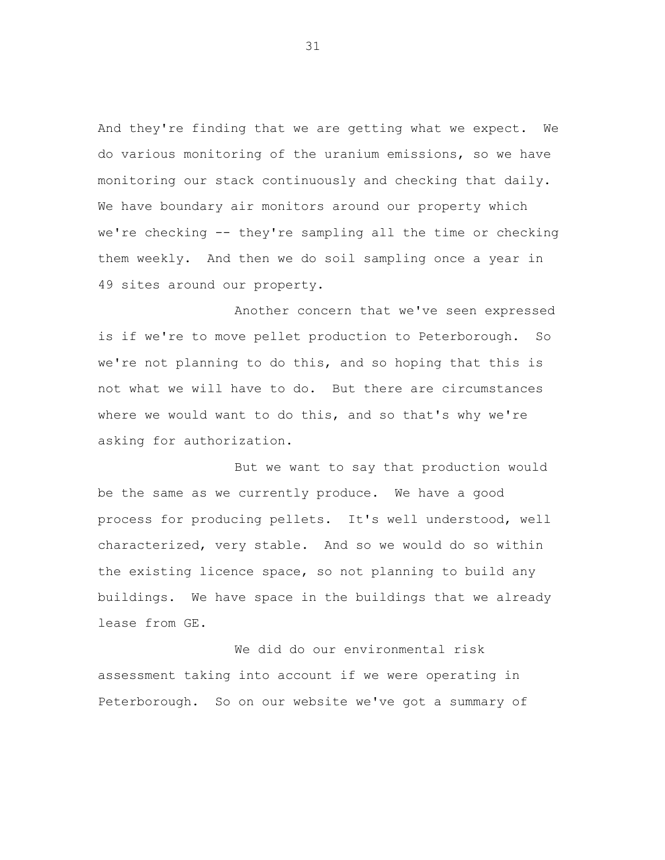And they're finding that we are getting what we expect. We do various monitoring of the uranium emissions, so we have monitoring our stack continuously and checking that daily. We have boundary air monitors around our property which we're checking -- they're sampling all the time or checking them weekly. And then we do soil sampling once a year in 49 sites around our property.

Another concern that we've seen expressed is if we're to move pellet production to Peterborough. So we're not planning to do this, and so hoping that this is not what we will have to do. But there are circumstances where we would want to do this, and so that's why we're asking for authorization.

But we want to say that production would be the same as we currently produce. We have a good process for producing pellets. It's well understood, well characterized, very stable. And so we would do so within the existing licence space, so not planning to build any buildings. We have space in the buildings that we already lease from GE.

We did do our environmental risk assessment taking into account if we were operating in Peterborough. So on our website we've got a summary of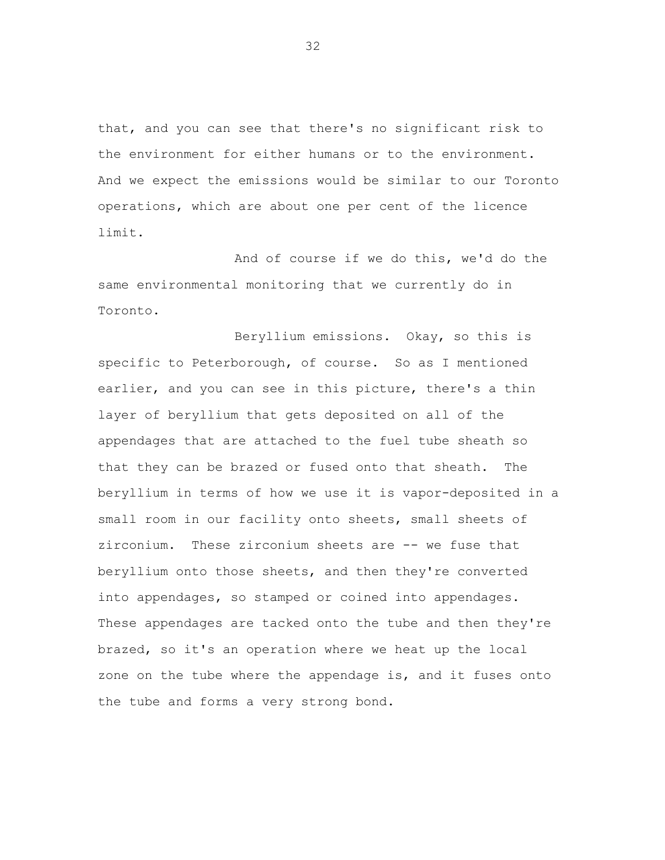that, and you can see that there's no significant risk to the environment for either humans or to the environment. And we expect the emissions would be similar to our Toronto operations, which are about one per cent of the licence limit.

And of course if we do this, we'd do the same environmental monitoring that we currently do in Toronto.

Beryllium emissions. Okay, so this is specific to Peterborough, of course. So as I mentioned earlier, and you can see in this picture, there's a thin layer of beryllium that gets deposited on all of the appendages that are attached to the fuel tube sheath so that they can be brazed or fused onto that sheath. The beryllium in terms of how we use it is vapor-deposited in a small room in our facility onto sheets, small sheets of zirconium. These zirconium sheets are -- we fuse that beryllium onto those sheets, and then they're converted into appendages, so stamped or coined into appendages. These appendages are tacked onto the tube and then they're brazed, so it's an operation where we heat up the local zone on the tube where the appendage is, and it fuses onto the tube and forms a very strong bond.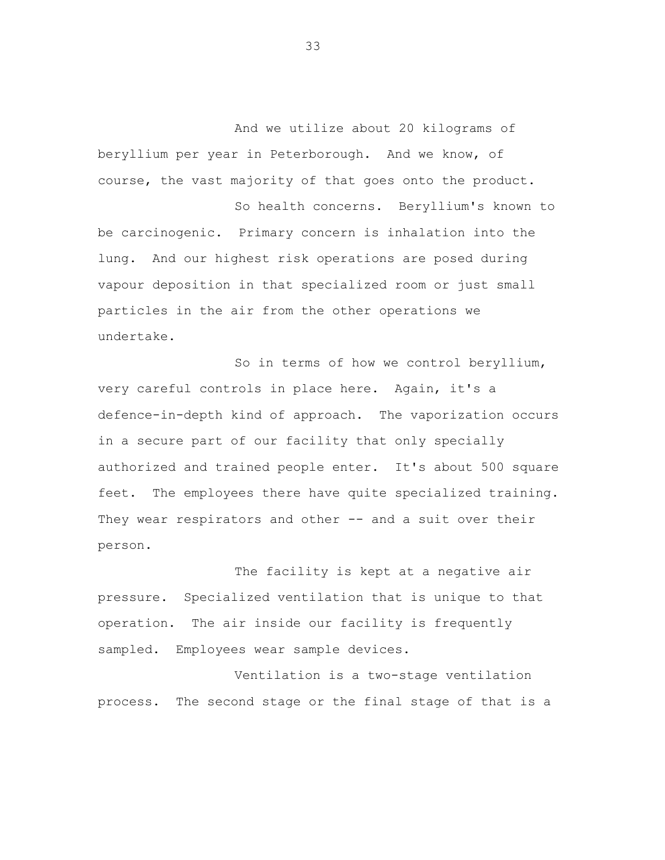And we utilize about 20 kilograms of beryllium per year in Peterborough. And we know, of course, the vast majority of that goes onto the product.

So health concerns. Beryllium's known to be carcinogenic. Primary concern is inhalation into the lung. And our highest risk operations are posed during vapour deposition in that specialized room or just small particles in the air from the other operations we undertake.

So in terms of how we control beryllium, very careful controls in place here. Again, it's a defence-in-depth kind of approach. The vaporization occurs in a secure part of our facility that only specially authorized and trained people enter. It's about 500 square feet. The employees there have quite specialized training. They wear respirators and other -- and a suit over their person.

The facility is kept at a negative air pressure. Specialized ventilation that is unique to that operation. The air inside our facility is frequently sampled. Employees wear sample devices.

Ventilation is a two-stage ventilation process. The second stage or the final stage of that is a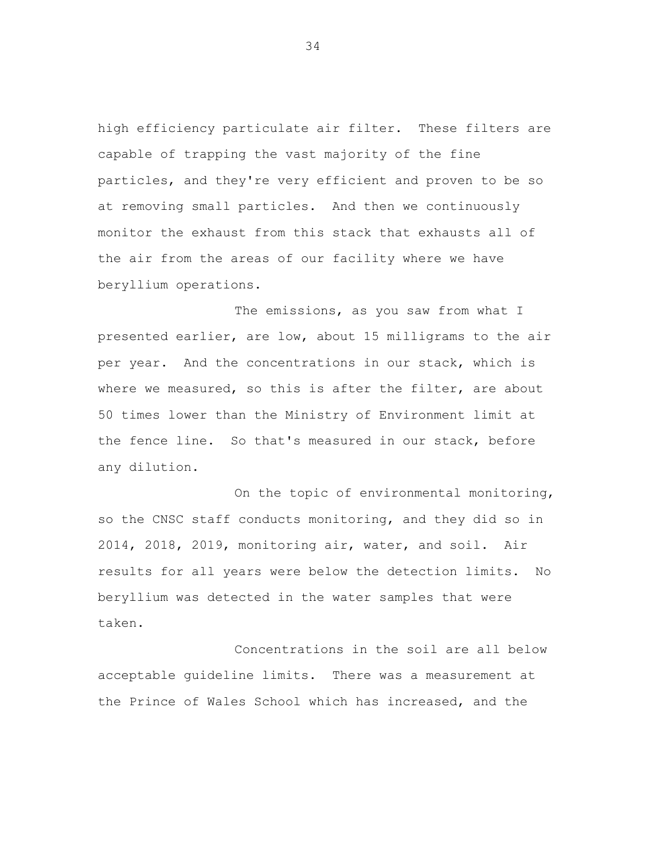high efficiency particulate air filter. These filters are capable of trapping the vast majority of the fine particles, and they're very efficient and proven to be so at removing small particles. And then we continuously monitor the exhaust from this stack that exhausts all of the air from the areas of our facility where we have beryllium operations.

The emissions, as you saw from what I presented earlier, are low, about 15 milligrams to the air per year. And the concentrations in our stack, which is where we measured, so this is after the filter, are about 50 times lower than the Ministry of Environment limit at the fence line. So that's measured in our stack, before any dilution.

On the topic of environmental monitoring, so the CNSC staff conducts monitoring, and they did so in 2014, 2018, 2019, monitoring air, water, and soil. Air results for all years were below the detection limits. No beryllium was detected in the water samples that were taken.

Concentrations in the soil are all below acceptable guideline limits. There was a measurement at the Prince of Wales School which has increased, and the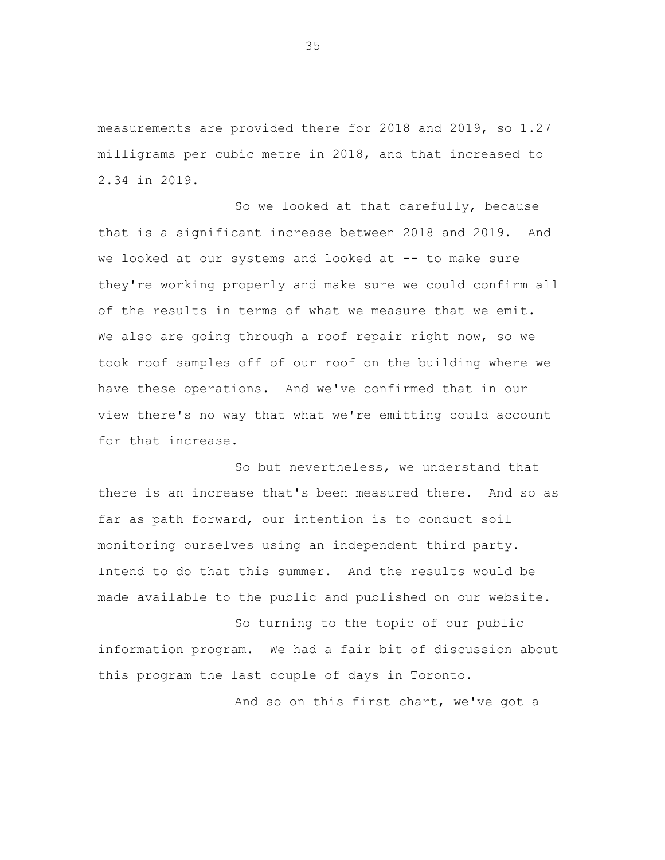measurements are provided there for 2018 and 2019, so 1.27 milligrams per cubic metre in 2018, and that increased to 2.34 in 2019.

So we looked at that carefully, because that is a significant increase between 2018 and 2019. And we looked at our systems and looked at -- to make sure they're working properly and make sure we could confirm all of the results in terms of what we measure that we emit. We also are going through a roof repair right now, so we took roof samples off of our roof on the building where we have these operations. And we've confirmed that in our view there's no way that what we're emitting could account for that increase.

So but nevertheless, we understand that there is an increase that's been measured there. And so as far as path forward, our intention is to conduct soil monitoring ourselves using an independent third party. Intend to do that this summer. And the results would be made available to the public and published on our website.

So turning to the topic of our public information program. We had a fair bit of discussion about this program the last couple of days in Toronto.

And so on this first chart, we've got a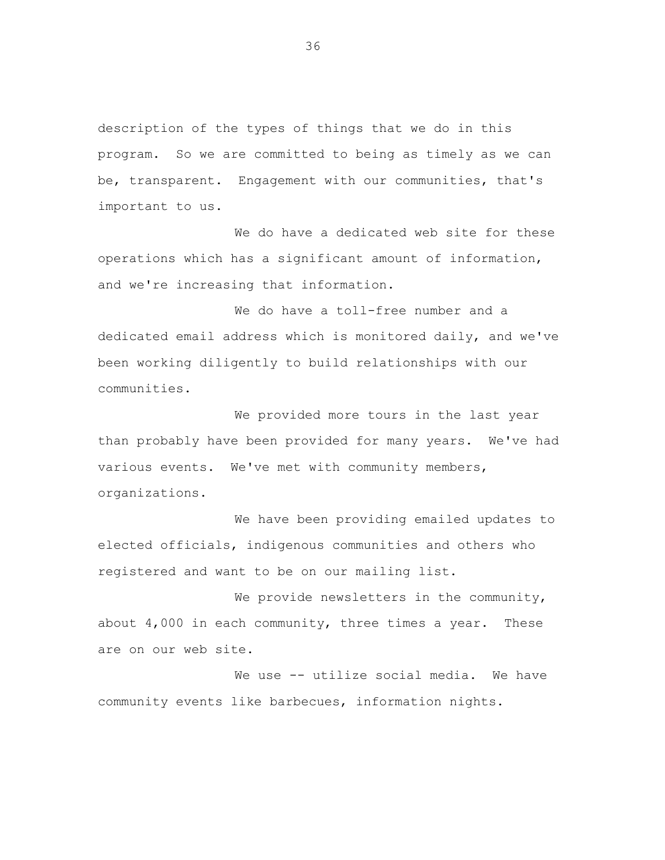description of the types of things that we do in this program. So we are committed to being as timely as we can be, transparent. Engagement with our communities, that's important to us.

We do have a dedicated web site for these operations which has a significant amount of information, and we're increasing that information.

We do have a toll-free number and a dedicated email address which is monitored daily, and we've been working diligently to build relationships with our communities.

We provided more tours in the last year than probably have been provided for many years. We've had various events. We've met with community members, organizations.

We have been providing emailed updates to elected officials, indigenous communities and others who registered and want to be on our mailing list.

We provide newsletters in the community, about 4,000 in each community, three times a year. These are on our web site.

We use -- utilize social media. We have community events like barbecues, information nights.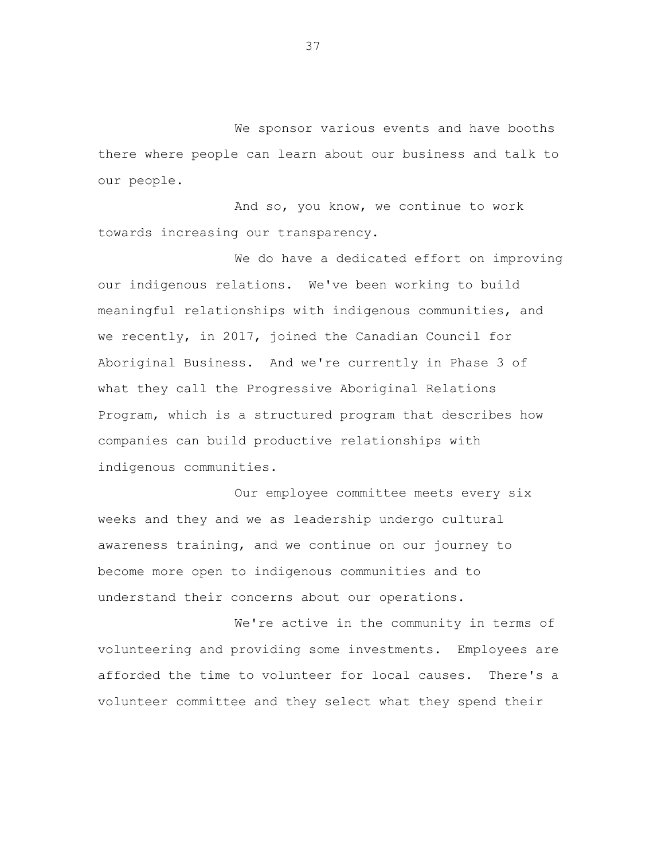We sponsor various events and have booths there where people can learn about our business and talk to our people.

And so, you know, we continue to work towards increasing our transparency.

We do have a dedicated effort on improving our indigenous relations. We've been working to build meaningful relationships with indigenous communities, and we recently, in 2017, joined the Canadian Council for Aboriginal Business. And we're currently in Phase 3 of what they call the Progressive Aboriginal Relations Program, which is a structured program that describes how companies can build productive relationships with indigenous communities.

Our employee committee meets every six weeks and they and we as leadership undergo cultural awareness training, and we continue on our journey to become more open to indigenous communities and to understand their concerns about our operations.

We're active in the community in terms of volunteering and providing some investments. Employees are afforded the time to volunteer for local causes. There's a volunteer committee and they select what they spend their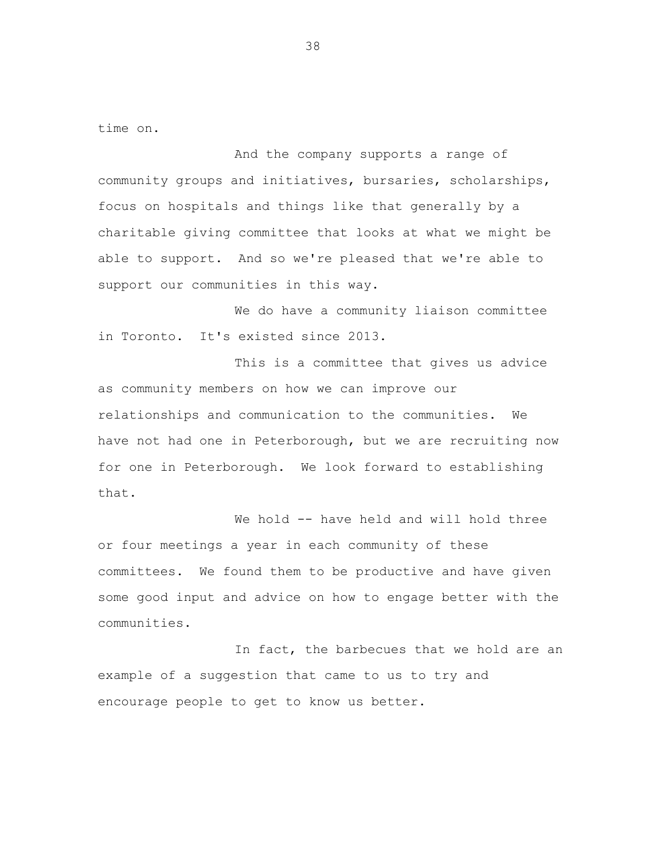time on.

And the company supports a range of community groups and initiatives, bursaries, scholarships, focus on hospitals and things like that generally by a charitable giving committee that looks at what we might be able to support. And so we're pleased that we're able to support our communities in this way.

We do have a community liaison committee in Toronto. It's existed since 2013.

This is a committee that gives us advice as community members on how we can improve our relationships and communication to the communities. We have not had one in Peterborough, but we are recruiting now for one in Peterborough. We look forward to establishing that.

We hold -- have held and will hold three or four meetings a year in each community of these committees. We found them to be productive and have given some good input and advice on how to engage better with the communities.

In fact, the barbecues that we hold are an example of a suggestion that came to us to try and encourage people to get to know us better.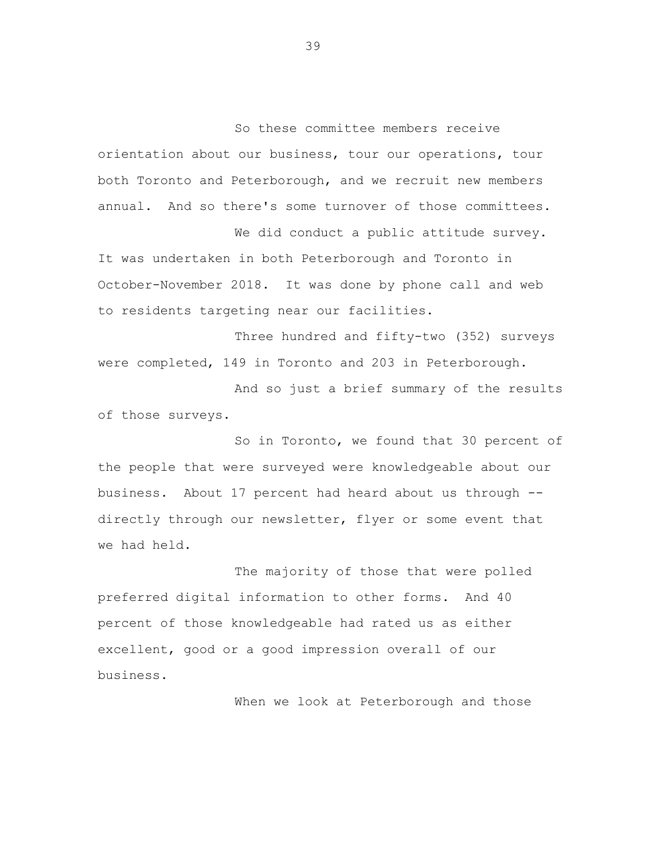So these committee members receive orientation about our business, tour our operations, tour both Toronto and Peterborough, and we recruit new members annual. And so there's some turnover of those committees. We did conduct a public attitude survey.

It was undertaken in both Peterborough and Toronto in October-November 2018. It was done by phone call and web to residents targeting near our facilities.

Three hundred and fifty-two (352) surveys were completed, 149 in Toronto and 203 in Peterborough.

And so just a brief summary of the results of those surveys.

So in Toronto, we found that 30 percent of the people that were surveyed were knowledgeable about our business. About 17 percent had heard about us through - directly through our newsletter, flyer or some event that we had held.

The majority of those that were polled preferred digital information to other forms. And 40 percent of those knowledgeable had rated us as either excellent, good or a good impression overall of our business.

When we look at Peterborough and those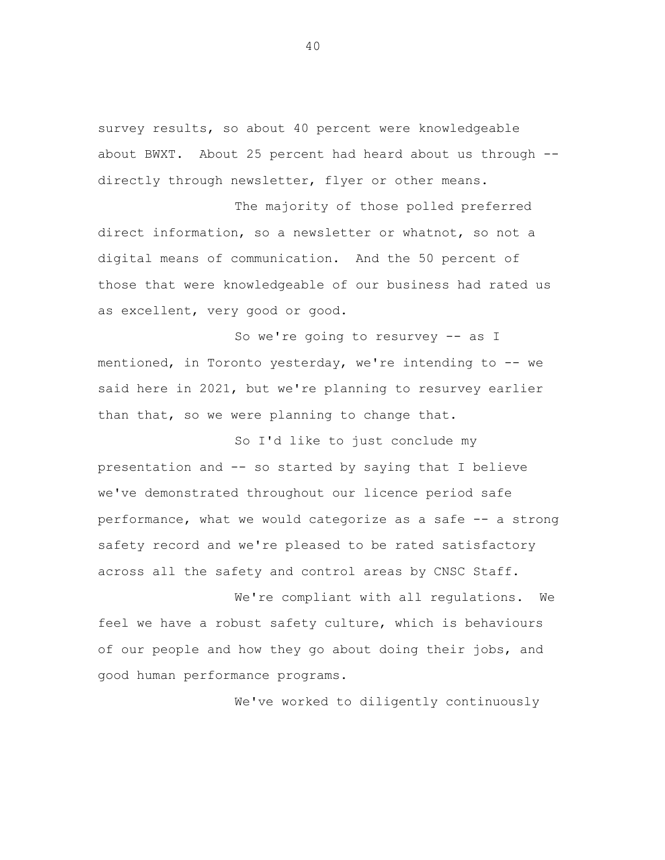survey results, so about 40 percent were knowledgeable about BWXT. About 25 percent had heard about us through - directly through newsletter, flyer or other means.

The majority of those polled preferred direct information, so a newsletter or whatnot, so not a digital means of communication. And the 50 percent of those that were knowledgeable of our business had rated us as excellent, very good or good.

So we're going to resurvey -- as I mentioned, in Toronto yesterday, we're intending to -- we said here in 2021, but we're planning to resurvey earlier than that, so we were planning to change that.

So I'd like to just conclude my presentation and -- so started by saying that I believe we've demonstrated throughout our licence period safe performance, what we would categorize as a safe -- a strong safety record and we're pleased to be rated satisfactory across all the safety and control areas by CNSC Staff.

We're compliant with all regulations. We feel we have a robust safety culture, which is behaviours of our people and how they go about doing their jobs, and good human performance programs.

We've worked to diligently continuously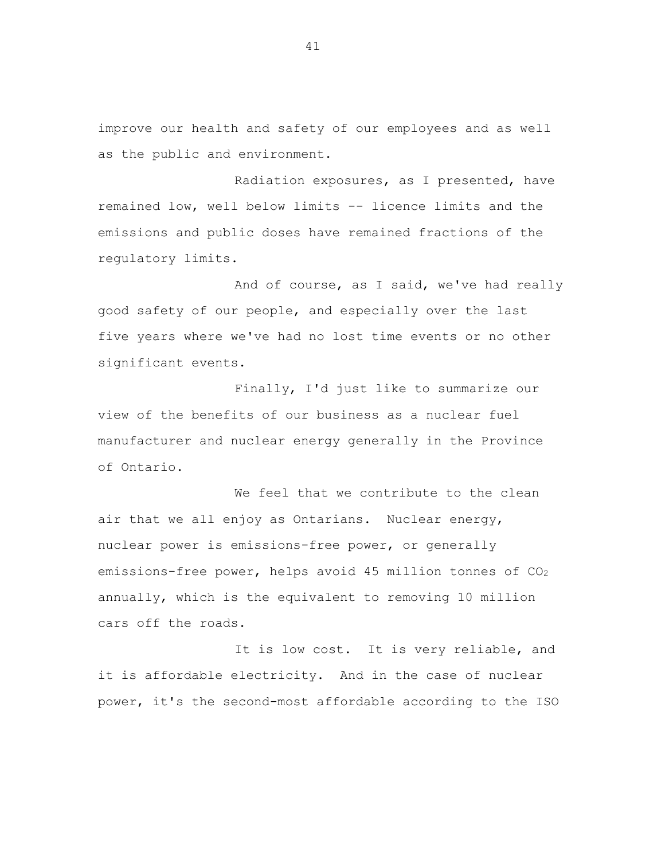improve our health and safety of our employees and as well as the public and environment.

Radiation exposures, as I presented, have remained low, well below limits -- licence limits and the emissions and public doses have remained fractions of the regulatory limits.

And of course, as I said, we've had really good safety of our people, and especially over the last five years where we've had no lost time events or no other significant events.

Finally, I'd just like to summarize our view of the benefits of our business as a nuclear fuel manufacturer and nuclear energy generally in the Province of Ontario.

We feel that we contribute to the clean air that we all enjoy as Ontarians. Nuclear energy, nuclear power is emissions-free power, or generally emissions-free power, helps avoid 45 million tonnes of  $CO<sub>2</sub>$ annually, which is the equivalent to removing 10 million cars off the roads.

It is low cost. It is very reliable, and it is affordable electricity. And in the case of nuclear power, it's the second-most affordable according to the ISO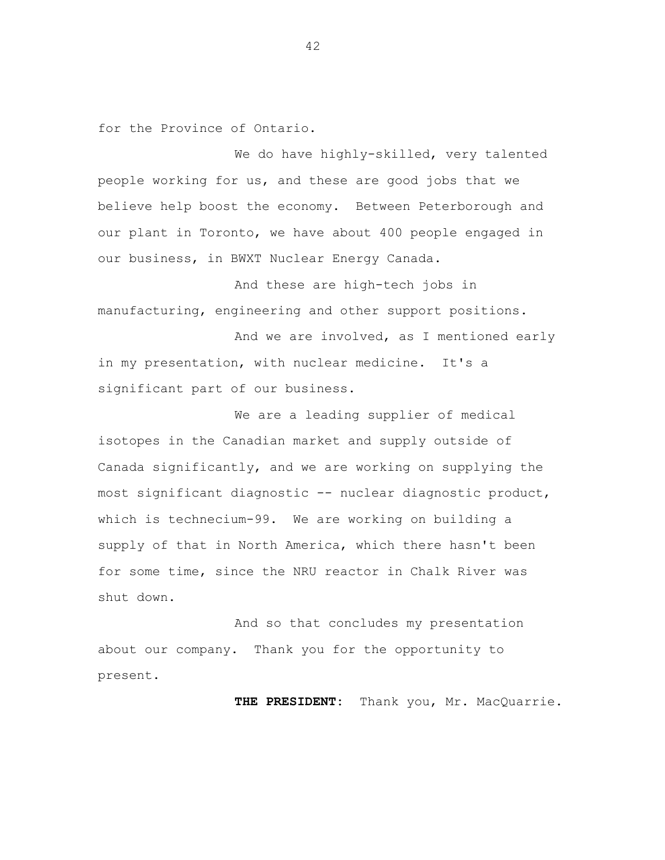for the Province of Ontario.

We do have highly-skilled, very talented people working for us, and these are good jobs that we believe help boost the economy. Between Peterborough and our plant in Toronto, we have about 400 people engaged in our business, in BWXT Nuclear Energy Canada.

And these are high-tech jobs in manufacturing, engineering and other support positions.

And we are involved, as I mentioned early in my presentation, with nuclear medicine. It's a significant part of our business.

We are a leading supplier of medical isotopes in the Canadian market and supply outside of Canada significantly, and we are working on supplying the most significant diagnostic -- nuclear diagnostic product, which is technecium-99. We are working on building a supply of that in North America, which there hasn't been for some time, since the NRU reactor in Chalk River was shut down.

And so that concludes my presentation about our company. Thank you for the opportunity to present.

**THE PRESIDENT:** Thank you, Mr. MacQuarrie.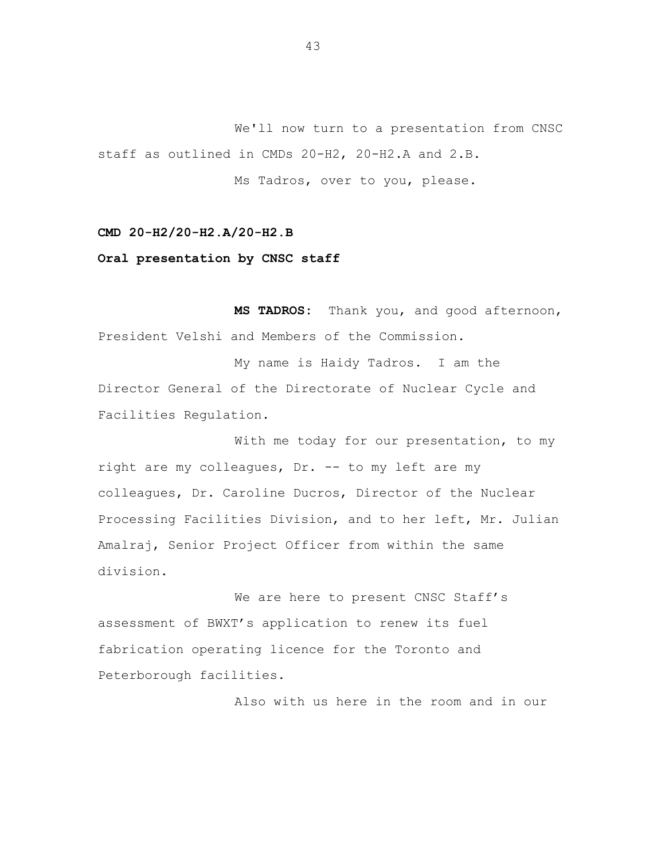We'll now turn to a presentation from CNSC staff as outlined in CMDs 20-H2, 20-H2.A and 2.B. Ms Tadros, over to you, please.

**CMD 20-H2/20-H2.A/20-H2.B**

**Oral presentation by CNSC staff**

**MS TADROS:** Thank you, and good afternoon, President Velshi and Members of the Commission.

My name is Haidy Tadros. I am the Director General of the Directorate of Nuclear Cycle and Facilities Regulation.

With me today for our presentation, to my right are my colleagues, Dr. -- to my left are my colleagues, Dr. Caroline Ducros, Director of the Nuclear Processing Facilities Division, and to her left, Mr. Julian Amalraj, Senior Project Officer from within the same division.

We are here to present CNSC Staff's assessment of BWXT's application to renew its fuel fabrication operating licence for the Toronto and Peterborough facilities.

Also with us here in the room and in our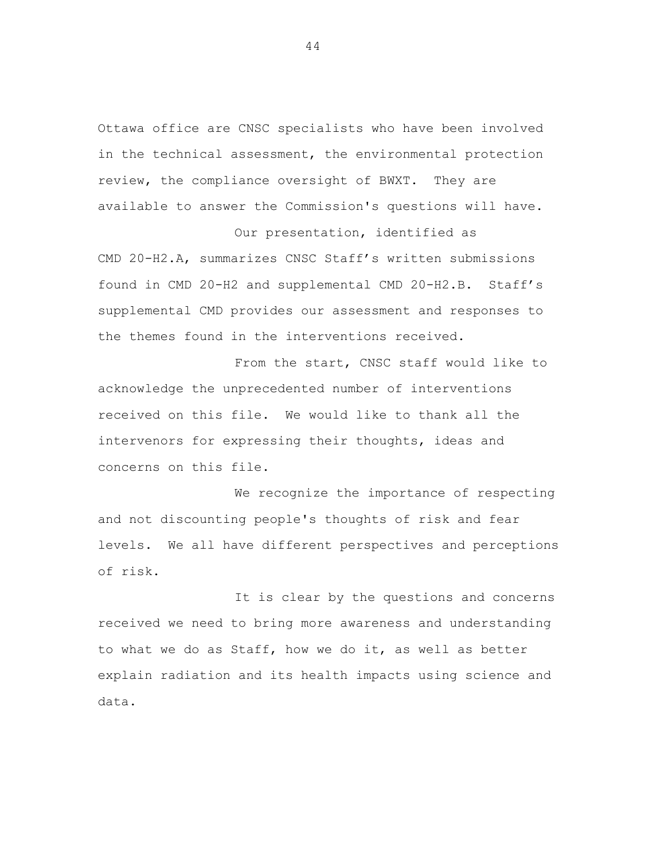Ottawa office are CNSC specialists who have been involved in the technical assessment, the environmental protection review, the compliance oversight of BWXT. They are available to answer the Commission's questions will have.

Our presentation, identified as CMD 20-H2.A, summarizes CNSC Staff's written submissions found in CMD 20-H2 and supplemental CMD 20-H2.B. Staff's supplemental CMD provides our assessment and responses to the themes found in the interventions received.

From the start, CNSC staff would like to acknowledge the unprecedented number of interventions received on this file. We would like to thank all the intervenors for expressing their thoughts, ideas and concerns on this file.

We recognize the importance of respecting and not discounting people's thoughts of risk and fear levels. We all have different perspectives and perceptions of risk.

It is clear by the questions and concerns received we need to bring more awareness and understanding to what we do as Staff, how we do it, as well as better explain radiation and its health impacts using science and data.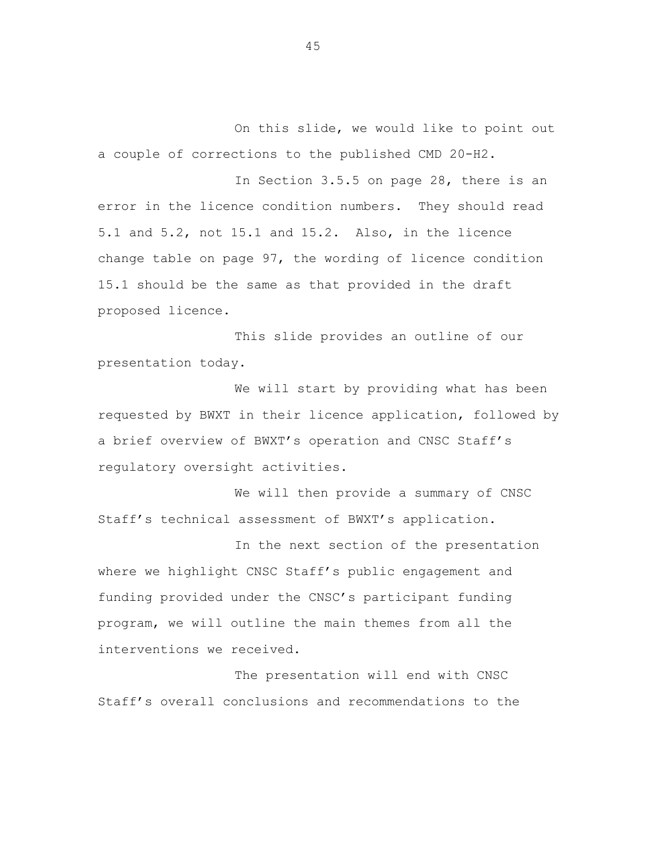On this slide, we would like to point out a couple of corrections to the published CMD 20-H2.

In Section 3.5.5 on page 28, there is an error in the licence condition numbers. They should read 5.1 and 5.2, not 15.1 and 15.2. Also, in the licence change table on page 97, the wording of licence condition 15.1 should be the same as that provided in the draft proposed licence.

This slide provides an outline of our presentation today.

We will start by providing what has been requested by BWXT in their licence application, followed by a brief overview of BWXT's operation and CNSC Staff's regulatory oversight activities.

We will then provide a summary of CNSC Staff's technical assessment of BWXT's application.

In the next section of the presentation where we highlight CNSC Staff's public engagement and funding provided under the CNSC's participant funding program, we will outline the main themes from all the interventions we received.

The presentation will end with CNSC Staff's overall conclusions and recommendations to the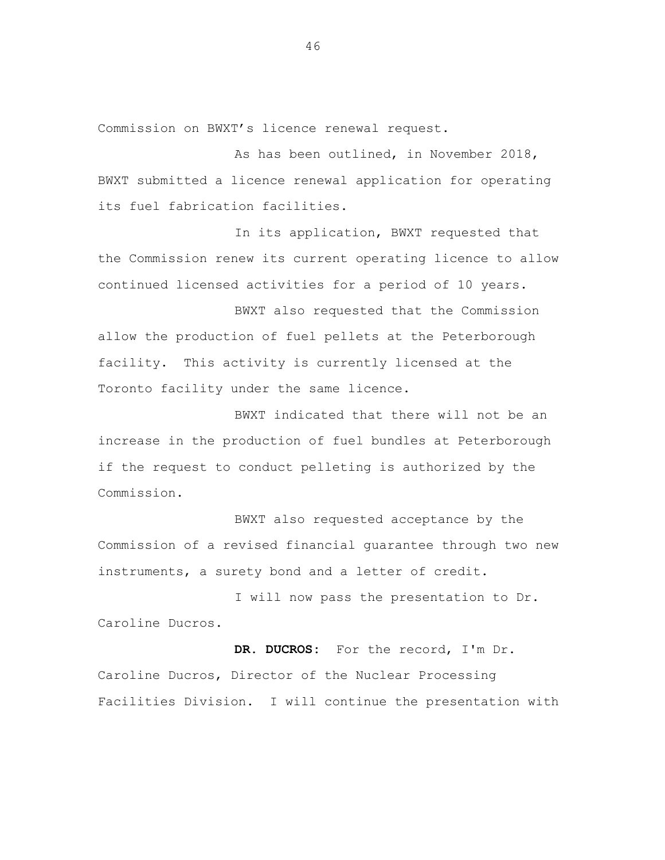Commission on BWXT's licence renewal request.

As has been outlined, in November 2018, BWXT submitted a licence renewal application for operating its fuel fabrication facilities.

In its application, BWXT requested that the Commission renew its current operating licence to allow continued licensed activities for a period of 10 years.

BWXT also requested that the Commission allow the production of fuel pellets at the Peterborough facility. This activity is currently licensed at the Toronto facility under the same licence.

BWXT indicated that there will not be an increase in the production of fuel bundles at Peterborough if the request to conduct pelleting is authorized by the Commission.

BWXT also requested acceptance by the Commission of a revised financial guarantee through two new instruments, a surety bond and a letter of credit.

I will now pass the presentation to Dr. Caroline Ducros.

**DR. DUCROS:** For the record, I'm Dr. Caroline Ducros, Director of the Nuclear Processing Facilities Division. I will continue the presentation with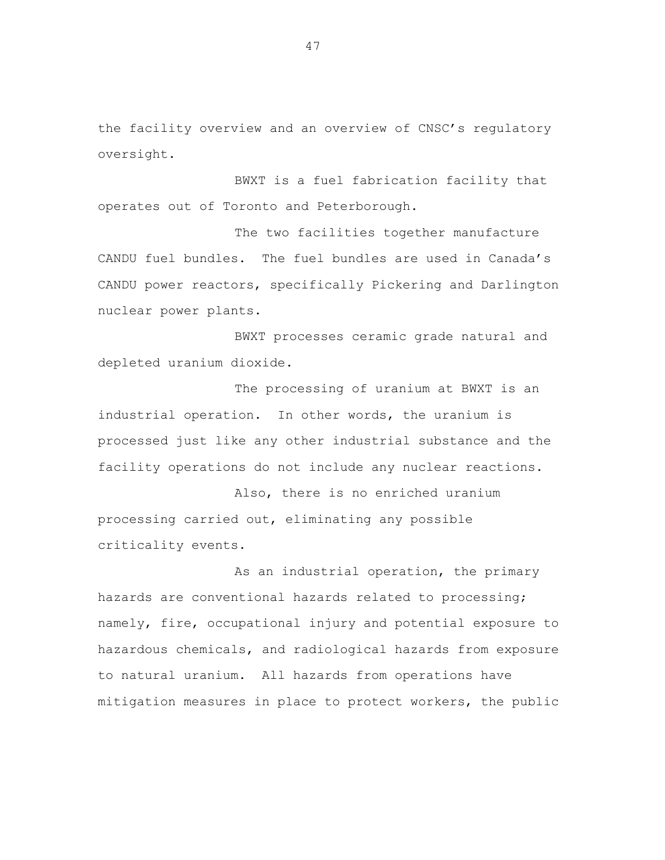the facility overview and an overview of CNSC's regulatory oversight.

BWXT is a fuel fabrication facility that operates out of Toronto and Peterborough.

The two facilities together manufacture CANDU fuel bundles. The fuel bundles are used in Canada's CANDU power reactors, specifically Pickering and Darlington nuclear power plants.

BWXT processes ceramic grade natural and depleted uranium dioxide.

The processing of uranium at BWXT is an industrial operation. In other words, the uranium is processed just like any other industrial substance and the facility operations do not include any nuclear reactions.

Also, there is no enriched uranium processing carried out, eliminating any possible criticality events.

As an industrial operation, the primary hazards are conventional hazards related to processing; namely, fire, occupational injury and potential exposure to hazardous chemicals, and radiological hazards from exposure to natural uranium. All hazards from operations have mitigation measures in place to protect workers, the public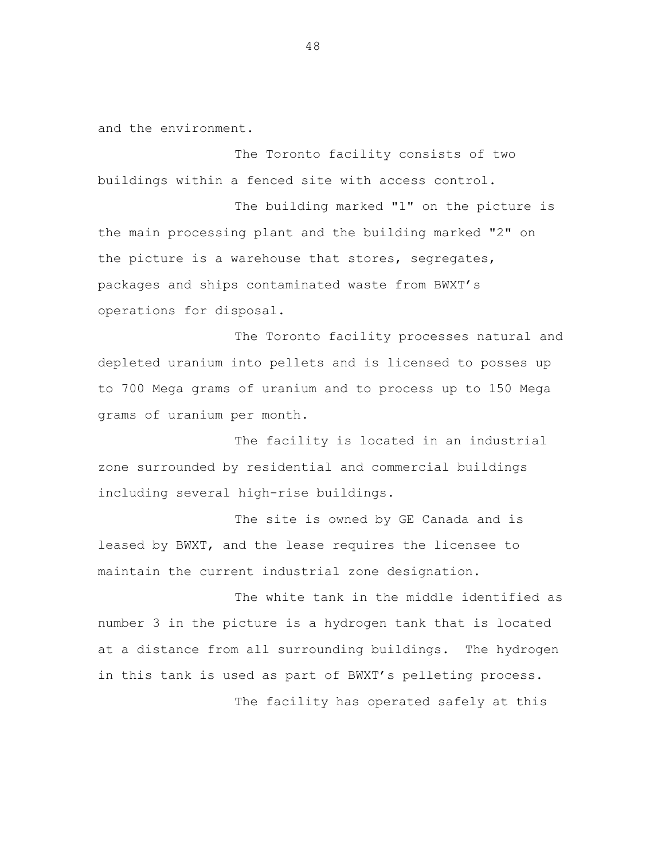and the environment.

The Toronto facility consists of two buildings within a fenced site with access control.

The building marked "1" on the picture is the main processing plant and the building marked "2" on the picture is a warehouse that stores, segregates, packages and ships contaminated waste from BWXT's operations for disposal.

The Toronto facility processes natural and depleted uranium into pellets and is licensed to posses up to 700 Mega grams of uranium and to process up to 150 Mega grams of uranium per month.

The facility is located in an industrial zone surrounded by residential and commercial buildings including several high-rise buildings.

The site is owned by GE Canada and is leased by BWXT, and the lease requires the licensee to maintain the current industrial zone designation.

The white tank in the middle identified as number 3 in the picture is a hydrogen tank that is located at a distance from all surrounding buildings. The hydrogen in this tank is used as part of BWXT's pelleting process. The facility has operated safely at this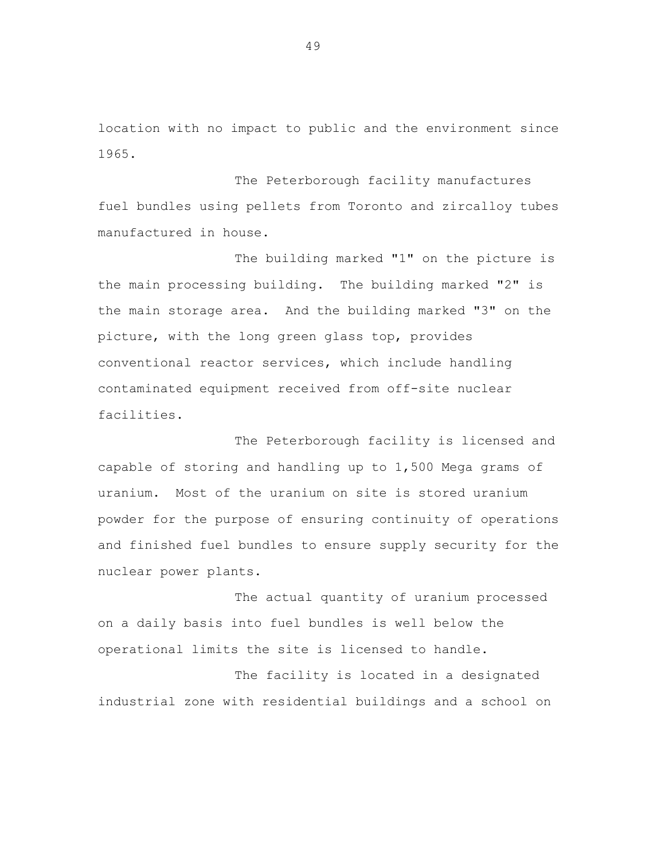location with no impact to public and the environment since 1965.

The Peterborough facility manufactures fuel bundles using pellets from Toronto and zircalloy tubes manufactured in house.

The building marked "1" on the picture is the main processing building. The building marked "2" is the main storage area. And the building marked "3" on the picture, with the long green glass top, provides conventional reactor services, which include handling contaminated equipment received from off-site nuclear facilities.

The Peterborough facility is licensed and capable of storing and handling up to 1,500 Mega grams of uranium. Most of the uranium on site is stored uranium powder for the purpose of ensuring continuity of operations and finished fuel bundles to ensure supply security for the nuclear power plants.

The actual quantity of uranium processed on a daily basis into fuel bundles is well below the operational limits the site is licensed to handle.

The facility is located in a designated industrial zone with residential buildings and a school on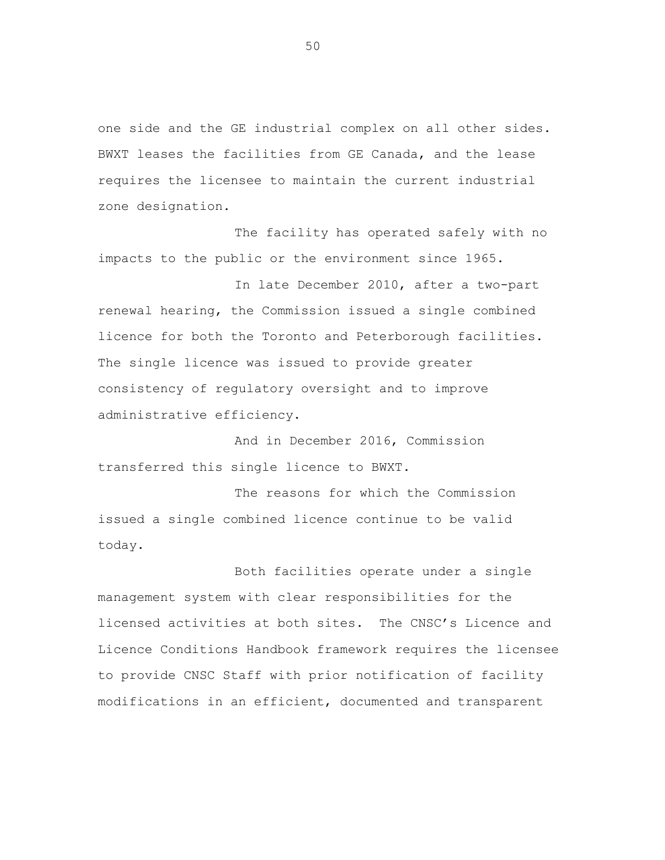one side and the GE industrial complex on all other sides. BWXT leases the facilities from GE Canada, and the lease requires the licensee to maintain the current industrial zone designation.

The facility has operated safely with no impacts to the public or the environment since 1965.

In late December 2010, after a two-part renewal hearing, the Commission issued a single combined licence for both the Toronto and Peterborough facilities. The single licence was issued to provide greater consistency of regulatory oversight and to improve administrative efficiency.

And in December 2016, Commission transferred this single licence to BWXT.

The reasons for which the Commission issued a single combined licence continue to be valid today.

Both facilities operate under a single management system with clear responsibilities for the licensed activities at both sites. The CNSC's Licence and Licence Conditions Handbook framework requires the licensee to provide CNSC Staff with prior notification of facility modifications in an efficient, documented and transparent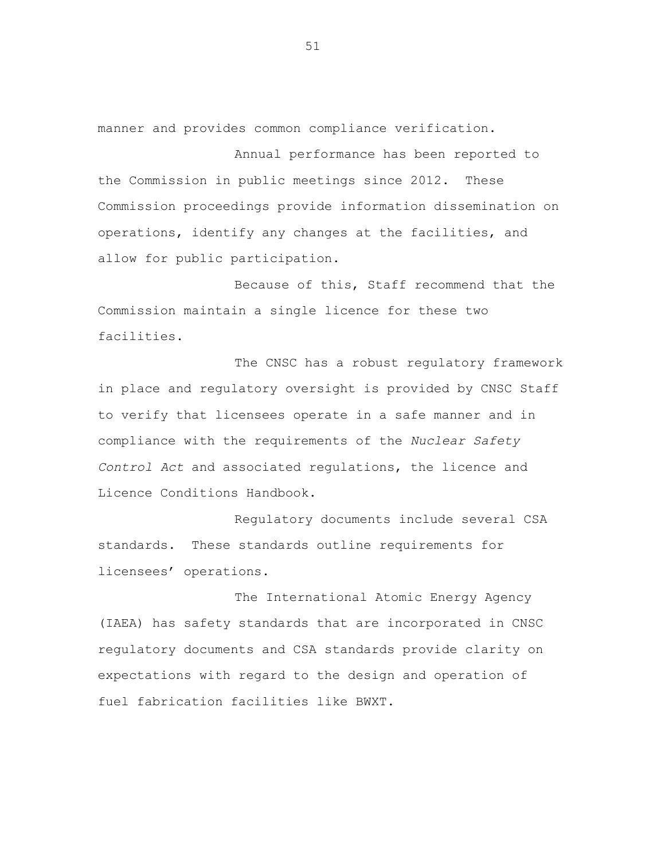manner and provides common compliance verification.

Annual performance has been reported to the Commission in public meetings since 2012. These Commission proceedings provide information dissemination on operations, identify any changes at the facilities, and allow for public participation.

Because of this, Staff recommend that the Commission maintain a single licence for these two facilities.

The CNSC has a robust regulatory framework in place and regulatory oversight is provided by CNSC Staff to verify that licensees operate in a safe manner and in compliance with the requirements of the *Nuclear Safety Control Act* and associated regulations, the licence and Licence Conditions Handbook.

Regulatory documents include several CSA standards. These standards outline requirements for licensees' operations.

The International Atomic Energy Agency (IAEA) has safety standards that are incorporated in CNSC regulatory documents and CSA standards provide clarity on expectations with regard to the design and operation of fuel fabrication facilities like BWXT.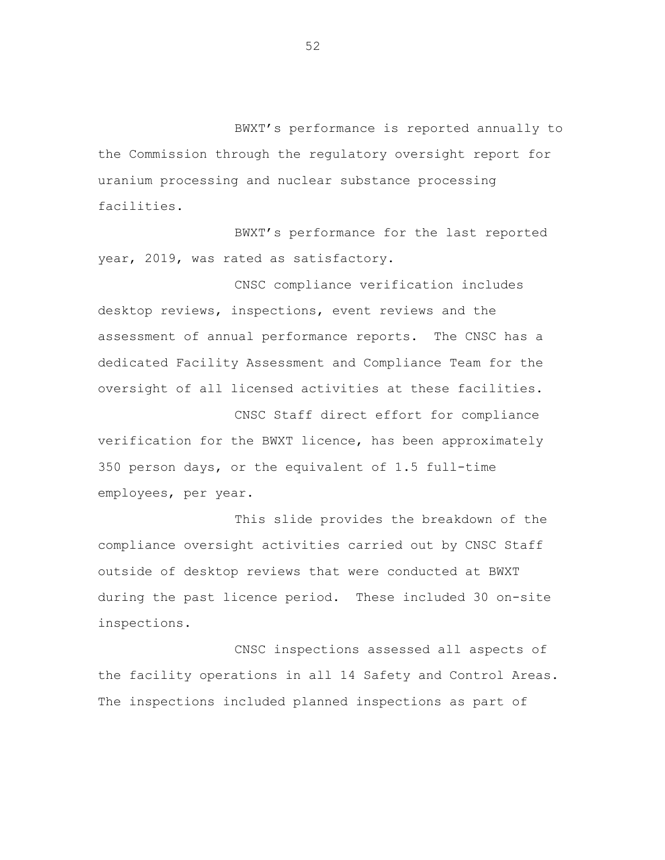BWXT's performance is reported annually to the Commission through the regulatory oversight report for uranium processing and nuclear substance processing facilities.

BWXT's performance for the last reported year, 2019, was rated as satisfactory.

CNSC compliance verification includes desktop reviews, inspections, event reviews and the assessment of annual performance reports. The CNSC has a dedicated Facility Assessment and Compliance Team for the oversight of all licensed activities at these facilities.

CNSC Staff direct effort for compliance verification for the BWXT licence, has been approximately 350 person days, or the equivalent of 1.5 full-time employees, per year.

This slide provides the breakdown of the compliance oversight activities carried out by CNSC Staff outside of desktop reviews that were conducted at BWXT during the past licence period. These included 30 on-site inspections.

CNSC inspections assessed all aspects of the facility operations in all 14 Safety and Control Areas. The inspections included planned inspections as part of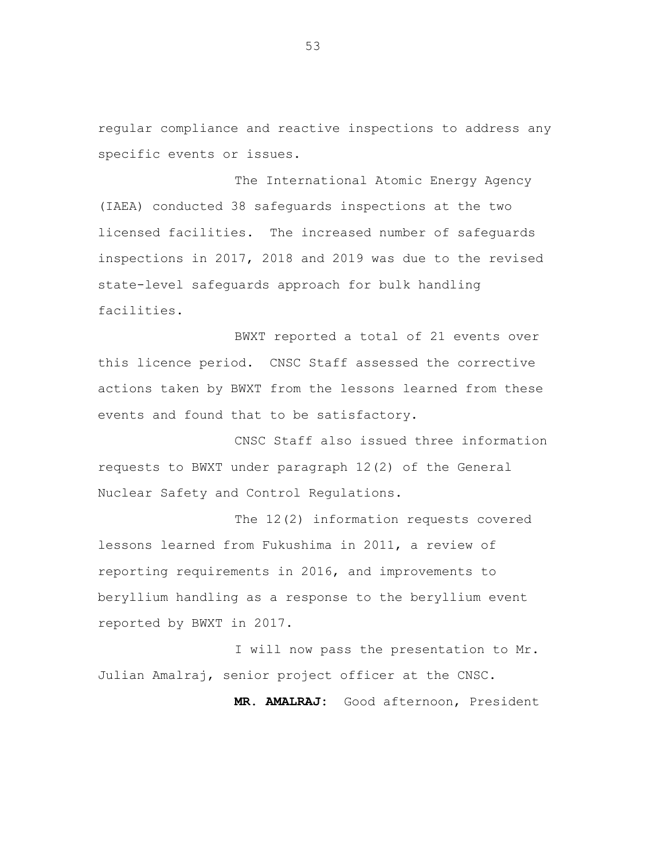regular compliance and reactive inspections to address any specific events or issues.

The International Atomic Energy Agency (IAEA) conducted 38 safeguards inspections at the two licensed facilities. The increased number of safeguards inspections in 2017, 2018 and 2019 was due to the revised state-level safeguards approach for bulk handling facilities.

BWXT reported a total of 21 events over this licence period. CNSC Staff assessed the corrective actions taken by BWXT from the lessons learned from these events and found that to be satisfactory.

CNSC Staff also issued three information requests to BWXT under paragraph 12(2) of the General Nuclear Safety and Control Regulations.

The 12(2) information requests covered lessons learned from Fukushima in 2011, a review of reporting requirements in 2016, and improvements to beryllium handling as a response to the beryllium event reported by BWXT in 2017.

I will now pass the presentation to Mr. Julian Amalraj, senior project officer at the CNSC.

**MR. AMALRAJ:** Good afternoon, President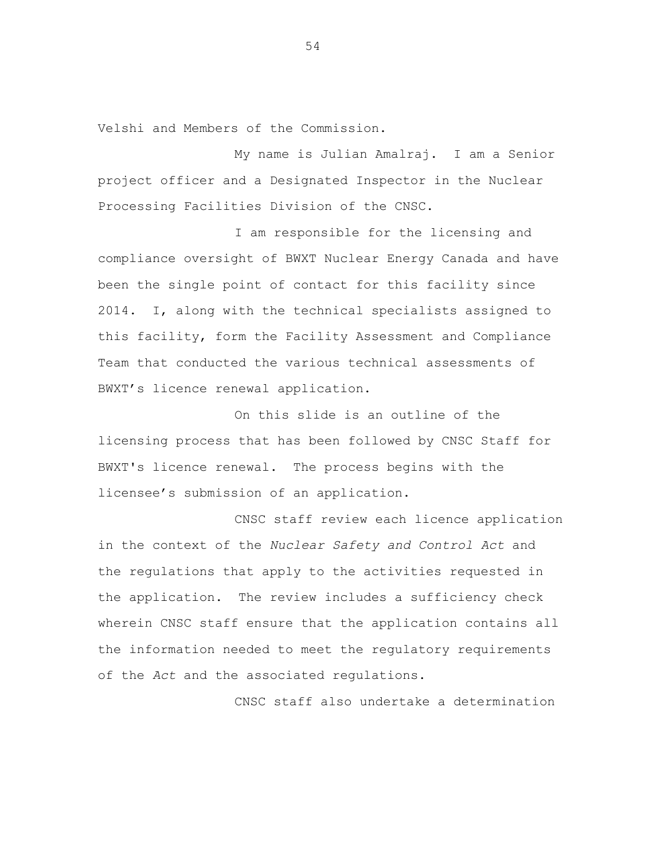Velshi and Members of the Commission.

My name is Julian Amalraj. I am a Senior project officer and a Designated Inspector in the Nuclear Processing Facilities Division of the CNSC.

I am responsible for the licensing and compliance oversight of BWXT Nuclear Energy Canada and have been the single point of contact for this facility since 2014. I, along with the technical specialists assigned to this facility, form the Facility Assessment and Compliance Team that conducted the various technical assessments of BWXT's licence renewal application.

On this slide is an outline of the licensing process that has been followed by CNSC Staff for BWXT's licence renewal. The process begins with the licensee's submission of an application.

CNSC staff review each licence application in the context of the *Nuclear Safety and Control Act* and the regulations that apply to the activities requested in the application. The review includes a sufficiency check wherein CNSC staff ensure that the application contains all the information needed to meet the regulatory requirements of the *Act* and the associated regulations.

CNSC staff also undertake a determination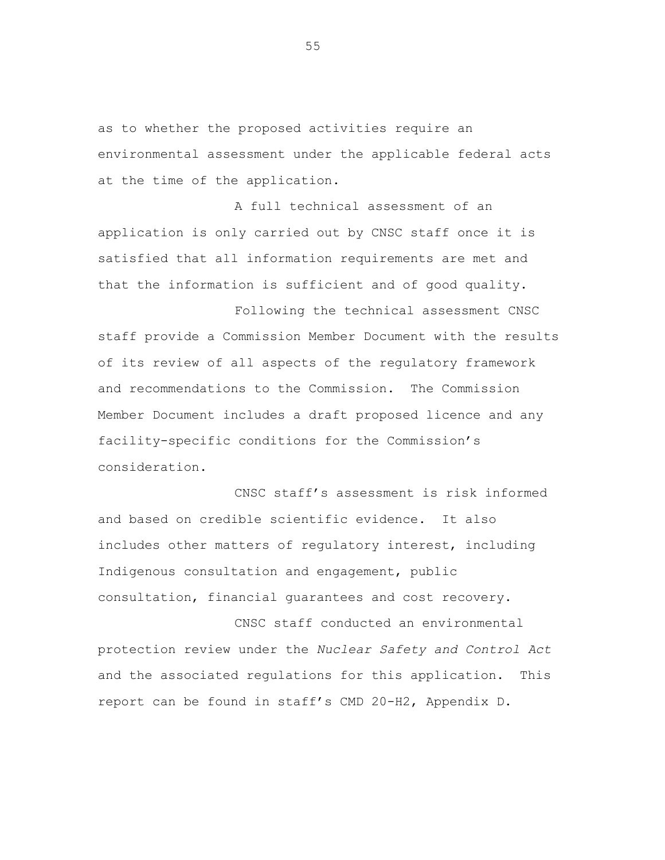as to whether the proposed activities require an environmental assessment under the applicable federal acts at the time of the application.

A full technical assessment of an application is only carried out by CNSC staff once it is satisfied that all information requirements are met and that the information is sufficient and of good quality.

Following the technical assessment CNSC staff provide a Commission Member Document with the results of its review of all aspects of the regulatory framework and recommendations to the Commission. The Commission Member Document includes a draft proposed licence and any facility-specific conditions for the Commission's consideration.

CNSC staff's assessment is risk informed and based on credible scientific evidence. It also includes other matters of regulatory interest, including Indigenous consultation and engagement, public consultation, financial guarantees and cost recovery.

CNSC staff conducted an environmental protection review under the *Nuclear Safety and Control Act* and the associated regulations for this application. This report can be found in staff's CMD 20-H2, Appendix D.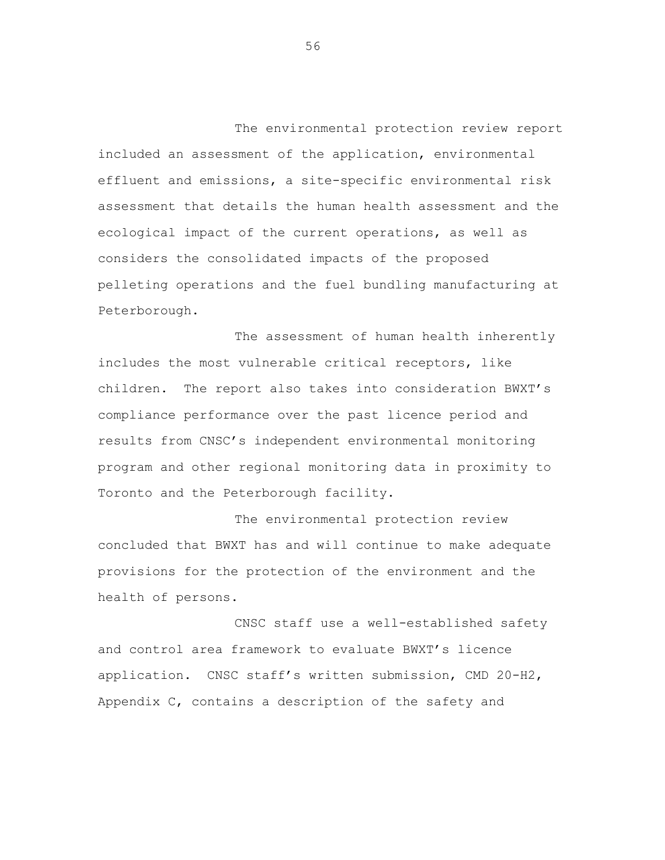The environmental protection review report included an assessment of the application, environmental effluent and emissions, a site-specific environmental risk assessment that details the human health assessment and the ecological impact of the current operations, as well as considers the consolidated impacts of the proposed pelleting operations and the fuel bundling manufacturing at Peterborough.

The assessment of human health inherently includes the most vulnerable critical receptors, like children. The report also takes into consideration BWXT's compliance performance over the past licence period and results from CNSC's independent environmental monitoring program and other regional monitoring data in proximity to Toronto and the Peterborough facility.

The environmental protection review concluded that BWXT has and will continue to make adequate provisions for the protection of the environment and the health of persons.

CNSC staff use a well-established safety and control area framework to evaluate BWXT's licence application. CNSC staff's written submission, CMD 20-H2, Appendix C, contains a description of the safety and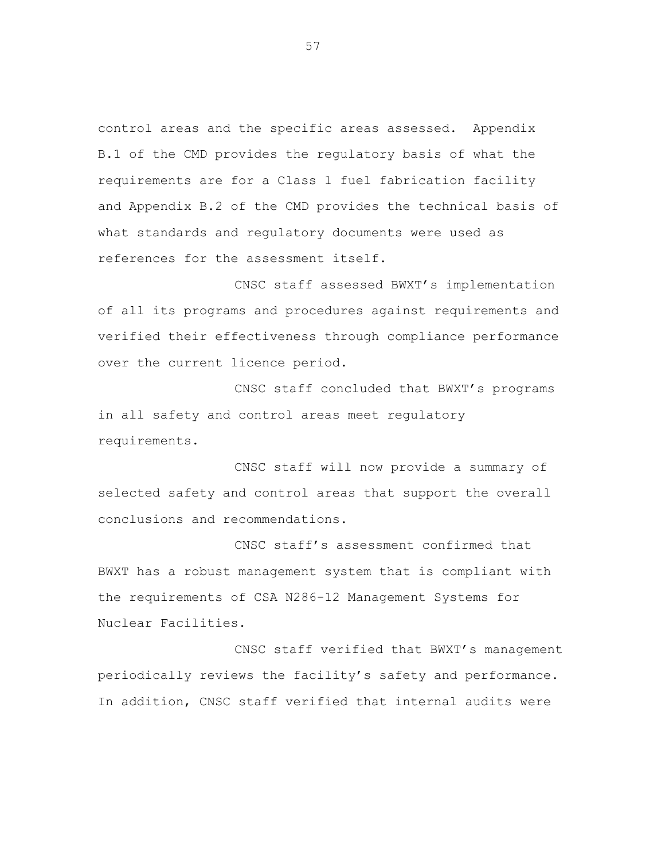control areas and the specific areas assessed. Appendix B.1 of the CMD provides the regulatory basis of what the requirements are for a Class 1 fuel fabrication facility and Appendix B.2 of the CMD provides the technical basis of what standards and regulatory documents were used as references for the assessment itself.

CNSC staff assessed BWXT's implementation of all its programs and procedures against requirements and verified their effectiveness through compliance performance over the current licence period.

CNSC staff concluded that BWXT's programs in all safety and control areas meet regulatory requirements.

CNSC staff will now provide a summary of selected safety and control areas that support the overall conclusions and recommendations.

CNSC staff's assessment confirmed that BWXT has a robust management system that is compliant with the requirements of CSA N286-12 Management Systems for Nuclear Facilities.

CNSC staff verified that BWXT's management periodically reviews the facility's safety and performance. In addition, CNSC staff verified that internal audits were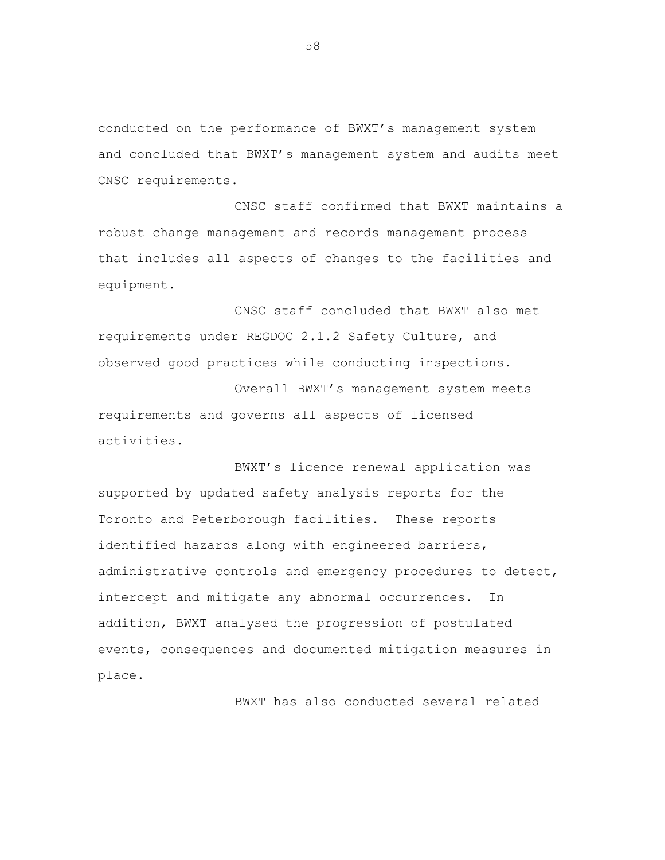conducted on the performance of BWXT's management system and concluded that BWXT's management system and audits meet CNSC requirements.

CNSC staff confirmed that BWXT maintains a robust change management and records management process that includes all aspects of changes to the facilities and equipment.

CNSC staff concluded that BWXT also met requirements under REGDOC 2.1.2 Safety Culture, and observed good practices while conducting inspections.

Overall BWXT's management system meets requirements and governs all aspects of licensed activities.

BWXT's licence renewal application was supported by updated safety analysis reports for the Toronto and Peterborough facilities. These reports identified hazards along with engineered barriers, administrative controls and emergency procedures to detect, intercept and mitigate any abnormal occurrences. In addition, BWXT analysed the progression of postulated events, consequences and documented mitigation measures in place.

BWXT has also conducted several related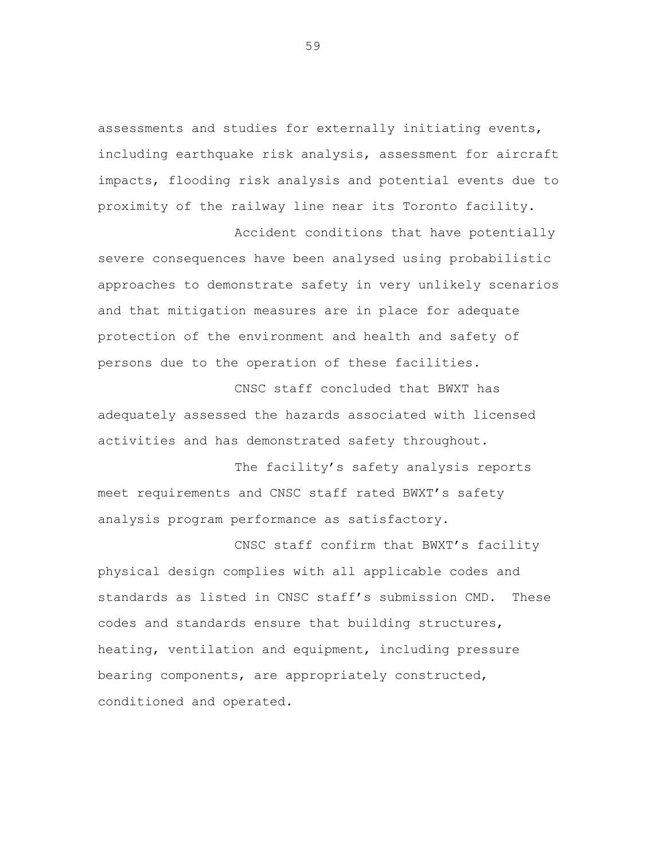assessments and studies for externally initiating events, including earthquake risk analysis, assessment for aircraft impacts, flooding risk analysis and potential events due to proximity of the railway line near its Toronto facility.

Accident conditions that have potentially severe consequences have been analysed using probabilistic approaches to demonstrate safety in very unlikely scenarios and that mitigation measures are in place for adequate protection of the environment and health and safety of persons due to the operation of these facilities.

CNSC staff concluded that BWXT has adequately assessed the hazards associated with licensed activities and has demonstrated safety throughout.

The facility's safety analysis reports meet requirements and CNSC staff rated BWXT's safety analysis program performance as satisfactory.

CNSC staff confirm that BWXT's facility physical design complies with all applicable codes and standards as listed in CNSC staff's submission CMD. These codes and standards ensure that building structures, heating, ventilation and equipment, including pressure bearing components, are appropriately constructed, conditioned and operated.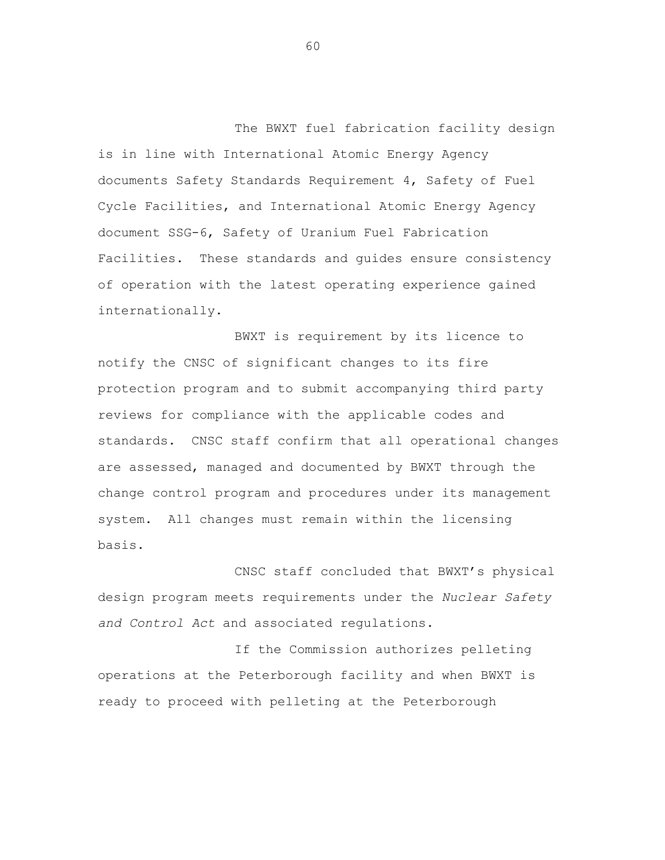The BWXT fuel fabrication facility design is in line with International Atomic Energy Agency documents Safety Standards Requirement 4, Safety of Fuel Cycle Facilities, and International Atomic Energy Agency document SSG-6, Safety of Uranium Fuel Fabrication Facilities. These standards and guides ensure consistency of operation with the latest operating experience gained internationally.

BWXT is requirement by its licence to notify the CNSC of significant changes to its fire protection program and to submit accompanying third party reviews for compliance with the applicable codes and standards. CNSC staff confirm that all operational changes are assessed, managed and documented by BWXT through the change control program and procedures under its management system. All changes must remain within the licensing basis.

CNSC staff concluded that BWXT's physical design program meets requirements under the *Nuclear Safety and Control Act* and associated regulations.

If the Commission authorizes pelleting operations at the Peterborough facility and when BWXT is ready to proceed with pelleting at the Peterborough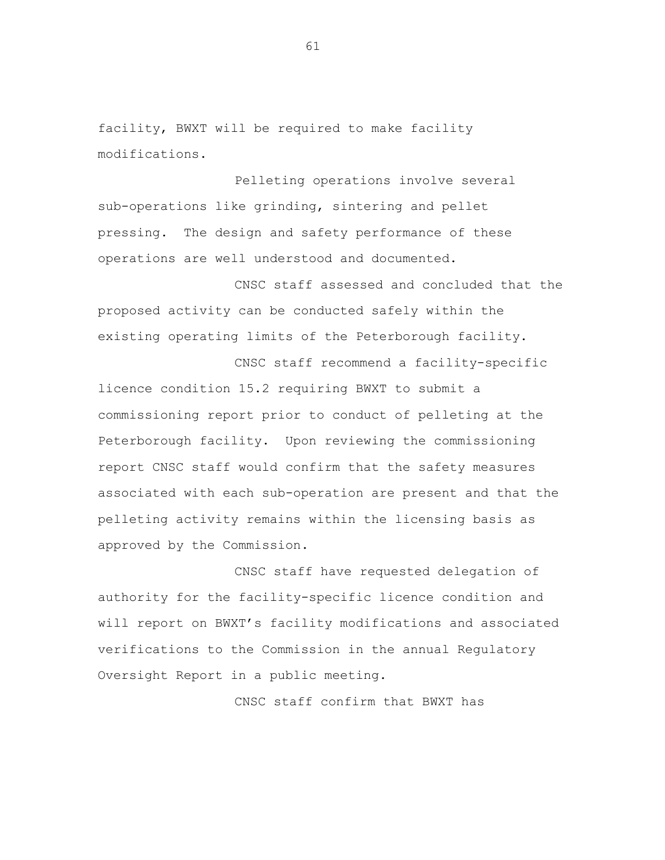facility, BWXT will be required to make facility modifications.

Pelleting operations involve several sub-operations like grinding, sintering and pellet pressing. The design and safety performance of these operations are well understood and documented.

CNSC staff assessed and concluded that the proposed activity can be conducted safely within the existing operating limits of the Peterborough facility.

CNSC staff recommend a facility-specific

licence condition 15.2 requiring BWXT to submit a commissioning report prior to conduct of pelleting at the Peterborough facility. Upon reviewing the commissioning report CNSC staff would confirm that the safety measures associated with each sub-operation are present and that the pelleting activity remains within the licensing basis as approved by the Commission.

CNSC staff have requested delegation of authority for the facility-specific licence condition and will report on BWXT's facility modifications and associated verifications to the Commission in the annual Regulatory Oversight Report in a public meeting.

CNSC staff confirm that BWXT has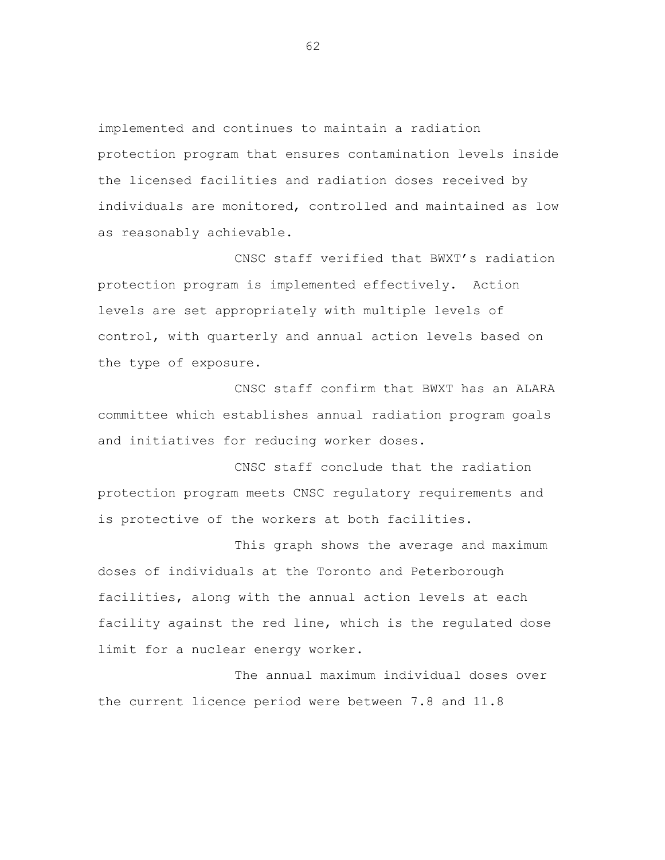implemented and continues to maintain a radiation protection program that ensures contamination levels inside the licensed facilities and radiation doses received by individuals are monitored, controlled and maintained as low as reasonably achievable.

CNSC staff verified that BWXT's radiation protection program is implemented effectively. Action levels are set appropriately with multiple levels of control, with quarterly and annual action levels based on the type of exposure.

CNSC staff confirm that BWXT has an ALARA committee which establishes annual radiation program goals and initiatives for reducing worker doses.

CNSC staff conclude that the radiation protection program meets CNSC regulatory requirements and is protective of the workers at both facilities.

This graph shows the average and maximum doses of individuals at the Toronto and Peterborough facilities, along with the annual action levels at each facility against the red line, which is the regulated dose limit for a nuclear energy worker.

The annual maximum individual doses over the current licence period were between 7.8 and 11.8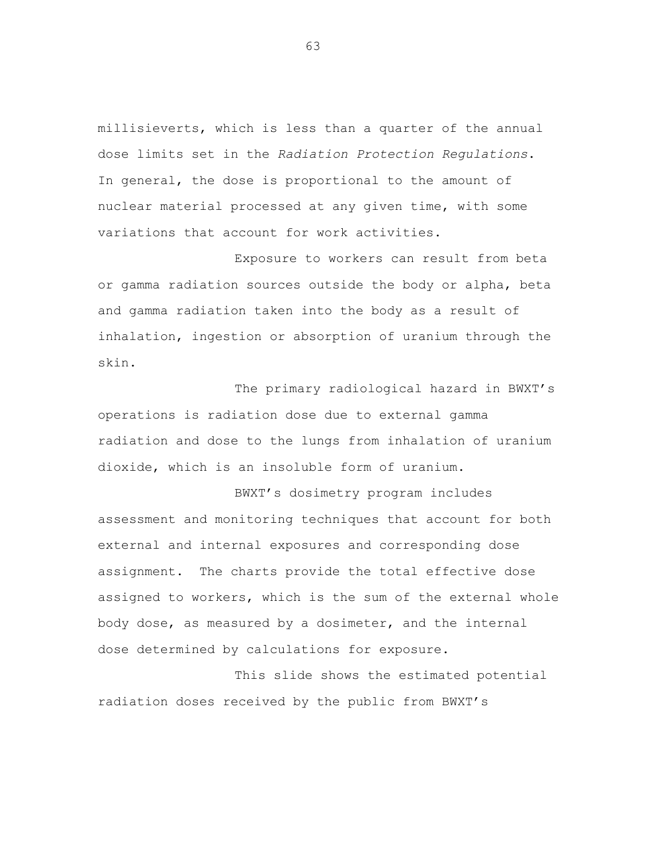millisieverts, which is less than a quarter of the annual dose limits set in the *Radiation Protection Regulations*. In general, the dose is proportional to the amount of nuclear material processed at any given time, with some variations that account for work activities.

Exposure to workers can result from beta or gamma radiation sources outside the body or alpha, beta and gamma radiation taken into the body as a result of inhalation, ingestion or absorption of uranium through the skin.

The primary radiological hazard in BWXT's operations is radiation dose due to external gamma radiation and dose to the lungs from inhalation of uranium dioxide, which is an insoluble form of uranium.

BWXT's dosimetry program includes assessment and monitoring techniques that account for both external and internal exposures and corresponding dose assignment. The charts provide the total effective dose assigned to workers, which is the sum of the external whole body dose, as measured by a dosimeter, and the internal dose determined by calculations for exposure.

This slide shows the estimated potential radiation doses received by the public from BWXT's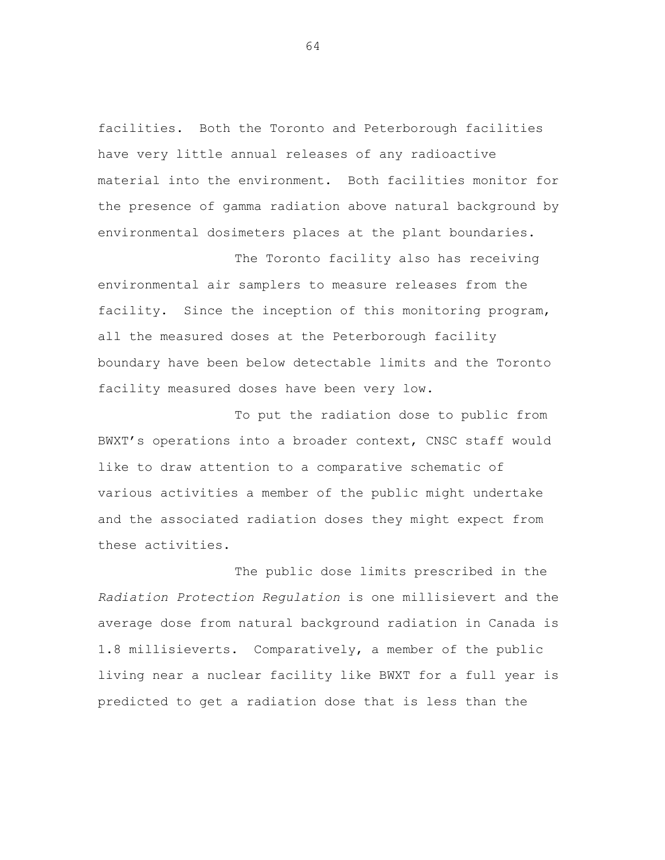facilities. Both the Toronto and Peterborough facilities have very little annual releases of any radioactive material into the environment. Both facilities monitor for the presence of gamma radiation above natural background by environmental dosimeters places at the plant boundaries.

The Toronto facility also has receiving environmental air samplers to measure releases from the facility. Since the inception of this monitoring program, all the measured doses at the Peterborough facility boundary have been below detectable limits and the Toronto facility measured doses have been very low.

To put the radiation dose to public from BWXT's operations into a broader context, CNSC staff would like to draw attention to a comparative schematic of various activities a member of the public might undertake and the associated radiation doses they might expect from these activities.

The public dose limits prescribed in the *Radiation Protection Regulation* is one millisievert and the average dose from natural background radiation in Canada is 1.8 millisieverts. Comparatively, a member of the public living near a nuclear facility like BWXT for a full year is predicted to get a radiation dose that is less than the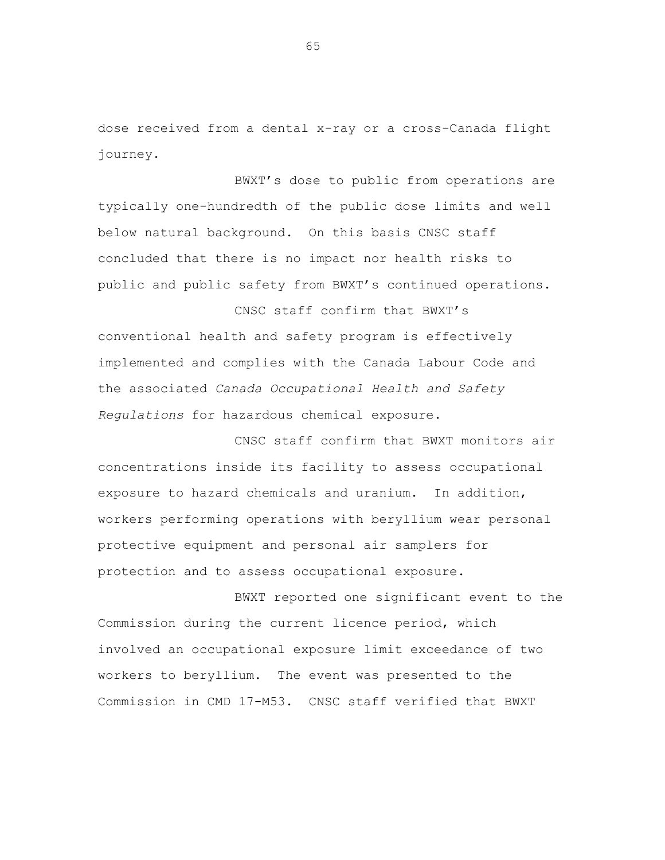dose received from a dental x-ray or a cross-Canada flight journey.

BWXT's dose to public from operations are typically one-hundredth of the public dose limits and well below natural background. On this basis CNSC staff concluded that there is no impact nor health risks to public and public safety from BWXT's continued operations.

CNSC staff confirm that BWXT's conventional health and safety program is effectively implemented and complies with the Canada Labour Code and the associated *Canada Occupational Health and Safety Regulations* for hazardous chemical exposure.

CNSC staff confirm that BWXT monitors air concentrations inside its facility to assess occupational exposure to hazard chemicals and uranium. In addition, workers performing operations with beryllium wear personal protective equipment and personal air samplers for protection and to assess occupational exposure.

BWXT reported one significant event to the Commission during the current licence period, which involved an occupational exposure limit exceedance of two workers to beryllium. The event was presented to the Commission in CMD 17-M53. CNSC staff verified that BWXT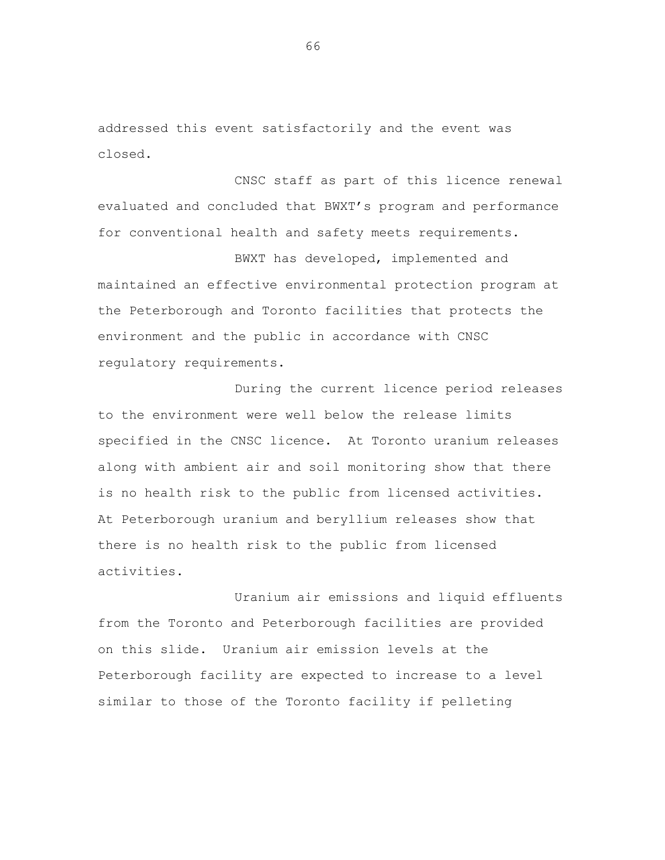addressed this event satisfactorily and the event was closed.

CNSC staff as part of this licence renewal evaluated and concluded that BWXT's program and performance for conventional health and safety meets requirements.

BWXT has developed, implemented and maintained an effective environmental protection program at the Peterborough and Toronto facilities that protects the environment and the public in accordance with CNSC regulatory requirements.

During the current licence period releases to the environment were well below the release limits specified in the CNSC licence. At Toronto uranium releases along with ambient air and soil monitoring show that there is no health risk to the public from licensed activities. At Peterborough uranium and beryllium releases show that there is no health risk to the public from licensed activities.

Uranium air emissions and liquid effluents from the Toronto and Peterborough facilities are provided on this slide. Uranium air emission levels at the Peterborough facility are expected to increase to a level similar to those of the Toronto facility if pelleting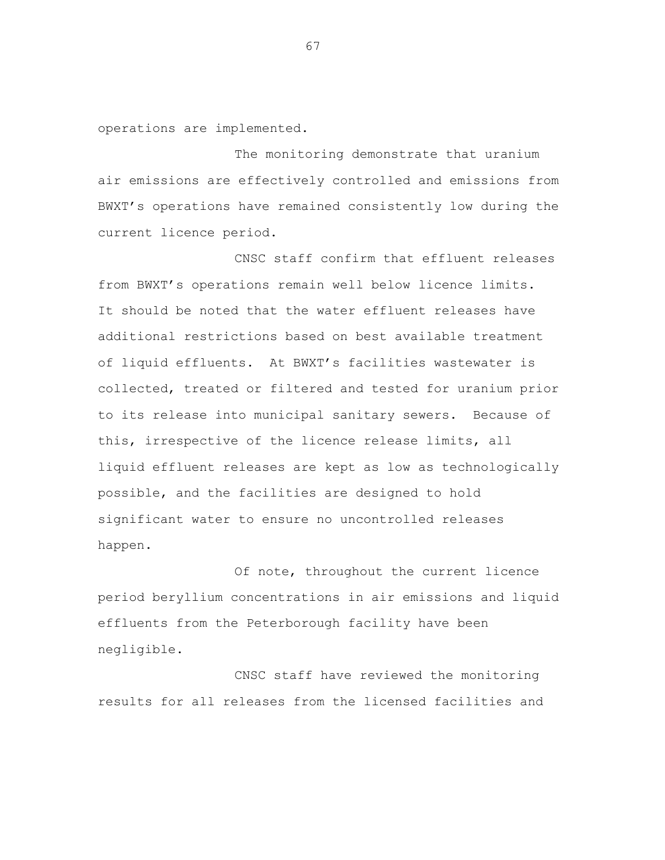operations are implemented.

The monitoring demonstrate that uranium air emissions are effectively controlled and emissions from BWXT's operations have remained consistently low during the current licence period.

CNSC staff confirm that effluent releases from BWXT's operations remain well below licence limits. It should be noted that the water effluent releases have additional restrictions based on best available treatment of liquid effluents. At BWXT's facilities wastewater is collected, treated or filtered and tested for uranium prior to its release into municipal sanitary sewers. Because of this, irrespective of the licence release limits, all liquid effluent releases are kept as low as technologically possible, and the facilities are designed to hold significant water to ensure no uncontrolled releases happen.

Of note, throughout the current licence period beryllium concentrations in air emissions and liquid effluents from the Peterborough facility have been negligible.

CNSC staff have reviewed the monitoring results for all releases from the licensed facilities and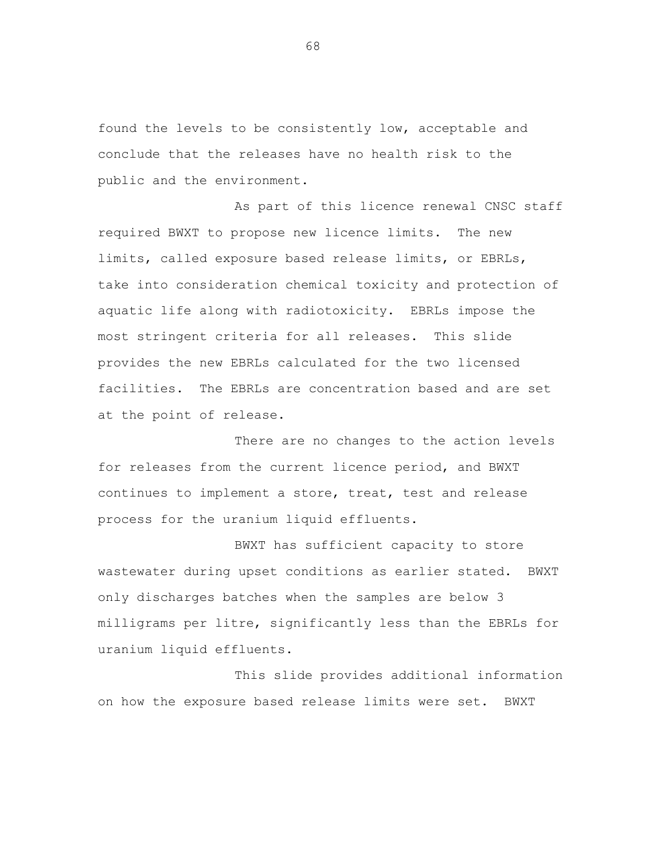found the levels to be consistently low, acceptable and conclude that the releases have no health risk to the public and the environment.

As part of this licence renewal CNSC staff required BWXT to propose new licence limits. The new limits, called exposure based release limits, or EBRLs, take into consideration chemical toxicity and protection of aquatic life along with radiotoxicity. EBRLs impose the most stringent criteria for all releases. This slide provides the new EBRLs calculated for the two licensed facilities. The EBRLs are concentration based and are set at the point of release.

There are no changes to the action levels for releases from the current licence period, and BWXT continues to implement a store, treat, test and release process for the uranium liquid effluents.

BWXT has sufficient capacity to store wastewater during upset conditions as earlier stated. BWXT only discharges batches when the samples are below 3 milligrams per litre, significantly less than the EBRLs for uranium liquid effluents.

This slide provides additional information on how the exposure based release limits were set. BWXT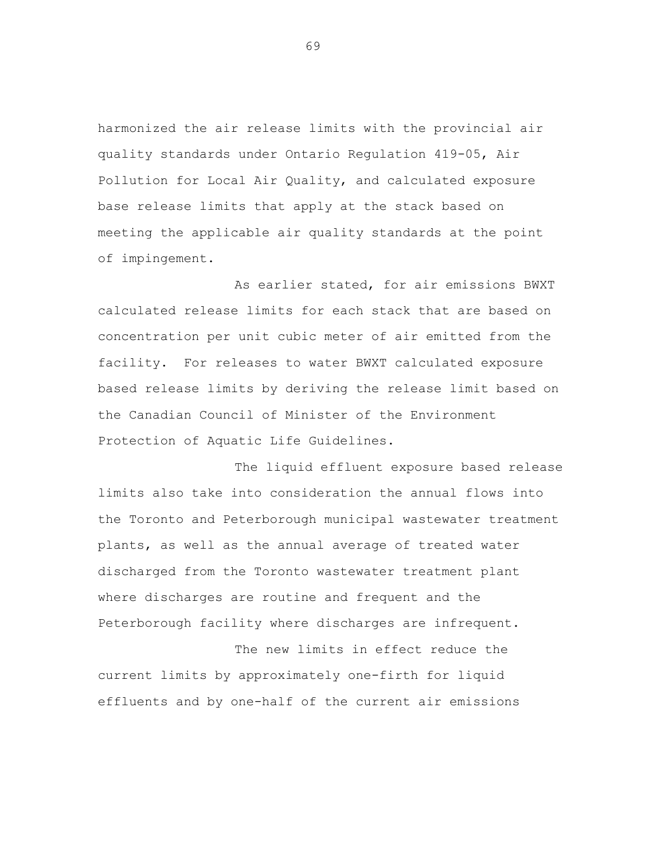harmonized the air release limits with the provincial air quality standards under Ontario Regulation 419-05, Air Pollution for Local Air Quality, and calculated exposure base release limits that apply at the stack based on meeting the applicable air quality standards at the point of impingement.

As earlier stated, for air emissions BWXT calculated release limits for each stack that are based on concentration per unit cubic meter of air emitted from the facility. For releases to water BWXT calculated exposure based release limits by deriving the release limit based on the Canadian Council of Minister of the Environment Protection of Aquatic Life Guidelines.

The liquid effluent exposure based release limits also take into consideration the annual flows into the Toronto and Peterborough municipal wastewater treatment plants, as well as the annual average of treated water discharged from the Toronto wastewater treatment plant where discharges are routine and frequent and the Peterborough facility where discharges are infrequent.

The new limits in effect reduce the current limits by approximately one-firth for liquid effluents and by one-half of the current air emissions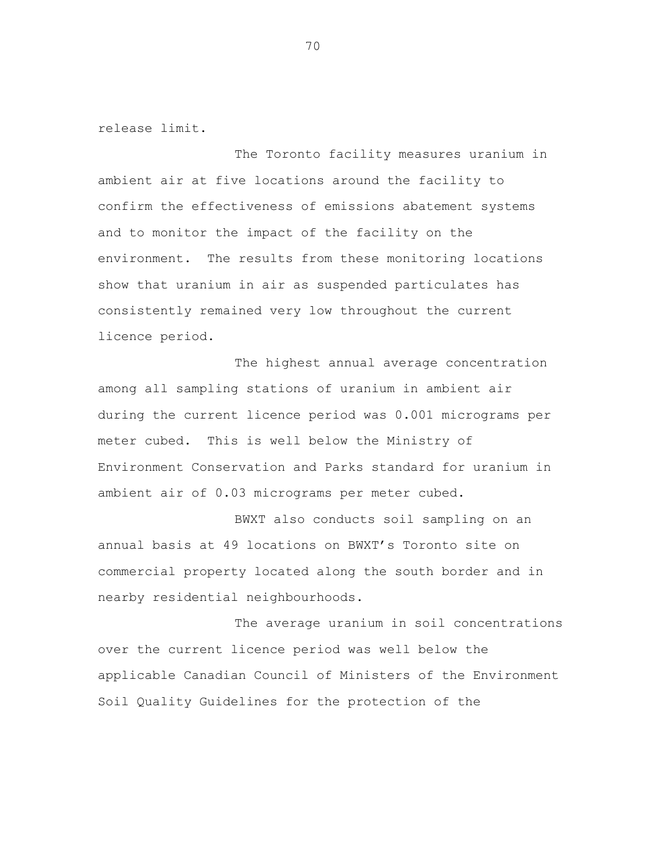release limit.

The Toronto facility measures uranium in ambient air at five locations around the facility to confirm the effectiveness of emissions abatement systems and to monitor the impact of the facility on the environment. The results from these monitoring locations show that uranium in air as suspended particulates has consistently remained very low throughout the current licence period.

The highest annual average concentration among all sampling stations of uranium in ambient air during the current licence period was 0.001 micrograms per meter cubed. This is well below the Ministry of Environment Conservation and Parks standard for uranium in ambient air of 0.03 micrograms per meter cubed.

BWXT also conducts soil sampling on an annual basis at 49 locations on BWXT's Toronto site on commercial property located along the south border and in nearby residential neighbourhoods.

The average uranium in soil concentrations over the current licence period was well below the applicable Canadian Council of Ministers of the Environment Soil Quality Guidelines for the protection of the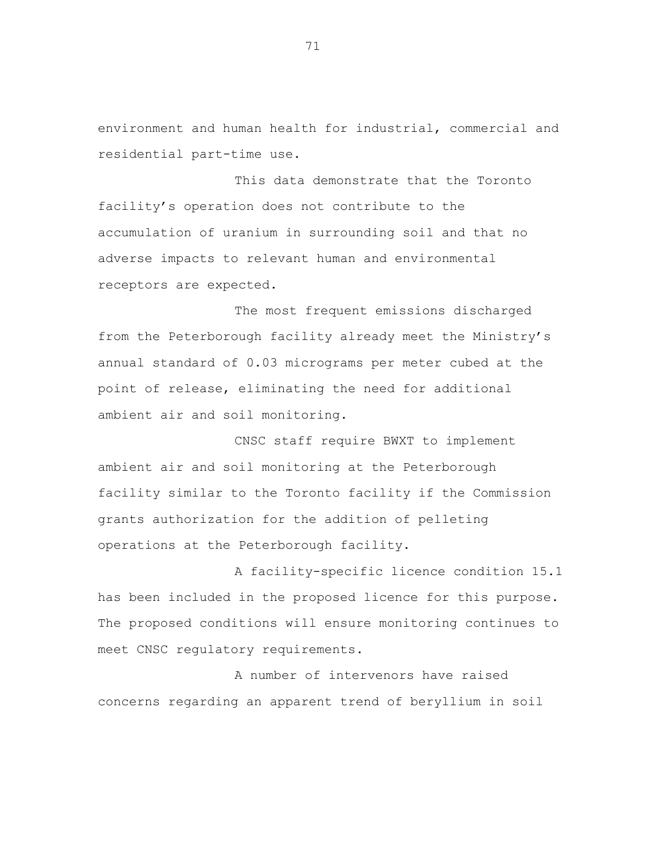environment and human health for industrial, commercial and residential part-time use.

This data demonstrate that the Toronto facility's operation does not contribute to the accumulation of uranium in surrounding soil and that no adverse impacts to relevant human and environmental receptors are expected.

The most frequent emissions discharged from the Peterborough facility already meet the Ministry's annual standard of 0.03 micrograms per meter cubed at the point of release, eliminating the need for additional ambient air and soil monitoring.

CNSC staff require BWXT to implement ambient air and soil monitoring at the Peterborough facility similar to the Toronto facility if the Commission grants authorization for the addition of pelleting operations at the Peterborough facility.

A facility-specific licence condition 15.1 has been included in the proposed licence for this purpose. The proposed conditions will ensure monitoring continues to meet CNSC regulatory requirements.

A number of intervenors have raised concerns regarding an apparent trend of beryllium in soil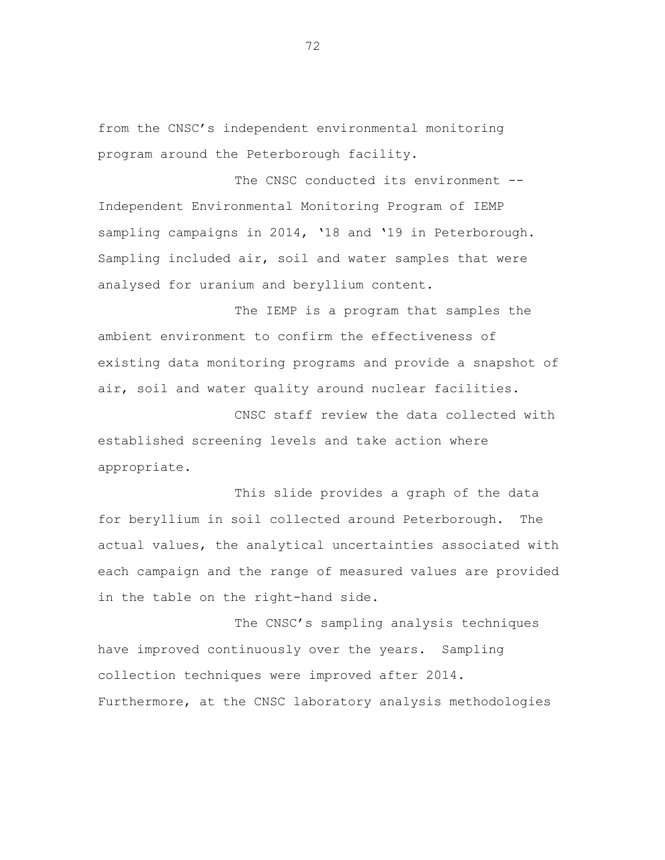from the CNSC's independent environmental monitoring program around the Peterborough facility.

The CNSC conducted its environment --Independent Environmental Monitoring Program of IEMP sampling campaigns in 2014, '18 and '19 in Peterborough. Sampling included air, soil and water samples that were analysed for uranium and beryllium content.

The IEMP is a program that samples the ambient environment to confirm the effectiveness of existing data monitoring programs and provide a snapshot of air, soil and water quality around nuclear facilities.

CNSC staff review the data collected with established screening levels and take action where appropriate.

This slide provides a graph of the data for beryllium in soil collected around Peterborough. The actual values, the analytical uncertainties associated with each campaign and the range of measured values are provided in the table on the right-hand side.

The CNSC's sampling analysis techniques have improved continuously over the years. Sampling collection techniques were improved after 2014. Furthermore, at the CNSC laboratory analysis methodologies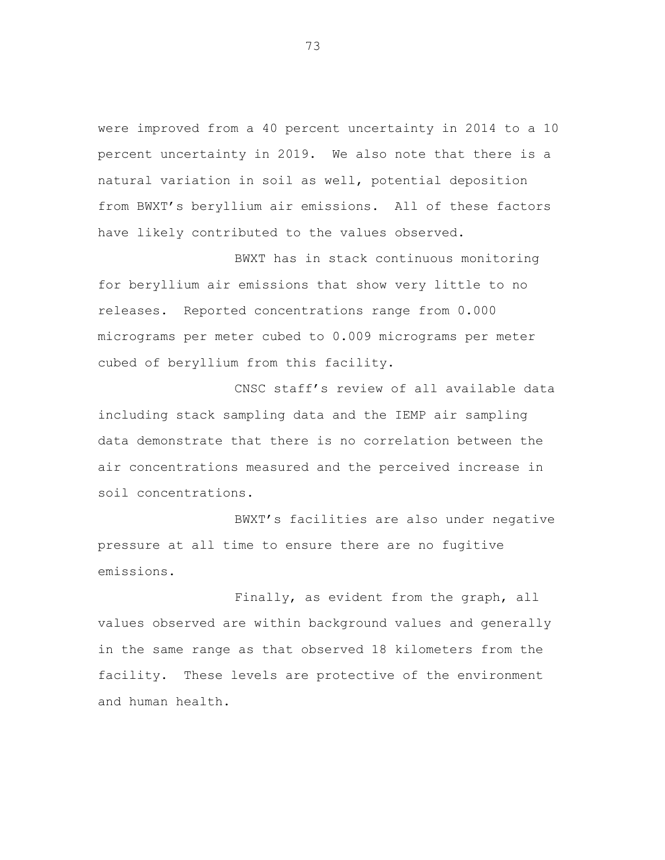were improved from a 40 percent uncertainty in 2014 to a 10 percent uncertainty in 2019. We also note that there is a natural variation in soil as well, potential deposition from BWXT's beryllium air emissions. All of these factors have likely contributed to the values observed.

BWXT has in stack continuous monitoring for beryllium air emissions that show very little to no releases. Reported concentrations range from 0.000 micrograms per meter cubed to 0.009 micrograms per meter cubed of beryllium from this facility.

CNSC staff's review of all available data including stack sampling data and the IEMP air sampling data demonstrate that there is no correlation between the air concentrations measured and the perceived increase in soil concentrations.

BWXT's facilities are also under negative pressure at all time to ensure there are no fugitive emissions.

Finally, as evident from the graph, all values observed are within background values and generally in the same range as that observed 18 kilometers from the facility. These levels are protective of the environment and human health.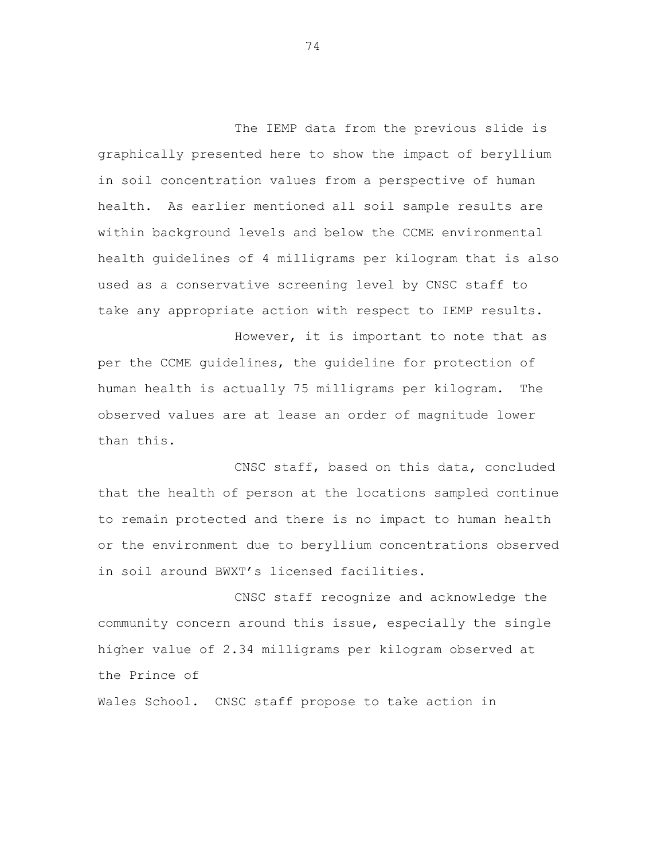The IEMP data from the previous slide is graphically presented here to show the impact of beryllium in soil concentration values from a perspective of human health. As earlier mentioned all soil sample results are within background levels and below the CCME environmental health guidelines of 4 milligrams per kilogram that is also used as a conservative screening level by CNSC staff to take any appropriate action with respect to IEMP results.

However, it is important to note that as per the CCME guidelines, the guideline for protection of human health is actually 75 milligrams per kilogram. The observed values are at lease an order of magnitude lower than this.

CNSC staff, based on this data, concluded that the health of person at the locations sampled continue to remain protected and there is no impact to human health or the environment due to beryllium concentrations observed in soil around BWXT's licensed facilities.

CNSC staff recognize and acknowledge the community concern around this issue, especially the single higher value of 2.34 milligrams per kilogram observed at the Prince of

Wales School. CNSC staff propose to take action in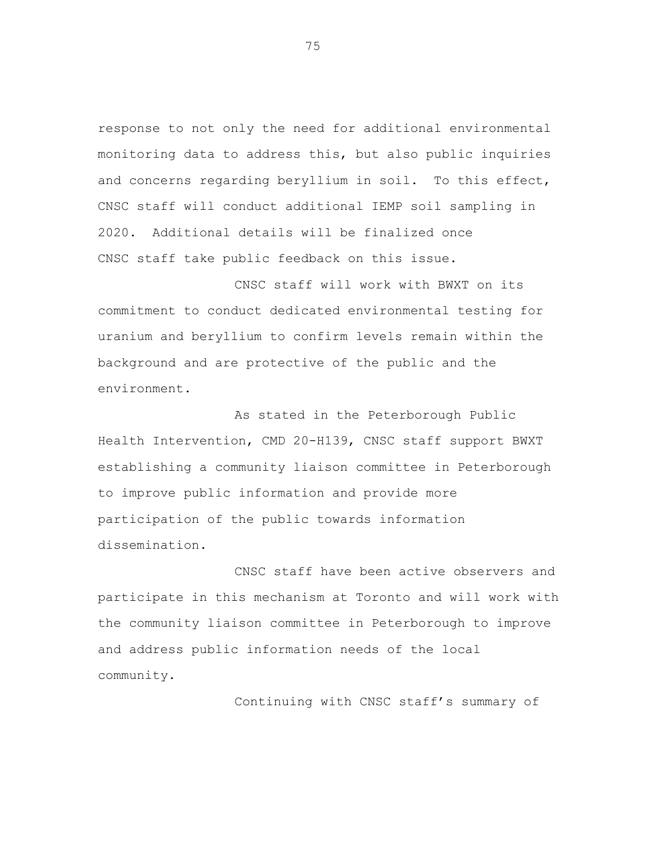response to not only the need for additional environmental monitoring data to address this, but also public inquiries and concerns regarding beryllium in soil. To this effect, CNSC staff will conduct additional IEMP soil sampling in 2020. Additional details will be finalized once CNSC staff take public feedback on this issue.

CNSC staff will work with BWXT on its commitment to conduct dedicated environmental testing for uranium and beryllium to confirm levels remain within the background and are protective of the public and the environment.

As stated in the Peterborough Public Health Intervention, CMD 20-H139, CNSC staff support BWXT establishing a community liaison committee in Peterborough to improve public information and provide more participation of the public towards information dissemination.

CNSC staff have been active observers and participate in this mechanism at Toronto and will work with the community liaison committee in Peterborough to improve and address public information needs of the local community.

Continuing with CNSC staff's summary of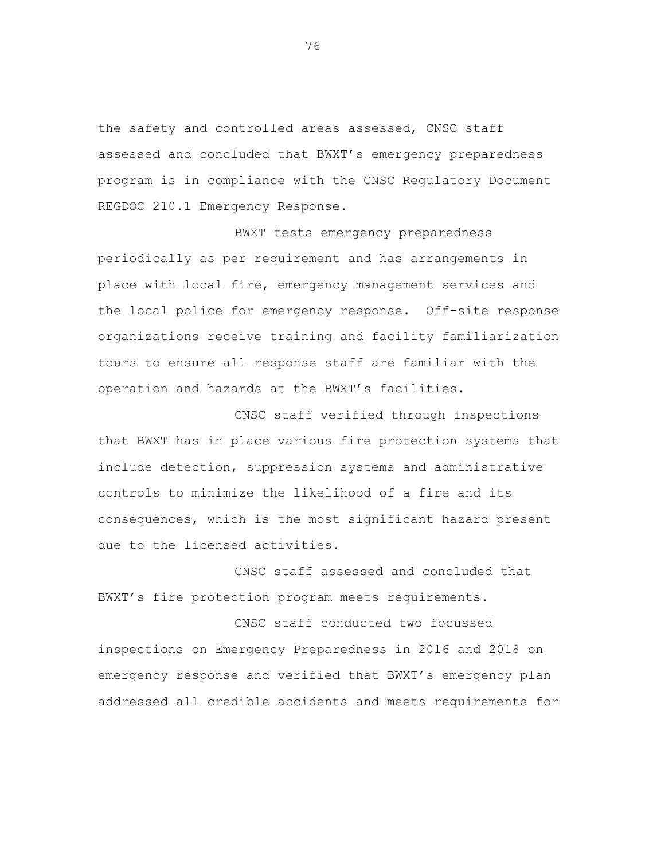the safety and controlled areas assessed, CNSC staff assessed and concluded that BWXT's emergency preparedness program is in compliance with the CNSC Regulatory Document REGDOC 210.1 Emergency Response.

BWXT tests emergency preparedness periodically as per requirement and has arrangements in place with local fire, emergency management services and the local police for emergency response. Off-site response organizations receive training and facility familiarization tours to ensure all response staff are familiar with the operation and hazards at the BWXT's facilities.

CNSC staff verified through inspections that BWXT has in place various fire protection systems that include detection, suppression systems and administrative controls to minimize the likelihood of a fire and its consequences, which is the most significant hazard present due to the licensed activities.

CNSC staff assessed and concluded that BWXT's fire protection program meets requirements.

CNSC staff conducted two focussed inspections on Emergency Preparedness in 2016 and 2018 on emergency response and verified that BWXT's emergency plan addressed all credible accidents and meets requirements for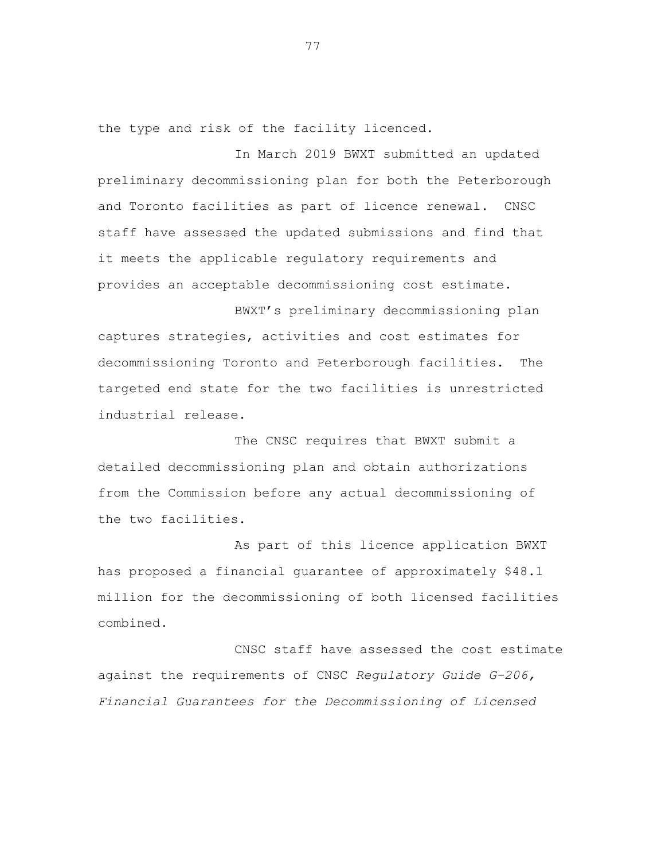the type and risk of the facility licenced.

In March 2019 BWXT submitted an updated preliminary decommissioning plan for both the Peterborough and Toronto facilities as part of licence renewal. CNSC staff have assessed the updated submissions and find that it meets the applicable regulatory requirements and provides an acceptable decommissioning cost estimate.

BWXT's preliminary decommissioning plan captures strategies, activities and cost estimates for decommissioning Toronto and Peterborough facilities. The targeted end state for the two facilities is unrestricted industrial release.

The CNSC requires that BWXT submit a detailed decommissioning plan and obtain authorizations from the Commission before any actual decommissioning of the two facilities.

As part of this licence application BWXT has proposed a financial guarantee of approximately \$48.1 million for the decommissioning of both licensed facilities combined.

CNSC staff have assessed the cost estimate against the requirements of CNSC *Regulatory Guide G-206, Financial Guarantees for the Decommissioning of Licensed*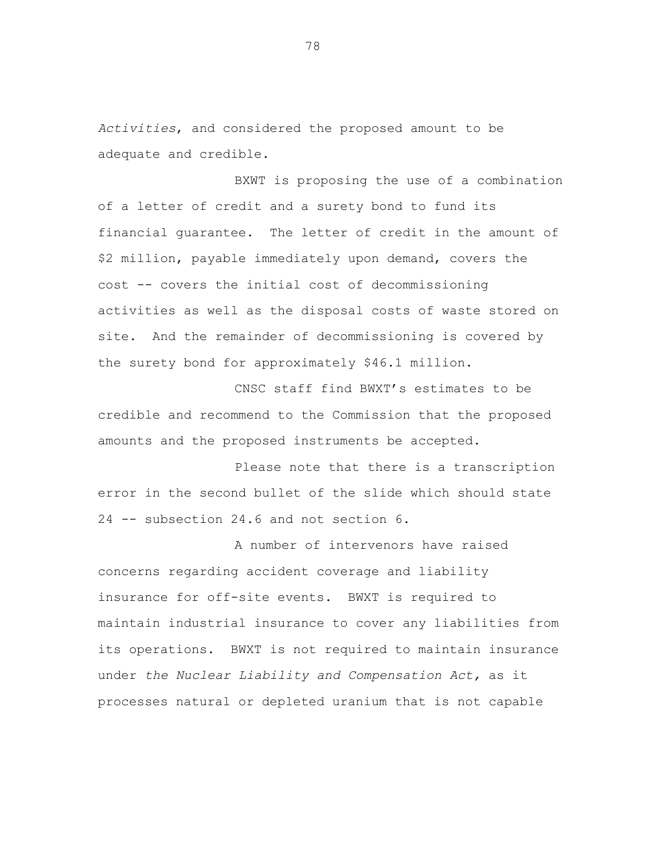*Activities*, and considered the proposed amount to be adequate and credible.

BXWT is proposing the use of a combination of a letter of credit and a surety bond to fund its financial guarantee. The letter of credit in the amount of \$2 million, payable immediately upon demand, covers the cost -- covers the initial cost of decommissioning activities as well as the disposal costs of waste stored on site. And the remainder of decommissioning is covered by the surety bond for approximately \$46.1 million.

CNSC staff find BWXT's estimates to be credible and recommend to the Commission that the proposed amounts and the proposed instruments be accepted.

Please note that there is a transcription error in the second bullet of the slide which should state 24 -- subsection 24.6 and not section 6.

A number of intervenors have raised concerns regarding accident coverage and liability insurance for off-site events. BWXT is required to maintain industrial insurance to cover any liabilities from its operations. BWXT is not required to maintain insurance under *the Nuclear Liability and Compensation Act,* as it processes natural or depleted uranium that is not capable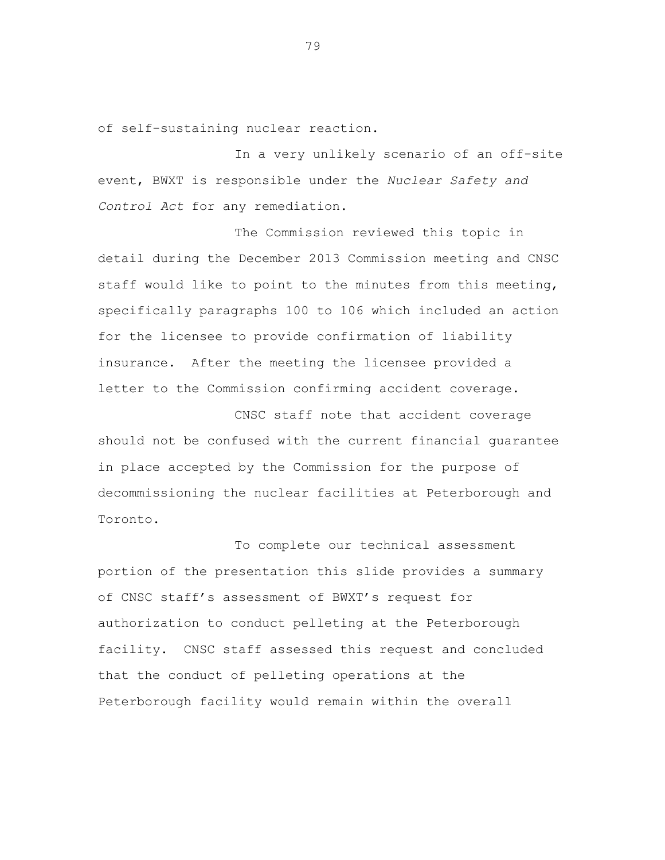of self-sustaining nuclear reaction.

In a very unlikely scenario of an off-site event, BWXT is responsible under the *Nuclear Safety and Control Act* for any remediation.

The Commission reviewed this topic in detail during the December 2013 Commission meeting and CNSC staff would like to point to the minutes from this meeting, specifically paragraphs 100 to 106 which included an action for the licensee to provide confirmation of liability insurance. After the meeting the licensee provided a letter to the Commission confirming accident coverage.

CNSC staff note that accident coverage should not be confused with the current financial guarantee in place accepted by the Commission for the purpose of decommissioning the nuclear facilities at Peterborough and Toronto.

To complete our technical assessment portion of the presentation this slide provides a summary of CNSC staff's assessment of BWXT's request for authorization to conduct pelleting at the Peterborough facility. CNSC staff assessed this request and concluded that the conduct of pelleting operations at the Peterborough facility would remain within the overall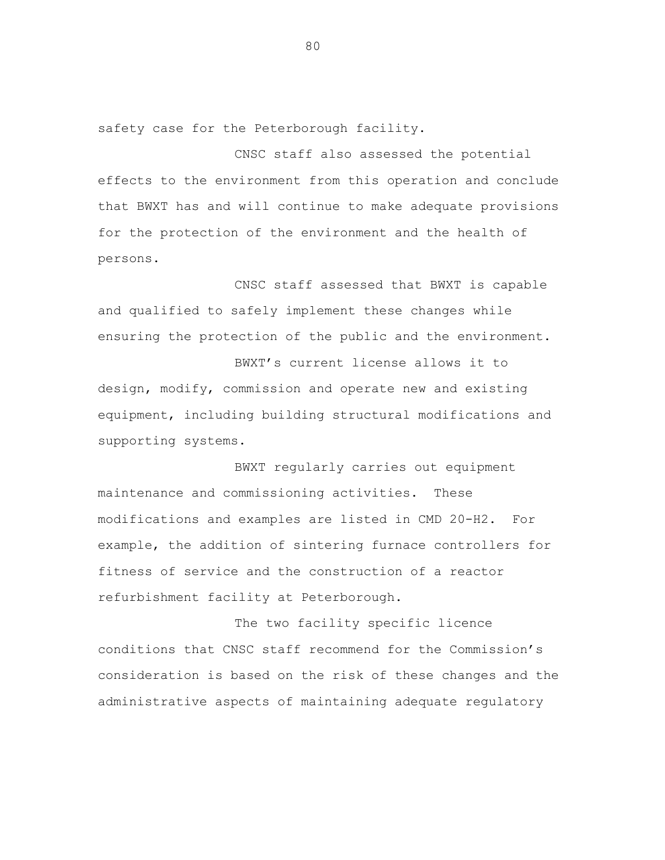safety case for the Peterborough facility.

CNSC staff also assessed the potential effects to the environment from this operation and conclude that BWXT has and will continue to make adequate provisions for the protection of the environment and the health of persons.

CNSC staff assessed that BWXT is capable and qualified to safely implement these changes while ensuring the protection of the public and the environment.

BWXT's current license allows it to design, modify, commission and operate new and existing equipment, including building structural modifications and supporting systems.

BWXT regularly carries out equipment maintenance and commissioning activities. These modifications and examples are listed in CMD 20-H2. For example, the addition of sintering furnace controllers for fitness of service and the construction of a reactor refurbishment facility at Peterborough.

The two facility specific licence conditions that CNSC staff recommend for the Commission's consideration is based on the risk of these changes and the administrative aspects of maintaining adequate regulatory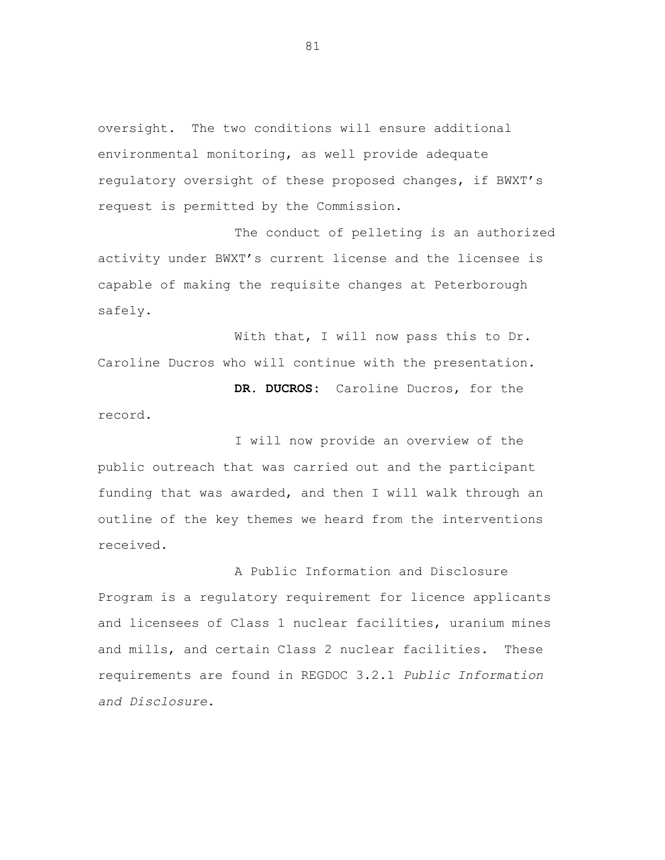oversight. The two conditions will ensure additional environmental monitoring, as well provide adequate regulatory oversight of these proposed changes, if BWXT's request is permitted by the Commission.

The conduct of pelleting is an authorized activity under BWXT's current license and the licensee is capable of making the requisite changes at Peterborough safely.

With that, I will now pass this to Dr. Caroline Ducros who will continue with the presentation. **DR. DUCROS:** Caroline Ducros, for the

record.

I will now provide an overview of the public outreach that was carried out and the participant funding that was awarded, and then I will walk through an outline of the key themes we heard from the interventions received.

A Public Information and Disclosure Program is a regulatory requirement for licence applicants and licensees of Class 1 nuclear facilities, uranium mines and mills, and certain Class 2 nuclear facilities. These requirements are found in REGDOC 3.2.1 *Public Information and Disclosure.*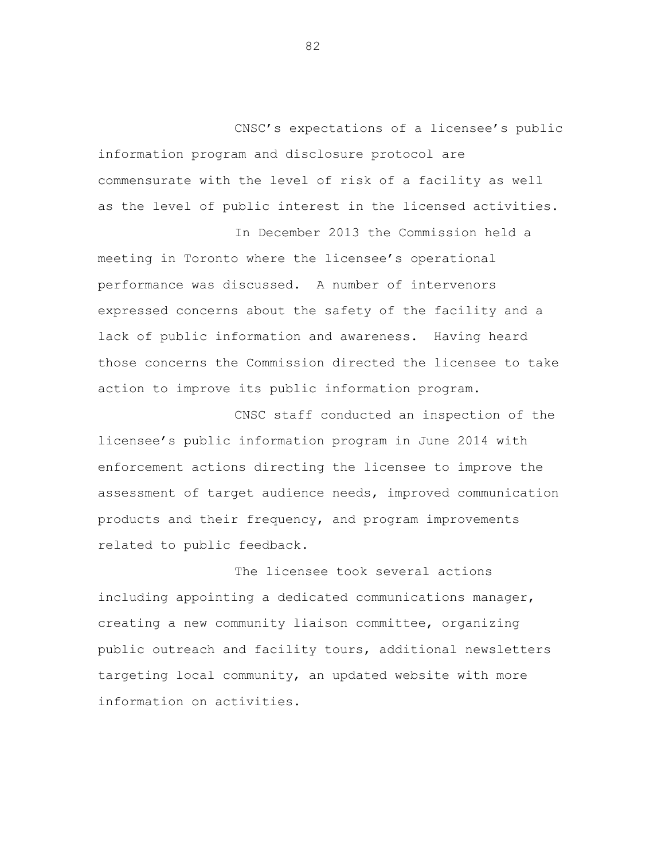CNSC's expectations of a licensee's public information program and disclosure protocol are commensurate with the level of risk of a facility as well as the level of public interest in the licensed activities.

In December 2013 the Commission held a

meeting in Toronto where the licensee's operational performance was discussed. A number of intervenors expressed concerns about the safety of the facility and a lack of public information and awareness. Having heard those concerns the Commission directed the licensee to take action to improve its public information program.

CNSC staff conducted an inspection of the licensee's public information program in June 2014 with enforcement actions directing the licensee to improve the assessment of target audience needs, improved communication products and their frequency, and program improvements related to public feedback.

The licensee took several actions including appointing a dedicated communications manager, creating a new community liaison committee, organizing public outreach and facility tours, additional newsletters targeting local community, an updated website with more information on activities.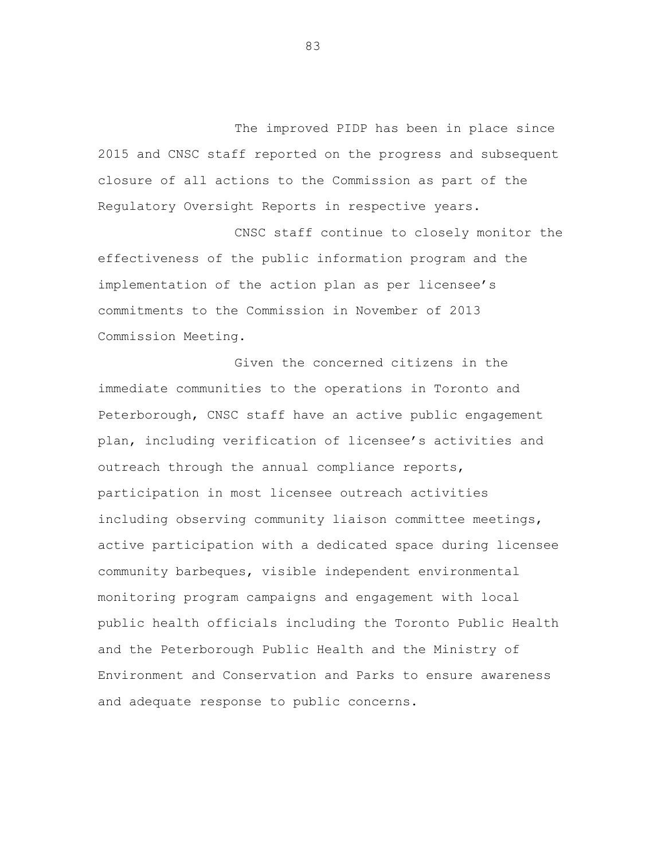The improved PIDP has been in place since 2015 and CNSC staff reported on the progress and subsequent closure of all actions to the Commission as part of the Regulatory Oversight Reports in respective years.

CNSC staff continue to closely monitor the effectiveness of the public information program and the implementation of the action plan as per licensee's commitments to the Commission in November of 2013 Commission Meeting.

Given the concerned citizens in the immediate communities to the operations in Toronto and Peterborough, CNSC staff have an active public engagement plan, including verification of licensee's activities and outreach through the annual compliance reports, participation in most licensee outreach activities including observing community liaison committee meetings, active participation with a dedicated space during licensee community barbeques, visible independent environmental monitoring program campaigns and engagement with local public health officials including the Toronto Public Health and the Peterborough Public Health and the Ministry of Environment and Conservation and Parks to ensure awareness and adequate response to public concerns.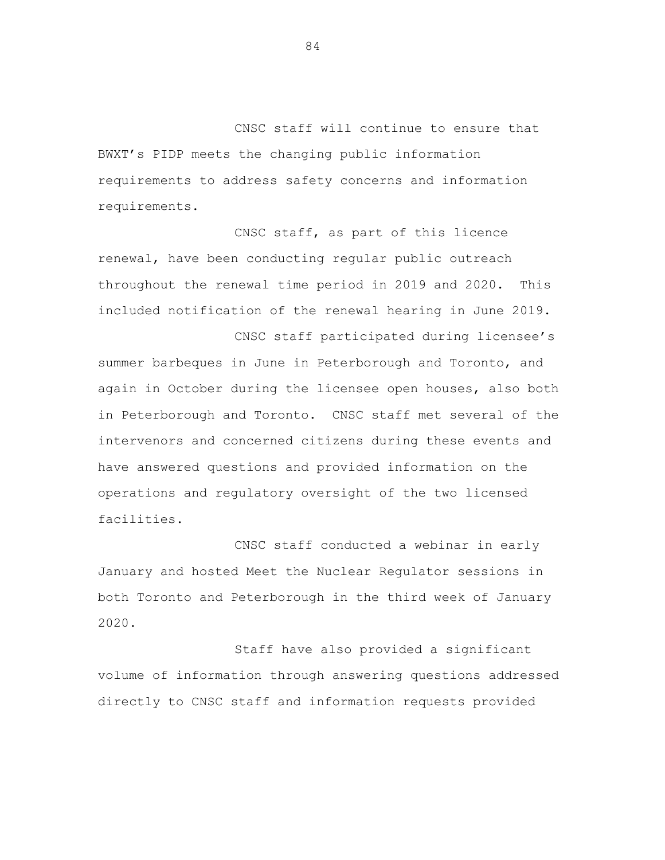CNSC staff will continue to ensure that BWXT's PIDP meets the changing public information requirements to address safety concerns and information requirements.

CNSC staff, as part of this licence renewal, have been conducting regular public outreach throughout the renewal time period in 2019 and 2020. This included notification of the renewal hearing in June 2019.

CNSC staff participated during licensee's summer barbeques in June in Peterborough and Toronto, and again in October during the licensee open houses, also both in Peterborough and Toronto. CNSC staff met several of the intervenors and concerned citizens during these events and have answered questions and provided information on the operations and regulatory oversight of the two licensed facilities.

CNSC staff conducted a webinar in early January and hosted Meet the Nuclear Regulator sessions in both Toronto and Peterborough in the third week of January 2020.

Staff have also provided a significant volume of information through answering questions addressed directly to CNSC staff and information requests provided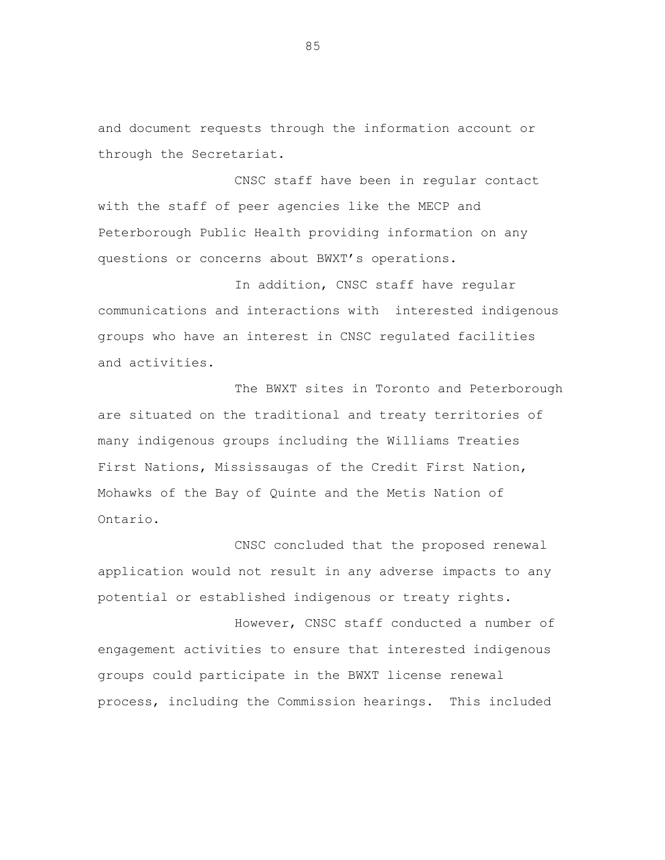and document requests through the information account or through the Secretariat.

CNSC staff have been in regular contact with the staff of peer agencies like the MECP and Peterborough Public Health providing information on any questions or concerns about BWXT's operations.

In addition, CNSC staff have regular communications and interactions with interested indigenous groups who have an interest in CNSC regulated facilities and activities.

The BWXT sites in Toronto and Peterborough are situated on the traditional and treaty territories of many indigenous groups including the Williams Treaties First Nations, Mississaugas of the Credit First Nation, Mohawks of the Bay of Quinte and the Metis Nation of Ontario.

CNSC concluded that the proposed renewal application would not result in any adverse impacts to any potential or established indigenous or treaty rights.

However, CNSC staff conducted a number of engagement activities to ensure that interested indigenous groups could participate in the BWXT license renewal process, including the Commission hearings. This included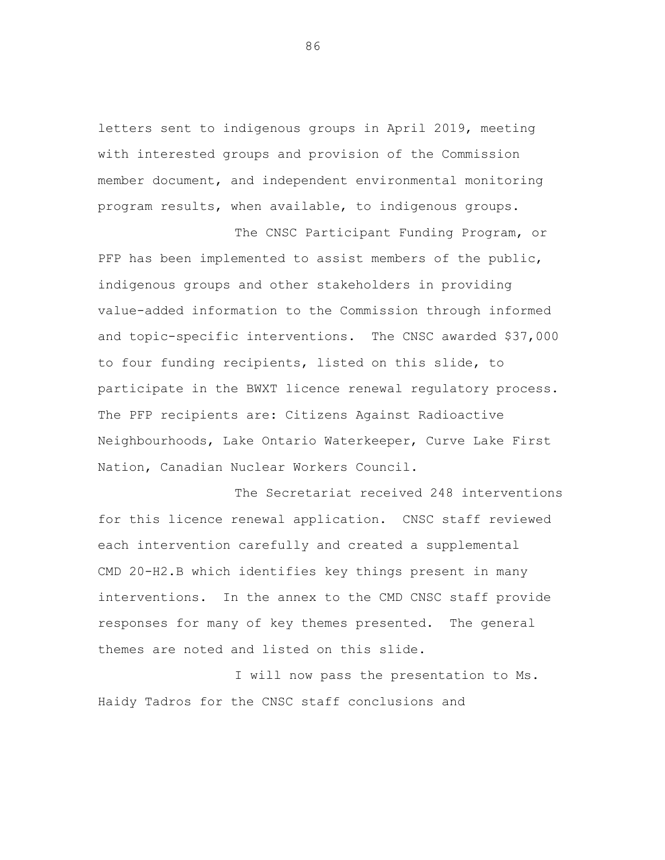letters sent to indigenous groups in April 2019, meeting with interested groups and provision of the Commission member document, and independent environmental monitoring program results, when available, to indigenous groups.

The CNSC Participant Funding Program, or PFP has been implemented to assist members of the public, indigenous groups and other stakeholders in providing value-added information to the Commission through informed and topic-specific interventions. The CNSC awarded \$37,000 to four funding recipients, listed on this slide, to participate in the BWXT licence renewal regulatory process. The PFP recipients are: Citizens Against Radioactive Neighbourhoods, Lake Ontario Waterkeeper, Curve Lake First Nation, Canadian Nuclear Workers Council.

The Secretariat received 248 interventions for this licence renewal application. CNSC staff reviewed each intervention carefully and created a supplemental CMD 20-H2.B which identifies key things present in many interventions. In the annex to the CMD CNSC staff provide responses for many of key themes presented. The general themes are noted and listed on this slide.

I will now pass the presentation to Ms. Haidy Tadros for the CNSC staff conclusions and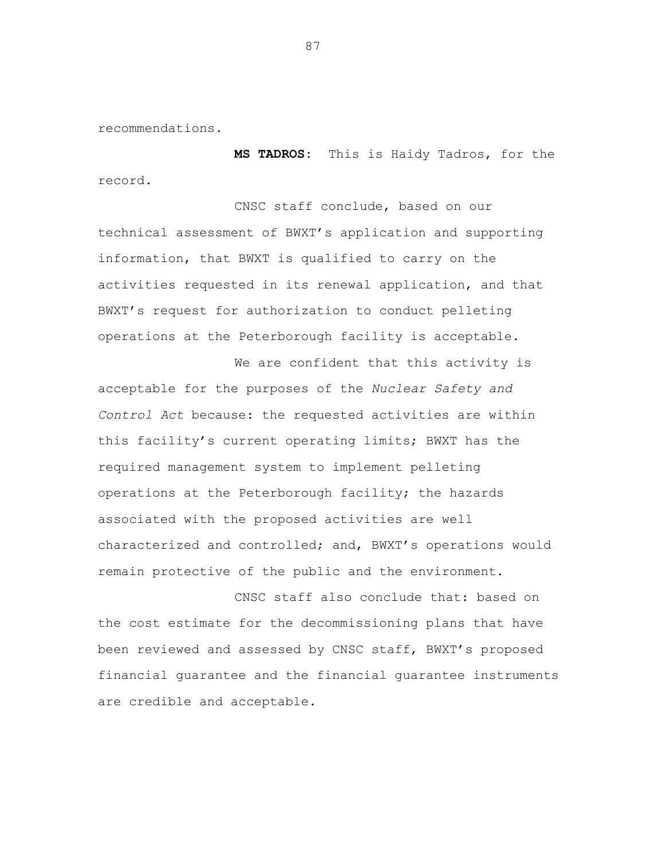recommendations.

**MS TADROS:** This is Haidy Tadros, for the record.

CNSC staff conclude, based on our technical assessment of BWXT's application and supporting information, that BWXT is qualified to carry on the activities requested in its renewal application, and that BWXT's request for authorization to conduct pelleting operations at the Peterborough facility is acceptable.

We are confident that this activity is acceptable for the purposes of the *Nuclear Safety and Control Act* because: the requested activities are within this facility's current operating limits; BWXT has the required management system to implement pelleting operations at the Peterborough facility; the hazards associated with the proposed activities are well characterized and controlled; and, BWXT's operations would remain protective of the public and the environment.

CNSC staff also conclude that: based on the cost estimate for the decommissioning plans that have been reviewed and assessed by CNSC staff, BWXT's proposed financial guarantee and the financial guarantee instruments are credible and acceptable.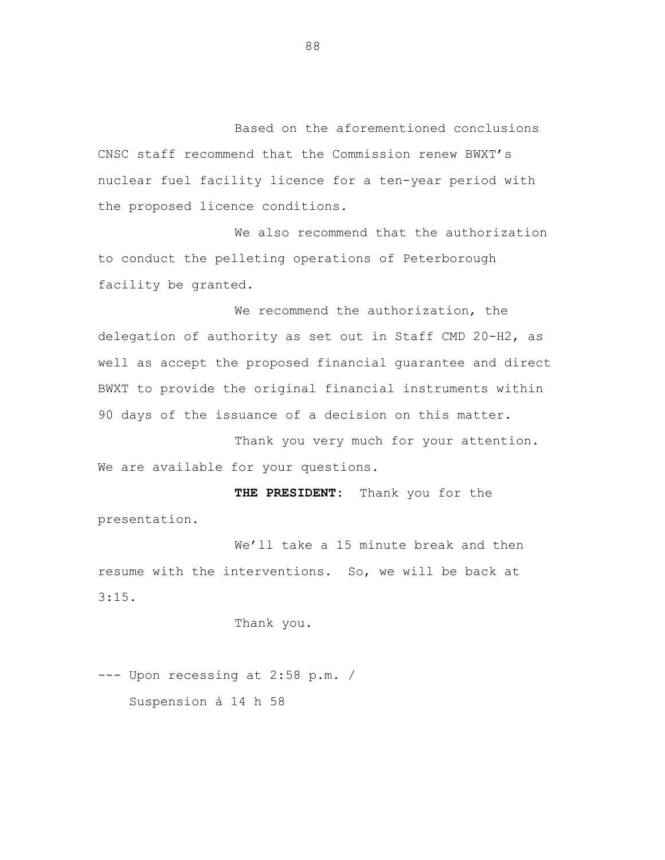Based on the aforementioned conclusions CNSC staff recommend that the Commission renew BWXT's nuclear fuel facility licence for a ten-year period with the proposed licence conditions.

We also recommend that the authorization to conduct the pelleting operations of Peterborough facility be granted.

We recommend the authorization, the delegation of authority as set out in Staff CMD 20-H2, as well as accept the proposed financial guarantee and direct BWXT to provide the original financial instruments within 90 days of the issuance of a decision on this matter.

Thank you very much for your attention. We are available for your questions.

**THE PRESIDENT:** Thank you for the presentation.

We'll take a 15 minute break and then resume with the interventions. So, we will be back at 3:15.

Thank you.

--- Upon recessing at 2:58 p.m. / Suspension à 14 h 58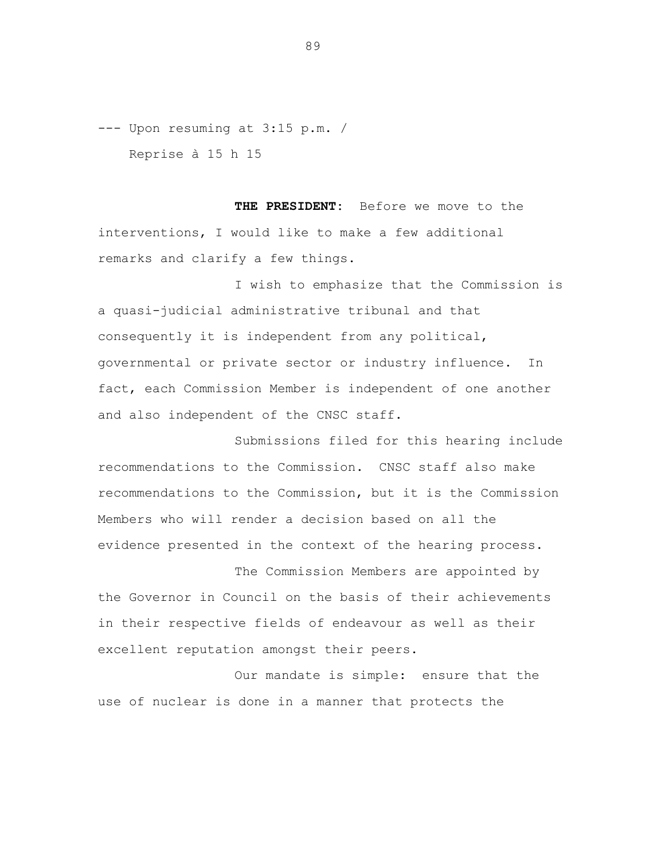--- Upon resuming at 3:15 p.m. / Reprise à 15 h 15

**THE PRESIDENT:** Before we move to the interventions, I would like to make a few additional remarks and clarify a few things.

I wish to emphasize that the Commission is a quasi-judicial administrative tribunal and that consequently it is independent from any political, governmental or private sector or industry influence. In fact, each Commission Member is independent of one another and also independent of the CNSC staff.

Submissions filed for this hearing include recommendations to the Commission. CNSC staff also make recommendations to the Commission, but it is the Commission Members who will render a decision based on all the evidence presented in the context of the hearing process.

The Commission Members are appointed by the Governor in Council on the basis of their achievements in their respective fields of endeavour as well as their excellent reputation amongst their peers.

Our mandate is simple: ensure that the use of nuclear is done in a manner that protects the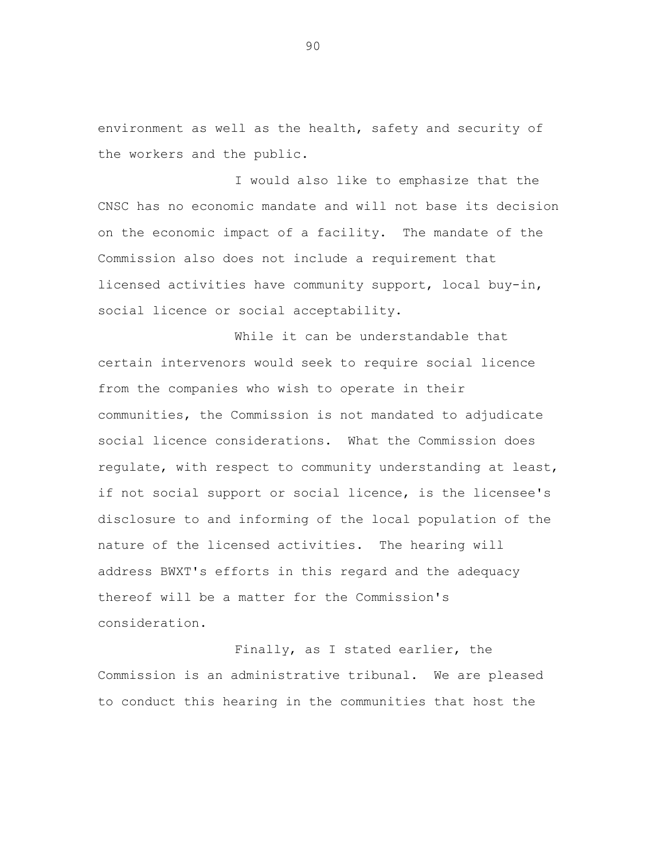environment as well as the health, safety and security of the workers and the public.

I would also like to emphasize that the CNSC has no economic mandate and will not base its decision on the economic impact of a facility. The mandate of the Commission also does not include a requirement that licensed activities have community support, local buy-in, social licence or social acceptability.

While it can be understandable that certain intervenors would seek to require social licence from the companies who wish to operate in their communities, the Commission is not mandated to adjudicate social licence considerations. What the Commission does regulate, with respect to community understanding at least, if not social support or social licence, is the licensee's disclosure to and informing of the local population of the nature of the licensed activities. The hearing will address BWXT's efforts in this regard and the adequacy thereof will be a matter for the Commission's consideration.

Finally, as I stated earlier, the Commission is an administrative tribunal. We are pleased to conduct this hearing in the communities that host the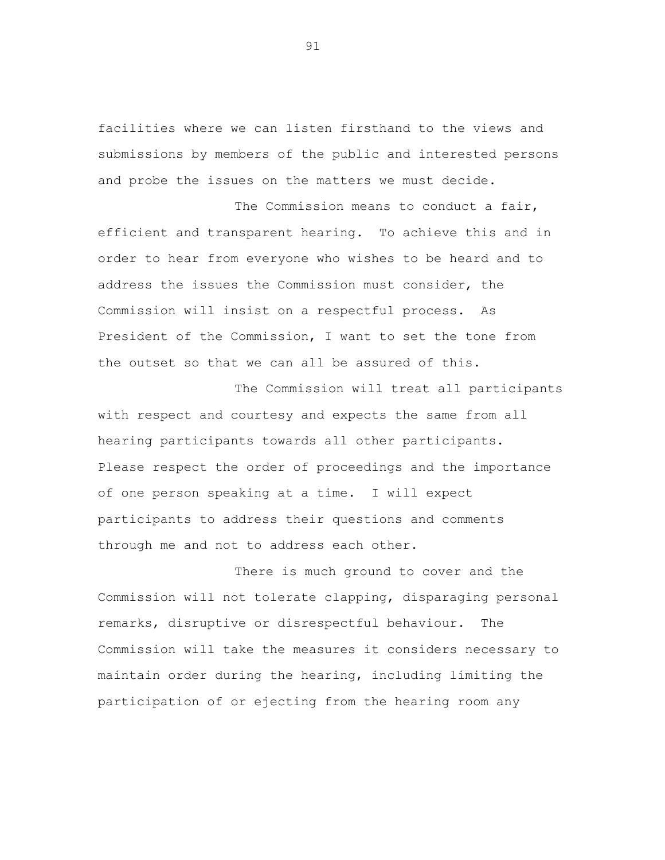facilities where we can listen firsthand to the views and submissions by members of the public and interested persons and probe the issues on the matters we must decide.

The Commission means to conduct a fair, efficient and transparent hearing. To achieve this and in order to hear from everyone who wishes to be heard and to address the issues the Commission must consider, the Commission will insist on a respectful process. As President of the Commission, I want to set the tone from the outset so that we can all be assured of this.

The Commission will treat all participants with respect and courtesy and expects the same from all hearing participants towards all other participants. Please respect the order of proceedings and the importance of one person speaking at a time. I will expect participants to address their questions and comments through me and not to address each other.

There is much ground to cover and the Commission will not tolerate clapping, disparaging personal remarks, disruptive or disrespectful behaviour. The Commission will take the measures it considers necessary to maintain order during the hearing, including limiting the participation of or ejecting from the hearing room any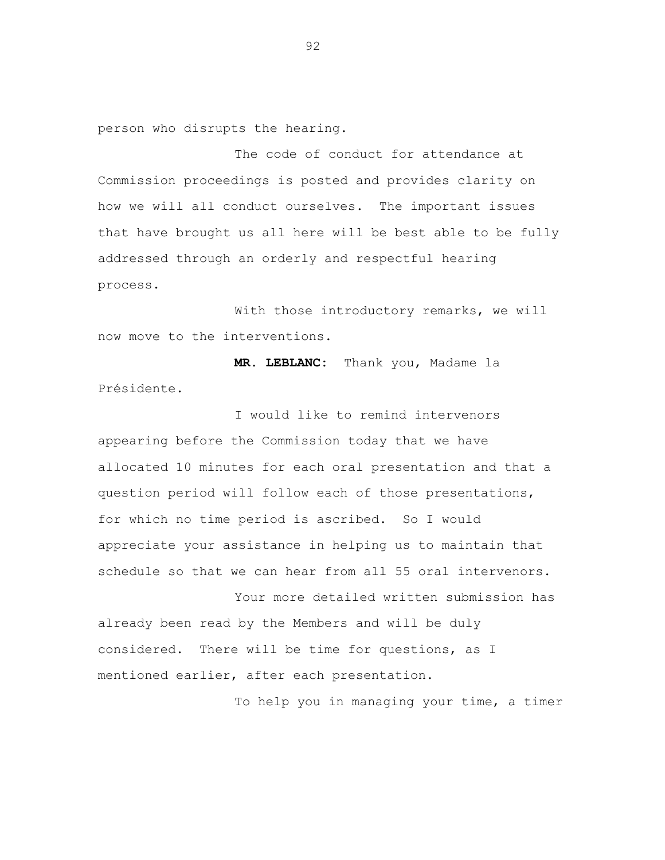person who disrupts the hearing.

The code of conduct for attendance at Commission proceedings is posted and provides clarity on how we will all conduct ourselves. The important issues that have brought us all here will be best able to be fully addressed through an orderly and respectful hearing process.

With those introductory remarks, we will now move to the interventions.

**MR. LEBLANC:** Thank you, Madame la Présidente.

I would like to remind intervenors appearing before the Commission today that we have allocated 10 minutes for each oral presentation and that a question period will follow each of those presentations, for which no time period is ascribed. So I would appreciate your assistance in helping us to maintain that schedule so that we can hear from all 55 oral intervenors.

Your more detailed written submission has already been read by the Members and will be duly considered. There will be time for questions, as I mentioned earlier, after each presentation.

To help you in managing your time, a timer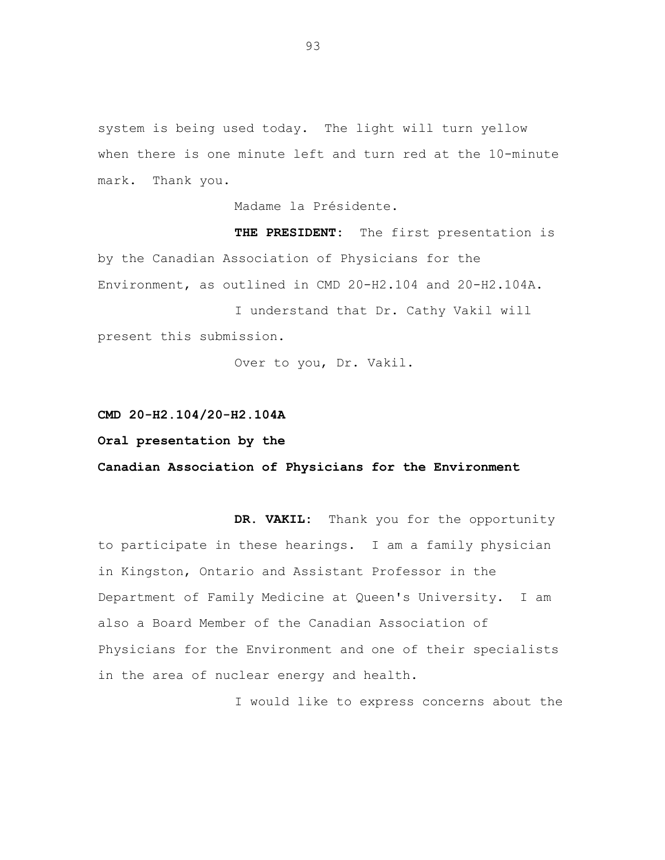system is being used today. The light will turn yellow when there is one minute left and turn red at the 10-minute mark. Thank you.

Madame la Présidente.

**THE PRESIDENT:** The first presentation is by the Canadian Association of Physicians for the Environment, as outlined in CMD 20-H2.104 and 20-H2.104A.

I understand that Dr. Cathy Vakil will present this submission.

Over to you, Dr. Vakil.

## **CMD 20-H2.104/20-H2.104A**

## **Oral presentation by the**

**Canadian Association of Physicians for the Environment**

**DR. VAKIL:** Thank you for the opportunity to participate in these hearings. I am a family physician in Kingston, Ontario and Assistant Professor in the Department of Family Medicine at Queen's University. I am also a Board Member of the Canadian Association of Physicians for the Environment and one of their specialists in the area of nuclear energy and health.

I would like to express concerns about the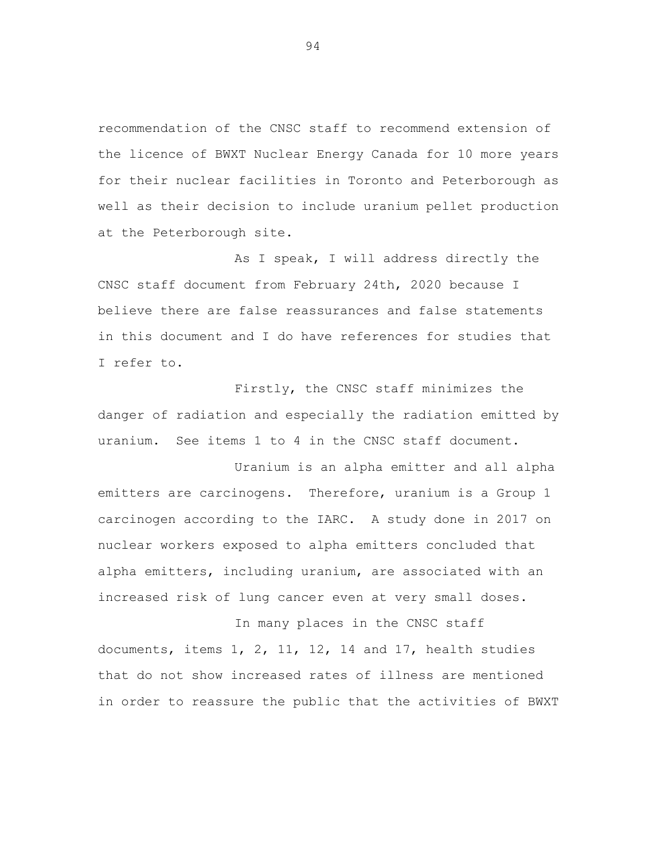recommendation of the CNSC staff to recommend extension of the licence of BWXT Nuclear Energy Canada for 10 more years for their nuclear facilities in Toronto and Peterborough as well as their decision to include uranium pellet production at the Peterborough site.

As I speak, I will address directly the CNSC staff document from February 24th, 2020 because I believe there are false reassurances and false statements in this document and I do have references for studies that I refer to.

Firstly, the CNSC staff minimizes the danger of radiation and especially the radiation emitted by uranium. See items 1 to 4 in the CNSC staff document.

Uranium is an alpha emitter and all alpha emitters are carcinogens. Therefore, uranium is a Group 1 carcinogen according to the IARC. A study done in 2017 on nuclear workers exposed to alpha emitters concluded that alpha emitters, including uranium, are associated with an increased risk of lung cancer even at very small doses.

In many places in the CNSC staff documents, items 1, 2, 11, 12, 14 and 17, health studies that do not show increased rates of illness are mentioned in order to reassure the public that the activities of BWXT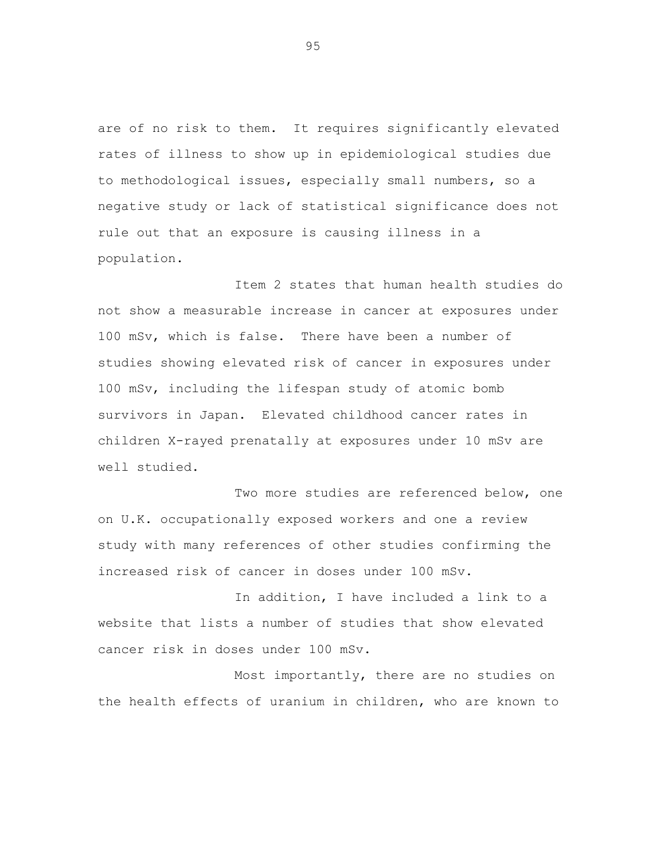are of no risk to them. It requires significantly elevated rates of illness to show up in epidemiological studies due to methodological issues, especially small numbers, so a negative study or lack of statistical significance does not rule out that an exposure is causing illness in a population.

Item 2 states that human health studies do not show a measurable increase in cancer at exposures under 100 mSv, which is false. There have been a number of studies showing elevated risk of cancer in exposures under 100 mSv, including the lifespan study of atomic bomb survivors in Japan. Elevated childhood cancer rates in children X-rayed prenatally at exposures under 10 mSv are well studied.

Two more studies are referenced below, one on U.K. occupationally exposed workers and one a review study with many references of other studies confirming the increased risk of cancer in doses under 100 mSv.

In addition, I have included a link to a website that lists a number of studies that show elevated cancer risk in doses under 100 mSv.

Most importantly, there are no studies on the health effects of uranium in children, who are known to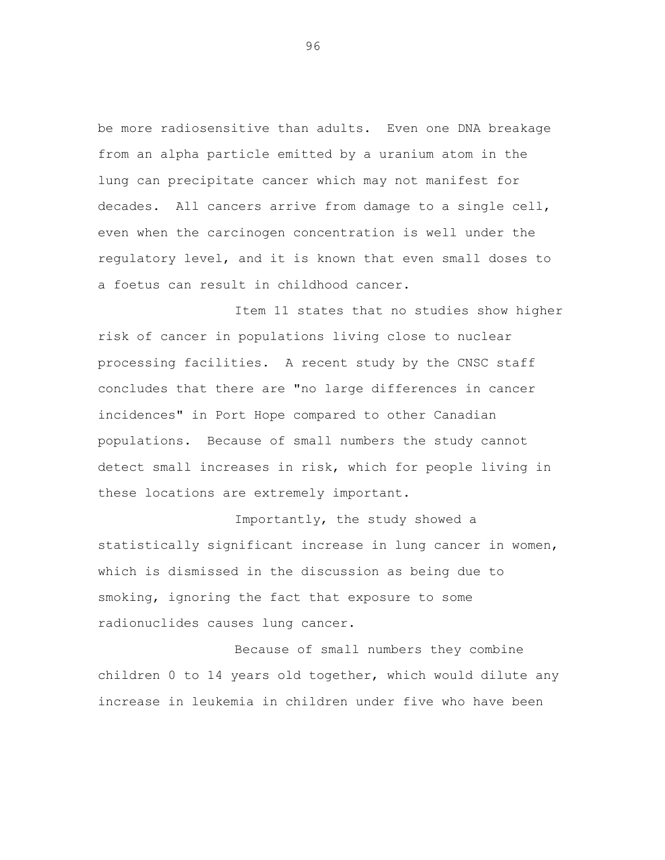be more radiosensitive than adults. Even one DNA breakage from an alpha particle emitted by a uranium atom in the lung can precipitate cancer which may not manifest for decades. All cancers arrive from damage to a single cell, even when the carcinogen concentration is well under the regulatory level, and it is known that even small doses to a foetus can result in childhood cancer.

Item 11 states that no studies show higher risk of cancer in populations living close to nuclear processing facilities. A recent study by the CNSC staff concludes that there are "no large differences in cancer incidences" in Port Hope compared to other Canadian populations. Because of small numbers the study cannot detect small increases in risk, which for people living in these locations are extremely important.

Importantly, the study showed a statistically significant increase in lung cancer in women, which is dismissed in the discussion as being due to smoking, ignoring the fact that exposure to some radionuclides causes lung cancer.

Because of small numbers they combine children 0 to 14 years old together, which would dilute any increase in leukemia in children under five who have been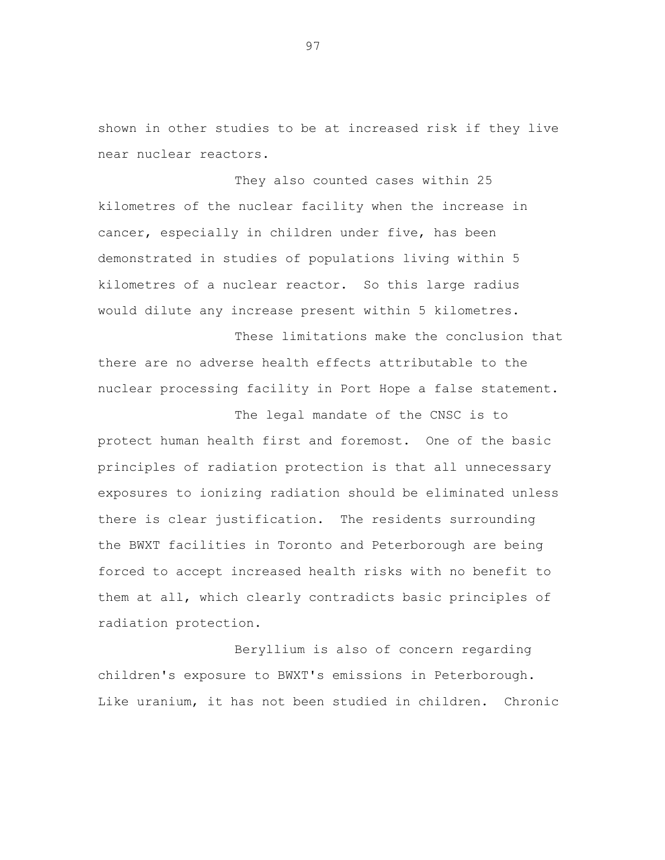shown in other studies to be at increased risk if they live near nuclear reactors.

They also counted cases within 25 kilometres of the nuclear facility when the increase in cancer, especially in children under five, has been demonstrated in studies of populations living within 5 kilometres of a nuclear reactor. So this large radius would dilute any increase present within 5 kilometres.

These limitations make the conclusion that there are no adverse health effects attributable to the nuclear processing facility in Port Hope a false statement.

The legal mandate of the CNSC is to protect human health first and foremost. One of the basic principles of radiation protection is that all unnecessary exposures to ionizing radiation should be eliminated unless there is clear justification. The residents surrounding the BWXT facilities in Toronto and Peterborough are being forced to accept increased health risks with no benefit to them at all, which clearly contradicts basic principles of radiation protection.

Beryllium is also of concern regarding children's exposure to BWXT's emissions in Peterborough. Like uranium, it has not been studied in children. Chronic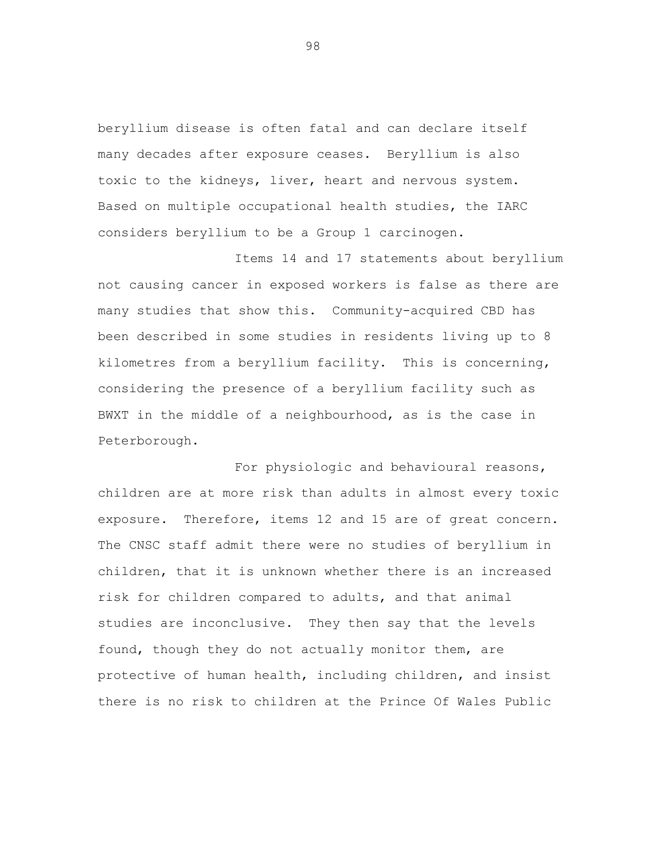beryllium disease is often fatal and can declare itself many decades after exposure ceases. Beryllium is also toxic to the kidneys, liver, heart and nervous system. Based on multiple occupational health studies, the IARC considers beryllium to be a Group 1 carcinogen.

Items 14 and 17 statements about beryllium not causing cancer in exposed workers is false as there are many studies that show this. Community-acquired CBD has been described in some studies in residents living up to 8 kilometres from a beryllium facility. This is concerning, considering the presence of a beryllium facility such as BWXT in the middle of a neighbourhood, as is the case in Peterborough.

For physiologic and behavioural reasons, children are at more risk than adults in almost every toxic exposure. Therefore, items 12 and 15 are of great concern. The CNSC staff admit there were no studies of beryllium in children, that it is unknown whether there is an increased risk for children compared to adults, and that animal studies are inconclusive. They then say that the levels found, though they do not actually monitor them, are protective of human health, including children, and insist there is no risk to children at the Prince Of Wales Public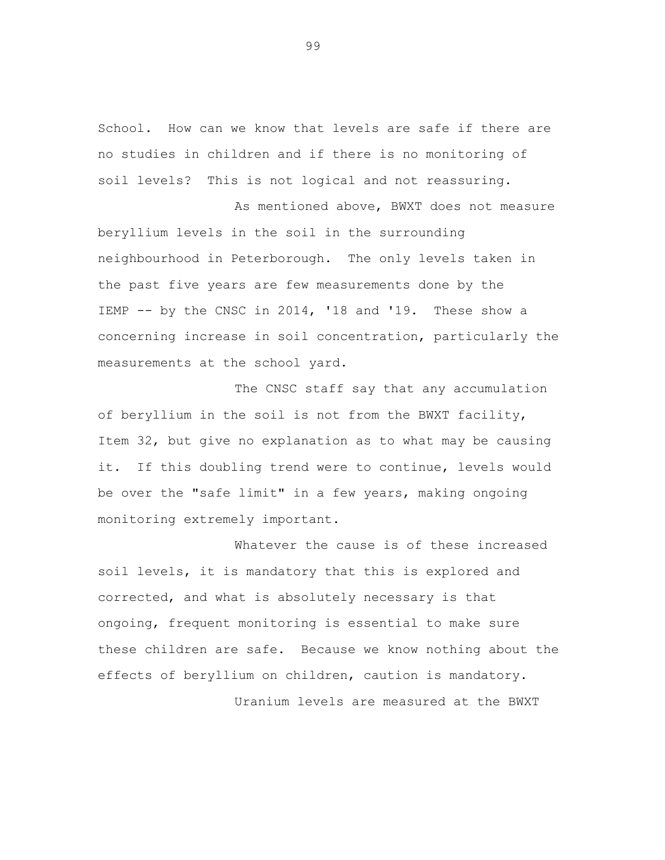School. How can we know that levels are safe if there are no studies in children and if there is no monitoring of soil levels? This is not logical and not reassuring.

As mentioned above, BWXT does not measure beryllium levels in the soil in the surrounding neighbourhood in Peterborough. The only levels taken in the past five years are few measurements done by the IEMP -- by the CNSC in 2014, '18 and '19. These show a concerning increase in soil concentration, particularly the measurements at the school yard.

The CNSC staff say that any accumulation of beryllium in the soil is not from the BWXT facility, Item 32, but give no explanation as to what may be causing it. If this doubling trend were to continue, levels would be over the "safe limit" in a few years, making ongoing monitoring extremely important.

Whatever the cause is of these increased soil levels, it is mandatory that this is explored and corrected, and what is absolutely necessary is that ongoing, frequent monitoring is essential to make sure these children are safe. Because we know nothing about the effects of beryllium on children, caution is mandatory. Uranium levels are measured at the BWXT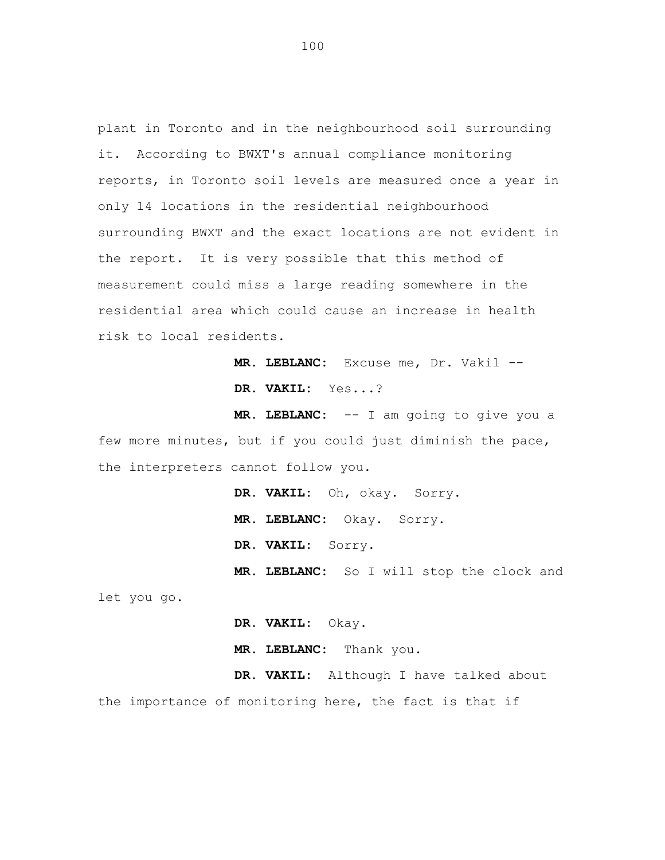plant in Toronto and in the neighbourhood soil surrounding it. According to BWXT's annual compliance monitoring reports, in Toronto soil levels are measured once a year in only 14 locations in the residential neighbourhood surrounding BWXT and the exact locations are not evident in the report. It is very possible that this method of measurement could miss a large reading somewhere in the residential area which could cause an increase in health risk to local residents.

> **MR. LEBLANC:** Excuse me, Dr. Vakil -- **DR. VAKIL:** Yes...?

**MR. LEBLANC:** -- I am going to give you a few more minutes, but if you could just diminish the pace, the interpreters cannot follow you.

> **DR. VAKIL:** Oh, okay. Sorry. **MR. LEBLANC:** Okay. Sorry. **DR. VAKIL:** Sorry. **MR. LEBLANC:** So I will stop the clock and

let you go.

**DR. VAKIL:** Okay.

**MR. LEBLANC:** Thank you.

**DR. VAKIL:** Although I have talked about the importance of monitoring here, the fact is that if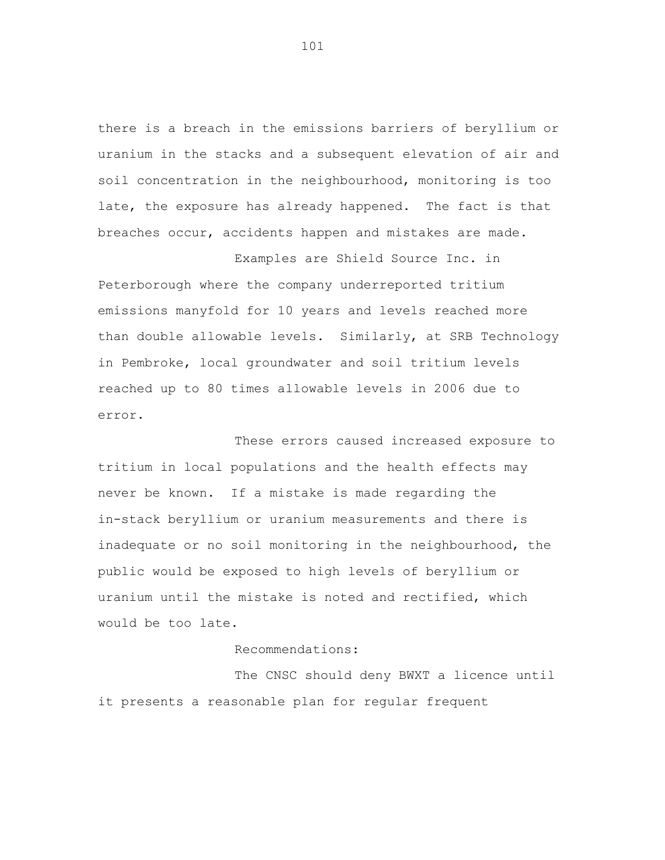there is a breach in the emissions barriers of beryllium or uranium in the stacks and a subsequent elevation of air and soil concentration in the neighbourhood, monitoring is too late, the exposure has already happened. The fact is that breaches occur, accidents happen and mistakes are made.

Examples are Shield Source Inc. in Peterborough where the company underreported tritium emissions manyfold for 10 years and levels reached more than double allowable levels. Similarly, at SRB Technology in Pembroke, local groundwater and soil tritium levels reached up to 80 times allowable levels in 2006 due to error.

These errors caused increased exposure to tritium in local populations and the health effects may never be known. If a mistake is made regarding the in-stack beryllium or uranium measurements and there is inadequate or no soil monitoring in the neighbourhood, the public would be exposed to high levels of beryllium or uranium until the mistake is noted and rectified, which would be too late.

## Recommendations:

The CNSC should deny BWXT a licence until it presents a reasonable plan for regular frequent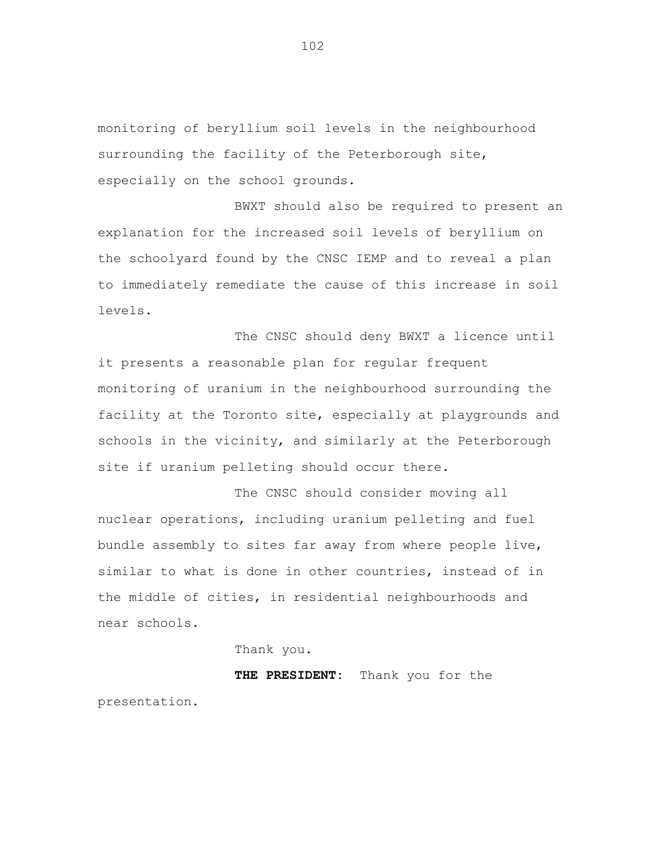monitoring of beryllium soil levels in the neighbourhood surrounding the facility of the Peterborough site, especially on the school grounds.

BWXT should also be required to present an explanation for the increased soil levels of beryllium on the schoolyard found by the CNSC IEMP and to reveal a plan to immediately remediate the cause of this increase in soil levels.

The CNSC should deny BWXT a licence until it presents a reasonable plan for regular frequent monitoring of uranium in the neighbourhood surrounding the facility at the Toronto site, especially at playgrounds and schools in the vicinity, and similarly at the Peterborough site if uranium pelleting should occur there.

The CNSC should consider moving all nuclear operations, including uranium pelleting and fuel bundle assembly to sites far away from where people live, similar to what is done in other countries, instead of in the middle of cities, in residential neighbourhoods and near schools.

Thank you.

**THE PRESIDENT:** Thank you for the presentation.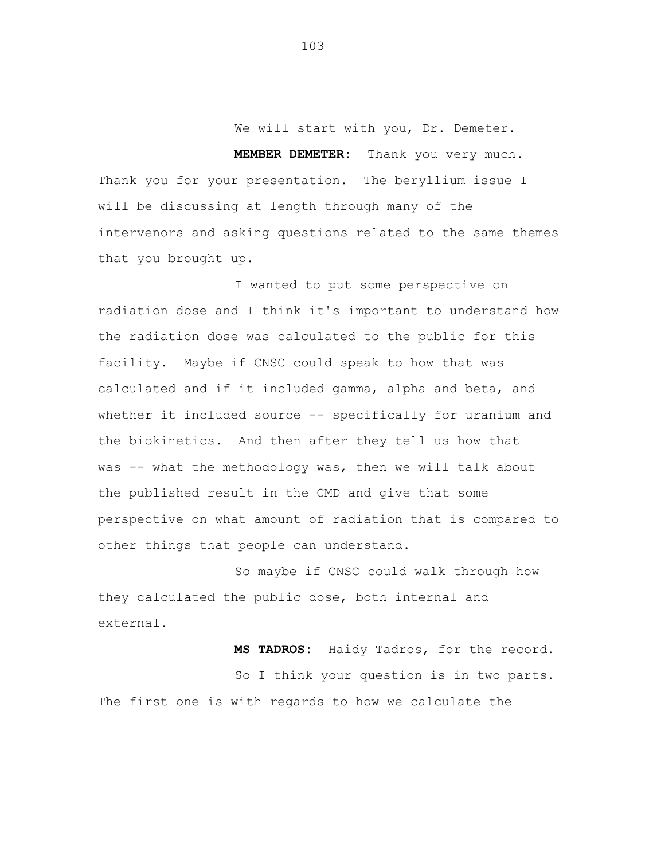We will start with you, Dr. Demeter.

**MEMBER DEMETER:** Thank you very much. Thank you for your presentation. The beryllium issue I will be discussing at length through many of the intervenors and asking questions related to the same themes that you brought up.

I wanted to put some perspective on radiation dose and I think it's important to understand how the radiation dose was calculated to the public for this facility. Maybe if CNSC could speak to how that was calculated and if it included gamma, alpha and beta, and whether it included source -- specifically for uranium and the biokinetics. And then after they tell us how that was -- what the methodology was, then we will talk about the published result in the CMD and give that some perspective on what amount of radiation that is compared to other things that people can understand.

So maybe if CNSC could walk through how they calculated the public dose, both internal and external.

**MS TADROS:** Haidy Tadros, for the record. So I think your question is in two parts. The first one is with regards to how we calculate the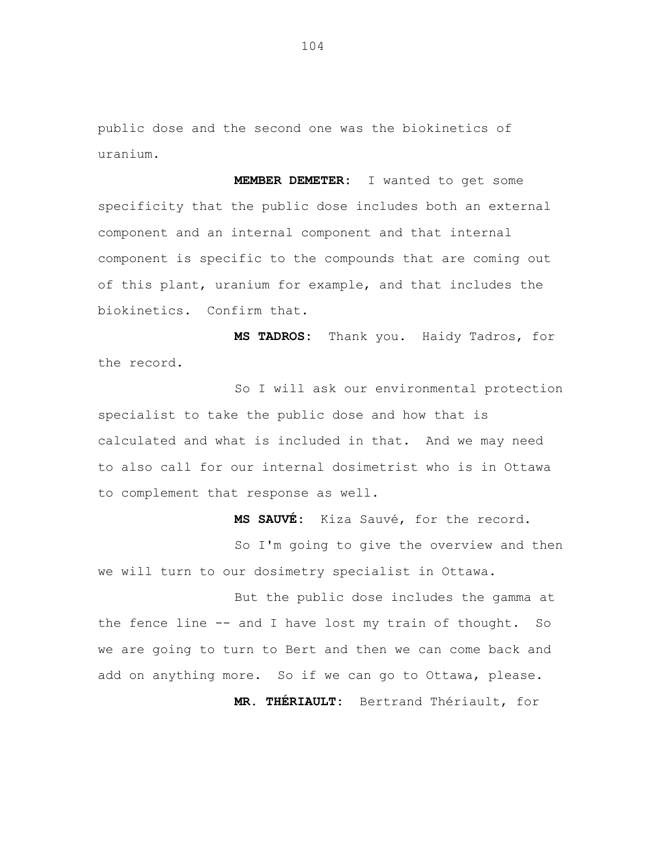public dose and the second one was the biokinetics of uranium.

**MEMBER DEMETER:** I wanted to get some specificity that the public dose includes both an external component and an internal component and that internal component is specific to the compounds that are coming out of this plant, uranium for example, and that includes the biokinetics. Confirm that.

**MS TADROS:** Thank you. Haidy Tadros, for the record.

So I will ask our environmental protection specialist to take the public dose and how that is calculated and what is included in that. And we may need to also call for our internal dosimetrist who is in Ottawa to complement that response as well.

**MS SAUVÉ:** Kiza Sauvé, for the record.

So I'm going to give the overview and then we will turn to our dosimetry specialist in Ottawa.

But the public dose includes the gamma at the fence line -- and I have lost my train of thought. So we are going to turn to Bert and then we can come back and add on anything more. So if we can go to Ottawa, please.

**MR. THÉRIAULT:** Bertrand Thériault, for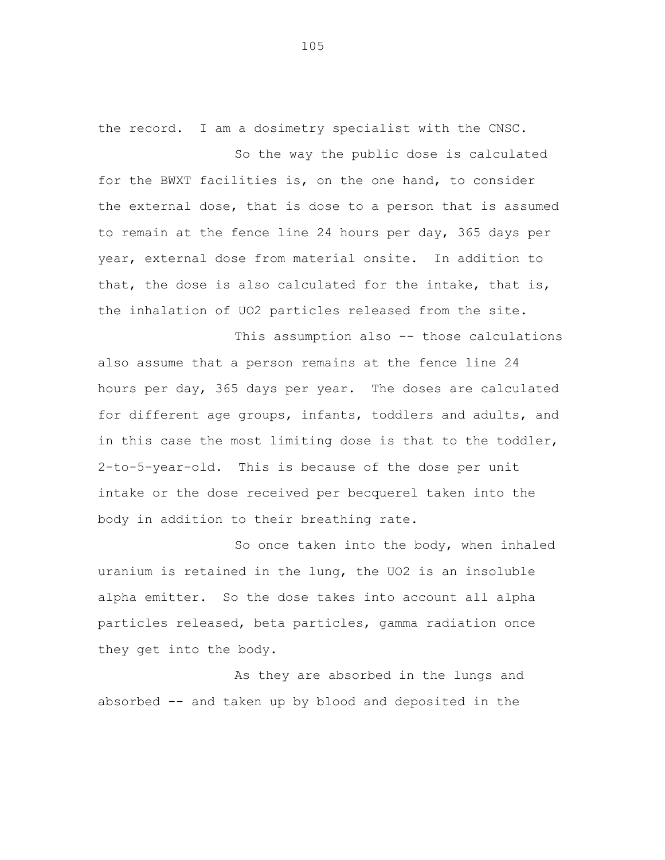the record. I am a dosimetry specialist with the CNSC. So the way the public dose is calculated

for the BWXT facilities is, on the one hand, to consider the external dose, that is dose to a person that is assumed to remain at the fence line 24 hours per day, 365 days per year, external dose from material onsite. In addition to that, the dose is also calculated for the intake, that is, the inhalation of UO2 particles released from the site.

This assumption also -- those calculations also assume that a person remains at the fence line 24 hours per day, 365 days per year. The doses are calculated for different age groups, infants, toddlers and adults, and in this case the most limiting dose is that to the toddler, 2-to-5-year-old. This is because of the dose per unit intake or the dose received per becquerel taken into the body in addition to their breathing rate.

So once taken into the body, when inhaled uranium is retained in the lung, the UO2 is an insoluble alpha emitter. So the dose takes into account all alpha particles released, beta particles, gamma radiation once they get into the body.

As they are absorbed in the lungs and absorbed -- and taken up by blood and deposited in the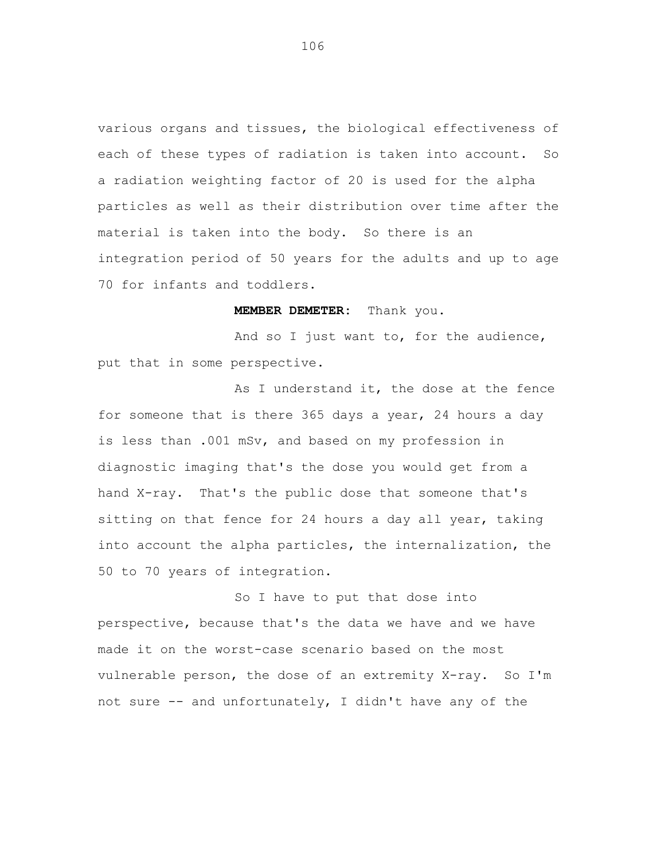various organs and tissues, the biological effectiveness of each of these types of radiation is taken into account. So a radiation weighting factor of 20 is used for the alpha particles as well as their distribution over time after the material is taken into the body. So there is an integration period of 50 years for the adults and up to age 70 for infants and toddlers.

### **MEMBER DEMETER:** Thank you.

And so I just want to, for the audience, put that in some perspective.

As I understand it, the dose at the fence for someone that is there 365 days a year, 24 hours a day is less than .001 mSv, and based on my profession in diagnostic imaging that's the dose you would get from a hand X-ray. That's the public dose that someone that's sitting on that fence for 24 hours a day all year, taking into account the alpha particles, the internalization, the 50 to 70 years of integration.

So I have to put that dose into perspective, because that's the data we have and we have made it on the worst-case scenario based on the most vulnerable person, the dose of an extremity X-ray. So I'm not sure -- and unfortunately, I didn't have any of the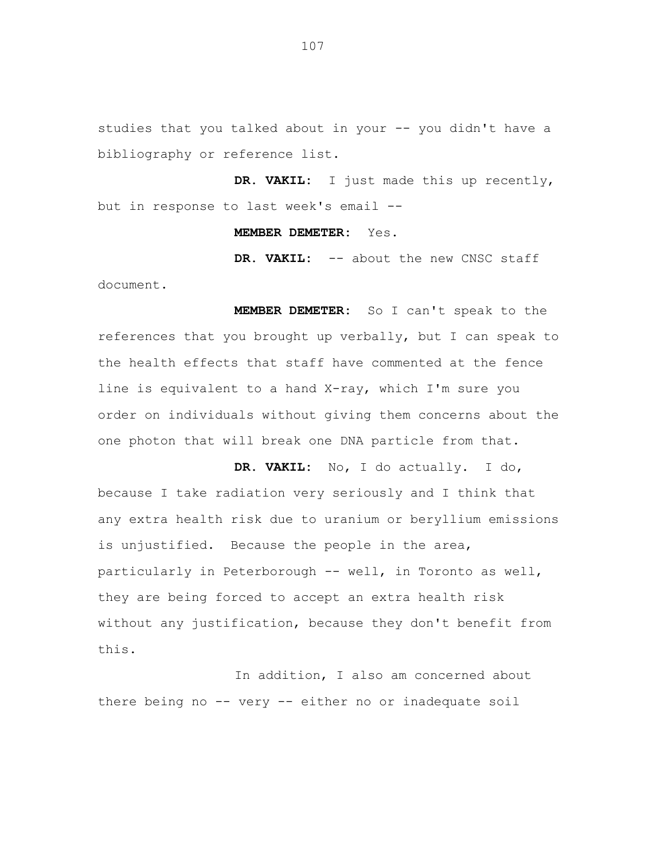studies that you talked about in your -- you didn't have a bibliography or reference list.

**DR. VAKIL:** I just made this up recently, but in response to last week's email --

#### **MEMBER DEMETER:** Yes.

DR. VAKIL: -- about the new CNSC staff document.

**MEMBER DEMETER:** So I can't speak to the references that you brought up verbally, but I can speak to the health effects that staff have commented at the fence line is equivalent to a hand X-ray, which I'm sure you order on individuals without giving them concerns about the one photon that will break one DNA particle from that.

**DR. VAKIL:** No, I do actually. I do, because I take radiation very seriously and I think that any extra health risk due to uranium or beryllium emissions is unjustified. Because the people in the area, particularly in Peterborough -- well, in Toronto as well, they are being forced to accept an extra health risk without any justification, because they don't benefit from this.

In addition, I also am concerned about there being no -- very -- either no or inadequate soil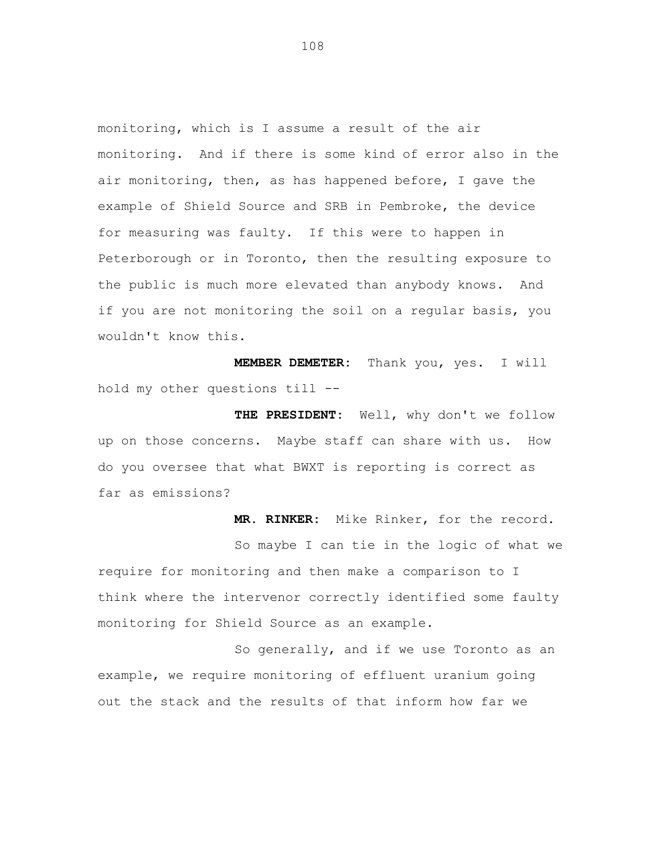monitoring, which is I assume a result of the air monitoring. And if there is some kind of error also in the air monitoring, then, as has happened before, I gave the example of Shield Source and SRB in Pembroke, the device for measuring was faulty. If this were to happen in Peterborough or in Toronto, then the resulting exposure to the public is much more elevated than anybody knows. And if you are not monitoring the soil on a regular basis, you wouldn't know this.

**MEMBER DEMETER:** Thank you, yes. I will hold my other questions till --

**THE PRESIDENT:** Well, why don't we follow up on those concerns. Maybe staff can share with us. How do you oversee that what BWXT is reporting is correct as far as emissions?

So maybe I can tie in the logic of what we require for monitoring and then make a comparison to I think where the intervenor correctly identified some faulty monitoring for Shield Source as an example.

**MR. RINKER:** Mike Rinker, for the record.

So generally, and if we use Toronto as an example, we require monitoring of effluent uranium going out the stack and the results of that inform how far we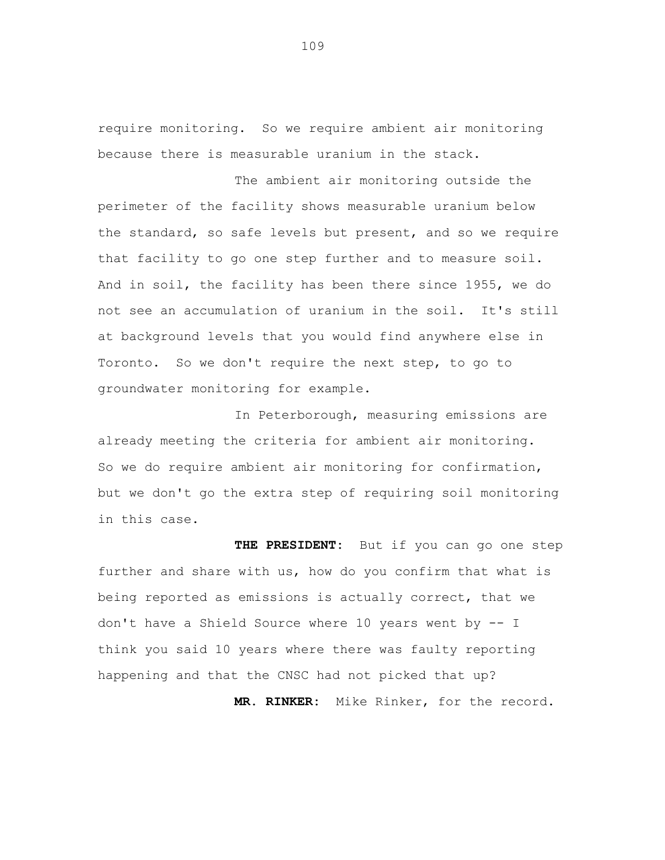require monitoring. So we require ambient air monitoring because there is measurable uranium in the stack.

The ambient air monitoring outside the perimeter of the facility shows measurable uranium below the standard, so safe levels but present, and so we require that facility to go one step further and to measure soil. And in soil, the facility has been there since 1955, we do not see an accumulation of uranium in the soil. It's still at background levels that you would find anywhere else in Toronto. So we don't require the next step, to go to groundwater monitoring for example.

In Peterborough, measuring emissions are already meeting the criteria for ambient air monitoring. So we do require ambient air monitoring for confirmation, but we don't go the extra step of requiring soil monitoring in this case.

**THE PRESIDENT:** But if you can go one step further and share with us, how do you confirm that what is being reported as emissions is actually correct, that we don't have a Shield Source where 10 years went by -- I think you said 10 years where there was faulty reporting happening and that the CNSC had not picked that up?

**MR. RINKER:** Mike Rinker, for the record.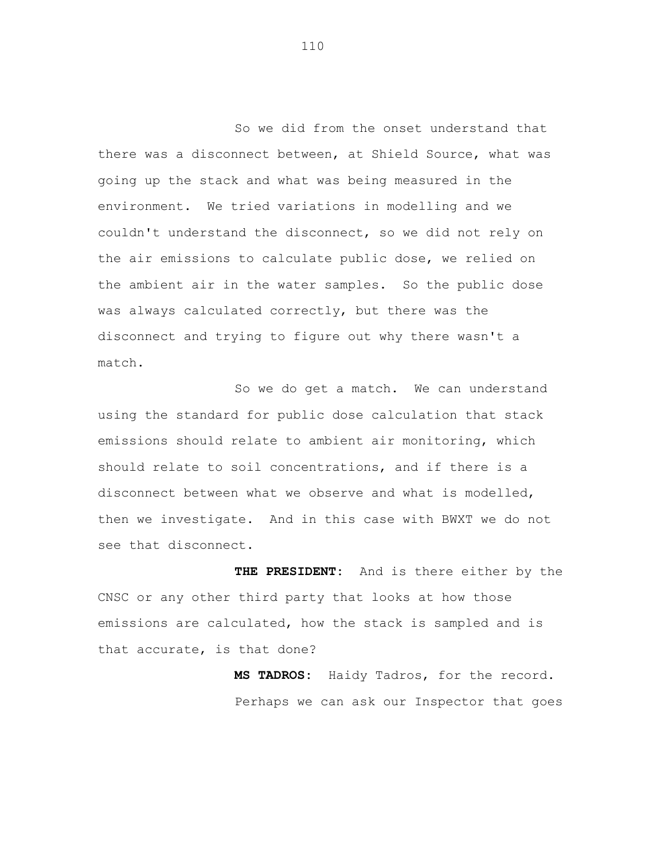So we did from the onset understand that there was a disconnect between, at Shield Source, what was going up the stack and what was being measured in the environment. We tried variations in modelling and we couldn't understand the disconnect, so we did not rely on the air emissions to calculate public dose, we relied on the ambient air in the water samples. So the public dose was always calculated correctly, but there was the disconnect and trying to figure out why there wasn't a match.

So we do get a match. We can understand using the standard for public dose calculation that stack emissions should relate to ambient air monitoring, which should relate to soil concentrations, and if there is a disconnect between what we observe and what is modelled, then we investigate. And in this case with BWXT we do not see that disconnect.

**THE PRESIDENT:** And is there either by the CNSC or any other third party that looks at how those emissions are calculated, how the stack is sampled and is that accurate, is that done?

> **MS TADROS:** Haidy Tadros, for the record. Perhaps we can ask our Inspector that goes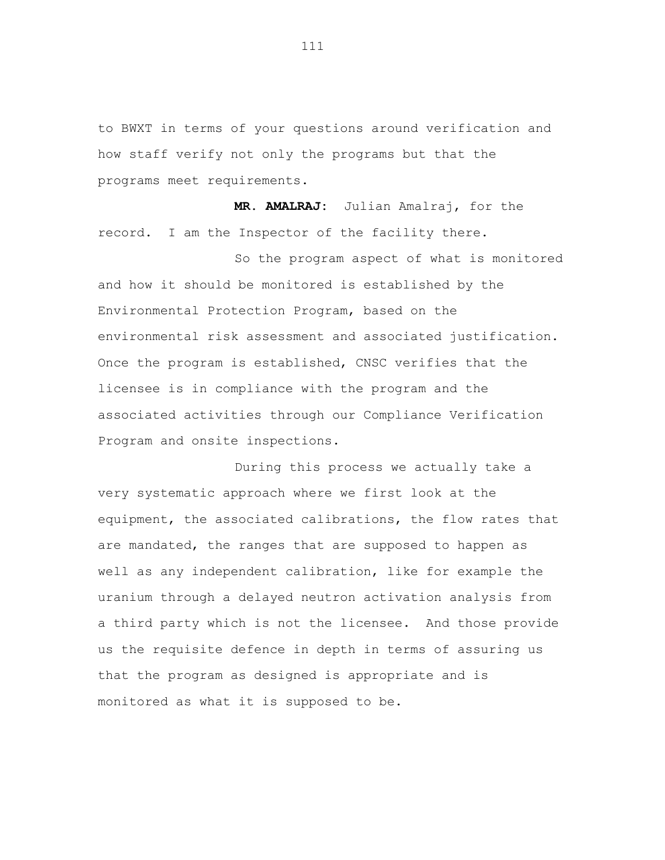to BWXT in terms of your questions around verification and how staff verify not only the programs but that the programs meet requirements.

**MR. AMALRAJ:** Julian Amalraj, for the record. I am the Inspector of the facility there.

So the program aspect of what is monitored and how it should be monitored is established by the Environmental Protection Program, based on the environmental risk assessment and associated justification. Once the program is established, CNSC verifies that the licensee is in compliance with the program and the associated activities through our Compliance Verification Program and onsite inspections.

During this process we actually take a very systematic approach where we first look at the equipment, the associated calibrations, the flow rates that are mandated, the ranges that are supposed to happen as well as any independent calibration, like for example the uranium through a delayed neutron activation analysis from a third party which is not the licensee. And those provide us the requisite defence in depth in terms of assuring us that the program as designed is appropriate and is monitored as what it is supposed to be.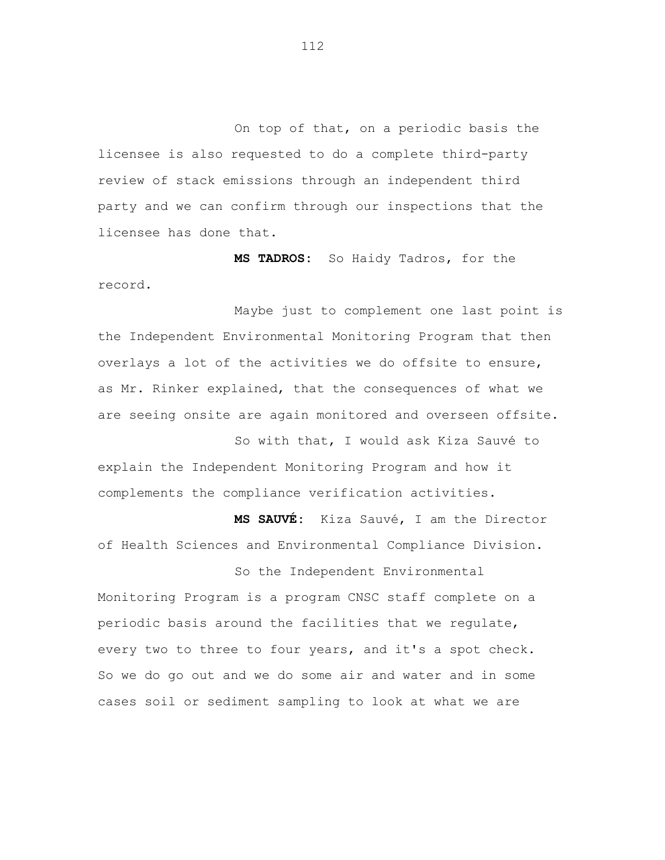On top of that, on a periodic basis the licensee is also requested to do a complete third-party review of stack emissions through an independent third party and we can confirm through our inspections that the licensee has done that.

**MS TADROS:** So Haidy Tadros, for the record.

Maybe just to complement one last point is the Independent Environmental Monitoring Program that then overlays a lot of the activities we do offsite to ensure, as Mr. Rinker explained, that the consequences of what we are seeing onsite are again monitored and overseen offsite.

So with that, I would ask Kiza Sauvé to explain the Independent Monitoring Program and how it complements the compliance verification activities.

**MS SAUVÉ:** Kiza Sauvé, I am the Director of Health Sciences and Environmental Compliance Division.

So the Independent Environmental Monitoring Program is a program CNSC staff complete on a periodic basis around the facilities that we regulate, every two to three to four years, and it's a spot check. So we do go out and we do some air and water and in some cases soil or sediment sampling to look at what we are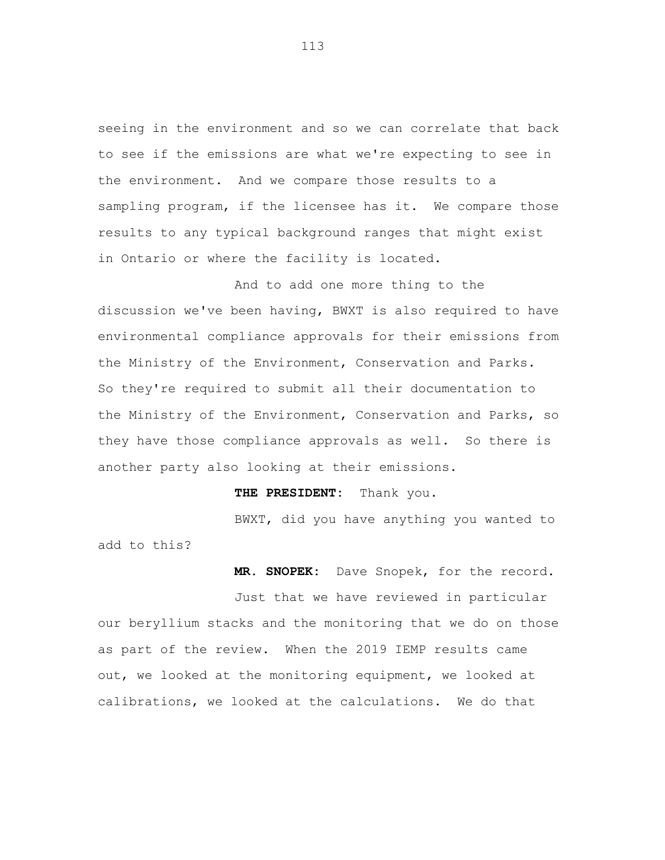seeing in the environment and so we can correlate that back to see if the emissions are what we're expecting to see in the environment. And we compare those results to a sampling program, if the licensee has it. We compare those results to any typical background ranges that might exist in Ontario or where the facility is located.

And to add one more thing to the discussion we've been having, BWXT is also required to have environmental compliance approvals for their emissions from the Ministry of the Environment, Conservation and Parks. So they're required to submit all their documentation to the Ministry of the Environment, Conservation and Parks, so they have those compliance approvals as well. So there is another party also looking at their emissions.

### **THE PRESIDENT:** Thank you.

BWXT, did you have anything you wanted to add to this?

**MR. SNOPEK:** Dave Snopek, for the record.

Just that we have reviewed in particular our beryllium stacks and the monitoring that we do on those as part of the review. When the 2019 IEMP results came out, we looked at the monitoring equipment, we looked at calibrations, we looked at the calculations. We do that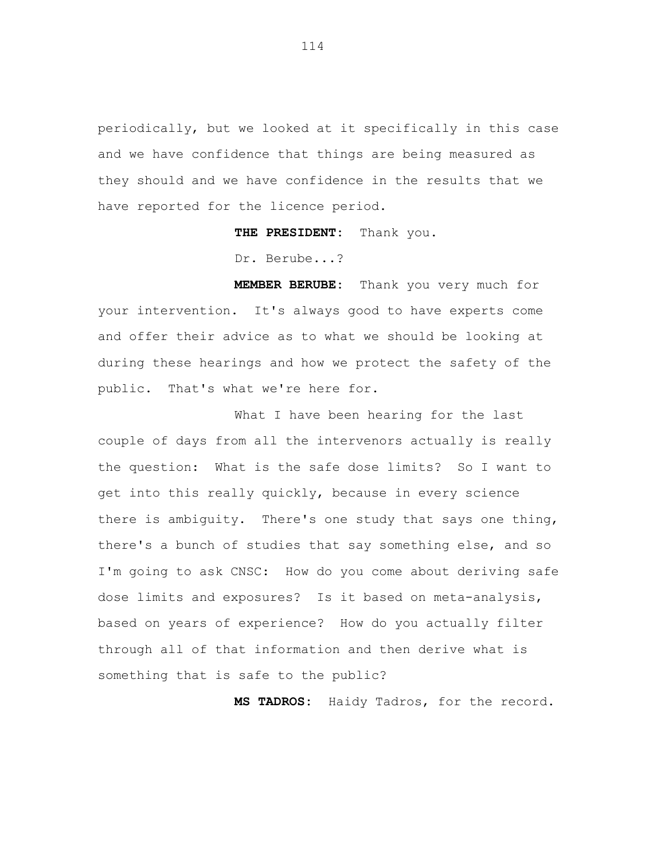periodically, but we looked at it specifically in this case and we have confidence that things are being measured as they should and we have confidence in the results that we have reported for the licence period.

**THE PRESIDENT:** Thank you.

Dr. Berube...?

**MEMBER BERUBE:** Thank you very much for your intervention. It's always good to have experts come and offer their advice as to what we should be looking at during these hearings and how we protect the safety of the public. That's what we're here for.

What I have been hearing for the last couple of days from all the intervenors actually is really the question: What is the safe dose limits? So I want to get into this really quickly, because in every science there is ambiguity. There's one study that says one thing, there's a bunch of studies that say something else, and so I'm going to ask CNSC: How do you come about deriving safe dose limits and exposures? Is it based on meta-analysis, based on years of experience? How do you actually filter through all of that information and then derive what is something that is safe to the public?

**MS TADROS:** Haidy Tadros, for the record.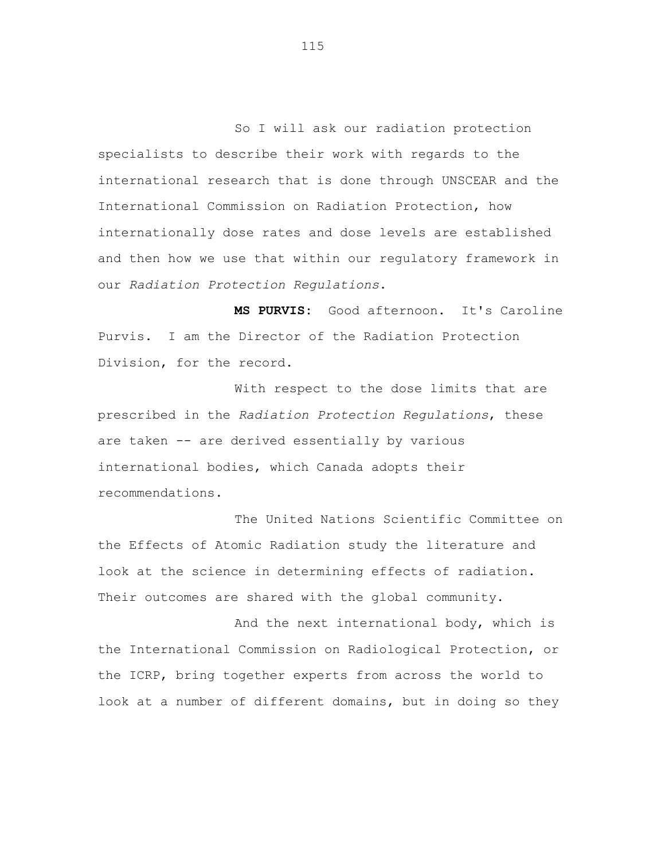So I will ask our radiation protection specialists to describe their work with regards to the international research that is done through UNSCEAR and the International Commission on Radiation Protection, how internationally dose rates and dose levels are established and then how we use that within our regulatory framework in our *Radiation Protection Regulations*.

**MS PURVIS:** Good afternoon. It's Caroline Purvis. I am the Director of the Radiation Protection Division, for the record.

With respect to the dose limits that are prescribed in the *Radiation Protection Regulations*, these are taken -- are derived essentially by various international bodies, which Canada adopts their recommendations.

The United Nations Scientific Committee on the Effects of Atomic Radiation study the literature and look at the science in determining effects of radiation. Their outcomes are shared with the global community.

And the next international body, which is the International Commission on Radiological Protection, or the ICRP, bring together experts from across the world to look at a number of different domains, but in doing so they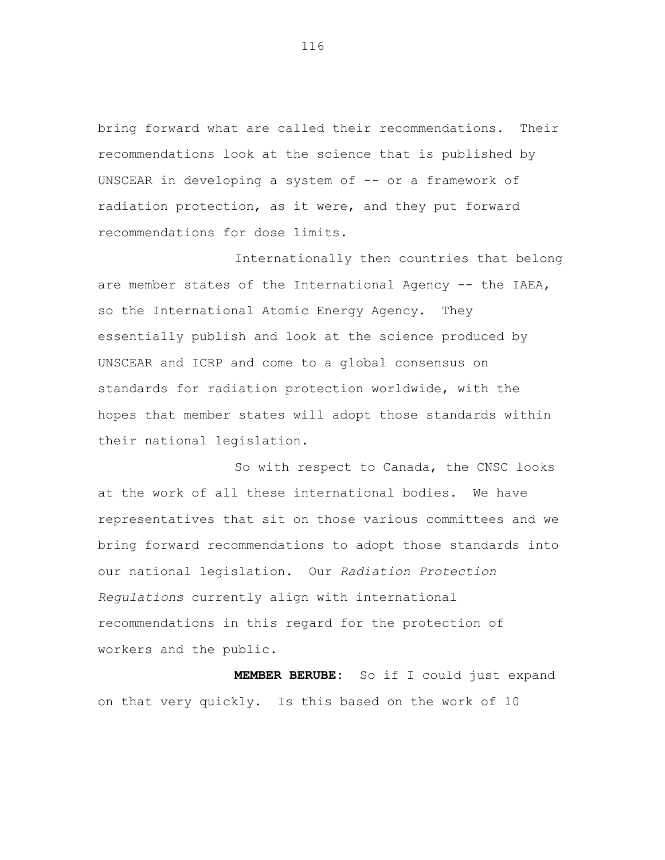bring forward what are called their recommendations. Their recommendations look at the science that is published by UNSCEAR in developing a system of -- or a framework of radiation protection, as it were, and they put forward recommendations for dose limits.

Internationally then countries that belong are member states of the International Agency -- the IAEA, so the International Atomic Energy Agency. They essentially publish and look at the science produced by UNSCEAR and ICRP and come to a global consensus on standards for radiation protection worldwide, with the hopes that member states will adopt those standards within their national legislation.

So with respect to Canada, the CNSC looks at the work of all these international bodies. We have representatives that sit on those various committees and we bring forward recommendations to adopt those standards into our national legislation. Our *Radiation Protection Regulations* currently align with international recommendations in this regard for the protection of workers and the public.

**MEMBER BERUBE:** So if I could just expand on that very quickly. Is this based on the work of 10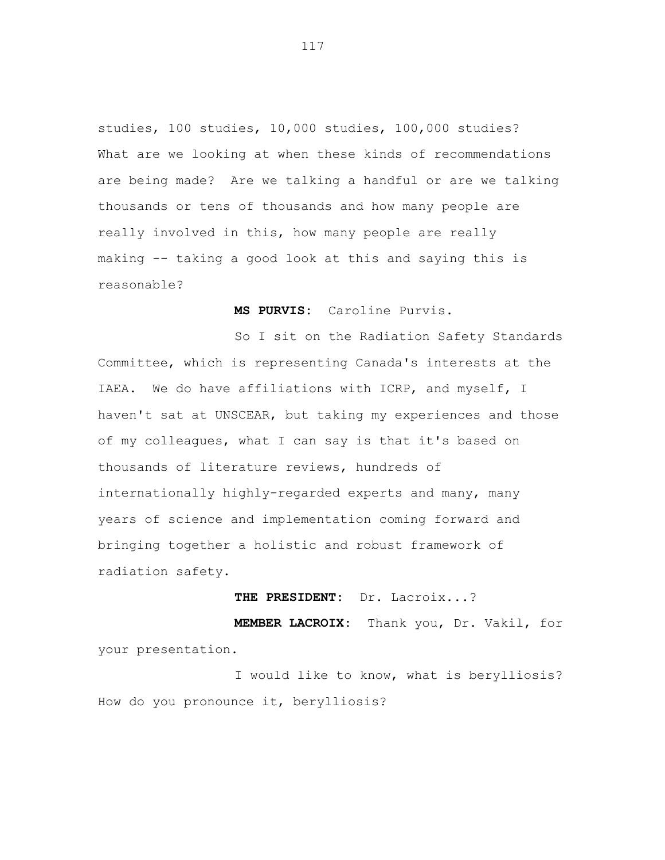studies, 100 studies, 10,000 studies, 100,000 studies? What are we looking at when these kinds of recommendations are being made? Are we talking a handful or are we talking thousands or tens of thousands and how many people are really involved in this, how many people are really making -- taking a good look at this and saying this is reasonable?

**MS PURVIS:** Caroline Purvis.

So I sit on the Radiation Safety Standards Committee, which is representing Canada's interests at the IAEA. We do have affiliations with ICRP, and myself, I haven't sat at UNSCEAR, but taking my experiences and those of my colleagues, what I can say is that it's based on thousands of literature reviews, hundreds of internationally highly-regarded experts and many, many years of science and implementation coming forward and bringing together a holistic and robust framework of radiation safety.

**THE PRESIDENT:** Dr. Lacroix...?

**MEMBER LACROIX:** Thank you, Dr. Vakil, for your presentation.

I would like to know, what is berylliosis? How do you pronounce it, berylliosis?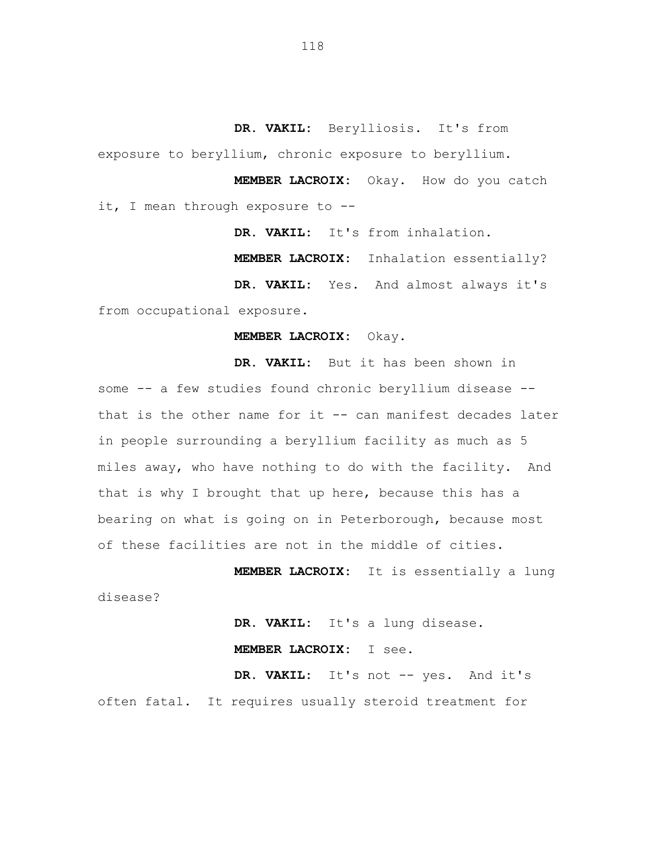**DR. VAKIL:** Berylliosis. It's from exposure to beryllium, chronic exposure to beryllium.

**MEMBER LACROIX:** Okay. How do you catch it, I mean through exposure to --

**DR. VAKIL:** It's from inhalation.

**MEMBER LACROIX:** Inhalation essentially?

**DR. VAKIL:** Yes. And almost always it's from occupational exposure.

### **MEMBER LACROIX:** Okay.

**DR. VAKIL:** But it has been shown in some -- a few studies found chronic beryllium disease -that is the other name for it  $-$ - can manifest decades later in people surrounding a beryllium facility as much as 5 miles away, who have nothing to do with the facility. And that is why I brought that up here, because this has a bearing on what is going on in Peterborough, because most of these facilities are not in the middle of cities.

**MEMBER LACROIX:** It is essentially a lung disease?

> **DR. VAKIL:** It's a lung disease. **MEMBER LACROIX:** I see.

**DR. VAKIL:** It's not -- yes. And it's often fatal. It requires usually steroid treatment for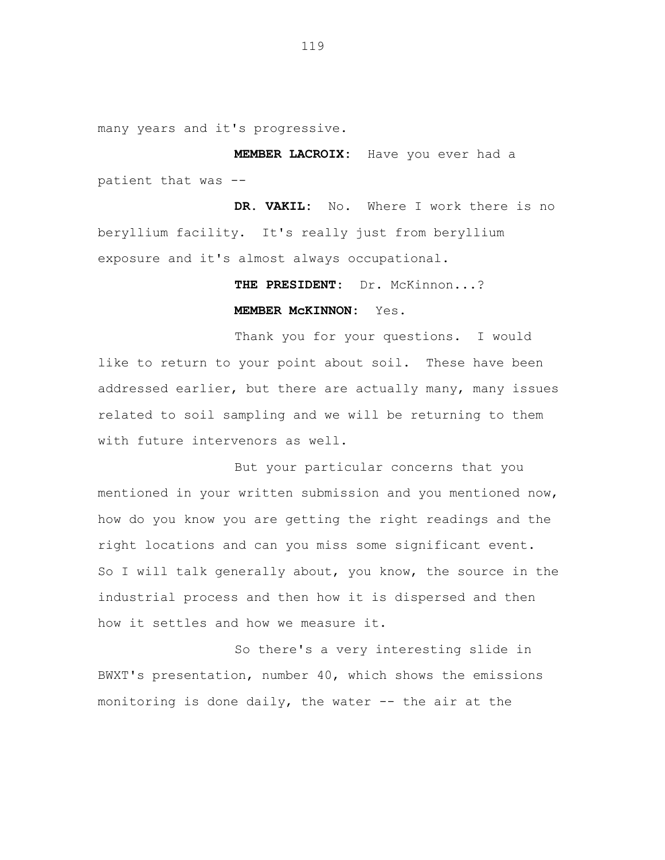many years and it's progressive.

**MEMBER LACROIX:** Have you ever had a patient that was --

**DR. VAKIL:** No. Where I work there is no beryllium facility. It's really just from beryllium exposure and it's almost always occupational.

# **THE PRESIDENT:** Dr. McKinnon...? **MEMBER McKINNON:** Yes.

Thank you for your questions. I would like to return to your point about soil. These have been addressed earlier, but there are actually many, many issues related to soil sampling and we will be returning to them with future intervenors as well.

But your particular concerns that you mentioned in your written submission and you mentioned now, how do you know you are getting the right readings and the right locations and can you miss some significant event. So I will talk generally about, you know, the source in the industrial process and then how it is dispersed and then how it settles and how we measure it.

So there's a very interesting slide in BWXT's presentation, number 40, which shows the emissions monitoring is done daily, the water -- the air at the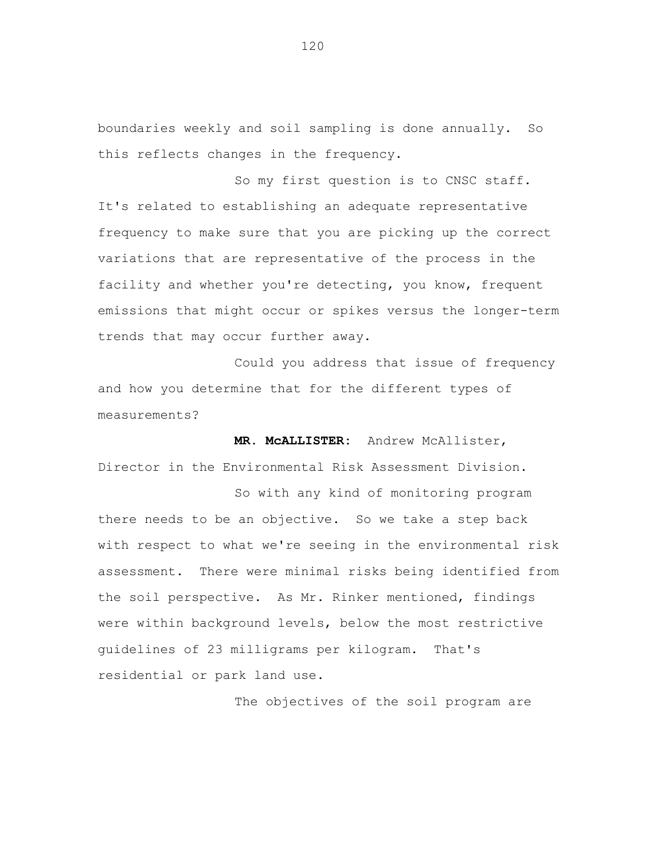boundaries weekly and soil sampling is done annually. So this reflects changes in the frequency.

So my first question is to CNSC staff. It's related to establishing an adequate representative frequency to make sure that you are picking up the correct variations that are representative of the process in the facility and whether you're detecting, you know, frequent emissions that might occur or spikes versus the longer-term trends that may occur further away.

Could you address that issue of frequency and how you determine that for the different types of measurements?

**MR. McALLISTER:** Andrew McAllister, Director in the Environmental Risk Assessment Division.

So with any kind of monitoring program there needs to be an objective. So we take a step back with respect to what we're seeing in the environmental risk assessment. There were minimal risks being identified from the soil perspective. As Mr. Rinker mentioned, findings were within background levels, below the most restrictive guidelines of 23 milligrams per kilogram. That's residential or park land use.

The objectives of the soil program are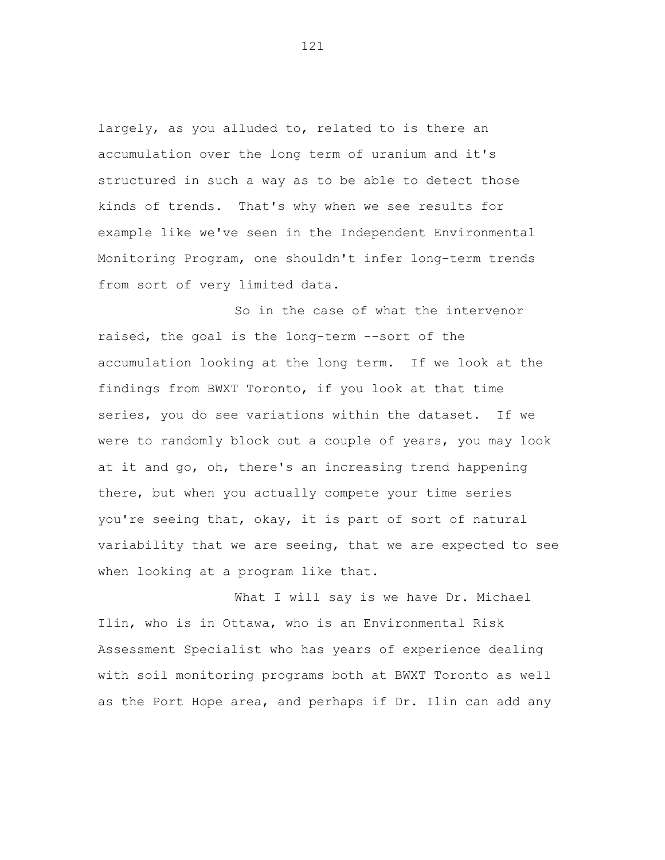largely, as you alluded to, related to is there an accumulation over the long term of uranium and it's structured in such a way as to be able to detect those kinds of trends. That's why when we see results for example like we've seen in the Independent Environmental Monitoring Program, one shouldn't infer long-term trends from sort of very limited data.

So in the case of what the intervenor raised, the goal is the long-term --sort of the accumulation looking at the long term. If we look at the findings from BWXT Toronto, if you look at that time series, you do see variations within the dataset. If we were to randomly block out a couple of years, you may look at it and go, oh, there's an increasing trend happening there, but when you actually compete your time series you're seeing that, okay, it is part of sort of natural variability that we are seeing, that we are expected to see when looking at a program like that.

What I will say is we have Dr. Michael Ilin, who is in Ottawa, who is an Environmental Risk Assessment Specialist who has years of experience dealing with soil monitoring programs both at BWXT Toronto as well as the Port Hope area, and perhaps if Dr. Ilin can add any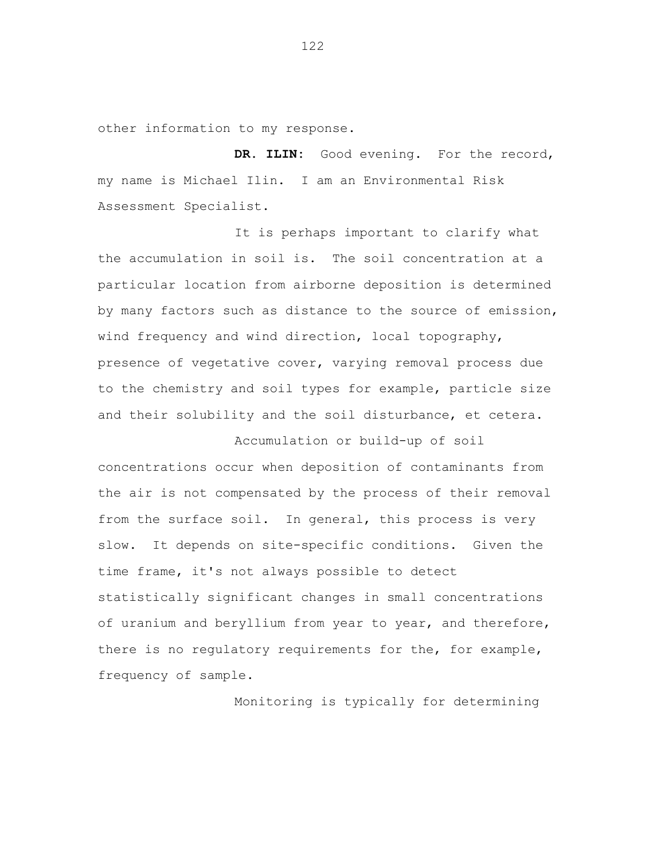other information to my response.

DR. ILIN: Good evening. For the record, my name is Michael Ilin. I am an Environmental Risk Assessment Specialist.

It is perhaps important to clarify what the accumulation in soil is. The soil concentration at a particular location from airborne deposition is determined by many factors such as distance to the source of emission, wind frequency and wind direction, local topography, presence of vegetative cover, varying removal process due to the chemistry and soil types for example, particle size and their solubility and the soil disturbance, et cetera.

Accumulation or build-up of soil concentrations occur when deposition of contaminants from the air is not compensated by the process of their removal from the surface soil. In general, this process is very slow. It depends on site-specific conditions. Given the time frame, it's not always possible to detect statistically significant changes in small concentrations of uranium and beryllium from year to year, and therefore, there is no regulatory requirements for the, for example, frequency of sample.

Monitoring is typically for determining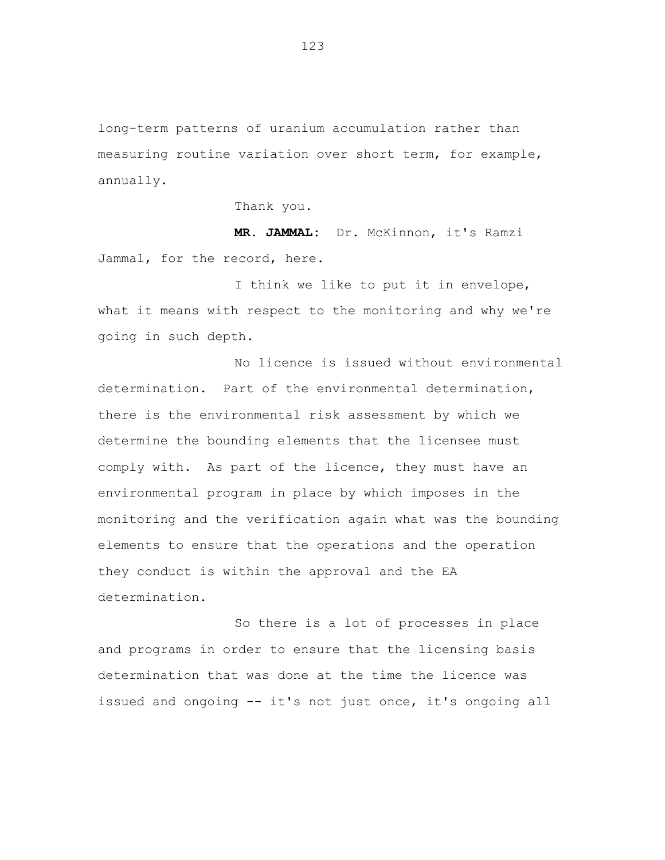long-term patterns of uranium accumulation rather than measuring routine variation over short term, for example, annually.

Thank you.

**MR. JAMMAL:** Dr. McKinnon, it's Ramzi Jammal, for the record, here.

I think we like to put it in envelope, what it means with respect to the monitoring and why we're going in such depth.

No licence is issued without environmental determination. Part of the environmental determination, there is the environmental risk assessment by which we determine the bounding elements that the licensee must comply with. As part of the licence, they must have an environmental program in place by which imposes in the monitoring and the verification again what was the bounding elements to ensure that the operations and the operation they conduct is within the approval and the EA determination.

So there is a lot of processes in place and programs in order to ensure that the licensing basis determination that was done at the time the licence was issued and ongoing -- it's not just once, it's ongoing all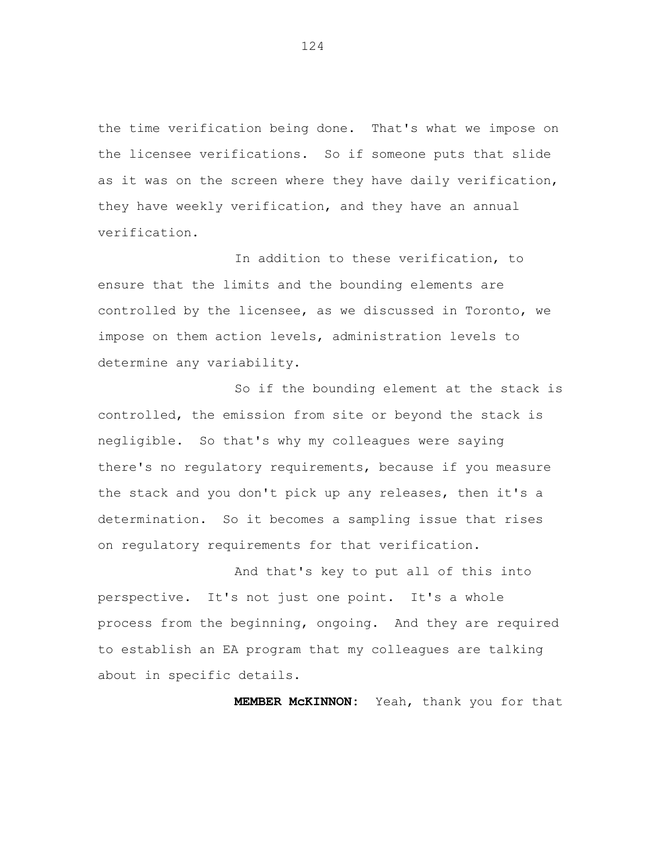the time verification being done. That's what we impose on the licensee verifications. So if someone puts that slide as it was on the screen where they have daily verification, they have weekly verification, and they have an annual verification.

In addition to these verification, to ensure that the limits and the bounding elements are controlled by the licensee, as we discussed in Toronto, we impose on them action levels, administration levels to determine any variability.

So if the bounding element at the stack is controlled, the emission from site or beyond the stack is negligible. So that's why my colleagues were saying there's no regulatory requirements, because if you measure the stack and you don't pick up any releases, then it's a determination. So it becomes a sampling issue that rises on regulatory requirements for that verification.

And that's key to put all of this into perspective. It's not just one point. It's a whole process from the beginning, ongoing. And they are required to establish an EA program that my colleagues are talking about in specific details.

**MEMBER McKINNON:** Yeah, thank you for that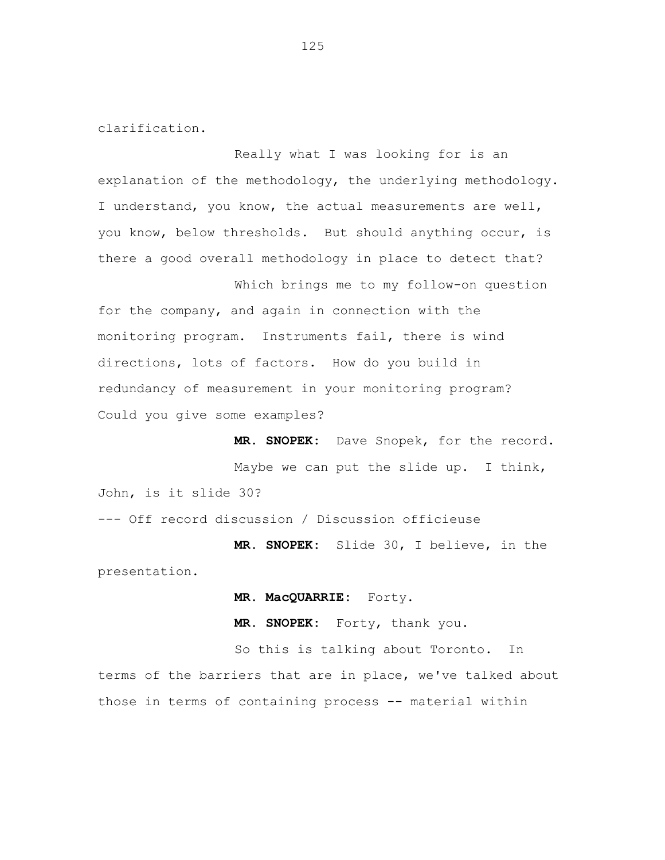clarification.

Really what I was looking for is an explanation of the methodology, the underlying methodology. I understand, you know, the actual measurements are well, you know, below thresholds. But should anything occur, is there a good overall methodology in place to detect that?

Which brings me to my follow-on question for the company, and again in connection with the monitoring program. Instruments fail, there is wind directions, lots of factors. How do you build in redundancy of measurement in your monitoring program? Could you give some examples?

**MR. SNOPEK:** Dave Snopek, for the record. Maybe we can put the slide up. I think, John, is it slide 30?

--- Off record discussion / Discussion officieuse

**MR. SNOPEK:** Slide 30, I believe, in the presentation.

**MR. MacQUARRIE:** Forty.

**MR. SNOPEK:** Forty, thank you.

So this is talking about Toronto. In terms of the barriers that are in place, we've talked about those in terms of containing process -- material within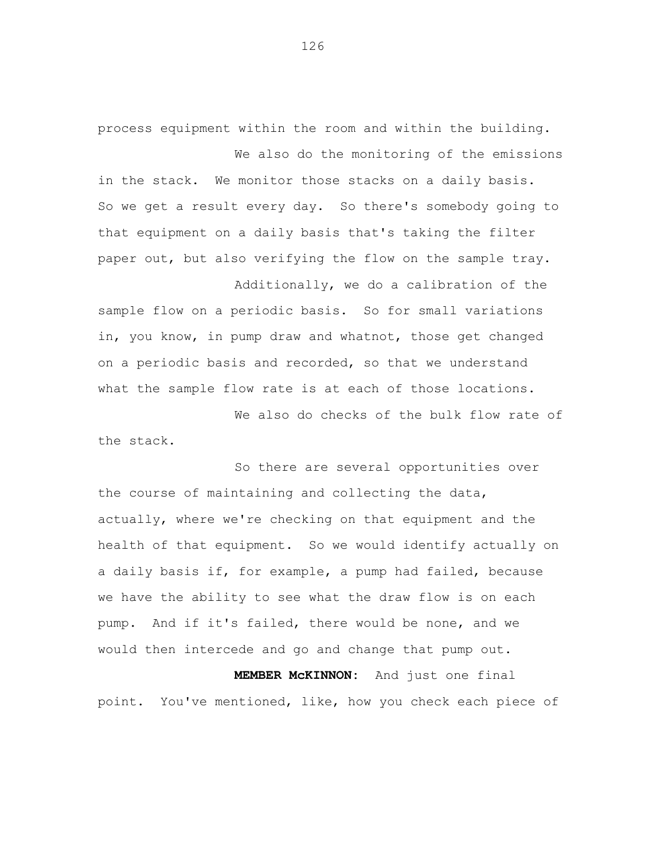process equipment within the room and within the building. We also do the monitoring of the emissions

in the stack. We monitor those stacks on a daily basis. So we get a result every day. So there's somebody going to that equipment on a daily basis that's taking the filter paper out, but also verifying the flow on the sample tray.

Additionally, we do a calibration of the sample flow on a periodic basis. So for small variations in, you know, in pump draw and whatnot, those get changed on a periodic basis and recorded, so that we understand what the sample flow rate is at each of those locations.

We also do checks of the bulk flow rate of the stack.

So there are several opportunities over the course of maintaining and collecting the data, actually, where we're checking on that equipment and the health of that equipment. So we would identify actually on a daily basis if, for example, a pump had failed, because we have the ability to see what the draw flow is on each pump. And if it's failed, there would be none, and we would then intercede and go and change that pump out.

**MEMBER McKINNON:** And just one final point. You've mentioned, like, how you check each piece of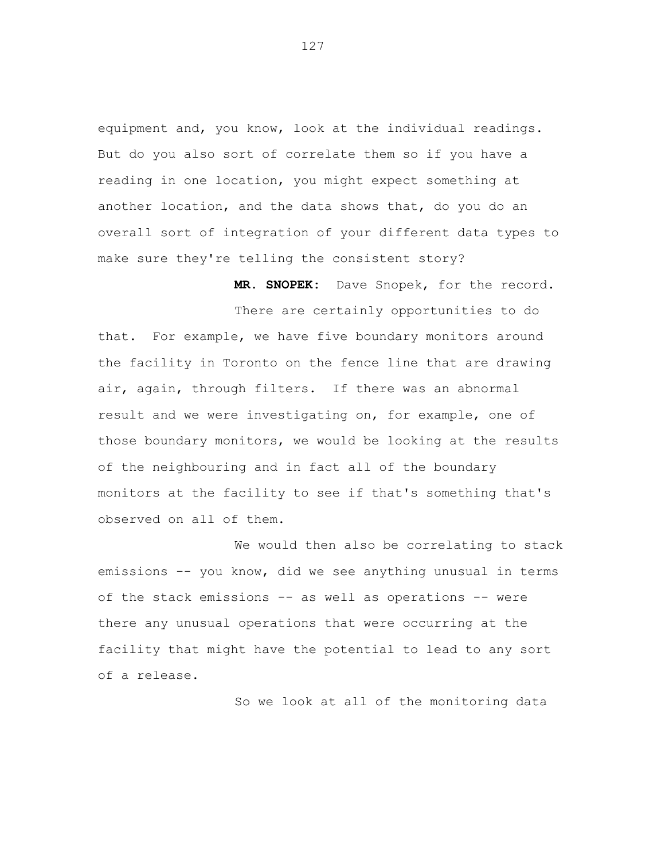equipment and, you know, look at the individual readings. But do you also sort of correlate them so if you have a reading in one location, you might expect something at another location, and the data shows that, do you do an overall sort of integration of your different data types to make sure they're telling the consistent story?

**MR. SNOPEK:** Dave Snopek, for the record.

There are certainly opportunities to do that. For example, we have five boundary monitors around the facility in Toronto on the fence line that are drawing air, again, through filters. If there was an abnormal result and we were investigating on, for example, one of those boundary monitors, we would be looking at the results of the neighbouring and in fact all of the boundary monitors at the facility to see if that's something that's observed on all of them.

We would then also be correlating to stack emissions -- you know, did we see anything unusual in terms of the stack emissions -- as well as operations -- were there any unusual operations that were occurring at the facility that might have the potential to lead to any sort of a release.

So we look at all of the monitoring data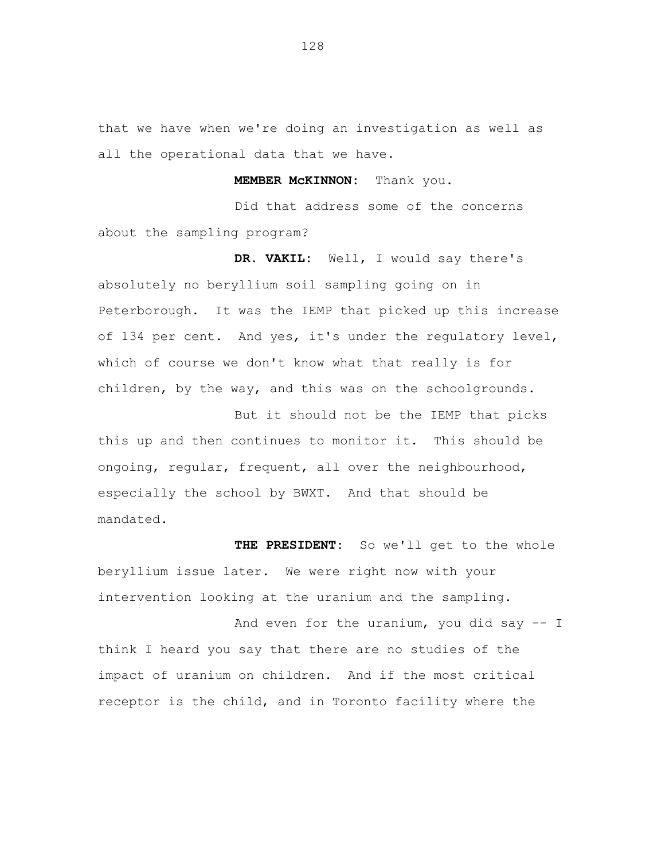that we have when we're doing an investigation as well as all the operational data that we have.

**MEMBER McKINNON:** Thank you.

Did that address some of the concerns about the sampling program?

**DR. VAKIL:** Well, I would say there's absolutely no beryllium soil sampling going on in Peterborough. It was the IEMP that picked up this increase of 134 per cent. And yes, it's under the regulatory level, which of course we don't know what that really is for children, by the way, and this was on the schoolgrounds.

But it should not be the IEMP that picks this up and then continues to monitor it. This should be ongoing, regular, frequent, all over the neighbourhood, especially the school by BWXT. And that should be mandated.

**THE PRESIDENT:** So we'll get to the whole beryllium issue later. We were right now with your intervention looking at the uranium and the sampling.

And even for the uranium, you did say -- I think I heard you say that there are no studies of the impact of uranium on children. And if the most critical receptor is the child, and in Toronto facility where the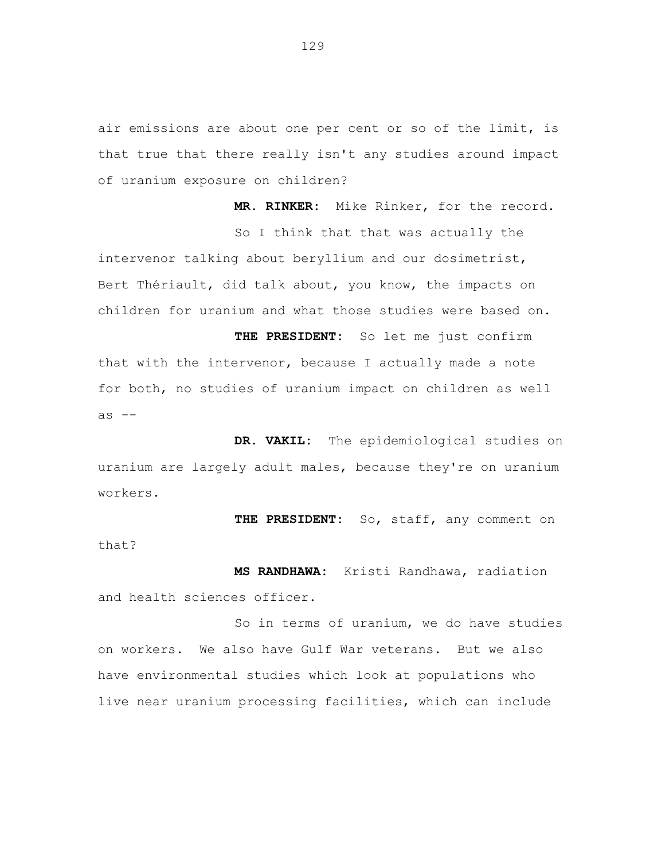air emissions are about one per cent or so of the limit, is that true that there really isn't any studies around impact of uranium exposure on children?

**MR. RINKER:** Mike Rinker, for the record. So I think that that was actually the intervenor talking about beryllium and our dosimetrist, Bert Thériault, did talk about, you know, the impacts on children for uranium and what those studies were based on.

**THE PRESIDENT:** So let me just confirm that with the intervenor, because I actually made a note for both, no studies of uranium impact on children as well as  $-$ 

**DR. VAKIL:** The epidemiological studies on uranium are largely adult males, because they're on uranium workers.

**THE PRESIDENT:** So, staff, any comment on that?

**MS RANDHAWA:** Kristi Randhawa, radiation and health sciences officer.

So in terms of uranium, we do have studies on workers. We also have Gulf War veterans. But we also have environmental studies which look at populations who live near uranium processing facilities, which can include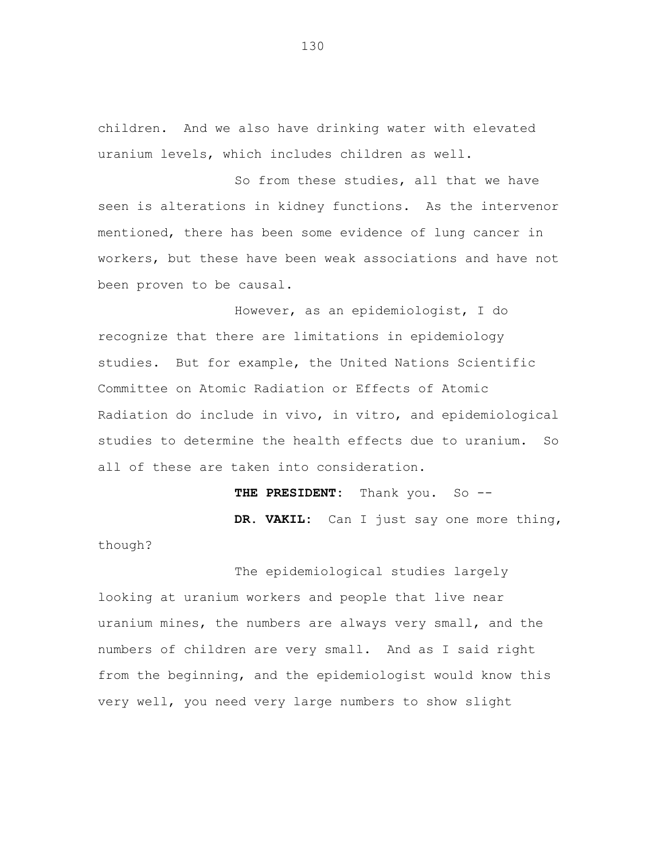children. And we also have drinking water with elevated uranium levels, which includes children as well.

So from these studies, all that we have seen is alterations in kidney functions. As the intervenor mentioned, there has been some evidence of lung cancer in workers, but these have been weak associations and have not been proven to be causal.

However, as an epidemiologist, I do recognize that there are limitations in epidemiology studies. But for example, the United Nations Scientific Committee on Atomic Radiation or Effects of Atomic Radiation do include in vivo, in vitro, and epidemiological studies to determine the health effects due to uranium. So all of these are taken into consideration.

> THE PRESIDENT: Thank you. So --**DR. VAKIL:** Can I just say one more thing,

The epidemiological studies largely looking at uranium workers and people that live near uranium mines, the numbers are always very small, and the numbers of children are very small. And as I said right from the beginning, and the epidemiologist would know this very well, you need very large numbers to show slight

though?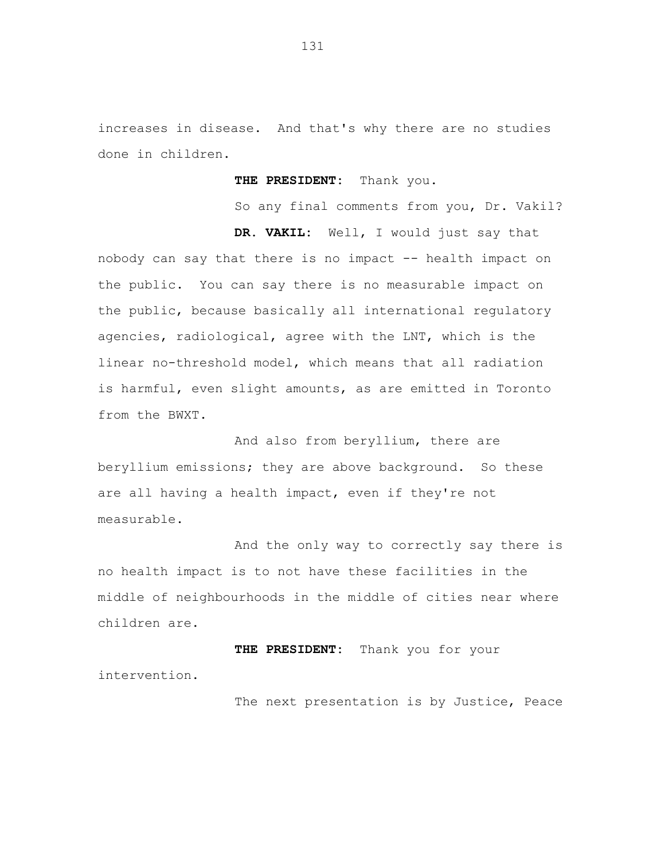increases in disease. And that's why there are no studies done in children.

**THE PRESIDENT:** Thank you.

So any final comments from you, Dr. Vakil?

**DR. VAKIL:** Well, I would just say that nobody can say that there is no impact -- health impact on the public. You can say there is no measurable impact on the public, because basically all international regulatory agencies, radiological, agree with the LNT, which is the linear no-threshold model, which means that all radiation is harmful, even slight amounts, as are emitted in Toronto from the BWXT.

And also from beryllium, there are beryllium emissions; they are above background. So these are all having a health impact, even if they're not measurable.

And the only way to correctly say there is no health impact is to not have these facilities in the middle of neighbourhoods in the middle of cities near where children are.

**THE PRESIDENT:** Thank you for your intervention.

The next presentation is by Justice, Peace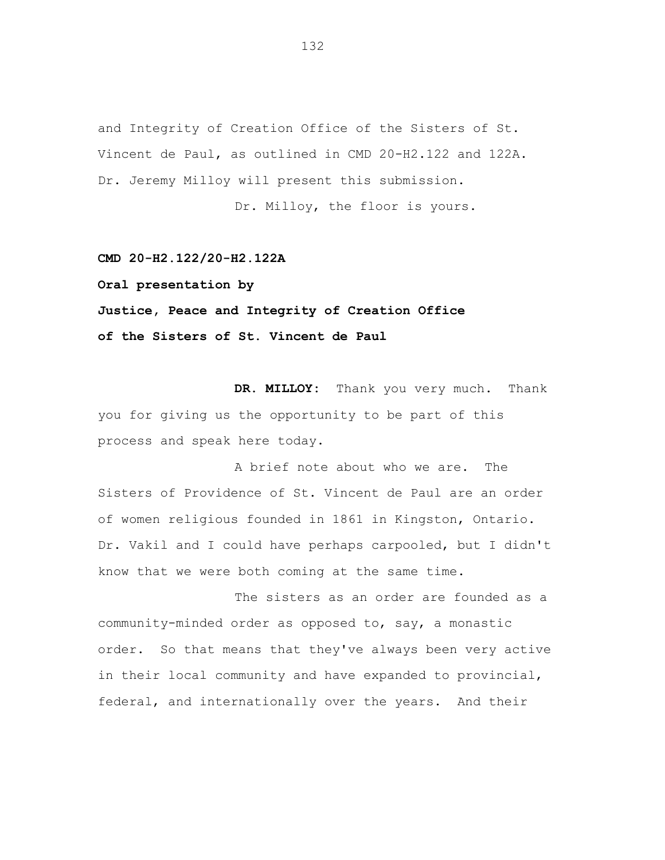and Integrity of Creation Office of the Sisters of St. Vincent de Paul, as outlined in CMD 20-H2.122 and 122A. Dr. Jeremy Milloy will present this submission.

Dr. Milloy, the floor is yours.

**CMD 20-H2.122/20-H2.122A**

**Oral presentation by**

## **Justice, Peace and Integrity of Creation Office of the Sisters of St. Vincent de Paul**

**DR. MILLOY:** Thank you very much. Thank you for giving us the opportunity to be part of this process and speak here today.

A brief note about who we are. The Sisters of Providence of St. Vincent de Paul are an order of women religious founded in 1861 in Kingston, Ontario. Dr. Vakil and I could have perhaps carpooled, but I didn't know that we were both coming at the same time.

The sisters as an order are founded as a community-minded order as opposed to, say, a monastic order. So that means that they've always been very active in their local community and have expanded to provincial, federal, and internationally over the years. And their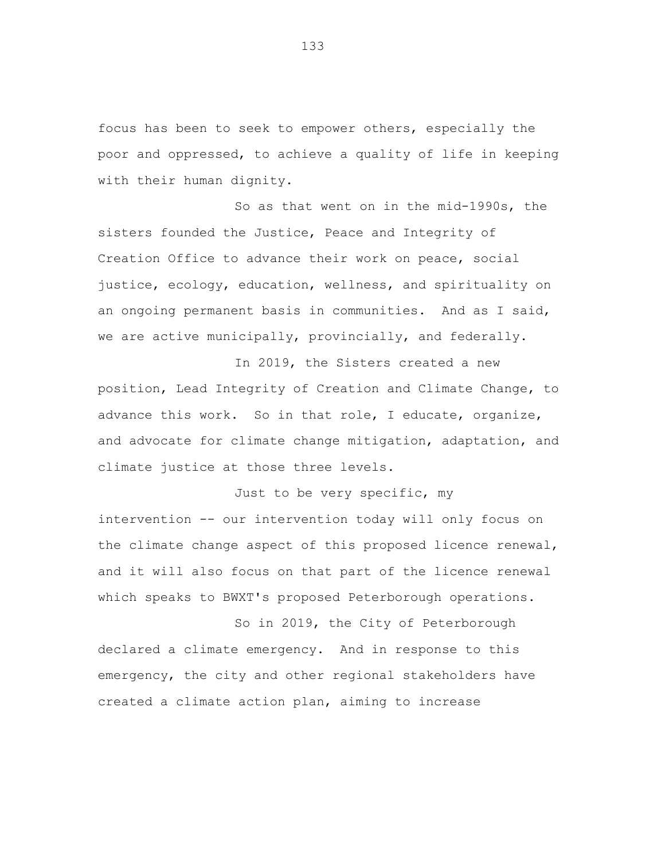focus has been to seek to empower others, especially the poor and oppressed, to achieve a quality of life in keeping with their human dignity.

So as that went on in the mid-1990s, the sisters founded the Justice, Peace and Integrity of Creation Office to advance their work on peace, social justice, ecology, education, wellness, and spirituality on an ongoing permanent basis in communities. And as I said, we are active municipally, provincially, and federally.

In 2019, the Sisters created a new position, Lead Integrity of Creation and Climate Change, to advance this work. So in that role, I educate, organize, and advocate for climate change mitigation, adaptation, and climate justice at those three levels.

Just to be very specific, my intervention -- our intervention today will only focus on the climate change aspect of this proposed licence renewal, and it will also focus on that part of the licence renewal which speaks to BWXT's proposed Peterborough operations.

So in 2019, the City of Peterborough declared a climate emergency. And in response to this emergency, the city and other regional stakeholders have created a climate action plan, aiming to increase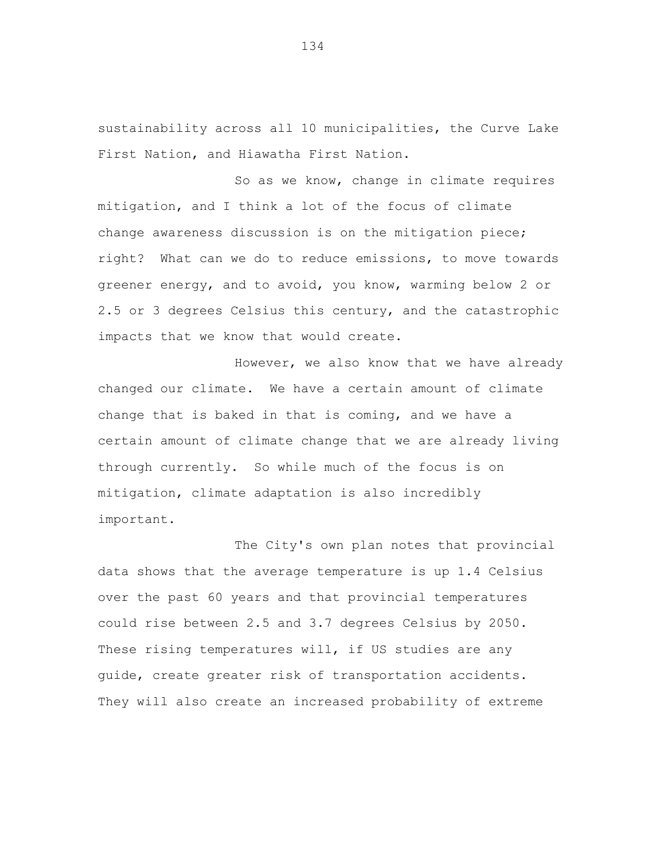sustainability across all 10 municipalities, the Curve Lake First Nation, and Hiawatha First Nation.

So as we know, change in climate requires mitigation, and I think a lot of the focus of climate change awareness discussion is on the mitigation piece; right? What can we do to reduce emissions, to move towards greener energy, and to avoid, you know, warming below 2 or 2.5 or 3 degrees Celsius this century, and the catastrophic impacts that we know that would create.

However, we also know that we have already changed our climate. We have a certain amount of climate change that is baked in that is coming, and we have a certain amount of climate change that we are already living through currently. So while much of the focus is on mitigation, climate adaptation is also incredibly important.

The City's own plan notes that provincial data shows that the average temperature is up 1.4 Celsius over the past 60 years and that provincial temperatures could rise between 2.5 and 3.7 degrees Celsius by 2050. These rising temperatures will, if US studies are any guide, create greater risk of transportation accidents. They will also create an increased probability of extreme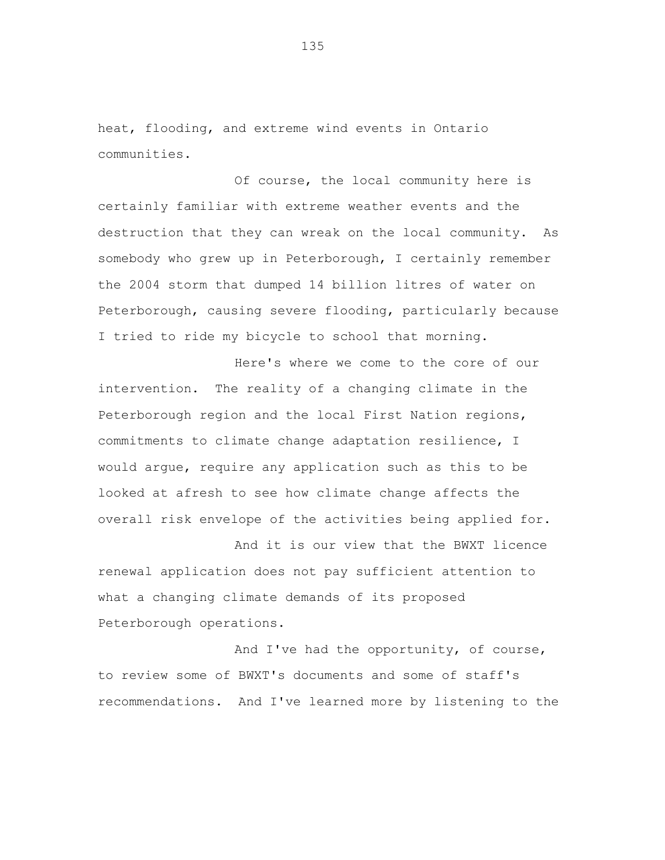heat, flooding, and extreme wind events in Ontario communities.

Of course, the local community here is certainly familiar with extreme weather events and the destruction that they can wreak on the local community. As somebody who grew up in Peterborough, I certainly remember the 2004 storm that dumped 14 billion litres of water on Peterborough, causing severe flooding, particularly because I tried to ride my bicycle to school that morning.

Here's where we come to the core of our intervention. The reality of a changing climate in the Peterborough region and the local First Nation regions, commitments to climate change adaptation resilience, I would argue, require any application such as this to be looked at afresh to see how climate change affects the overall risk envelope of the activities being applied for.

And it is our view that the BWXT licence renewal application does not pay sufficient attention to what a changing climate demands of its proposed Peterborough operations.

And I've had the opportunity, of course, to review some of BWXT's documents and some of staff's recommendations. And I've learned more by listening to the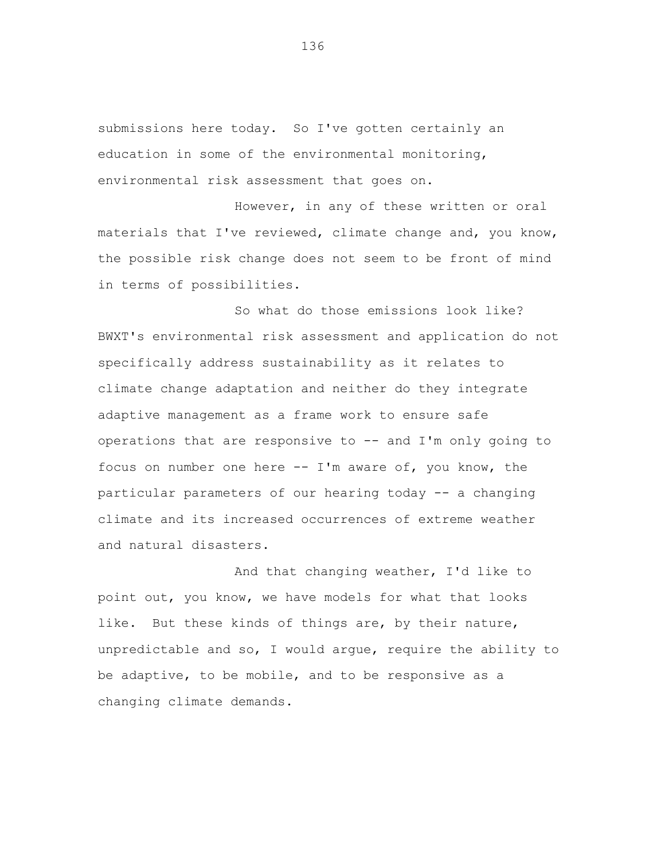submissions here today. So I've gotten certainly an education in some of the environmental monitoring, environmental risk assessment that goes on.

However, in any of these written or oral materials that I've reviewed, climate change and, you know, the possible risk change does not seem to be front of mind in terms of possibilities.

So what do those emissions look like? BWXT's environmental risk assessment and application do not specifically address sustainability as it relates to climate change adaptation and neither do they integrate adaptive management as a frame work to ensure safe operations that are responsive to -- and I'm only going to focus on number one here  $--$  I'm aware of, you know, the particular parameters of our hearing today -- a changing climate and its increased occurrences of extreme weather and natural disasters.

And that changing weather, I'd like to point out, you know, we have models for what that looks like. But these kinds of things are, by their nature, unpredictable and so, I would argue, require the ability to be adaptive, to be mobile, and to be responsive as a changing climate demands.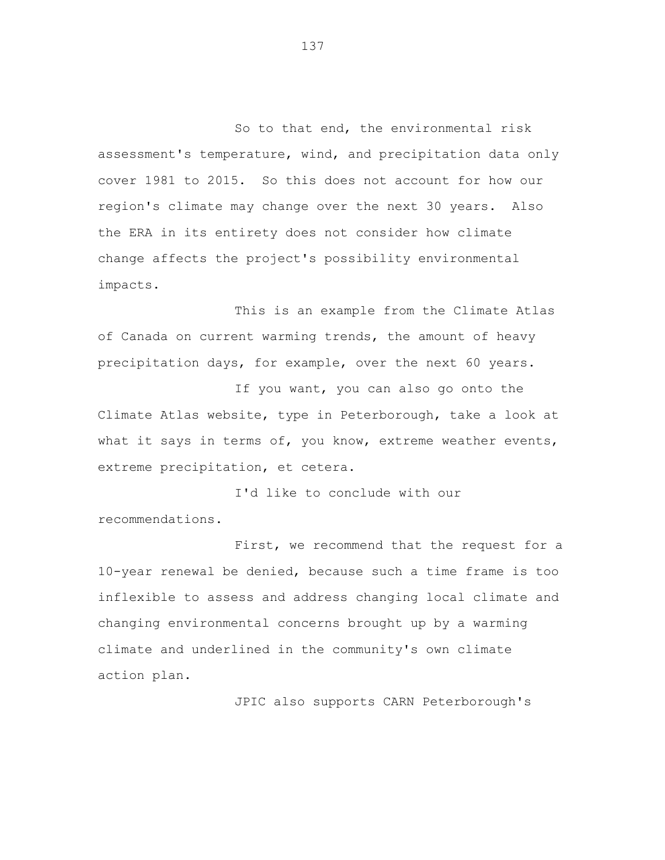So to that end, the environmental risk assessment's temperature, wind, and precipitation data only cover 1981 to 2015. So this does not account for how our region's climate may change over the next 30 years. Also the ERA in its entirety does not consider how climate change affects the project's possibility environmental impacts.

This is an example from the Climate Atlas of Canada on current warming trends, the amount of heavy precipitation days, for example, over the next 60 years.

If you want, you can also go onto the Climate Atlas website, type in Peterborough, take a look at what it says in terms of, you know, extreme weather events, extreme precipitation, et cetera.

I'd like to conclude with our recommendations.

First, we recommend that the request for a 10-year renewal be denied, because such a time frame is too inflexible to assess and address changing local climate and changing environmental concerns brought up by a warming climate and underlined in the community's own climate action plan.

JPIC also supports CARN Peterborough's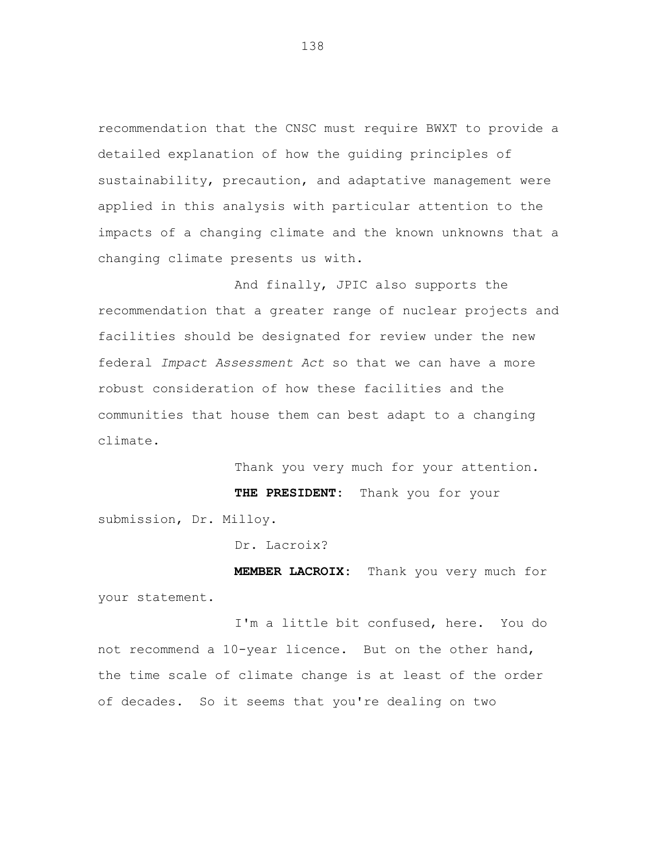recommendation that the CNSC must require BWXT to provide a detailed explanation of how the guiding principles of sustainability, precaution, and adaptative management were applied in this analysis with particular attention to the impacts of a changing climate and the known unknowns that a changing climate presents us with.

And finally, JPIC also supports the recommendation that a greater range of nuclear projects and facilities should be designated for review under the new federal *Impact Assessment Act* so that we can have a more robust consideration of how these facilities and the communities that house them can best adapt to a changing climate.

Thank you very much for your attention. **THE PRESIDENT:** Thank you for your submission, Dr. Milloy.

Dr. Lacroix?

**MEMBER LACROIX:** Thank you very much for your statement.

I'm a little bit confused, here. You do not recommend a 10-year licence. But on the other hand, the time scale of climate change is at least of the order of decades. So it seems that you're dealing on two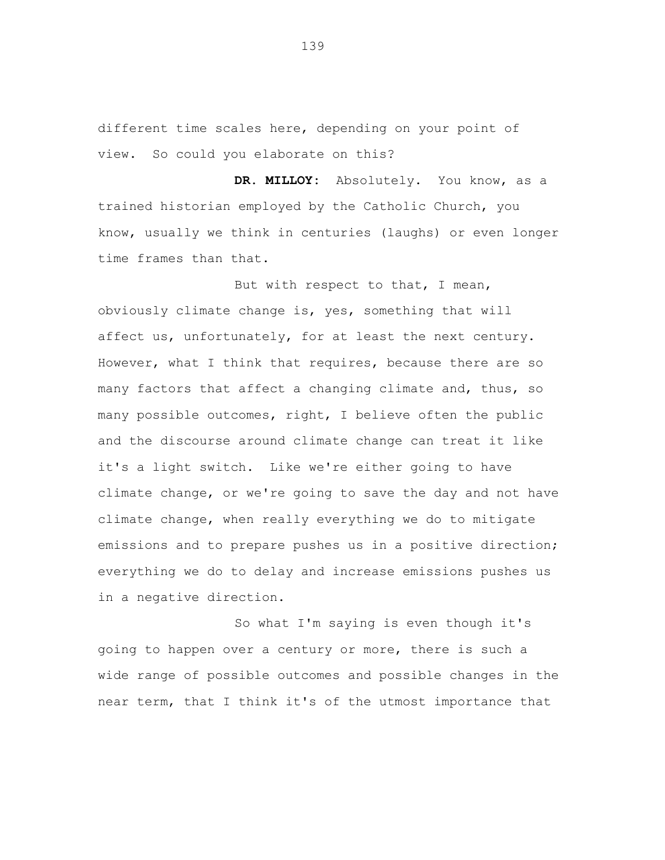different time scales here, depending on your point of view. So could you elaborate on this?

**DR. MILLOY:** Absolutely. You know, as a trained historian employed by the Catholic Church, you know, usually we think in centuries (laughs) or even longer time frames than that.

But with respect to that, I mean, obviously climate change is, yes, something that will affect us, unfortunately, for at least the next century. However, what I think that requires, because there are so many factors that affect a changing climate and, thus, so many possible outcomes, right, I believe often the public and the discourse around climate change can treat it like it's a light switch. Like we're either going to have climate change, or we're going to save the day and not have climate change, when really everything we do to mitigate emissions and to prepare pushes us in a positive direction; everything we do to delay and increase emissions pushes us in a negative direction.

So what I'm saying is even though it's going to happen over a century or more, there is such a wide range of possible outcomes and possible changes in the near term, that I think it's of the utmost importance that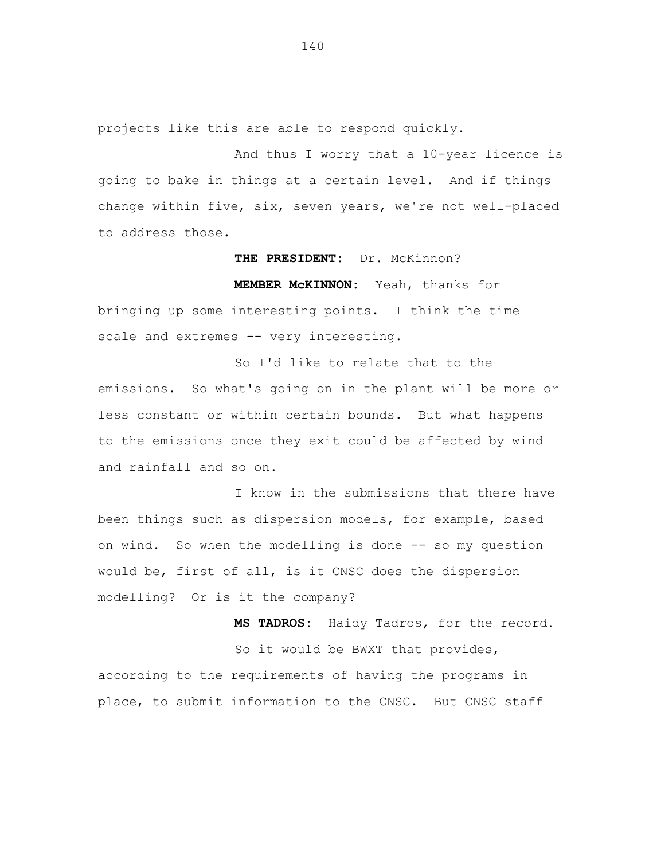projects like this are able to respond quickly.

And thus I worry that a 10-year licence is going to bake in things at a certain level. And if things change within five, six, seven years, we're not well-placed to address those.

#### **THE PRESIDENT:** Dr. McKinnon?

**MEMBER McKINNON:** Yeah, thanks for

bringing up some interesting points. I think the time scale and extremes -- very interesting.

So I'd like to relate that to the emissions. So what's going on in the plant will be more or less constant or within certain bounds. But what happens to the emissions once they exit could be affected by wind and rainfall and so on.

I know in the submissions that there have been things such as dispersion models, for example, based on wind. So when the modelling is done -- so my question would be, first of all, is it CNSC does the dispersion modelling? Or is it the company?

**MS TADROS:** Haidy Tadros, for the record. So it would be BWXT that provides, according to the requirements of having the programs in place, to submit information to the CNSC. But CNSC staff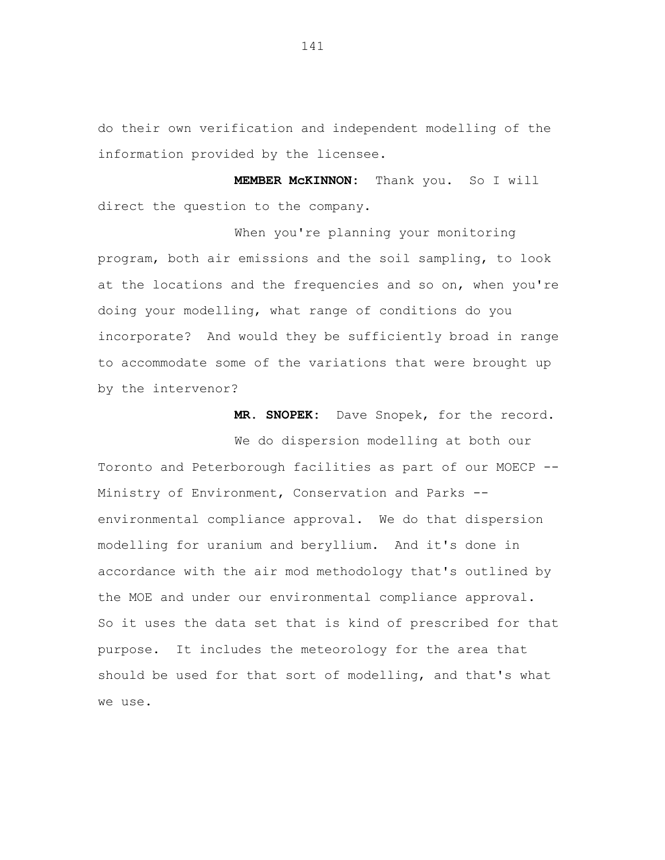do their own verification and independent modelling of the information provided by the licensee.

**MEMBER McKINNON:** Thank you. So I will direct the question to the company.

When you're planning your monitoring program, both air emissions and the soil sampling, to look at the locations and the frequencies and so on, when you're doing your modelling, what range of conditions do you incorporate? And would they be sufficiently broad in range to accommodate some of the variations that were brought up by the intervenor?

**MR. SNOPEK:** Dave Snopek, for the record.

We do dispersion modelling at both our Toronto and Peterborough facilities as part of our MOECP -- Ministry of Environment, Conservation and Parks - environmental compliance approval. We do that dispersion modelling for uranium and beryllium. And it's done in accordance with the air mod methodology that's outlined by the MOE and under our environmental compliance approval. So it uses the data set that is kind of prescribed for that purpose. It includes the meteorology for the area that should be used for that sort of modelling, and that's what we use.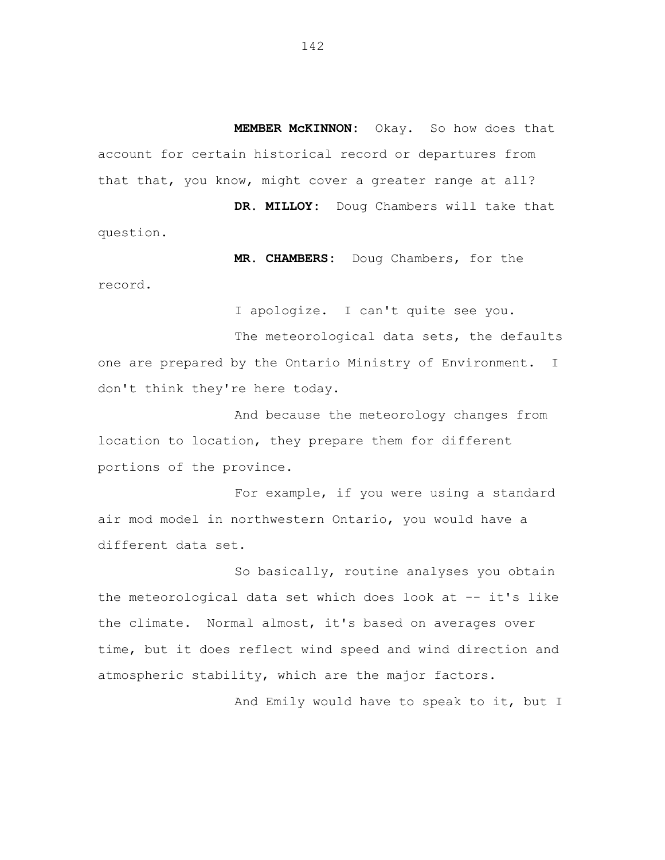**MEMBER McKINNON:** Okay. So how does that account for certain historical record or departures from that that, you know, might cover a greater range at all? **DR. MILLOY:** Doug Chambers will take that

question.

**MR. CHAMBERS:** Doug Chambers, for the

record.

I apologize. I can't quite see you.

The meteorological data sets, the defaults one are prepared by the Ontario Ministry of Environment. I don't think they're here today.

And because the meteorology changes from location to location, they prepare them for different portions of the province.

For example, if you were using a standard air mod model in northwestern Ontario, you would have a different data set.

So basically, routine analyses you obtain the meteorological data set which does look at -- it's like the climate. Normal almost, it's based on averages over time, but it does reflect wind speed and wind direction and atmospheric stability, which are the major factors.

And Emily would have to speak to it, but I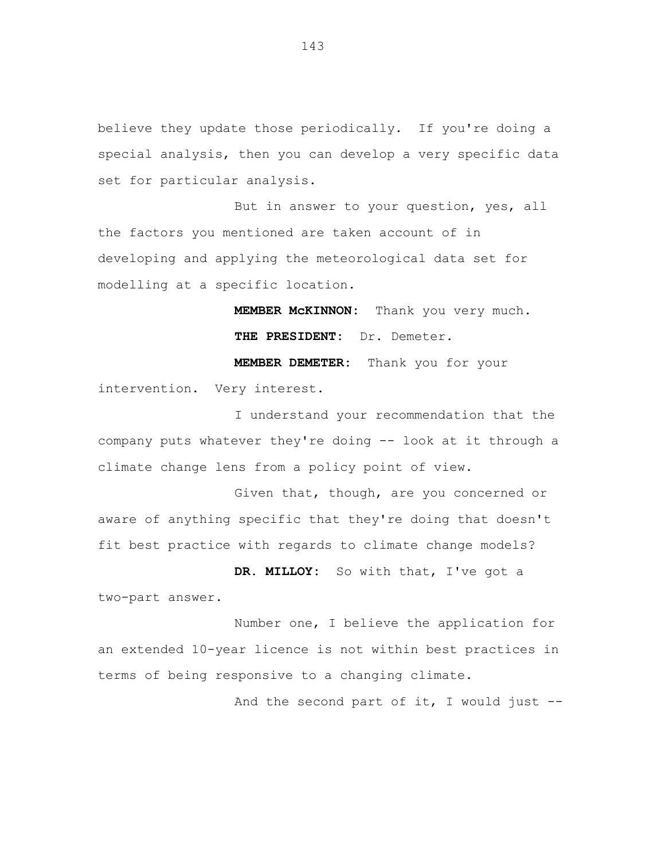believe they update those periodically. If you're doing a special analysis, then you can develop a very specific data set for particular analysis.

But in answer to your question, yes, all the factors you mentioned are taken account of in developing and applying the meteorological data set for modelling at a specific location.

> **MEMBER McKINNON:** Thank you very much. **THE PRESIDENT:** Dr. Demeter.

**MEMBER DEMETER:** Thank you for your intervention. Very interest.

I understand your recommendation that the company puts whatever they're doing -- look at it through a climate change lens from a policy point of view.

Given that, though, are you concerned or aware of anything specific that they're doing that doesn't fit best practice with regards to climate change models?

**DR. MILLOY:** So with that, I've got a two-part answer.

Number one, I believe the application for an extended 10-year licence is not within best practices in terms of being responsive to a changing climate.

And the second part of it, I would just  $-$ -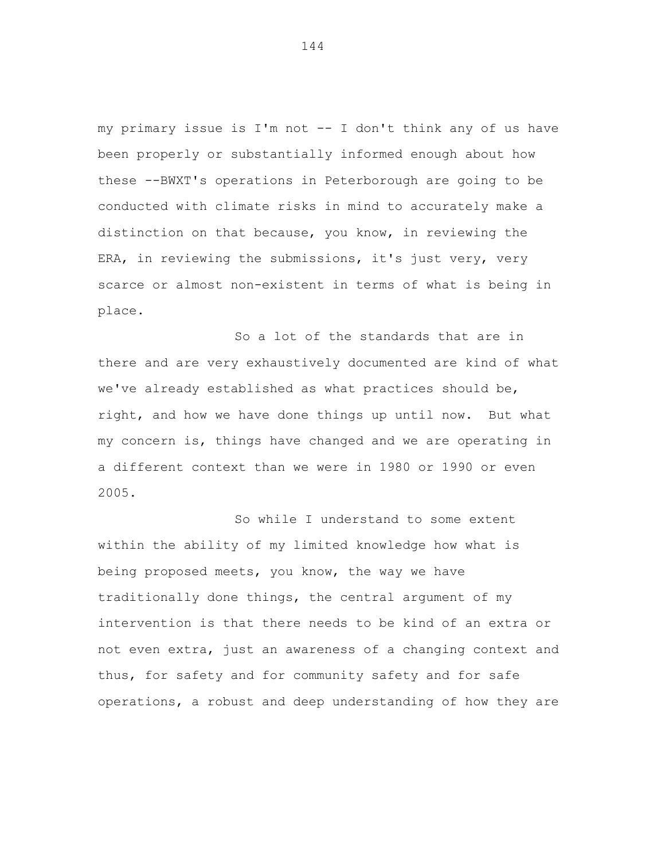my primary issue is I'm not -- I don't think any of us have been properly or substantially informed enough about how these --BWXT's operations in Peterborough are going to be conducted with climate risks in mind to accurately make a distinction on that because, you know, in reviewing the ERA, in reviewing the submissions, it's just very, very scarce or almost non-existent in terms of what is being in place.

So a lot of the standards that are in there and are very exhaustively documented are kind of what we've already established as what practices should be, right, and how we have done things up until now. But what my concern is, things have changed and we are operating in a different context than we were in 1980 or 1990 or even 2005.

So while I understand to some extent within the ability of my limited knowledge how what is being proposed meets, you know, the way we have traditionally done things, the central argument of my intervention is that there needs to be kind of an extra or not even extra, just an awareness of a changing context and thus, for safety and for community safety and for safe operations, a robust and deep understanding of how they are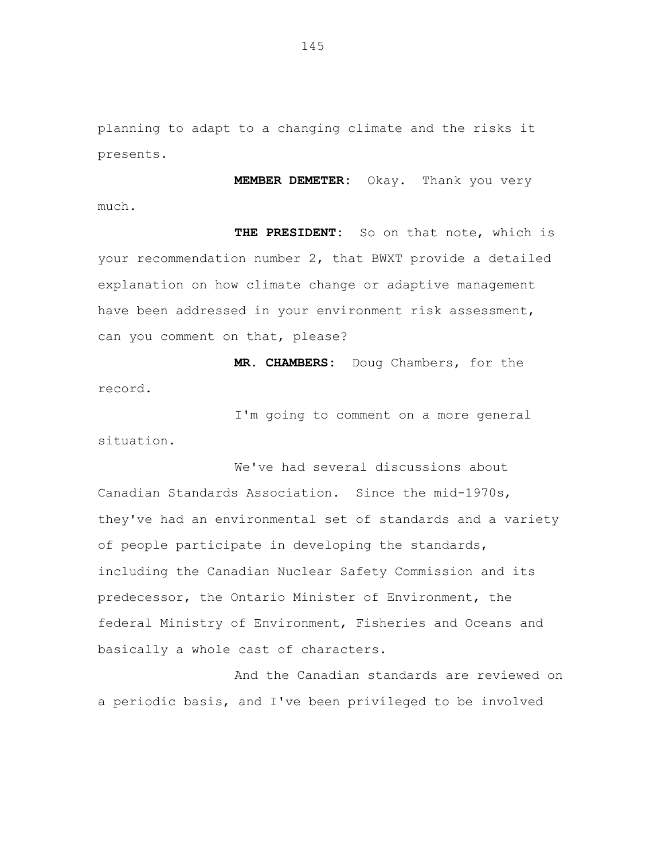planning to adapt to a changing climate and the risks it presents.

much.

**MEMBER DEMETER:** Okay. Thank you very

**THE PRESIDENT:** So on that note, which is your recommendation number 2, that BWXT provide a detailed explanation on how climate change or adaptive management have been addressed in your environment risk assessment, can you comment on that, please?

**MR. CHAMBERS:** Doug Chambers, for the record.

I'm going to comment on a more general situation.

We've had several discussions about Canadian Standards Association. Since the mid-1970s, they've had an environmental set of standards and a variety of people participate in developing the standards, including the Canadian Nuclear Safety Commission and its predecessor, the Ontario Minister of Environment, the federal Ministry of Environment, Fisheries and Oceans and basically a whole cast of characters.

And the Canadian standards are reviewed on a periodic basis, and I've been privileged to be involved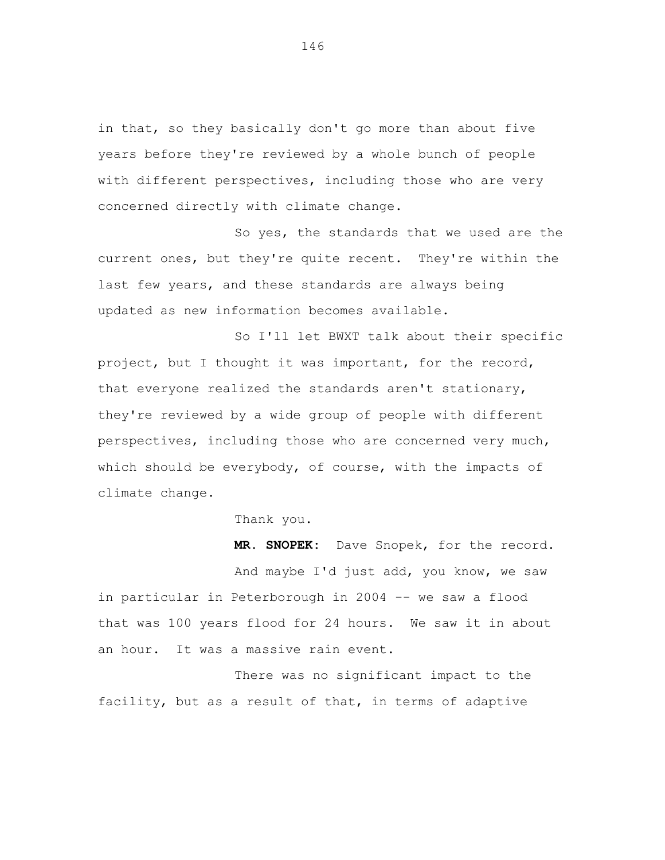in that, so they basically don't go more than about five years before they're reviewed by a whole bunch of people with different perspectives, including those who are very concerned directly with climate change.

So yes, the standards that we used are the current ones, but they're quite recent. They're within the last few years, and these standards are always being updated as new information becomes available.

So I'll let BWXT talk about their specific project, but I thought it was important, for the record, that everyone realized the standards aren't stationary, they're reviewed by a wide group of people with different perspectives, including those who are concerned very much, which should be everybody, of course, with the impacts of climate change.

Thank you.

**MR. SNOPEK:** Dave Snopek, for the record. And maybe I'd just add, you know, we saw in particular in Peterborough in 2004 -- we saw a flood that was 100 years flood for 24 hours. We saw it in about an hour. It was a massive rain event.

There was no significant impact to the facility, but as a result of that, in terms of adaptive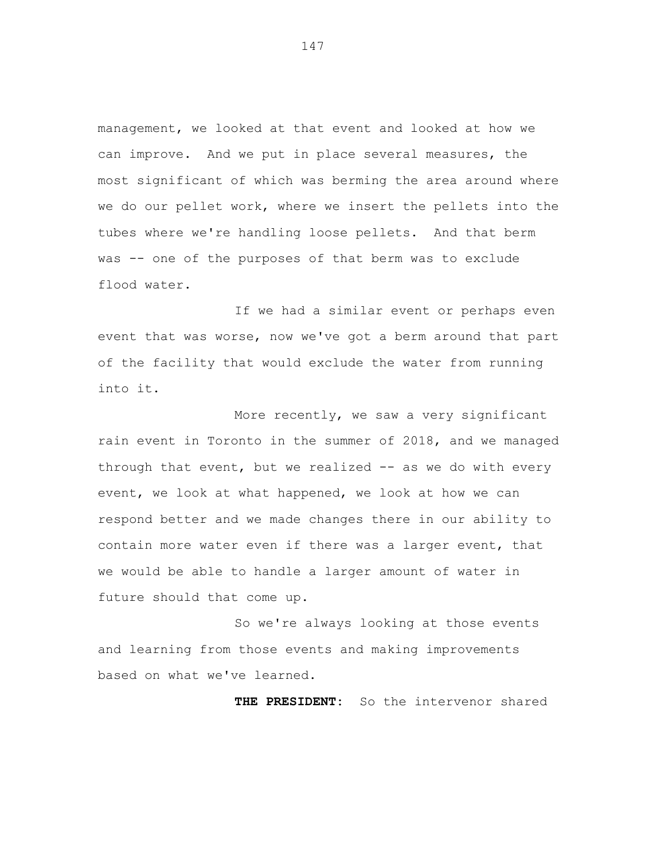management, we looked at that event and looked at how we can improve. And we put in place several measures, the most significant of which was berming the area around where we do our pellet work, where we insert the pellets into the tubes where we're handling loose pellets. And that berm was -- one of the purposes of that berm was to exclude flood water.

If we had a similar event or perhaps even event that was worse, now we've got a berm around that part of the facility that would exclude the water from running into it.

More recently, we saw a very significant rain event in Toronto in the summer of 2018, and we managed through that event, but we realized -- as we do with every event, we look at what happened, we look at how we can respond better and we made changes there in our ability to contain more water even if there was a larger event, that we would be able to handle a larger amount of water in future should that come up.

So we're always looking at those events and learning from those events and making improvements based on what we've learned.

**THE PRESIDENT:** So the intervenor shared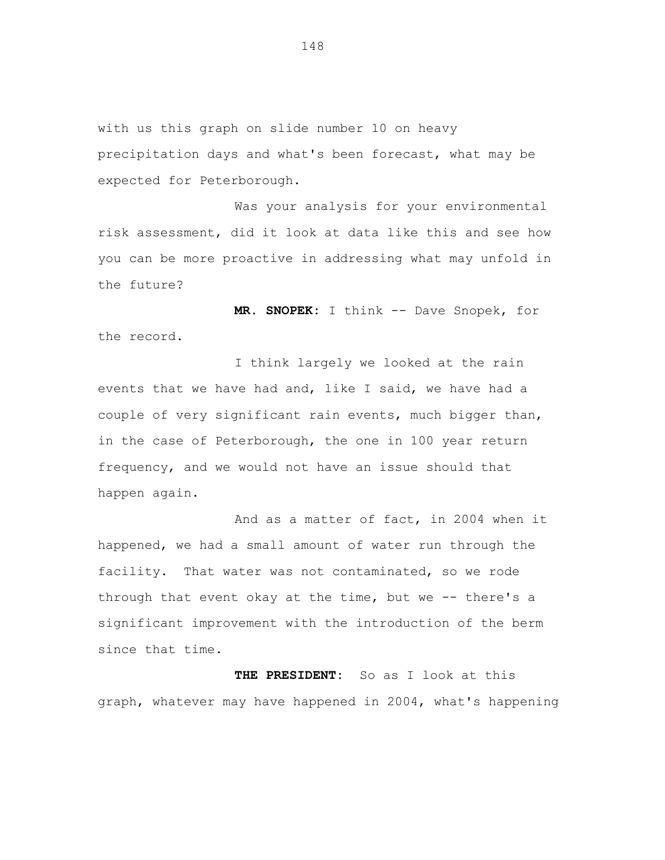with us this graph on slide number 10 on heavy precipitation days and what's been forecast, what may be expected for Peterborough.

Was your analysis for your environmental risk assessment, did it look at data like this and see how you can be more proactive in addressing what may unfold in the future?

**MR. SNOPEK:** I think -- Dave Snopek, for the record.

I think largely we looked at the rain events that we have had and, like I said, we have had a couple of very significant rain events, much bigger than, in the case of Peterborough, the one in 100 year return frequency, and we would not have an issue should that happen again.

And as a matter of fact, in 2004 when it happened, we had a small amount of water run through the facility. That water was not contaminated, so we rode through that event okay at the time, but we -- there's a significant improvement with the introduction of the berm since that time.

**THE PRESIDENT:** So as I look at this graph, whatever may have happened in 2004, what's happening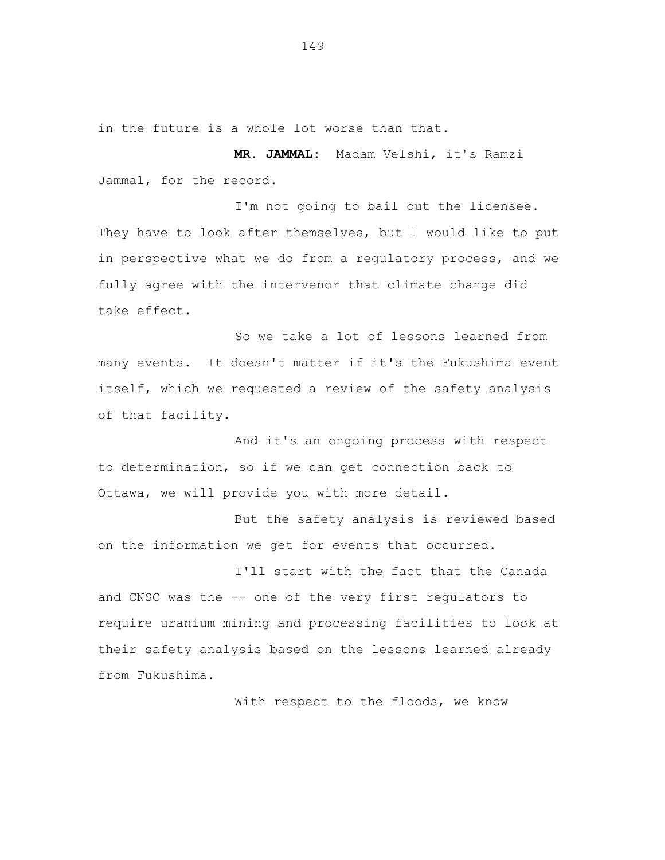in the future is a whole lot worse than that.

**MR. JAMMAL:** Madam Velshi, it's Ramzi Jammal, for the record.

I'm not going to bail out the licensee. They have to look after themselves, but I would like to put in perspective what we do from a regulatory process, and we fully agree with the intervenor that climate change did take effect.

So we take a lot of lessons learned from many events. It doesn't matter if it's the Fukushima event itself, which we requested a review of the safety analysis of that facility.

And it's an ongoing process with respect to determination, so if we can get connection back to Ottawa, we will provide you with more detail.

But the safety analysis is reviewed based on the information we get for events that occurred.

I'll start with the fact that the Canada and CNSC was the -- one of the very first regulators to require uranium mining and processing facilities to look at their safety analysis based on the lessons learned already from Fukushima.

With respect to the floods, we know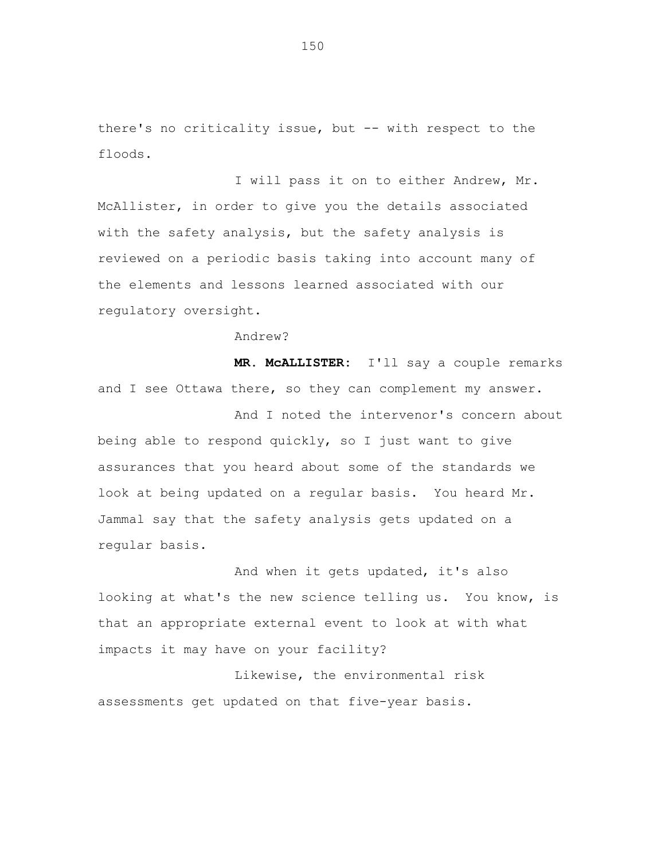there's no criticality issue, but -- with respect to the floods.

I will pass it on to either Andrew, Mr. McAllister, in order to give you the details associated with the safety analysis, but the safety analysis is reviewed on a periodic basis taking into account many of the elements and lessons learned associated with our regulatory oversight.

Andrew?

**MR. McALLISTER:** I'll say a couple remarks and I see Ottawa there, so they can complement my answer.

And I noted the intervenor's concern about being able to respond quickly, so I just want to give assurances that you heard about some of the standards we look at being updated on a regular basis. You heard Mr. Jammal say that the safety analysis gets updated on a regular basis.

And when it gets updated, it's also looking at what's the new science telling us. You know, is that an appropriate external event to look at with what impacts it may have on your facility?

Likewise, the environmental risk assessments get updated on that five-year basis.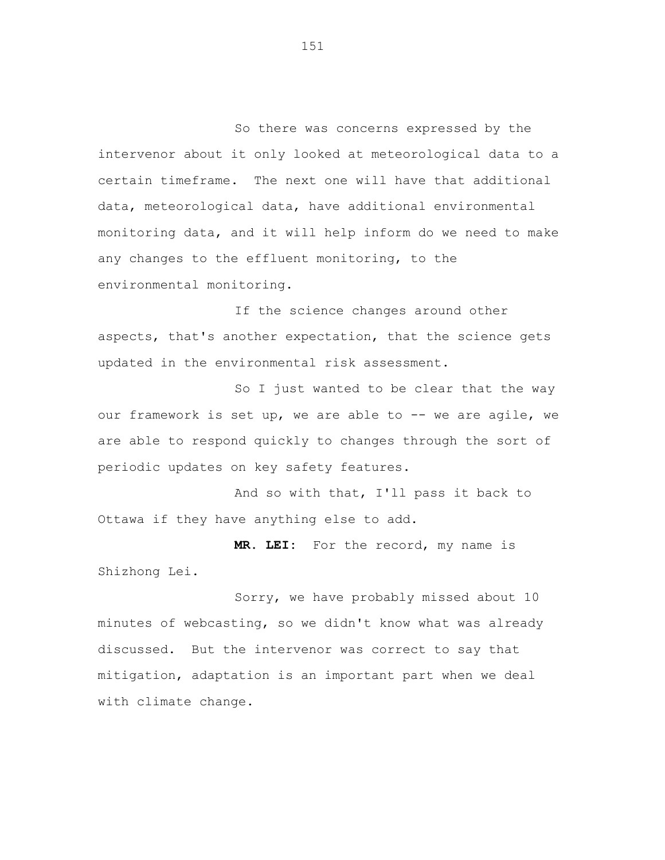So there was concerns expressed by the intervenor about it only looked at meteorological data to a certain timeframe. The next one will have that additional data, meteorological data, have additional environmental monitoring data, and it will help inform do we need to make any changes to the effluent monitoring, to the environmental monitoring.

If the science changes around other aspects, that's another expectation, that the science gets updated in the environmental risk assessment.

So I just wanted to be clear that the way our framework is set up, we are able to -- we are agile, we are able to respond quickly to changes through the sort of periodic updates on key safety features.

And so with that, I'll pass it back to Ottawa if they have anything else to add.

**MR. LEI:** For the record, my name is Shizhong Lei.

Sorry, we have probably missed about 10 minutes of webcasting, so we didn't know what was already discussed. But the intervenor was correct to say that mitigation, adaptation is an important part when we deal with climate change.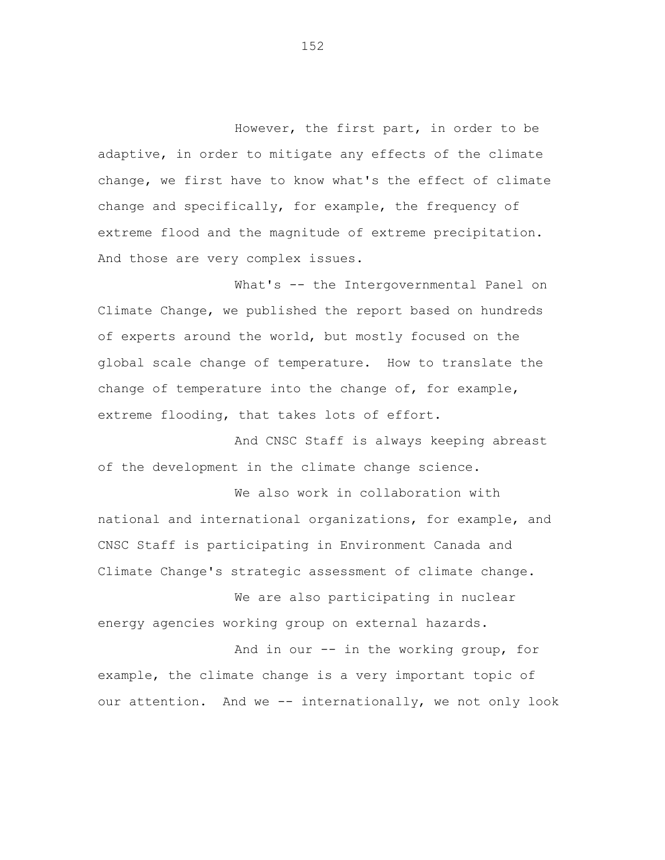However, the first part, in order to be adaptive, in order to mitigate any effects of the climate change, we first have to know what's the effect of climate change and specifically, for example, the frequency of extreme flood and the magnitude of extreme precipitation. And those are very complex issues.

What's -- the Intergovernmental Panel on Climate Change, we published the report based on hundreds of experts around the world, but mostly focused on the global scale change of temperature. How to translate the change of temperature into the change of, for example, extreme flooding, that takes lots of effort.

And CNSC Staff is always keeping abreast of the development in the climate change science.

We also work in collaboration with national and international organizations, for example, and CNSC Staff is participating in Environment Canada and Climate Change's strategic assessment of climate change.

We are also participating in nuclear energy agencies working group on external hazards.

And in our -- in the working group, for example, the climate change is a very important topic of our attention. And we -- internationally, we not only look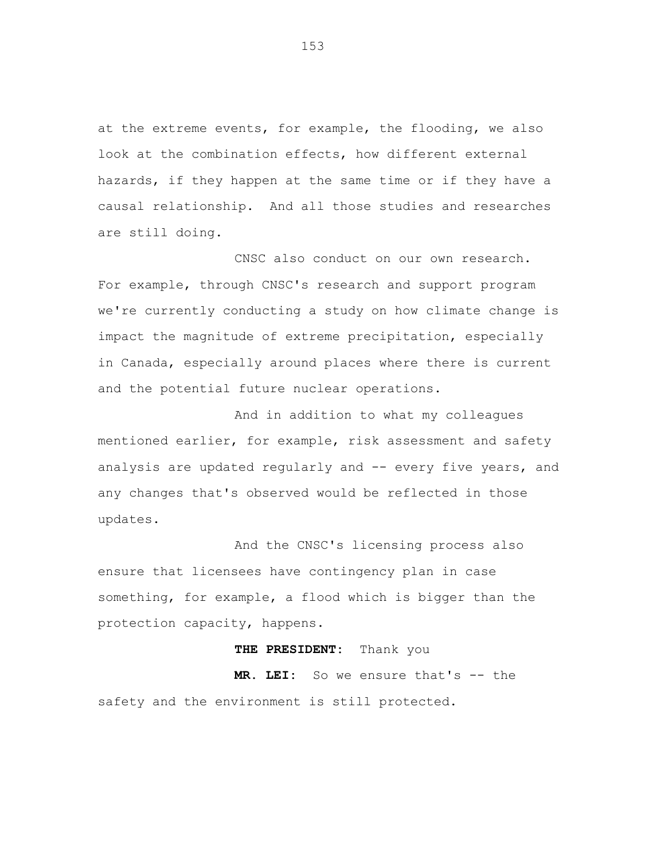at the extreme events, for example, the flooding, we also look at the combination effects, how different external hazards, if they happen at the same time or if they have a causal relationship. And all those studies and researches are still doing.

CNSC also conduct on our own research. For example, through CNSC's research and support program we're currently conducting a study on how climate change is impact the magnitude of extreme precipitation, especially in Canada, especially around places where there is current and the potential future nuclear operations.

And in addition to what my colleagues mentioned earlier, for example, risk assessment and safety analysis are updated regularly and -- every five years, and any changes that's observed would be reflected in those updates.

And the CNSC's licensing process also ensure that licensees have contingency plan in case something, for example, a flood which is bigger than the protection capacity, happens.

## **THE PRESIDENT:** Thank you

**MR. LEI:** So we ensure that's -- the safety and the environment is still protected.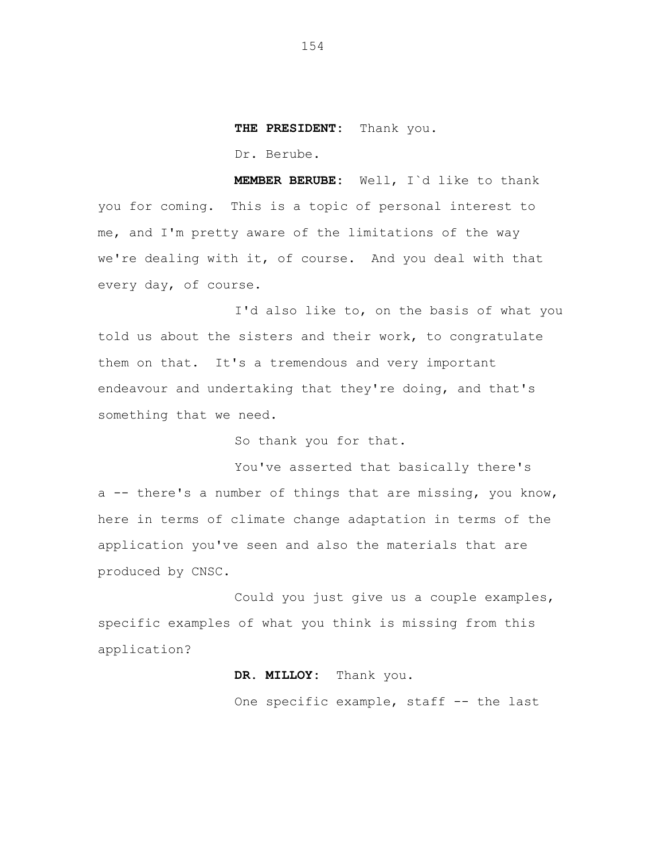**THE PRESIDENT:** Thank you.

Dr. Berube.

**MEMBER BERUBE:** Well, I`d like to thank you for coming. This is a topic of personal interest to me, and I'm pretty aware of the limitations of the way we're dealing with it, of course. And you deal with that every day, of course.

I'd also like to, on the basis of what you told us about the sisters and their work, to congratulate them on that. It's a tremendous and very important endeavour and undertaking that they're doing, and that's something that we need.

So thank you for that.

You've asserted that basically there's a -- there's a number of things that are missing, you know, here in terms of climate change adaptation in terms of the application you've seen and also the materials that are produced by CNSC.

Could you just give us a couple examples, specific examples of what you think is missing from this application?

## **DR. MILLOY:** Thank you.

One specific example, staff -- the last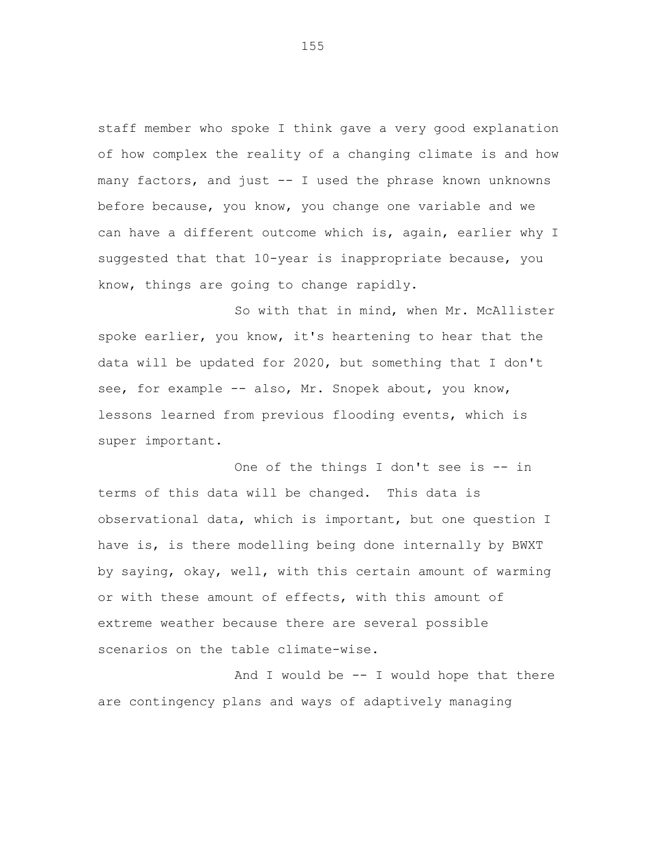staff member who spoke I think gave a very good explanation of how complex the reality of a changing climate is and how many factors, and just -- I used the phrase known unknowns before because, you know, you change one variable and we can have a different outcome which is, again, earlier why I suggested that that 10-year is inappropriate because, you know, things are going to change rapidly.

So with that in mind, when Mr. McAllister spoke earlier, you know, it's heartening to hear that the data will be updated for 2020, but something that I don't see, for example -- also, Mr. Snopek about, you know, lessons learned from previous flooding events, which is super important.

One of the things I don't see is -- in terms of this data will be changed. This data is observational data, which is important, but one question I have is, is there modelling being done internally by BWXT by saying, okay, well, with this certain amount of warming or with these amount of effects, with this amount of extreme weather because there are several possible scenarios on the table climate-wise.

And I would be  $-$  I would hope that there are contingency plans and ways of adaptively managing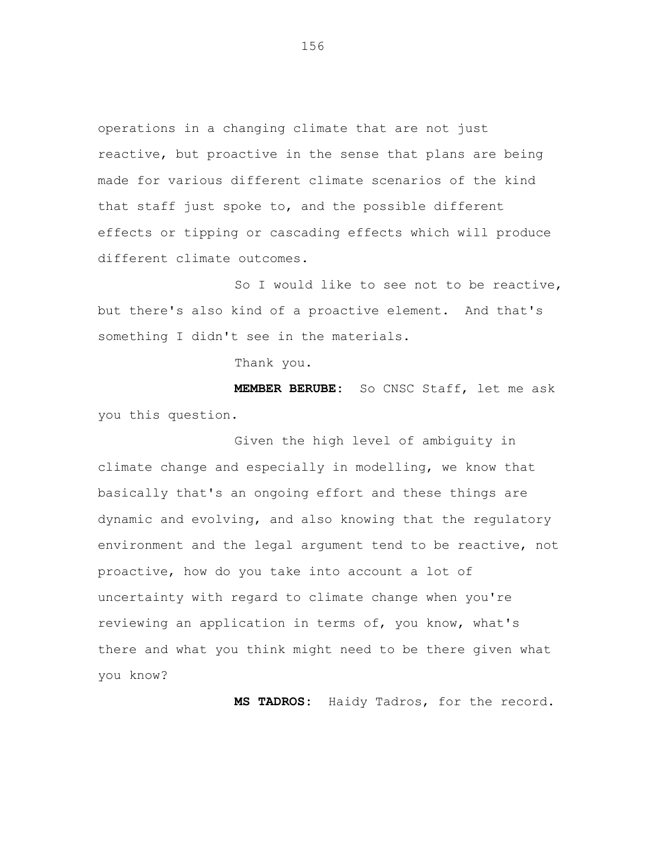operations in a changing climate that are not just reactive, but proactive in the sense that plans are being made for various different climate scenarios of the kind that staff just spoke to, and the possible different effects or tipping or cascading effects which will produce different climate outcomes.

So I would like to see not to be reactive, but there's also kind of a proactive element. And that's something I didn't see in the materials.

Thank you.

**MEMBER BERUBE:** So CNSC Staff, let me ask you this question.

Given the high level of ambiguity in climate change and especially in modelling, we know that basically that's an ongoing effort and these things are dynamic and evolving, and also knowing that the regulatory environment and the legal argument tend to be reactive, not proactive, how do you take into account a lot of uncertainty with regard to climate change when you're reviewing an application in terms of, you know, what's there and what you think might need to be there given what you know?

**MS TADROS:** Haidy Tadros, for the record.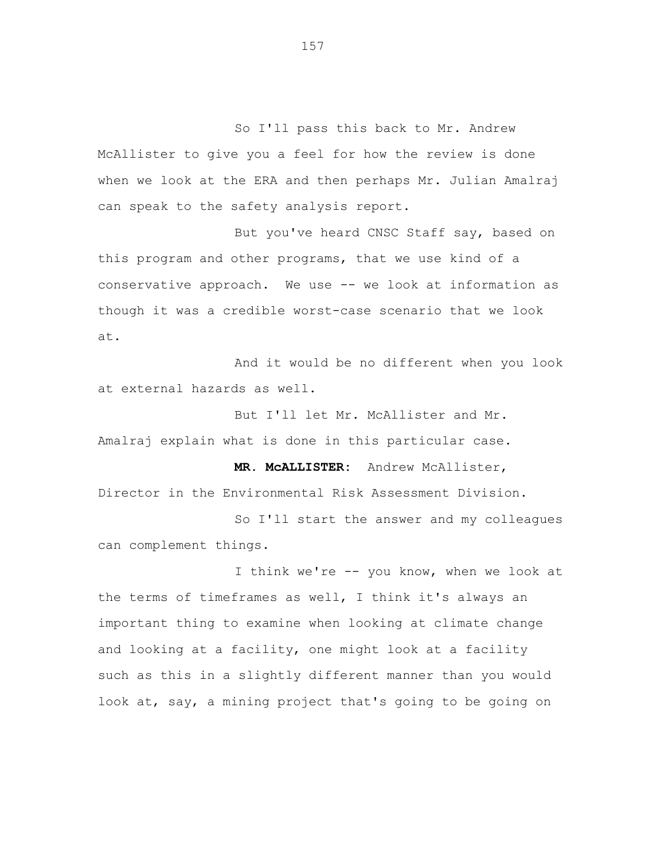So I'll pass this back to Mr. Andrew McAllister to give you a feel for how the review is done when we look at the ERA and then perhaps Mr. Julian Amalraj can speak to the safety analysis report.

But you've heard CNSC Staff say, based on this program and other programs, that we use kind of a conservative approach. We use -- we look at information as though it was a credible worst-case scenario that we look at.

And it would be no different when you look at external hazards as well.

But I'll let Mr. McAllister and Mr. Amalraj explain what is done in this particular case.

**MR. McALLISTER:** Andrew McAllister, Director in the Environmental Risk Assessment Division.

So I'll start the answer and my colleagues can complement things.

I think we're -- you know, when we look at the terms of timeframes as well, I think it's always an important thing to examine when looking at climate change and looking at a facility, one might look at a facility such as this in a slightly different manner than you would look at, say, a mining project that's going to be going on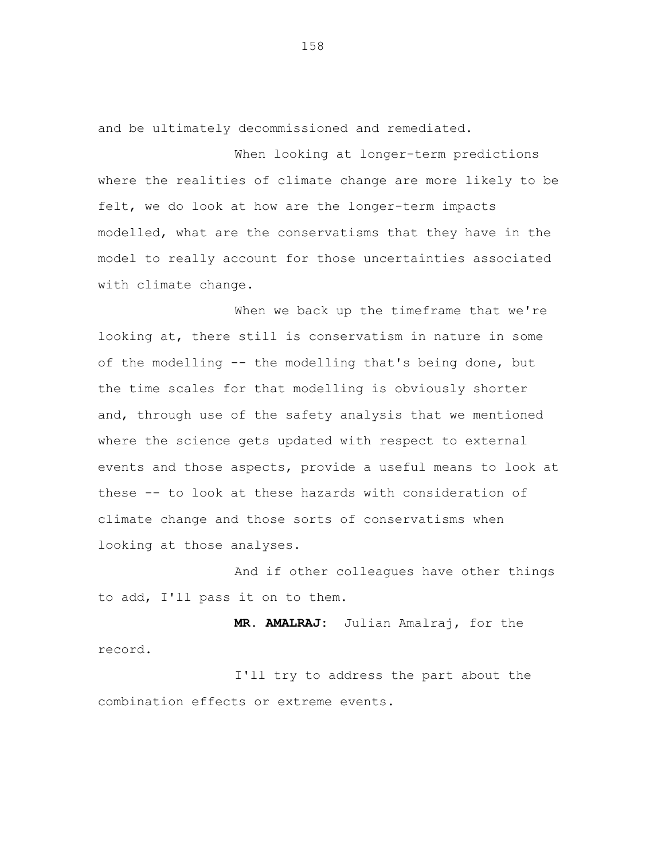and be ultimately decommissioned and remediated.

When looking at longer-term predictions where the realities of climate change are more likely to be felt, we do look at how are the longer-term impacts modelled, what are the conservatisms that they have in the model to really account for those uncertainties associated with climate change.

When we back up the timeframe that we're looking at, there still is conservatism in nature in some of the modelling -- the modelling that's being done, but the time scales for that modelling is obviously shorter and, through use of the safety analysis that we mentioned where the science gets updated with respect to external events and those aspects, provide a useful means to look at these -- to look at these hazards with consideration of climate change and those sorts of conservatisms when looking at those analyses.

And if other colleagues have other things to add, I'll pass it on to them.

**MR. AMALRAJ:** Julian Amalraj, for the record.

I'll try to address the part about the combination effects or extreme events.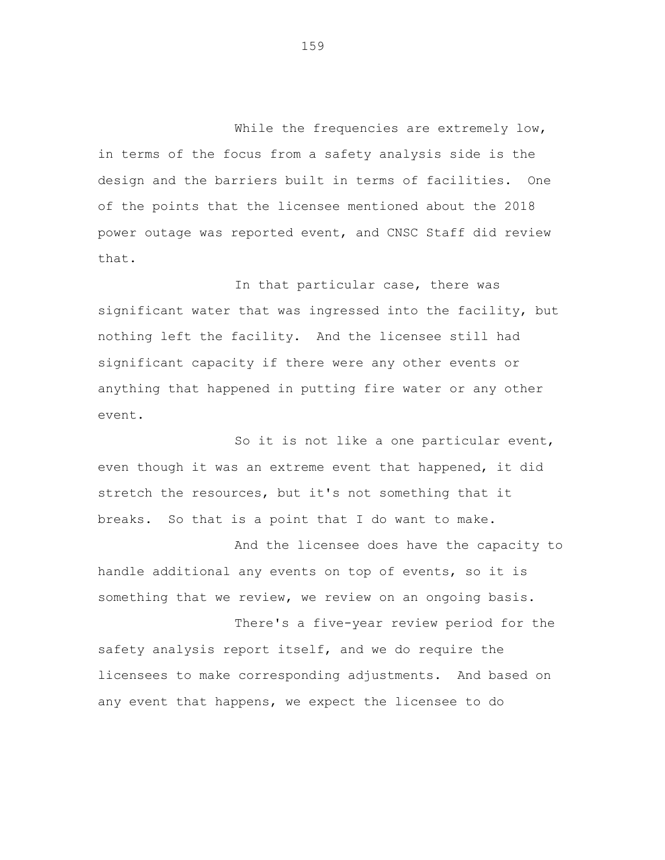While the frequencies are extremely low, in terms of the focus from a safety analysis side is the design and the barriers built in terms of facilities. One of the points that the licensee mentioned about the 2018 power outage was reported event, and CNSC Staff did review that.

In that particular case, there was significant water that was ingressed into the facility, but nothing left the facility. And the licensee still had significant capacity if there were any other events or anything that happened in putting fire water or any other event.

So it is not like a one particular event, even though it was an extreme event that happened, it did stretch the resources, but it's not something that it breaks. So that is a point that I do want to make.

And the licensee does have the capacity to handle additional any events on top of events, so it is something that we review, we review on an ongoing basis.

There's a five-year review period for the safety analysis report itself, and we do require the licensees to make corresponding adjustments. And based on any event that happens, we expect the licensee to do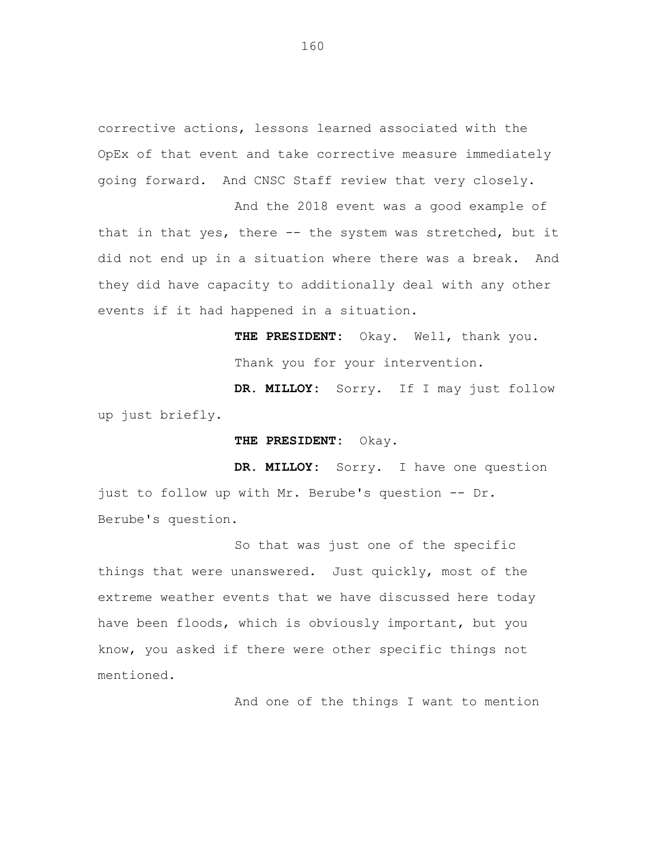corrective actions, lessons learned associated with the OpEx of that event and take corrective measure immediately going forward. And CNSC Staff review that very closely.

And the 2018 event was a good example of that in that yes, there -- the system was stretched, but it did not end up in a situation where there was a break. And they did have capacity to additionally deal with any other events if it had happened in a situation.

> **THE PRESIDENT:** Okay. Well, thank you. Thank you for your intervention.

**DR. MILLOY:** Sorry. If I may just follow up just briefly.

**THE PRESIDENT:** Okay.

**DR. MILLOY:** Sorry. I have one question just to follow up with Mr. Berube's question -- Dr. Berube's question.

So that was just one of the specific things that were unanswered. Just quickly, most of the extreme weather events that we have discussed here today have been floods, which is obviously important, but you know, you asked if there were other specific things not mentioned.

And one of the things I want to mention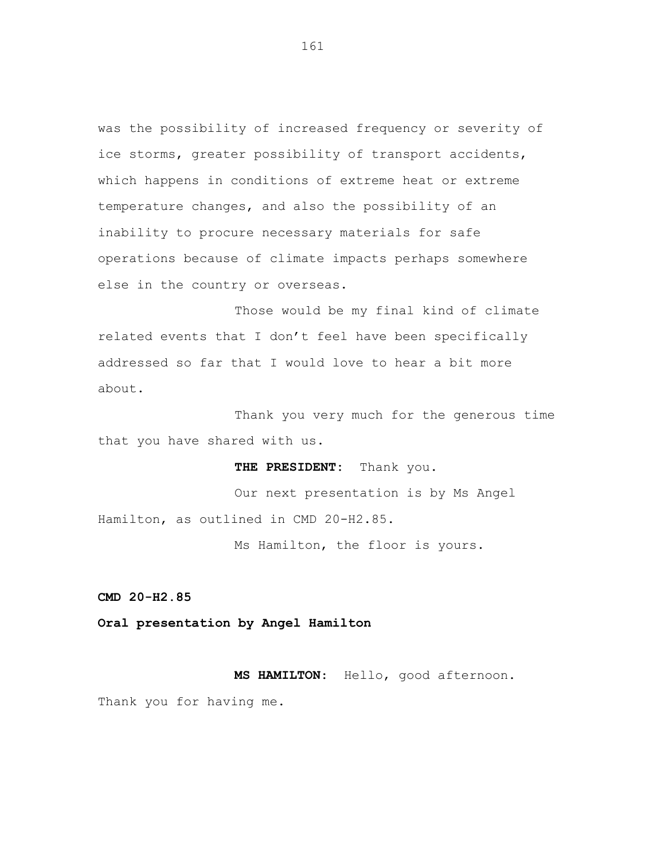was the possibility of increased frequency or severity of ice storms, greater possibility of transport accidents, which happens in conditions of extreme heat or extreme temperature changes, and also the possibility of an inability to procure necessary materials for safe operations because of climate impacts perhaps somewhere else in the country or overseas.

Those would be my final kind of climate related events that I don't feel have been specifically addressed so far that I would love to hear a bit more about.

Thank you very much for the generous time that you have shared with us.

**THE PRESIDENT:** Thank you.

Our next presentation is by Ms Angel Hamilton, as outlined in CMD 20-H2.85.

Ms Hamilton, the floor is yours.

**CMD 20-H2.85**

**Oral presentation by Angel Hamilton**

**MS HAMILTON**: Hello, good afternoon. Thank you for having me.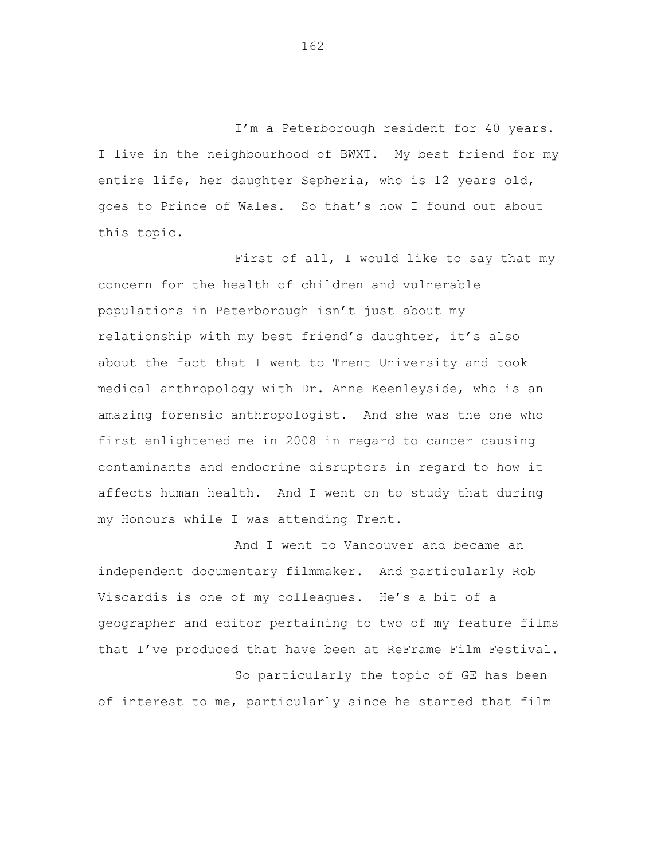I'm a Peterborough resident for 40 years. I live in the neighbourhood of BWXT. My best friend for my entire life, her daughter Sepheria, who is 12 years old, goes to Prince of Wales. So that's how I found out about this topic.

First of all, I would like to say that my concern for the health of children and vulnerable populations in Peterborough isn't just about my relationship with my best friend's daughter, it's also about the fact that I went to Trent University and took medical anthropology with Dr. Anne Keenleyside, who is an amazing forensic anthropologist. And she was the one who first enlightened me in 2008 in regard to cancer causing contaminants and endocrine disruptors in regard to how it affects human health. And I went on to study that during my Honours while I was attending Trent.

And I went to Vancouver and became an independent documentary filmmaker. And particularly Rob Viscardis is one of my colleagues. He's a bit of a geographer and editor pertaining to two of my feature films that I've produced that have been at ReFrame Film Festival. So particularly the topic of GE has been

of interest to me, particularly since he started that film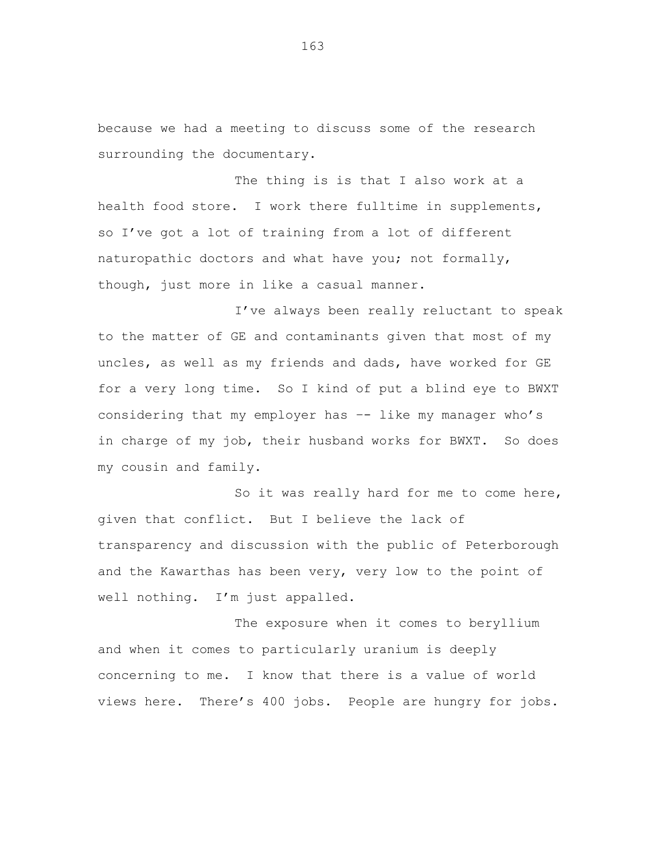because we had a meeting to discuss some of the research surrounding the documentary.

The thing is is that I also work at a health food store. I work there fulltime in supplements, so I've got a lot of training from a lot of different naturopathic doctors and what have you; not formally, though, just more in like a casual manner.

I've always been really reluctant to speak to the matter of GE and contaminants given that most of my uncles, as well as my friends and dads, have worked for GE for a very long time. So I kind of put a blind eye to BWXT considering that my employer has –- like my manager who's in charge of my job, their husband works for BWXT. So does my cousin and family.

So it was really hard for me to come here, given that conflict. But I believe the lack of transparency and discussion with the public of Peterborough and the Kawarthas has been very, very low to the point of well nothing. I'm just appalled.

The exposure when it comes to beryllium and when it comes to particularly uranium is deeply concerning to me. I know that there is a value of world views here. There's 400 jobs. People are hungry for jobs.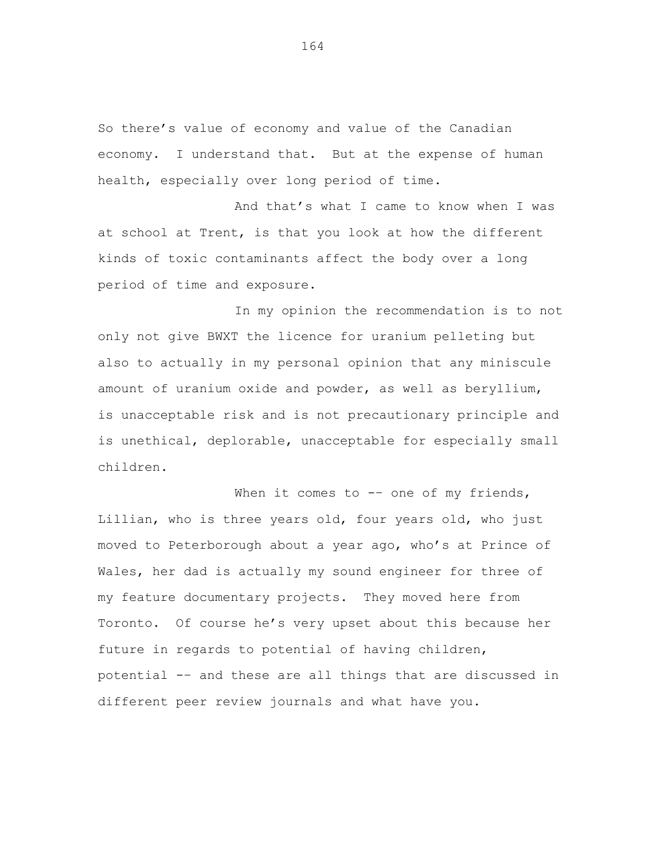So there's value of economy and value of the Canadian economy. I understand that. But at the expense of human health, especially over long period of time.

And that's what I came to know when I was at school at Trent, is that you look at how the different kinds of toxic contaminants affect the body over a long period of time and exposure.

In my opinion the recommendation is to not only not give BWXT the licence for uranium pelleting but also to actually in my personal opinion that any miniscule amount of uranium oxide and powder, as well as beryllium, is unacceptable risk and is not precautionary principle and is unethical, deplorable, unacceptable for especially small children.

When it comes to  $--$  one of my friends, Lillian, who is three years old, four years old, who just moved to Peterborough about a year ago, who's at Prince of Wales, her dad is actually my sound engineer for three of my feature documentary projects. They moved here from Toronto. Of course he's very upset about this because her future in regards to potential of having children, potential -– and these are all things that are discussed in different peer review journals and what have you.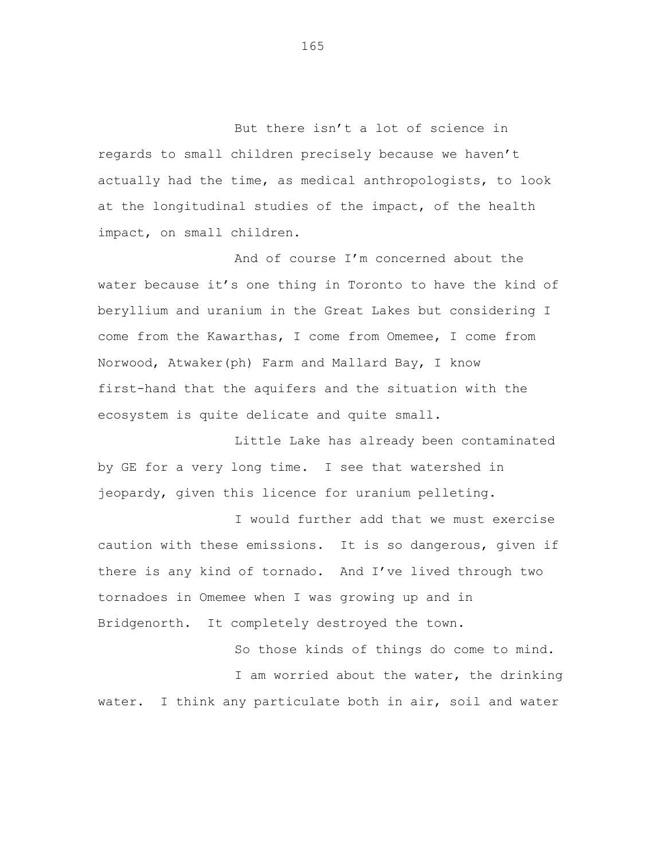But there isn't a lot of science in regards to small children precisely because we haven't actually had the time, as medical anthropologists, to look at the longitudinal studies of the impact, of the health impact, on small children.

And of course I'm concerned about the water because it's one thing in Toronto to have the kind of beryllium and uranium in the Great Lakes but considering I come from the Kawarthas, I come from Omemee, I come from Norwood, Atwaker(ph) Farm and Mallard Bay, I know first-hand that the aquifers and the situation with the ecosystem is quite delicate and quite small.

Little Lake has already been contaminated by GE for a very long time. I see that watershed in jeopardy, given this licence for uranium pelleting.

I would further add that we must exercise caution with these emissions. It is so dangerous, given if there is any kind of tornado. And I've lived through two tornadoes in Omemee when I was growing up and in Bridgenorth. It completely destroyed the town.

So those kinds of things do come to mind. I am worried about the water, the drinking water. I think any particulate both in air, soil and water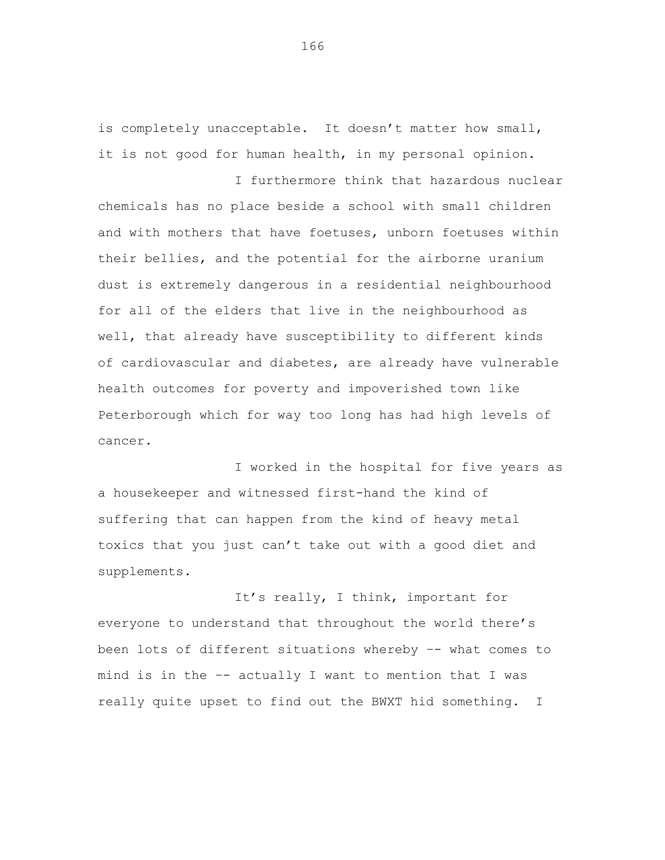is completely unacceptable. It doesn't matter how small, it is not good for human health, in my personal opinion.

I furthermore think that hazardous nuclear chemicals has no place beside a school with small children and with mothers that have foetuses, unborn foetuses within their bellies, and the potential for the airborne uranium dust is extremely dangerous in a residential neighbourhood for all of the elders that live in the neighbourhood as well, that already have susceptibility to different kinds of cardiovascular and diabetes, are already have vulnerable health outcomes for poverty and impoverished town like Peterborough which for way too long has had high levels of cancer.

I worked in the hospital for five years as a housekeeper and witnessed first-hand the kind of suffering that can happen from the kind of heavy metal toxics that you just can't take out with a good diet and supplements.

It's really, I think, important for everyone to understand that throughout the world there's been lots of different situations whereby –- what comes to mind is in the –- actually I want to mention that I was really quite upset to find out the BWXT hid something. I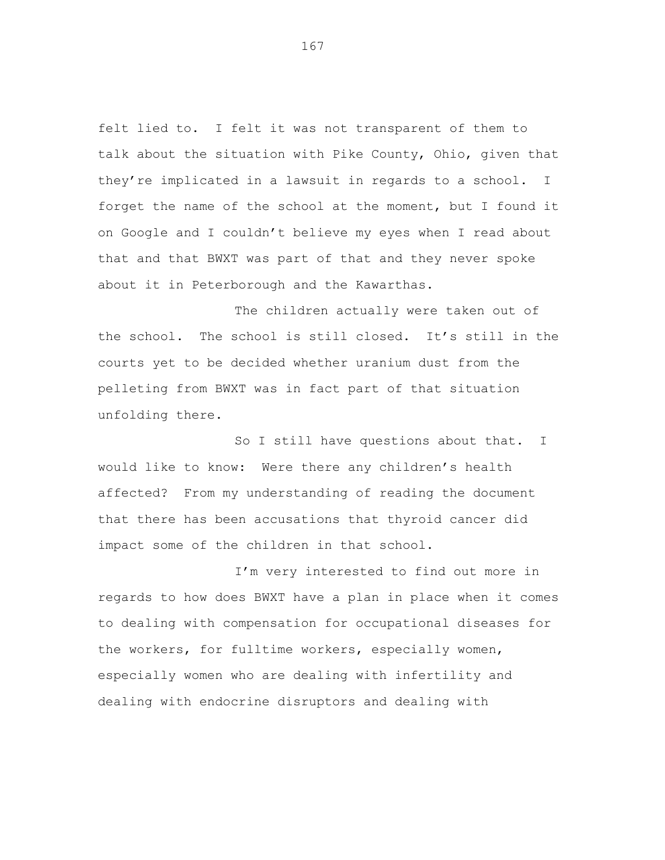felt lied to. I felt it was not transparent of them to talk about the situation with Pike County, Ohio, given that they're implicated in a lawsuit in regards to a school. I forget the name of the school at the moment, but I found it on Google and I couldn't believe my eyes when I read about that and that BWXT was part of that and they never spoke about it in Peterborough and the Kawarthas.

The children actually were taken out of the school. The school is still closed. It's still in the courts yet to be decided whether uranium dust from the pelleting from BWXT was in fact part of that situation unfolding there.

So I still have questions about that. I would like to know: Were there any children's health affected? From my understanding of reading the document that there has been accusations that thyroid cancer did impact some of the children in that school.

I'm very interested to find out more in regards to how does BWXT have a plan in place when it comes to dealing with compensation for occupational diseases for the workers, for fulltime workers, especially women, especially women who are dealing with infertility and dealing with endocrine disruptors and dealing with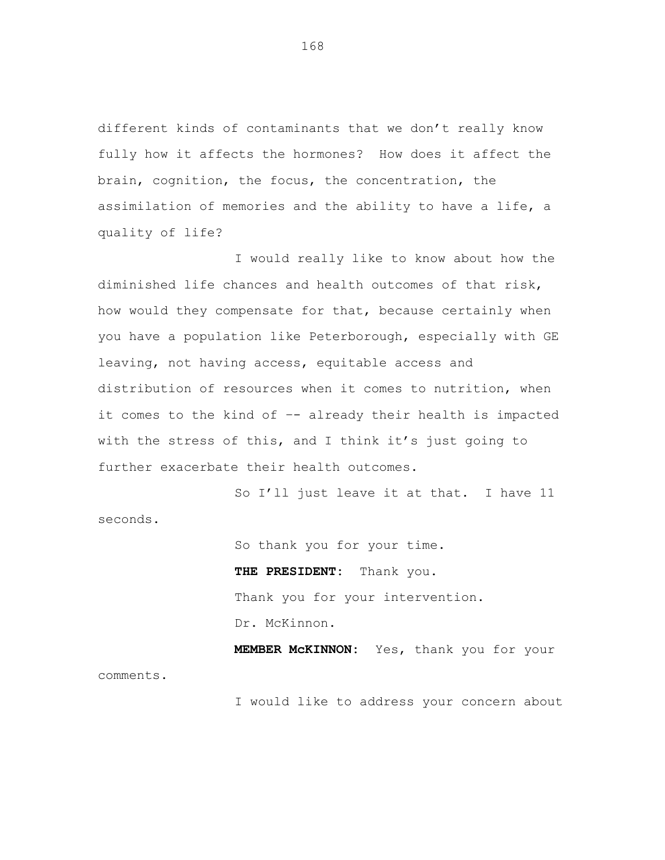different kinds of contaminants that we don't really know fully how it affects the hormones? How does it affect the brain, cognition, the focus, the concentration, the assimilation of memories and the ability to have a life, a quality of life?

I would really like to know about how the diminished life chances and health outcomes of that risk, how would they compensate for that, because certainly when you have a population like Peterborough, especially with GE leaving, not having access, equitable access and distribution of resources when it comes to nutrition, when it comes to the kind of –- already their health is impacted with the stress of this, and I think it's just going to further exacerbate their health outcomes.

So I'll just leave it at that. I have 11 seconds.

> So thank you for your time. **THE PRESIDENT:** Thank you. Thank you for your intervention. Dr. McKinnon.

**MEMBER McKINNON:** Yes, thank you for your comments.

I would like to address your concern about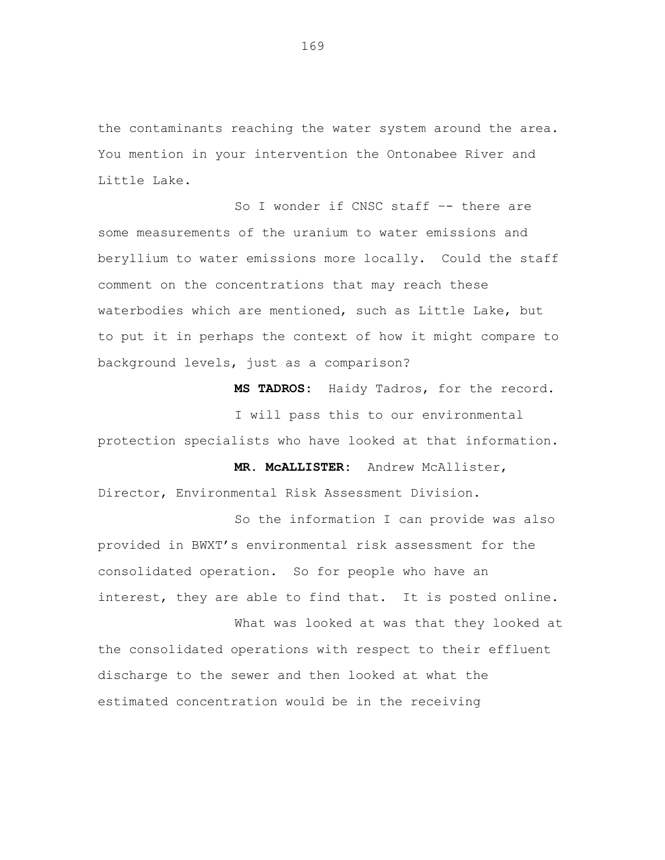the contaminants reaching the water system around the area. You mention in your intervention the Ontonabee River and Little Lake.

So I wonder if CNSC staff –- there are some measurements of the uranium to water emissions and beryllium to water emissions more locally. Could the staff comment on the concentrations that may reach these waterbodies which are mentioned, such as Little Lake, but to put it in perhaps the context of how it might compare to background levels, just as a comparison?

**MS TADROS:** Haidy Tadros, for the record.

**MR. McALLISTER:** Andrew McAllister,

I will pass this to our environmental protection specialists who have looked at that information.

Director, Environmental Risk Assessment Division.

So the information I can provide was also provided in BWXT's environmental risk assessment for the consolidated operation. So for people who have an interest, they are able to find that. It is posted online.

What was looked at was that they looked at the consolidated operations with respect to their effluent discharge to the sewer and then looked at what the estimated concentration would be in the receiving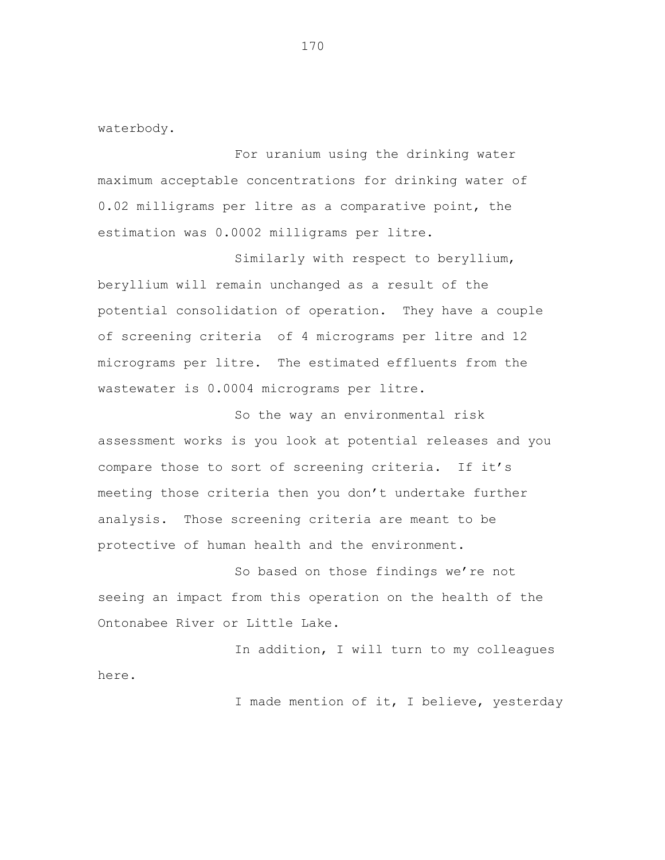waterbody.

For uranium using the drinking water maximum acceptable concentrations for drinking water of 0.02 milligrams per litre as a comparative point, the estimation was 0.0002 milligrams per litre.

Similarly with respect to beryllium, beryllium will remain unchanged as a result of the potential consolidation of operation. They have a couple of screening criteria of 4 micrograms per litre and 12 micrograms per litre. The estimated effluents from the wastewater is 0.0004 micrograms per litre.

So the way an environmental risk assessment works is you look at potential releases and you compare those to sort of screening criteria. If it's meeting those criteria then you don't undertake further analysis. Those screening criteria are meant to be protective of human health and the environment.

So based on those findings we're not seeing an impact from this operation on the health of the Ontonabee River or Little Lake.

In addition, I will turn to my colleagues here.

I made mention of it, I believe, yesterday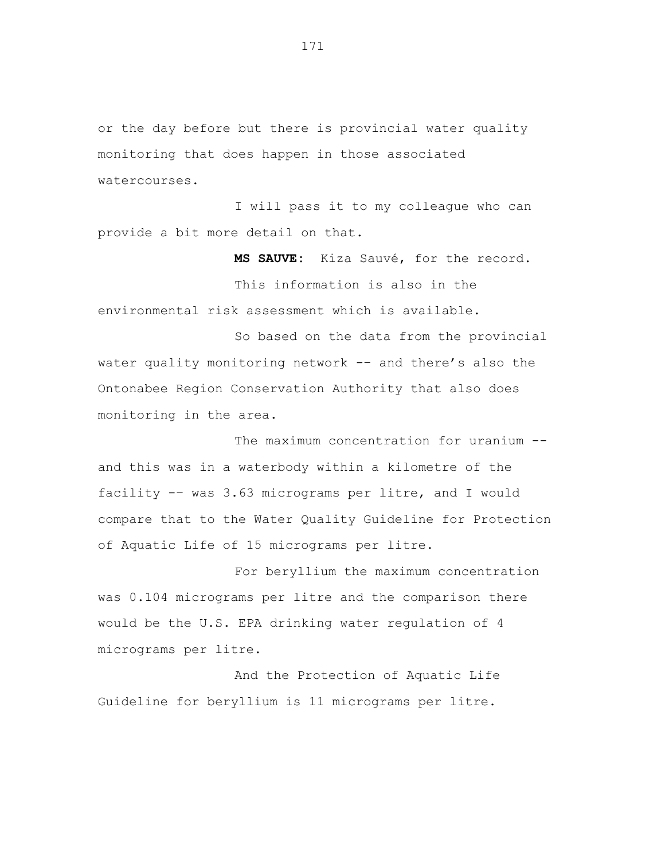or the day before but there is provincial water quality monitoring that does happen in those associated watercourses.

I will pass it to my colleague who can provide a bit more detail on that.

**MS SAUVE:** Kiza Sauvé, for the record.

This information is also in the environmental risk assessment which is available.

So based on the data from the provincial water quality monitoring network -- and there's also the Ontonabee Region Conservation Authority that also does monitoring in the area.

The maximum concentration for uranium -and this was in a waterbody within a kilometre of the facility -– was 3.63 micrograms per litre, and I would compare that to the Water Quality Guideline for Protection of Aquatic Life of 15 micrograms per litre.

For beryllium the maximum concentration was 0.104 micrograms per litre and the comparison there would be the U.S. EPA drinking water regulation of 4 micrograms per litre.

And the Protection of Aquatic Life Guideline for beryllium is 11 micrograms per litre.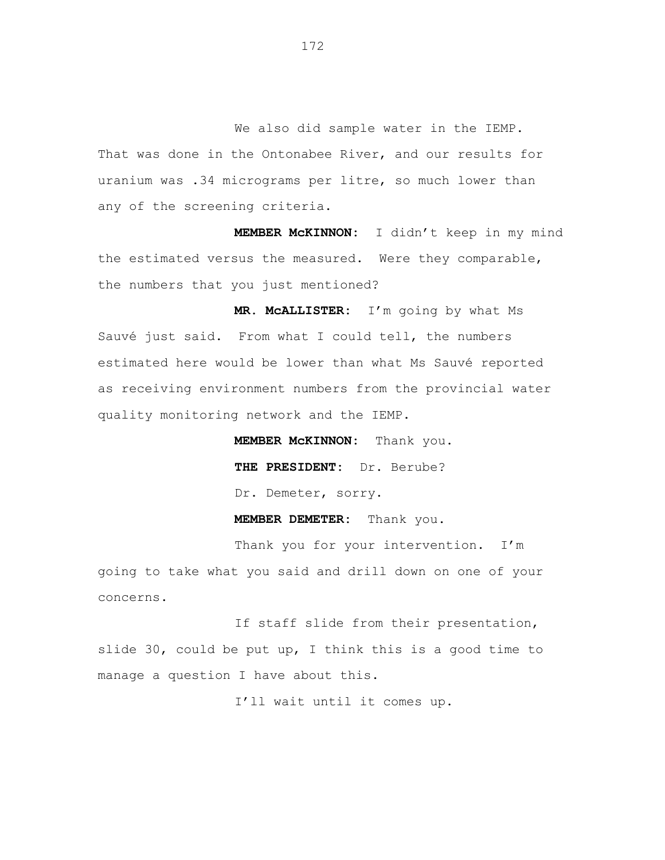We also did sample water in the IEMP. That was done in the Ontonabee River, and our results for uranium was .34 micrograms per litre, so much lower than any of the screening criteria.

**MEMBER McKINNON:** I didn't keep in my mind the estimated versus the measured. Were they comparable, the numbers that you just mentioned?

**MR. McALLISTER:** I'm going by what Ms Sauvé just said. From what I could tell, the numbers estimated here would be lower than what Ms Sauvé reported as receiving environment numbers from the provincial water quality monitoring network and the IEMP.

> **MEMBER McKINNON:** Thank you. **THE PRESIDENT:** Dr. Berube? Dr. Demeter, sorry.

**MEMBER DEMETER:** Thank you.

Thank you for your intervention. I'm going to take what you said and drill down on one of your concerns.

If staff slide from their presentation, slide 30, could be put up, I think this is a good time to manage a question I have about this.

I'll wait until it comes up.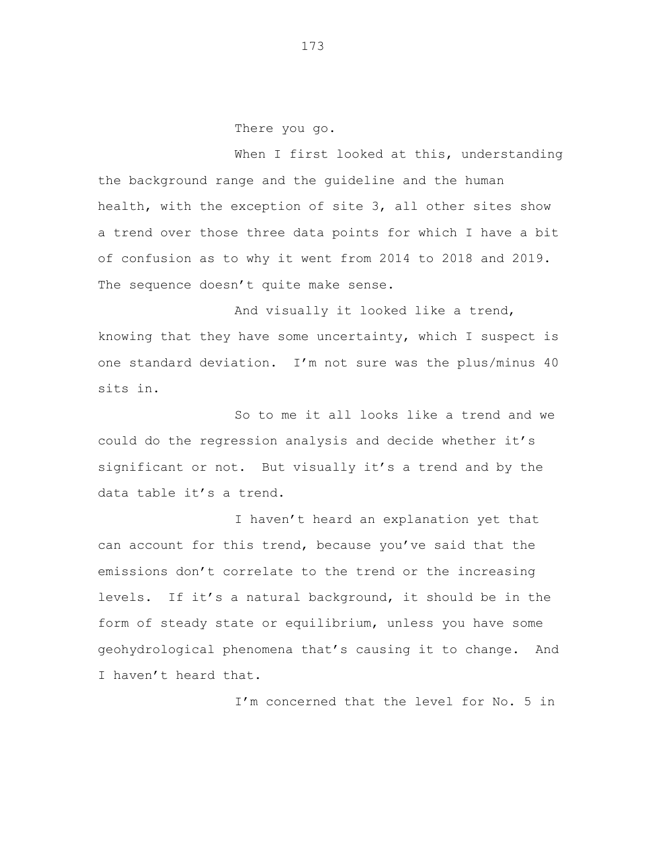There you go.

When I first looked at this, understanding the background range and the guideline and the human health, with the exception of site 3, all other sites show a trend over those three data points for which I have a bit of confusion as to why it went from 2014 to 2018 and 2019. The sequence doesn't quite make sense.

And visually it looked like a trend, knowing that they have some uncertainty, which I suspect is one standard deviation. I'm not sure was the plus/minus 40 sits in.

So to me it all looks like a trend and we could do the regression analysis and decide whether it's significant or not. But visually it's a trend and by the data table it's a trend.

I haven't heard an explanation yet that can account for this trend, because you've said that the emissions don't correlate to the trend or the increasing levels. If it's a natural background, it should be in the form of steady state or equilibrium, unless you have some geohydrological phenomena that's causing it to change. And I haven't heard that.

I'm concerned that the level for No. 5 in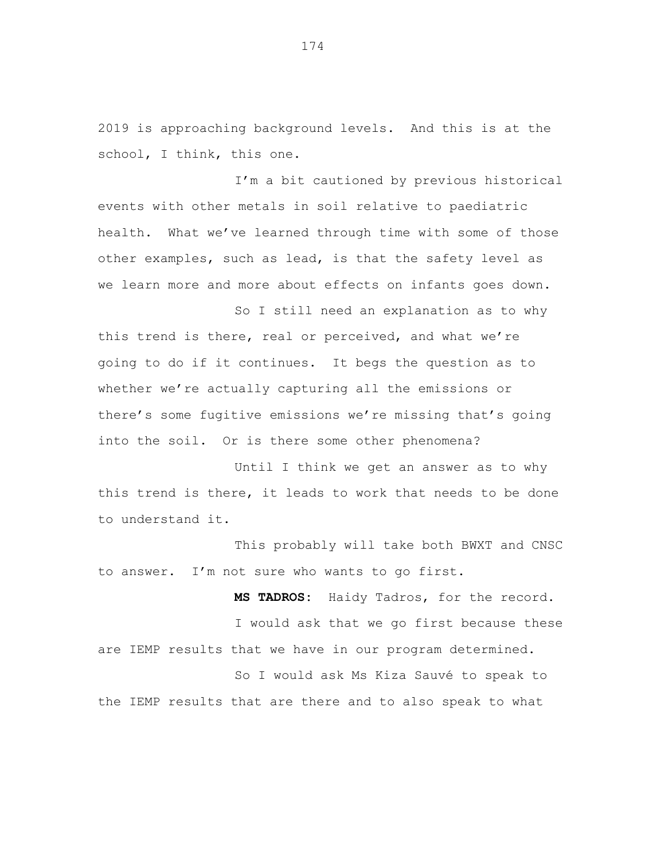2019 is approaching background levels. And this is at the school, I think, this one.

I'm a bit cautioned by previous historical events with other metals in soil relative to paediatric health. What we've learned through time with some of those other examples, such as lead, is that the safety level as we learn more and more about effects on infants goes down.

So I still need an explanation as to why this trend is there, real or perceived, and what we're going to do if it continues. It begs the question as to whether we're actually capturing all the emissions or there's some fugitive emissions we're missing that's going into the soil. Or is there some other phenomena?

Until I think we get an answer as to why this trend is there, it leads to work that needs to be done to understand it.

This probably will take both BWXT and CNSC to answer. I'm not sure who wants to go first.

**MS TADROS:** Haidy Tadros, for the record. I would ask that we go first because these are IEMP results that we have in our program determined.

So I would ask Ms Kiza Sauvé to speak to the IEMP results that are there and to also speak to what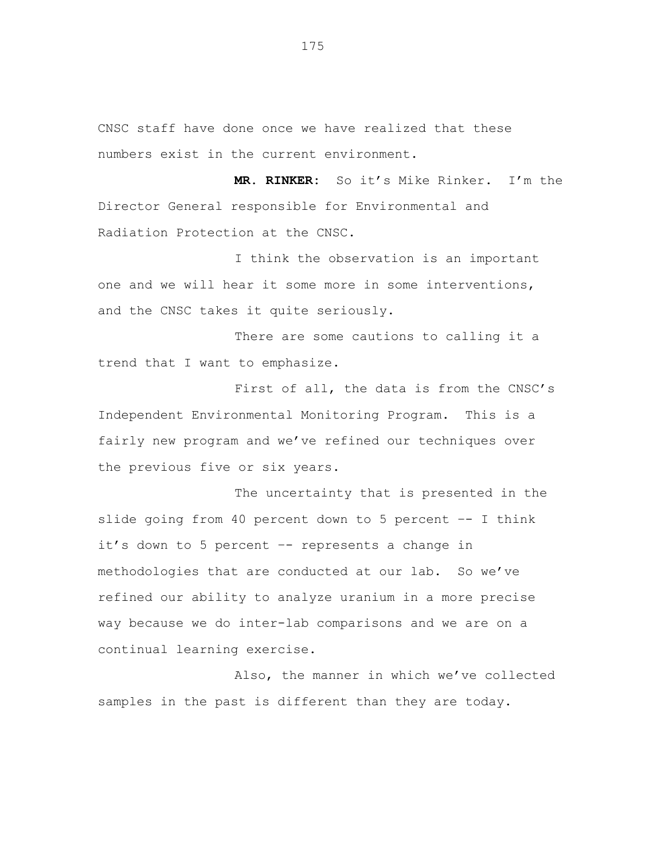CNSC staff have done once we have realized that these numbers exist in the current environment.

**MR. RINKER:** So it's Mike Rinker. I'm the Director General responsible for Environmental and Radiation Protection at the CNSC.

I think the observation is an important one and we will hear it some more in some interventions, and the CNSC takes it quite seriously.

There are some cautions to calling it a trend that I want to emphasize.

First of all, the data is from the CNSC's Independent Environmental Monitoring Program. This is a fairly new program and we've refined our techniques over the previous five or six years.

The uncertainty that is presented in the slide going from 40 percent down to 5 percent –- I think it's down to 5 percent –- represents a change in methodologies that are conducted at our lab. So we've refined our ability to analyze uranium in a more precise way because we do inter-lab comparisons and we are on a continual learning exercise.

Also, the manner in which we've collected samples in the past is different than they are today.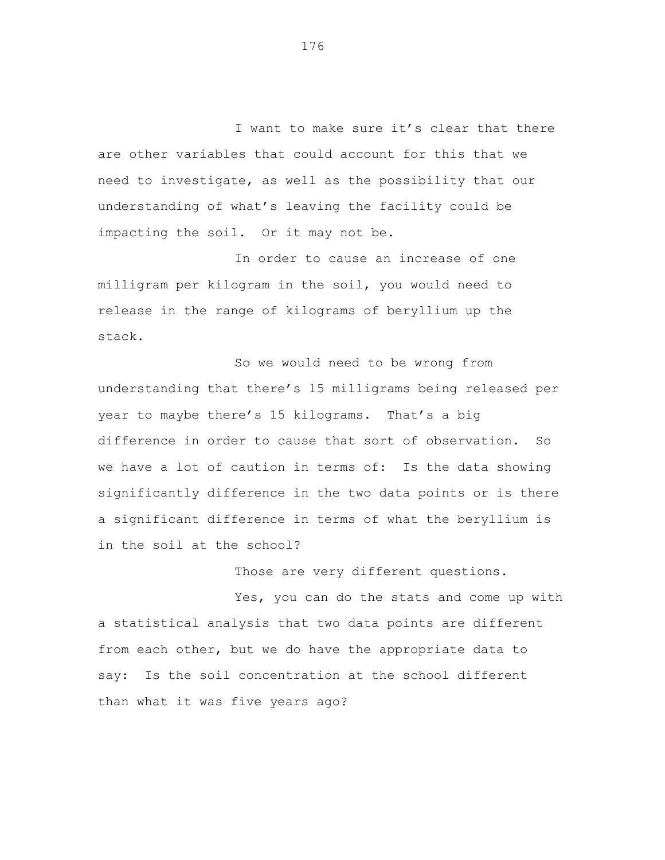I want to make sure it's clear that there are other variables that could account for this that we need to investigate, as well as the possibility that our understanding of what's leaving the facility could be impacting the soil. Or it may not be.

In order to cause an increase of one milligram per kilogram in the soil, you would need to release in the range of kilograms of beryllium up the stack.

So we would need to be wrong from understanding that there's 15 milligrams being released per year to maybe there's 15 kilograms. That's a big difference in order to cause that sort of observation. So we have a lot of caution in terms of: Is the data showing significantly difference in the two data points or is there a significant difference in terms of what the beryllium is in the soil at the school?

Those are very different questions.

Yes, you can do the stats and come up with a statistical analysis that two data points are different from each other, but we do have the appropriate data to say: Is the soil concentration at the school different than what it was five years ago?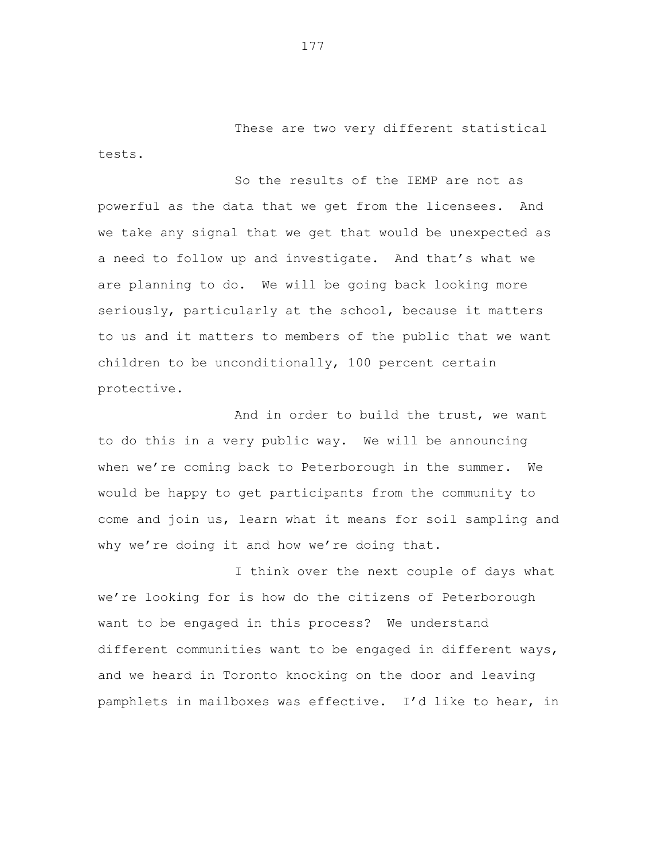These are two very different statistical tests.

So the results of the IEMP are not as powerful as the data that we get from the licensees. And we take any signal that we get that would be unexpected as a need to follow up and investigate. And that's what we are planning to do. We will be going back looking more seriously, particularly at the school, because it matters to us and it matters to members of the public that we want children to be unconditionally, 100 percent certain protective.

And in order to build the trust, we want to do this in a very public way. We will be announcing when we're coming back to Peterborough in the summer. We would be happy to get participants from the community to come and join us, learn what it means for soil sampling and why we're doing it and how we're doing that.

I think over the next couple of days what we're looking for is how do the citizens of Peterborough want to be engaged in this process? We understand different communities want to be engaged in different ways, and we heard in Toronto knocking on the door and leaving pamphlets in mailboxes was effective. I'd like to hear, in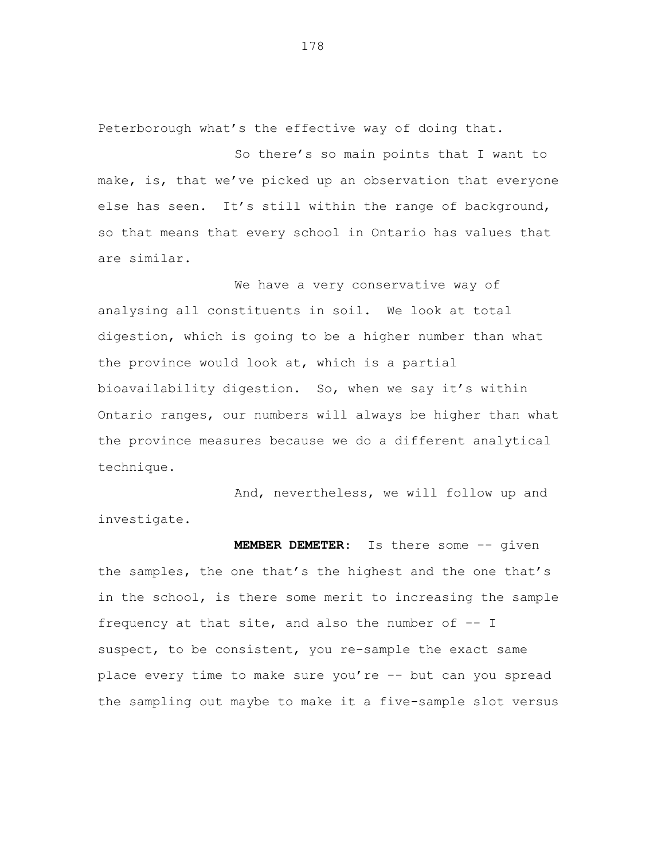Peterborough what's the effective way of doing that.

So there's so main points that I want to make, is, that we've picked up an observation that everyone else has seen. It's still within the range of background, so that means that every school in Ontario has values that are similar.

We have a very conservative way of analysing all constituents in soil. We look at total digestion, which is going to be a higher number than what the province would look at, which is a partial bioavailability digestion. So, when we say it's within Ontario ranges, our numbers will always be higher than what the province measures because we do a different analytical technique.

And, nevertheless, we will follow up and investigate.

**MEMBER DEMETER**: Is there some -- given the samples, the one that's the highest and the one that's in the school, is there some merit to increasing the sample frequency at that site, and also the number of  $-$ - I suspect, to be consistent, you re-sample the exact same place every time to make sure you're -- but can you spread the sampling out maybe to make it a five-sample slot versus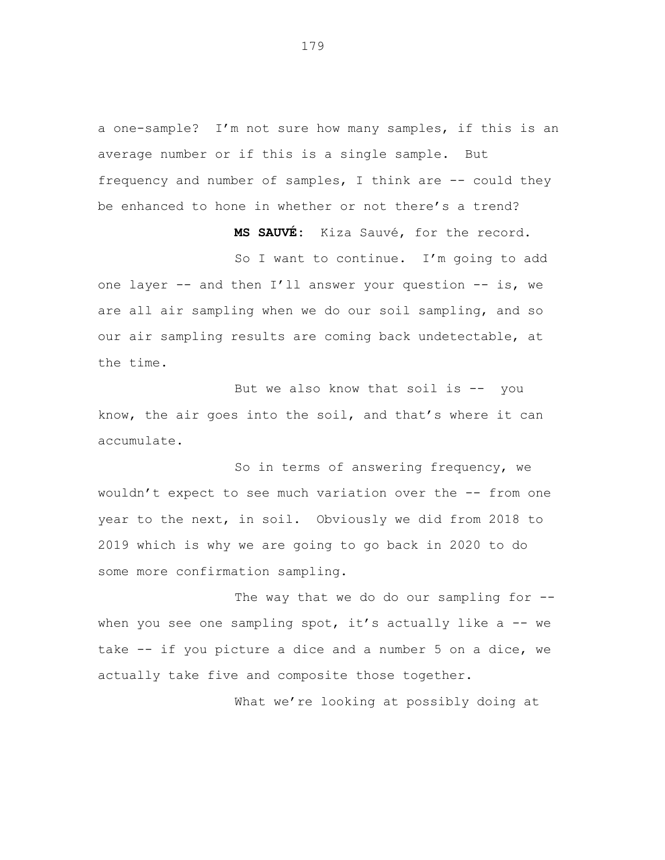a one-sample? I'm not sure how many samples, if this is an average number or if this is a single sample. But frequency and number of samples, I think are  $-$ - could they be enhanced to hone in whether or not there's a trend?

**MS SAUVÉ:** Kiza Sauvé, for the record.

So I want to continue. I'm going to add one layer -- and then I'll answer your question -- is, we are all air sampling when we do our soil sampling, and so our air sampling results are coming back undetectable, at the time.

But we also know that soil is -- you know, the air goes into the soil, and that's where it can accumulate.

So in terms of answering frequency, we wouldn't expect to see much variation over the -- from one year to the next, in soil. Obviously we did from 2018 to 2019 which is why we are going to go back in 2020 to do some more confirmation sampling.

The way that we do do our sampling for -when you see one sampling spot, it's actually like a  $-$  we take -- if you picture a dice and a number 5 on a dice, we actually take five and composite those together.

What we're looking at possibly doing at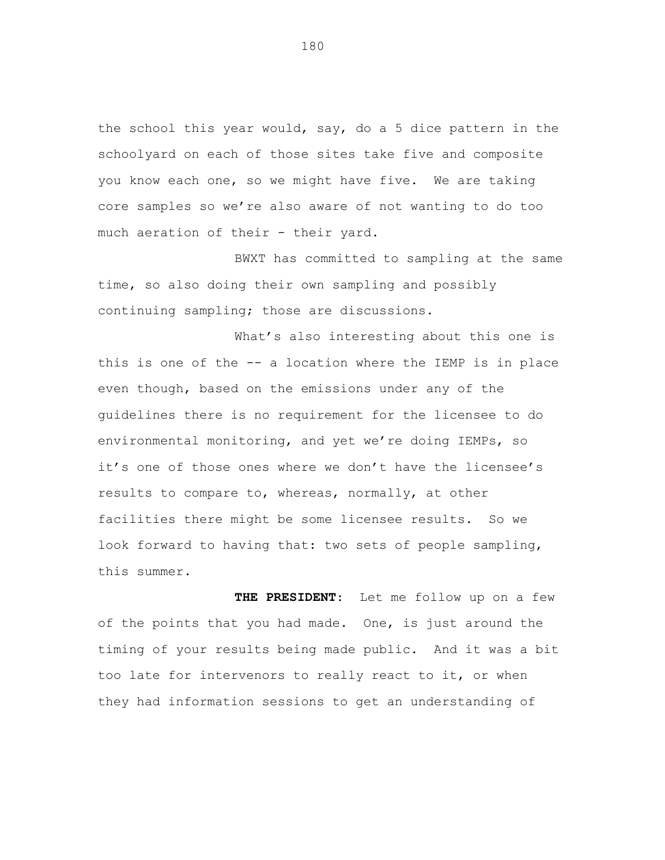the school this year would, say, do a 5 dice pattern in the schoolyard on each of those sites take five and composite you know each one, so we might have five. We are taking core samples so we're also aware of not wanting to do too much aeration of their - their yard.

BWXT has committed to sampling at the same time, so also doing their own sampling and possibly continuing sampling; those are discussions.

What's also interesting about this one is this is one of the -- a location where the IEMP is in place even though, based on the emissions under any of the guidelines there is no requirement for the licensee to do environmental monitoring, and yet we're doing IEMPs, so it's one of those ones where we don't have the licensee's results to compare to, whereas, normally, at other facilities there might be some licensee results. So we look forward to having that: two sets of people sampling, this summer.

**THE PRESIDENT**: Let me follow up on a few of the points that you had made. One, is just around the timing of your results being made public. And it was a bit too late for intervenors to really react to it, or when they had information sessions to get an understanding of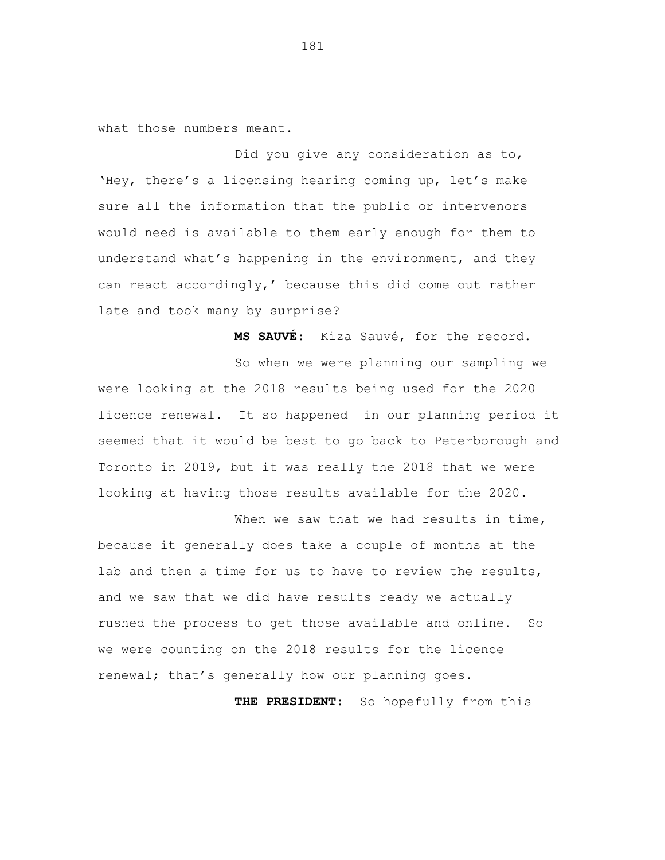what those numbers meant.

Did you give any consideration as to, 'Hey, there's a licensing hearing coming up, let's make sure all the information that the public or intervenors would need is available to them early enough for them to understand what's happening in the environment, and they can react accordingly,' because this did come out rather late and took many by surprise?

**MS SAUVÉ**: Kiza Sauvé, for the record.

So when we were planning our sampling we were looking at the 2018 results being used for the 2020 licence renewal. It so happened in our planning period it seemed that it would be best to go back to Peterborough and Toronto in 2019, but it was really the 2018 that we were looking at having those results available for the 2020.

When we saw that we had results in time, because it generally does take a couple of months at the lab and then a time for us to have to review the results, and we saw that we did have results ready we actually rushed the process to get those available and online. So we were counting on the 2018 results for the licence renewal; that's generally how our planning goes.

**THE PRESIDENT**: So hopefully from this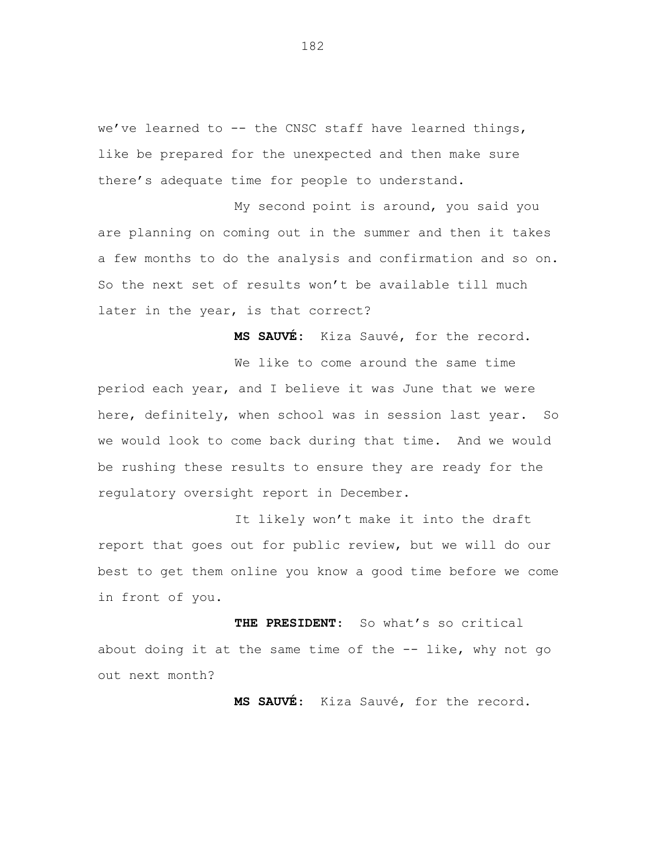we've learned to -- the CNSC staff have learned things, like be prepared for the unexpected and then make sure there's adequate time for people to understand.

My second point is around, you said you are planning on coming out in the summer and then it takes a few months to do the analysis and confirmation and so on. So the next set of results won't be available till much later in the year, is that correct?

**MS SAUVÉ:** Kiza Sauvé, for the record.

We like to come around the same time period each year, and I believe it was June that we were here, definitely, when school was in session last year. So we would look to come back during that time. And we would be rushing these results to ensure they are ready for the regulatory oversight report in December.

It likely won't make it into the draft report that goes out for public review, but we will do our best to get them online you know a good time before we come in front of you.

**THE PRESIDENT**: So what's so critical about doing it at the same time of the -- like, why not go out next month?

**MS SAUVÉ**: Kiza Sauvé, for the record.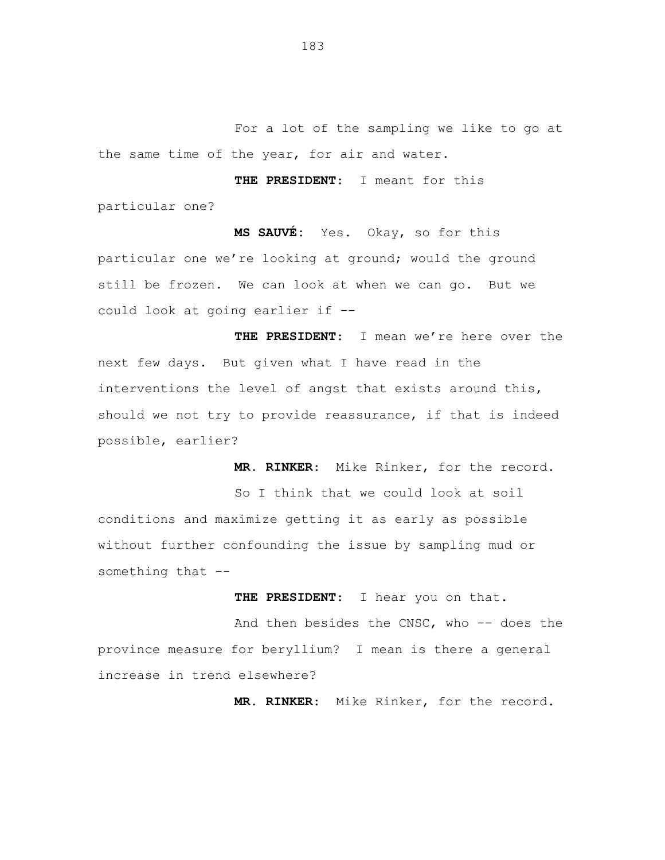For a lot of the sampling we like to go at the same time of the year, for air and water.

**THE PRESIDENT**: I meant for this particular one?

**MS SAUVÉ:** Yes. Okay, so for this particular one we're looking at ground; would the ground still be frozen. We can look at when we can go. But we could look at going earlier if --

**THE PRESIDENT**: I mean we're here over the next few days. But given what I have read in the interventions the level of angst that exists around this, should we not try to provide reassurance, if that is indeed possible, earlier?

**MR. RINKER**: Mike Rinker, for the record.

So I think that we could look at soil conditions and maximize getting it as early as possible without further confounding the issue by sampling mud or something that --

**THE PRESIDENT**: I hear you on that.

And then besides the CNSC, who -- does the province measure for beryllium? I mean is there a general increase in trend elsewhere?

**MR. RINKER**: Mike Rinker, for the record.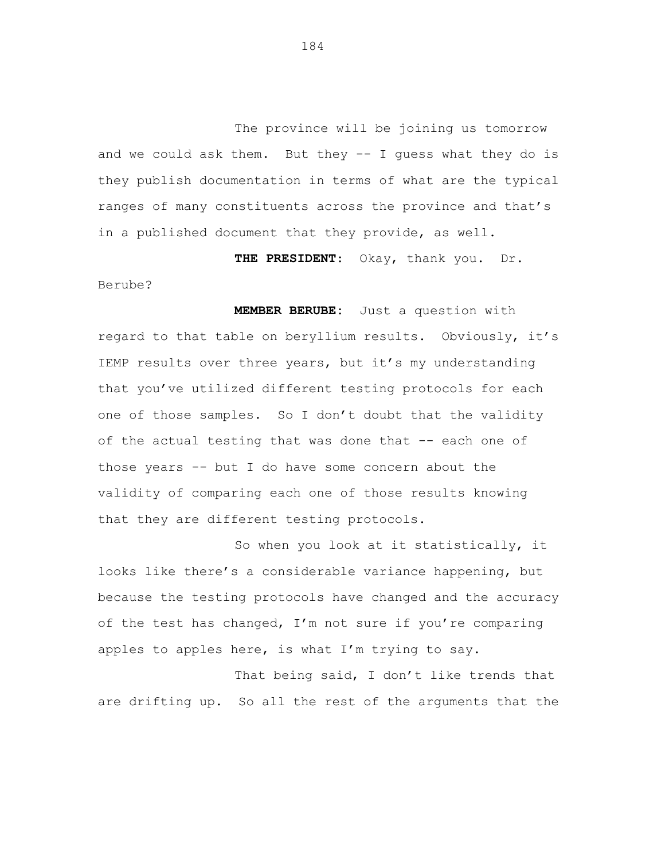The province will be joining us tomorrow and we could ask them. But they -- I guess what they do is they publish documentation in terms of what are the typical ranges of many constituents across the province and that's in a published document that they provide, as well.

**THE PRESIDENT**: Okay, thank you. Dr.

Berube?

**MEMBER BERUBE:** Just a question with regard to that table on beryllium results. Obviously, it's IEMP results over three years, but it's my understanding that you've utilized different testing protocols for each one of those samples. So I don't doubt that the validity of the actual testing that was done that -- each one of those years -- but I do have some concern about the validity of comparing each one of those results knowing that they are different testing protocols.

So when you look at it statistically, it looks like there's a considerable variance happening, but because the testing protocols have changed and the accuracy of the test has changed, I'm not sure if you're comparing apples to apples here, is what I'm trying to say.

That being said, I don't like trends that are drifting up. So all the rest of the arguments that the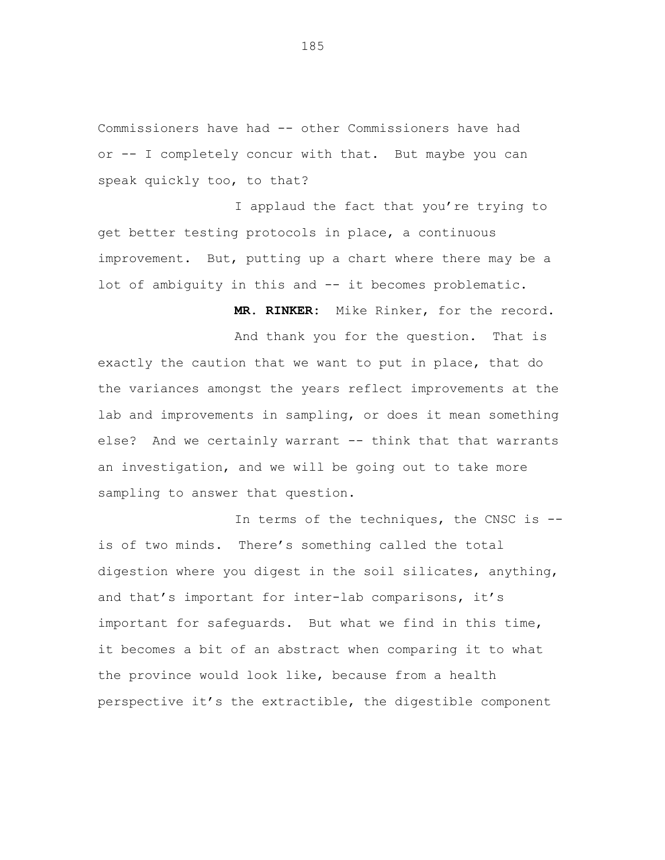Commissioners have had -- other Commissioners have had or -- I completely concur with that. But maybe you can speak quickly too, to that?

I applaud the fact that you're trying to get better testing protocols in place, a continuous improvement. But, putting up a chart where there may be a lot of ambiguity in this and -- it becomes problematic.

**MR. RINKER:** Mike Rinker, for the record.

And thank you for the question. That is exactly the caution that we want to put in place, that do the variances amongst the years reflect improvements at the lab and improvements in sampling, or does it mean something else? And we certainly warrant -- think that that warrants an investigation, and we will be going out to take more sampling to answer that question.

In terms of the techniques, the CNSC is - is of two minds. There's something called the total digestion where you digest in the soil silicates, anything, and that's important for inter-lab comparisons, it's important for safeguards. But what we find in this time, it becomes a bit of an abstract when comparing it to what the province would look like, because from a health perspective it's the extractible, the digestible component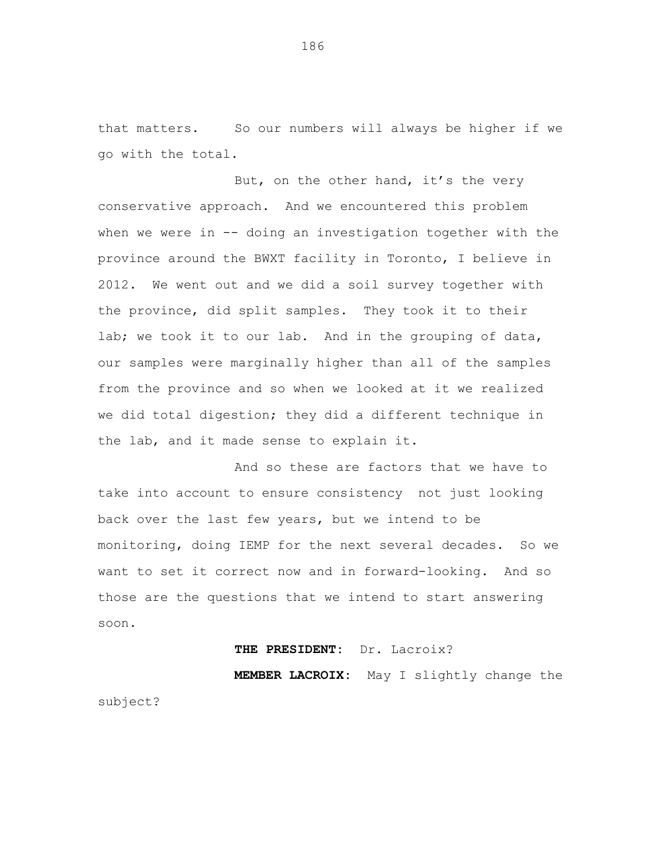that matters. So our numbers will always be higher if we go with the total.

But, on the other hand, it's the very conservative approach. And we encountered this problem when we were in -- doing an investigation together with the province around the BWXT facility in Toronto, I believe in 2012. We went out and we did a soil survey together with the province, did split samples. They took it to their lab; we took it to our lab. And in the grouping of data, our samples were marginally higher than all of the samples from the province and so when we looked at it we realized we did total digestion; they did a different technique in the lab, and it made sense to explain it.

And so these are factors that we have to take into account to ensure consistency not just looking back over the last few years, but we intend to be monitoring, doing IEMP for the next several decades. So we want to set it correct now and in forward-looking. And so those are the questions that we intend to start answering soon.

### **THE PRESIDENT:** Dr. Lacroix?

**MEMBER LACROIX:** May I slightly change the subject?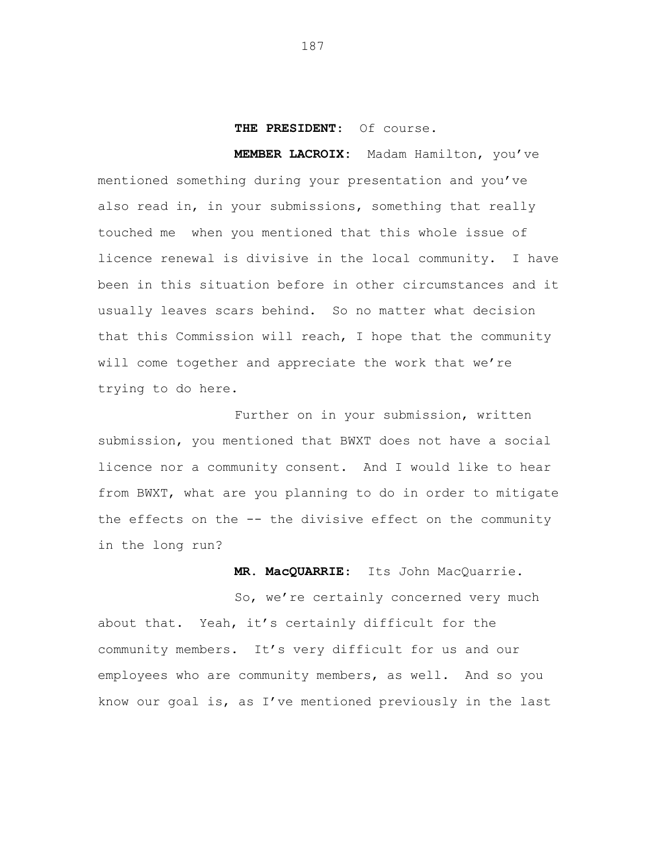# **THE PRESIDENT**: Of course.

**MEMBER LACROIX:**Madam Hamilton, you've mentioned something during your presentation and you've also read in, in your submissions, something that really touched me when you mentioned that this whole issue of licence renewal is divisive in the local community. I have been in this situation before in other circumstances and it usually leaves scars behind. So no matter what decision that this Commission will reach, I hope that the community will come together and appreciate the work that we're trying to do here.

Further on in your submission, written submission, you mentioned that BWXT does not have a social licence nor a community consent. And I would like to hear from BWXT, what are you planning to do in order to mitigate the effects on the -- the divisive effect on the community in the long run?

**MR. MacQUARRIE**: Its John MacQuarrie.

So, we're certainly concerned very much about that. Yeah, it's certainly difficult for the community members. It's very difficult for us and our employees who are community members, as well. And so you know our goal is, as I've mentioned previously in the last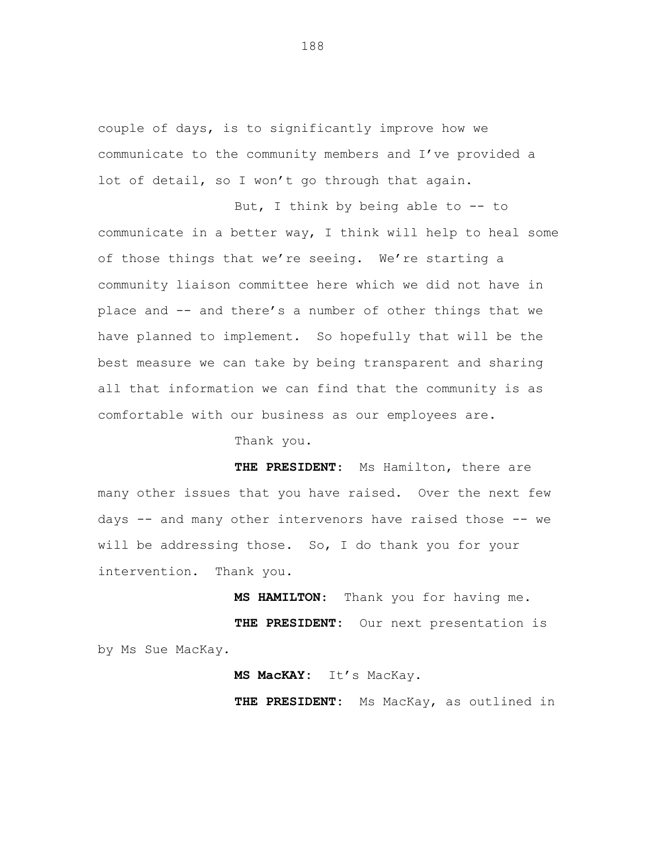couple of days, is to significantly improve how we communicate to the community members and I've provided a lot of detail, so I won't go through that again.

But, I think by being able to -- to communicate in a better way, I think will help to heal some of those things that we're seeing. We're starting a community liaison committee here which we did not have in place and -- and there's a number of other things that we have planned to implement. So hopefully that will be the best measure we can take by being transparent and sharing all that information we can find that the community is as comfortable with our business as our employees are.

Thank you.

**THE PRESIDENT**: Ms Hamilton, there are many other issues that you have raised. Over the next few days -- and many other intervenors have raised those -- we will be addressing those. So, I do thank you for your intervention. Thank you.

**MS HAMILTON**: Thank you for having me. **THE PRESIDENT:** Our next presentation is by Ms Sue MacKay.

**MS MacKAY:** It's MacKay.

**THE PRESIDENT:** Ms MacKay, as outlined in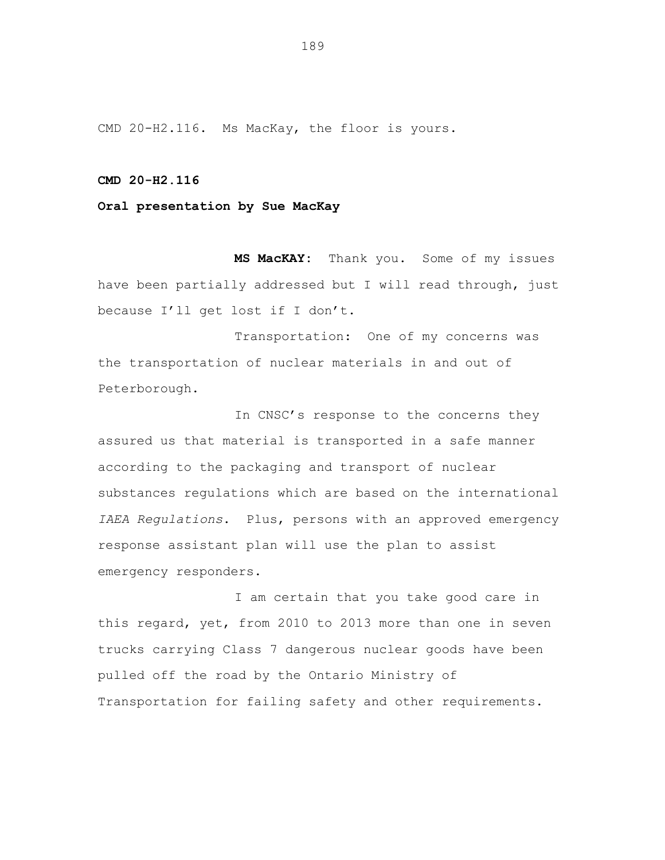CMD 20-H2.116. Ms MacKay, the floor is yours.

### **CMD 20-H2.116**

# **Oral presentation by Sue MacKay**

**MS MacKAY:** Thank you. Some of my issues have been partially addressed but I will read through, just because I'll get lost if I don't.

Transportation: One of my concerns was the transportation of nuclear materials in and out of Peterborough.

In CNSC's response to the concerns they assured us that material is transported in a safe manner according to the packaging and transport of nuclear substances regulations which are based on the international *IAEA Regulations*. Plus, persons with an approved emergency response assistant plan will use the plan to assist emergency responders.

I am certain that you take good care in this regard, yet, from 2010 to 2013 more than one in seven trucks carrying Class 7 dangerous nuclear goods have been pulled off the road by the Ontario Ministry of Transportation for failing safety and other requirements.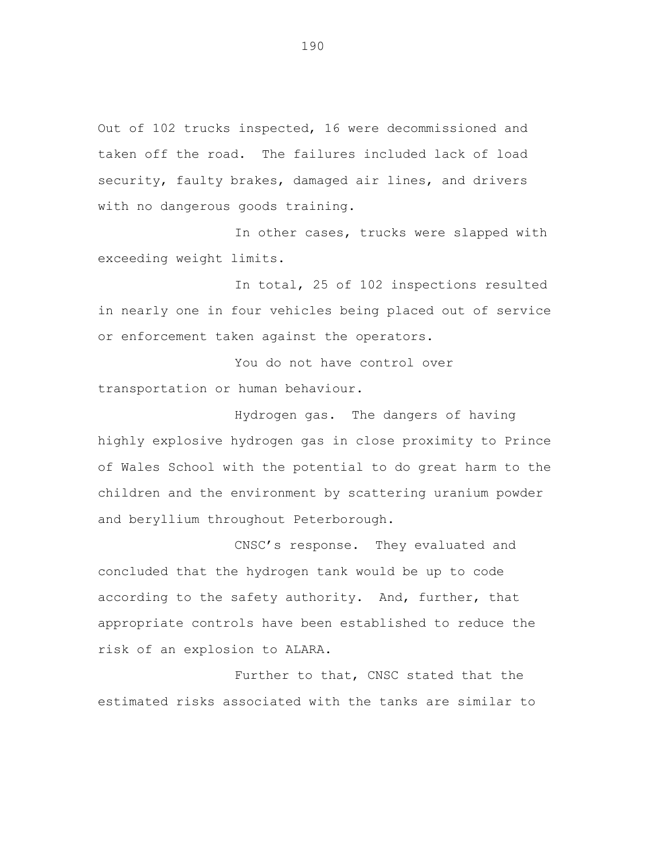Out of 102 trucks inspected, 16 were decommissioned and taken off the road. The failures included lack of load security, faulty brakes, damaged air lines, and drivers with no dangerous goods training.

In other cases, trucks were slapped with exceeding weight limits.

In total, 25 of 102 inspections resulted in nearly one in four vehicles being placed out of service or enforcement taken against the operators.

You do not have control over transportation or human behaviour.

Hydrogen gas. The dangers of having highly explosive hydrogen gas in close proximity to Prince of Wales School with the potential to do great harm to the children and the environment by scattering uranium powder and beryllium throughout Peterborough.

CNSC's response. They evaluated and concluded that the hydrogen tank would be up to code according to the safety authority. And, further, that appropriate controls have been established to reduce the risk of an explosion to ALARA.

Further to that, CNSC stated that the estimated risks associated with the tanks are similar to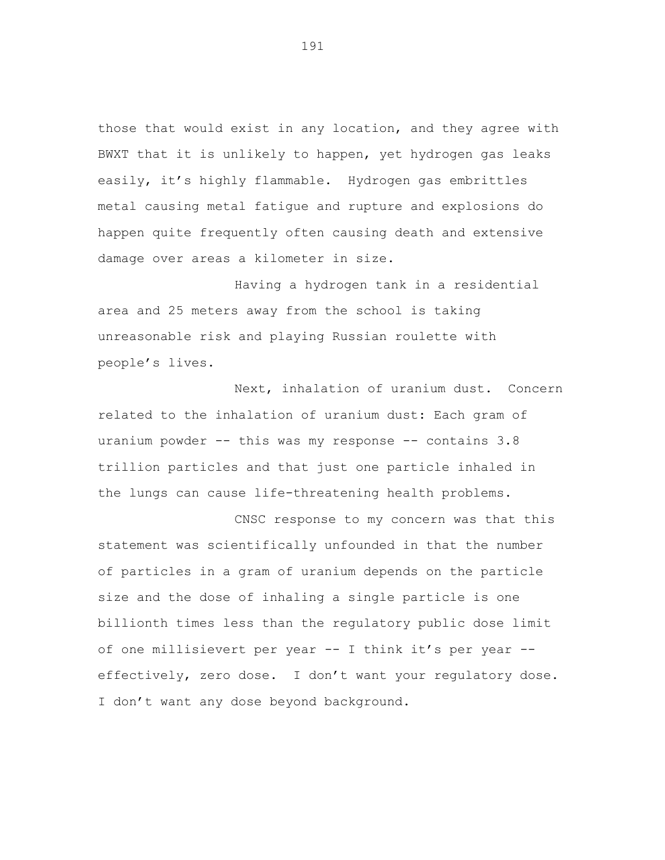those that would exist in any location, and they agree with BWXT that it is unlikely to happen, yet hydrogen gas leaks easily, it's highly flammable. Hydrogen gas embrittles metal causing metal fatigue and rupture and explosions do happen quite frequently often causing death and extensive damage over areas a kilometer in size.

Having a hydrogen tank in a residential area and 25 meters away from the school is taking unreasonable risk and playing Russian roulette with people's lives.

Next, inhalation of uranium dust. Concern related to the inhalation of uranium dust: Each gram of uranium powder -- this was my response -- contains 3.8 trillion particles and that just one particle inhaled in the lungs can cause life-threatening health problems.

CNSC response to my concern was that this statement was scientifically unfounded in that the number of particles in a gram of uranium depends on the particle size and the dose of inhaling a single particle is one billionth times less than the regulatory public dose limit of one millisievert per year -- I think it's per year - effectively, zero dose. I don't want your regulatory dose. I don't want any dose beyond background.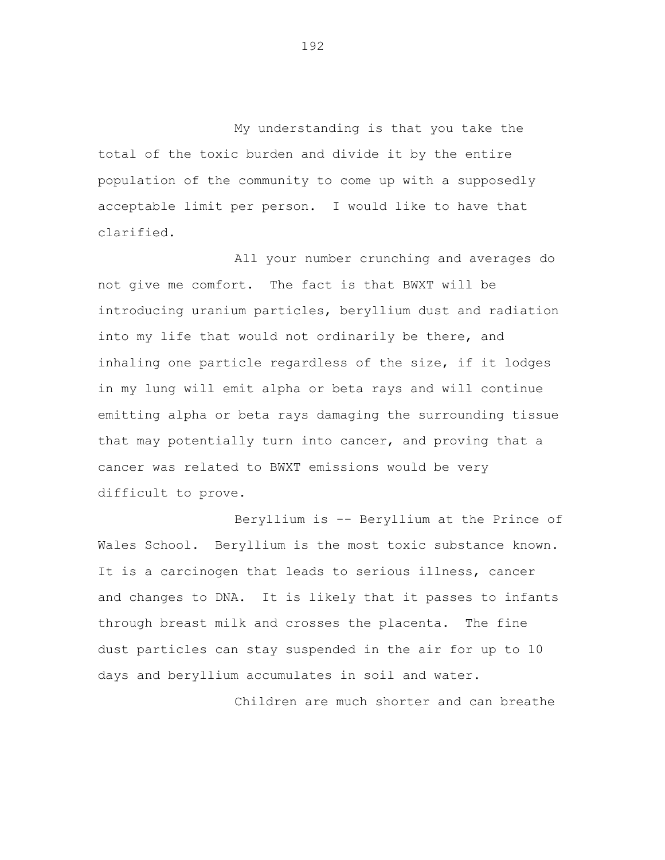My understanding is that you take the total of the toxic burden and divide it by the entire population of the community to come up with a supposedly acceptable limit per person. I would like to have that clarified.

All your number crunching and averages do not give me comfort. The fact is that BWXT will be introducing uranium particles, beryllium dust and radiation into my life that would not ordinarily be there, and inhaling one particle regardless of the size, if it lodges in my lung will emit alpha or beta rays and will continue emitting alpha or beta rays damaging the surrounding tissue that may potentially turn into cancer, and proving that a cancer was related to BWXT emissions would be very difficult to prove.

Beryllium is -- Beryllium at the Prince of Wales School. Beryllium is the most toxic substance known. It is a carcinogen that leads to serious illness, cancer and changes to DNA. It is likely that it passes to infants through breast milk and crosses the placenta. The fine dust particles can stay suspended in the air for up to 10 days and beryllium accumulates in soil and water.

Children are much shorter and can breathe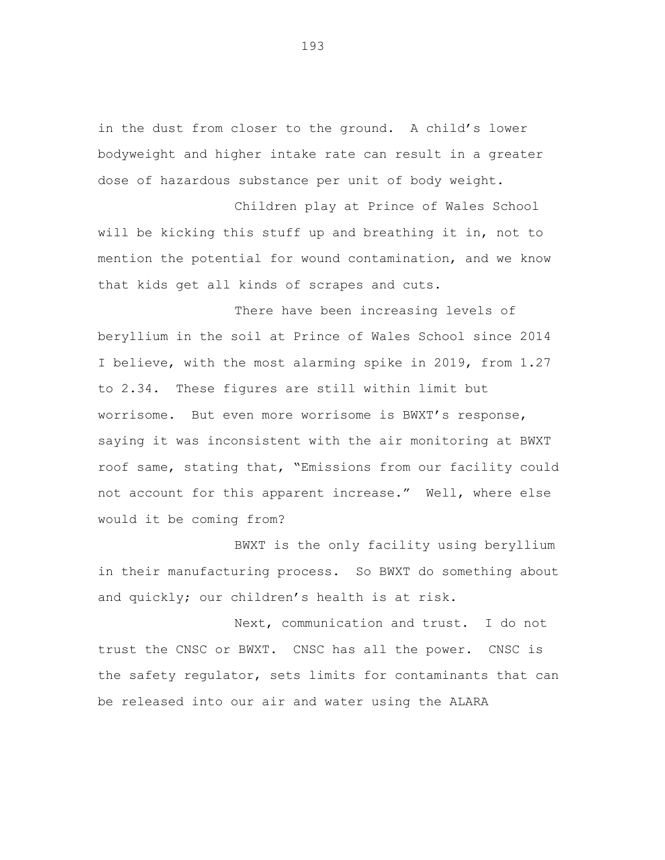in the dust from closer to the ground. A child's lower bodyweight and higher intake rate can result in a greater dose of hazardous substance per unit of body weight.

Children play at Prince of Wales School will be kicking this stuff up and breathing it in, not to mention the potential for wound contamination, and we know that kids get all kinds of scrapes and cuts.

There have been increasing levels of beryllium in the soil at Prince of Wales School since 2014 I believe, with the most alarming spike in 2019, from 1.27 to 2.34. These figures are still within limit but worrisome. But even more worrisome is BWXT's response, saying it was inconsistent with the air monitoring at BWXT roof same, stating that, "Emissions from our facility could not account for this apparent increase." Well, where else would it be coming from?

BWXT is the only facility using beryllium in their manufacturing process. So BWXT do something about and quickly; our children's health is at risk.

Next, communication and trust. I do not trust the CNSC or BWXT. CNSC has all the power. CNSC is the safety regulator, sets limits for contaminants that can be released into our air and water using the ALARA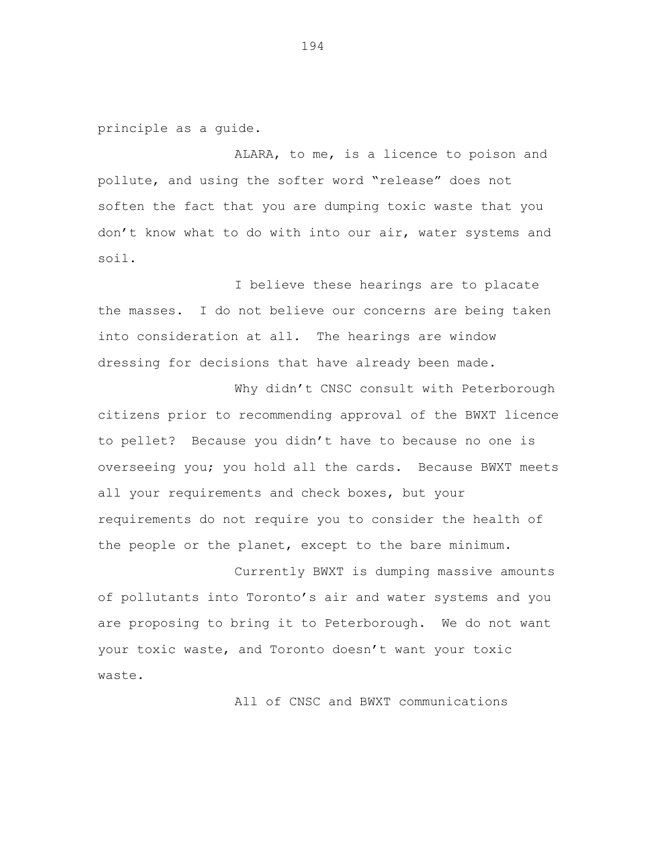principle as a guide.

ALARA, to me, is a licence to poison and pollute, and using the softer word "release" does not soften the fact that you are dumping toxic waste that you don't know what to do with into our air, water systems and soil.

I believe these hearings are to placate the masses. I do not believe our concerns are being taken into consideration at all. The hearings are window dressing for decisions that have already been made.

Why didn't CNSC consult with Peterborough citizens prior to recommending approval of the BWXT licence to pellet? Because you didn't have to because no one is overseeing you; you hold all the cards. Because BWXT meets all your requirements and check boxes, but your requirements do not require you to consider the health of the people or the planet, except to the bare minimum.

Currently BWXT is dumping massive amounts of pollutants into Toronto's air and water systems and you are proposing to bring it to Peterborough. We do not want your toxic waste, and Toronto doesn't want your toxic waste.

All of CNSC and BWXT communications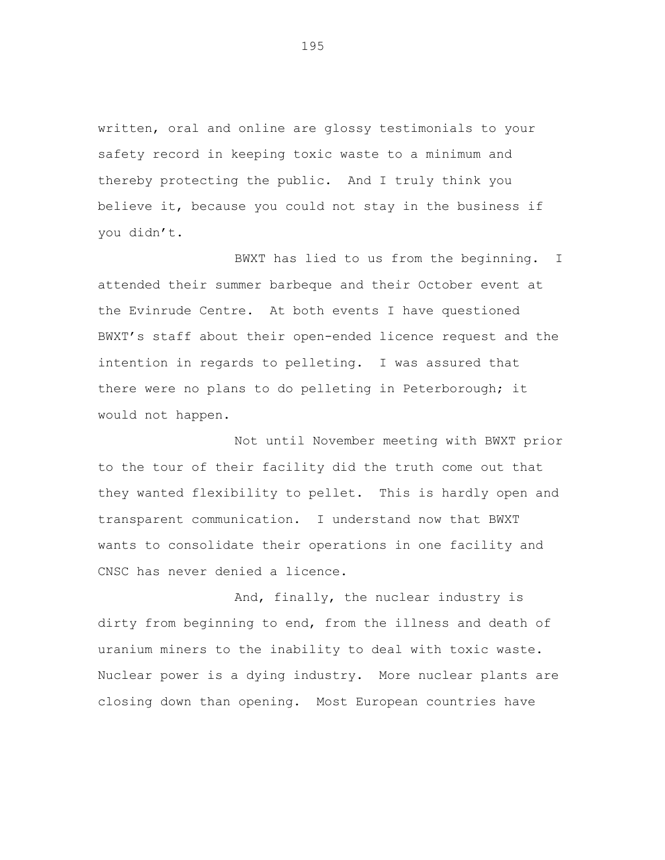written, oral and online are glossy testimonials to your safety record in keeping toxic waste to a minimum and thereby protecting the public. And I truly think you believe it, because you could not stay in the business if you didn't.

BWXT has lied to us from the beginning. I attended their summer barbeque and their October event at the Evinrude Centre. At both events I have questioned BWXT's staff about their open-ended licence request and the intention in regards to pelleting. I was assured that there were no plans to do pelleting in Peterborough; it would not happen.

Not until November meeting with BWXT prior to the tour of their facility did the truth come out that they wanted flexibility to pellet. This is hardly open and transparent communication. I understand now that BWXT wants to consolidate their operations in one facility and CNSC has never denied a licence.

And, finally, the nuclear industry is dirty from beginning to end, from the illness and death of uranium miners to the inability to deal with toxic waste. Nuclear power is a dying industry. More nuclear plants are closing down than opening. Most European countries have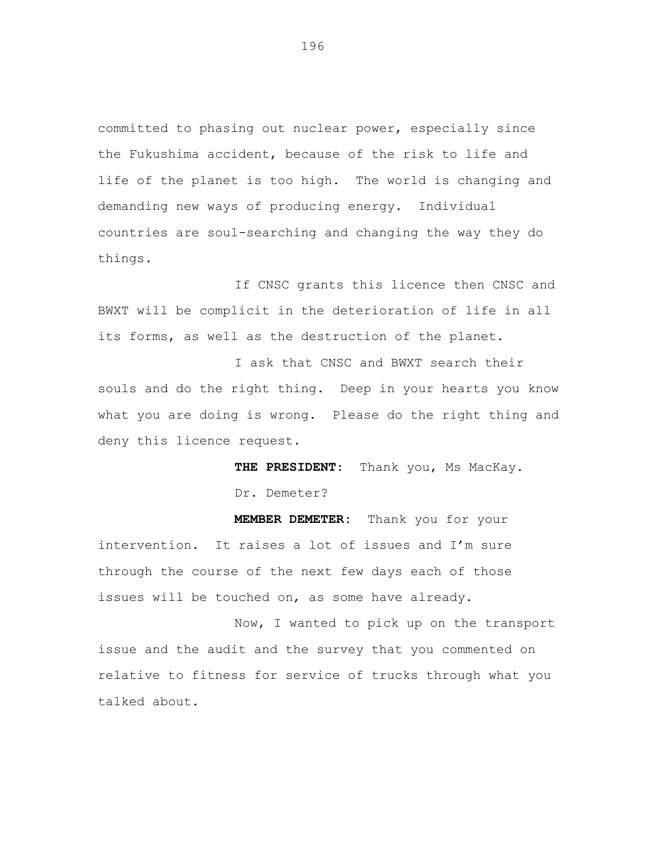committed to phasing out nuclear power, especially since the Fukushima accident, because of the risk to life and life of the planet is too high. The world is changing and demanding new ways of producing energy. Individual countries are soul-searching and changing the way they do things.

If CNSC grants this licence then CNSC and BWXT will be complicit in the deterioration of life in all its forms, as well as the destruction of the planet.

I ask that CNSC and BWXT search their souls and do the right thing. Deep in your hearts you know what you are doing is wrong. Please do the right thing and deny this licence request.

> **THE PRESIDENT**: Thank you, Ms MacKay. Dr. Demeter?

**MEMBER DEMETER:** Thank you for your intervention. It raises a lot of issues and I'm sure through the course of the next few days each of those issues will be touched on, as some have already.

Now, I wanted to pick up on the transport issue and the audit and the survey that you commented on relative to fitness for service of trucks through what you talked about.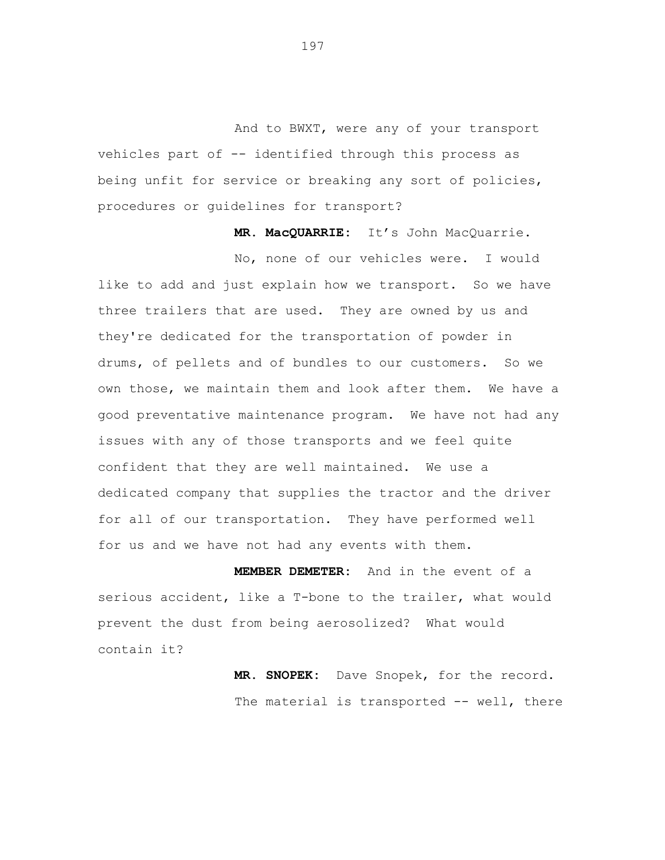And to BWXT, were any of your transport vehicles part of -- identified through this process as being unfit for service or breaking any sort of policies, procedures or guidelines for transport?

**MR. MacQUARRIE:** It's John MacQuarrie.

No, none of our vehicles were. I would like to add and just explain how we transport. So we have three trailers that are used. They are owned by us and they're dedicated for the transportation of powder in drums, of pellets and of bundles to our customers. So we own those, we maintain them and look after them. We have a good preventative maintenance program. We have not had any issues with any of those transports and we feel quite confident that they are well maintained. We use a dedicated company that supplies the tractor and the driver for all of our transportation. They have performed well for us and we have not had any events with them.

**MEMBER DEMETER:** And in the event of a serious accident, like a T-bone to the trailer, what would prevent the dust from being aerosolized? What would contain it?

> **MR. SNOPEK:** Dave Snopek, for the record. The material is transported -- well, there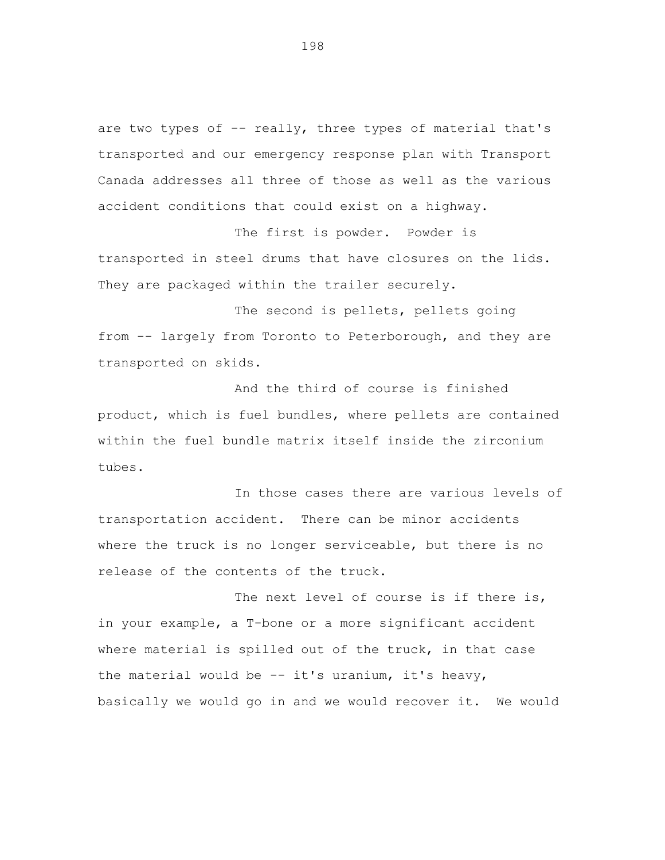are two types of -- really, three types of material that's transported and our emergency response plan with Transport Canada addresses all three of those as well as the various accident conditions that could exist on a highway.

The first is powder. Powder is transported in steel drums that have closures on the lids. They are packaged within the trailer securely.

The second is pellets, pellets going from -- largely from Toronto to Peterborough, and they are transported on skids.

And the third of course is finished product, which is fuel bundles, where pellets are contained within the fuel bundle matrix itself inside the zirconium tubes.

In those cases there are various levels of transportation accident. There can be minor accidents where the truck is no longer serviceable, but there is no release of the contents of the truck.

The next level of course is if there is, in your example, a T-bone or a more significant accident where material is spilled out of the truck, in that case the material would be  $-$  it's uranium, it's heavy, basically we would go in and we would recover it. We would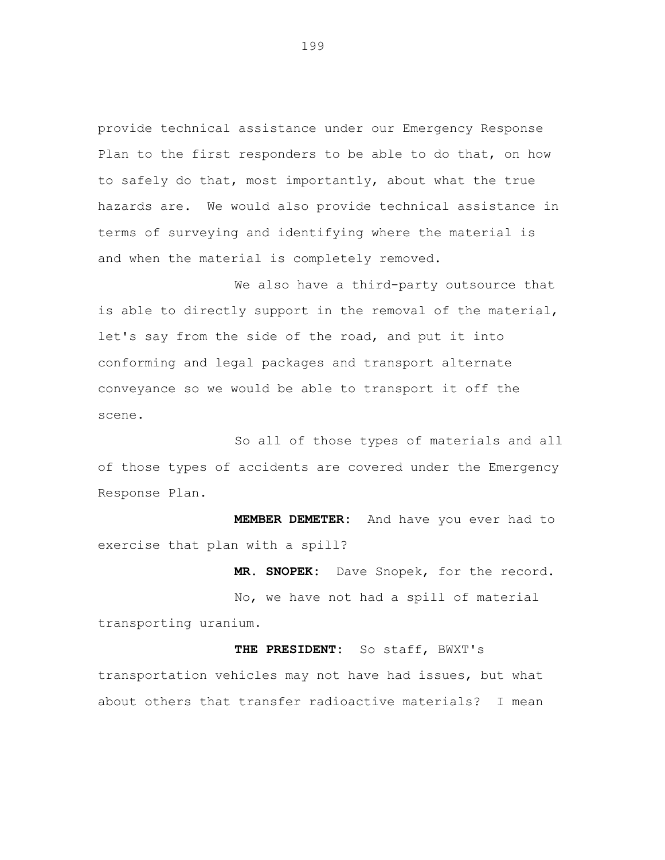provide technical assistance under our Emergency Response Plan to the first responders to be able to do that, on how to safely do that, most importantly, about what the true hazards are. We would also provide technical assistance in terms of surveying and identifying where the material is and when the material is completely removed.

We also have a third-party outsource that is able to directly support in the removal of the material, let's say from the side of the road, and put it into conforming and legal packages and transport alternate conveyance so we would be able to transport it off the scene.

So all of those types of materials and all of those types of accidents are covered under the Emergency Response Plan.

**MEMBER DEMETER:** And have you ever had to exercise that plan with a spill?

**MR. SNOPEK:** Dave Snopek, for the record.

No, we have not had a spill of material transporting uranium.

**THE PRESIDENT:** So staff, BWXT's transportation vehicles may not have had issues, but what about others that transfer radioactive materials? I mean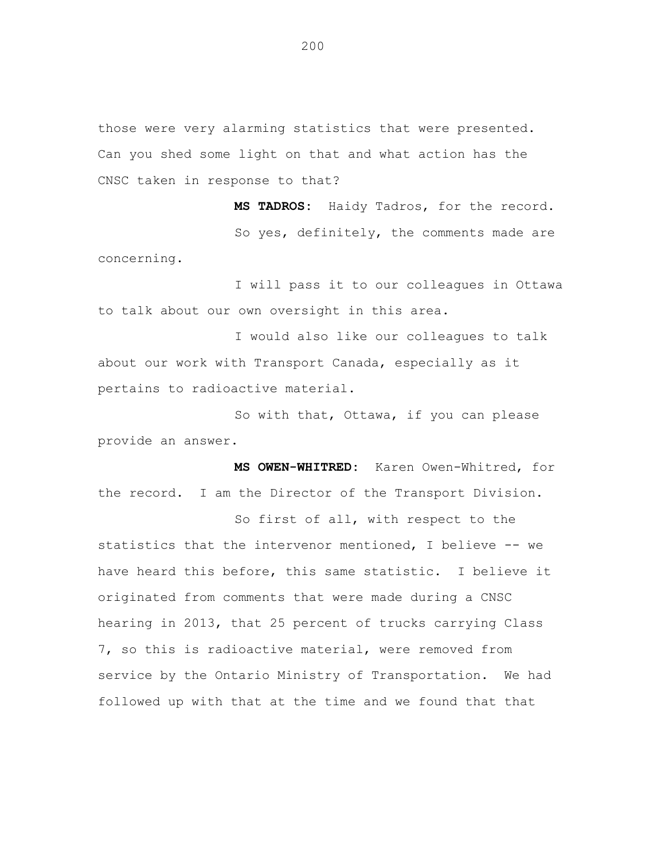those were very alarming statistics that were presented. Can you shed some light on that and what action has the CNSC taken in response to that?

**MS TADROS:** Haidy Tadros, for the record. So yes, definitely, the comments made are concerning.

I will pass it to our colleagues in Ottawa to talk about our own oversight in this area.

I would also like our colleagues to talk about our work with Transport Canada, especially as it pertains to radioactive material.

So with that, Ottawa, if you can please provide an answer.

**MS OWEN-WHITRED:** Karen Owen-Whitred, for the record. I am the Director of the Transport Division.

So first of all, with respect to the statistics that the intervenor mentioned, I believe -- we have heard this before, this same statistic. I believe it originated from comments that were made during a CNSC hearing in 2013, that 25 percent of trucks carrying Class 7, so this is radioactive material, were removed from service by the Ontario Ministry of Transportation. We had followed up with that at the time and we found that that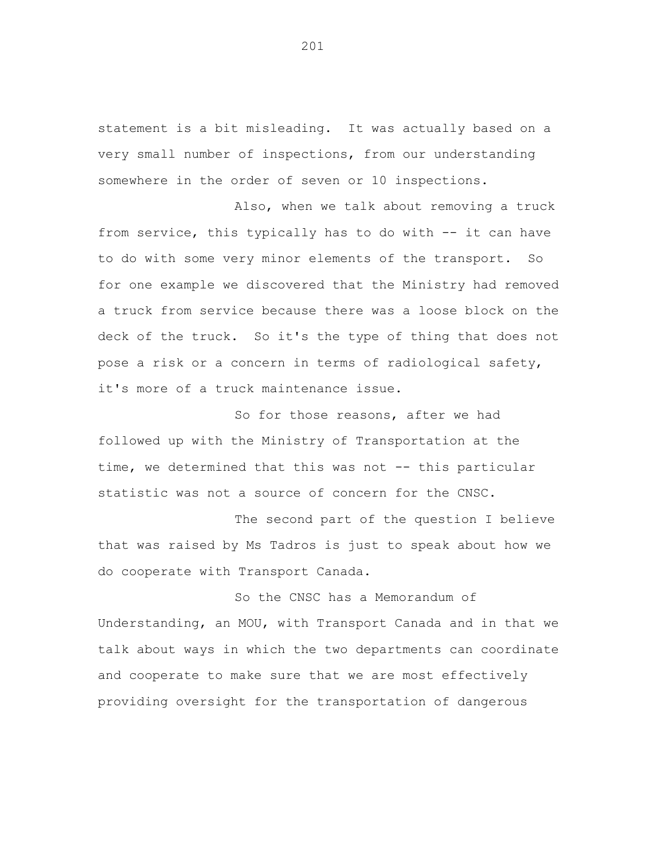statement is a bit misleading. It was actually based on a very small number of inspections, from our understanding somewhere in the order of seven or 10 inspections.

Also, when we talk about removing a truck from service, this typically has to do with -- it can have to do with some very minor elements of the transport. So for one example we discovered that the Ministry had removed a truck from service because there was a loose block on the deck of the truck. So it's the type of thing that does not pose a risk or a concern in terms of radiological safety, it's more of a truck maintenance issue.

So for those reasons, after we had followed up with the Ministry of Transportation at the time, we determined that this was not -- this particular statistic was not a source of concern for the CNSC.

The second part of the question I believe that was raised by Ms Tadros is just to speak about how we do cooperate with Transport Canada.

So the CNSC has a Memorandum of Understanding, an MOU, with Transport Canada and in that we talk about ways in which the two departments can coordinate and cooperate to make sure that we are most effectively providing oversight for the transportation of dangerous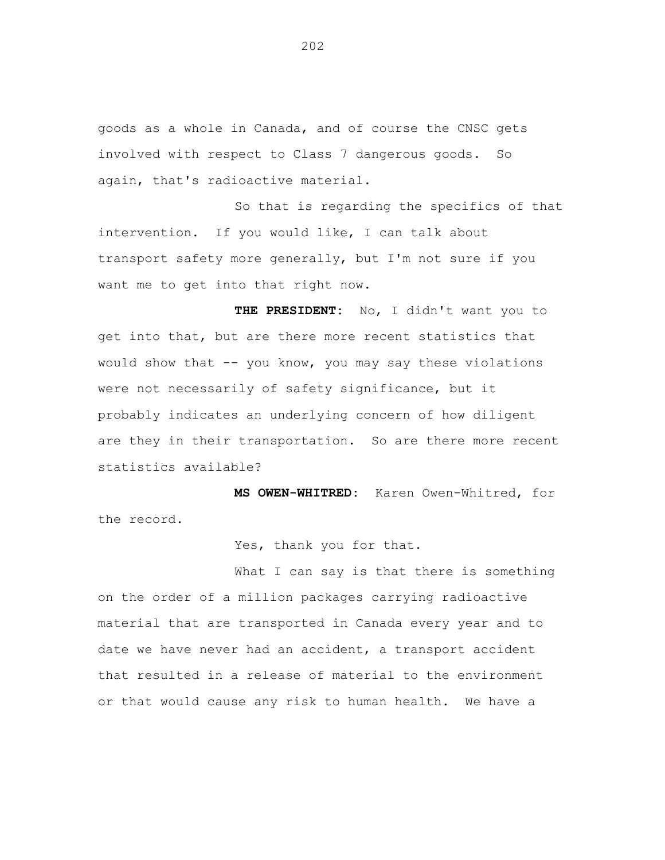goods as a whole in Canada, and of course the CNSC gets involved with respect to Class 7 dangerous goods. So again, that's radioactive material.

So that is regarding the specifics of that intervention. If you would like, I can talk about transport safety more generally, but I'm not sure if you want me to get into that right now.

**THE PRESIDENT:** No, I didn't want you to get into that, but are there more recent statistics that would show that -- you know, you may say these violations were not necessarily of safety significance, but it probably indicates an underlying concern of how diligent are they in their transportation. So are there more recent statistics available?

**MS OWEN-WHITRED:** Karen Owen-Whitred, for the record.

Yes, thank you for that.

What I can say is that there is something on the order of a million packages carrying radioactive material that are transported in Canada every year and to date we have never had an accident, a transport accident that resulted in a release of material to the environment or that would cause any risk to human health. We have a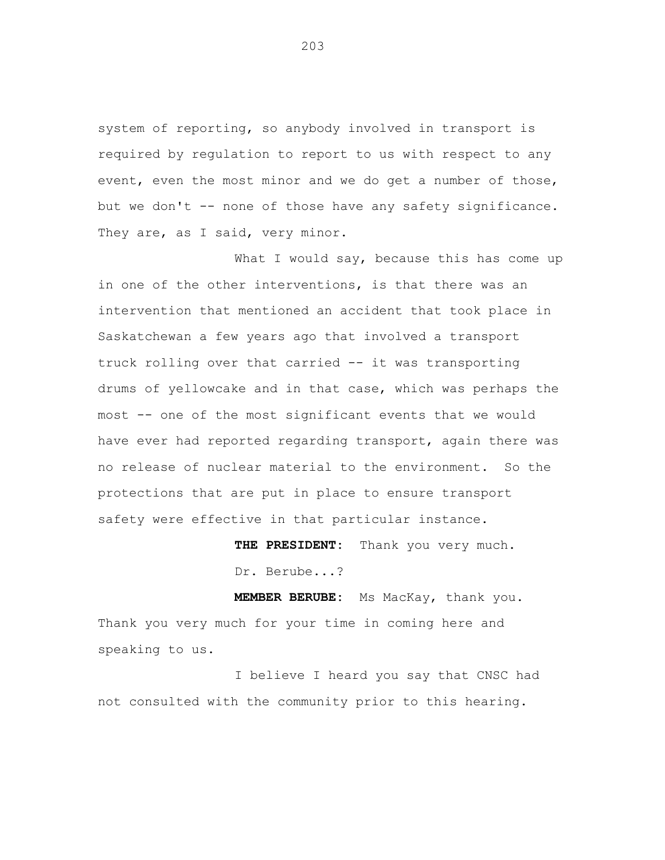system of reporting, so anybody involved in transport is required by regulation to report to us with respect to any event, even the most minor and we do get a number of those, but we don't -- none of those have any safety significance. They are, as I said, very minor.

What I would say, because this has come up in one of the other interventions, is that there was an intervention that mentioned an accident that took place in Saskatchewan a few years ago that involved a transport truck rolling over that carried -- it was transporting drums of yellowcake and in that case, which was perhaps the most -- one of the most significant events that we would have ever had reported regarding transport, again there was no release of nuclear material to the environment. So the protections that are put in place to ensure transport safety were effective in that particular instance.

> **THE PRESIDENT:** Thank you very much. Dr. Berube...?

**MEMBER BERUBE:** Ms MacKay, thank you. Thank you very much for your time in coming here and speaking to us.

I believe I heard you say that CNSC had not consulted with the community prior to this hearing.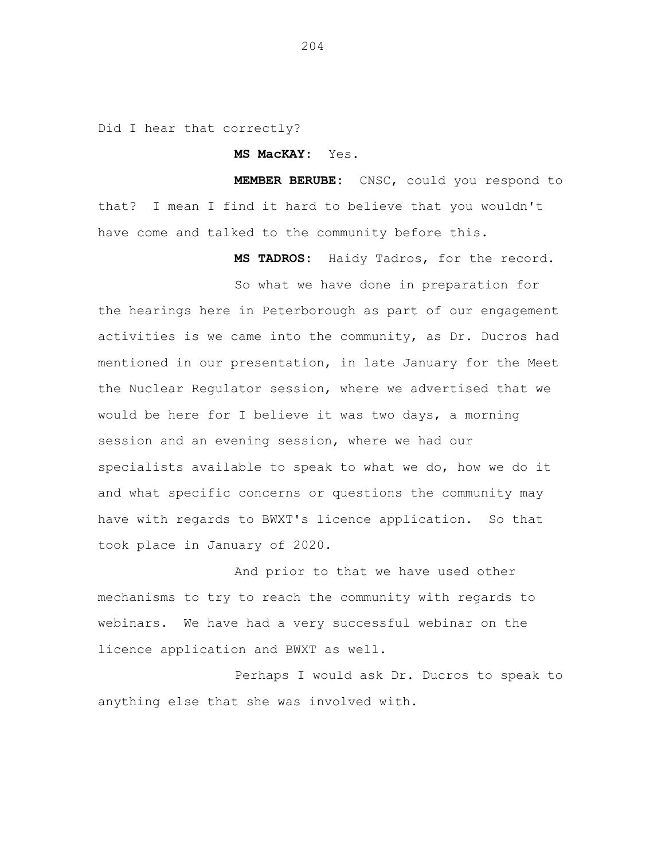Did I hear that correctly?

**MS MacKAY:** Yes.

**MEMBER BERUBE:** CNSC, could you respond to that? I mean I find it hard to believe that you wouldn't have come and talked to the community before this.

**MS TADROS:** Haidy Tadros, for the record.

So what we have done in preparation for the hearings here in Peterborough as part of our engagement activities is we came into the community, as Dr. Ducros had mentioned in our presentation, in late January for the Meet the Nuclear Regulator session, where we advertised that we would be here for I believe it was two days, a morning session and an evening session, where we had our specialists available to speak to what we do, how we do it and what specific concerns or questions the community may have with regards to BWXT's licence application. So that took place in January of 2020.

And prior to that we have used other mechanisms to try to reach the community with regards to webinars. We have had a very successful webinar on the licence application and BWXT as well.

Perhaps I would ask Dr. Ducros to speak to anything else that she was involved with.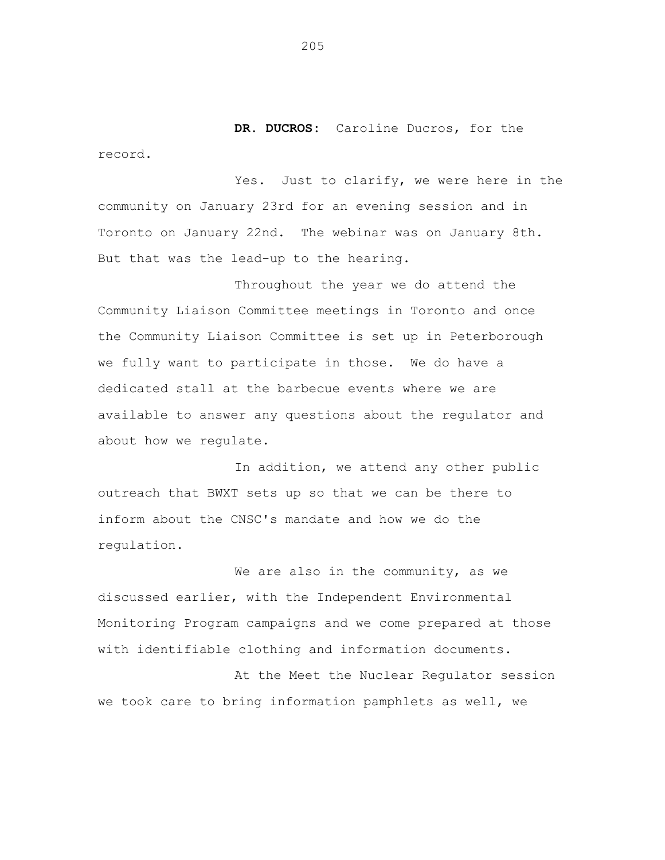**DR. DUCROS:** Caroline Ducros, for the record.

Yes. Just to clarify, we were here in the community on January 23rd for an evening session and in Toronto on January 22nd. The webinar was on January 8th. But that was the lead-up to the hearing.

Throughout the year we do attend the Community Liaison Committee meetings in Toronto and once the Community Liaison Committee is set up in Peterborough we fully want to participate in those. We do have a dedicated stall at the barbecue events where we are available to answer any questions about the regulator and about how we regulate.

In addition, we attend any other public outreach that BWXT sets up so that we can be there to inform about the CNSC's mandate and how we do the regulation.

We are also in the community, as we discussed earlier, with the Independent Environmental Monitoring Program campaigns and we come prepared at those with identifiable clothing and information documents.

At the Meet the Nuclear Regulator session we took care to bring information pamphlets as well, we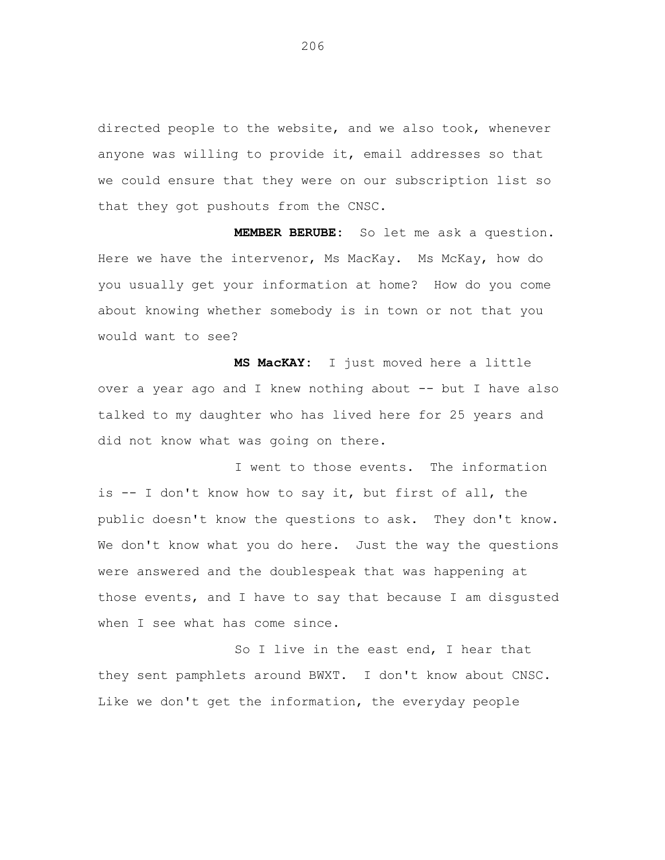directed people to the website, and we also took, whenever anyone was willing to provide it, email addresses so that we could ensure that they were on our subscription list so that they got pushouts from the CNSC.

**MEMBER BERUBE:** So let me ask a question. Here we have the intervenor, Ms MacKay. Ms McKay, how do you usually get your information at home? How do you come about knowing whether somebody is in town or not that you would want to see?

**MS MacKAY:** I just moved here a little over a year ago and I knew nothing about -- but I have also talked to my daughter who has lived here for 25 years and did not know what was going on there.

I went to those events. The information is -- I don't know how to say it, but first of all, the public doesn't know the questions to ask. They don't know. We don't know what you do here. Just the way the questions were answered and the doublespeak that was happening at those events, and I have to say that because I am disgusted when I see what has come since.

So I live in the east end, I hear that they sent pamphlets around BWXT. I don't know about CNSC. Like we don't get the information, the everyday people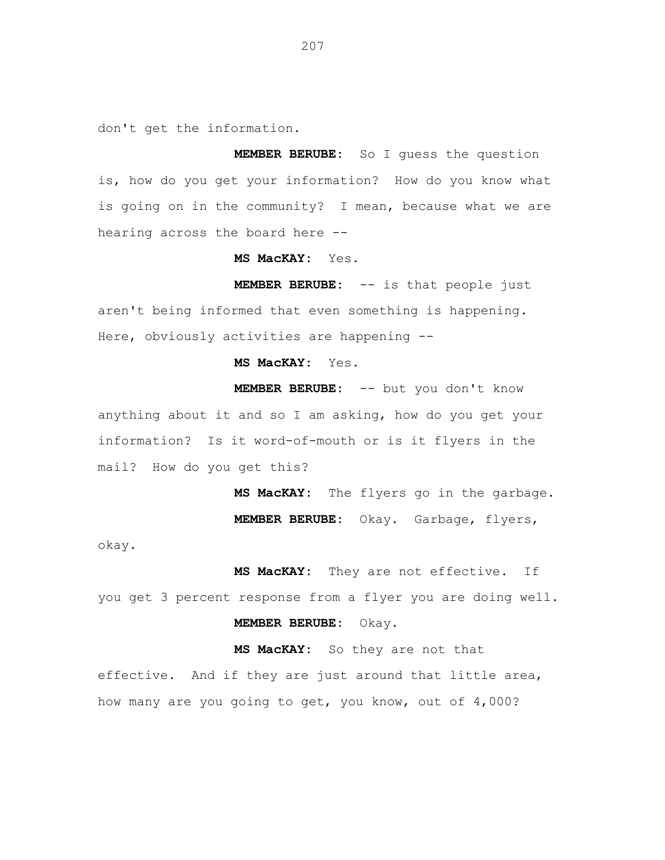don't get the information.

**MEMBER BERUBE:** So I guess the question is, how do you get your information? How do you know what is going on in the community? I mean, because what we are hearing across the board here --

**MS MacKAY:** Yes.

**MEMBER BERUBE:** -- is that people just aren't being informed that even something is happening. Here, obviously activities are happening --

**MS MacKAY:** Yes.

**MEMBER BERUBE:** -- but you don't know anything about it and so I am asking, how do you get your information? Is it word-of-mouth or is it flyers in the mail? How do you get this?

> **MS MacKAY:** The flyers go in the garbage. **MEMBER BERUBE:** Okay. Garbage, flyers,

okay.

**MS MacKAY:** They are not effective. If you get 3 percent response from a flyer you are doing well. **MEMBER BERUBE:** Okay.

**MS MacKAY:** So they are not that effective. And if they are just around that little area, how many are you going to get, you know, out of 4,000?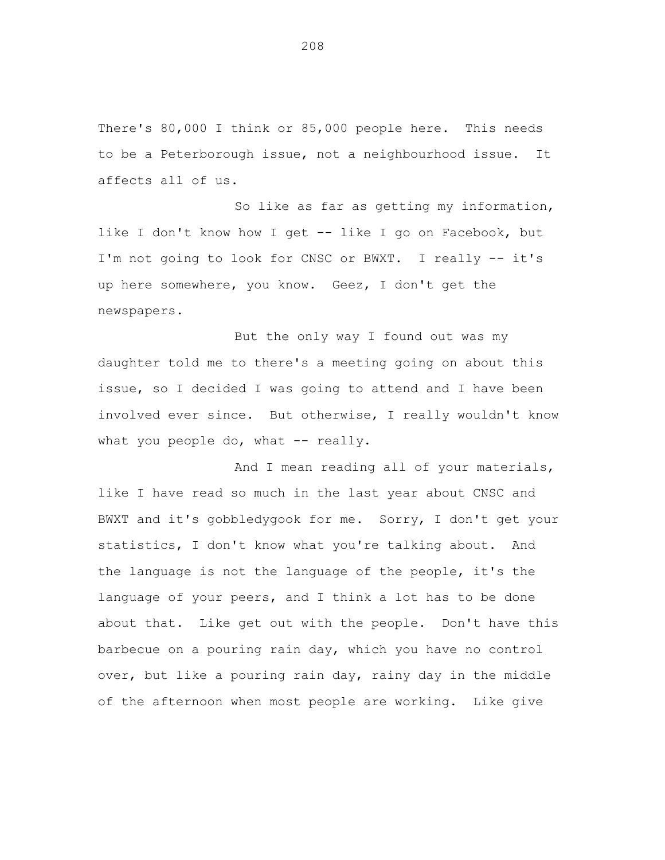There's 80,000 I think or 85,000 people here. This needs to be a Peterborough issue, not a neighbourhood issue. It affects all of us.

So like as far as getting my information, like I don't know how I get -- like I go on Facebook, but I'm not going to look for CNSC or BWXT. I really -- it's up here somewhere, you know. Geez, I don't get the newspapers.

But the only way I found out was my daughter told me to there's a meeting going on about this issue, so I decided I was going to attend and I have been involved ever since. But otherwise, I really wouldn't know what you people do, what  $--$  really.

And I mean reading all of your materials, like I have read so much in the last year about CNSC and BWXT and it's gobbledygook for me. Sorry, I don't get your statistics, I don't know what you're talking about. And the language is not the language of the people, it's the language of your peers, and I think a lot has to be done about that. Like get out with the people. Don't have this barbecue on a pouring rain day, which you have no control over, but like a pouring rain day, rainy day in the middle of the afternoon when most people are working. Like give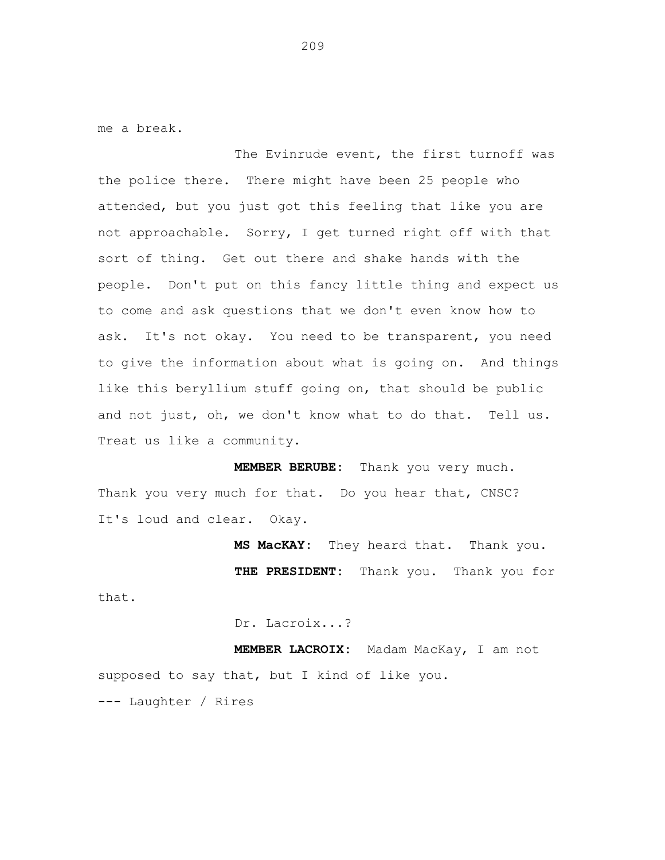me a break.

that.

The Evinrude event, the first turnoff was the police there. There might have been 25 people who attended, but you just got this feeling that like you are not approachable. Sorry, I get turned right off with that sort of thing. Get out there and shake hands with the people. Don't put on this fancy little thing and expect us to come and ask questions that we don't even know how to ask. It's not okay. You need to be transparent, you need to give the information about what is going on. And things like this beryllium stuff going on, that should be public and not just, oh, we don't know what to do that. Tell us. Treat us like a community.

**MEMBER BERUBE:** Thank you very much. Thank you very much for that. Do you hear that, CNSC? It's loud and clear. Okay.

> **MS MacKAY:** They heard that. Thank you. **THE PRESIDENT:** Thank you. Thank you for

> > Dr. Lacroix...?

**MEMBER LACROIX:** Madam MacKay, I am not supposed to say that, but I kind of like you. --- Laughter / Rires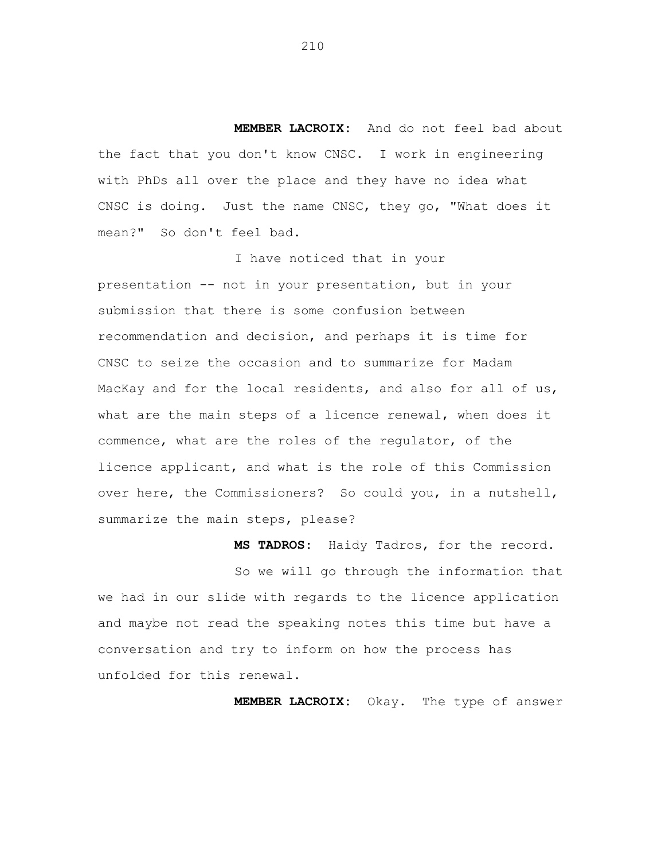**MEMBER LACROIX:** And do not feel bad about the fact that you don't know CNSC. I work in engineering with PhDs all over the place and they have no idea what CNSC is doing. Just the name CNSC, they go, "What does it mean?" So don't feel bad.

I have noticed that in your presentation -- not in your presentation, but in your submission that there is some confusion between recommendation and decision, and perhaps it is time for CNSC to seize the occasion and to summarize for Madam MacKay and for the local residents, and also for all of us, what are the main steps of a licence renewal, when does it commence, what are the roles of the regulator, of the licence applicant, and what is the role of this Commission over here, the Commissioners? So could you, in a nutshell, summarize the main steps, please?

**MS TADROS:** Haidy Tadros, for the record.

So we will go through the information that we had in our slide with regards to the licence application and maybe not read the speaking notes this time but have a conversation and try to inform on how the process has unfolded for this renewal.

**MEMBER LACROIX:** Okay. The type of answer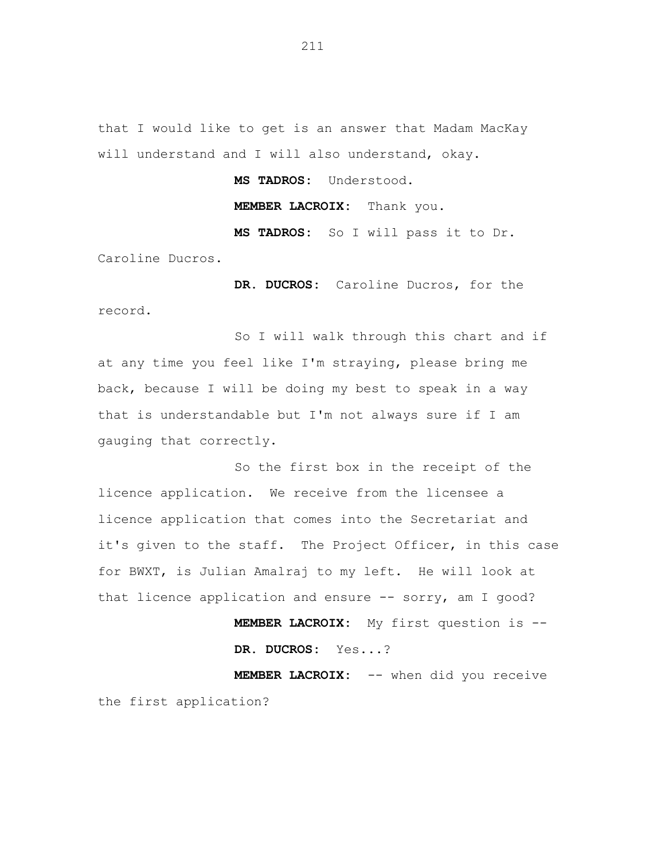that I would like to get is an answer that Madam MacKay will understand and I will also understand, okay.

**MS TADROS:** Understood.

**MEMBER LACROIX:** Thank you.

**MS TADROS:** So I will pass it to Dr. Caroline Ducros.

**DR. DUCROS:** Caroline Ducros, for the record.

So I will walk through this chart and if at any time you feel like I'm straying, please bring me back, because I will be doing my best to speak in a way that is understandable but I'm not always sure if I am gauging that correctly.

So the first box in the receipt of the licence application. We receive from the licensee a licence application that comes into the Secretariat and it's given to the staff. The Project Officer, in this case for BWXT, is Julian Amalraj to my left. He will look at that licence application and ensure -- sorry, am I good?

> **MEMBER LACROIX:** My first question is -- **DR. DUCROS:** Yes...?

**MEMBER LACROIX:** -- when did you receive the first application?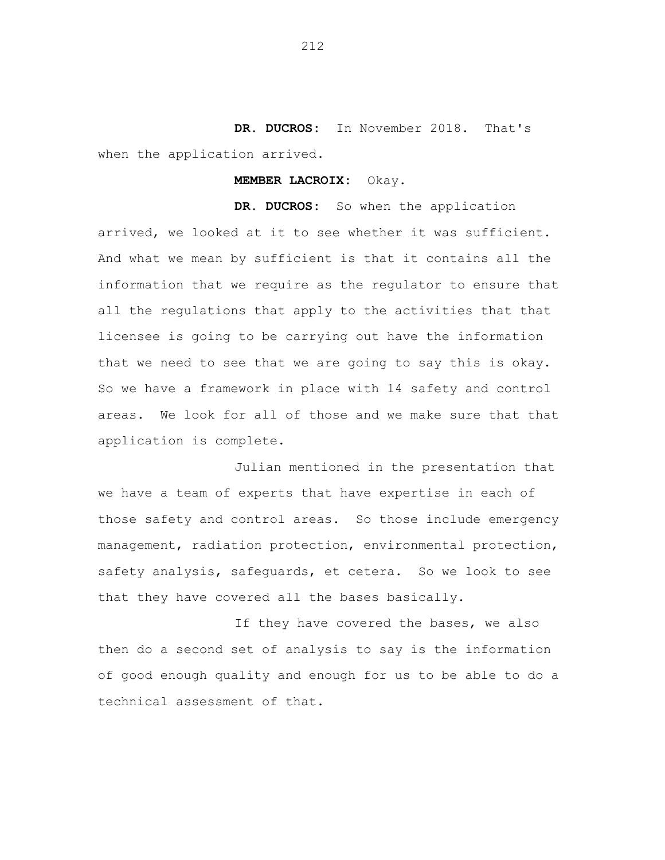**DR. DUCROS:** In November 2018. That's when the application arrived.

#### **MEMBER LACROIX:** Okay.

**DR. DUCROS:** So when the application arrived, we looked at it to see whether it was sufficient. And what we mean by sufficient is that it contains all the information that we require as the regulator to ensure that all the regulations that apply to the activities that that licensee is going to be carrying out have the information that we need to see that we are going to say this is okay. So we have a framework in place with 14 safety and control areas. We look for all of those and we make sure that that application is complete.

Julian mentioned in the presentation that we have a team of experts that have expertise in each of those safety and control areas. So those include emergency management, radiation protection, environmental protection, safety analysis, safeguards, et cetera. So we look to see that they have covered all the bases basically.

If they have covered the bases, we also then do a second set of analysis to say is the information of good enough quality and enough for us to be able to do a technical assessment of that.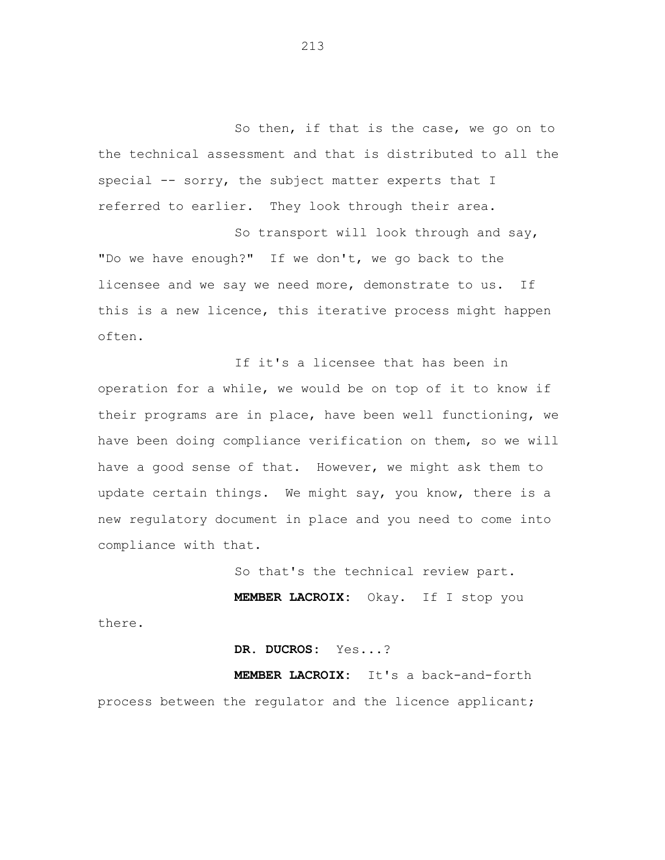So then, if that is the case, we go on to the technical assessment and that is distributed to all the special -- sorry, the subject matter experts that I referred to earlier. They look through their area.

So transport will look through and say, "Do we have enough?" If we don't, we go back to the licensee and we say we need more, demonstrate to us. If this is a new licence, this iterative process might happen often.

If it's a licensee that has been in operation for a while, we would be on top of it to know if their programs are in place, have been well functioning, we have been doing compliance verification on them, so we will have a good sense of that. However, we might ask them to update certain things. We might say, you know, there is a new regulatory document in place and you need to come into compliance with that.

So that's the technical review part.

**MEMBER LACROIX:** Okay. If I stop you

there.

**DR. DUCROS:** Yes...?

**MEMBER LACROIX:** It's a back-and-forth process between the regulator and the licence applicant;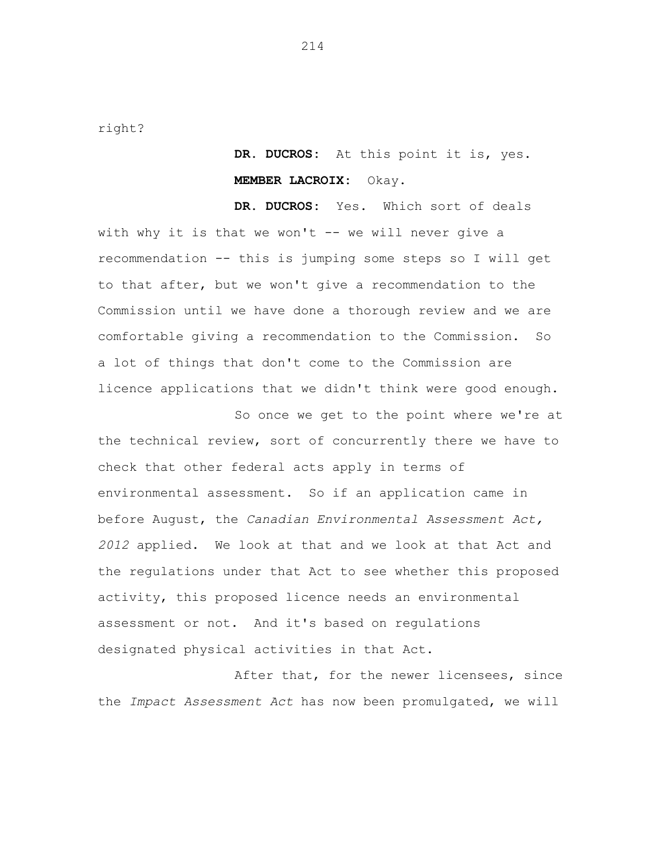right?

**DR. DUCROS:** At this point it is, yes. **MEMBER LACROIX:** Okay.

**DR. DUCROS:** Yes. Which sort of deals with why it is that we won't -- we will never give a recommendation -- this is jumping some steps so I will get to that after, but we won't give a recommendation to the Commission until we have done a thorough review and we are comfortable giving a recommendation to the Commission. So a lot of things that don't come to the Commission are licence applications that we didn't think were good enough.

So once we get to the point where we're at the technical review, sort of concurrently there we have to check that other federal acts apply in terms of environmental assessment. So if an application came in before August, the *Canadian Environmental Assessment Act, 2012* applied. We look at that and we look at that Act and the regulations under that Act to see whether this proposed activity, this proposed licence needs an environmental assessment or not. And it's based on regulations designated physical activities in that Act.

After that, for the newer licensees, since the *Impact Assessment Act* has now been promulgated, we will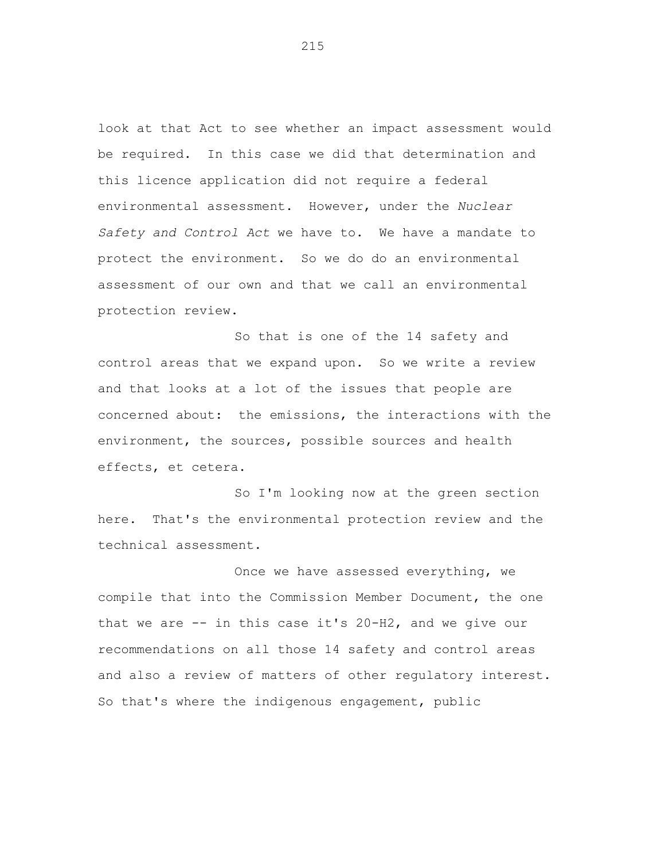look at that Act to see whether an impact assessment would be required. In this case we did that determination and this licence application did not require a federal environmental assessment. However, under the *Nuclear Safety and Control Act* we have to. We have a mandate to protect the environment. So we do do an environmental assessment of our own and that we call an environmental protection review.

So that is one of the 14 safety and control areas that we expand upon. So we write a review and that looks at a lot of the issues that people are concerned about: the emissions, the interactions with the environment, the sources, possible sources and health effects, et cetera.

So I'm looking now at the green section here. That's the environmental protection review and the technical assessment.

Once we have assessed everything, we compile that into the Commission Member Document, the one that we are -- in this case it's 20-H2, and we give our recommendations on all those 14 safety and control areas and also a review of matters of other regulatory interest. So that's where the indigenous engagement, public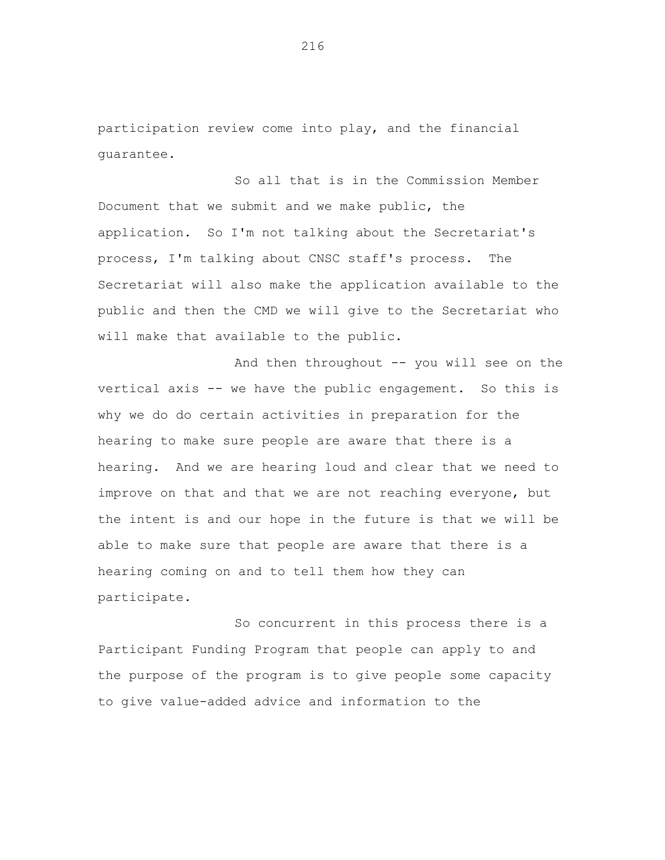participation review come into play, and the financial guarantee.

So all that is in the Commission Member Document that we submit and we make public, the application. So I'm not talking about the Secretariat's process, I'm talking about CNSC staff's process. The Secretariat will also make the application available to the public and then the CMD we will give to the Secretariat who will make that available to the public.

And then throughout -- you will see on the vertical axis -- we have the public engagement. So this is why we do do certain activities in preparation for the hearing to make sure people are aware that there is a hearing. And we are hearing loud and clear that we need to improve on that and that we are not reaching everyone, but the intent is and our hope in the future is that we will be able to make sure that people are aware that there is a hearing coming on and to tell them how they can participate.

So concurrent in this process there is a Participant Funding Program that people can apply to and the purpose of the program is to give people some capacity to give value-added advice and information to the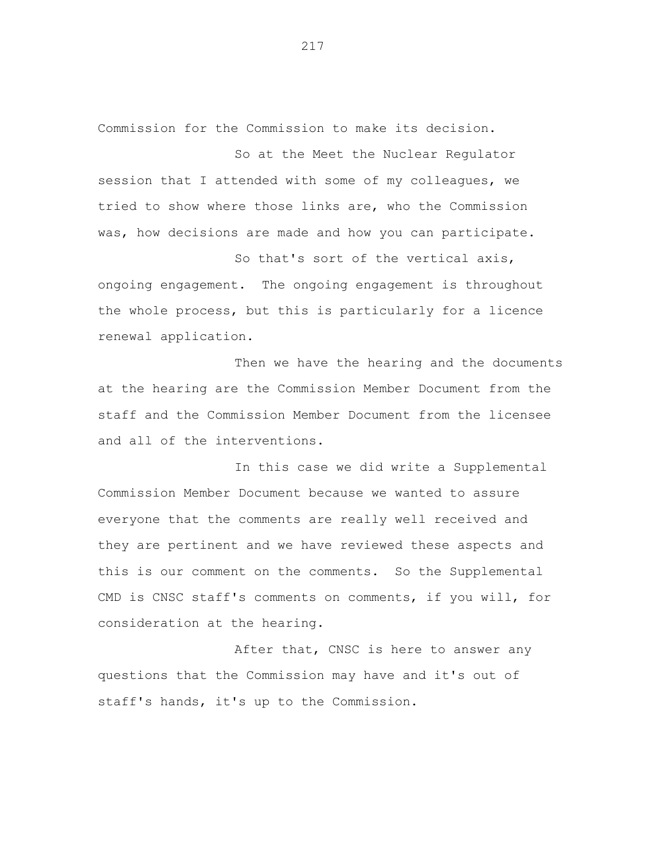Commission for the Commission to make its decision.

So at the Meet the Nuclear Regulator session that I attended with some of my colleagues, we tried to show where those links are, who the Commission was, how decisions are made and how you can participate.

So that's sort of the vertical axis, ongoing engagement. The ongoing engagement is throughout the whole process, but this is particularly for a licence renewal application.

Then we have the hearing and the documents at the hearing are the Commission Member Document from the staff and the Commission Member Document from the licensee and all of the interventions.

In this case we did write a Supplemental Commission Member Document because we wanted to assure everyone that the comments are really well received and they are pertinent and we have reviewed these aspects and this is our comment on the comments. So the Supplemental CMD is CNSC staff's comments on comments, if you will, for consideration at the hearing.

After that, CNSC is here to answer any questions that the Commission may have and it's out of staff's hands, it's up to the Commission.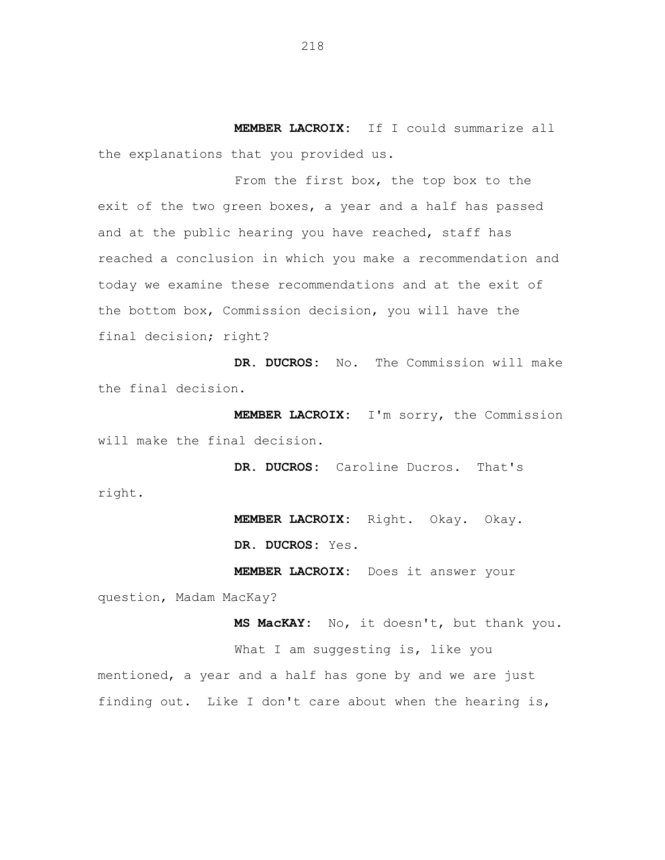**MEMBER LACROIX:** If I could summarize all the explanations that you provided us.

From the first box, the top box to the exit of the two green boxes, a year and a half has passed and at the public hearing you have reached, staff has reached a conclusion in which you make a recommendation and today we examine these recommendations and at the exit of the bottom box, Commission decision, you will have the final decision; right?

**DR. DUCROS:** No. The Commission will make the final decision.

**MEMBER LACROIX:** I'm sorry, the Commission will make the final decision.

**DR. DUCROS:** Caroline Ducros. That's right.

> **MEMBER LACROIX:** Right. Okay. Okay. **DR. DUCROS:** Yes.

**MEMBER LACROIX:** Does it answer your question, Madam MacKay?

**MS MacKAY:** No, it doesn't, but thank you. What I am suggesting is, like you mentioned, a year and a half has gone by and we are just finding out. Like I don't care about when the hearing is,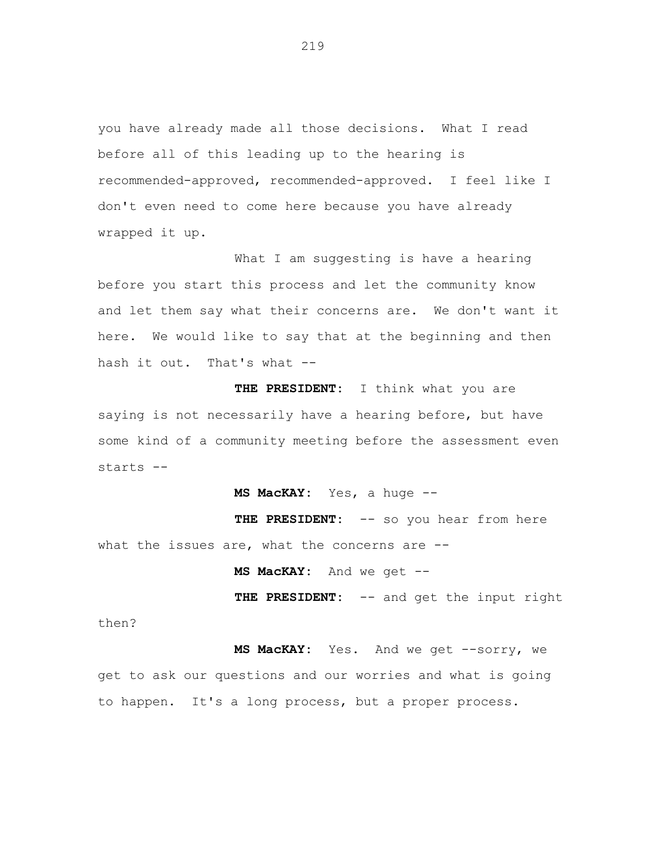you have already made all those decisions. What I read before all of this leading up to the hearing is recommended-approved, recommended-approved. I feel like I don't even need to come here because you have already wrapped it up.

What I am suggesting is have a hearing before you start this process and let the community know and let them say what their concerns are. We don't want it here. We would like to say that at the beginning and then hash it out. That's what --

**THE PRESIDENT:** I think what you are saying is not necessarily have a hearing before, but have some kind of a community meeting before the assessment even starts --

**MS MacKAY:** Yes, a huge --

THE PRESIDENT: -- so you hear from here what the issues are, what the concerns are --

**MS MacKAY:** And we get --

**THE PRESIDENT:** -- and get the input right

then?

MS MacKAY: Yes. And we get --sorry, we get to ask our questions and our worries and what is going to happen. It's a long process, but a proper process.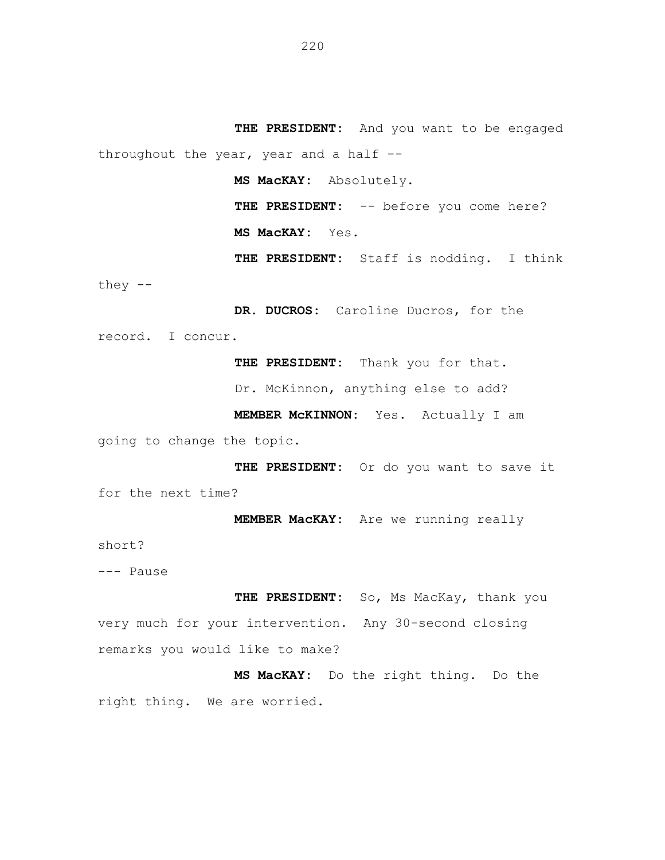**THE PRESIDENT:** And you want to be engaged throughout the year, year and a half --

**MS MacKAY:** Absolutely.

THE PRESIDENT: -- before you come here? **MS MacKAY:** Yes.

**THE PRESIDENT:** Staff is nodding. I think they --

**DR. DUCROS:** Caroline Ducros, for the record. I concur.

**THE PRESIDENT:** Thank you for that.

Dr. McKinnon, anything else to add?

**MEMBER McKINNON:** Yes. Actually I am

going to change the topic.

**THE PRESIDENT:** Or do you want to save it for the next time?

**MEMBER MacKAY:** Are we running really

short?

--- Pause

**THE PRESIDENT:** So, Ms MacKay, thank you very much for your intervention. Any 30-second closing remarks you would like to make?

**MS MacKAY:** Do the right thing. Do the right thing. We are worried.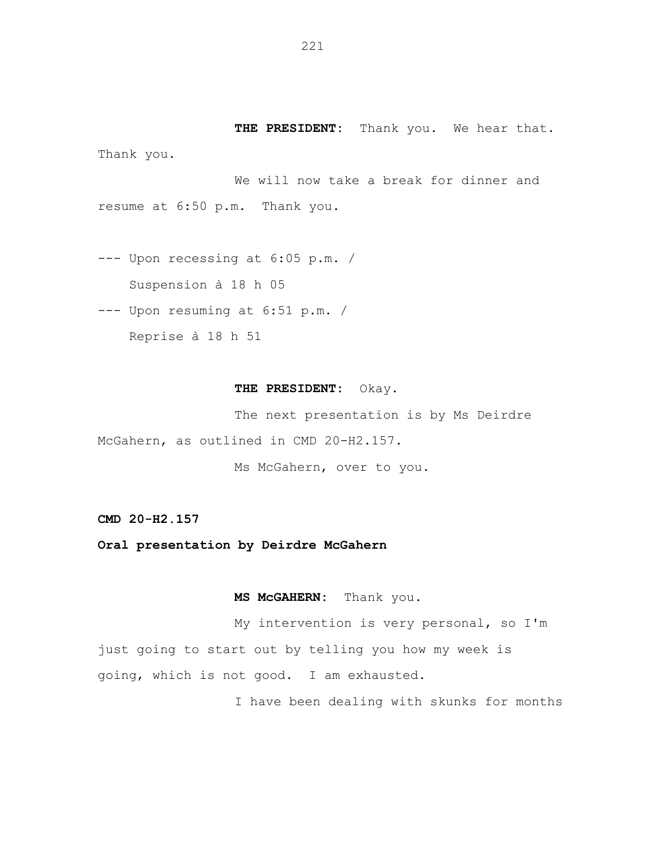**THE PRESIDENT:** Thank you. We hear that. Thank you.

We will now take a break for dinner and resume at 6:50 p.m. Thank you.

--- Upon recessing at 6:05 p.m. / Suspension à 18 h 05

--- Upon resuming at 6:51 p.m. /

Reprise à 18 h 51

## **THE PRESIDENT:** Okay.

The next presentation is by Ms Deirdre McGahern, as outlined in CMD 20-H2.157.

Ms McGahern, over to you.

**CMD 20-H2.157**

**Oral presentation by Deirdre McGahern**

**MS McGAHERN:** Thank you.

My intervention is very personal, so I'm just going to start out by telling you how my week is going, which is not good. I am exhausted.

I have been dealing with skunks for months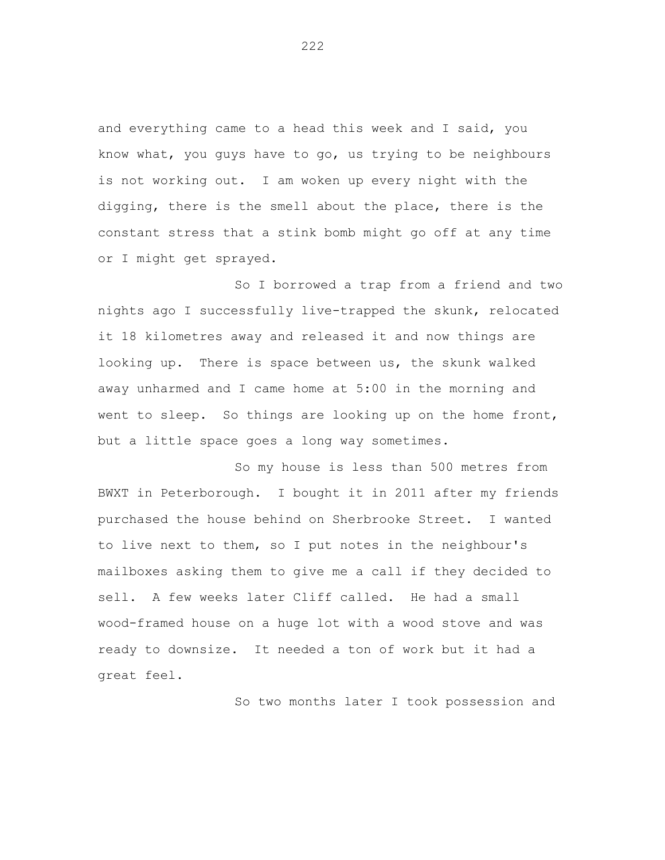and everything came to a head this week and I said, you know what, you guys have to go, us trying to be neighbours is not working out. I am woken up every night with the digging, there is the smell about the place, there is the constant stress that a stink bomb might go off at any time or I might get sprayed.

So I borrowed a trap from a friend and two nights ago I successfully live-trapped the skunk, relocated it 18 kilometres away and released it and now things are looking up. There is space between us, the skunk walked away unharmed and I came home at 5:00 in the morning and went to sleep. So things are looking up on the home front, but a little space goes a long way sometimes.

So my house is less than 500 metres from BWXT in Peterborough. I bought it in 2011 after my friends purchased the house behind on Sherbrooke Street. I wanted to live next to them, so I put notes in the neighbour's mailboxes asking them to give me a call if they decided to sell. A few weeks later Cliff called. He had a small wood-framed house on a huge lot with a wood stove and was ready to downsize. It needed a ton of work but it had a great feel.

So two months later I took possession and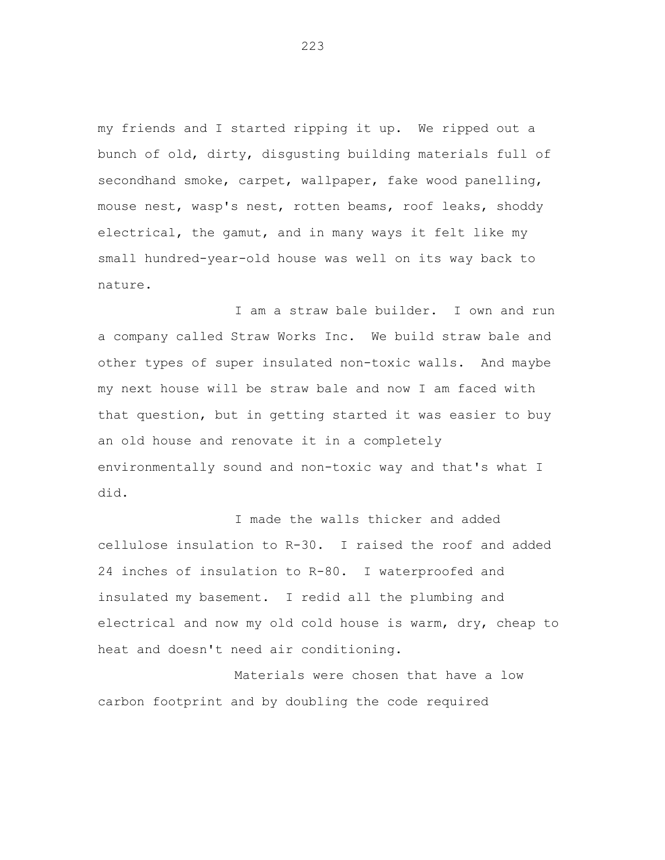my friends and I started ripping it up. We ripped out a bunch of old, dirty, disgusting building materials full of secondhand smoke, carpet, wallpaper, fake wood panelling, mouse nest, wasp's nest, rotten beams, roof leaks, shoddy electrical, the gamut, and in many ways it felt like my small hundred-year-old house was well on its way back to nature.

I am a straw bale builder. I own and run a company called Straw Works Inc. We build straw bale and other types of super insulated non-toxic walls. And maybe my next house will be straw bale and now I am faced with that question, but in getting started it was easier to buy an old house and renovate it in a completely environmentally sound and non-toxic way and that's what I did.

I made the walls thicker and added cellulose insulation to R-30. I raised the roof and added 24 inches of insulation to R-80. I waterproofed and insulated my basement. I redid all the plumbing and electrical and now my old cold house is warm, dry, cheap to heat and doesn't need air conditioning.

Materials were chosen that have a low carbon footprint and by doubling the code required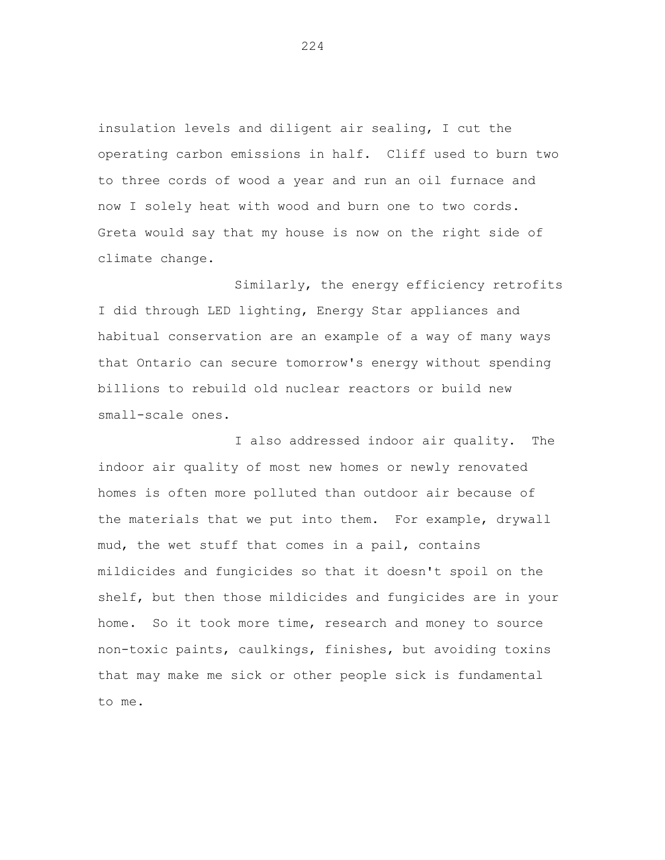insulation levels and diligent air sealing, I cut the operating carbon emissions in half. Cliff used to burn two to three cords of wood a year and run an oil furnace and now I solely heat with wood and burn one to two cords. Greta would say that my house is now on the right side of climate change.

Similarly, the energy efficiency retrofits I did through LED lighting, Energy Star appliances and habitual conservation are an example of a way of many ways that Ontario can secure tomorrow's energy without spending billions to rebuild old nuclear reactors or build new small-scale ones.

I also addressed indoor air quality. The indoor air quality of most new homes or newly renovated homes is often more polluted than outdoor air because of the materials that we put into them. For example, drywall mud, the wet stuff that comes in a pail, contains mildicides and fungicides so that it doesn't spoil on the shelf, but then those mildicides and fungicides are in your home. So it took more time, research and money to source non-toxic paints, caulkings, finishes, but avoiding toxins that may make me sick or other people sick is fundamental to me.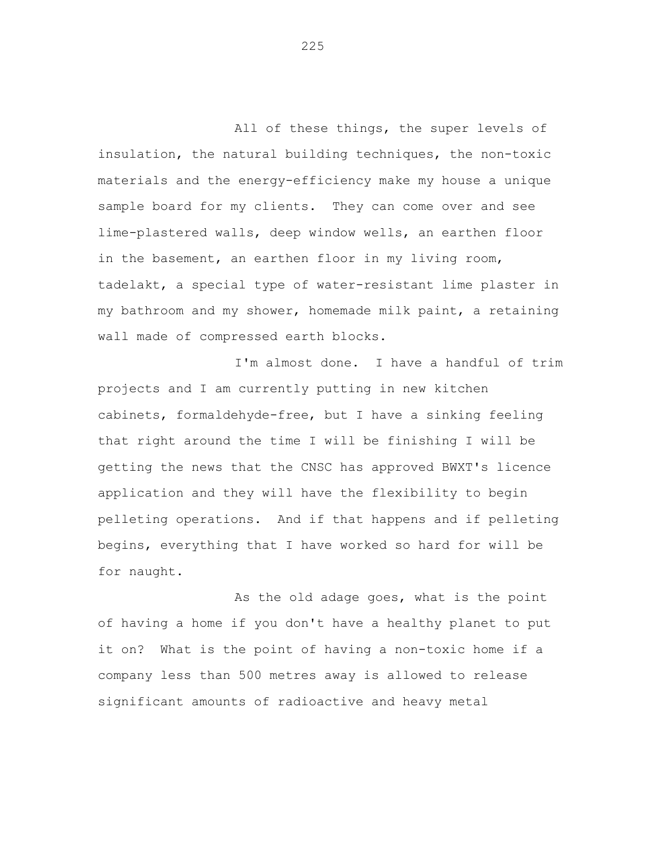All of these things, the super levels of insulation, the natural building techniques, the non-toxic materials and the energy-efficiency make my house a unique sample board for my clients. They can come over and see lime-plastered walls, deep window wells, an earthen floor in the basement, an earthen floor in my living room, tadelakt, a special type of water-resistant lime plaster in my bathroom and my shower, homemade milk paint, a retaining wall made of compressed earth blocks.

I'm almost done. I have a handful of trim projects and I am currently putting in new kitchen cabinets, formaldehyde-free, but I have a sinking feeling that right around the time I will be finishing I will be getting the news that the CNSC has approved BWXT's licence application and they will have the flexibility to begin pelleting operations. And if that happens and if pelleting begins, everything that I have worked so hard for will be for naught.

As the old adage goes, what is the point of having a home if you don't have a healthy planet to put it on? What is the point of having a non-toxic home if a company less than 500 metres away is allowed to release significant amounts of radioactive and heavy metal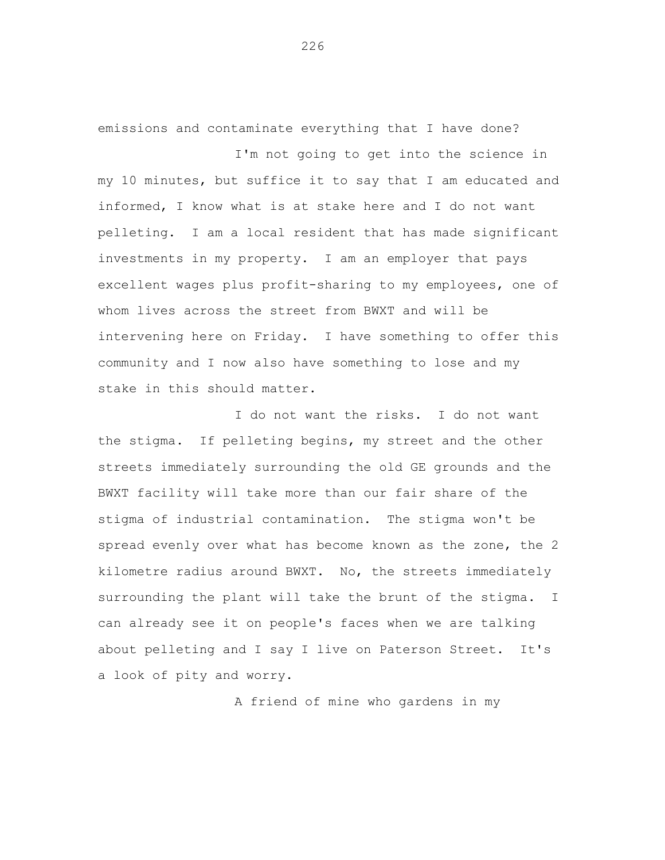emissions and contaminate everything that I have done?

I'm not going to get into the science in my 10 minutes, but suffice it to say that I am educated and informed, I know what is at stake here and I do not want pelleting. I am a local resident that has made significant investments in my property. I am an employer that pays excellent wages plus profit-sharing to my employees, one of whom lives across the street from BWXT and will be intervening here on Friday. I have something to offer this community and I now also have something to lose and my stake in this should matter.

I do not want the risks. I do not want the stigma. If pelleting begins, my street and the other streets immediately surrounding the old GE grounds and the BWXT facility will take more than our fair share of the stigma of industrial contamination. The stigma won't be spread evenly over what has become known as the zone, the 2 kilometre radius around BWXT. No, the streets immediately surrounding the plant will take the brunt of the stigma. I can already see it on people's faces when we are talking about pelleting and I say I live on Paterson Street. It's a look of pity and worry.

A friend of mine who gardens in my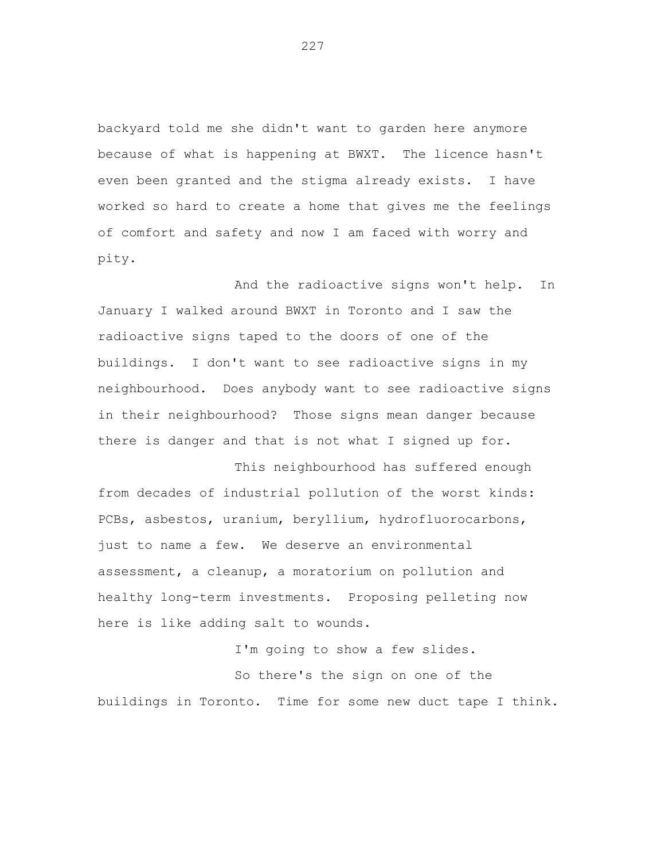backyard told me she didn't want to garden here anymore because of what is happening at BWXT. The licence hasn't even been granted and the stigma already exists. I have worked so hard to create a home that gives me the feelings of comfort and safety and now I am faced with worry and pity.

And the radioactive signs won't help. In January I walked around BWXT in Toronto and I saw the radioactive signs taped to the doors of one of the buildings. I don't want to see radioactive signs in my neighbourhood. Does anybody want to see radioactive signs in their neighbourhood? Those signs mean danger because there is danger and that is not what I signed up for.

This neighbourhood has suffered enough from decades of industrial pollution of the worst kinds: PCBs, asbestos, uranium, beryllium, hydrofluorocarbons, just to name a few. We deserve an environmental assessment, a cleanup, a moratorium on pollution and healthy long-term investments. Proposing pelleting now here is like adding salt to wounds.

I'm going to show a few slides. So there's the sign on one of the buildings in Toronto. Time for some new duct tape I think.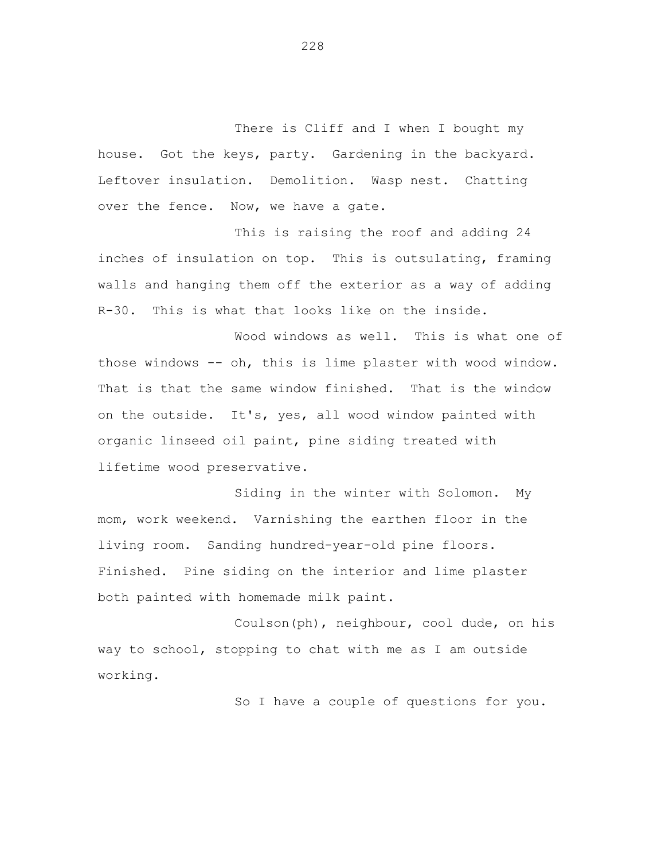There is Cliff and I when I bought my house. Got the keys, party. Gardening in the backyard. Leftover insulation. Demolition. Wasp nest. Chatting over the fence. Now, we have a gate.

This is raising the roof and adding 24 inches of insulation on top. This is outsulating, framing walls and hanging them off the exterior as a way of adding R-30. This is what that looks like on the inside.

Wood windows as well. This is what one of those windows -- oh, this is lime plaster with wood window. That is that the same window finished. That is the window on the outside. It's, yes, all wood window painted with organic linseed oil paint, pine siding treated with lifetime wood preservative.

Siding in the winter with Solomon. My mom, work weekend. Varnishing the earthen floor in the living room. Sanding hundred-year-old pine floors. Finished. Pine siding on the interior and lime plaster both painted with homemade milk paint.

Coulson(ph), neighbour, cool dude, on his way to school, stopping to chat with me as I am outside working.

So I have a couple of questions for you.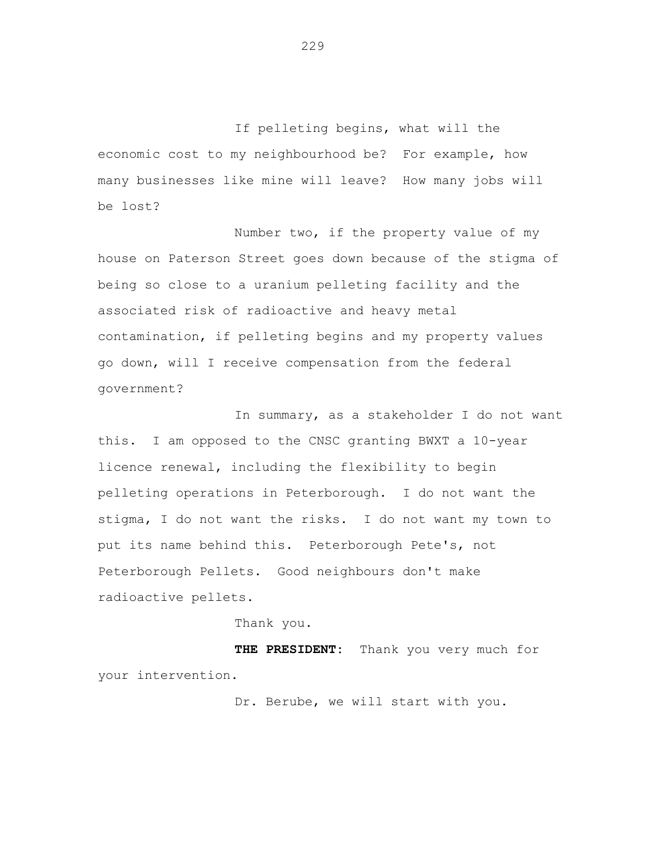If pelleting begins, what will the economic cost to my neighbourhood be? For example, how many businesses like mine will leave? How many jobs will be lost?

Number two, if the property value of my house on Paterson Street goes down because of the stigma of being so close to a uranium pelleting facility and the associated risk of radioactive and heavy metal contamination, if pelleting begins and my property values go down, will I receive compensation from the federal government?

In summary, as a stakeholder I do not want this. I am opposed to the CNSC granting BWXT a 10-year licence renewal, including the flexibility to begin pelleting operations in Peterborough. I do not want the stigma, I do not want the risks. I do not want my town to put its name behind this. Peterborough Pete's, not Peterborough Pellets. Good neighbours don't make radioactive pellets.

Thank you.

**THE PRESIDENT:** Thank you very much for your intervention.

Dr. Berube, we will start with you.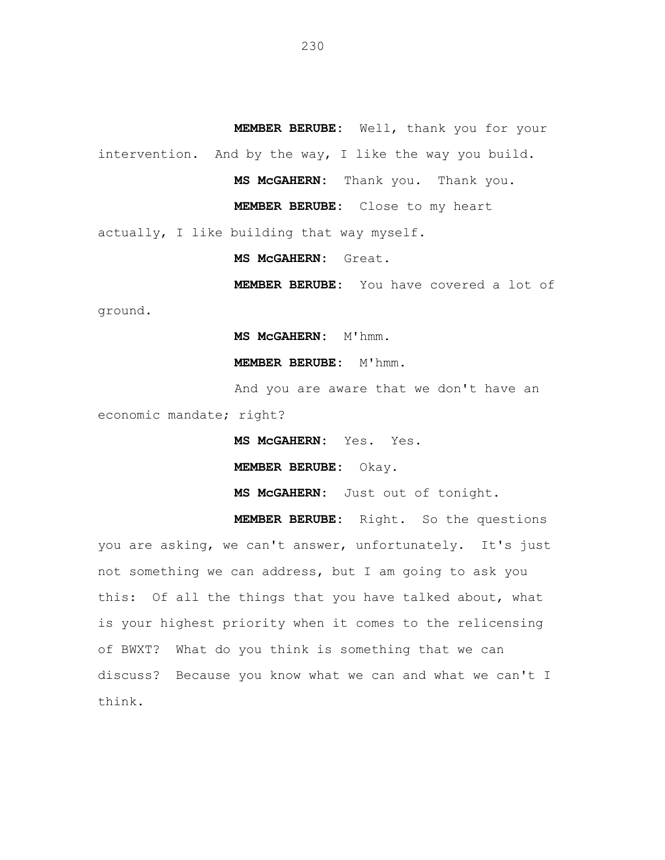**MEMBER BERUBE:** Well, thank you for your intervention. And by the way, I like the way you build. **MS McGAHERN:** Thank you. Thank you. **MEMBER BERUBE:** Close to my heart

actually, I like building that way myself.

**MS McGAHERN:** Great.

**MEMBER BERUBE:** You have covered a lot of

ground.

**MS McGAHERN:** M'hmm.

**MEMBER BERUBE:** M'hmm.

And you are aware that we don't have an economic mandate; right?

**MS McGAHERN:** Yes. Yes.

**MEMBER BERUBE:** Okay.

**MS McGAHERN:** Just out of tonight.

**MEMBER BERUBE:** Right. So the questions you are asking, we can't answer, unfortunately. It's just not something we can address, but I am going to ask you this: Of all the things that you have talked about, what is your highest priority when it comes to the relicensing of BWXT? What do you think is something that we can discuss? Because you know what we can and what we can't I think.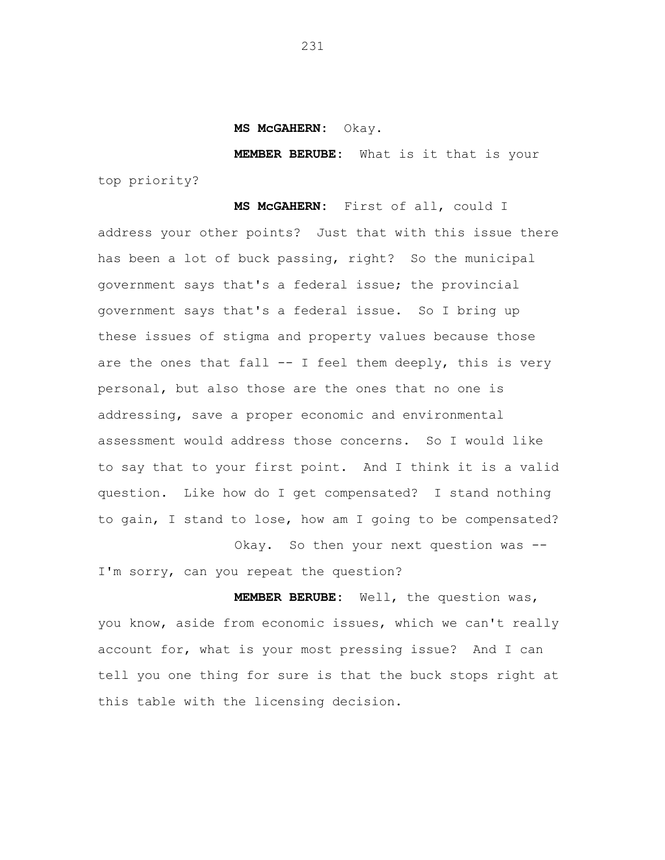**MS McGAHERN:** Okay.

**MEMBER BERUBE:** What is it that is your top priority?

**MS McGAHERN:** First of all, could I address your other points? Just that with this issue there has been a lot of buck passing, right? So the municipal government says that's a federal issue; the provincial government says that's a federal issue. So I bring up these issues of stigma and property values because those are the ones that fall  $-$  I feel them deeply, this is very personal, but also those are the ones that no one is addressing, save a proper economic and environmental assessment would address those concerns. So I would like to say that to your first point. And I think it is a valid question. Like how do I get compensated? I stand nothing to gain, I stand to lose, how am I going to be compensated? Okay. So then your next question was --

I'm sorry, can you repeat the question?

**MEMBER BERUBE:** Well, the question was, you know, aside from economic issues, which we can't really account for, what is your most pressing issue? And I can tell you one thing for sure is that the buck stops right at this table with the licensing decision.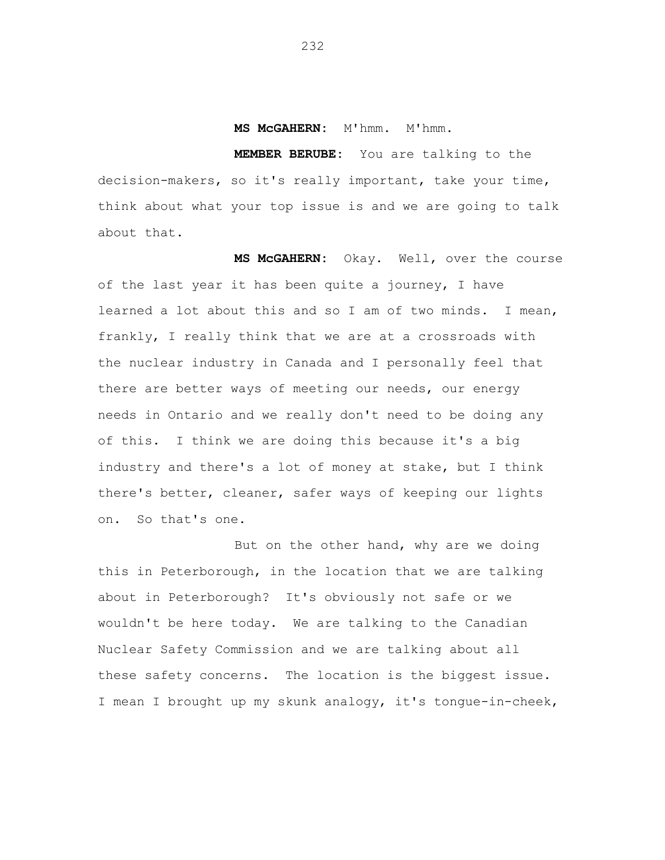**MS McGAHERN:** M'hmm. M'hmm.

**MEMBER BERUBE:** You are talking to the decision-makers, so it's really important, take your time, think about what your top issue is and we are going to talk about that.

**MS McGAHERN:** Okay. Well, over the course of the last year it has been quite a journey, I have learned a lot about this and so I am of two minds. I mean, frankly, I really think that we are at a crossroads with the nuclear industry in Canada and I personally feel that there are better ways of meeting our needs, our energy needs in Ontario and we really don't need to be doing any of this. I think we are doing this because it's a big industry and there's a lot of money at stake, but I think there's better, cleaner, safer ways of keeping our lights on. So that's one.

But on the other hand, why are we doing this in Peterborough, in the location that we are talking about in Peterborough? It's obviously not safe or we wouldn't be here today. We are talking to the Canadian Nuclear Safety Commission and we are talking about all these safety concerns. The location is the biggest issue. I mean I brought up my skunk analogy, it's tongue-in-cheek,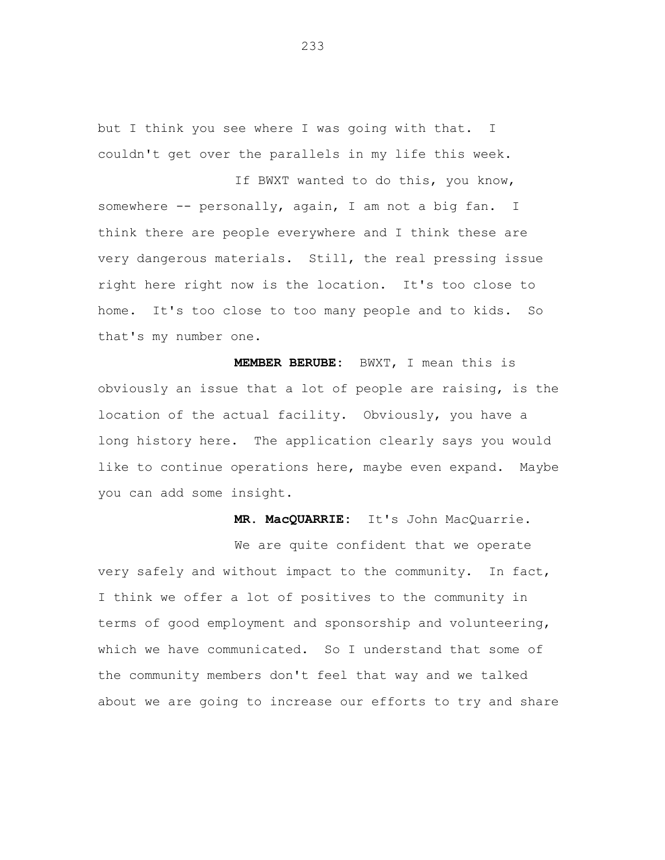but I think you see where I was going with that. I couldn't get over the parallels in my life this week. If BWXT wanted to do this, you know,

somewhere -- personally, again, I am not a big fan. I think there are people everywhere and I think these are very dangerous materials. Still, the real pressing issue right here right now is the location. It's too close to home. It's too close to too many people and to kids. So that's my number one.

**MEMBER BERUBE:** BWXT, I mean this is obviously an issue that a lot of people are raising, is the location of the actual facility. Obviously, you have a long history here. The application clearly says you would like to continue operations here, maybe even expand. Maybe you can add some insight.

**MR. MacQUARRIE:** It's John MacQuarrie.

We are quite confident that we operate very safely and without impact to the community. In fact, I think we offer a lot of positives to the community in terms of good employment and sponsorship and volunteering, which we have communicated. So I understand that some of the community members don't feel that way and we talked about we are going to increase our efforts to try and share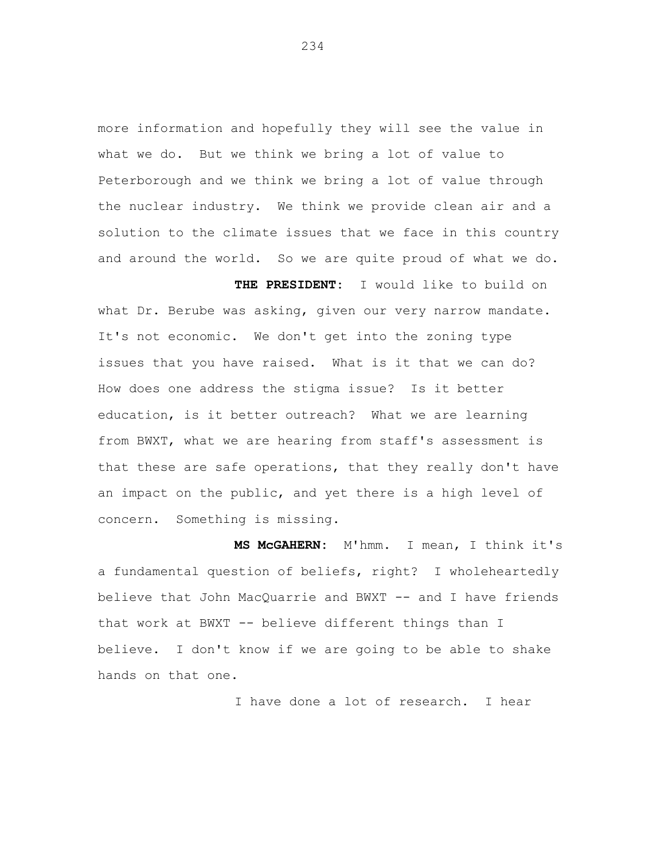more information and hopefully they will see the value in what we do. But we think we bring a lot of value to Peterborough and we think we bring a lot of value through the nuclear industry. We think we provide clean air and a solution to the climate issues that we face in this country and around the world. So we are quite proud of what we do.

**THE PRESIDENT:** I would like to build on what Dr. Berube was asking, given our very narrow mandate. It's not economic. We don't get into the zoning type issues that you have raised. What is it that we can do? How does one address the stigma issue? Is it better education, is it better outreach? What we are learning from BWXT, what we are hearing from staff's assessment is that these are safe operations, that they really don't have an impact on the public, and yet there is a high level of concern. Something is missing.

**MS McGAHERN:** M'hmm. I mean, I think it's a fundamental question of beliefs, right? I wholeheartedly believe that John MacQuarrie and BWXT -- and I have friends that work at BWXT -- believe different things than I believe. I don't know if we are going to be able to shake hands on that one.

I have done a lot of research. I hear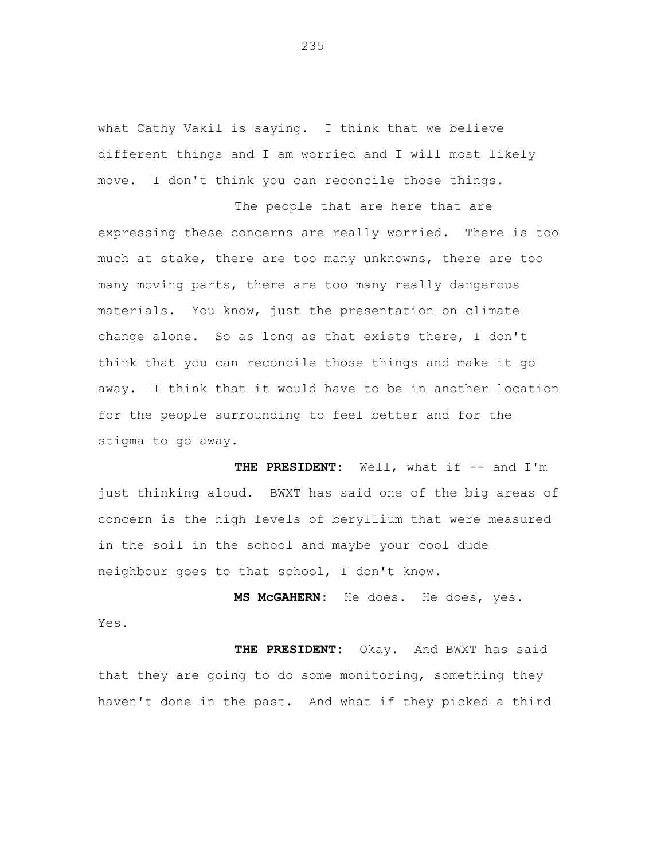what Cathy Vakil is saying. I think that we believe different things and I am worried and I will most likely move. I don't think you can reconcile those things.

The people that are here that are expressing these concerns are really worried. There is too much at stake, there are too many unknowns, there are too many moving parts, there are too many really dangerous materials. You know, just the presentation on climate change alone. So as long as that exists there, I don't think that you can reconcile those things and make it go away. I think that it would have to be in another location for the people surrounding to feel better and for the stigma to go away.

THE PRESIDENT: Well, what if -- and I'm just thinking aloud. BWXT has said one of the big areas of concern is the high levels of beryllium that were measured in the soil in the school and maybe your cool dude neighbour goes to that school, I don't know.

**MS McGAHERN:** He does. He does, yes. Yes.

**THE PRESIDENT:** Okay. And BWXT has said that they are going to do some monitoring, something they haven't done in the past. And what if they picked a third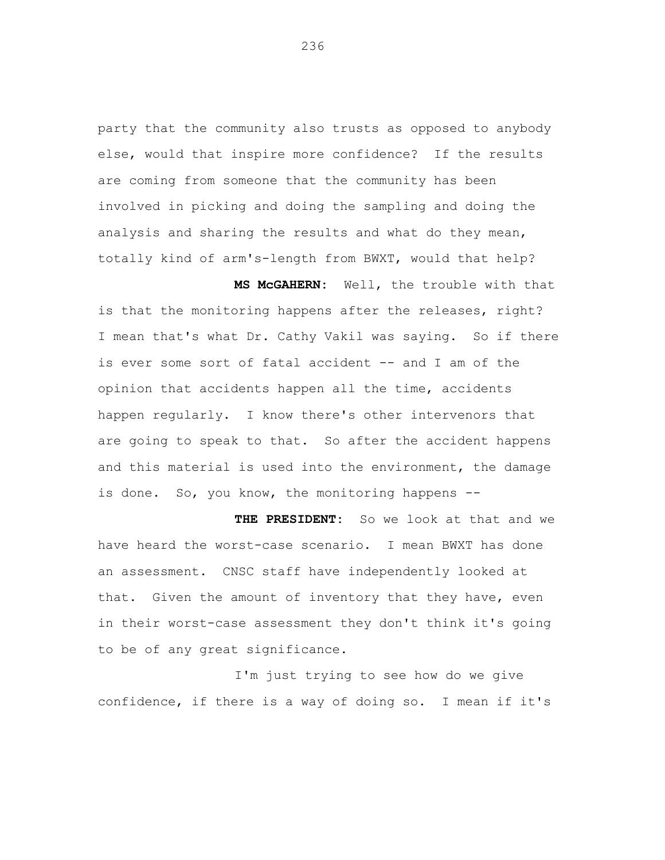party that the community also trusts as opposed to anybody else, would that inspire more confidence? If the results are coming from someone that the community has been involved in picking and doing the sampling and doing the analysis and sharing the results and what do they mean, totally kind of arm's-length from BWXT, would that help?

**MS McGAHERN:** Well, the trouble with that is that the monitoring happens after the releases, right? I mean that's what Dr. Cathy Vakil was saying. So if there is ever some sort of fatal accident -- and I am of the opinion that accidents happen all the time, accidents happen regularly. I know there's other intervenors that are going to speak to that. So after the accident happens and this material is used into the environment, the damage is done. So, you know, the monitoring happens --

**THE PRESIDENT:** So we look at that and we have heard the worst-case scenario. I mean BWXT has done an assessment. CNSC staff have independently looked at that. Given the amount of inventory that they have, even in their worst-case assessment they don't think it's going to be of any great significance.

I'm just trying to see how do we give confidence, if there is a way of doing so. I mean if it's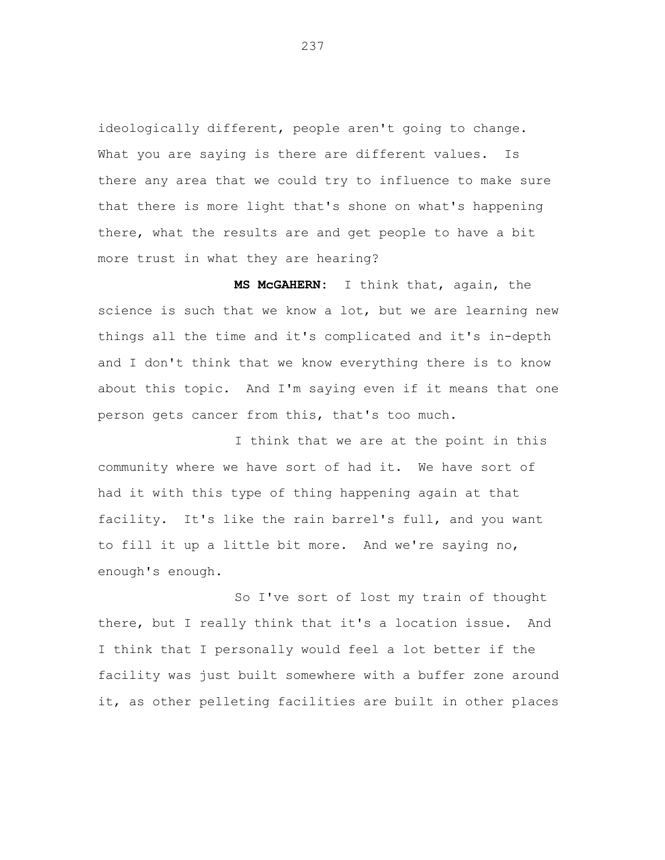ideologically different, people aren't going to change. What you are saying is there are different values. Is there any area that we could try to influence to make sure that there is more light that's shone on what's happening there, what the results are and get people to have a bit more trust in what they are hearing?

**MS McGAHERN:** I think that, again, the science is such that we know a lot, but we are learning new things all the time and it's complicated and it's in-depth and I don't think that we know everything there is to know about this topic. And I'm saying even if it means that one person gets cancer from this, that's too much.

I think that we are at the point in this community where we have sort of had it. We have sort of had it with this type of thing happening again at that facility. It's like the rain barrel's full, and you want to fill it up a little bit more. And we're saying no, enough's enough.

So I've sort of lost my train of thought there, but I really think that it's a location issue. And I think that I personally would feel a lot better if the facility was just built somewhere with a buffer zone around it, as other pelleting facilities are built in other places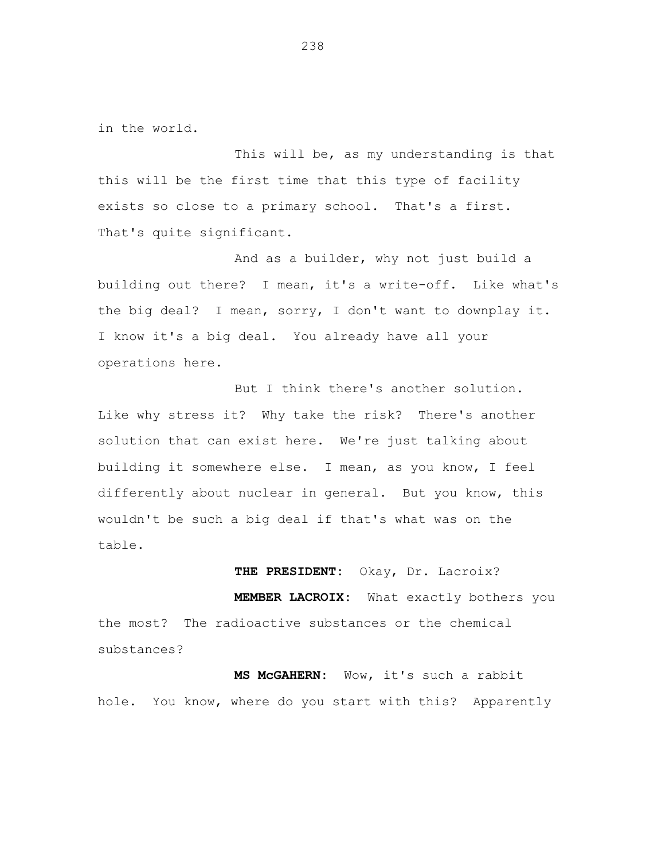in the world.

This will be, as my understanding is that this will be the first time that this type of facility exists so close to a primary school. That's a first. That's quite significant.

And as a builder, why not just build a building out there? I mean, it's a write-off. Like what's the big deal? I mean, sorry, I don't want to downplay it. I know it's a big deal. You already have all your operations here.

But I think there's another solution. Like why stress it? Why take the risk? There's another solution that can exist here. We're just talking about building it somewhere else. I mean, as you know, I feel differently about nuclear in general. But you know, this wouldn't be such a big deal if that's what was on the table.

**THE PRESIDENT:** Okay, Dr. Lacroix?

**MEMBER LACROIX:** What exactly bothers you the most? The radioactive substances or the chemical substances?

**MS McGAHERN:** Wow, it's such a rabbit hole. You know, where do you start with this? Apparently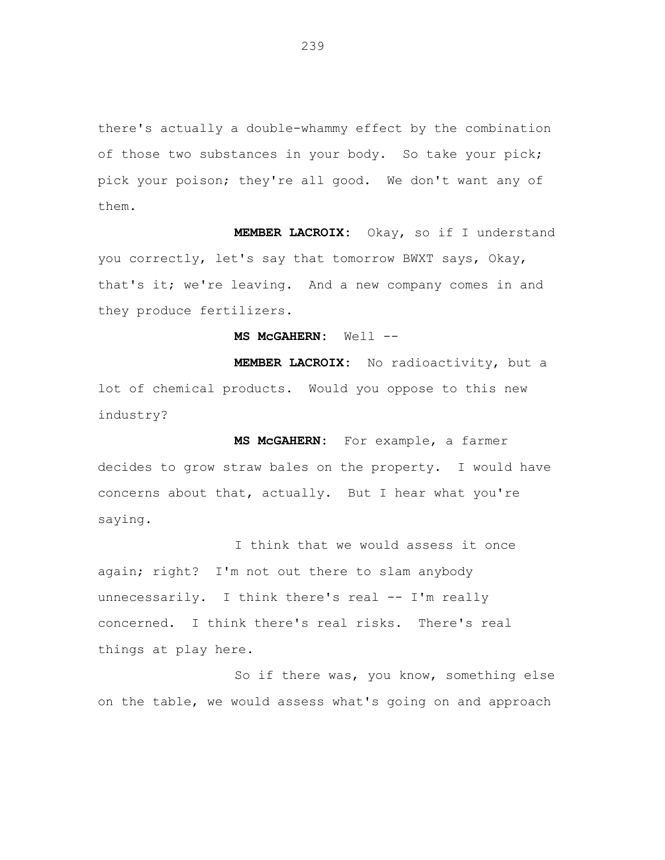there's actually a double-whammy effect by the combination of those two substances in your body. So take your pick; pick your poison; they're all good. We don't want any of them.

**MEMBER LACROIX:** Okay, so if I understand you correctly, let's say that tomorrow BWXT says, Okay, that's it; we're leaving. And a new company comes in and they produce fertilizers.

MS McGAHERN: Well --

**MEMBER LACROIX:** No radioactivity, but a lot of chemical products. Would you oppose to this new industry?

**MS McGAHERN:** For example, a farmer decides to grow straw bales on the property. I would have concerns about that, actually. But I hear what you're saying.

I think that we would assess it once again; right? I'm not out there to slam anybody unnecessarily. I think there's real -- I'm really concerned. I think there's real risks. There's real things at play here.

So if there was, you know, something else on the table, we would assess what's going on and approach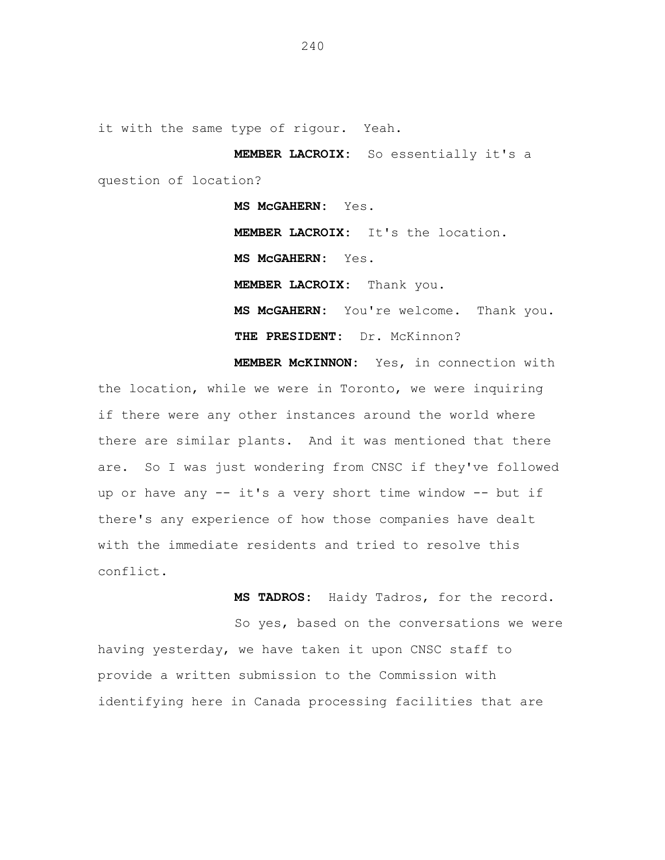it with the same type of rigour. Yeah.

**MEMBER LACROIX:** So essentially it's a question of location?

> **MS McGAHERN:** Yes. **MEMBER LACROIX:** It's the location. **MS McGAHERN:** Yes. **MEMBER LACROIX:** Thank you. **MS McGAHERN:** You're welcome. Thank you. **THE PRESIDENT:** Dr. McKinnon?

**MEMBER McKINNON:** Yes, in connection with the location, while we were in Toronto, we were inquiring if there were any other instances around the world where there are similar plants. And it was mentioned that there are. So I was just wondering from CNSC if they've followed up or have any -- it's a very short time window -- but if there's any experience of how those companies have dealt with the immediate residents and tried to resolve this conflict.

**MS TADROS:** Haidy Tadros, for the record.

So yes, based on the conversations we were having yesterday, we have taken it upon CNSC staff to provide a written submission to the Commission with identifying here in Canada processing facilities that are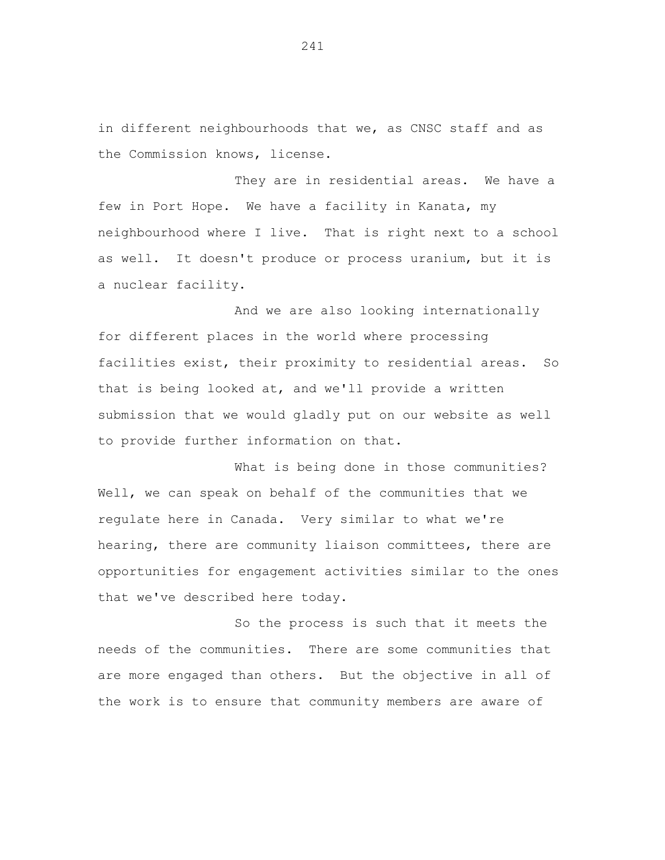in different neighbourhoods that we, as CNSC staff and as the Commission knows, license.

They are in residential areas. We have a few in Port Hope. We have a facility in Kanata, my neighbourhood where I live. That is right next to a school as well. It doesn't produce or process uranium, but it is a nuclear facility.

And we are also looking internationally for different places in the world where processing facilities exist, their proximity to residential areas. So that is being looked at, and we'll provide a written submission that we would gladly put on our website as well to provide further information on that.

What is being done in those communities? Well, we can speak on behalf of the communities that we regulate here in Canada. Very similar to what we're hearing, there are community liaison committees, there are opportunities for engagement activities similar to the ones that we've described here today.

So the process is such that it meets the needs of the communities. There are some communities that are more engaged than others. But the objective in all of the work is to ensure that community members are aware of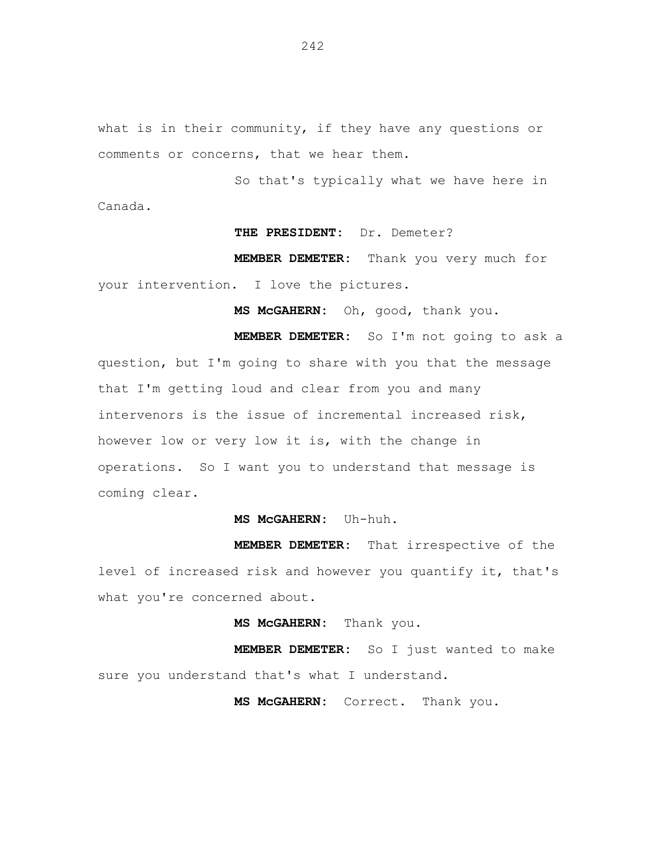what is in their community, if they have any questions or comments or concerns, that we hear them.

So that's typically what we have here in Canada.

## **THE PRESIDENT:** Dr. Demeter?

**MEMBER DEMETER:** Thank you very much for your intervention. I love the pictures.

**MS McGAHERN:** Oh, good, thank you.

**MEMBER DEMETER:** So I'm not going to ask a question, but I'm going to share with you that the message that I'm getting loud and clear from you and many intervenors is the issue of incremental increased risk, however low or very low it is, with the change in operations. So I want you to understand that message is coming clear.

## **MS McGAHERN:** Uh-huh.

**MEMBER DEMETER:** That irrespective of the level of increased risk and however you quantify it, that's what you're concerned about.

## **MS McGAHERN:** Thank you.

**MEMBER DEMETER:** So I just wanted to make sure you understand that's what I understand.

**MS McGAHERN:** Correct. Thank you.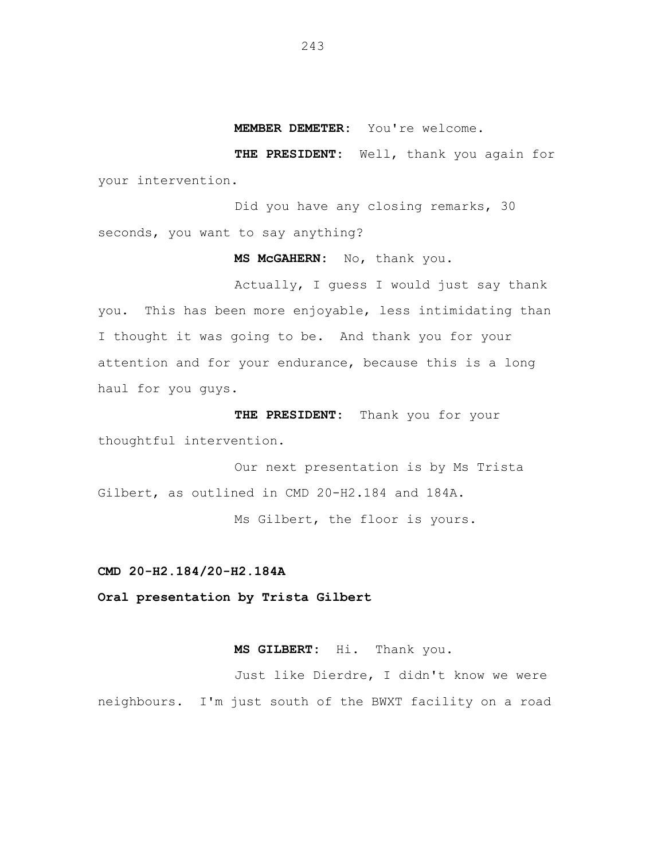**MEMBER DEMETER:** You're welcome.

**THE PRESIDENT:** Well, thank you again for your intervention.

Did you have any closing remarks, 30 seconds, you want to say anything?

**MS McGAHERN:** No, thank you.

Actually, I guess I would just say thank you. This has been more enjoyable, less intimidating than I thought it was going to be. And thank you for your attention and for your endurance, because this is a long haul for you guys.

**THE PRESIDENT:** Thank you for your thoughtful intervention.

Our next presentation is by Ms Trista Gilbert, as outlined in CMD 20-H2.184 and 184A.

Ms Gilbert, the floor is yours.

**CMD 20-H2.184/20-H2.184A**

**Oral presentation by Trista Gilbert**

**MS GILBERT:** Hi. Thank you.

Just like Dierdre, I didn't know we were neighbours. I'm just south of the BWXT facility on a road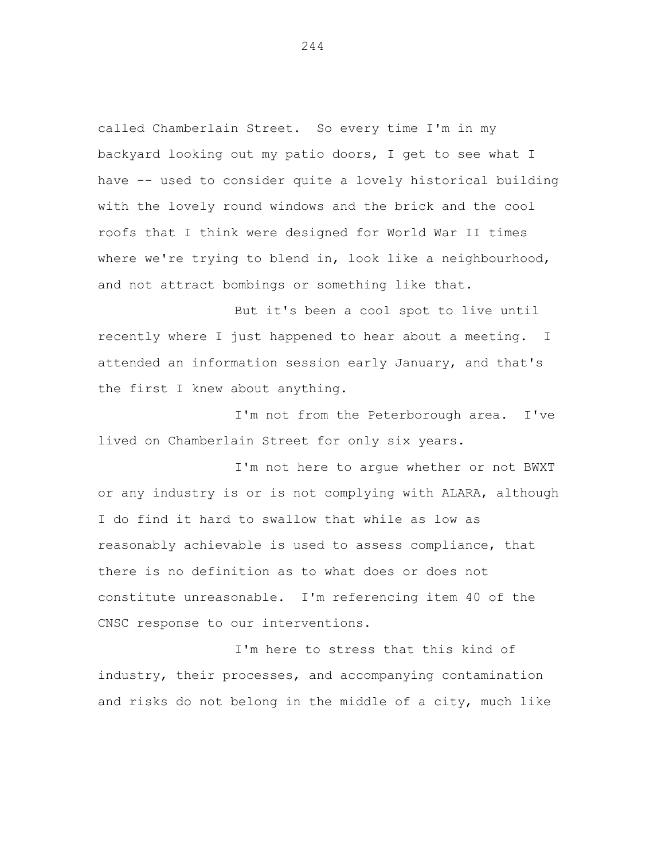called Chamberlain Street. So every time I'm in my backyard looking out my patio doors, I get to see what I have -- used to consider quite a lovely historical building with the lovely round windows and the brick and the cool roofs that I think were designed for World War II times where we're trying to blend in, look like a neighbourhood, and not attract bombings or something like that.

But it's been a cool spot to live until recently where I just happened to hear about a meeting. I attended an information session early January, and that's the first I knew about anything.

I'm not from the Peterborough area. I've lived on Chamberlain Street for only six years.

I'm not here to argue whether or not BWXT or any industry is or is not complying with ALARA, although I do find it hard to swallow that while as low as reasonably achievable is used to assess compliance, that there is no definition as to what does or does not constitute unreasonable. I'm referencing item 40 of the CNSC response to our interventions.

I'm here to stress that this kind of industry, their processes, and accompanying contamination and risks do not belong in the middle of a city, much like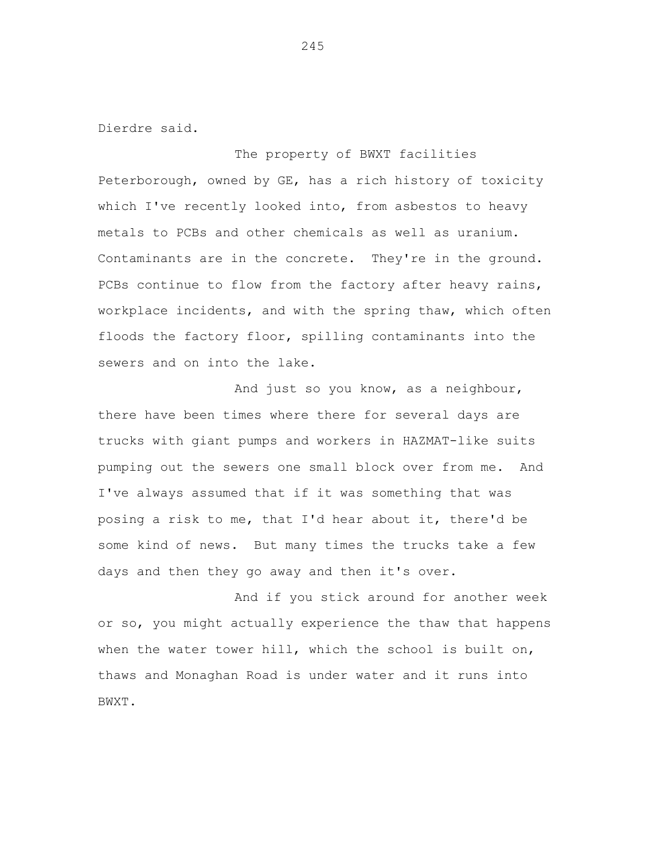Dierdre said.

The property of BWXT facilities Peterborough, owned by GE, has a rich history of toxicity which I've recently looked into, from asbestos to heavy metals to PCBs and other chemicals as well as uranium. Contaminants are in the concrete. They're in the ground. PCBs continue to flow from the factory after heavy rains, workplace incidents, and with the spring thaw, which often floods the factory floor, spilling contaminants into the sewers and on into the lake.

And just so you know, as a neighbour, there have been times where there for several days are trucks with giant pumps and workers in HAZMAT-like suits pumping out the sewers one small block over from me. And I've always assumed that if it was something that was posing a risk to me, that I'd hear about it, there'd be some kind of news. But many times the trucks take a few days and then they go away and then it's over.

And if you stick around for another week or so, you might actually experience the thaw that happens when the water tower hill, which the school is built on, thaws and Monaghan Road is under water and it runs into BWXT.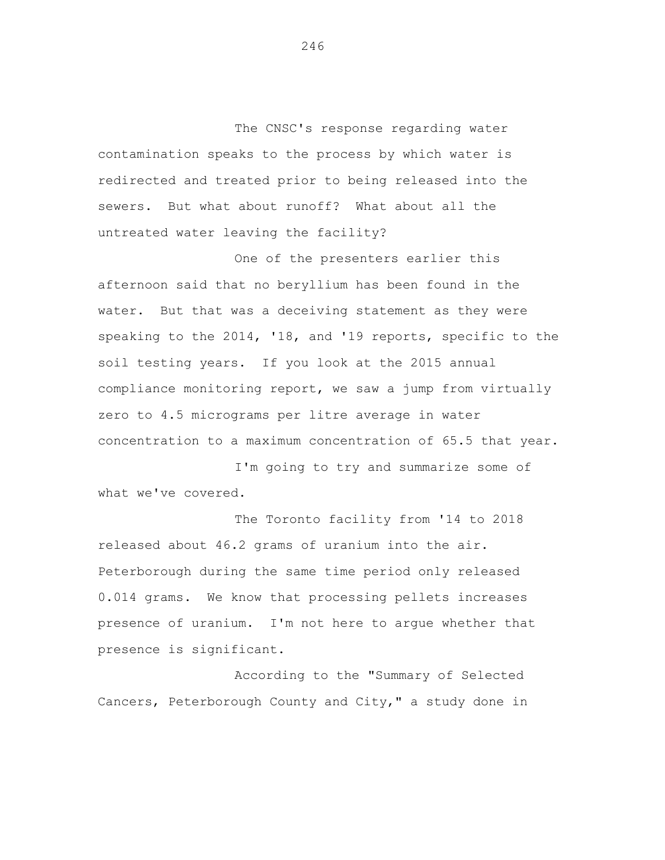The CNSC's response regarding water contamination speaks to the process by which water is redirected and treated prior to being released into the sewers. But what about runoff? What about all the untreated water leaving the facility?

One of the presenters earlier this afternoon said that no beryllium has been found in the water. But that was a deceiving statement as they were speaking to the 2014, '18, and '19 reports, specific to the soil testing years. If you look at the 2015 annual compliance monitoring report, we saw a jump from virtually zero to 4.5 micrograms per litre average in water concentration to a maximum concentration of 65.5 that year.

I'm going to try and summarize some of what we've covered.

The Toronto facility from '14 to 2018 released about 46.2 grams of uranium into the air. Peterborough during the same time period only released 0.014 grams. We know that processing pellets increases presence of uranium. I'm not here to argue whether that presence is significant.

According to the "Summary of Selected Cancers, Peterborough County and City," a study done in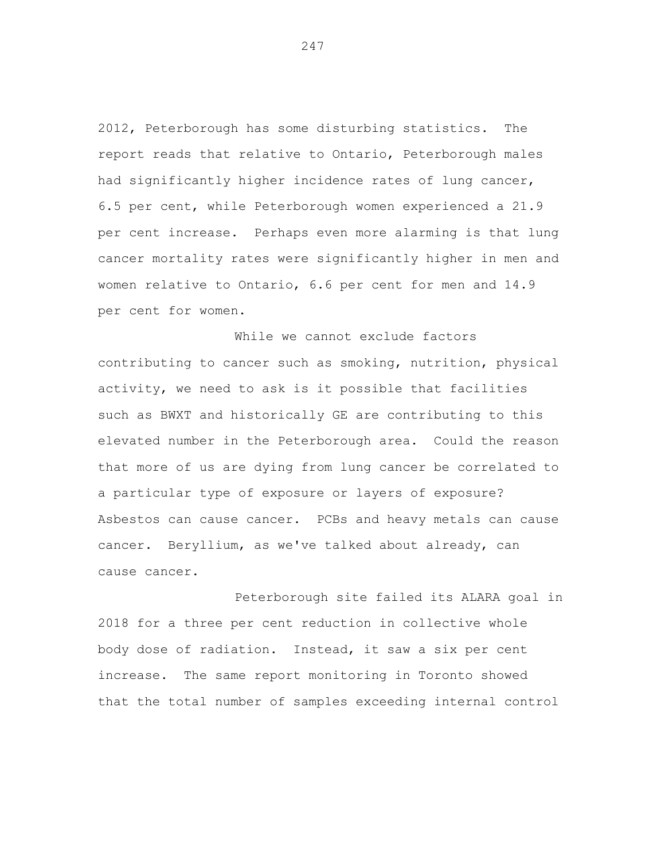2012, Peterborough has some disturbing statistics. The report reads that relative to Ontario, Peterborough males had significantly higher incidence rates of lung cancer, 6.5 per cent, while Peterborough women experienced a 21.9 per cent increase. Perhaps even more alarming is that lung cancer mortality rates were significantly higher in men and women relative to Ontario, 6.6 per cent for men and 14.9 per cent for women.

While we cannot exclude factors contributing to cancer such as smoking, nutrition, physical activity, we need to ask is it possible that facilities such as BWXT and historically GE are contributing to this elevated number in the Peterborough area. Could the reason that more of us are dying from lung cancer be correlated to a particular type of exposure or layers of exposure? Asbestos can cause cancer. PCBs and heavy metals can cause cancer. Beryllium, as we've talked about already, can cause cancer.

Peterborough site failed its ALARA goal in 2018 for a three per cent reduction in collective whole body dose of radiation. Instead, it saw a six per cent increase. The same report monitoring in Toronto showed that the total number of samples exceeding internal control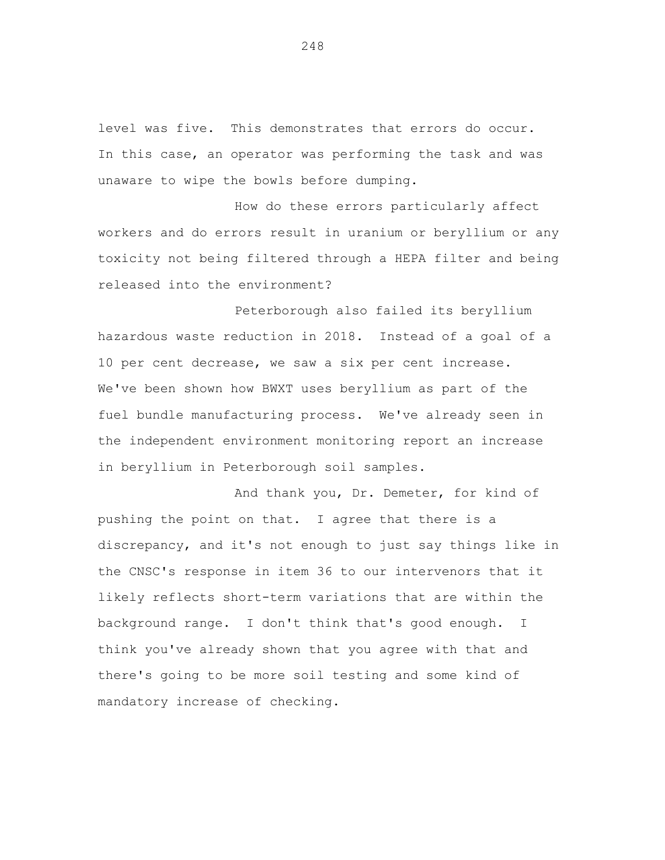level was five. This demonstrates that errors do occur. In this case, an operator was performing the task and was unaware to wipe the bowls before dumping.

How do these errors particularly affect workers and do errors result in uranium or beryllium or any toxicity not being filtered through a HEPA filter and being released into the environment?

Peterborough also failed its beryllium hazardous waste reduction in 2018. Instead of a goal of a 10 per cent decrease, we saw a six per cent increase. We've been shown how BWXT uses beryllium as part of the fuel bundle manufacturing process. We've already seen in the independent environment monitoring report an increase in beryllium in Peterborough soil samples.

And thank you, Dr. Demeter, for kind of pushing the point on that. I agree that there is a discrepancy, and it's not enough to just say things like in the CNSC's response in item 36 to our intervenors that it likely reflects short-term variations that are within the background range. I don't think that's good enough. I think you've already shown that you agree with that and there's going to be more soil testing and some kind of mandatory increase of checking.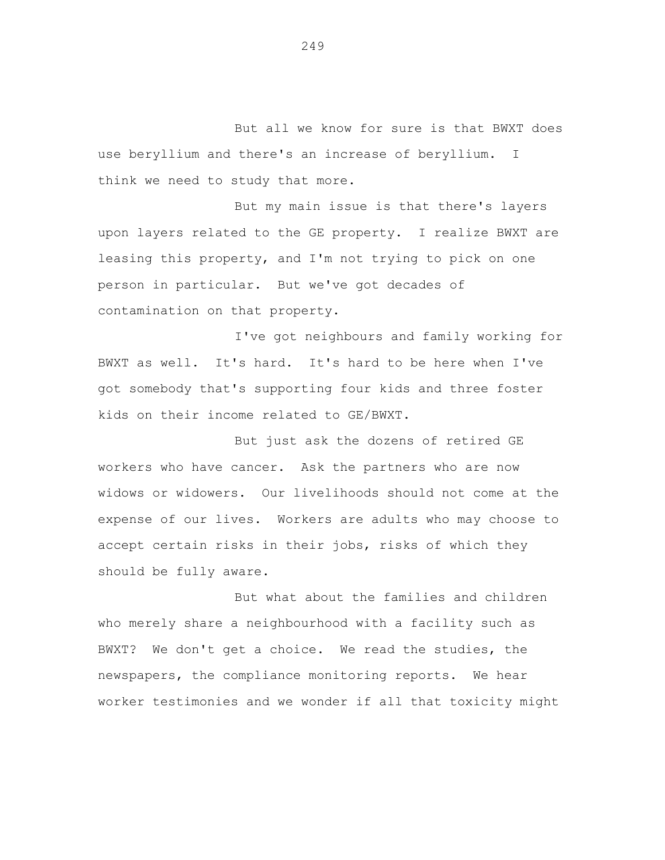But all we know for sure is that BWXT does use beryllium and there's an increase of beryllium. I think we need to study that more.

But my main issue is that there's layers upon layers related to the GE property. I realize BWXT are leasing this property, and I'm not trying to pick on one person in particular. But we've got decades of contamination on that property.

I've got neighbours and family working for BWXT as well. It's hard. It's hard to be here when I've got somebody that's supporting four kids and three foster kids on their income related to GE/BWXT.

But just ask the dozens of retired GE workers who have cancer. Ask the partners who are now widows or widowers. Our livelihoods should not come at the expense of our lives. Workers are adults who may choose to accept certain risks in their jobs, risks of which they should be fully aware.

But what about the families and children who merely share a neighbourhood with a facility such as BWXT? We don't get a choice. We read the studies, the newspapers, the compliance monitoring reports. We hear worker testimonies and we wonder if all that toxicity might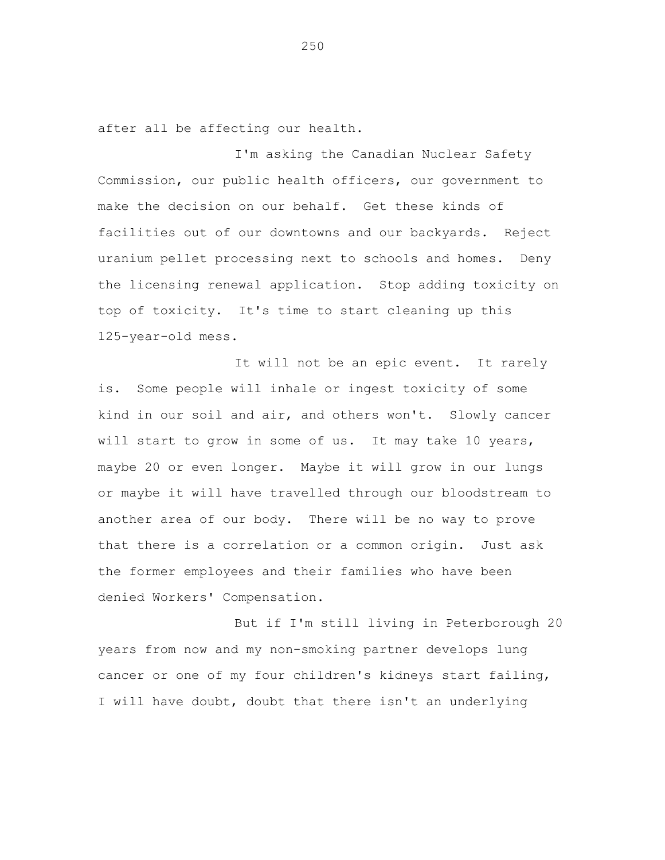after all be affecting our health.

I'm asking the Canadian Nuclear Safety Commission, our public health officers, our government to make the decision on our behalf. Get these kinds of facilities out of our downtowns and our backyards. Reject uranium pellet processing next to schools and homes. Deny the licensing renewal application. Stop adding toxicity on top of toxicity. It's time to start cleaning up this 125-year-old mess.

It will not be an epic event. It rarely is. Some people will inhale or ingest toxicity of some kind in our soil and air, and others won't. Slowly cancer will start to grow in some of us. It may take 10 years, maybe 20 or even longer. Maybe it will grow in our lungs or maybe it will have travelled through our bloodstream to another area of our body. There will be no way to prove that there is a correlation or a common origin. Just ask the former employees and their families who have been denied Workers' Compensation.

But if I'm still living in Peterborough 20 years from now and my non-smoking partner develops lung cancer or one of my four children's kidneys start failing, I will have doubt, doubt that there isn't an underlying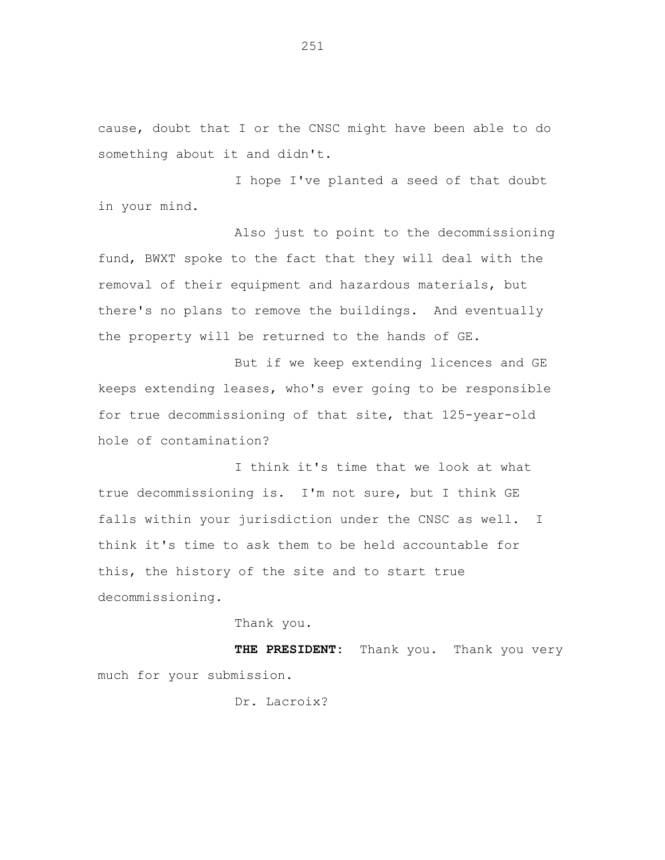cause, doubt that I or the CNSC might have been able to do something about it and didn't.

I hope I've planted a seed of that doubt in your mind.

Also just to point to the decommissioning fund, BWXT spoke to the fact that they will deal with the removal of their equipment and hazardous materials, but there's no plans to remove the buildings. And eventually the property will be returned to the hands of GE.

But if we keep extending licences and GE keeps extending leases, who's ever going to be responsible for true decommissioning of that site, that 125-year-old hole of contamination?

I think it's time that we look at what true decommissioning is. I'm not sure, but I think GE falls within your jurisdiction under the CNSC as well. I think it's time to ask them to be held accountable for this, the history of the site and to start true decommissioning.

Thank you.

**THE PRESIDENT:** Thank you. Thank you very much for your submission.

Dr. Lacroix?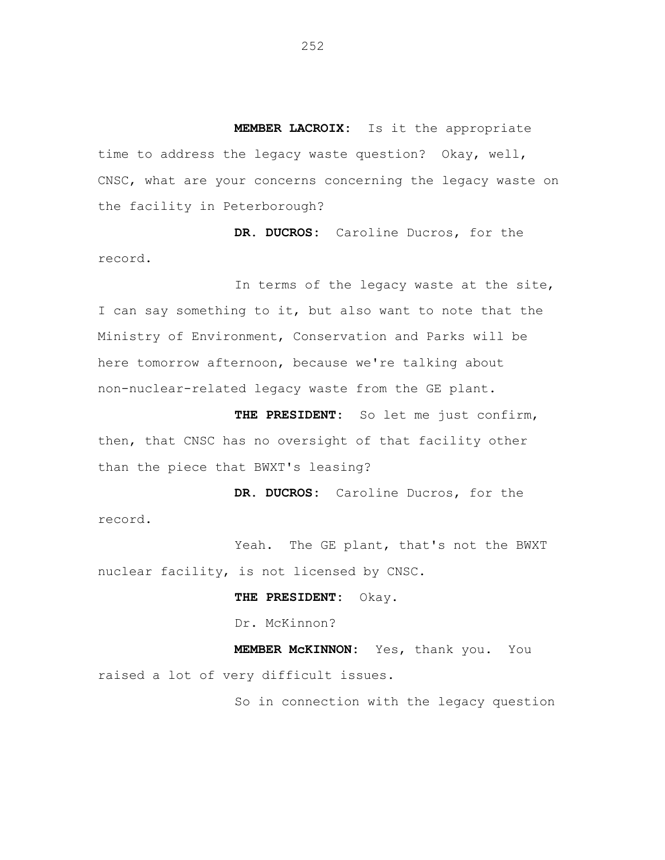**MEMBER LACROIX:** Is it the appropriate time to address the legacy waste question? Okay, well, CNSC, what are your concerns concerning the legacy waste on the facility in Peterborough?

**DR. DUCROS:** Caroline Ducros, for the record.

In terms of the legacy waste at the site, I can say something to it, but also want to note that the Ministry of Environment, Conservation and Parks will be here tomorrow afternoon, because we're talking about non-nuclear-related legacy waste from the GE plant.

**THE PRESIDENT:** So let me just confirm, then, that CNSC has no oversight of that facility other than the piece that BWXT's leasing?

**DR. DUCROS:** Caroline Ducros, for the record.

Yeah. The GE plant, that's not the BWXT nuclear facility, is not licensed by CNSC.

**THE PRESIDENT:** Okay.

Dr. McKinnon?

**MEMBER McKINNON:** Yes, thank you. You raised a lot of very difficult issues.

So in connection with the legacy question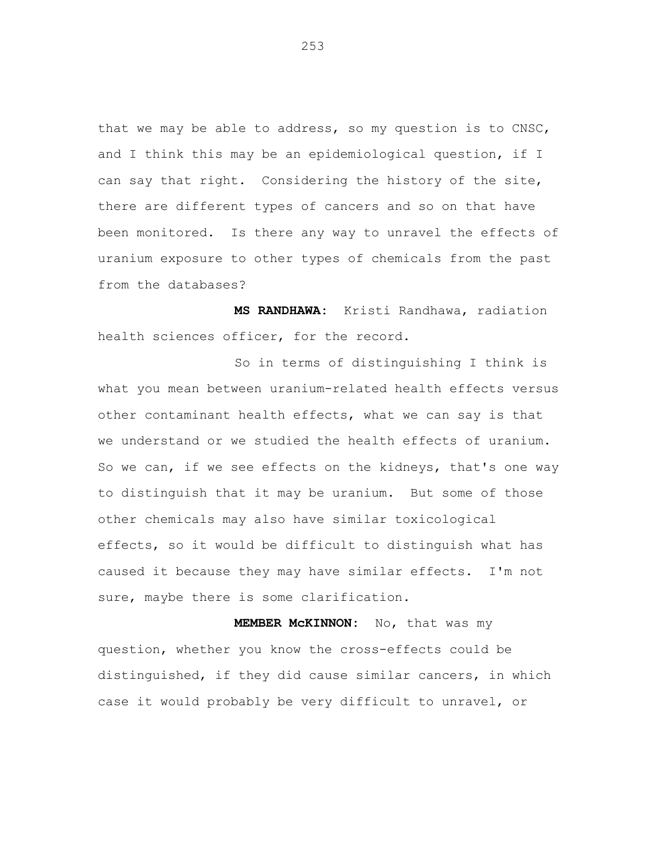that we may be able to address, so my question is to CNSC, and I think this may be an epidemiological question, if I can say that right. Considering the history of the site, there are different types of cancers and so on that have been monitored. Is there any way to unravel the effects of uranium exposure to other types of chemicals from the past from the databases?

**MS RANDHAWA:** Kristi Randhawa, radiation health sciences officer, for the record.

So in terms of distinguishing I think is what you mean between uranium-related health effects versus other contaminant health effects, what we can say is that we understand or we studied the health effects of uranium. So we can, if we see effects on the kidneys, that's one way to distinguish that it may be uranium. But some of those other chemicals may also have similar toxicological effects, so it would be difficult to distinguish what has caused it because they may have similar effects. I'm not sure, maybe there is some clarification.

**MEMBER McKINNON:** No, that was my question, whether you know the cross-effects could be distinguished, if they did cause similar cancers, in which case it would probably be very difficult to unravel, or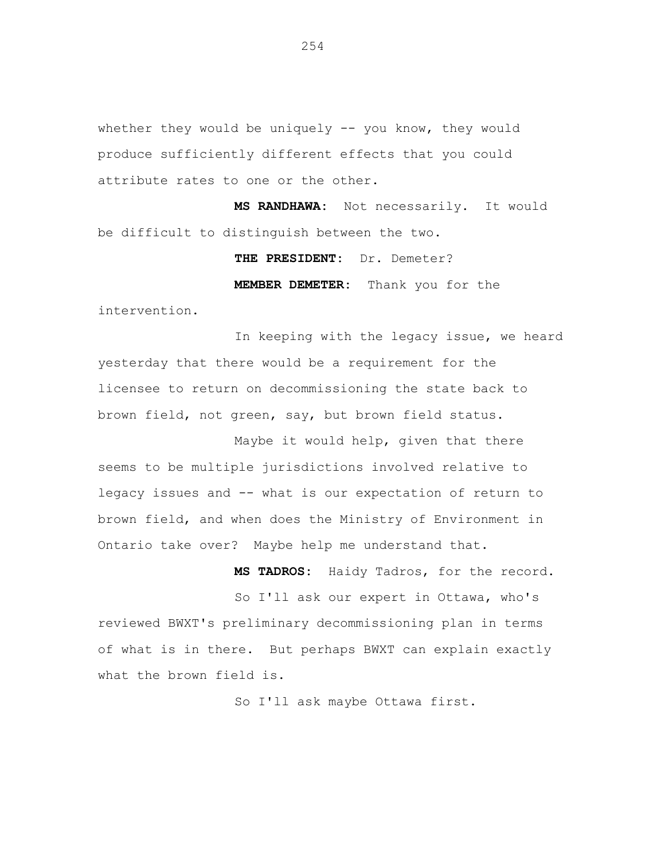whether they would be uniquely -- you know, they would produce sufficiently different effects that you could attribute rates to one or the other.

**MS RANDHAWA:** Not necessarily. It would be difficult to distinguish between the two.

**THE PRESIDENT:** Dr. Demeter?

**MEMBER DEMETER:** Thank you for the

intervention.

In keeping with the legacy issue, we heard yesterday that there would be a requirement for the licensee to return on decommissioning the state back to brown field, not green, say, but brown field status.

Maybe it would help, given that there seems to be multiple jurisdictions involved relative to legacy issues and -- what is our expectation of return to brown field, and when does the Ministry of Environment in Ontario take over? Maybe help me understand that.

**MS TADROS:** Haidy Tadros, for the record. So I'll ask our expert in Ottawa, who's reviewed BWXT's preliminary decommissioning plan in terms of what is in there. But perhaps BWXT can explain exactly

what the brown field is.

So I'll ask maybe Ottawa first.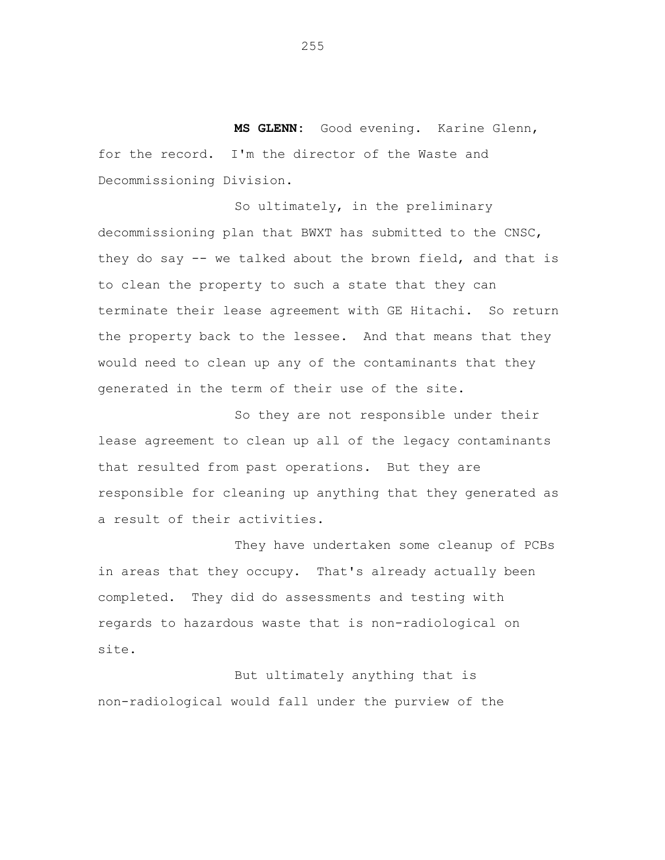**MS GLENN:** Good evening. Karine Glenn, for the record. I'm the director of the Waste and Decommissioning Division.

So ultimately, in the preliminary decommissioning plan that BWXT has submitted to the CNSC, they do say -- we talked about the brown field, and that is to clean the property to such a state that they can terminate their lease agreement with GE Hitachi. So return the property back to the lessee. And that means that they would need to clean up any of the contaminants that they generated in the term of their use of the site.

So they are not responsible under their lease agreement to clean up all of the legacy contaminants that resulted from past operations. But they are responsible for cleaning up anything that they generated as a result of their activities.

They have undertaken some cleanup of PCBs in areas that they occupy. That's already actually been completed. They did do assessments and testing with regards to hazardous waste that is non-radiological on site.

But ultimately anything that is non-radiological would fall under the purview of the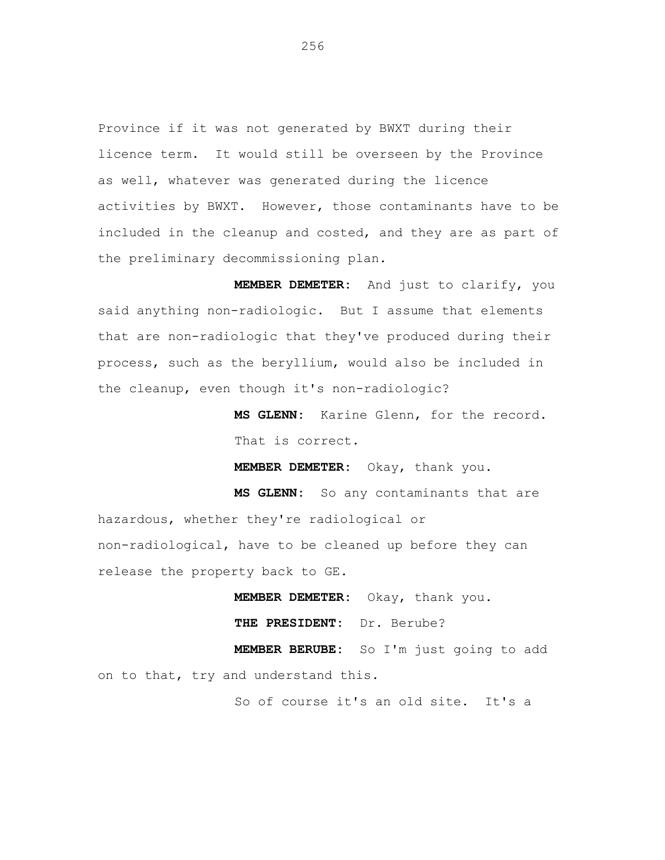Province if it was not generated by BWXT during their licence term. It would still be overseen by the Province as well, whatever was generated during the licence activities by BWXT. However, those contaminants have to be included in the cleanup and costed, and they are as part of the preliminary decommissioning plan.

**MEMBER DEMETER:** And just to clarify, you said anything non-radiologic. But I assume that elements that are non-radiologic that they've produced during their process, such as the beryllium, would also be included in the cleanup, even though it's non-radiologic?

> **MS GLENN:** Karine Glenn, for the record. That is correct.

**MEMBER DEMETER:** Okay, thank you.

**MS GLENN:** So any contaminants that are hazardous, whether they're radiological or non-radiological, have to be cleaned up before they can release the property back to GE.

> **MEMBER DEMETER:** Okay, thank you. **THE PRESIDENT:** Dr. Berube?

**MEMBER BERUBE:** So I'm just going to add on to that, try and understand this.

So of course it's an old site. It's a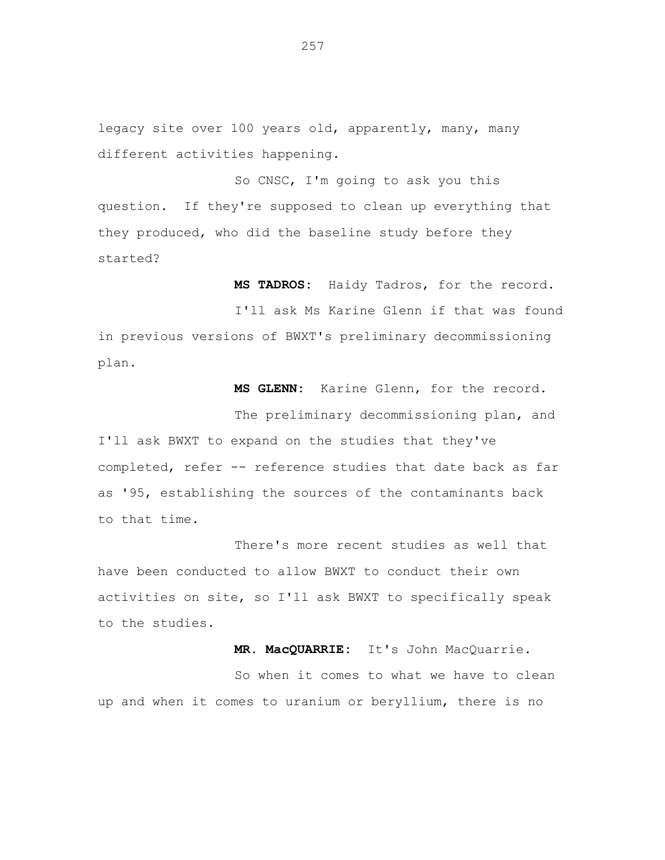legacy site over 100 years old, apparently, many, many different activities happening.

So CNSC, I'm going to ask you this question. If they're supposed to clean up everything that they produced, who did the baseline study before they started?

**MS TADROS:** Haidy Tadros, for the record.

I'll ask Ms Karine Glenn if that was found in previous versions of BWXT's preliminary decommissioning plan.

**MS GLENN:** Karine Glenn, for the record.

The preliminary decommissioning plan, and I'll ask BWXT to expand on the studies that they've completed, refer -- reference studies that date back as far as '95, establishing the sources of the contaminants back to that time.

There's more recent studies as well that have been conducted to allow BWXT to conduct their own activities on site, so I'll ask BWXT to specifically speak to the studies.

> **MR. MacQUARRIE:** It's John MacQuarrie. So when it comes to what we have to clean

up and when it comes to uranium or beryllium, there is no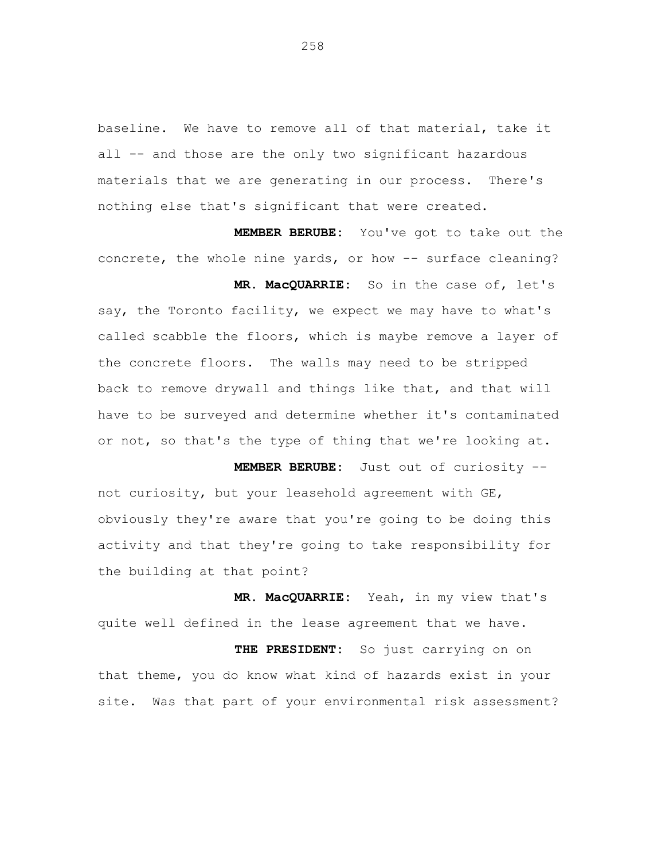baseline. We have to remove all of that material, take it all -- and those are the only two significant hazardous materials that we are generating in our process. There's nothing else that's significant that were created.

**MEMBER BERUBE:** You've got to take out the concrete, the whole nine yards, or how -- surface cleaning?

**MR. MacQUARRIE:** So in the case of, let's say, the Toronto facility, we expect we may have to what's called scabble the floors, which is maybe remove a layer of the concrete floors. The walls may need to be stripped back to remove drywall and things like that, and that will have to be surveyed and determine whether it's contaminated or not, so that's the type of thing that we're looking at.

**MEMBER BERUBE:** Just out of curiosity - not curiosity, but your leasehold agreement with GE, obviously they're aware that you're going to be doing this activity and that they're going to take responsibility for the building at that point?

**MR. MacQUARRIE:** Yeah, in my view that's quite well defined in the lease agreement that we have.

**THE PRESIDENT:** So just carrying on on that theme, you do know what kind of hazards exist in your site. Was that part of your environmental risk assessment?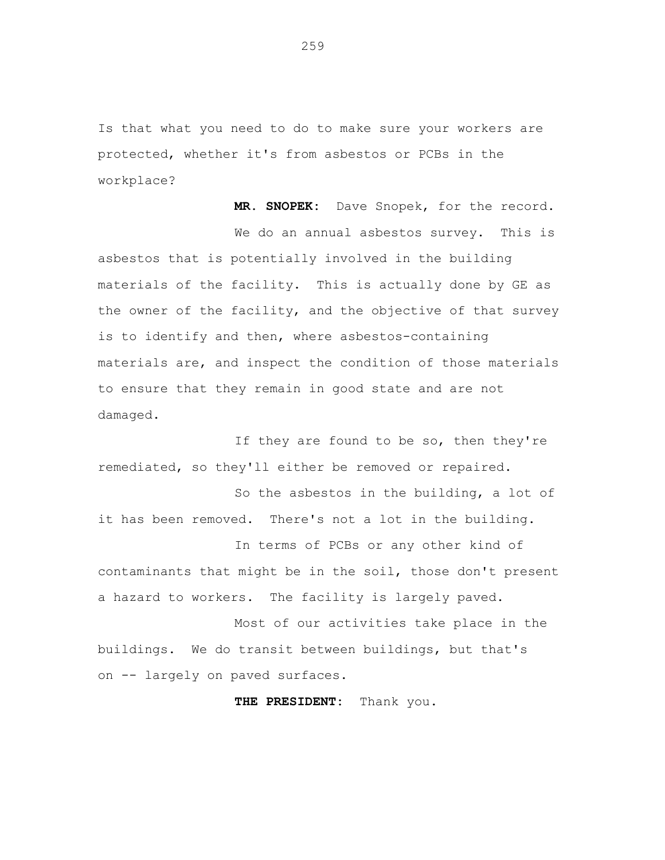Is that what you need to do to make sure your workers are protected, whether it's from asbestos or PCBs in the workplace?

**MR. SNOPEK:** Dave Snopek, for the record. We do an annual asbestos survey. This is asbestos that is potentially involved in the building materials of the facility. This is actually done by GE as the owner of the facility, and the objective of that survey is to identify and then, where asbestos-containing materials are, and inspect the condition of those materials to ensure that they remain in good state and are not damaged.

If they are found to be so, then they're remediated, so they'll either be removed or repaired.

So the asbestos in the building, a lot of it has been removed. There's not a lot in the building.

In terms of PCBs or any other kind of contaminants that might be in the soil, those don't present a hazard to workers. The facility is largely paved.

Most of our activities take place in the buildings. We do transit between buildings, but that's on -- largely on paved surfaces.

**THE PRESIDENT:** Thank you.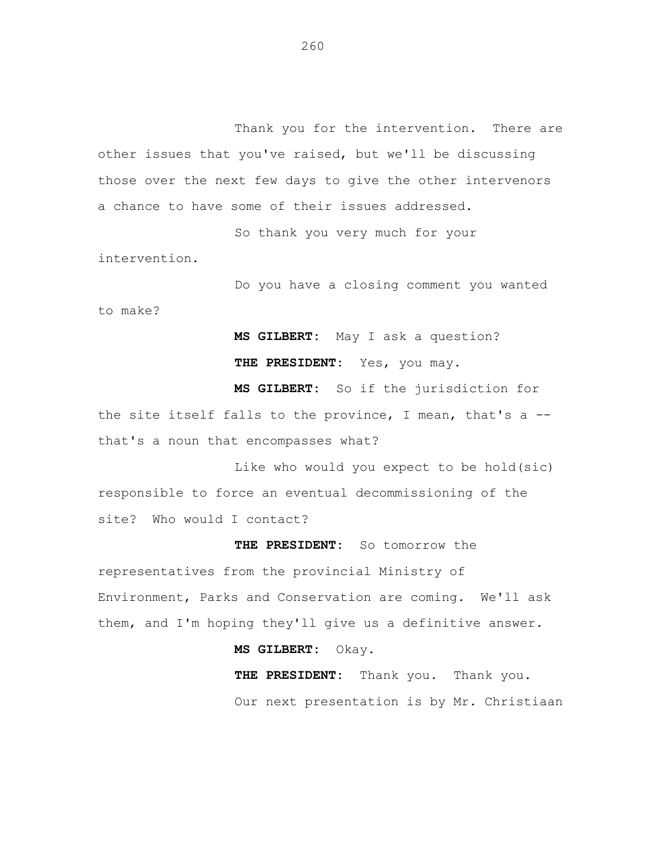Thank you for the intervention. There are other issues that you've raised, but we'll be discussing those over the next few days to give the other intervenors a chance to have some of their issues addressed.

So thank you very much for your intervention.

Do you have a closing comment you wanted

to make?

**MS GILBERT:** May I ask a question? THE PRESIDENT: Yes, you may.

**MS GILBERT:** So if the jurisdiction for the site itself falls to the province, I mean, that's a - that's a noun that encompasses what?

Like who would you expect to be hold(sic) responsible to force an eventual decommissioning of the site? Who would I contact?

## **THE PRESIDENT:** So tomorrow the

representatives from the provincial Ministry of Environment, Parks and Conservation are coming. We'll ask them, and I'm hoping they'll give us a definitive answer.

**MS GILBERT:** Okay.

**THE PRESIDENT:** Thank you. Thank you. Our next presentation is by Mr. Christiaan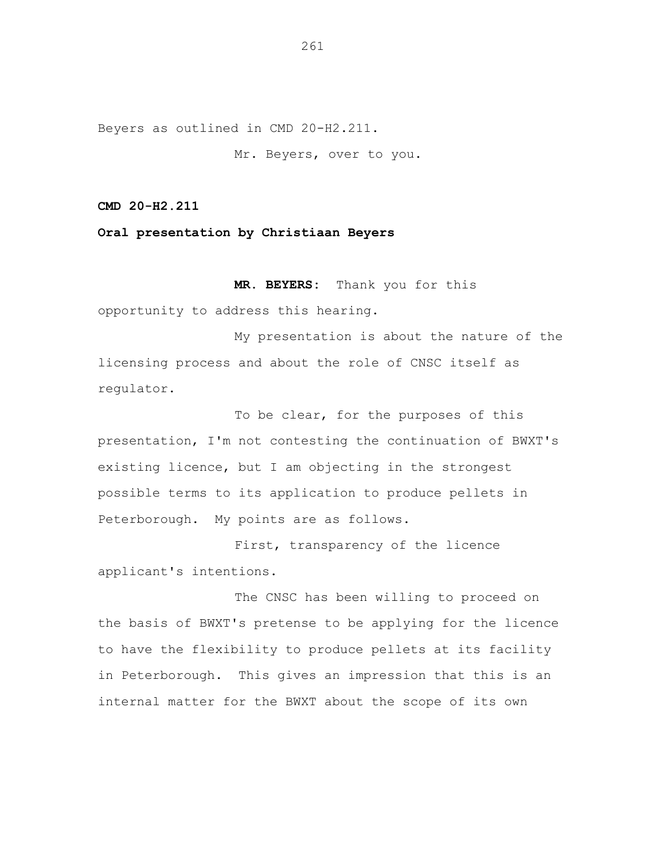Beyers as outlined in CMD 20-H2.211.

Mr. Beyers, over to you.

**CMD 20-H2.211**

**Oral presentation by Christiaan Beyers**

**MR. BEYERS:** Thank you for this

opportunity to address this hearing.

My presentation is about the nature of the licensing process and about the role of CNSC itself as regulator.

To be clear, for the purposes of this presentation, I'm not contesting the continuation of BWXT's existing licence, but I am objecting in the strongest possible terms to its application to produce pellets in Peterborough. My points are as follows.

First, transparency of the licence applicant's intentions.

The CNSC has been willing to proceed on the basis of BWXT's pretense to be applying for the licence to have the flexibility to produce pellets at its facility in Peterborough. This gives an impression that this is an internal matter for the BWXT about the scope of its own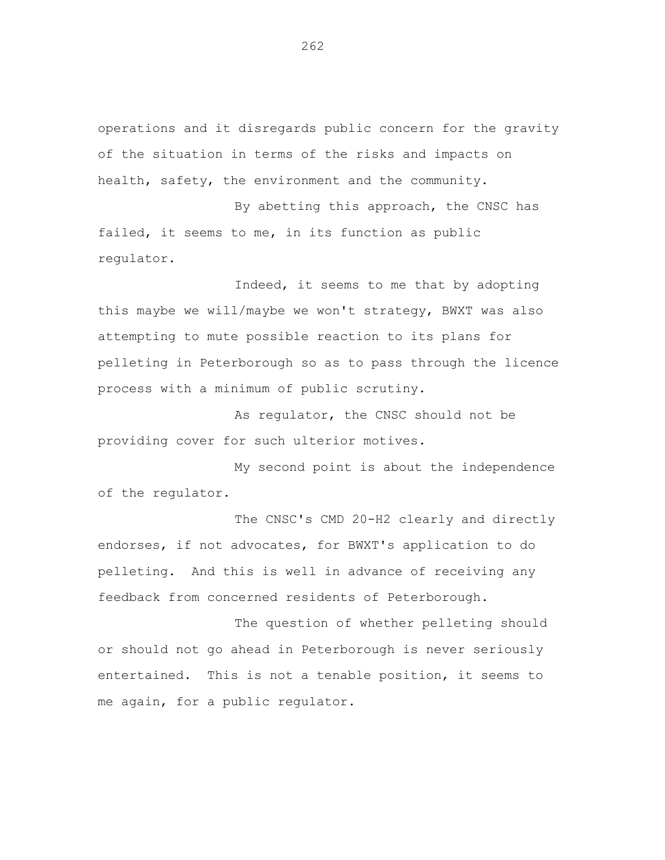operations and it disregards public concern for the gravity of the situation in terms of the risks and impacts on health, safety, the environment and the community.

By abetting this approach, the CNSC has failed, it seems to me, in its function as public regulator.

Indeed, it seems to me that by adopting this maybe we will/maybe we won't strategy, BWXT was also attempting to mute possible reaction to its plans for pelleting in Peterborough so as to pass through the licence process with a minimum of public scrutiny.

As regulator, the CNSC should not be providing cover for such ulterior motives.

My second point is about the independence of the regulator.

The CNSC's CMD 20-H2 clearly and directly endorses, if not advocates, for BWXT's application to do pelleting. And this is well in advance of receiving any feedback from concerned residents of Peterborough.

The question of whether pelleting should or should not go ahead in Peterborough is never seriously entertained. This is not a tenable position, it seems to me again, for a public regulator.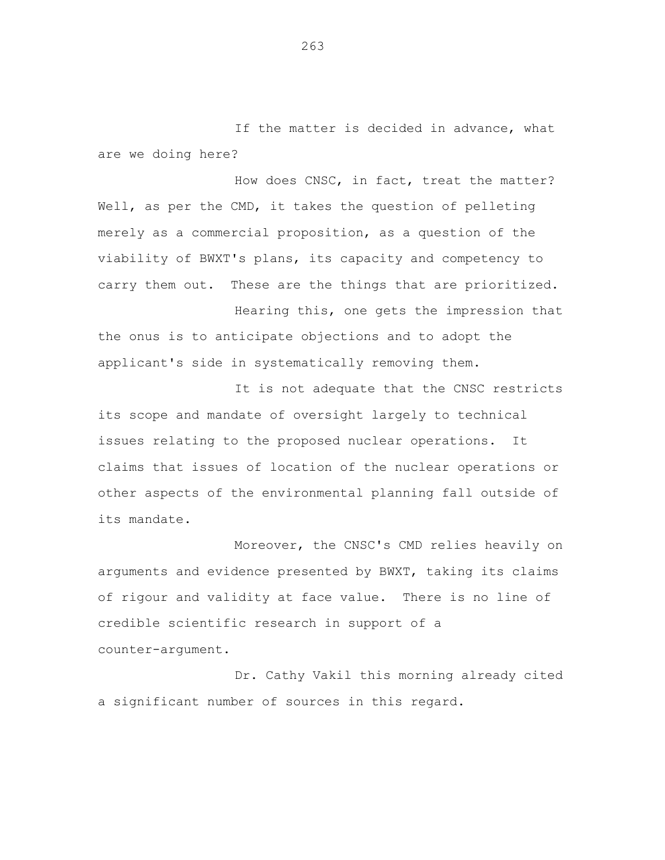If the matter is decided in advance, what are we doing here?

How does CNSC, in fact, treat the matter? Well, as per the CMD, it takes the question of pelleting merely as a commercial proposition, as a question of the viability of BWXT's plans, its capacity and competency to carry them out. These are the things that are prioritized.

Hearing this, one gets the impression that the onus is to anticipate objections and to adopt the applicant's side in systematically removing them.

It is not adequate that the CNSC restricts its scope and mandate of oversight largely to technical issues relating to the proposed nuclear operations. It claims that issues of location of the nuclear operations or other aspects of the environmental planning fall outside of its mandate.

Moreover, the CNSC's CMD relies heavily on arguments and evidence presented by BWXT, taking its claims of rigour and validity at face value. There is no line of credible scientific research in support of a counter-argument.

Dr. Cathy Vakil this morning already cited a significant number of sources in this regard.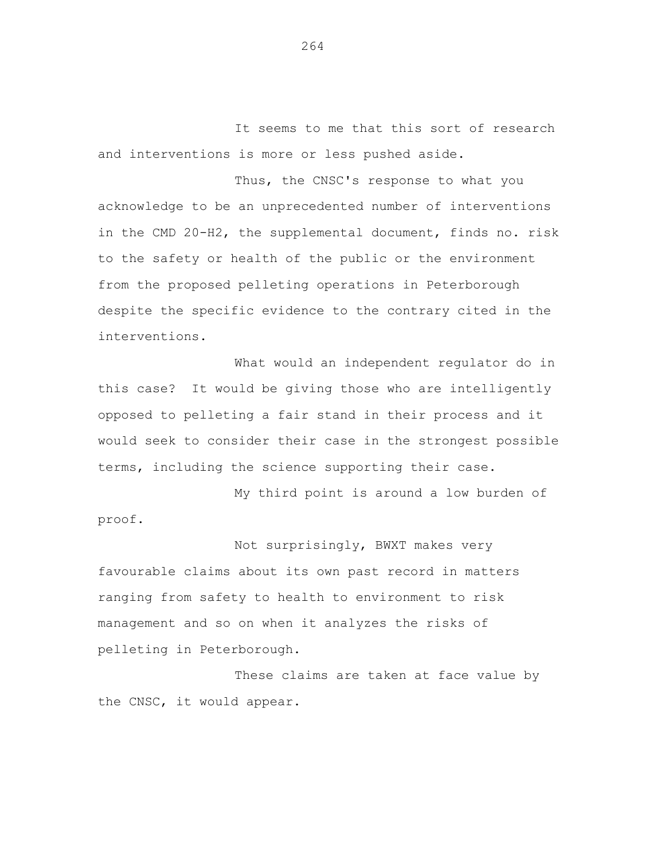It seems to me that this sort of research and interventions is more or less pushed aside.

Thus, the CNSC's response to what you acknowledge to be an unprecedented number of interventions in the CMD 20-H2, the supplemental document, finds no. risk to the safety or health of the public or the environment from the proposed pelleting operations in Peterborough despite the specific evidence to the contrary cited in the interventions.

What would an independent regulator do in this case? It would be giving those who are intelligently opposed to pelleting a fair stand in their process and it would seek to consider their case in the strongest possible terms, including the science supporting their case.

My third point is around a low burden of proof.

Not surprisingly, BWXT makes very favourable claims about its own past record in matters ranging from safety to health to environment to risk management and so on when it analyzes the risks of pelleting in Peterborough.

These claims are taken at face value by the CNSC, it would appear.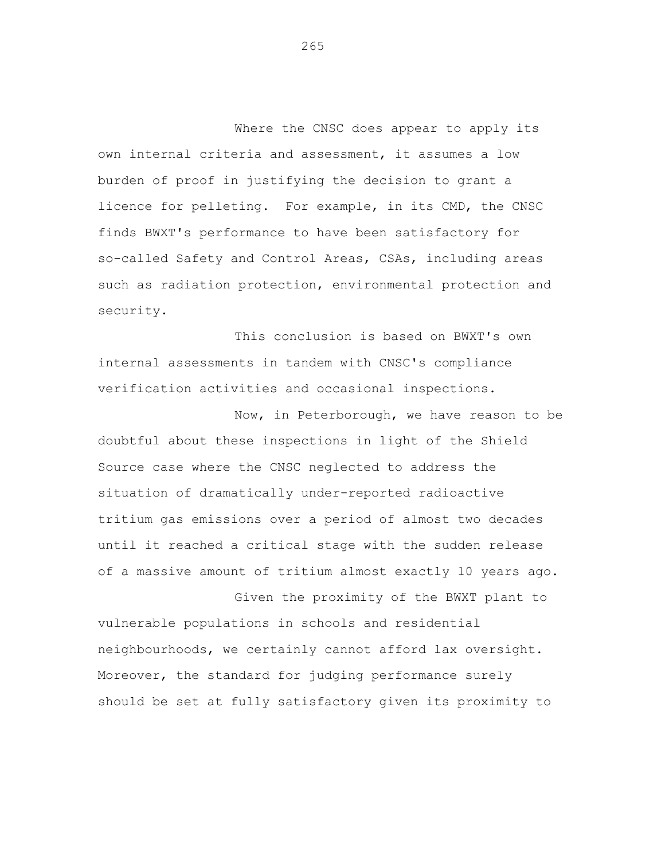Where the CNSC does appear to apply its own internal criteria and assessment, it assumes a low burden of proof in justifying the decision to grant a licence for pelleting. For example, in its CMD, the CNSC finds BWXT's performance to have been satisfactory for so-called Safety and Control Areas, CSAs, including areas such as radiation protection, environmental protection and security.

This conclusion is based on BWXT's own internal assessments in tandem with CNSC's compliance verification activities and occasional inspections.

Now, in Peterborough, we have reason to be doubtful about these inspections in light of the Shield Source case where the CNSC neglected to address the situation of dramatically under-reported radioactive tritium gas emissions over a period of almost two decades until it reached a critical stage with the sudden release of a massive amount of tritium almost exactly 10 years ago.

Given the proximity of the BWXT plant to vulnerable populations in schools and residential neighbourhoods, we certainly cannot afford lax oversight. Moreover, the standard for judging performance surely should be set at fully satisfactory given its proximity to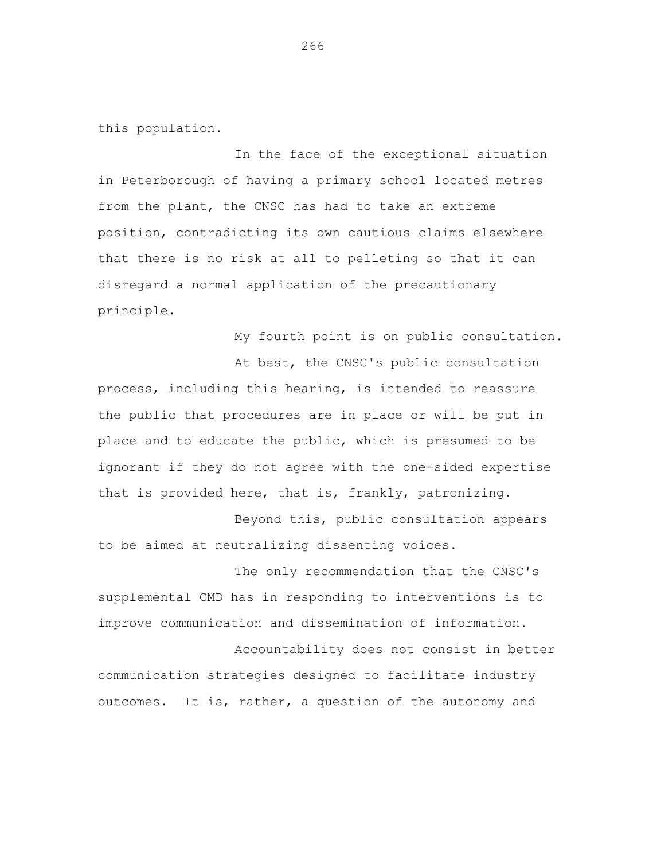this population.

In the face of the exceptional situation in Peterborough of having a primary school located metres from the plant, the CNSC has had to take an extreme position, contradicting its own cautious claims elsewhere that there is no risk at all to pelleting so that it can disregard a normal application of the precautionary principle.

My fourth point is on public consultation.

At best, the CNSC's public consultation process, including this hearing, is intended to reassure the public that procedures are in place or will be put in place and to educate the public, which is presumed to be ignorant if they do not agree with the one-sided expertise that is provided here, that is, frankly, patronizing.

Beyond this, public consultation appears to be aimed at neutralizing dissenting voices.

The only recommendation that the CNSC's supplemental CMD has in responding to interventions is to improve communication and dissemination of information.

Accountability does not consist in better communication strategies designed to facilitate industry outcomes. It is, rather, a question of the autonomy and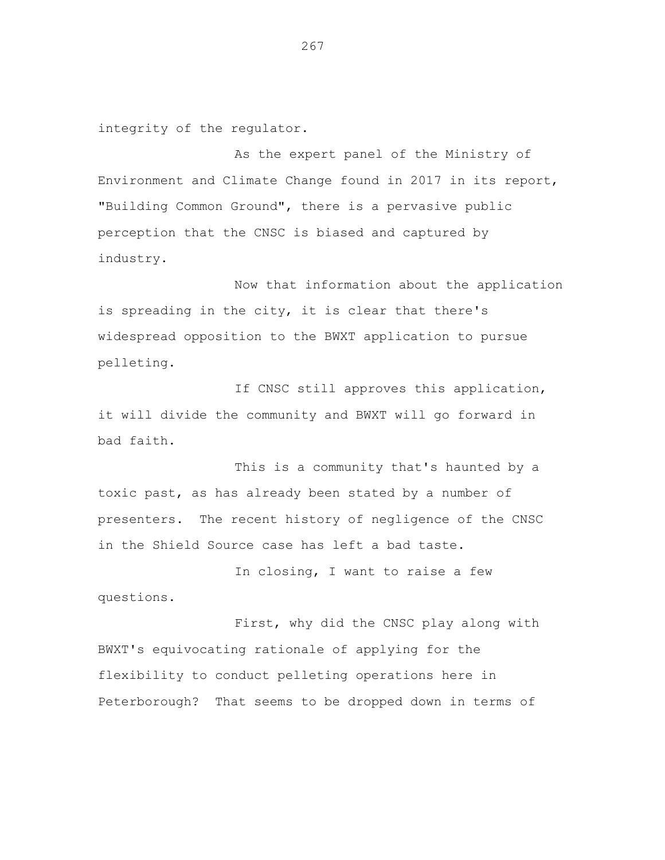integrity of the regulator.

As the expert panel of the Ministry of Environment and Climate Change found in 2017 in its report, "Building Common Ground", there is a pervasive public perception that the CNSC is biased and captured by industry.

Now that information about the application is spreading in the city, it is clear that there's widespread opposition to the BWXT application to pursue pelleting.

If CNSC still approves this application, it will divide the community and BWXT will go forward in bad faith.

This is a community that's haunted by a toxic past, as has already been stated by a number of presenters. The recent history of negligence of the CNSC in the Shield Source case has left a bad taste.

In closing, I want to raise a few questions.

First, why did the CNSC play along with BWXT's equivocating rationale of applying for the flexibility to conduct pelleting operations here in Peterborough? That seems to be dropped down in terms of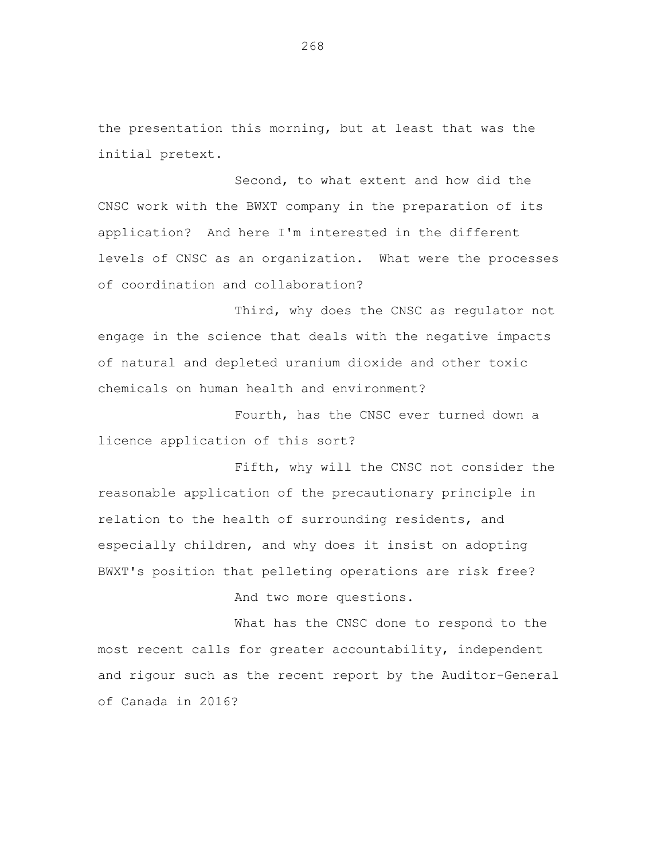the presentation this morning, but at least that was the initial pretext.

Second, to what extent and how did the CNSC work with the BWXT company in the preparation of its application? And here I'm interested in the different levels of CNSC as an organization. What were the processes of coordination and collaboration?

Third, why does the CNSC as regulator not engage in the science that deals with the negative impacts of natural and depleted uranium dioxide and other toxic chemicals on human health and environment?

Fourth, has the CNSC ever turned down a licence application of this sort?

Fifth, why will the CNSC not consider the reasonable application of the precautionary principle in relation to the health of surrounding residents, and especially children, and why does it insist on adopting BWXT's position that pelleting operations are risk free?

And two more questions.

What has the CNSC done to respond to the most recent calls for greater accountability, independent and rigour such as the recent report by the Auditor-General of Canada in 2016?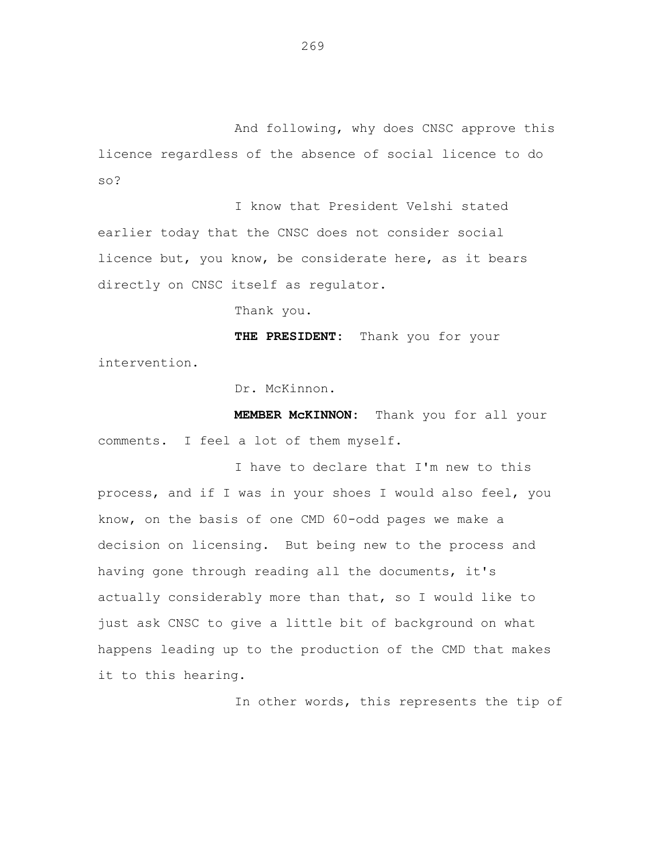And following, why does CNSC approve this licence regardless of the absence of social licence to do so?

I know that President Velshi stated earlier today that the CNSC does not consider social licence but, you know, be considerate here, as it bears directly on CNSC itself as regulator.

Thank you.

**THE PRESIDENT:** Thank you for your intervention.

Dr. McKinnon.

**MEMBER McKINNON:** Thank you for all your comments. I feel a lot of them myself.

I have to declare that I'm new to this process, and if I was in your shoes I would also feel, you know, on the basis of one CMD 60-odd pages we make a decision on licensing. But being new to the process and having gone through reading all the documents, it's actually considerably more than that, so I would like to just ask CNSC to give a little bit of background on what happens leading up to the production of the CMD that makes it to this hearing.

In other words, this represents the tip of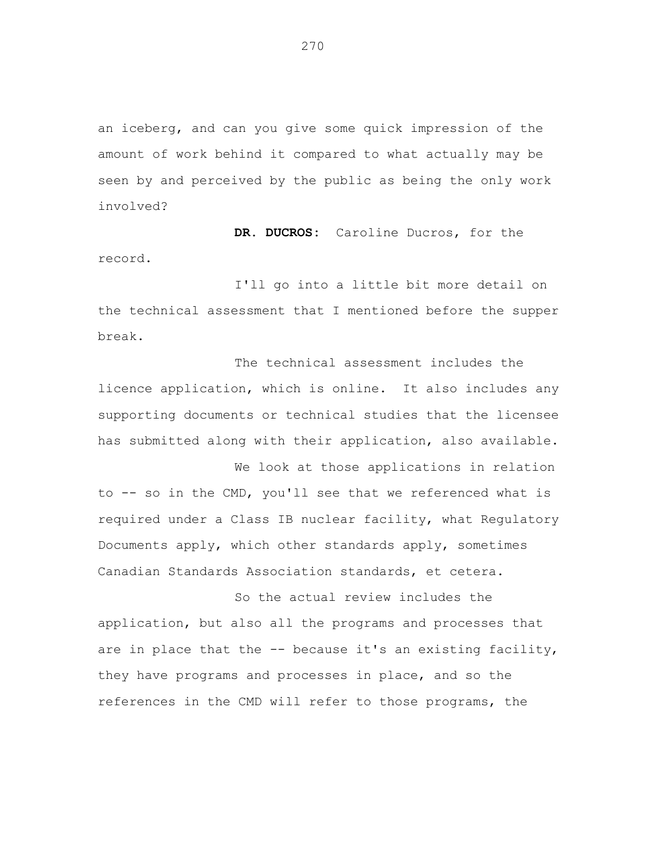an iceberg, and can you give some quick impression of the amount of work behind it compared to what actually may be seen by and perceived by the public as being the only work involved?

**DR. DUCROS:** Caroline Ducros, for the record.

I'll go into a little bit more detail on the technical assessment that I mentioned before the supper break.

The technical assessment includes the licence application, which is online. It also includes any supporting documents or technical studies that the licensee has submitted along with their application, also available.

We look at those applications in relation to -- so in the CMD, you'll see that we referenced what is required under a Class IB nuclear facility, what Regulatory Documents apply, which other standards apply, sometimes Canadian Standards Association standards, et cetera.

So the actual review includes the application, but also all the programs and processes that are in place that the -- because it's an existing facility, they have programs and processes in place, and so the references in the CMD will refer to those programs, the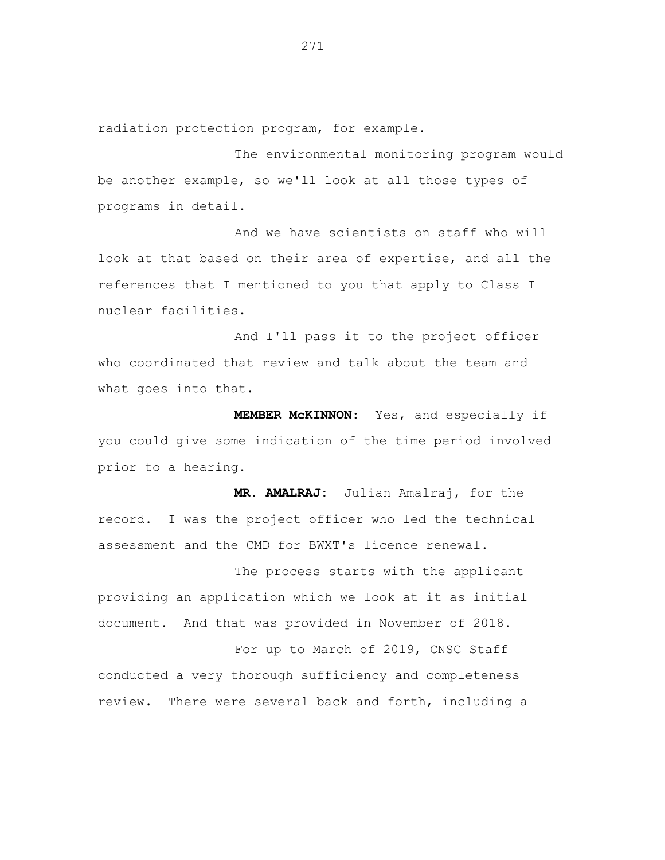radiation protection program, for example.

The environmental monitoring program would be another example, so we'll look at all those types of programs in detail.

And we have scientists on staff who will look at that based on their area of expertise, and all the references that I mentioned to you that apply to Class I nuclear facilities.

And I'll pass it to the project officer who coordinated that review and talk about the team and what goes into that.

**MEMBER McKINNON:** Yes, and especially if you could give some indication of the time period involved prior to a hearing.

**MR. AMALRAJ:** Julian Amalraj, for the record. I was the project officer who led the technical assessment and the CMD for BWXT's licence renewal.

The process starts with the applicant providing an application which we look at it as initial document. And that was provided in November of 2018.

For up to March of 2019, CNSC Staff conducted a very thorough sufficiency and completeness review. There were several back and forth, including a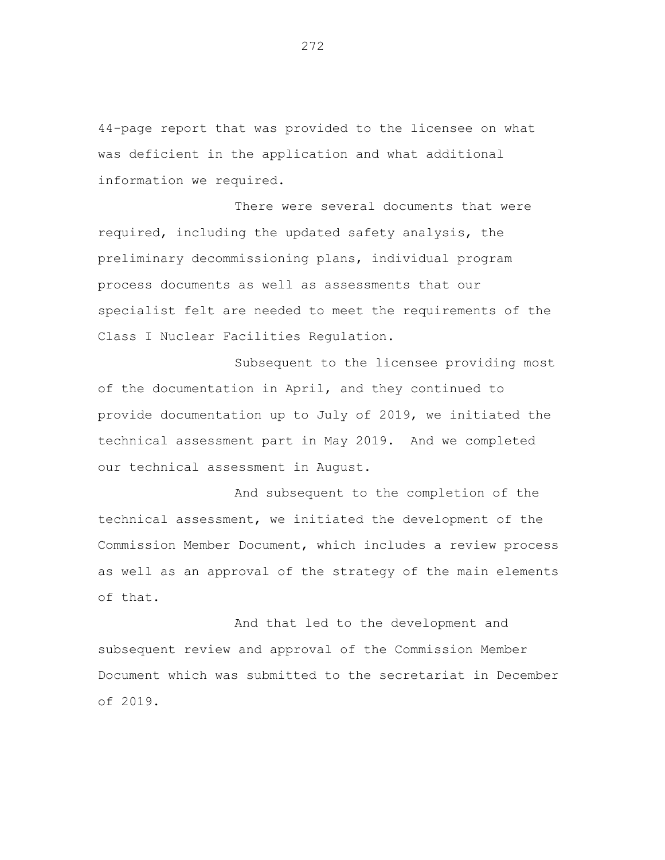44-page report that was provided to the licensee on what was deficient in the application and what additional information we required.

There were several documents that were required, including the updated safety analysis, the preliminary decommissioning plans, individual program process documents as well as assessments that our specialist felt are needed to meet the requirements of the Class I Nuclear Facilities Regulation.

Subsequent to the licensee providing most of the documentation in April, and they continued to provide documentation up to July of 2019, we initiated the technical assessment part in May 2019. And we completed our technical assessment in August.

And subsequent to the completion of the technical assessment, we initiated the development of the Commission Member Document, which includes a review process as well as an approval of the strategy of the main elements of that.

And that led to the development and subsequent review and approval of the Commission Member Document which was submitted to the secretariat in December of 2019.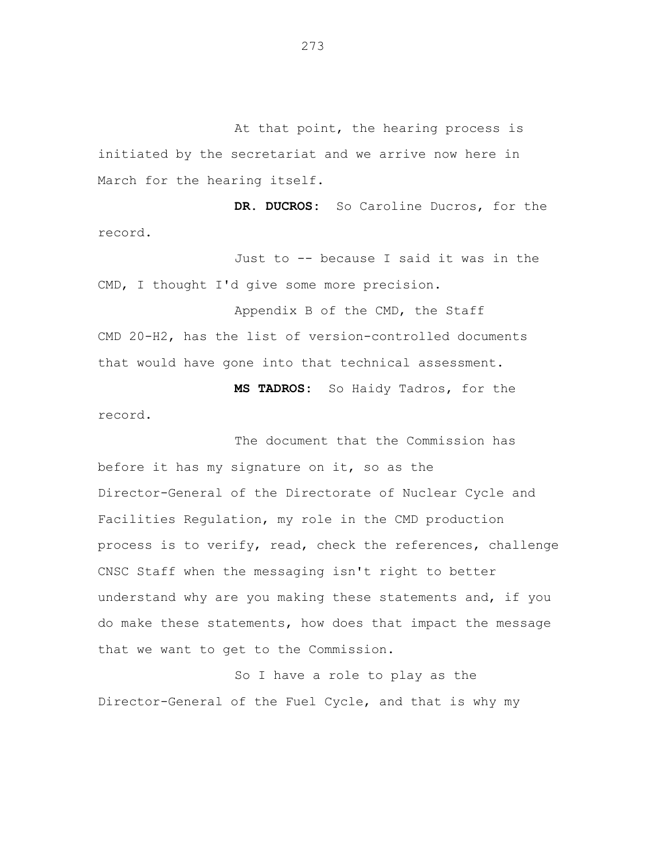At that point, the hearing process is initiated by the secretariat and we arrive now here in March for the hearing itself.

**DR. DUCROS:** So Caroline Ducros, for the record.

Just to -- because I said it was in the CMD, I thought I'd give some more precision.

Appendix B of the CMD, the Staff CMD 20-H2, has the list of version-controlled documents that would have gone into that technical assessment.

**MS TADROS:** So Haidy Tadros, for the record.

The document that the Commission has before it has my signature on it, so as the Director-General of the Directorate of Nuclear Cycle and Facilities Regulation, my role in the CMD production process is to verify, read, check the references, challenge CNSC Staff when the messaging isn't right to better understand why are you making these statements and, if you do make these statements, how does that impact the message that we want to get to the Commission.

So I have a role to play as the Director-General of the Fuel Cycle, and that is why my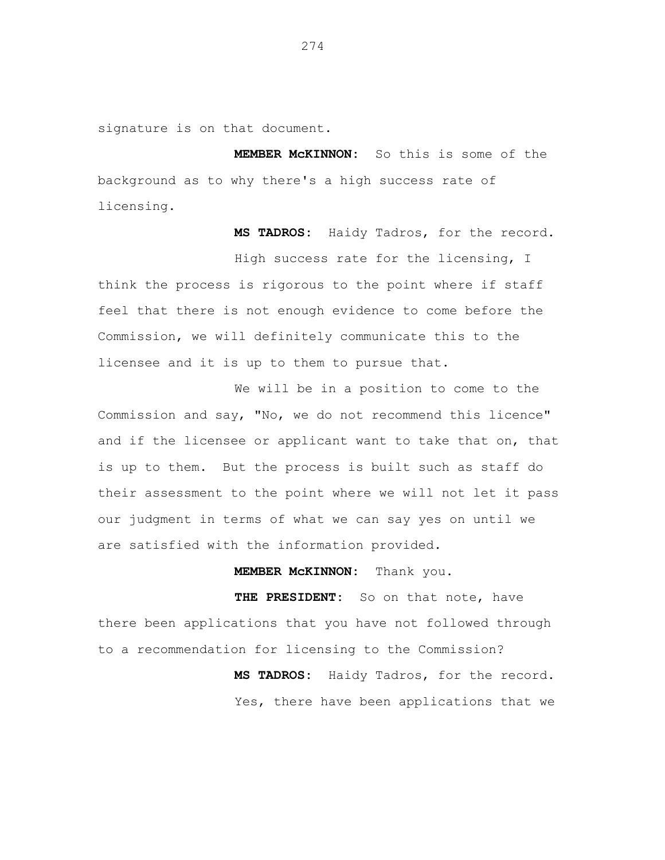signature is on that document.

**MEMBER McKINNON:** So this is some of the background as to why there's a high success rate of licensing.

**MS TADROS:** Haidy Tadros, for the record.

High success rate for the licensing, I think the process is rigorous to the point where if staff feel that there is not enough evidence to come before the Commission, we will definitely communicate this to the licensee and it is up to them to pursue that.

We will be in a position to come to the Commission and say, "No, we do not recommend this licence" and if the licensee or applicant want to take that on, that is up to them. But the process is built such as staff do their assessment to the point where we will not let it pass our judgment in terms of what we can say yes on until we are satisfied with the information provided.

**MEMBER McKINNON:** Thank you.

**THE PRESIDENT:** So on that note, have there been applications that you have not followed through to a recommendation for licensing to the Commission?

> **MS TADROS:** Haidy Tadros, for the record. Yes, there have been applications that we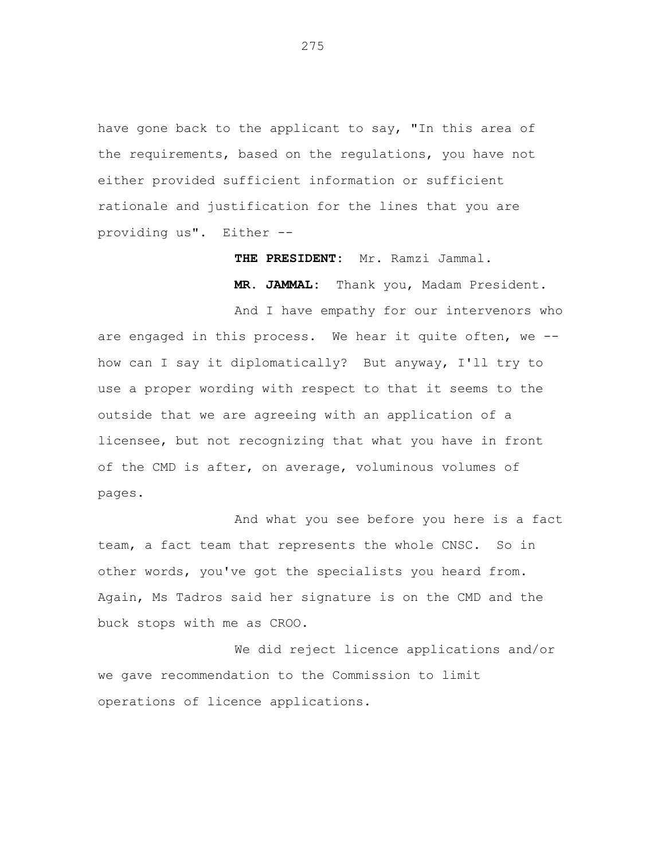have gone back to the applicant to say, "In this area of the requirements, based on the regulations, you have not either provided sufficient information or sufficient rationale and justification for the lines that you are providing us". Either --

**THE PRESIDENT:** Mr. Ramzi Jammal.

**MR. JAMMAL:** Thank you, Madam President.

And I have empathy for our intervenors who are engaged in this process. We hear it quite often, we - how can I say it diplomatically? But anyway, I'll try to use a proper wording with respect to that it seems to the outside that we are agreeing with an application of a licensee, but not recognizing that what you have in front of the CMD is after, on average, voluminous volumes of pages.

And what you see before you here is a fact team, a fact team that represents the whole CNSC. So in other words, you've got the specialists you heard from. Again, Ms Tadros said her signature is on the CMD and the buck stops with me as CROO.

We did reject licence applications and/or we gave recommendation to the Commission to limit operations of licence applications.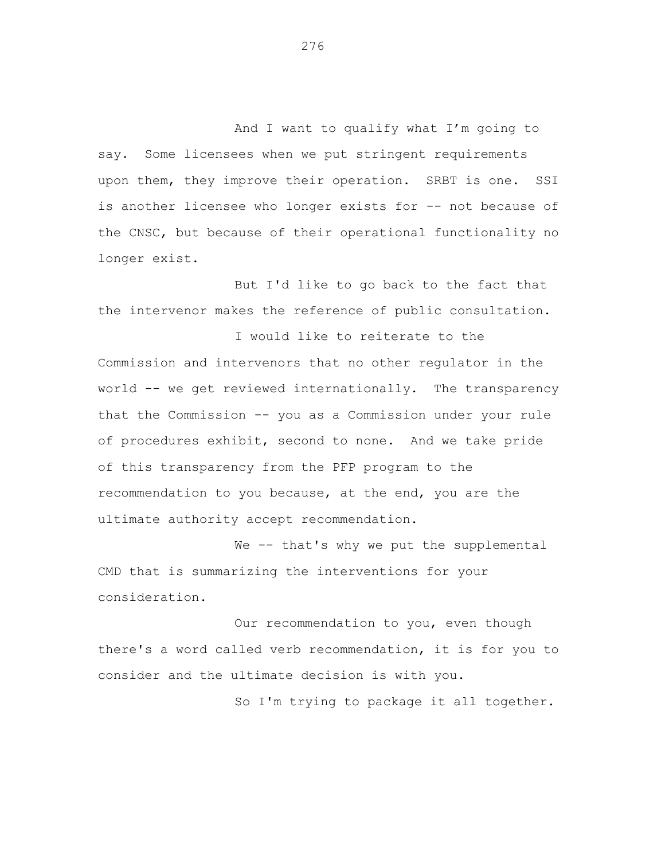And I want to qualify what I'm going to say. Some licensees when we put stringent requirements upon them, they improve their operation. SRBT is one. SSI is another licensee who longer exists for -- not because of the CNSC, but because of their operational functionality no longer exist.

But I'd like to go back to the fact that the intervenor makes the reference of public consultation.

I would like to reiterate to the Commission and intervenors that no other regulator in the world -- we get reviewed internationally. The transparency that the Commission -- you as a Commission under your rule of procedures exhibit, second to none. And we take pride of this transparency from the PFP program to the recommendation to you because, at the end, you are the ultimate authority accept recommendation.

We -- that's why we put the supplemental CMD that is summarizing the interventions for your consideration.

Our recommendation to you, even though there's a word called verb recommendation, it is for you to consider and the ultimate decision is with you.

So I'm trying to package it all together.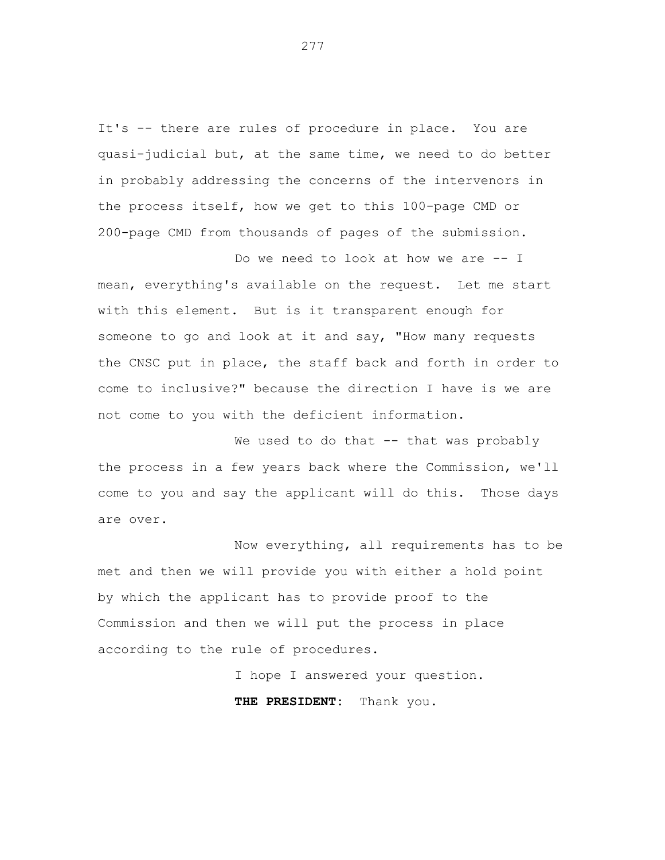It's -- there are rules of procedure in place. You are quasi-judicial but, at the same time, we need to do better in probably addressing the concerns of the intervenors in the process itself, how we get to this 100-page CMD or 200-page CMD from thousands of pages of the submission.

Do we need to look at how we are -- I mean, everything's available on the request. Let me start with this element. But is it transparent enough for someone to go and look at it and say, "How many requests the CNSC put in place, the staff back and forth in order to come to inclusive?" because the direction I have is we are not come to you with the deficient information.

We used to do that -- that was probably the process in a few years back where the Commission, we'll come to you and say the applicant will do this. Those days are over.

Now everything, all requirements has to be met and then we will provide you with either a hold point by which the applicant has to provide proof to the Commission and then we will put the process in place according to the rule of procedures.

I hope I answered your question.

**THE PRESIDENT:** Thank you.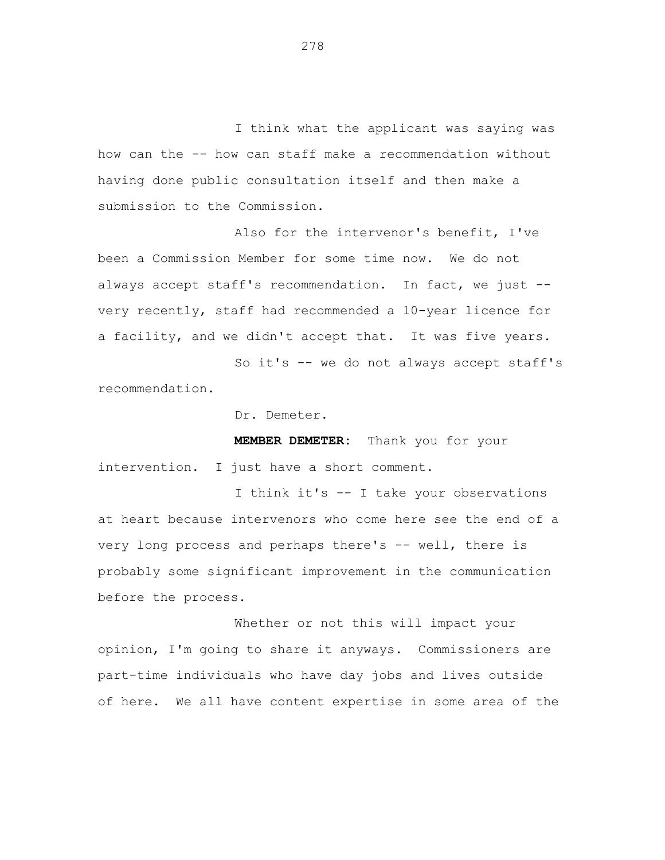I think what the applicant was saying was how can the -- how can staff make a recommendation without having done public consultation itself and then make a submission to the Commission.

Also for the intervenor's benefit, I've been a Commission Member for some time now. We do not always accept staff's recommendation. In fact, we just - very recently, staff had recommended a 10-year licence for a facility, and we didn't accept that. It was five years.

So it's -- we do not always accept staff's recommendation.

Dr. Demeter.

**MEMBER DEMETER:** Thank you for your intervention. I just have a short comment.

I think it's -- I take your observations at heart because intervenors who come here see the end of a very long process and perhaps there's -- well, there is probably some significant improvement in the communication before the process.

Whether or not this will impact your opinion, I'm going to share it anyways. Commissioners are part-time individuals who have day jobs and lives outside of here. We all have content expertise in some area of the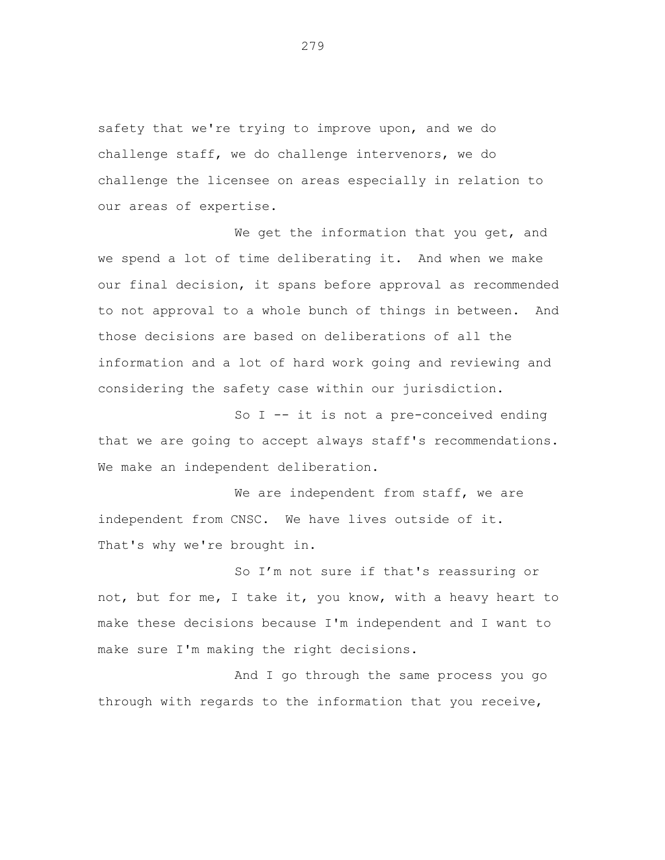safety that we're trying to improve upon, and we do challenge staff, we do challenge intervenors, we do challenge the licensee on areas especially in relation to our areas of expertise.

We get the information that you get, and we spend a lot of time deliberating it. And when we make our final decision, it spans before approval as recommended to not approval to a whole bunch of things in between. And those decisions are based on deliberations of all the information and a lot of hard work going and reviewing and considering the safety case within our jurisdiction.

So I -- it is not a pre-conceived ending that we are going to accept always staff's recommendations. We make an independent deliberation.

We are independent from staff, we are independent from CNSC. We have lives outside of it. That's why we're brought in.

So I'm not sure if that's reassuring or not, but for me, I take it, you know, with a heavy heart to make these decisions because I'm independent and I want to make sure I'm making the right decisions.

And I go through the same process you go through with regards to the information that you receive,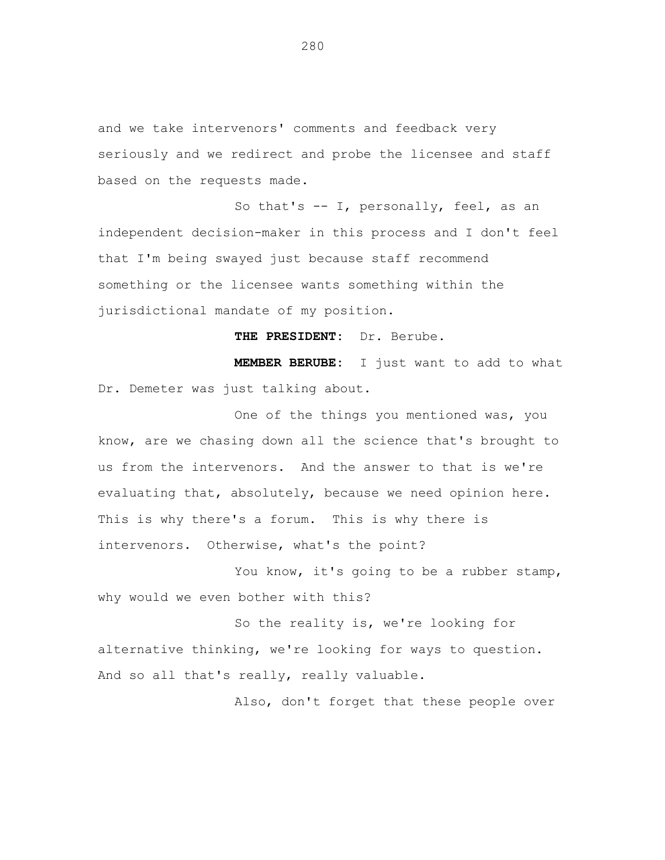and we take intervenors' comments and feedback very seriously and we redirect and probe the licensee and staff based on the requests made.

So that's -- I, personally, feel, as an independent decision-maker in this process and I don't feel that I'm being swayed just because staff recommend something or the licensee wants something within the jurisdictional mandate of my position.

**THE PRESIDENT:** Dr. Berube. **MEMBER BERUBE:** I just want to add to what

Dr. Demeter was just talking about.

One of the things you mentioned was, you know, are we chasing down all the science that's brought to us from the intervenors. And the answer to that is we're evaluating that, absolutely, because we need opinion here. This is why there's a forum. This is why there is intervenors. Otherwise, what's the point?

You know, it's going to be a rubber stamp, why would we even bother with this?

So the reality is, we're looking for alternative thinking, we're looking for ways to question. And so all that's really, really valuable.

Also, don't forget that these people over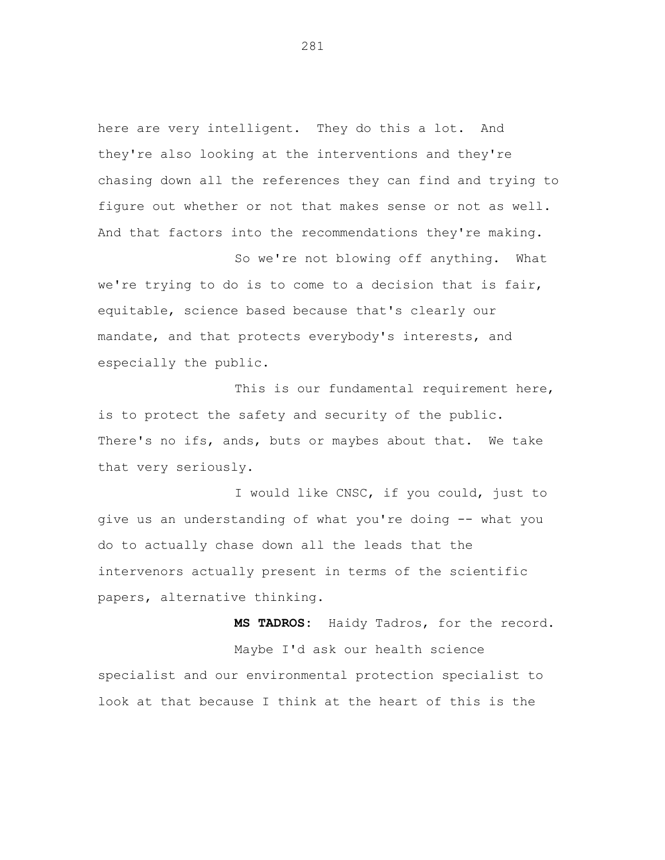here are very intelligent. They do this a lot. And they're also looking at the interventions and they're chasing down all the references they can find and trying to figure out whether or not that makes sense or not as well. And that factors into the recommendations they're making.

So we're not blowing off anything. What we're trying to do is to come to a decision that is fair, equitable, science based because that's clearly our mandate, and that protects everybody's interests, and especially the public.

This is our fundamental requirement here, is to protect the safety and security of the public. There's no ifs, ands, buts or maybes about that. We take that very seriously.

I would like CNSC, if you could, just to give us an understanding of what you're doing -- what you do to actually chase down all the leads that the intervenors actually present in terms of the scientific papers, alternative thinking.

**MS TADROS:** Haidy Tadros, for the record. Maybe I'd ask our health science specialist and our environmental protection specialist to look at that because I think at the heart of this is the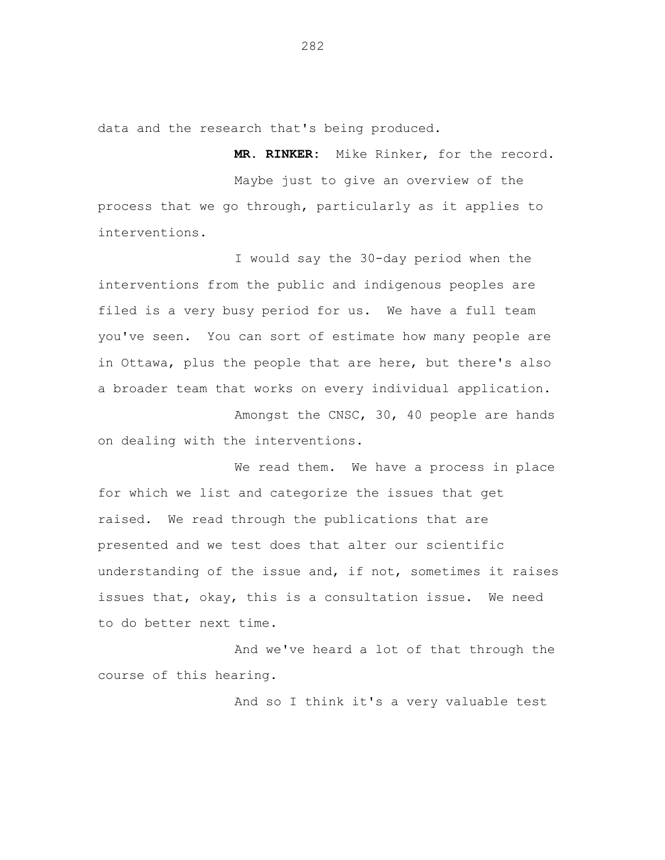data and the research that's being produced.

**MR. RINKER:** Mike Rinker, for the record.

Maybe just to give an overview of the process that we go through, particularly as it applies to interventions.

I would say the 30-day period when the interventions from the public and indigenous peoples are filed is a very busy period for us. We have a full team you've seen. You can sort of estimate how many people are in Ottawa, plus the people that are here, but there's also a broader team that works on every individual application.

Amongst the CNSC, 30, 40 people are hands on dealing with the interventions.

We read them. We have a process in place for which we list and categorize the issues that get raised. We read through the publications that are presented and we test does that alter our scientific understanding of the issue and, if not, sometimes it raises issues that, okay, this is a consultation issue. We need to do better next time.

And we've heard a lot of that through the course of this hearing.

And so I think it's a very valuable test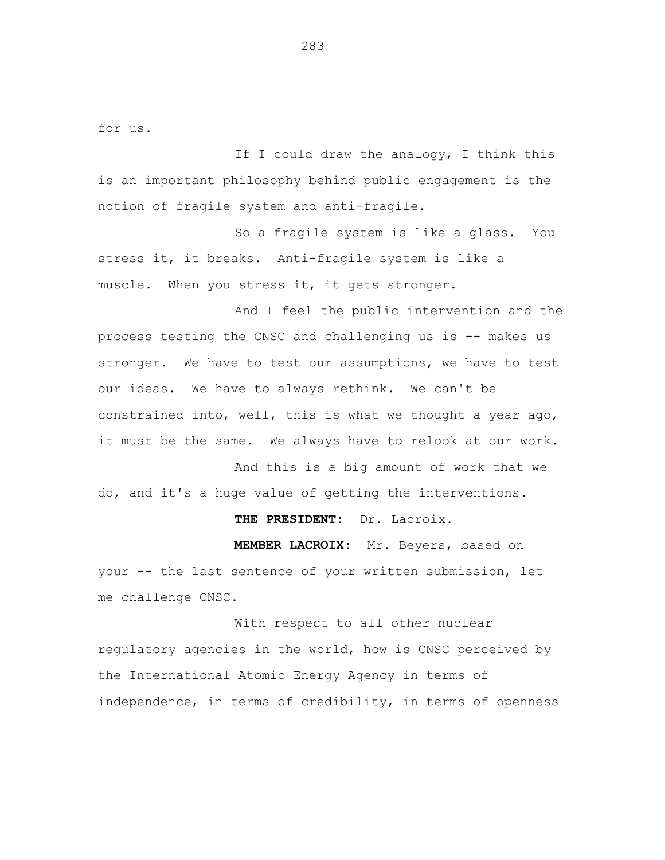for us.

If I could draw the analogy, I think this is an important philosophy behind public engagement is the notion of fragile system and anti-fragile.

So a fragile system is like a glass. You stress it, it breaks. Anti-fragile system is like a muscle. When you stress it, it gets stronger.

And I feel the public intervention and the process testing the CNSC and challenging us is -- makes us stronger. We have to test our assumptions, we have to test our ideas. We have to always rethink. We can't be constrained into, well, this is what we thought a year ago, it must be the same. We always have to relook at our work.

And this is a big amount of work that we do, and it's a huge value of getting the interventions.

**THE PRESIDENT:** Dr. Lacroix.

**MEMBER LACROIX:** Mr. Beyers, based on your -- the last sentence of your written submission, let me challenge CNSC.

With respect to all other nuclear regulatory agencies in the world, how is CNSC perceived by the International Atomic Energy Agency in terms of independence, in terms of credibility, in terms of openness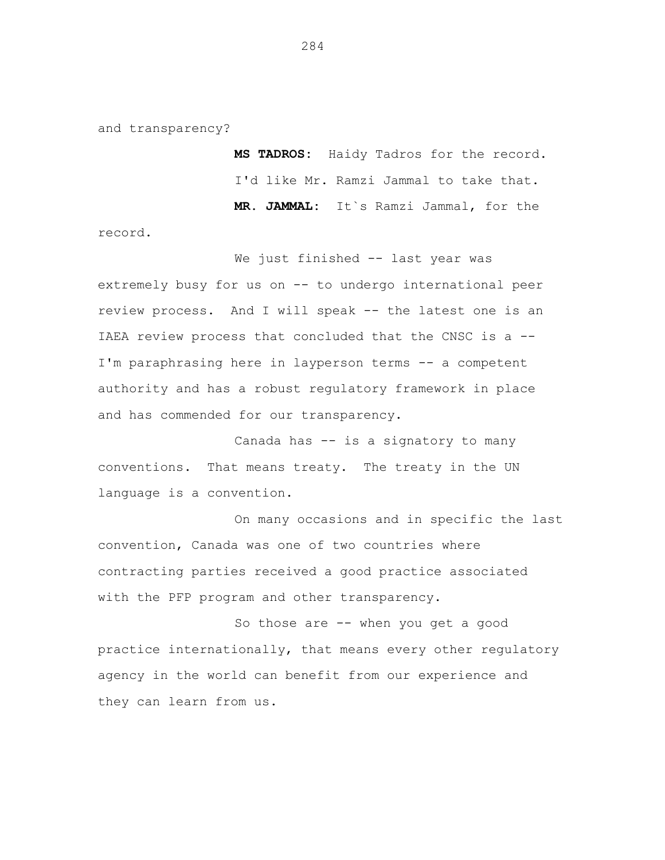and transparency?

**MS TADROS:** Haidy Tadros for the record. I'd like Mr. Ramzi Jammal to take that. **MR. JAMMAL:** It`s Ramzi Jammal, for the

record.

We just finished -- last year was extremely busy for us on -- to undergo international peer review process. And I will speak -- the latest one is an IAEA review process that concluded that the CNSC is a -- I'm paraphrasing here in layperson terms -- a competent authority and has a robust regulatory framework in place and has commended for our transparency.

Canada has -- is a signatory to many conventions. That means treaty. The treaty in the UN language is a convention.

On many occasions and in specific the last convention, Canada was one of two countries where contracting parties received a good practice associated with the PFP program and other transparency.

So those are -- when you get a good practice internationally, that means every other regulatory agency in the world can benefit from our experience and they can learn from us.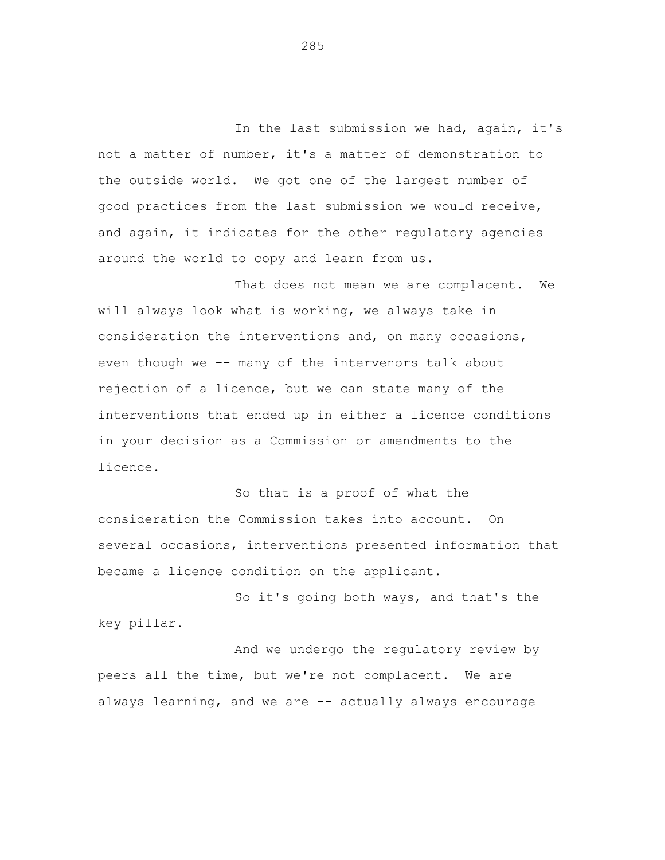In the last submission we had, again, it's not a matter of number, it's a matter of demonstration to the outside world. We got one of the largest number of good practices from the last submission we would receive, and again, it indicates for the other regulatory agencies around the world to copy and learn from us.

That does not mean we are complacent. We will always look what is working, we always take in consideration the interventions and, on many occasions, even though we -- many of the intervenors talk about rejection of a licence, but we can state many of the interventions that ended up in either a licence conditions in your decision as a Commission or amendments to the licence.

So that is a proof of what the consideration the Commission takes into account. On several occasions, interventions presented information that became a licence condition on the applicant.

So it's going both ways, and that's the key pillar.

And we undergo the regulatory review by peers all the time, but we're not complacent. We are always learning, and we are -- actually always encourage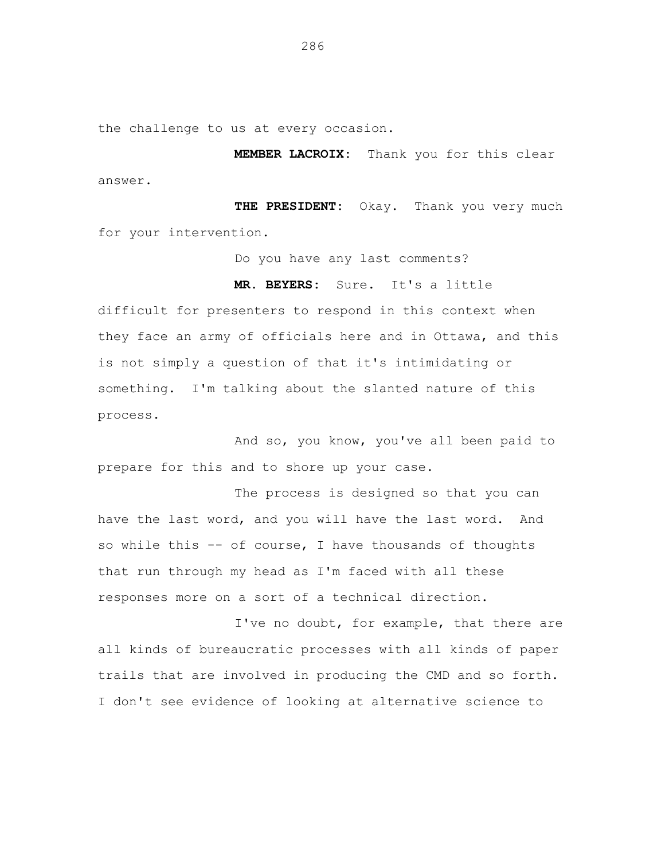the challenge to us at every occasion.

**MEMBER LACROIX:** Thank you for this clear answer.

**THE PRESIDENT:** Okay. Thank you very much for your intervention.

Do you have any last comments?

## **MR. BEYERS:** Sure. It's a little

difficult for presenters to respond in this context when they face an army of officials here and in Ottawa, and this is not simply a question of that it's intimidating or something. I'm talking about the slanted nature of this process.

And so, you know, you've all been paid to prepare for this and to shore up your case.

The process is designed so that you can have the last word, and you will have the last word. And so while this -- of course, I have thousands of thoughts that run through my head as I'm faced with all these responses more on a sort of a technical direction.

I've no doubt, for example, that there are all kinds of bureaucratic processes with all kinds of paper trails that are involved in producing the CMD and so forth. I don't see evidence of looking at alternative science to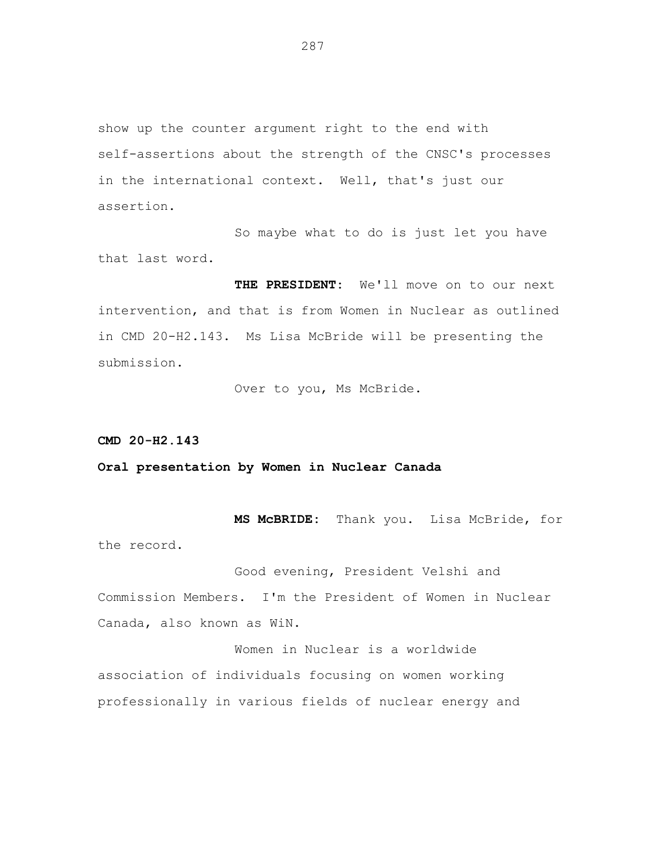show up the counter argument right to the end with self-assertions about the strength of the CNSC's processes in the international context. Well, that's just our assertion.

So maybe what to do is just let you have that last word.

**THE PRESIDENT:** We'll move on to our next intervention, and that is from Women in Nuclear as outlined in CMD 20-H2.143. Ms Lisa McBride will be presenting the submission.

Over to you, Ms McBride.

**CMD 20-H2.143**

**Oral presentation by Women in Nuclear Canada**

**MS McBRIDE:** Thank you. Lisa McBride, for the record.

Good evening, President Velshi and Commission Members. I'm the President of Women in Nuclear Canada, also known as WiN.

Women in Nuclear is a worldwide association of individuals focusing on women working professionally in various fields of nuclear energy and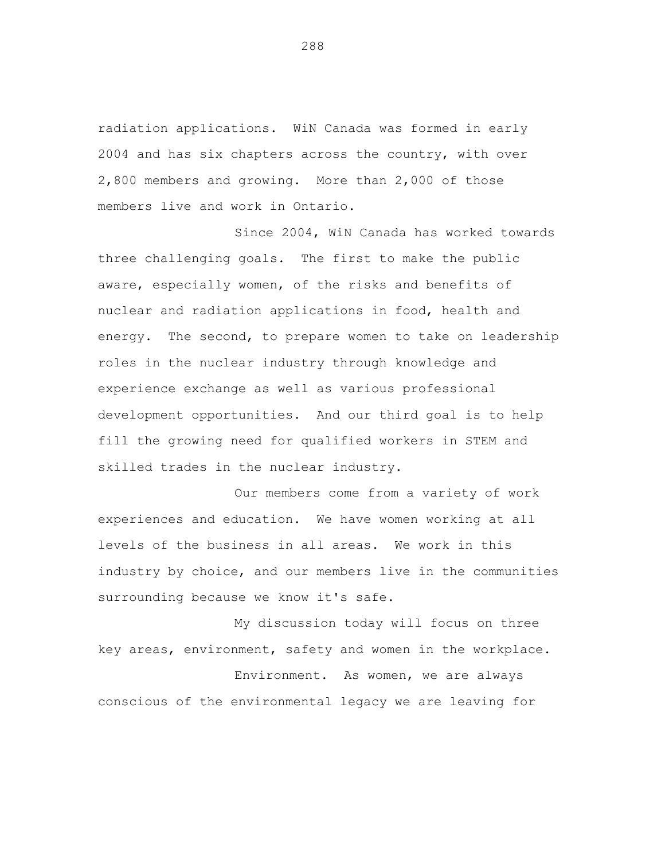radiation applications. WiN Canada was formed in early 2004 and has six chapters across the country, with over 2,800 members and growing. More than 2,000 of those members live and work in Ontario.

Since 2004, WiN Canada has worked towards three challenging goals. The first to make the public aware, especially women, of the risks and benefits of nuclear and radiation applications in food, health and energy. The second, to prepare women to take on leadership roles in the nuclear industry through knowledge and experience exchange as well as various professional development opportunities. And our third goal is to help fill the growing need for qualified workers in STEM and skilled trades in the nuclear industry.

Our members come from a variety of work experiences and education. We have women working at all levels of the business in all areas. We work in this industry by choice, and our members live in the communities surrounding because we know it's safe.

My discussion today will focus on three key areas, environment, safety and women in the workplace.

Environment. As women, we are always conscious of the environmental legacy we are leaving for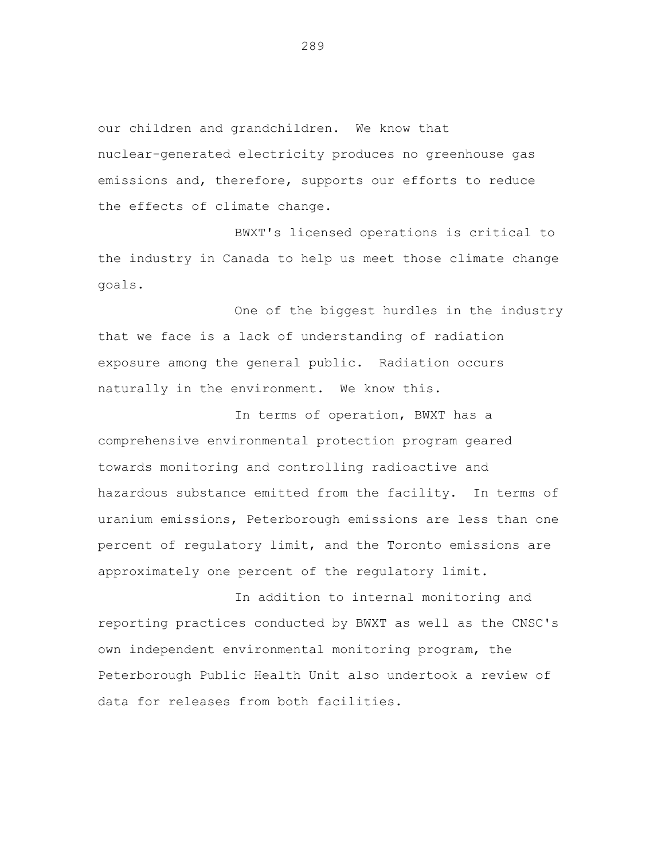our children and grandchildren. We know that nuclear-generated electricity produces no greenhouse gas emissions and, therefore, supports our efforts to reduce the effects of climate change.

BWXT's licensed operations is critical to the industry in Canada to help us meet those climate change goals.

One of the biggest hurdles in the industry that we face is a lack of understanding of radiation exposure among the general public. Radiation occurs naturally in the environment. We know this.

In terms of operation, BWXT has a comprehensive environmental protection program geared towards monitoring and controlling radioactive and hazardous substance emitted from the facility. In terms of uranium emissions, Peterborough emissions are less than one percent of regulatory limit, and the Toronto emissions are approximately one percent of the regulatory limit.

In addition to internal monitoring and reporting practices conducted by BWXT as well as the CNSC's own independent environmental monitoring program, the Peterborough Public Health Unit also undertook a review of data for releases from both facilities.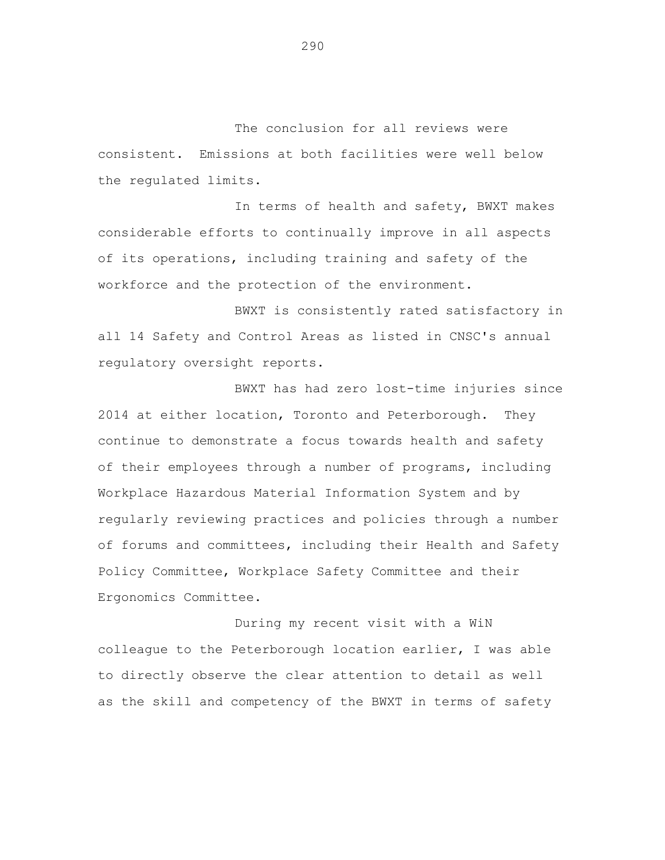The conclusion for all reviews were consistent. Emissions at both facilities were well below the regulated limits.

In terms of health and safety, BWXT makes considerable efforts to continually improve in all aspects of its operations, including training and safety of the workforce and the protection of the environment.

BWXT is consistently rated satisfactory in all 14 Safety and Control Areas as listed in CNSC's annual regulatory oversight reports.

BWXT has had zero lost-time injuries since 2014 at either location, Toronto and Peterborough. They continue to demonstrate a focus towards health and safety of their employees through a number of programs, including Workplace Hazardous Material Information System and by regularly reviewing practices and policies through a number of forums and committees, including their Health and Safety Policy Committee, Workplace Safety Committee and their Ergonomics Committee.

During my recent visit with a WiN colleague to the Peterborough location earlier, I was able to directly observe the clear attention to detail as well as the skill and competency of the BWXT in terms of safety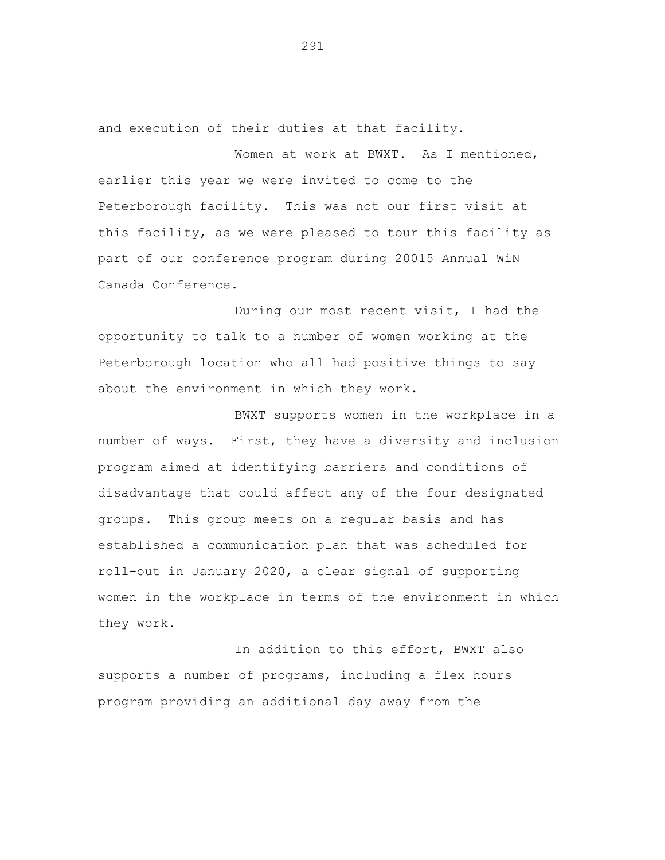and execution of their duties at that facility.

Women at work at BWXT. As I mentioned, earlier this year we were invited to come to the Peterborough facility. This was not our first visit at this facility, as we were pleased to tour this facility as part of our conference program during 20015 Annual WiN Canada Conference.

During our most recent visit, I had the opportunity to talk to a number of women working at the Peterborough location who all had positive things to say about the environment in which they work.

BWXT supports women in the workplace in a number of ways. First, they have a diversity and inclusion program aimed at identifying barriers and conditions of disadvantage that could affect any of the four designated groups. This group meets on a regular basis and has established a communication plan that was scheduled for roll-out in January 2020, a clear signal of supporting women in the workplace in terms of the environment in which they work.

In addition to this effort, BWXT also supports a number of programs, including a flex hours program providing an additional day away from the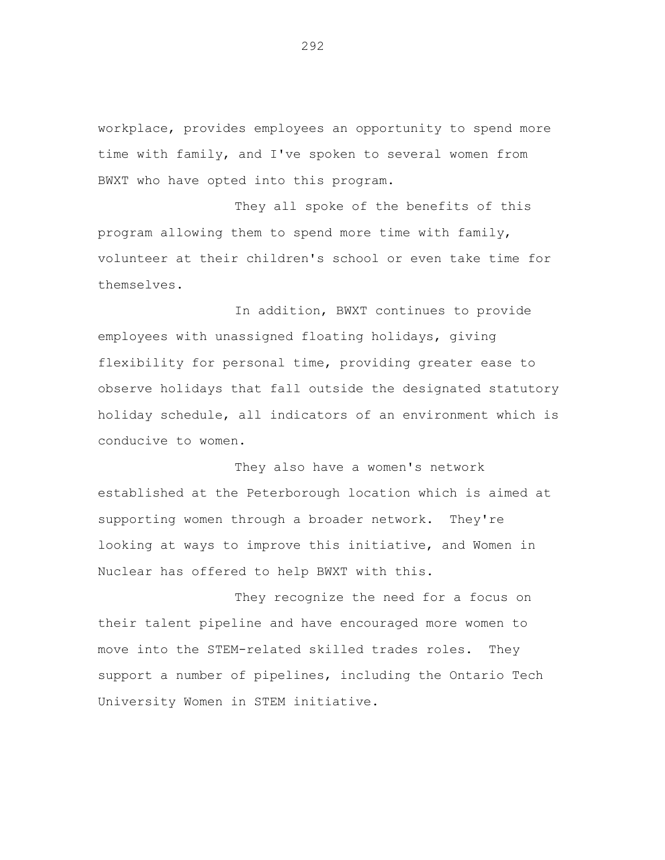workplace, provides employees an opportunity to spend more time with family, and I've spoken to several women from BWXT who have opted into this program.

They all spoke of the benefits of this program allowing them to spend more time with family, volunteer at their children's school or even take time for themselves.

In addition, BWXT continues to provide employees with unassigned floating holidays, giving flexibility for personal time, providing greater ease to observe holidays that fall outside the designated statutory holiday schedule, all indicators of an environment which is conducive to women.

They also have a women's network established at the Peterborough location which is aimed at supporting women through a broader network. They're looking at ways to improve this initiative, and Women in Nuclear has offered to help BWXT with this.

They recognize the need for a focus on their talent pipeline and have encouraged more women to move into the STEM-related skilled trades roles. They support a number of pipelines, including the Ontario Tech University Women in STEM initiative.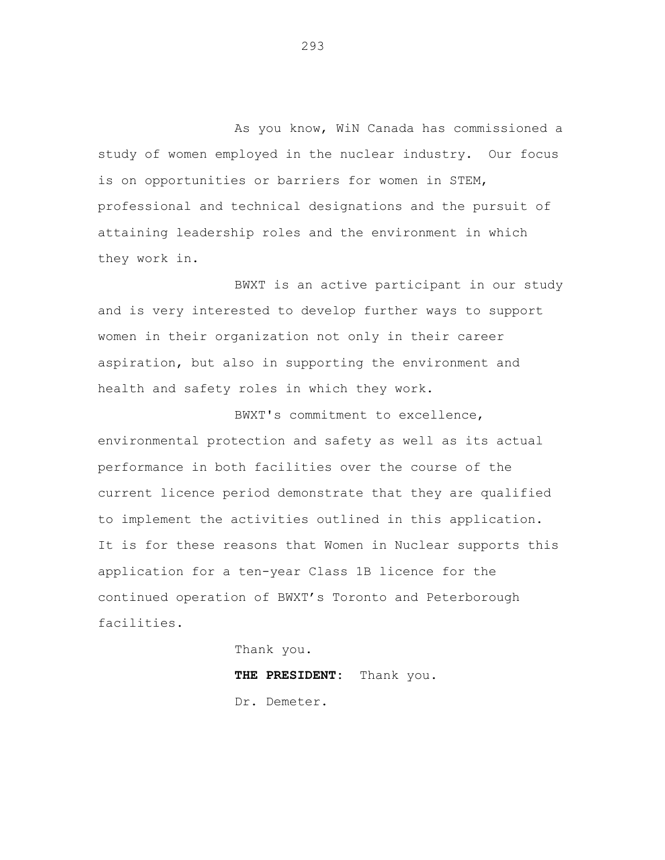As you know, WiN Canada has commissioned a study of women employed in the nuclear industry. Our focus is on opportunities or barriers for women in STEM, professional and technical designations and the pursuit of attaining leadership roles and the environment in which they work in.

BWXT is an active participant in our study and is very interested to develop further ways to support women in their organization not only in their career aspiration, but also in supporting the environment and health and safety roles in which they work.

BWXT's commitment to excellence, environmental protection and safety as well as its actual performance in both facilities over the course of the current licence period demonstrate that they are qualified to implement the activities outlined in this application. It is for these reasons that Women in Nuclear supports this application for a ten-year Class 1B licence for the continued operation of BWXT's Toronto and Peterborough facilities.

Thank you.

**THE PRESIDENT:** Thank you.

Dr. Demeter.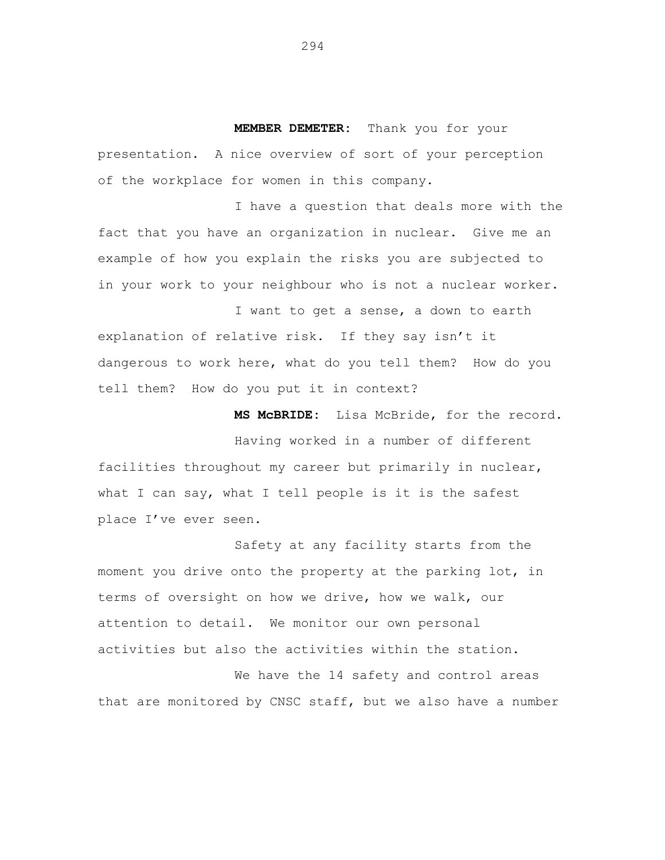**MEMBER DEMETER:** Thank you for your presentation. A nice overview of sort of your perception of the workplace for women in this company.

I have a question that deals more with the fact that you have an organization in nuclear. Give me an example of how you explain the risks you are subjected to in your work to your neighbour who is not a nuclear worker.

I want to get a sense, a down to earth explanation of relative risk. If they say isn't it dangerous to work here, what do you tell them? How do you tell them? How do you put it in context?

**MS McBRIDE:** Lisa McBride, for the record.

Having worked in a number of different facilities throughout my career but primarily in nuclear, what I can say, what I tell people is it is the safest place I've ever seen.

Safety at any facility starts from the moment you drive onto the property at the parking lot, in terms of oversight on how we drive, how we walk, our attention to detail. We monitor our own personal activities but also the activities within the station.

We have the 14 safety and control areas that are monitored by CNSC staff, but we also have a number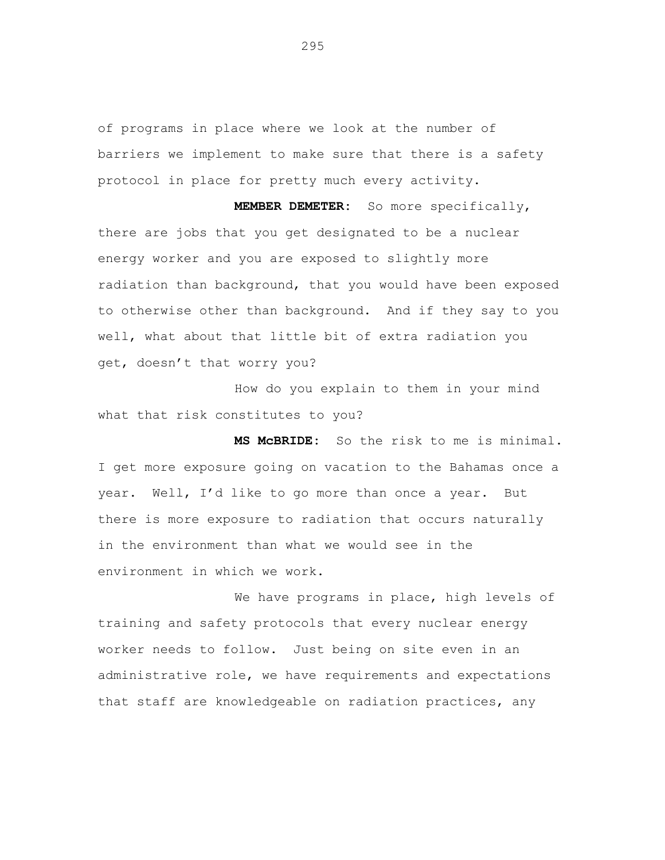of programs in place where we look at the number of barriers we implement to make sure that there is a safety protocol in place for pretty much every activity.

**MEMBER DEMETER:** So more specifically, there are jobs that you get designated to be a nuclear energy worker and you are exposed to slightly more radiation than background, that you would have been exposed to otherwise other than background. And if they say to you well, what about that little bit of extra radiation you get, doesn't that worry you?

How do you explain to them in your mind what that risk constitutes to you?

**MS McBRIDE:** So the risk to me is minimal. I get more exposure going on vacation to the Bahamas once a year. Well, I'd like to go more than once a year. But there is more exposure to radiation that occurs naturally in the environment than what we would see in the environment in which we work.

We have programs in place, high levels of training and safety protocols that every nuclear energy worker needs to follow. Just being on site even in an administrative role, we have requirements and expectations that staff are knowledgeable on radiation practices, any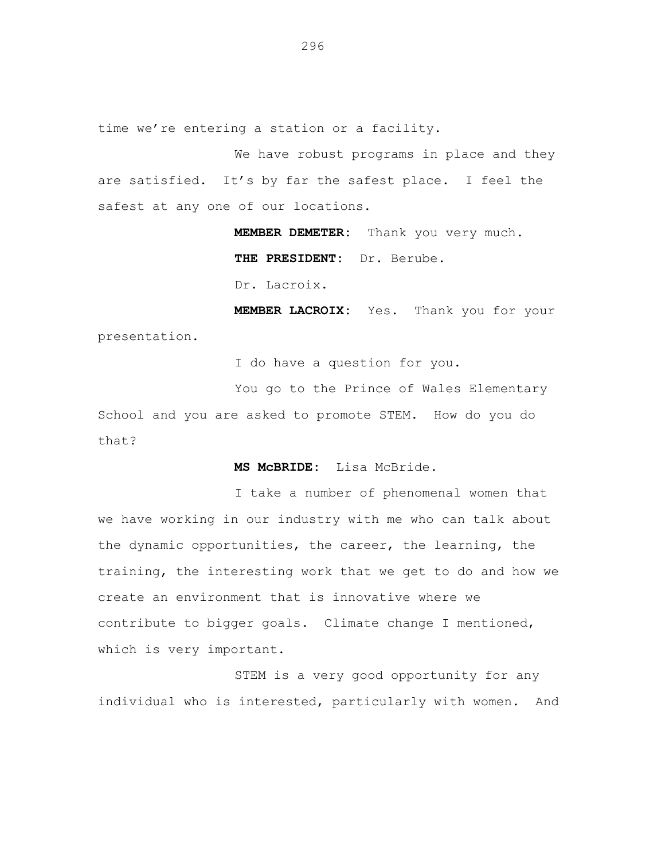time we're entering a station or a facility.

We have robust programs in place and they are satisfied. It's by far the safest place. I feel the safest at any one of our locations.

> **MEMBER DEMETER:** Thank you very much. **THE PRESIDENT:** Dr. Berube.

Dr. Lacroix.

**MEMBER LACROIX:** Yes. Thank you for your presentation.

I do have a question for you.

You go to the Prince of Wales Elementary

School and you are asked to promote STEM. How do you do that?

**MS McBRIDE:** Lisa McBride.

I take a number of phenomenal women that we have working in our industry with me who can talk about the dynamic opportunities, the career, the learning, the training, the interesting work that we get to do and how we create an environment that is innovative where we contribute to bigger goals. Climate change I mentioned, which is very important.

STEM is a very good opportunity for any individual who is interested, particularly with women. And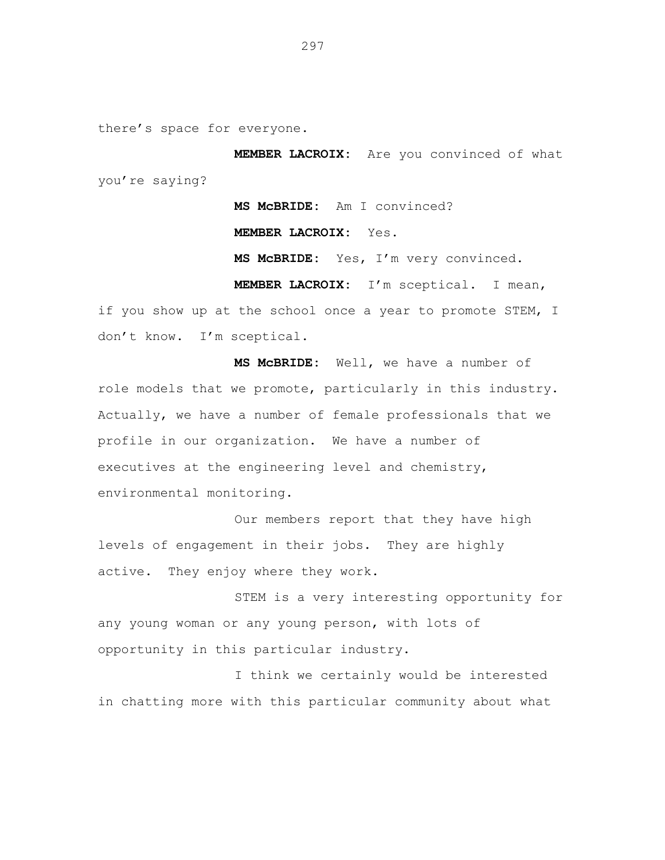there's space for everyone.

**MEMBER LACROIX:** Are you convinced of what you're saying?

**MS McBRIDE:** Am I convinced?

**MEMBER LACROIX:** Yes.

**MS McBRIDE:** Yes, I'm very convinced.

**MEMBER LACROIX:** I'm sceptical. I mean, if you show up at the school once a year to promote STEM, I don't know. I'm sceptical.

**MS McBRIDE:** Well, we have a number of role models that we promote, particularly in this industry. Actually, we have a number of female professionals that we profile in our organization. We have a number of executives at the engineering level and chemistry, environmental monitoring.

Our members report that they have high levels of engagement in their jobs. They are highly active. They enjoy where they work.

STEM is a very interesting opportunity for any young woman or any young person, with lots of opportunity in this particular industry.

I think we certainly would be interested in chatting more with this particular community about what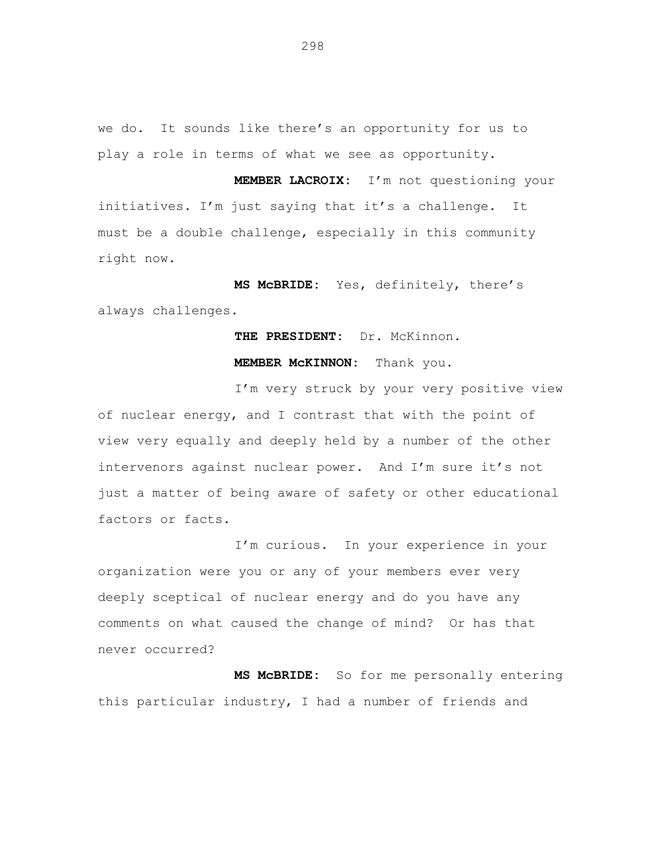we do. It sounds like there's an opportunity for us to play a role in terms of what we see as opportunity.

**MEMBER LACROIX:** I'm not questioning your initiatives. I'm just saying that it's a challenge. It must be a double challenge, especially in this community right now.

**MS McBRIDE:** Yes, definitely, there's always challenges.

**THE PRESIDENT:** Dr. McKinnon.

**MEMBER McKINNON:** Thank you.

I'm very struck by your very positive view of nuclear energy, and I contrast that with the point of view very equally and deeply held by a number of the other intervenors against nuclear power. And I'm sure it's not just a matter of being aware of safety or other educational factors or facts.

I'm curious. In your experience in your organization were you or any of your members ever very deeply sceptical of nuclear energy and do you have any comments on what caused the change of mind? Or has that never occurred?

**MS McBRIDE:** So for me personally entering this particular industry, I had a number of friends and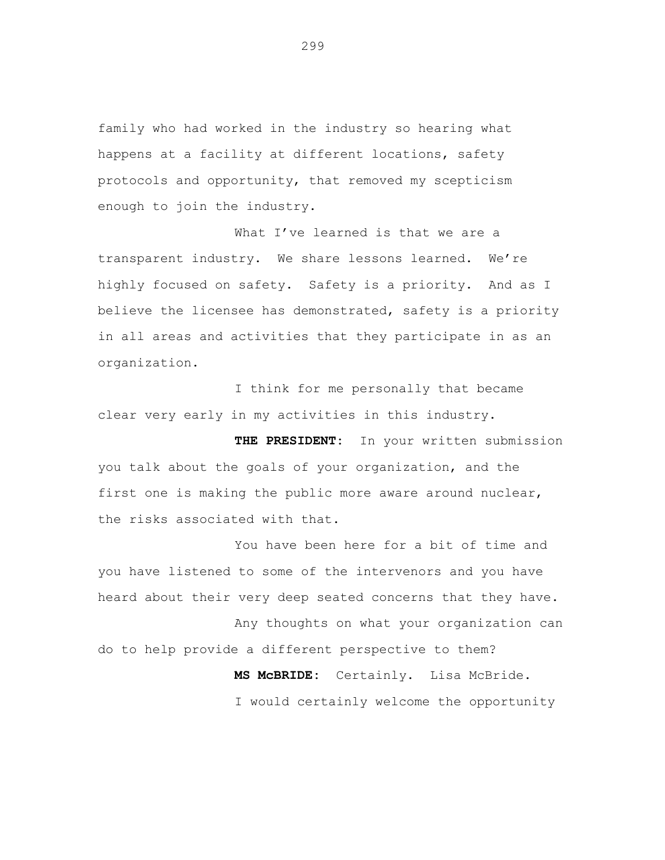family who had worked in the industry so hearing what happens at a facility at different locations, safety protocols and opportunity, that removed my scepticism enough to join the industry.

What I've learned is that we are a transparent industry. We share lessons learned. We're highly focused on safety. Safety is a priority. And as I believe the licensee has demonstrated, safety is a priority in all areas and activities that they participate in as an organization.

I think for me personally that became clear very early in my activities in this industry.

**THE PRESIDENT:** In your written submission you talk about the goals of your organization, and the first one is making the public more aware around nuclear, the risks associated with that.

You have been here for a bit of time and you have listened to some of the intervenors and you have heard about their very deep seated concerns that they have.

Any thoughts on what your organization can do to help provide a different perspective to them?

> **MS McBRIDE:** Certainly. Lisa McBride. I would certainly welcome the opportunity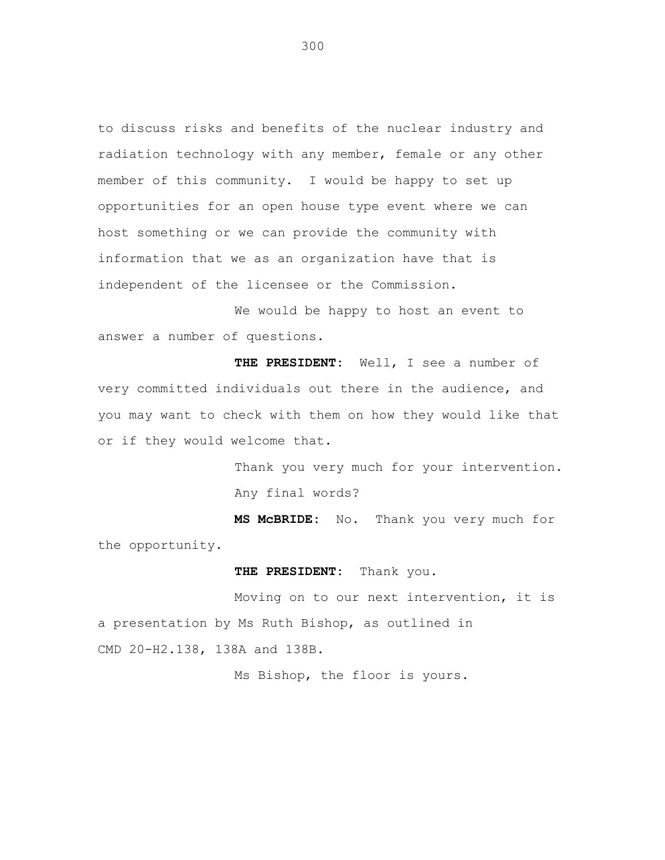to discuss risks and benefits of the nuclear industry and radiation technology with any member, female or any other member of this community. I would be happy to set up opportunities for an open house type event where we can host something or we can provide the community with information that we as an organization have that is independent of the licensee or the Commission.

We would be happy to host an event to answer a number of questions.

**THE PRESIDENT:** Well, I see a number of very committed individuals out there in the audience, and you may want to check with them on how they would like that or if they would welcome that.

> Thank you very much for your intervention. Any final words?

**MS McBRIDE:** No. Thank you very much for the opportunity.

**THE PRESIDENT:** Thank you.

Moving on to our next intervention, it is a presentation by Ms Ruth Bishop, as outlined in CMD 20-H2.138, 138A and 138B.

Ms Bishop, the floor is yours.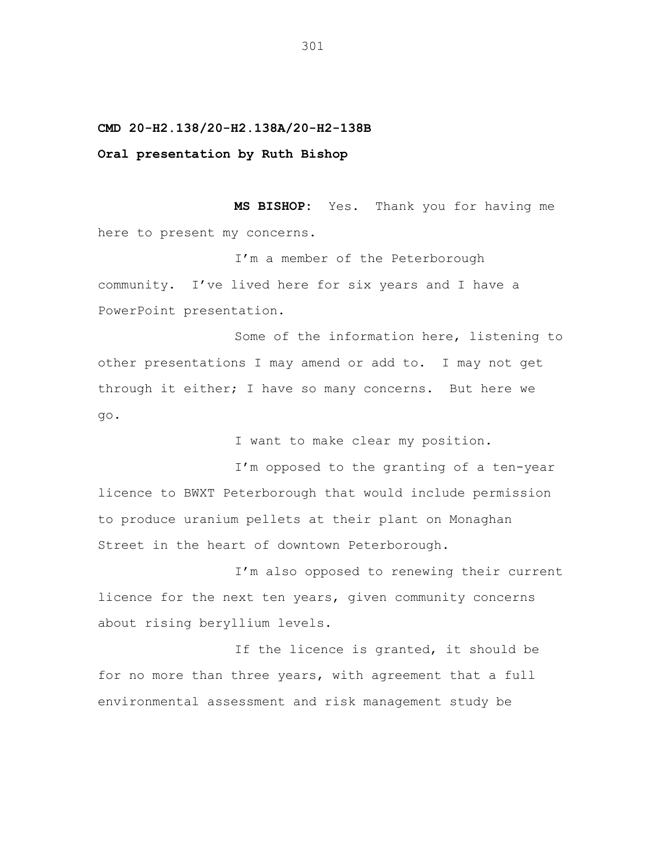## **CMD 20-H2.138/20-H2.138A/20-H2-138B**

## **Oral presentation by Ruth Bishop**

**MS BISHOP:** Yes. Thank you for having me here to present my concerns.

I'm a member of the Peterborough community. I've lived here for six years and I have a PowerPoint presentation.

Some of the information here, listening to other presentations I may amend or add to. I may not get through it either; I have so many concerns. But here we go.

I want to make clear my position.

I'm opposed to the granting of a ten-year licence to BWXT Peterborough that would include permission to produce uranium pellets at their plant on Monaghan Street in the heart of downtown Peterborough.

I'm also opposed to renewing their current licence for the next ten years, given community concerns about rising beryllium levels.

If the licence is granted, it should be for no more than three years, with agreement that a full environmental assessment and risk management study be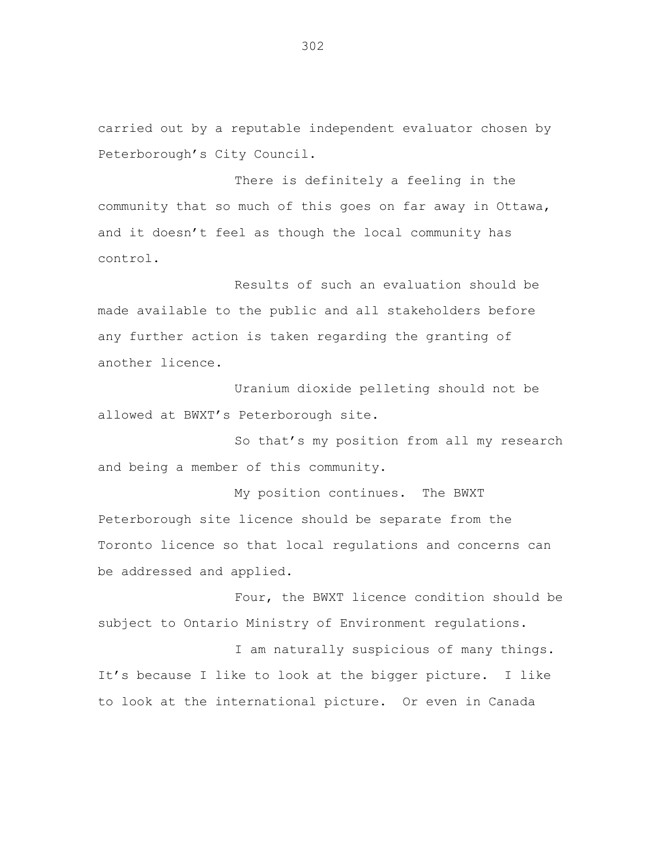carried out by a reputable independent evaluator chosen by Peterborough's City Council.

There is definitely a feeling in the community that so much of this goes on far away in Ottawa, and it doesn't feel as though the local community has control.

Results of such an evaluation should be made available to the public and all stakeholders before any further action is taken regarding the granting of another licence.

Uranium dioxide pelleting should not be allowed at BWXT's Peterborough site.

So that's my position from all my research and being a member of this community.

My position continues. The BWXT Peterborough site licence should be separate from the Toronto licence so that local regulations and concerns can be addressed and applied.

Four, the BWXT licence condition should be subject to Ontario Ministry of Environment regulations.

I am naturally suspicious of many things. It's because I like to look at the bigger picture. I like to look at the international picture. Or even in Canada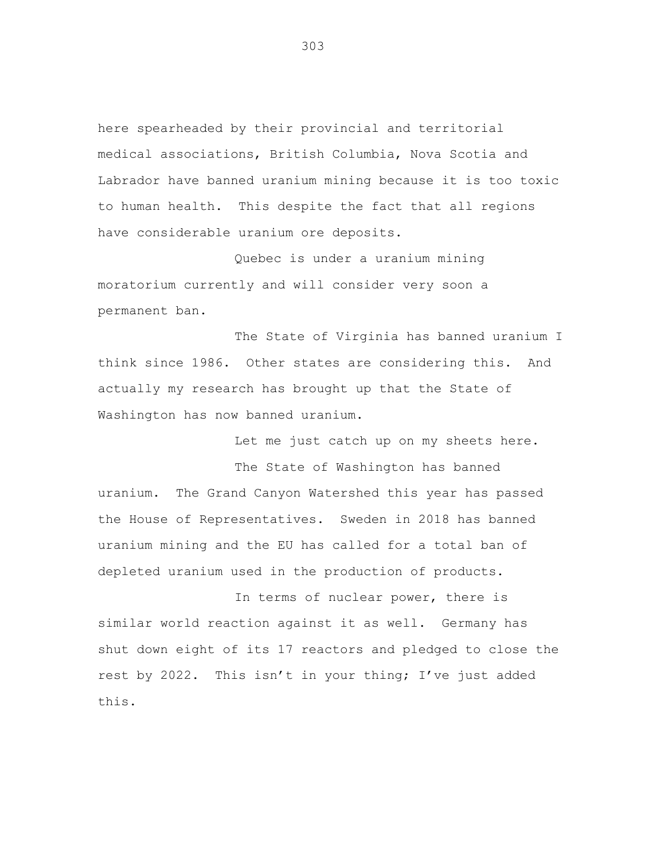here spearheaded by their provincial and territorial medical associations, British Columbia, Nova Scotia and Labrador have banned uranium mining because it is too toxic to human health. This despite the fact that all regions have considerable uranium ore deposits.

Quebec is under a uranium mining moratorium currently and will consider very soon a permanent ban.

The State of Virginia has banned uranium I think since 1986. Other states are considering this. And actually my research has brought up that the State of Washington has now banned uranium.

Let me just catch up on my sheets here.

The State of Washington has banned uranium. The Grand Canyon Watershed this year has passed the House of Representatives. Sweden in 2018 has banned uranium mining and the EU has called for a total ban of depleted uranium used in the production of products.

In terms of nuclear power, there is similar world reaction against it as well. Germany has shut down eight of its 17 reactors and pledged to close the rest by 2022. This isn't in your thing; I've just added this.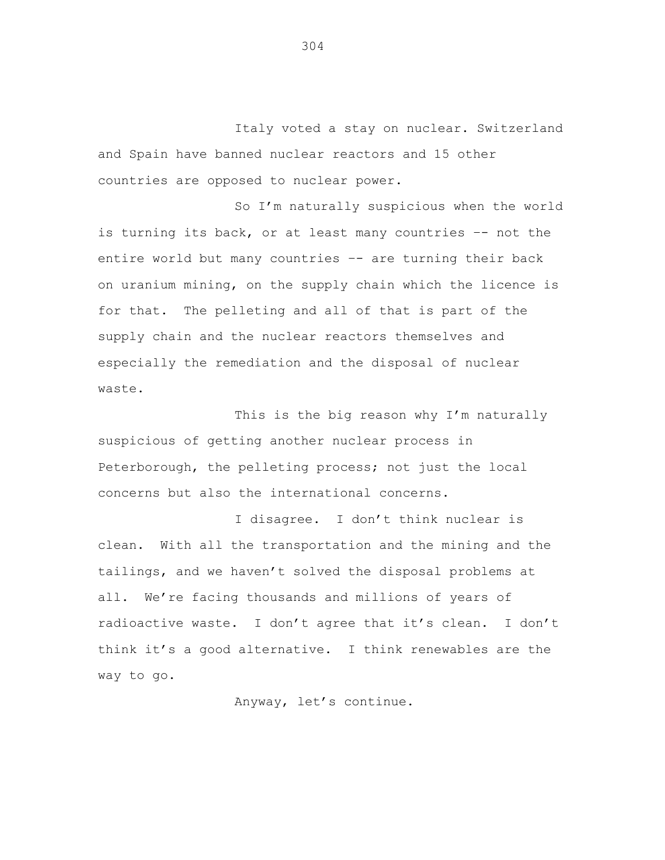Italy voted a stay on nuclear. Switzerland and Spain have banned nuclear reactors and 15 other countries are opposed to nuclear power.

So I'm naturally suspicious when the world is turning its back, or at least many countries –- not the entire world but many countries -- are turning their back on uranium mining, on the supply chain which the licence is for that. The pelleting and all of that is part of the supply chain and the nuclear reactors themselves and especially the remediation and the disposal of nuclear waste.

This is the big reason why I'm naturally suspicious of getting another nuclear process in Peterborough, the pelleting process; not just the local concerns but also the international concerns.

I disagree. I don't think nuclear is clean. With all the transportation and the mining and the tailings, and we haven't solved the disposal problems at all. We're facing thousands and millions of years of radioactive waste. I don't agree that it's clean. I don't think it's a good alternative. I think renewables are the way to go.

Anyway, let's continue.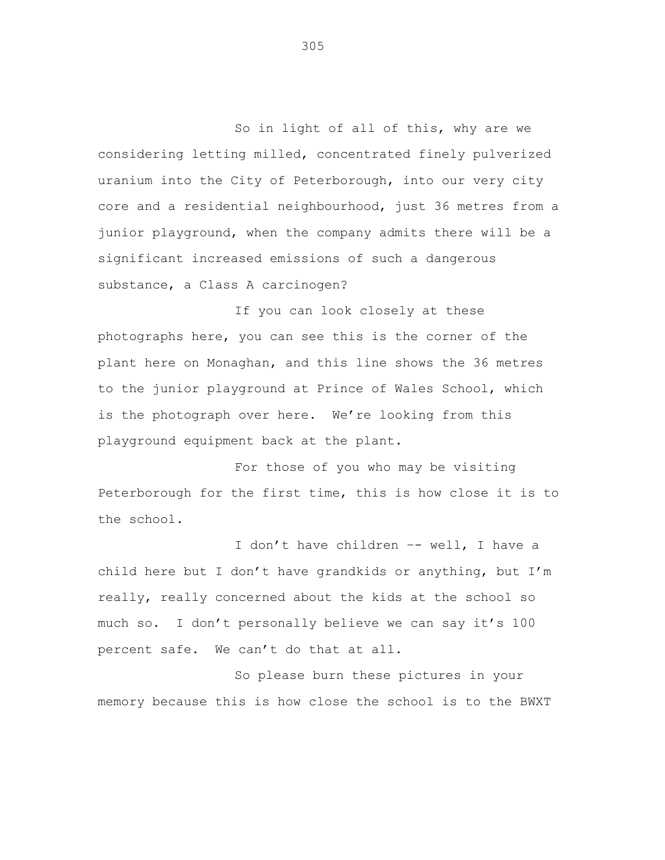So in light of all of this, why are we considering letting milled, concentrated finely pulverized uranium into the City of Peterborough, into our very city core and a residential neighbourhood, just 36 metres from a junior playground, when the company admits there will be a significant increased emissions of such a dangerous substance, a Class A carcinogen?

If you can look closely at these photographs here, you can see this is the corner of the plant here on Monaghan, and this line shows the 36 metres to the junior playground at Prince of Wales School, which is the photograph over here. We're looking from this playground equipment back at the plant.

For those of you who may be visiting Peterborough for the first time, this is how close it is to the school.

I don't have children -- well, I have a child here but I don't have grandkids or anything, but I'm really, really concerned about the kids at the school so much so. I don't personally believe we can say it's 100 percent safe. We can't do that at all.

So please burn these pictures in your memory because this is how close the school is to the BWXT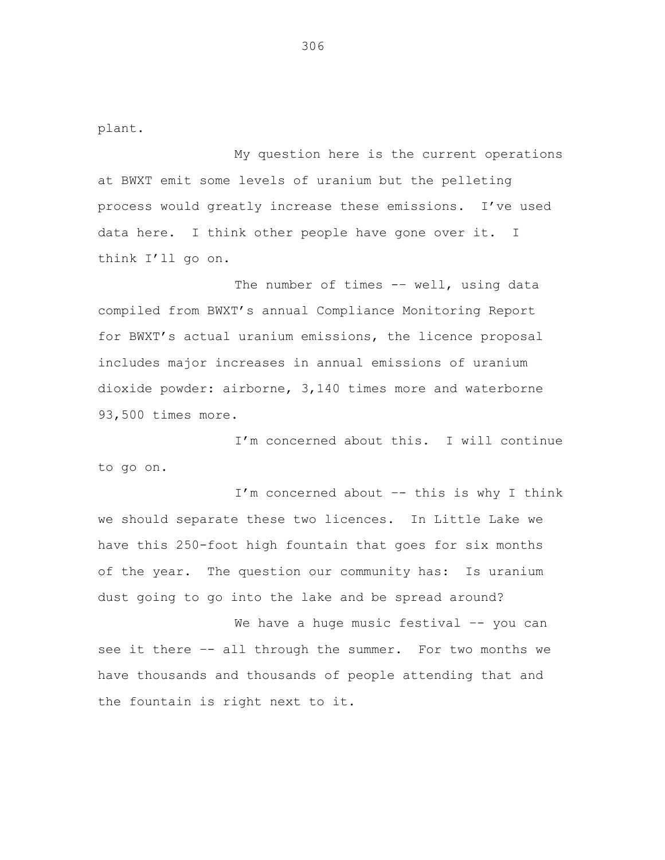plant.

My question here is the current operations at BWXT emit some levels of uranium but the pelleting process would greatly increase these emissions. I've used data here. I think other people have gone over it. I think I'll go on.

The number of times -- well, using data compiled from BWXT's annual Compliance Monitoring Report for BWXT's actual uranium emissions, the licence proposal includes major increases in annual emissions of uranium dioxide powder: airborne, 3,140 times more and waterborne 93,500 times more.

I'm concerned about this. I will continue to go on.

I'm concerned about –- this is why I think we should separate these two licences. In Little Lake we have this 250-foot high fountain that goes for six months of the year. The question our community has: Is uranium dust going to go into the lake and be spread around?

We have a huge music festival -- you can see it there -- all through the summer. For two months we have thousands and thousands of people attending that and the fountain is right next to it.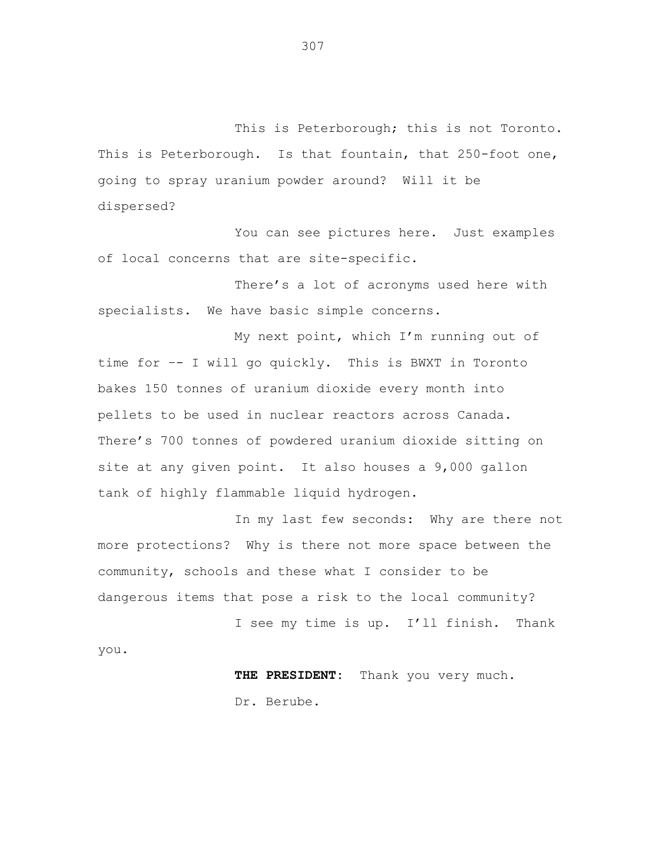This is Peterborough; this is not Toronto. This is Peterborough. Is that fountain, that 250-foot one, going to spray uranium powder around? Will it be dispersed?

You can see pictures here. Just examples of local concerns that are site-specific.

There's a lot of acronyms used here with specialists. We have basic simple concerns.

My next point, which I'm running out of time for –- I will go quickly. This is BWXT in Toronto bakes 150 tonnes of uranium dioxide every month into pellets to be used in nuclear reactors across Canada. There's 700 tonnes of powdered uranium dioxide sitting on site at any given point. It also houses a 9,000 gallon tank of highly flammable liquid hydrogen.

In my last few seconds: Why are there not more protections? Why is there not more space between the community, schools and these what I consider to be dangerous items that pose a risk to the local community?

I see my time is up. I'll finish. Thank you.

> **THE PRESIDENT:** Thank you very much. Dr. Berube.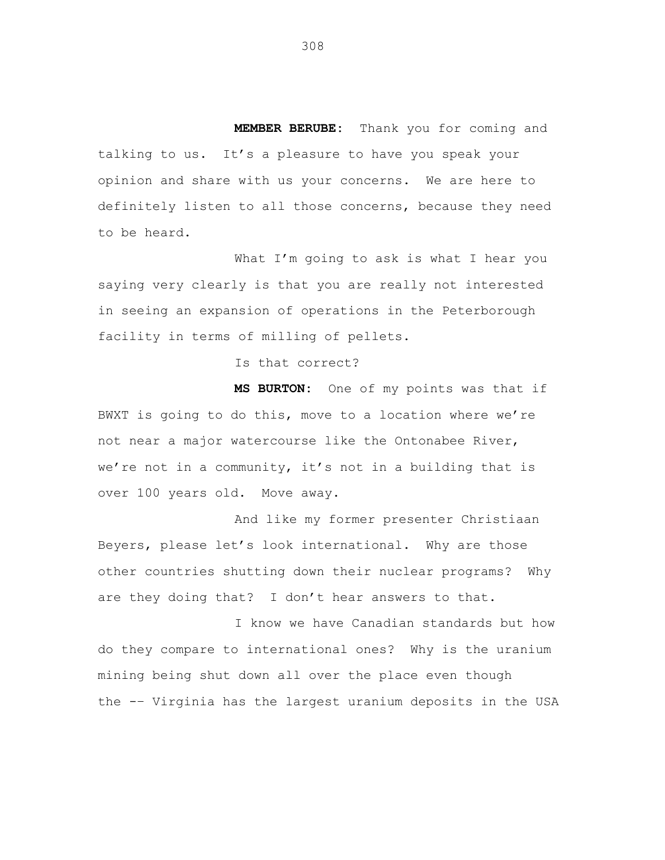**MEMBER BERUBE:** Thank you for coming and talking to us. It's a pleasure to have you speak your opinion and share with us your concerns. We are here to definitely listen to all those concerns, because they need to be heard.

What I'm going to ask is what I hear you saying very clearly is that you are really not interested in seeing an expansion of operations in the Peterborough facility in terms of milling of pellets.

Is that correct?

**MS BURTON:** One of my points was that if BWXT is going to do this, move to a location where we're not near a major watercourse like the Ontonabee River, we're not in a community, it's not in a building that is over 100 years old. Move away.

And like my former presenter Christiaan Beyers, please let's look international. Why are those other countries shutting down their nuclear programs? Why are they doing that? I don't hear answers to that.

I know we have Canadian standards but how do they compare to international ones? Why is the uranium mining being shut down all over the place even though the -– Virginia has the largest uranium deposits in the USA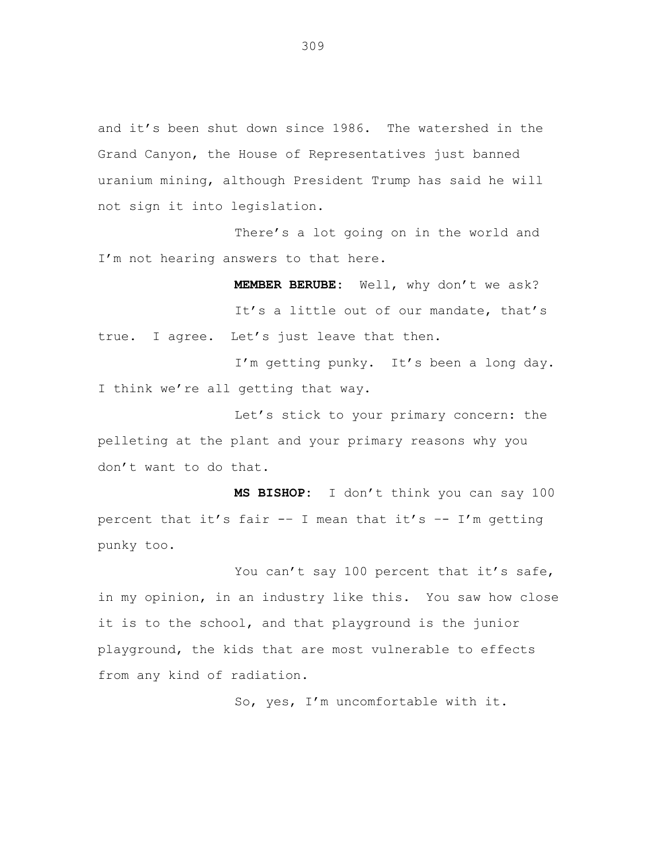and it's been shut down since 1986. The watershed in the Grand Canyon, the House of Representatives just banned uranium mining, although President Trump has said he will not sign it into legislation.

There's a lot going on in the world and I'm not hearing answers to that here.

**MEMBER BERUBE:** Well, why don't we ask? It's a little out of our mandate, that's true. I agree. Let's just leave that then.

I'm getting punky. It's been a long day. I think we're all getting that way.

Let's stick to your primary concern: the pelleting at the plant and your primary reasons why you don't want to do that.

**MS BISHOP:** I don't think you can say 100 percent that it's fair -– I mean that it's –- I'm getting punky too.

You can't say 100 percent that it's safe, in my opinion, in an industry like this. You saw how close it is to the school, and that playground is the junior playground, the kids that are most vulnerable to effects from any kind of radiation.

So, yes, I'm uncomfortable with it.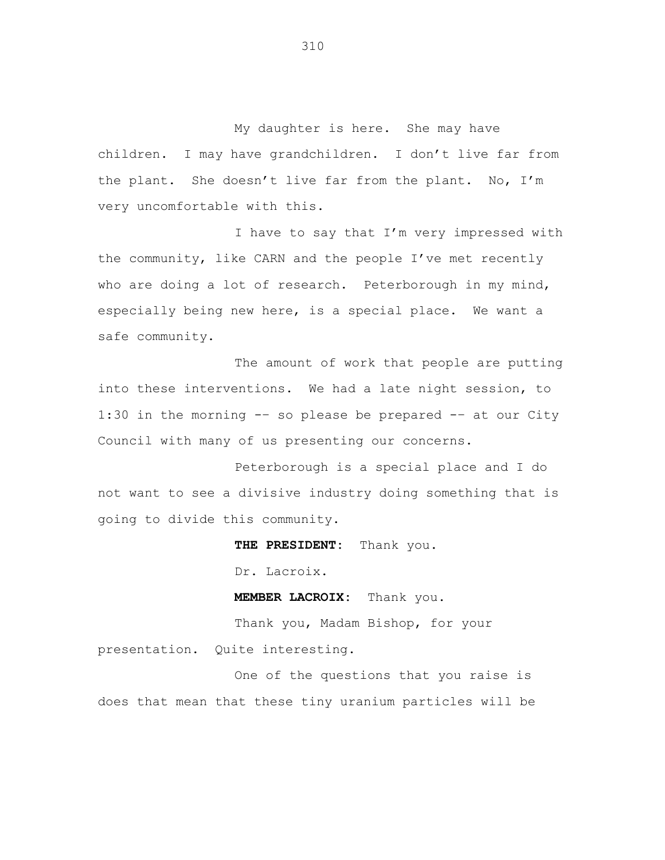My daughter is here. She may have children. I may have grandchildren. I don't live far from the plant. She doesn't live far from the plant. No, I'm very uncomfortable with this.

I have to say that I'm very impressed with the community, like CARN and the people I've met recently who are doing a lot of research. Peterborough in my mind, especially being new here, is a special place. We want a safe community.

The amount of work that people are putting into these interventions. We had a late night session, to 1:30 in the morning -– so please be prepared -– at our City Council with many of us presenting our concerns.

Peterborough is a special place and I do not want to see a divisive industry doing something that is going to divide this community.

**THE PRESIDENT:** Thank you.

Dr. Lacroix.

**MEMBER LACROIX:** Thank you.

Thank you, Madam Bishop, for your presentation. Quite interesting.

One of the questions that you raise is does that mean that these tiny uranium particles will be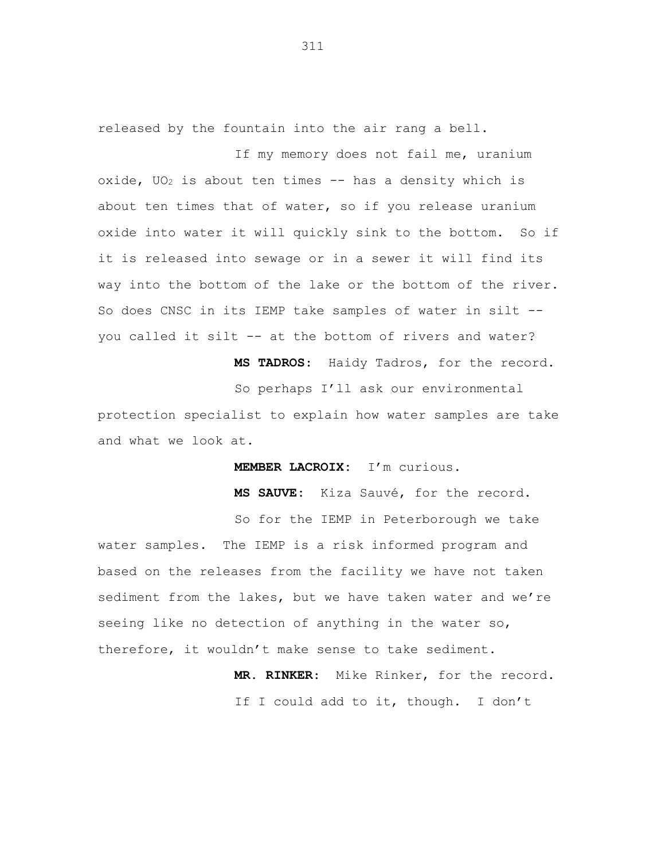released by the fountain into the air rang a bell.

If my memory does not fail me, uranium oxide,  $UO<sub>2</sub>$  is about ten times -- has a density which is about ten times that of water, so if you release uranium oxide into water it will quickly sink to the bottom. So if it is released into sewage or in a sewer it will find its way into the bottom of the lake or the bottom of the river. So does CNSC in its IEMP take samples of water in silt - you called it silt -- at the bottom of rivers and water?

**MS TADROS**: Haidy Tadros, for the record.

So perhaps I'll ask our environmental

protection specialist to explain how water samples are take and what we look at.

**MEMBER LACROIX:** I'm curious.

**MS SAUVE:** Kiza Sauvé, for the record.

So for the IEMP in Peterborough we take water samples. The IEMP is a risk informed program and based on the releases from the facility we have not taken sediment from the lakes, but we have taken water and we're seeing like no detection of anything in the water so, therefore, it wouldn't make sense to take sediment.

> **MR. RINKER**: Mike Rinker, for the record. If I could add to it, though. I don't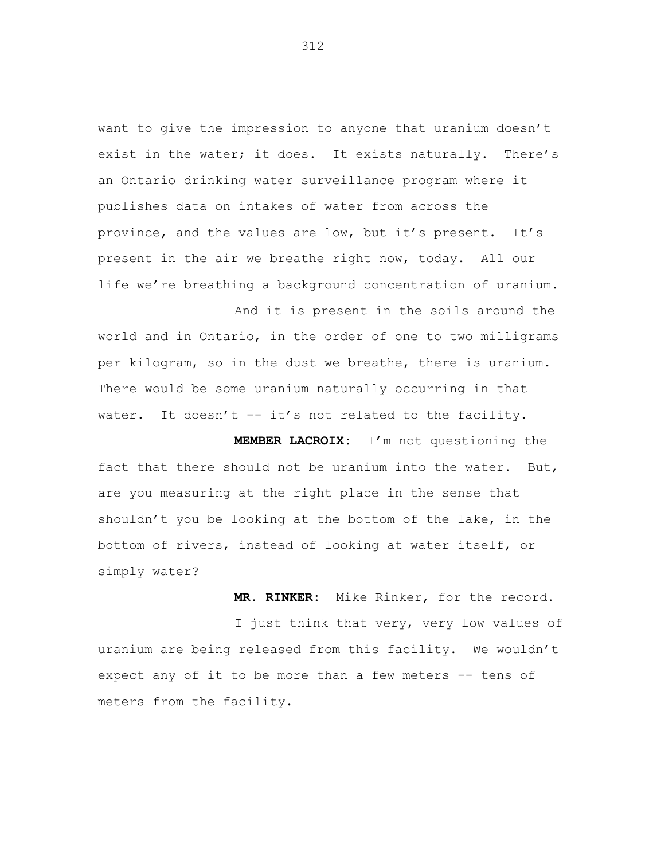want to give the impression to anyone that uranium doesn't exist in the water; it does. It exists naturally. There's an Ontario drinking water surveillance program where it publishes data on intakes of water from across the province, and the values are low, but it's present. It's present in the air we breathe right now, today. All our life we're breathing a background concentration of uranium.

And it is present in the soils around the world and in Ontario, in the order of one to two milligrams per kilogram, so in the dust we breathe, there is uranium. There would be some uranium naturally occurring in that water. It doesn't -- it's not related to the facility.

**MEMBER LACROIX:** I'm not questioning the fact that there should not be uranium into the water. But, are you measuring at the right place in the sense that shouldn't you be looking at the bottom of the lake, in the bottom of rivers, instead of looking at water itself, or simply water?

**MR. RINKER:** Mike Rinker, for the record.

I just think that very, very low values of uranium are being released from this facility. We wouldn't expect any of it to be more than a few meters -- tens of meters from the facility.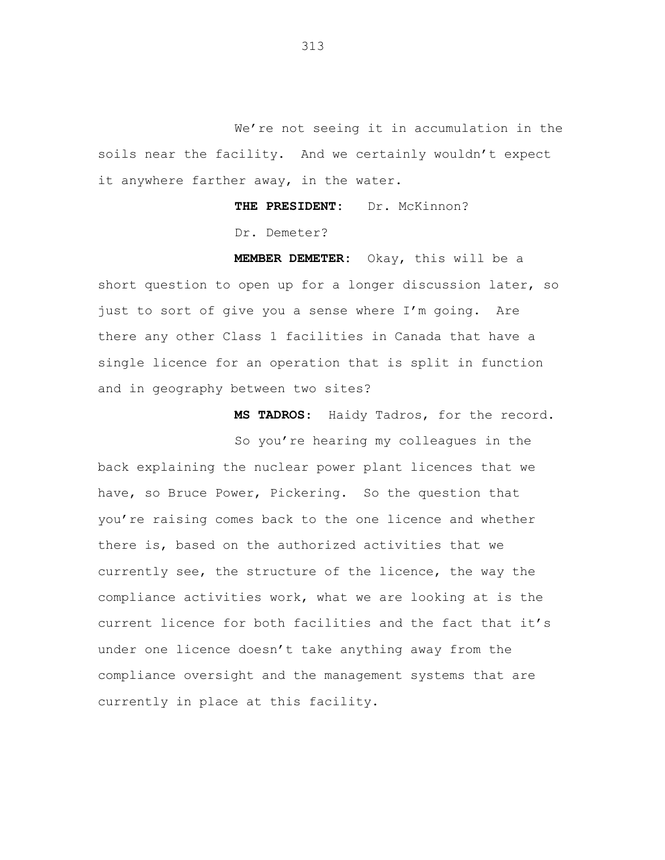We're not seeing it in accumulation in the soils near the facility. And we certainly wouldn't expect it anywhere farther away, in the water.

> **THE PRESIDENT:** Dr. McKinnon? Dr. Demeter?

**MEMBER DEMETER:** Okay, this will be a short question to open up for a longer discussion later, so just to sort of give you a sense where I'm going. Are there any other Class 1 facilities in Canada that have a single licence for an operation that is split in function and in geography between two sites?

**MS TADROS**: Haidy Tadros, for the record.

So you're hearing my colleagues in the back explaining the nuclear power plant licences that we have, so Bruce Power, Pickering. So the question that you're raising comes back to the one licence and whether there is, based on the authorized activities that we currently see, the structure of the licence, the way the compliance activities work, what we are looking at is the current licence for both facilities and the fact that it's under one licence doesn't take anything away from the compliance oversight and the management systems that are currently in place at this facility.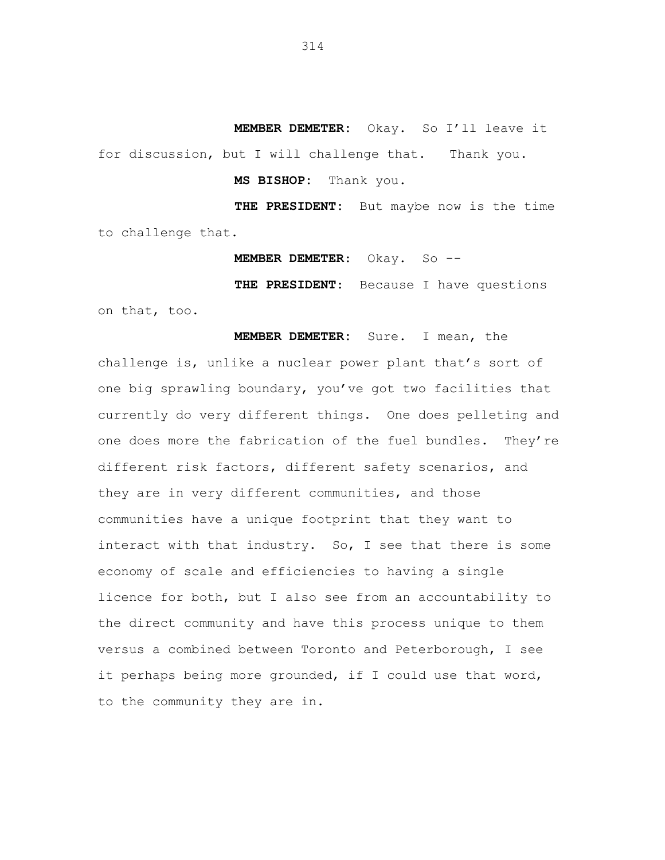**MEMBER DEMETER:** Okay. So I'll leave it for discussion, but I will challenge that. Thank you.

**MS BISHOP:** Thank you.

**THE PRESIDENT:** But maybe now is the time to challenge that.

**MEMBER DEMETER**: Okay. So --

**THE PRESIDENT**: Because I have questions

on that, too.

**MEMBER DEMETER:** Sure. I mean, the

challenge is, unlike a nuclear power plant that's sort of one big sprawling boundary, you've got two facilities that currently do very different things. One does pelleting and one does more the fabrication of the fuel bundles. They're different risk factors, different safety scenarios, and they are in very different communities, and those communities have a unique footprint that they want to interact with that industry. So, I see that there is some economy of scale and efficiencies to having a single licence for both, but I also see from an accountability to the direct community and have this process unique to them versus a combined between Toronto and Peterborough, I see it perhaps being more grounded, if I could use that word, to the community they are in.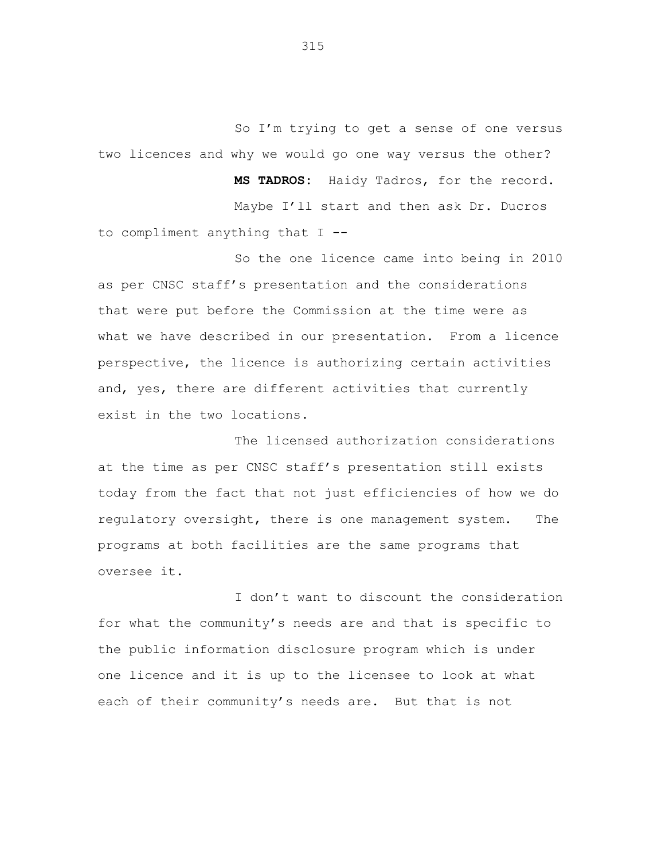So I'm trying to get a sense of one versus two licences and why we would go one way versus the other?

**MS TADROS:** Haidy Tadros, for the record. Maybe I'll start and then ask Dr. Ducros to compliment anything that I --

So the one licence came into being in 2010 as per CNSC staff's presentation and the considerations that were put before the Commission at the time were as what we have described in our presentation. From a licence perspective, the licence is authorizing certain activities and, yes, there are different activities that currently exist in the two locations.

The licensed authorization considerations at the time as per CNSC staff's presentation still exists today from the fact that not just efficiencies of how we do regulatory oversight, there is one management system. The programs at both facilities are the same programs that oversee it.

I don't want to discount the consideration for what the community's needs are and that is specific to the public information disclosure program which is under one licence and it is up to the licensee to look at what each of their community's needs are. But that is not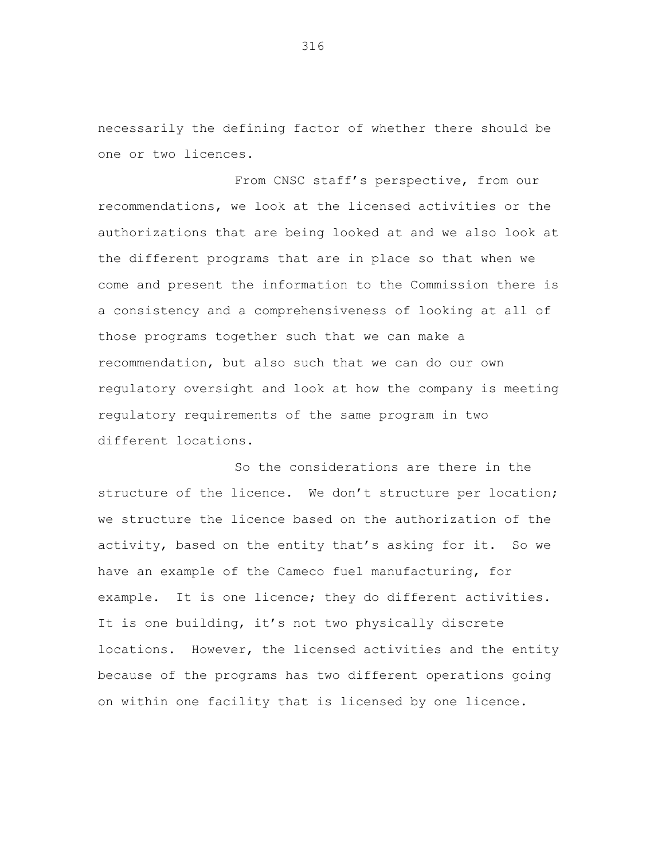necessarily the defining factor of whether there should be one or two licences.

From CNSC staff's perspective, from our recommendations, we look at the licensed activities or the authorizations that are being looked at and we also look at the different programs that are in place so that when we come and present the information to the Commission there is a consistency and a comprehensiveness of looking at all of those programs together such that we can make a recommendation, but also such that we can do our own regulatory oversight and look at how the company is meeting regulatory requirements of the same program in two different locations.

So the considerations are there in the structure of the licence. We don't structure per location; we structure the licence based on the authorization of the activity, based on the entity that's asking for it. So we have an example of the Cameco fuel manufacturing, for example. It is one licence; they do different activities. It is one building, it's not two physically discrete locations. However, the licensed activities and the entity because of the programs has two different operations going on within one facility that is licensed by one licence.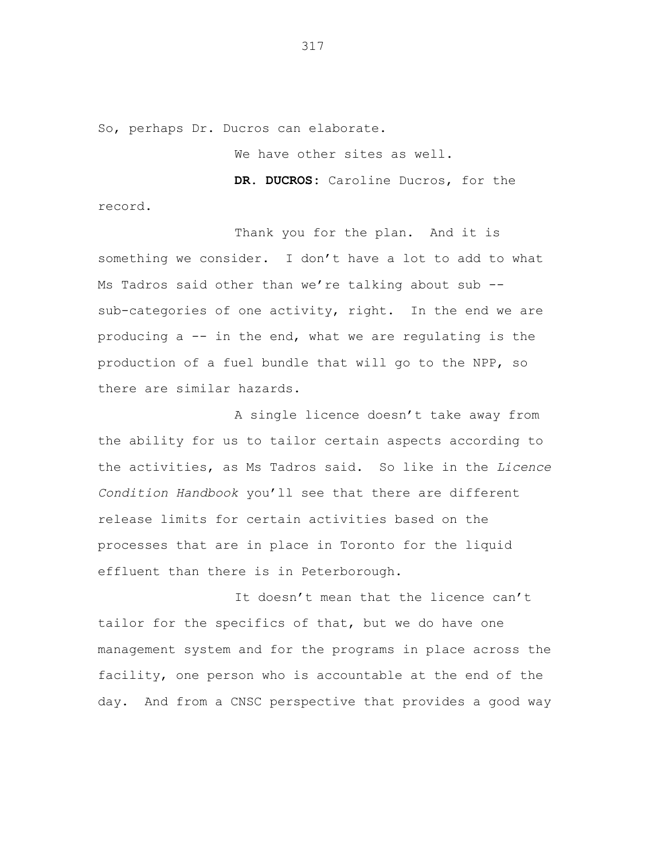So, perhaps Dr. Ducros can elaborate.

We have other sites as well.

**DR. DUCROS:** Caroline Ducros, for the record.

Thank you for the plan. And it is something we consider. I don't have a lot to add to what Ms Tadros said other than we're talking about sub - sub-categories of one activity, right. In the end we are producing a -- in the end, what we are regulating is the production of a fuel bundle that will go to the NPP, so there are similar hazards.

A single licence doesn't take away from the ability for us to tailor certain aspects according to the activities, as Ms Tadros said. So like in the *Licence Condition Handbook* you'll see that there are different release limits for certain activities based on the processes that are in place in Toronto for the liquid effluent than there is in Peterborough.

It doesn't mean that the licence can't tailor for the specifics of that, but we do have one management system and for the programs in place across the facility, one person who is accountable at the end of the day. And from a CNSC perspective that provides a good way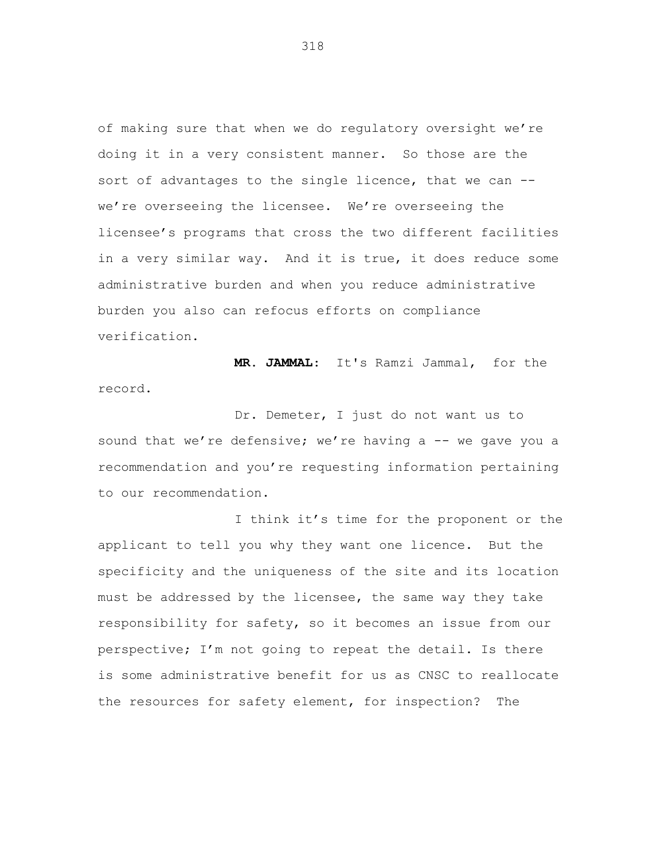of making sure that when we do regulatory oversight we're doing it in a very consistent manner. So those are the sort of advantages to the single licence, that we can - we're overseeing the licensee. We're overseeing the licensee's programs that cross the two different facilities in a very similar way. And it is true, it does reduce some administrative burden and when you reduce administrative burden you also can refocus efforts on compliance verification.

**MR. JAMMAL**: It's Ramzi Jammal, for the record.

Dr. Demeter, I just do not want us to sound that we're defensive; we're having a -- we gave you a recommendation and you're requesting information pertaining to our recommendation.

I think it's time for the proponent or the applicant to tell you why they want one licence. But the specificity and the uniqueness of the site and its location must be addressed by the licensee, the same way they take responsibility for safety, so it becomes an issue from our perspective; I'm not going to repeat the detail. Is there is some administrative benefit for us as CNSC to reallocate the resources for safety element, for inspection? The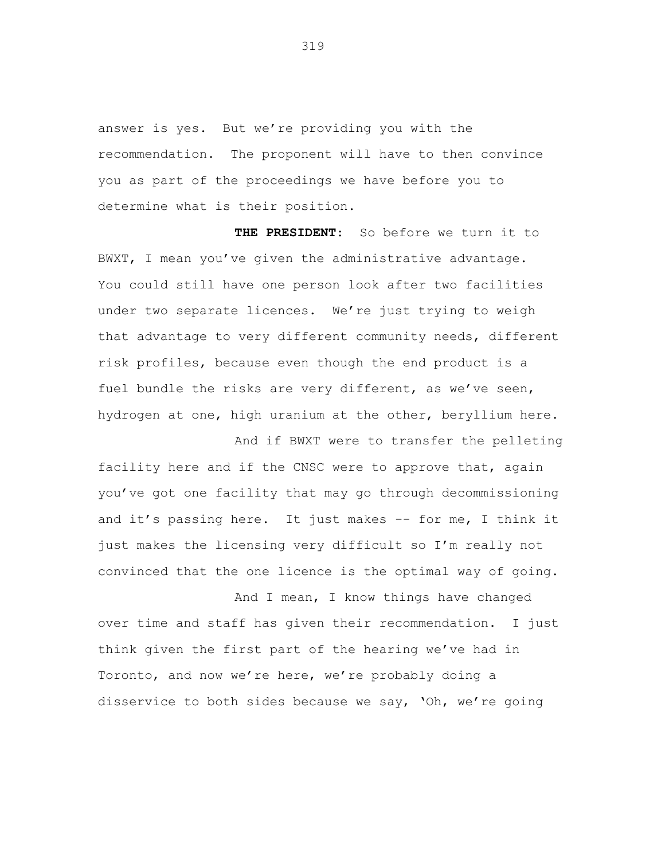answer is yes. But we're providing you with the recommendation. The proponent will have to then convince you as part of the proceedings we have before you to determine what is their position.

**THE PRESIDENT**: So before we turn it to BWXT, I mean you've given the administrative advantage. You could still have one person look after two facilities under two separate licences. We're just trying to weigh that advantage to very different community needs, different risk profiles, because even though the end product is a fuel bundle the risks are very different, as we've seen, hydrogen at one, high uranium at the other, beryllium here.

And if BWXT were to transfer the pelleting facility here and if the CNSC were to approve that, again you've got one facility that may go through decommissioning and it's passing here. It just makes -- for me, I think it just makes the licensing very difficult so I'm really not convinced that the one licence is the optimal way of going.

And I mean, I know things have changed over time and staff has given their recommendation. I just think given the first part of the hearing we've had in Toronto, and now we're here, we're probably doing a disservice to both sides because we say, 'Oh, we're going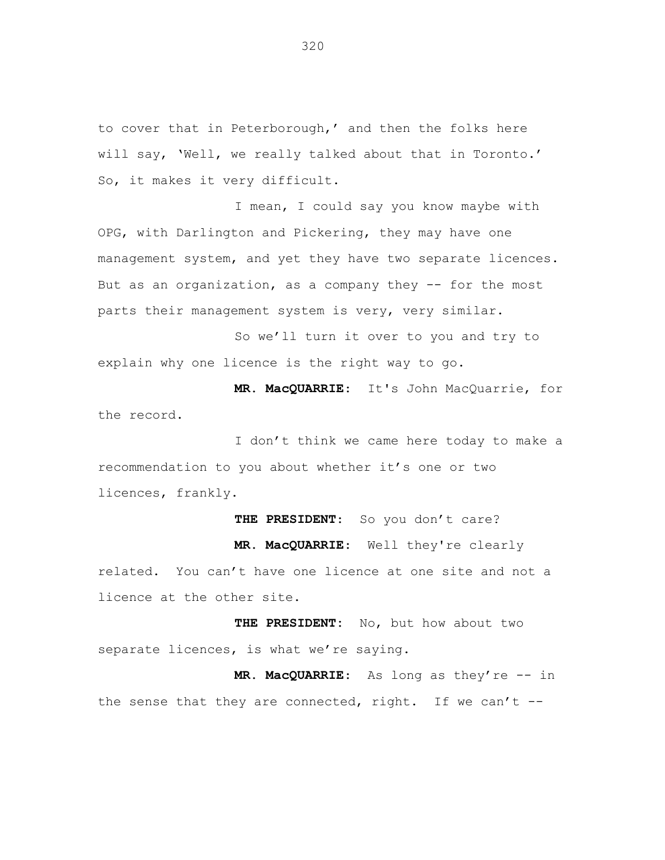to cover that in Peterborough,' and then the folks here will say, 'Well, we really talked about that in Toronto.' So, it makes it very difficult.

I mean, I could say you know maybe with OPG, with Darlington and Pickering, they may have one management system, and yet they have two separate licences. But as an organization, as a company they -- for the most parts their management system is very, very similar.

So we'll turn it over to you and try to explain why one licence is the right way to go.

**MR. MacQUARRIE**: It's John MacQuarrie, for the record.

I don't think we came here today to make a recommendation to you about whether it's one or two licences, frankly.

THE PRESIDENT: So you don't care? **MR. MacQUARRIE**: Well they're clearly related. You can't have one licence at one site and not a licence at the other site.

**THE PRESIDENT:** No, but how about two separate licences, is what we're saying.

**MR. MacQUARRIE**: As long as they're -- in the sense that they are connected, right. If we can't  $-$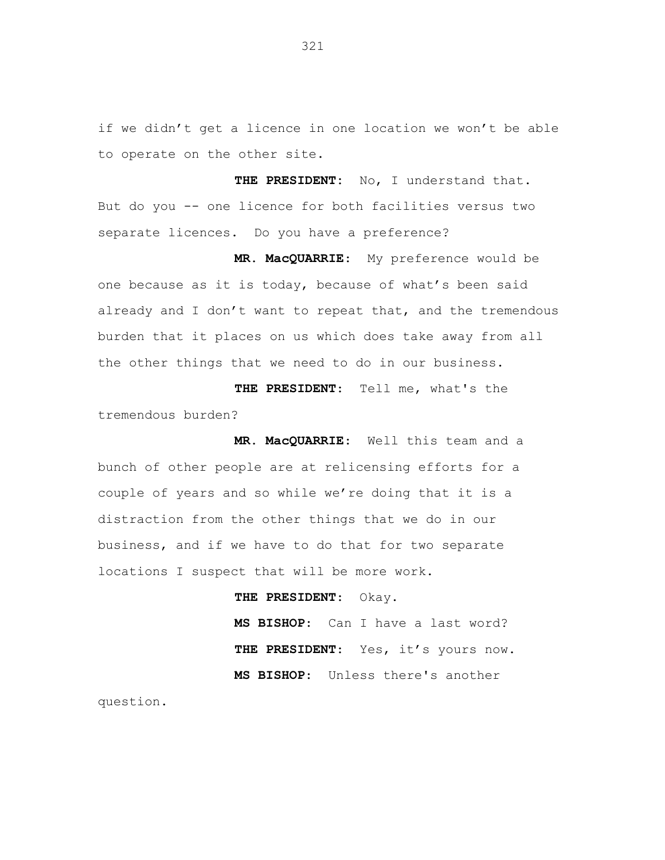if we didn't get a licence in one location we won't be able to operate on the other site.

**THE PRESIDENT:** No, I understand that. But do you -- one licence for both facilities versus two separate licences. Do you have a preference?

**MR. MacQUARRIE**: My preference would be one because as it is today, because of what's been said already and I don't want to repeat that, and the tremendous burden that it places on us which does take away from all the other things that we need to do in our business.

**THE PRESIDENT**: Tell me, what's the tremendous burden?

**MR. MacQUARRIE**: Well this team and a bunch of other people are at relicensing efforts for a couple of years and so while we're doing that it is a distraction from the other things that we do in our business, and if we have to do that for two separate locations I suspect that will be more work.

> **THE PRESIDENT**: Okay. **MS BISHOP**: Can I have a last word? THE PRESIDENT: Yes, it's yours now. **MS BISHOP**: Unless there's another

question.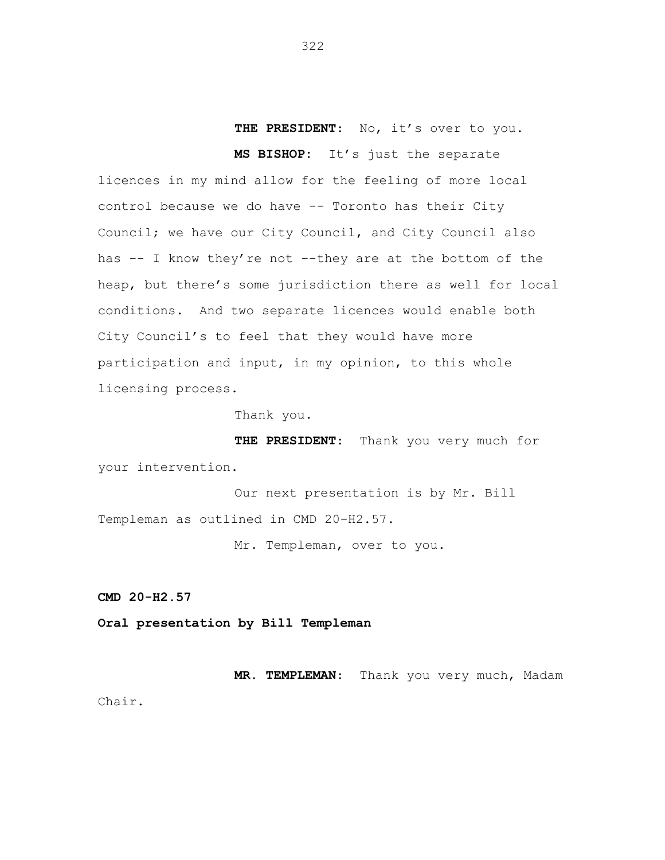# THE PRESIDENT: No, it's over to you. **MS BISHOP:** It's just the separate

licences in my mind allow for the feeling of more local control because we do have -- Toronto has their City Council; we have our City Council, and City Council also has -- I know they're not --they are at the bottom of the heap, but there's some jurisdiction there as well for local conditions. And two separate licences would enable both City Council's to feel that they would have more participation and input, in my opinion, to this whole licensing process.

Thank you.

**THE PRESIDENT**: Thank you very much for your intervention.

Our next presentation is by Mr. Bill Templeman as outlined in CMD 20-H2.57.

Mr. Templeman, over to you.

**CMD 20-H2.57**

**Oral presentation by Bill Templeman**

**MR. TEMPLEMAN**: Thank you very much, Madam Chair.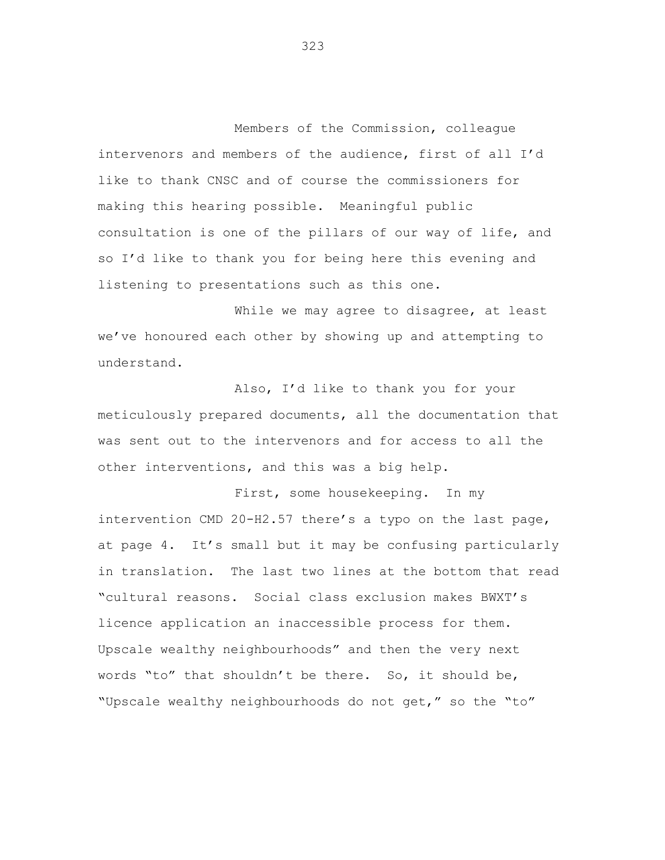Members of the Commission, colleague intervenors and members of the audience, first of all I'd like to thank CNSC and of course the commissioners for making this hearing possible. Meaningful public consultation is one of the pillars of our way of life, and so I'd like to thank you for being here this evening and listening to presentations such as this one.

While we may agree to disagree, at least we've honoured each other by showing up and attempting to understand.

Also, I'd like to thank you for your meticulously prepared documents, all the documentation that was sent out to the intervenors and for access to all the other interventions, and this was a big help.

First, some housekeeping. In my intervention CMD 20-H2.57 there's a typo on the last page, at page 4. It's small but it may be confusing particularly in translation. The last two lines at the bottom that read "cultural reasons. Social class exclusion makes BWXT's licence application an inaccessible process for them. Upscale wealthy neighbourhoods" and then the very next words "to" that shouldn't be there. So, it should be, "Upscale wealthy neighbourhoods do not get," so the "to"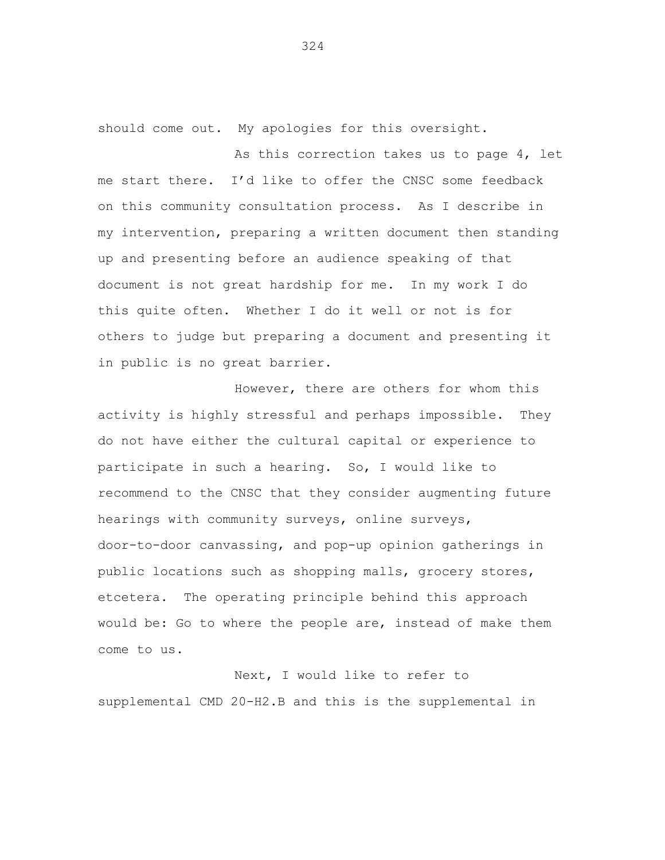should come out. My apologies for this oversight.

As this correction takes us to page 4, let me start there. I'd like to offer the CNSC some feedback on this community consultation process. As I describe in my intervention, preparing a written document then standing up and presenting before an audience speaking of that document is not great hardship for me. In my work I do this quite often. Whether I do it well or not is for others to judge but preparing a document and presenting it in public is no great barrier.

However, there are others for whom this activity is highly stressful and perhaps impossible. They do not have either the cultural capital or experience to participate in such a hearing. So, I would like to recommend to the CNSC that they consider augmenting future hearings with community surveys, online surveys, door-to-door canvassing, and pop-up opinion gatherings in public locations such as shopping malls, grocery stores, etcetera. The operating principle behind this approach would be: Go to where the people are, instead of make them come to us.

Next, I would like to refer to supplemental CMD 20-H2.B and this is the supplemental in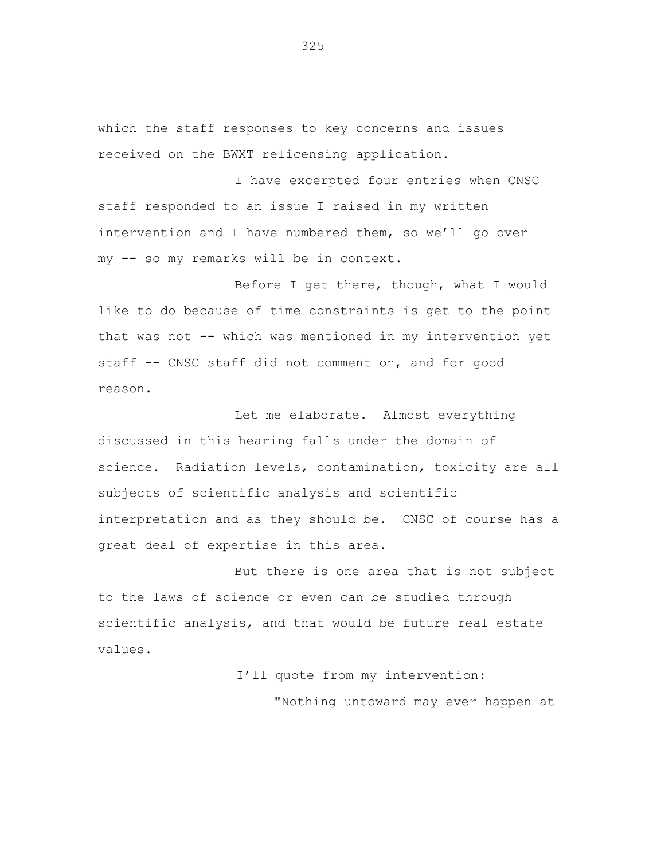which the staff responses to key concerns and issues received on the BWXT relicensing application.

I have excerpted four entries when CNSC staff responded to an issue I raised in my written intervention and I have numbered them, so we'll go over my -- so my remarks will be in context.

Before I get there, though, what I would like to do because of time constraints is get to the point that was not -- which was mentioned in my intervention yet staff -- CNSC staff did not comment on, and for good reason.

Let me elaborate. Almost everything discussed in this hearing falls under the domain of science. Radiation levels, contamination, toxicity are all subjects of scientific analysis and scientific interpretation and as they should be. CNSC of course has a great deal of expertise in this area.

But there is one area that is not subject to the laws of science or even can be studied through scientific analysis, and that would be future real estate values.

I'll quote from my intervention:

"Nothing untoward may ever happen at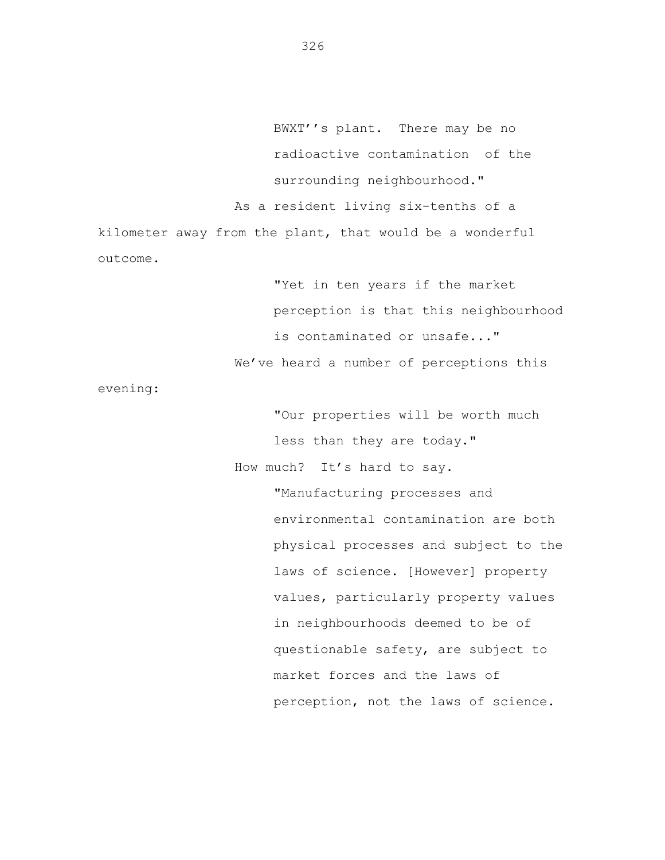BWXT''s plant. There may be no radioactive contamination of the surrounding neighbourhood." As a resident living six-tenths of a kilometer away from the plant, that would be a wonderful outcome.

> "Yet in ten years if the market perception is that this neighbourhood is contaminated or unsafe..." We've heard a number of perceptions this

evening:

"Our properties will be worth much less than they are today." How much? It's hard to say.

> "Manufacturing processes and environmental contamination are both physical processes and subject to the laws of science. [However] property values, particularly property values in neighbourhoods deemed to be of questionable safety, are subject to market forces and the laws of perception, not the laws of science.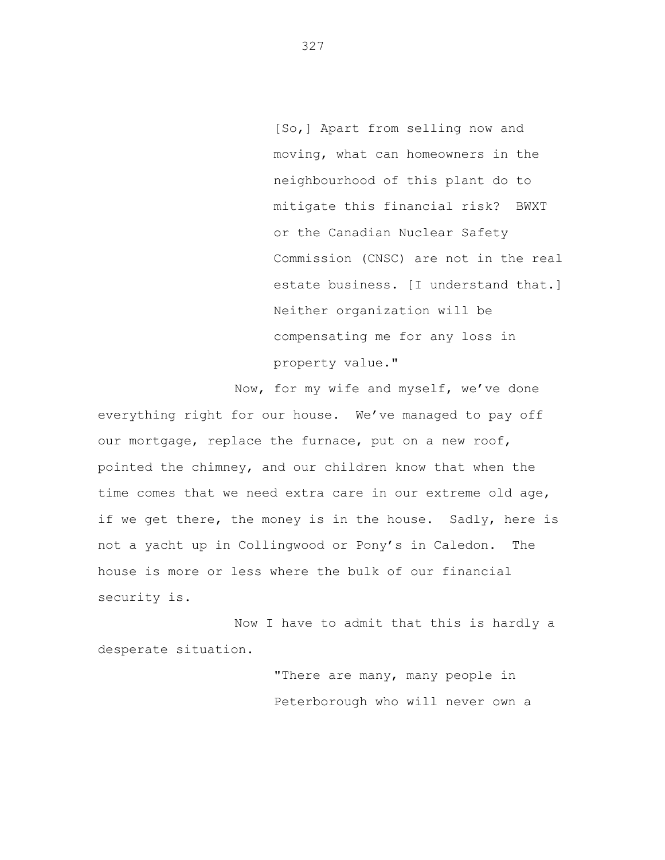[So,] Apart from selling now and moving, what can homeowners in the neighbourhood of this plant do to mitigate this financial risk? BWXT or the Canadian Nuclear Safety Commission (CNSC) are not in the real estate business. [I understand that.] Neither organization will be compensating me for any loss in property value."

Now, for my wife and myself, we've done everything right for our house. We've managed to pay off our mortgage, replace the furnace, put on a new roof, pointed the chimney, and our children know that when the time comes that we need extra care in our extreme old age, if we get there, the money is in the house. Sadly, here is not a yacht up in Collingwood or Pony's in Caledon. The house is more or less where the bulk of our financial security is.

Now I have to admit that this is hardly a desperate situation.

> "There are many, many people in Peterborough who will never own a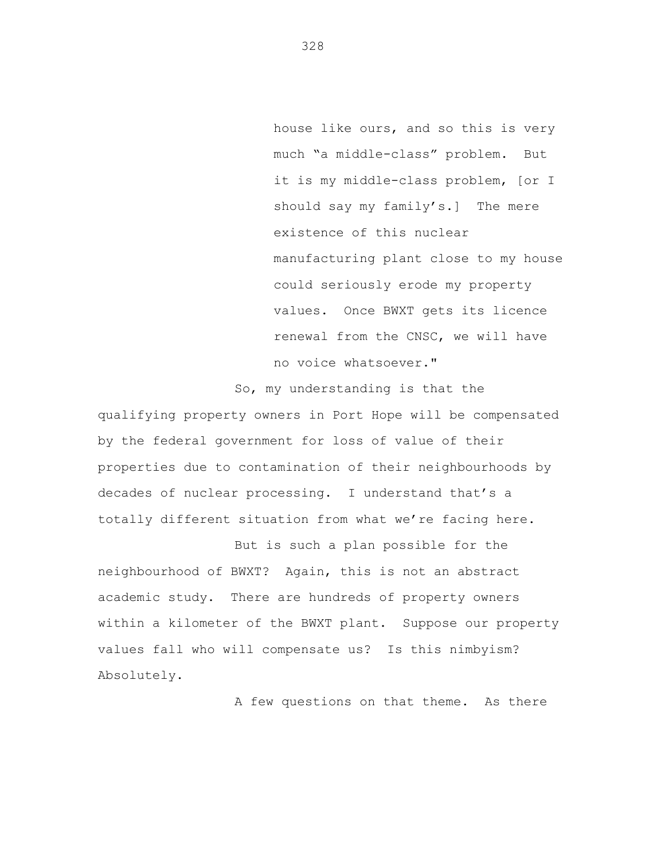house like ours, and so this is very much "a middle-class" problem. But it is my middle-class problem, [or I should say my family's.] The mere existence of this nuclear manufacturing plant close to my house could seriously erode my property values. Once BWXT gets its licence renewal from the CNSC, we will have no voice whatsoever."

So, my understanding is that the

qualifying property owners in Port Hope will be compensated by the federal government for loss of value of their properties due to contamination of their neighbourhoods by decades of nuclear processing. I understand that's a totally different situation from what we're facing here.

But is such a plan possible for the neighbourhood of BWXT? Again, this is not an abstract academic study. There are hundreds of property owners within a kilometer of the BWXT plant. Suppose our property values fall who will compensate us? Is this nimbyism? Absolutely.

A few questions on that theme. As there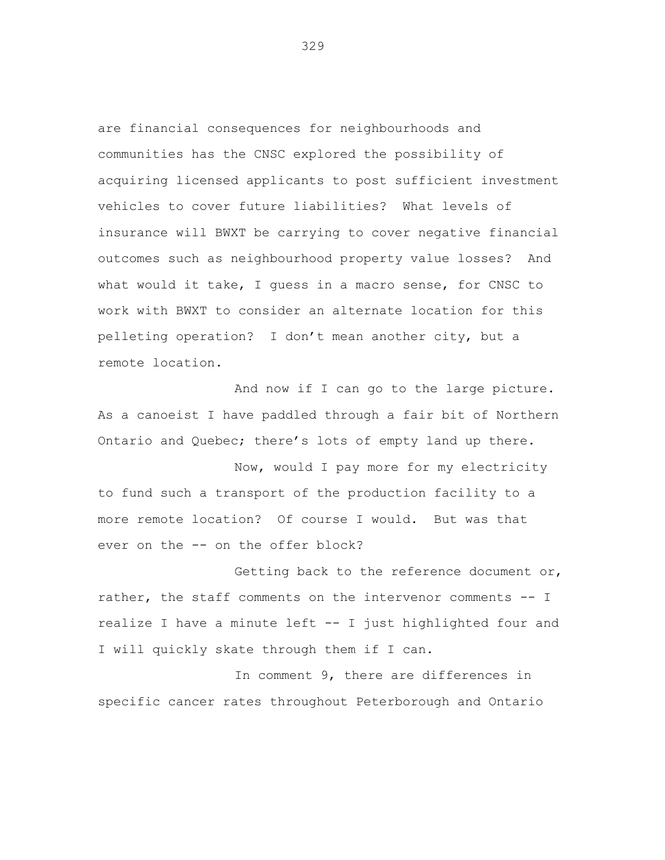are financial consequences for neighbourhoods and communities has the CNSC explored the possibility of acquiring licensed applicants to post sufficient investment vehicles to cover future liabilities? What levels of insurance will BWXT be carrying to cover negative financial outcomes such as neighbourhood property value losses? And what would it take, I guess in a macro sense, for CNSC to work with BWXT to consider an alternate location for this pelleting operation? I don't mean another city, but a remote location.

And now if I can go to the large picture. As a canoeist I have paddled through a fair bit of Northern Ontario and Quebec; there's lots of empty land up there.

Now, would I pay more for my electricity to fund such a transport of the production facility to a more remote location? Of course I would. But was that ever on the -- on the offer block?

Getting back to the reference document or, rather, the staff comments on the intervenor comments -- I realize I have a minute left -- I just highlighted four and I will quickly skate through them if I can.

In comment 9, there are differences in specific cancer rates throughout Peterborough and Ontario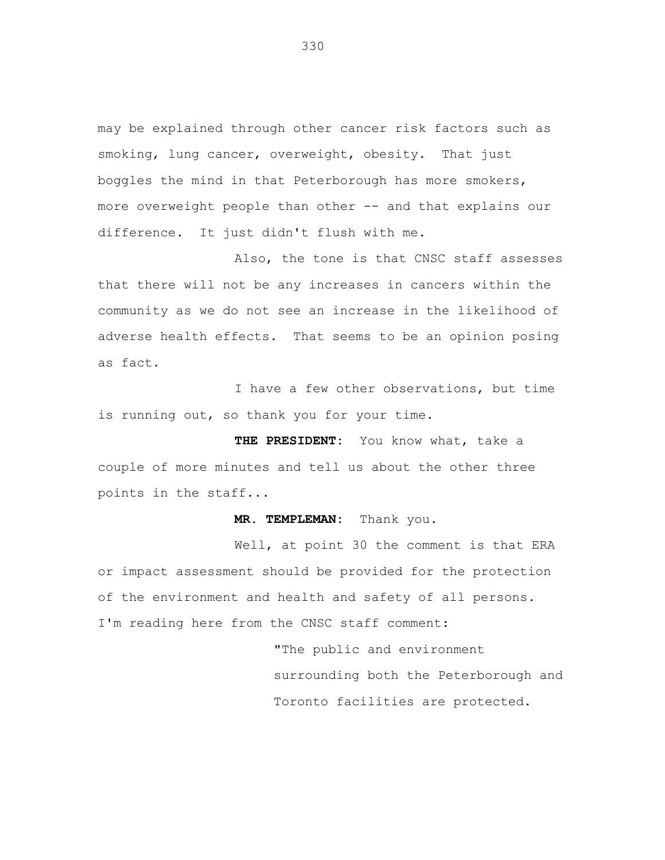may be explained through other cancer risk factors such as smoking, lung cancer, overweight, obesity. That just boggles the mind in that Peterborough has more smokers, more overweight people than other -- and that explains our difference. It just didn't flush with me.

Also, the tone is that CNSC staff assesses that there will not be any increases in cancers within the community as we do not see an increase in the likelihood of adverse health effects. That seems to be an opinion posing as fact.

I have a few other observations, but time is running out, so thank you for your time.

**THE PRESIDENT:** You know what, take a couple of more minutes and tell us about the other three points in the staff...

### **MR. TEMPLEMAN:** Thank you.

Well, at point 30 the comment is that ERA or impact assessment should be provided for the protection of the environment and health and safety of all persons. I'm reading here from the CNSC staff comment:

> "The public and environment surrounding both the Peterborough and Toronto facilities are protected.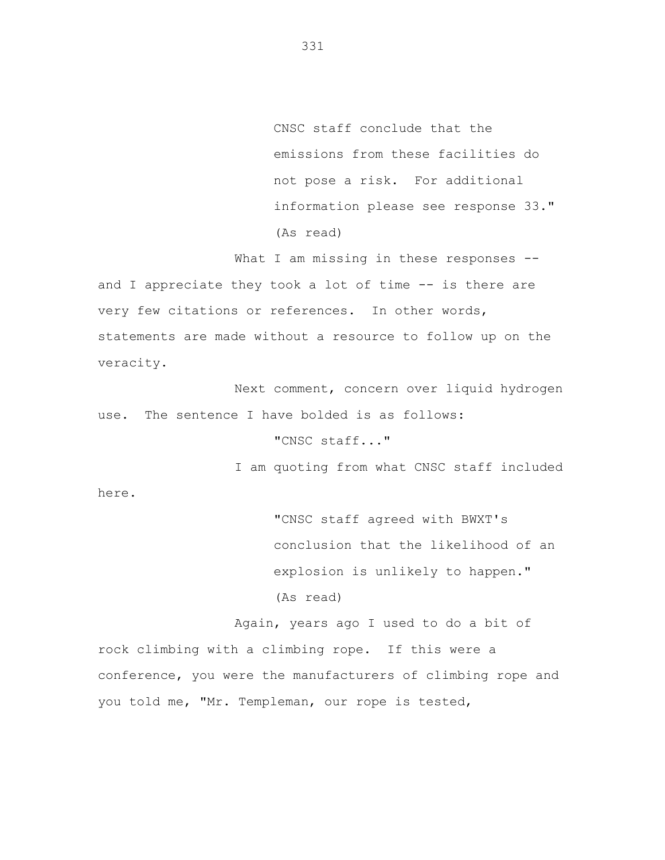CNSC staff conclude that the emissions from these facilities do not pose a risk. For additional information please see response 33." (As read)

What I am missing in these responses -and I appreciate they took a lot of time -- is there are very few citations or references. In other words, statements are made without a resource to follow up on the veracity.

Next comment, concern over liquid hydrogen use. The sentence I have bolded is as follows:

## "CNSC staff..."

I am quoting from what CNSC staff included

here.

"CNSC staff agreed with BWXT's conclusion that the likelihood of an explosion is unlikely to happen." (As read)

Again, years ago I used to do a bit of rock climbing with a climbing rope. If this were a conference, you were the manufacturers of climbing rope and you told me, "Mr. Templeman, our rope is tested,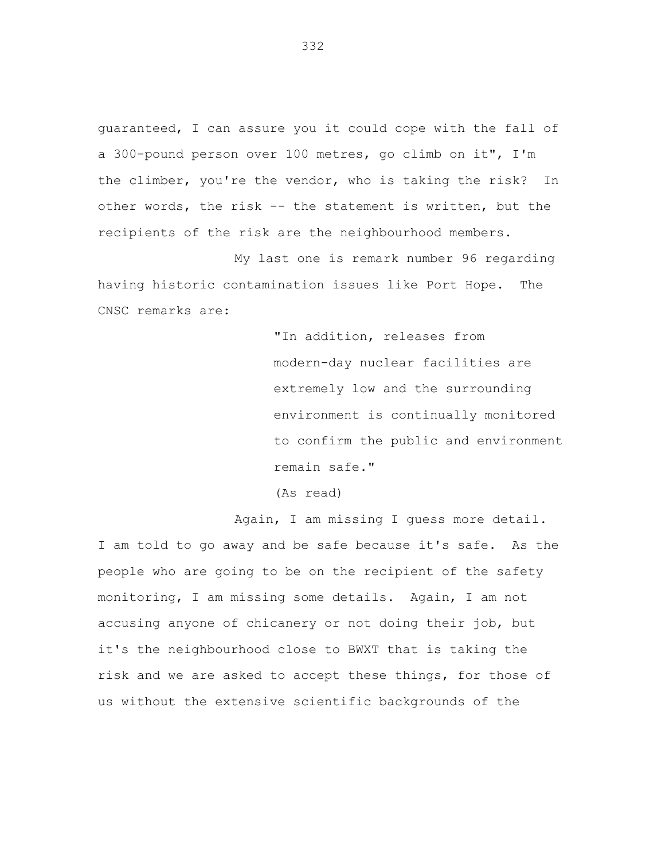guaranteed, I can assure you it could cope with the fall of a 300-pound person over 100 metres, go climb on it", I'm the climber, you're the vendor, who is taking the risk? In other words, the risk -- the statement is written, but the recipients of the risk are the neighbourhood members.

My last one is remark number 96 regarding having historic contamination issues like Port Hope. The CNSC remarks are:

> "In addition, releases from modern-day nuclear facilities are extremely low and the surrounding environment is continually monitored to confirm the public and environment remain safe."

(As read)

Again, I am missing I guess more detail.

I am told to go away and be safe because it's safe. As the people who are going to be on the recipient of the safety monitoring, I am missing some details. Again, I am not accusing anyone of chicanery or not doing their job, but it's the neighbourhood close to BWXT that is taking the risk and we are asked to accept these things, for those of us without the extensive scientific backgrounds of the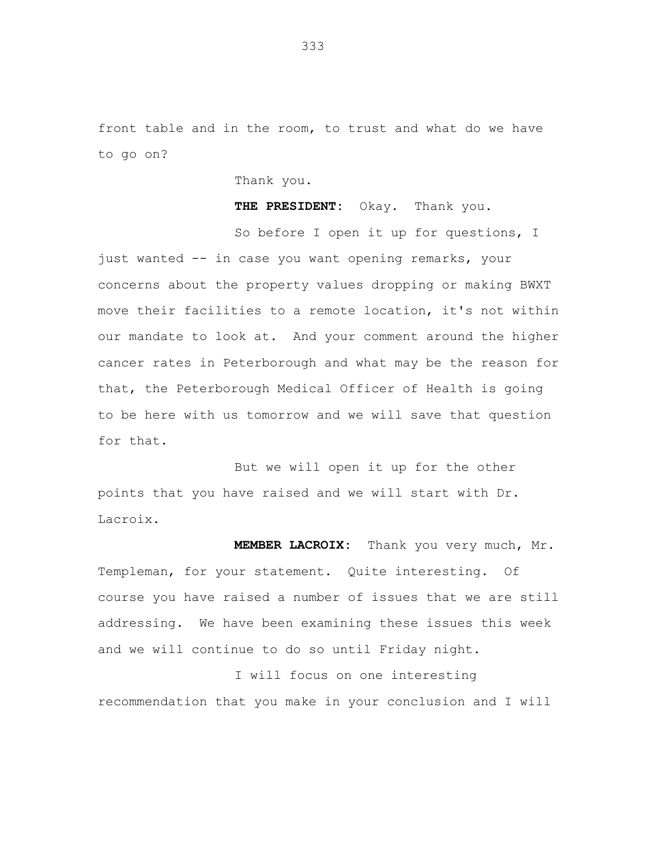front table and in the room, to trust and what do we have to go on?

Thank you.

**THE PRESIDENT:** Okay. Thank you.

So before I open it up for questions, I just wanted -- in case you want opening remarks, your concerns about the property values dropping or making BWXT move their facilities to a remote location, it's not within our mandate to look at. And your comment around the higher cancer rates in Peterborough and what may be the reason for that, the Peterborough Medical Officer of Health is going to be here with us tomorrow and we will save that question for that.

But we will open it up for the other points that you have raised and we will start with Dr. Lacroix.

**MEMBER LACROIX:** Thank you very much, Mr. Templeman, for your statement. Quite interesting. Of course you have raised a number of issues that we are still addressing. We have been examining these issues this week and we will continue to do so until Friday night.

I will focus on one interesting recommendation that you make in your conclusion and I will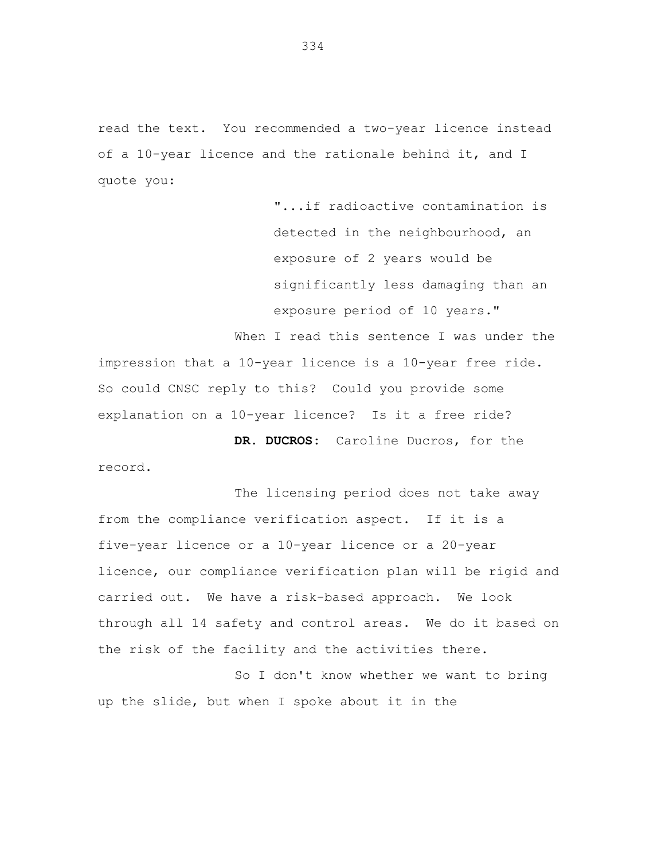read the text. You recommended a two-year licence instead of a 10-year licence and the rationale behind it, and I quote you:

> "...if radioactive contamination is detected in the neighbourhood, an exposure of 2 years would be significantly less damaging than an exposure period of 10 years."

When I read this sentence I was under the impression that a 10-year licence is a 10-year free ride. So could CNSC reply to this? Could you provide some explanation on a 10-year licence? Is it a free ride?

**DR. DUCROS:** Caroline Ducros, for the record.

The licensing period does not take away from the compliance verification aspect. If it is a five-year licence or a 10-year licence or a 20-year licence, our compliance verification plan will be rigid and carried out. We have a risk-based approach. We look through all 14 safety and control areas. We do it based on the risk of the facility and the activities there.

So I don't know whether we want to bring up the slide, but when I spoke about it in the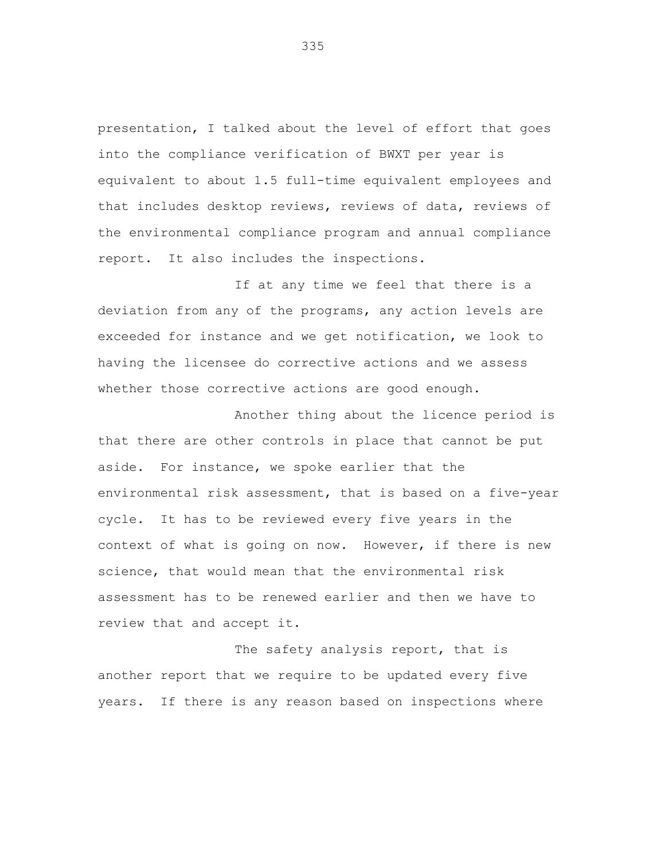presentation, I talked about the level of effort that goes into the compliance verification of BWXT per year is equivalent to about 1.5 full-time equivalent employees and that includes desktop reviews, reviews of data, reviews of the environmental compliance program and annual compliance report. It also includes the inspections.

If at any time we feel that there is a deviation from any of the programs, any action levels are exceeded for instance and we get notification, we look to having the licensee do corrective actions and we assess whether those corrective actions are good enough.

Another thing about the licence period is that there are other controls in place that cannot be put aside. For instance, we spoke earlier that the environmental risk assessment, that is based on a five-year cycle. It has to be reviewed every five years in the context of what is going on now. However, if there is new science, that would mean that the environmental risk assessment has to be renewed earlier and then we have to review that and accept it.

The safety analysis report, that is another report that we require to be updated every five years. If there is any reason based on inspections where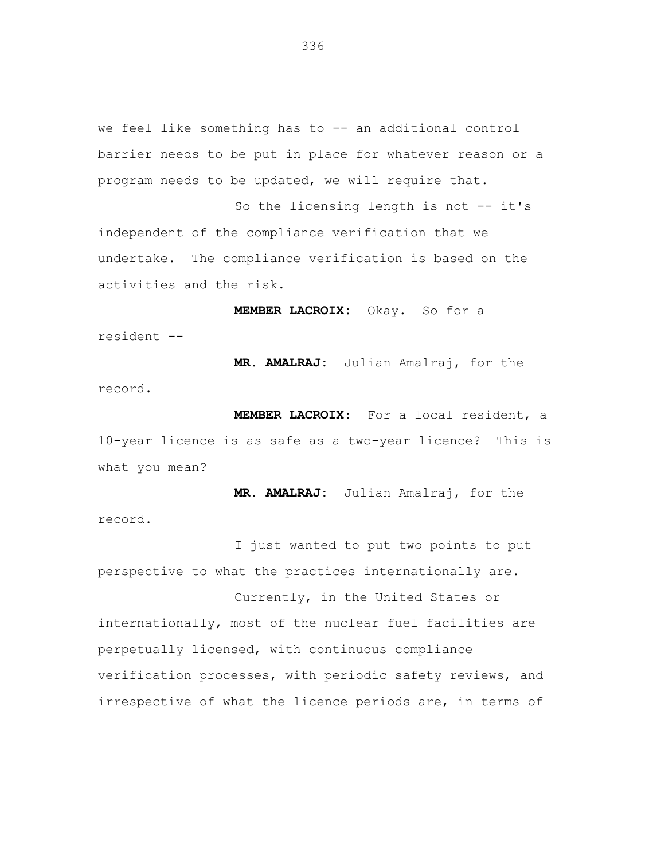we feel like something has to -- an additional control barrier needs to be put in place for whatever reason or a program needs to be updated, we will require that.

So the licensing length is not -- it's independent of the compliance verification that we undertake. The compliance verification is based on the activities and the risk.

**MEMBER LACROIX:** Okay. So for a resident --

**MR. AMALRAJ:** Julian Amalraj, for the record.

**MEMBER LACROIX:** For a local resident, a 10-year licence is as safe as a two-year licence? This is what you mean?

**MR. AMALRAJ:** Julian Amalraj, for the record.

I just wanted to put two points to put perspective to what the practices internationally are.

Currently, in the United States or internationally, most of the nuclear fuel facilities are perpetually licensed, with continuous compliance verification processes, with periodic safety reviews, and irrespective of what the licence periods are, in terms of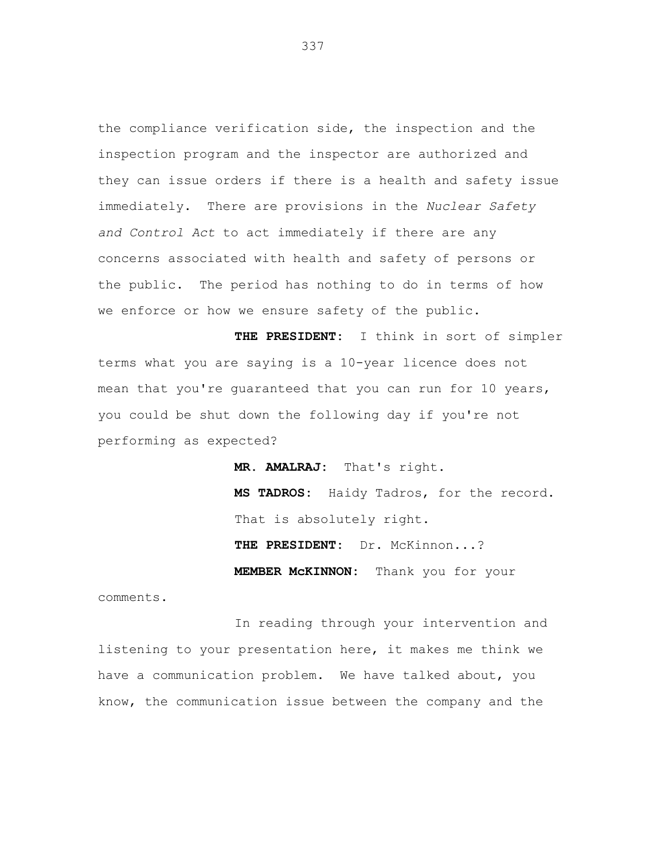the compliance verification side, the inspection and the inspection program and the inspector are authorized and they can issue orders if there is a health and safety issue immediately. There are provisions in the *Nuclear Safety and Control Act* to act immediately if there are any concerns associated with health and safety of persons or the public. The period has nothing to do in terms of how we enforce or how we ensure safety of the public.

**THE PRESIDENT:** I think in sort of simpler terms what you are saying is a 10-year licence does not mean that you're guaranteed that you can run for 10 years, you could be shut down the following day if you're not performing as expected?

> **MR. AMALRAJ:** That's right. **MS TADROS:** Haidy Tadros, for the record. That is absolutely right. **THE PRESIDENT:** Dr. McKinnon...? **MEMBER McKINNON:** Thank you for your

comments.

In reading through your intervention and listening to your presentation here, it makes me think we have a communication problem. We have talked about, you know, the communication issue between the company and the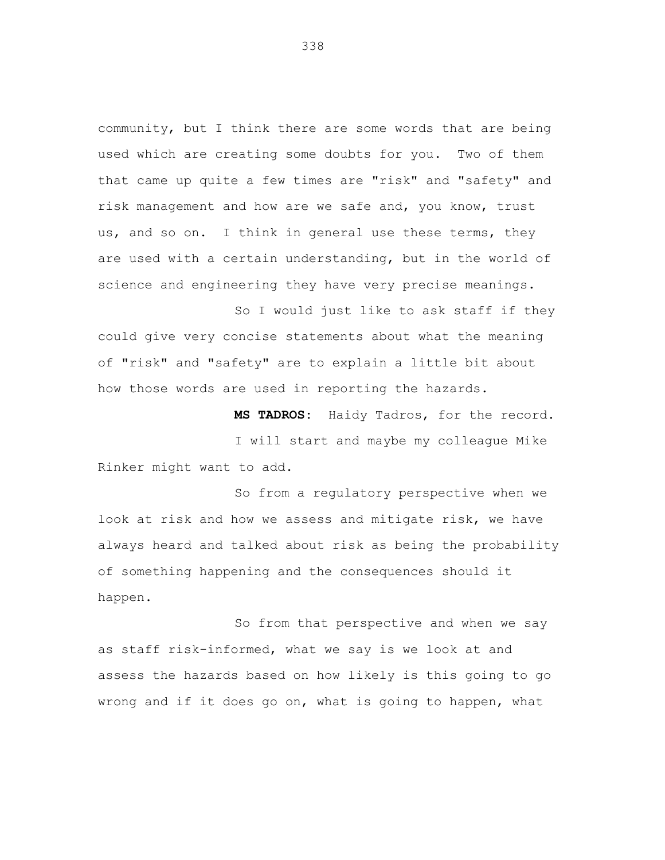community, but I think there are some words that are being used which are creating some doubts for you. Two of them that came up quite a few times are "risk" and "safety" and risk management and how are we safe and, you know, trust us, and so on. I think in general use these terms, they are used with a certain understanding, but in the world of science and engineering they have very precise meanings.

So I would just like to ask staff if they could give very concise statements about what the meaning of "risk" and "safety" are to explain a little bit about how those words are used in reporting the hazards.

**MS TADROS:** Haidy Tadros, for the record.

I will start and maybe my colleague Mike Rinker might want to add.

So from a regulatory perspective when we look at risk and how we assess and mitigate risk, we have always heard and talked about risk as being the probability of something happening and the consequences should it happen.

So from that perspective and when we say as staff risk-informed, what we say is we look at and assess the hazards based on how likely is this going to go wrong and if it does go on, what is going to happen, what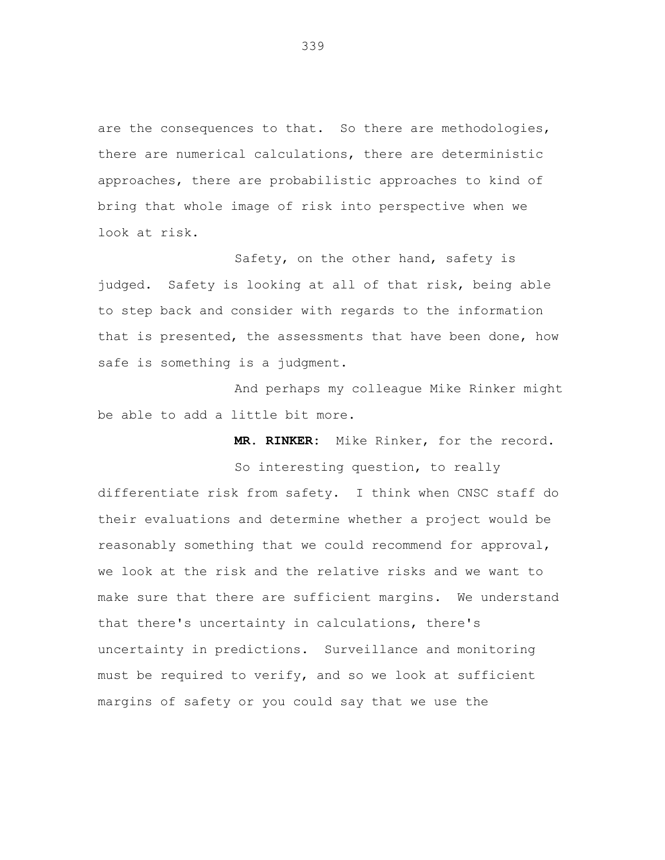are the consequences to that. So there are methodologies, there are numerical calculations, there are deterministic approaches, there are probabilistic approaches to kind of bring that whole image of risk into perspective when we look at risk.

Safety, on the other hand, safety is judged. Safety is looking at all of that risk, being able to step back and consider with regards to the information that is presented, the assessments that have been done, how safe is something is a judgment.

And perhaps my colleague Mike Rinker might be able to add a little bit more.

**MR. RINKER:** Mike Rinker, for the record.

So interesting question, to really differentiate risk from safety. I think when CNSC staff do their evaluations and determine whether a project would be reasonably something that we could recommend for approval, we look at the risk and the relative risks and we want to make sure that there are sufficient margins. We understand that there's uncertainty in calculations, there's uncertainty in predictions. Surveillance and monitoring must be required to verify, and so we look at sufficient margins of safety or you could say that we use the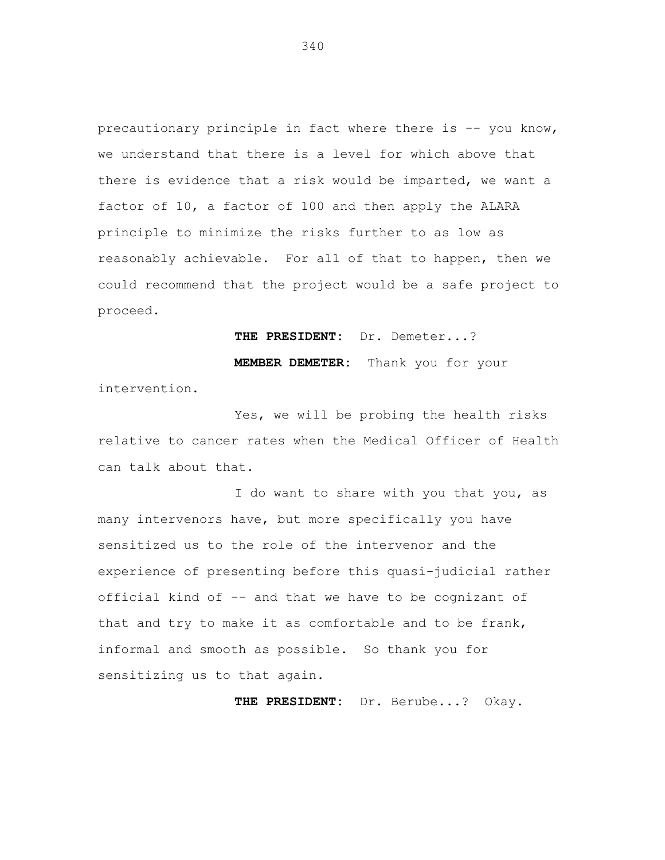precautionary principle in fact where there is -- you know, we understand that there is a level for which above that there is evidence that a risk would be imparted, we want a factor of 10, a factor of 100 and then apply the ALARA principle to minimize the risks further to as low as reasonably achievable. For all of that to happen, then we could recommend that the project would be a safe project to proceed.

**THE PRESIDENT:** Dr. Demeter...?

**MEMBER DEMETER:** Thank you for your

intervention.

Yes, we will be probing the health risks relative to cancer rates when the Medical Officer of Health can talk about that.

I do want to share with you that you, as many intervenors have, but more specifically you have sensitized us to the role of the intervenor and the experience of presenting before this quasi-judicial rather official kind of -- and that we have to be cognizant of that and try to make it as comfortable and to be frank, informal and smooth as possible. So thank you for sensitizing us to that again.

**THE PRESIDENT:** Dr. Berube...? Okay.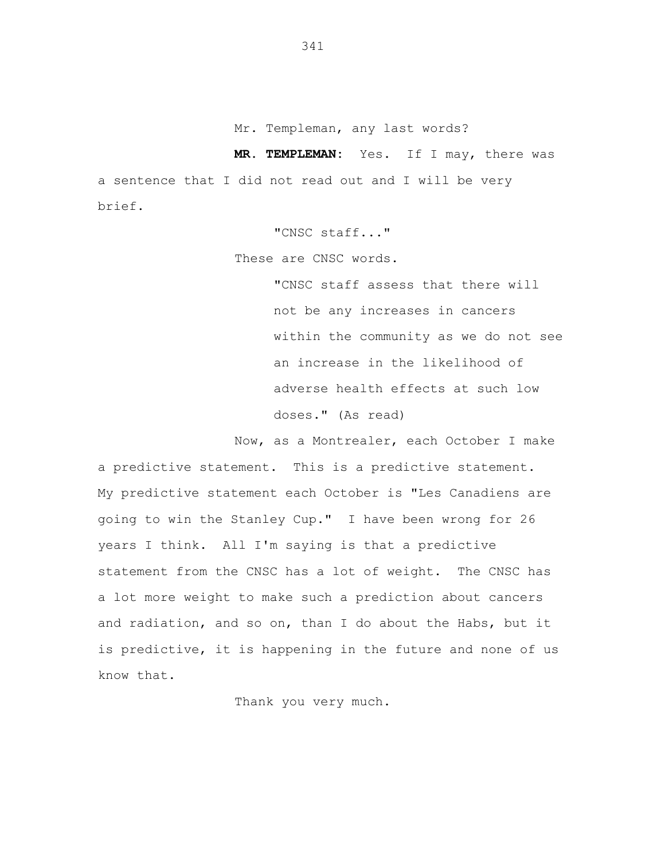Mr. Templeman, any last words?

**MR. TEMPLEMAN:** Yes. If I may, there was a sentence that I did not read out and I will be very brief.

"CNSC staff..."

These are CNSC words.

"CNSC staff assess that there will not be any increases in cancers within the community as we do not see an increase in the likelihood of adverse health effects at such low doses." (As read)

Now, as a Montrealer, each October I make a predictive statement. This is a predictive statement. My predictive statement each October is "Les Canadiens are going to win the Stanley Cup." I have been wrong for 26 years I think. All I'm saying is that a predictive statement from the CNSC has a lot of weight. The CNSC has a lot more weight to make such a prediction about cancers and radiation, and so on, than I do about the Habs, but it is predictive, it is happening in the future and none of us know that.

Thank you very much.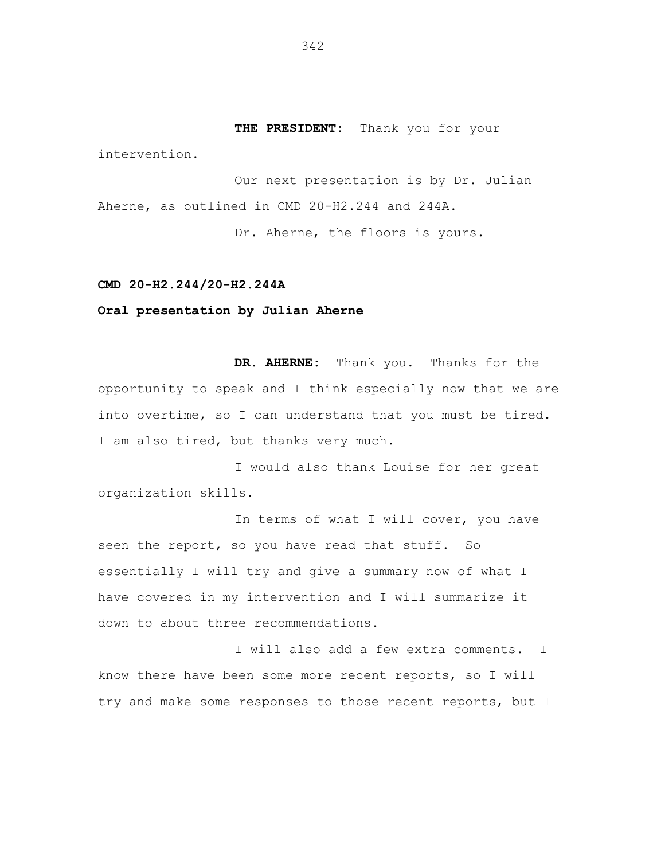**THE PRESIDENT:** Thank you for your

intervention.

Our next presentation is by Dr. Julian Aherne, as outlined in CMD 20-H2.244 and 244A. Dr. Aherne, the floors is yours.

#### **CMD 20-H2.244/20-H2.244A**

# **Oral presentation by Julian Aherne**

**DR. AHERNE:** Thank you. Thanks for the opportunity to speak and I think especially now that we are into overtime, so I can understand that you must be tired. I am also tired, but thanks very much.

I would also thank Louise for her great organization skills.

In terms of what I will cover, you have seen the report, so you have read that stuff. So essentially I will try and give a summary now of what I have covered in my intervention and I will summarize it down to about three recommendations.

I will also add a few extra comments. I know there have been some more recent reports, so I will try and make some responses to those recent reports, but I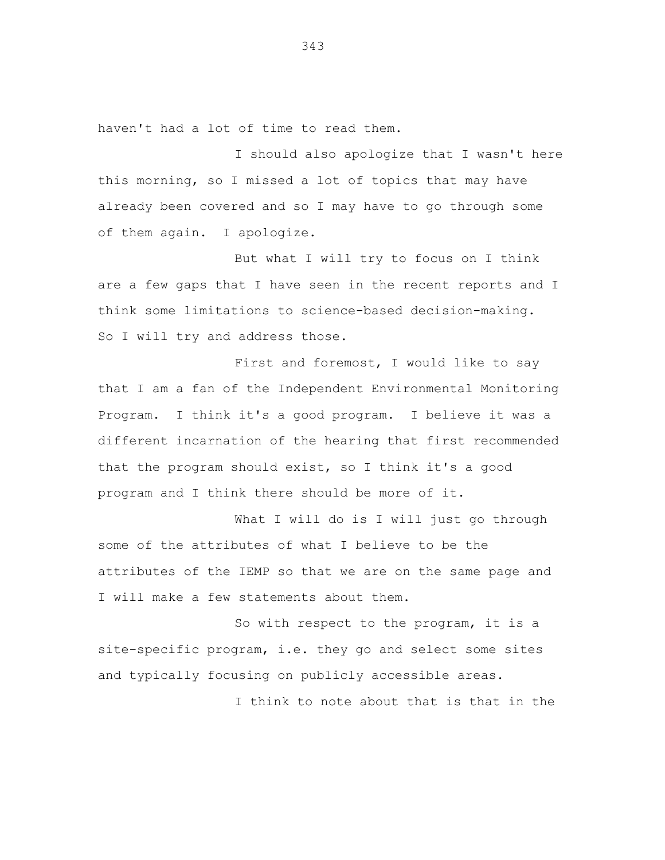haven't had a lot of time to read them.

I should also apologize that I wasn't here this morning, so I missed a lot of topics that may have already been covered and so I may have to go through some of them again. I apologize.

But what I will try to focus on I think are a few gaps that I have seen in the recent reports and I think some limitations to science-based decision-making. So I will try and address those.

First and foremost, I would like to say that I am a fan of the Independent Environmental Monitoring Program. I think it's a good program. I believe it was a different incarnation of the hearing that first recommended that the program should exist, so I think it's a good program and I think there should be more of it.

What I will do is I will just go through some of the attributes of what I believe to be the attributes of the IEMP so that we are on the same page and I will make a few statements about them.

So with respect to the program, it is a site-specific program, i.e. they go and select some sites and typically focusing on publicly accessible areas.

I think to note about that is that in the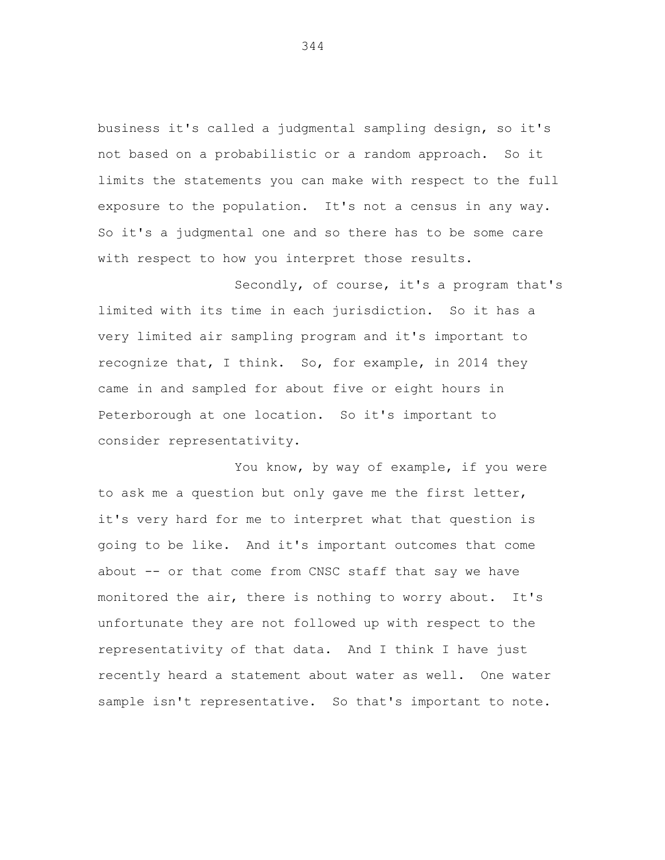business it's called a judgmental sampling design, so it's not based on a probabilistic or a random approach. So it limits the statements you can make with respect to the full exposure to the population. It's not a census in any way. So it's a judgmental one and so there has to be some care with respect to how you interpret those results.

Secondly, of course, it's a program that's limited with its time in each jurisdiction. So it has a very limited air sampling program and it's important to recognize that, I think. So, for example, in 2014 they came in and sampled for about five or eight hours in Peterborough at one location. So it's important to consider representativity.

You know, by way of example, if you were to ask me a question but only gave me the first letter, it's very hard for me to interpret what that question is going to be like. And it's important outcomes that come about -- or that come from CNSC staff that say we have monitored the air, there is nothing to worry about. It's unfortunate they are not followed up with respect to the representativity of that data. And I think I have just recently heard a statement about water as well. One water sample isn't representative. So that's important to note.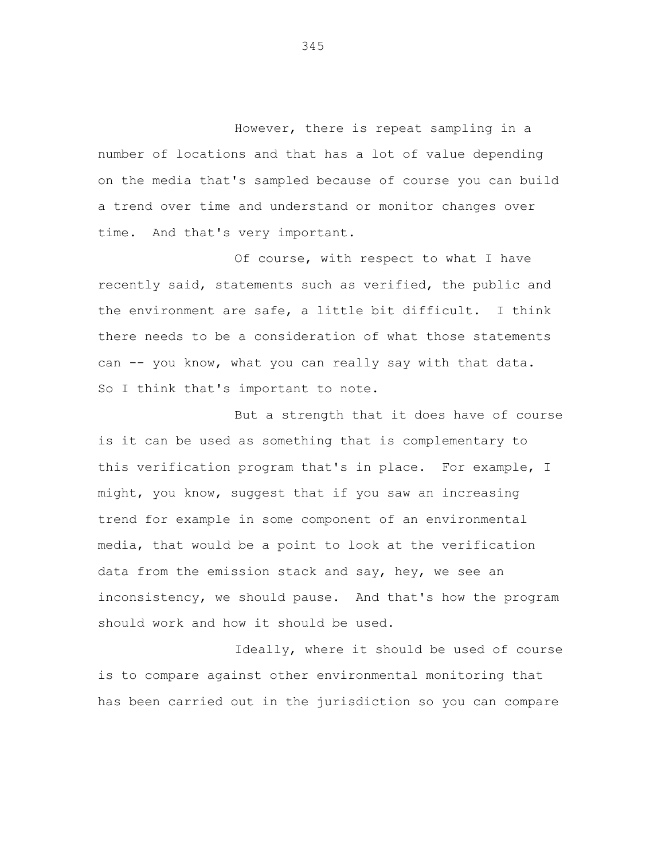However, there is repeat sampling in a number of locations and that has a lot of value depending on the media that's sampled because of course you can build a trend over time and understand or monitor changes over time. And that's very important.

Of course, with respect to what I have recently said, statements such as verified, the public and the environment are safe, a little bit difficult. I think there needs to be a consideration of what those statements can -- you know, what you can really say with that data. So I think that's important to note.

But a strength that it does have of course is it can be used as something that is complementary to this verification program that's in place. For example, I might, you know, suggest that if you saw an increasing trend for example in some component of an environmental media, that would be a point to look at the verification data from the emission stack and say, hey, we see an inconsistency, we should pause. And that's how the program should work and how it should be used.

Ideally, where it should be used of course is to compare against other environmental monitoring that has been carried out in the jurisdiction so you can compare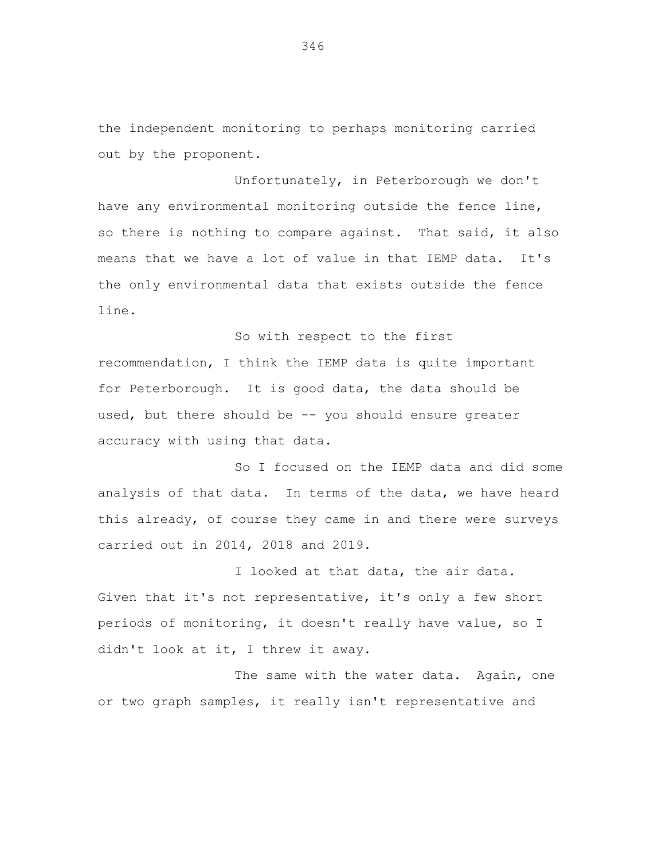the independent monitoring to perhaps monitoring carried out by the proponent.

Unfortunately, in Peterborough we don't have any environmental monitoring outside the fence line, so there is nothing to compare against. That said, it also means that we have a lot of value in that IEMP data. It's the only environmental data that exists outside the fence line.

So with respect to the first recommendation, I think the IEMP data is quite important for Peterborough. It is good data, the data should be used, but there should be -- you should ensure greater accuracy with using that data.

So I focused on the IEMP data and did some analysis of that data. In terms of the data, we have heard this already, of course they came in and there were surveys carried out in 2014, 2018 and 2019.

I looked at that data, the air data. Given that it's not representative, it's only a few short periods of monitoring, it doesn't really have value, so I didn't look at it, I threw it away.

The same with the water data. Again, one or two graph samples, it really isn't representative and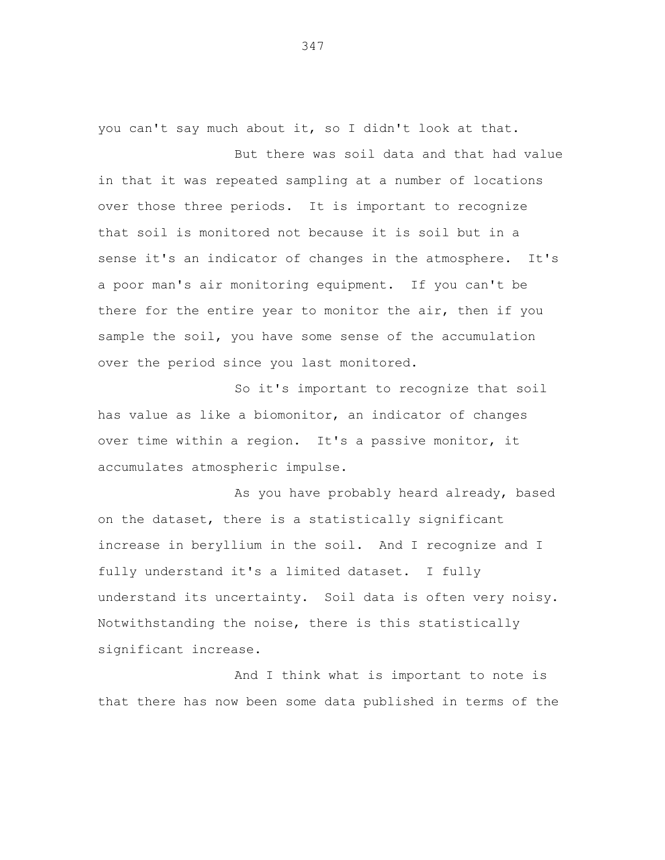you can't say much about it, so I didn't look at that.

But there was soil data and that had value in that it was repeated sampling at a number of locations over those three periods. It is important to recognize that soil is monitored not because it is soil but in a sense it's an indicator of changes in the atmosphere. It's a poor man's air monitoring equipment. If you can't be there for the entire year to monitor the air, then if you sample the soil, you have some sense of the accumulation over the period since you last monitored.

So it's important to recognize that soil has value as like a biomonitor, an indicator of changes over time within a region. It's a passive monitor, it accumulates atmospheric impulse.

As you have probably heard already, based on the dataset, there is a statistically significant increase in beryllium in the soil. And I recognize and I fully understand it's a limited dataset. I fully understand its uncertainty. Soil data is often very noisy. Notwithstanding the noise, there is this statistically significant increase.

And I think what is important to note is that there has now been some data published in terms of the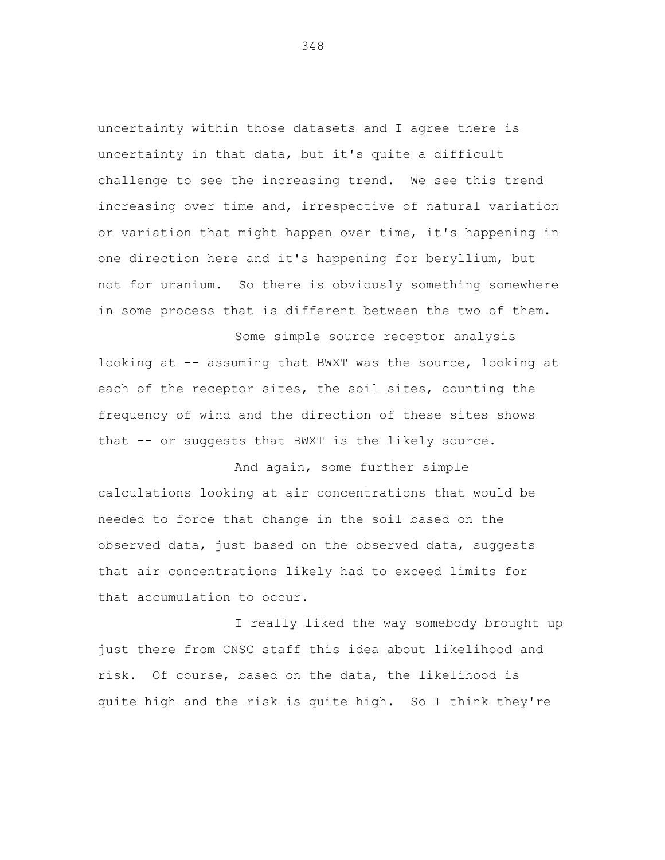uncertainty within those datasets and I agree there is uncertainty in that data, but it's quite a difficult challenge to see the increasing trend. We see this trend increasing over time and, irrespective of natural variation or variation that might happen over time, it's happening in one direction here and it's happening for beryllium, but not for uranium. So there is obviously something somewhere in some process that is different between the two of them.

Some simple source receptor analysis looking at -- assuming that BWXT was the source, looking at each of the receptor sites, the soil sites, counting the frequency of wind and the direction of these sites shows that -- or suggests that BWXT is the likely source.

And again, some further simple calculations looking at air concentrations that would be needed to force that change in the soil based on the observed data, just based on the observed data, suggests that air concentrations likely had to exceed limits for that accumulation to occur.

I really liked the way somebody brought up just there from CNSC staff this idea about likelihood and risk. Of course, based on the data, the likelihood is quite high and the risk is quite high. So I think they're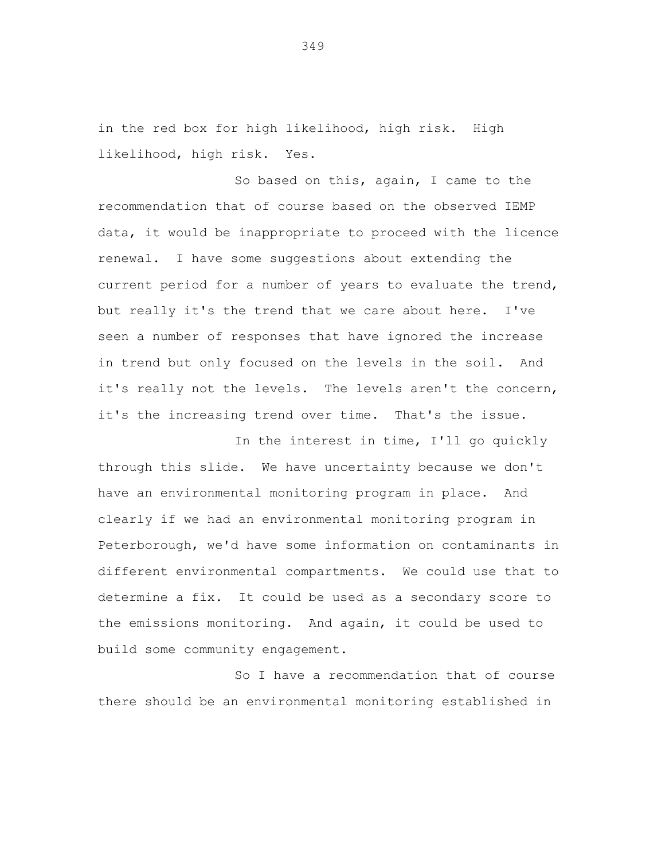in the red box for high likelihood, high risk. High likelihood, high risk. Yes.

So based on this, again, I came to the recommendation that of course based on the observed IEMP data, it would be inappropriate to proceed with the licence renewal. I have some suggestions about extending the current period for a number of years to evaluate the trend, but really it's the trend that we care about here. I've seen a number of responses that have ignored the increase in trend but only focused on the levels in the soil. And it's really not the levels. The levels aren't the concern, it's the increasing trend over time. That's the issue.

In the interest in time, I'll go quickly through this slide. We have uncertainty because we don't have an environmental monitoring program in place. And clearly if we had an environmental monitoring program in Peterborough, we'd have some information on contaminants in different environmental compartments. We could use that to determine a fix. It could be used as a secondary score to the emissions monitoring. And again, it could be used to build some community engagement.

So I have a recommendation that of course there should be an environmental monitoring established in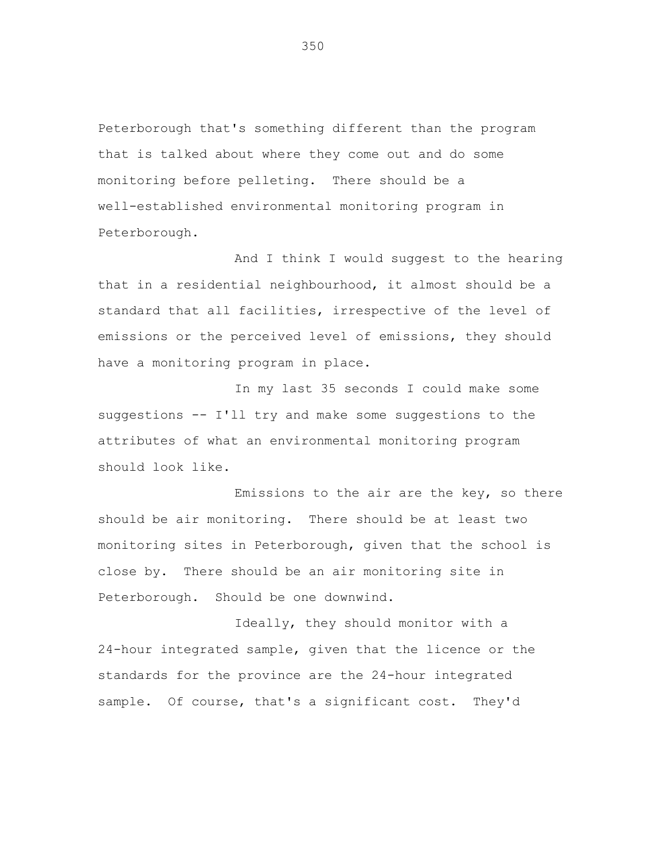Peterborough that's something different than the program that is talked about where they come out and do some monitoring before pelleting. There should be a well-established environmental monitoring program in Peterborough.

And I think I would suggest to the hearing that in a residential neighbourhood, it almost should be a standard that all facilities, irrespective of the level of emissions or the perceived level of emissions, they should have a monitoring program in place.

In my last 35 seconds I could make some suggestions -- I'll try and make some suggestions to the attributes of what an environmental monitoring program should look like.

Emissions to the air are the key, so there should be air monitoring. There should be at least two monitoring sites in Peterborough, given that the school is close by. There should be an air monitoring site in Peterborough. Should be one downwind.

Ideally, they should monitor with a 24-hour integrated sample, given that the licence or the standards for the province are the 24-hour integrated sample. Of course, that's a significant cost. They'd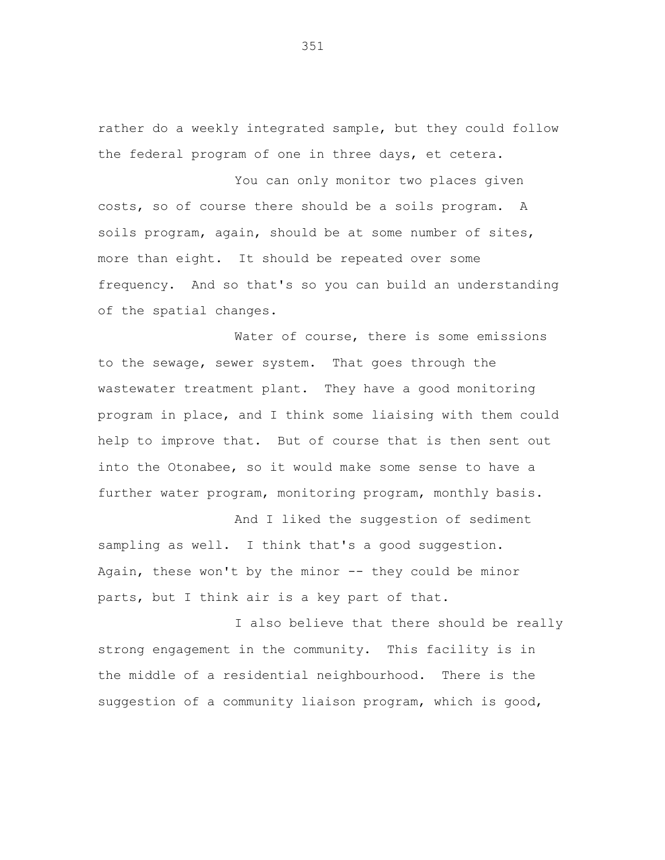rather do a weekly integrated sample, but they could follow the federal program of one in three days, et cetera.

You can only monitor two places given costs, so of course there should be a soils program. A soils program, again, should be at some number of sites, more than eight. It should be repeated over some frequency. And so that's so you can build an understanding of the spatial changes.

Water of course, there is some emissions to the sewage, sewer system. That goes through the wastewater treatment plant. They have a good monitoring program in place, and I think some liaising with them could help to improve that. But of course that is then sent out into the Otonabee, so it would make some sense to have a further water program, monitoring program, monthly basis.

And I liked the suggestion of sediment sampling as well. I think that's a good suggestion. Again, these won't by the minor  $--$  they could be minor parts, but I think air is a key part of that.

I also believe that there should be really strong engagement in the community. This facility is in the middle of a residential neighbourhood. There is the suggestion of a community liaison program, which is good,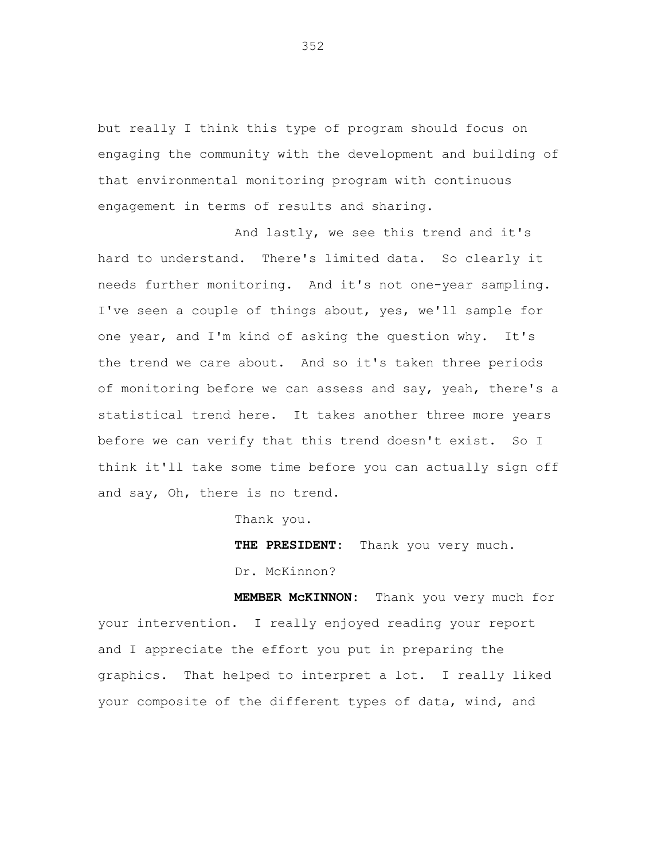but really I think this type of program should focus on engaging the community with the development and building of that environmental monitoring program with continuous engagement in terms of results and sharing.

And lastly, we see this trend and it's hard to understand. There's limited data. So clearly it needs further monitoring. And it's not one-year sampling. I've seen a couple of things about, yes, we'll sample for one year, and I'm kind of asking the question why. It's the trend we care about. And so it's taken three periods of monitoring before we can assess and say, yeah, there's a statistical trend here. It takes another three more years before we can verify that this trend doesn't exist. So I think it'll take some time before you can actually sign off and say, Oh, there is no trend.

Thank you.

**THE PRESIDENT:** Thank you very much. Dr. McKinnon?

**MEMBER McKINNON:** Thank you very much for your intervention. I really enjoyed reading your report and I appreciate the effort you put in preparing the graphics. That helped to interpret a lot. I really liked your composite of the different types of data, wind, and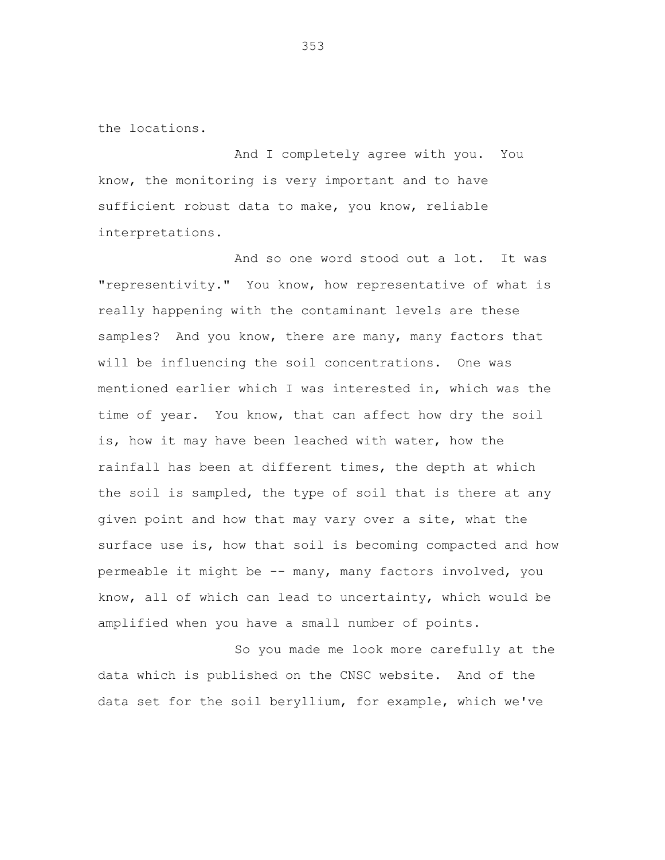the locations.

And I completely agree with you. You know, the monitoring is very important and to have sufficient robust data to make, you know, reliable interpretations.

And so one word stood out a lot. It was "representivity." You know, how representative of what is really happening with the contaminant levels are these samples? And you know, there are many, many factors that will be influencing the soil concentrations. One was mentioned earlier which I was interested in, which was the time of year. You know, that can affect how dry the soil is, how it may have been leached with water, how the rainfall has been at different times, the depth at which the soil is sampled, the type of soil that is there at any given point and how that may vary over a site, what the surface use is, how that soil is becoming compacted and how permeable it might be -- many, many factors involved, you know, all of which can lead to uncertainty, which would be amplified when you have a small number of points.

So you made me look more carefully at the data which is published on the CNSC website. And of the data set for the soil beryllium, for example, which we've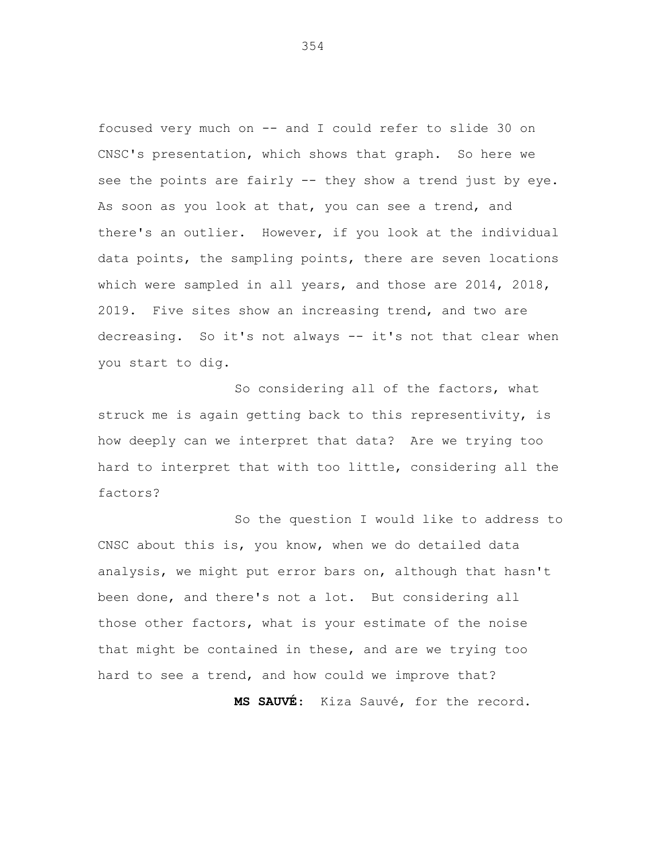focused very much on -- and I could refer to slide 30 on CNSC's presentation, which shows that graph. So here we see the points are fairly -- they show a trend just by eye. As soon as you look at that, you can see a trend, and there's an outlier. However, if you look at the individual data points, the sampling points, there are seven locations which were sampled in all years, and those are 2014, 2018, 2019. Five sites show an increasing trend, and two are decreasing. So it's not always -- it's not that clear when you start to dig.

So considering all of the factors, what struck me is again getting back to this representivity, is how deeply can we interpret that data? Are we trying too hard to interpret that with too little, considering all the factors?

So the question I would like to address to CNSC about this is, you know, when we do detailed data analysis, we might put error bars on, although that hasn't been done, and there's not a lot. But considering all those other factors, what is your estimate of the noise that might be contained in these, and are we trying too hard to see a trend, and how could we improve that? **MS SAUVÉ**: Kiza Sauvé, for the record.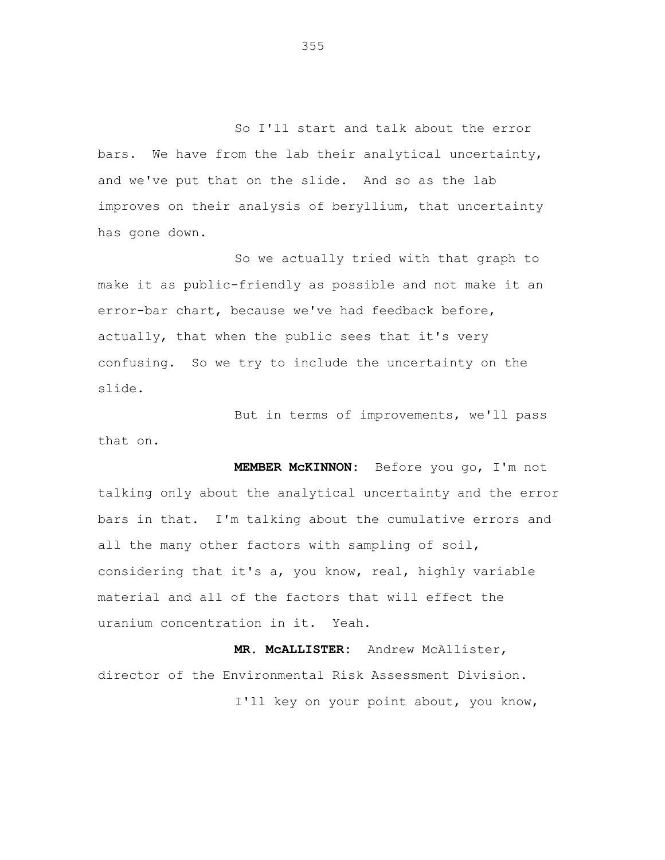So I'll start and talk about the error bars. We have from the lab their analytical uncertainty, and we've put that on the slide. And so as the lab improves on their analysis of beryllium, that uncertainty has gone down.

So we actually tried with that graph to make it as public-friendly as possible and not make it an error-bar chart, because we've had feedback before, actually, that when the public sees that it's very confusing. So we try to include the uncertainty on the slide.

But in terms of improvements, we'll pass that on.

**MEMBER McKINNON:** Before you go, I'm not talking only about the analytical uncertainty and the error bars in that. I'm talking about the cumulative errors and all the many other factors with sampling of soil, considering that it's a, you know, real, highly variable material and all of the factors that will effect the uranium concentration in it. Yeah.

**MR. McALLISTER:** Andrew McAllister, director of the Environmental Risk Assessment Division. I'll key on your point about, you know,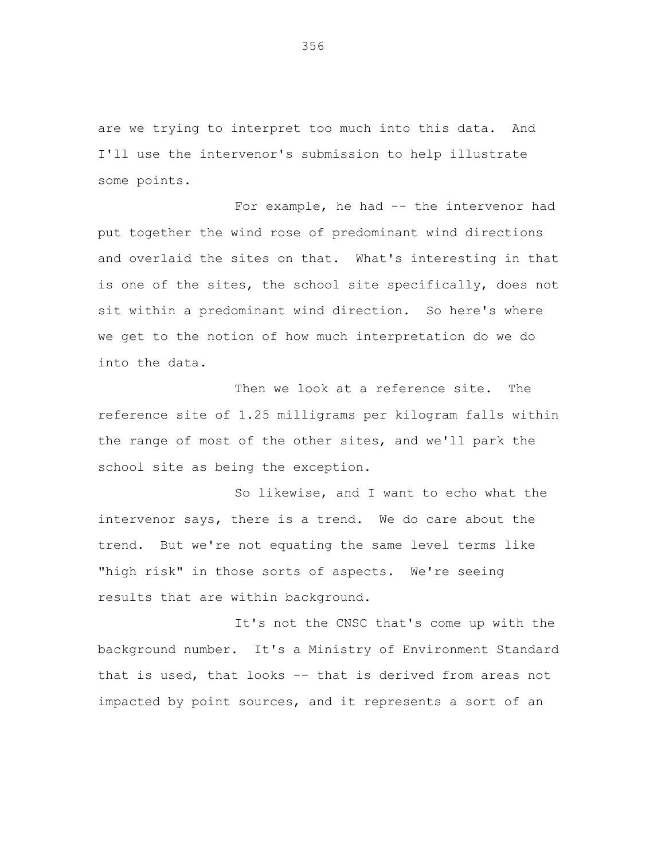are we trying to interpret too much into this data. And I'll use the intervenor's submission to help illustrate some points.

For example, he had -- the intervenor had put together the wind rose of predominant wind directions and overlaid the sites on that. What's interesting in that is one of the sites, the school site specifically, does not sit within a predominant wind direction. So here's where we get to the notion of how much interpretation do we do into the data.

Then we look at a reference site. The reference site of 1.25 milligrams per kilogram falls within the range of most of the other sites, and we'll park the school site as being the exception.

So likewise, and I want to echo what the intervenor says, there is a trend. We do care about the trend. But we're not equating the same level terms like "high risk" in those sorts of aspects. We're seeing results that are within background.

It's not the CNSC that's come up with the background number. It's a Ministry of Environment Standard that is used, that looks -- that is derived from areas not impacted by point sources, and it represents a sort of an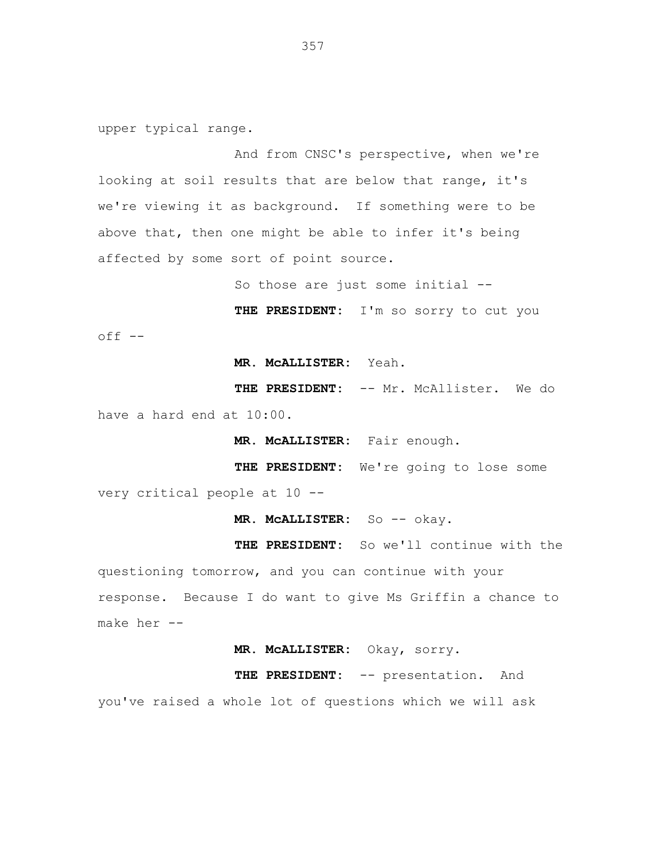upper typical range.

And from CNSC's perspective, when we're looking at soil results that are below that range, it's we're viewing it as background. If something were to be above that, then one might be able to infer it's being affected by some sort of point source.

So those are just some initial --

**THE PRESIDENT:** I'm so sorry to cut you  $off$   $--$ 

**MR. McALLISTER:** Yeah.

**THE PRESIDENT:** -- Mr. McAllister. We do have a hard end at 10:00.

**MR. McALLISTER:** Fair enough.

**THE PRESIDENT:** We're going to lose some very critical people at 10 --

**MR. McALLISTER:** So -- okay.

**THE PRESIDENT:** So we'll continue with the questioning tomorrow, and you can continue with your response. Because I do want to give Ms Griffin a chance to make her --

**MR. McALLISTER:** Okay, sorry.

**THE PRESIDENT:** -- presentation. And

you've raised a whole lot of questions which we will ask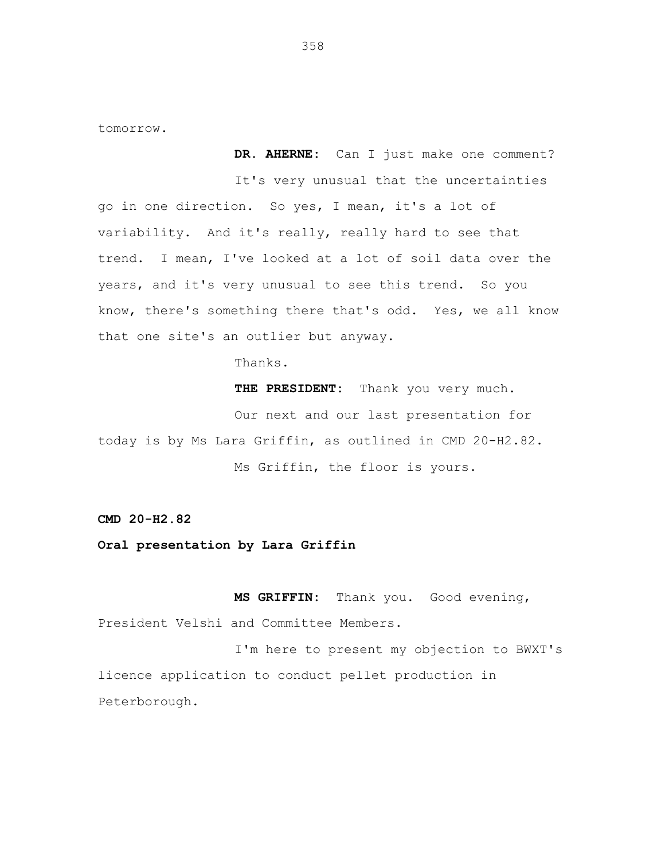tomorrow.

**DR. AHERNE:** Can I just make one comment? It's very unusual that the uncertainties go in one direction. So yes, I mean, it's a lot of variability. And it's really, really hard to see that trend. I mean, I've looked at a lot of soil data over the years, and it's very unusual to see this trend. So you know, there's something there that's odd. Yes, we all know that one site's an outlier but anyway.

Thanks.

THE PRESIDENT: Thank you very much.

Our next and our last presentation for today is by Ms Lara Griffin, as outlined in CMD 20-H2.82. Ms Griffin, the floor is yours.

**CMD 20-H2.82**

**Oral presentation by Lara Griffin**

**MS GRIFFIN:** Thank you. Good evening, President Velshi and Committee Members.

I'm here to present my objection to BWXT's licence application to conduct pellet production in Peterborough.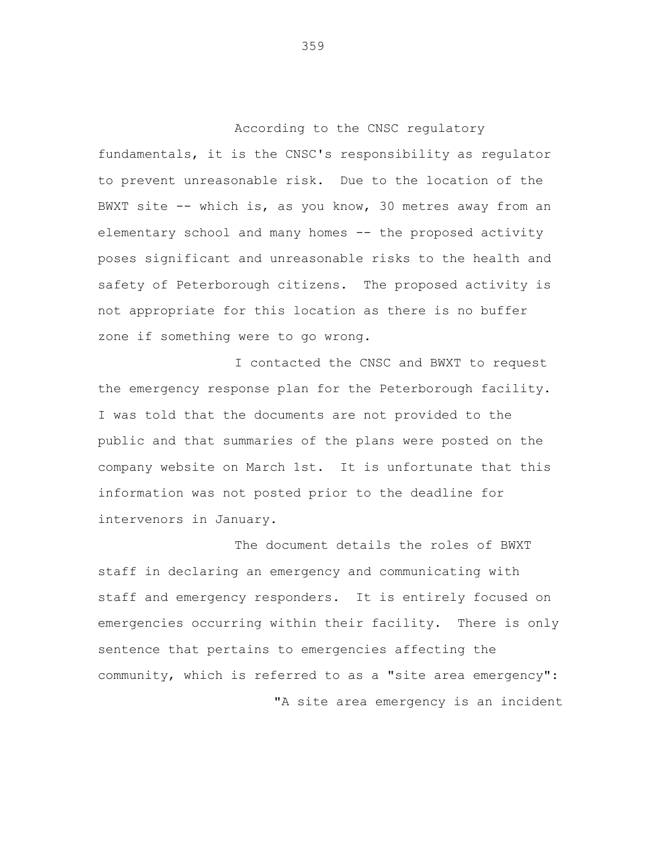According to the CNSC regulatory fundamentals, it is the CNSC's responsibility as regulator to prevent unreasonable risk. Due to the location of the BWXT site -- which is, as you know, 30 metres away from an elementary school and many homes -- the proposed activity poses significant and unreasonable risks to the health and safety of Peterborough citizens. The proposed activity is not appropriate for this location as there is no buffer zone if something were to go wrong.

I contacted the CNSC and BWXT to request the emergency response plan for the Peterborough facility. I was told that the documents are not provided to the public and that summaries of the plans were posted on the company website on March 1st. It is unfortunate that this information was not posted prior to the deadline for intervenors in January.

The document details the roles of BWXT staff in declaring an emergency and communicating with staff and emergency responders. It is entirely focused on emergencies occurring within their facility. There is only sentence that pertains to emergencies affecting the community, which is referred to as a "site area emergency": "A site area emergency is an incident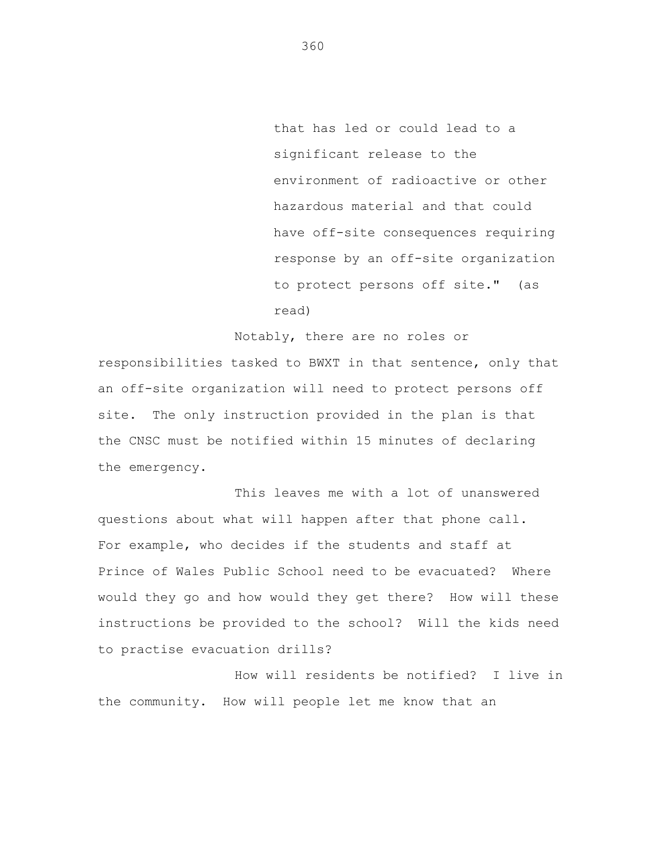that has led or could lead to a significant release to the environment of radioactive or other hazardous material and that could have off-site consequences requiring response by an off-site organization to protect persons off site." (as read)

Notably, there are no roles or responsibilities tasked to BWXT in that sentence, only that an off-site organization will need to protect persons off site. The only instruction provided in the plan is that the CNSC must be notified within 15 minutes of declaring the emergency.

This leaves me with a lot of unanswered questions about what will happen after that phone call. For example, who decides if the students and staff at Prince of Wales Public School need to be evacuated? Where would they go and how would they get there? How will these instructions be provided to the school? Will the kids need to practise evacuation drills?

How will residents be notified? I live in the community. How will people let me know that an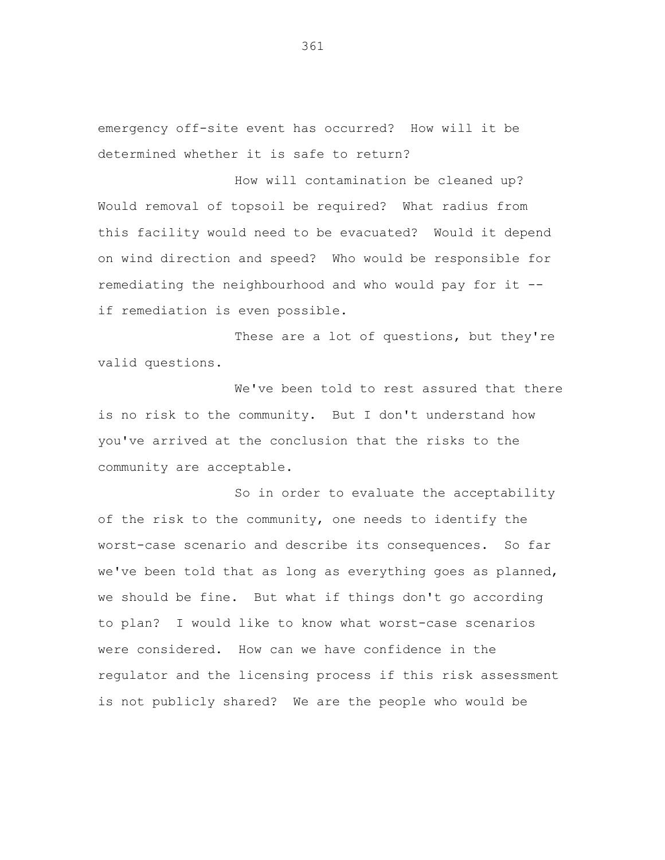emergency off-site event has occurred? How will it be determined whether it is safe to return?

How will contamination be cleaned up? Would removal of topsoil be required? What radius from this facility would need to be evacuated? Would it depend on wind direction and speed? Who would be responsible for remediating the neighbourhood and who would pay for it - if remediation is even possible.

These are a lot of questions, but they're valid questions.

We've been told to rest assured that there is no risk to the community. But I don't understand how you've arrived at the conclusion that the risks to the community are acceptable.

So in order to evaluate the acceptability of the risk to the community, one needs to identify the worst-case scenario and describe its consequences. So far we've been told that as long as everything goes as planned, we should be fine. But what if things don't go according to plan? I would like to know what worst-case scenarios were considered. How can we have confidence in the regulator and the licensing process if this risk assessment is not publicly shared? We are the people who would be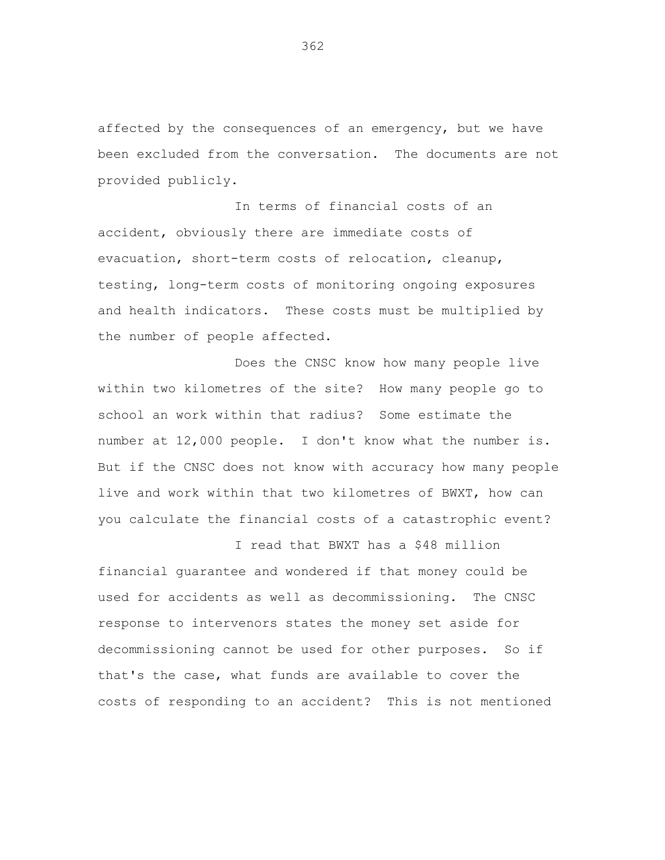affected by the consequences of an emergency, but we have been excluded from the conversation. The documents are not provided publicly.

In terms of financial costs of an accident, obviously there are immediate costs of evacuation, short-term costs of relocation, cleanup, testing, long-term costs of monitoring ongoing exposures and health indicators. These costs must be multiplied by the number of people affected.

Does the CNSC know how many people live within two kilometres of the site? How many people go to school an work within that radius? Some estimate the number at 12,000 people. I don't know what the number is. But if the CNSC does not know with accuracy how many people live and work within that two kilometres of BWXT, how can you calculate the financial costs of a catastrophic event?

I read that BWXT has a \$48 million financial guarantee and wondered if that money could be used for accidents as well as decommissioning. The CNSC response to intervenors states the money set aside for decommissioning cannot be used for other purposes. So if that's the case, what funds are available to cover the costs of responding to an accident? This is not mentioned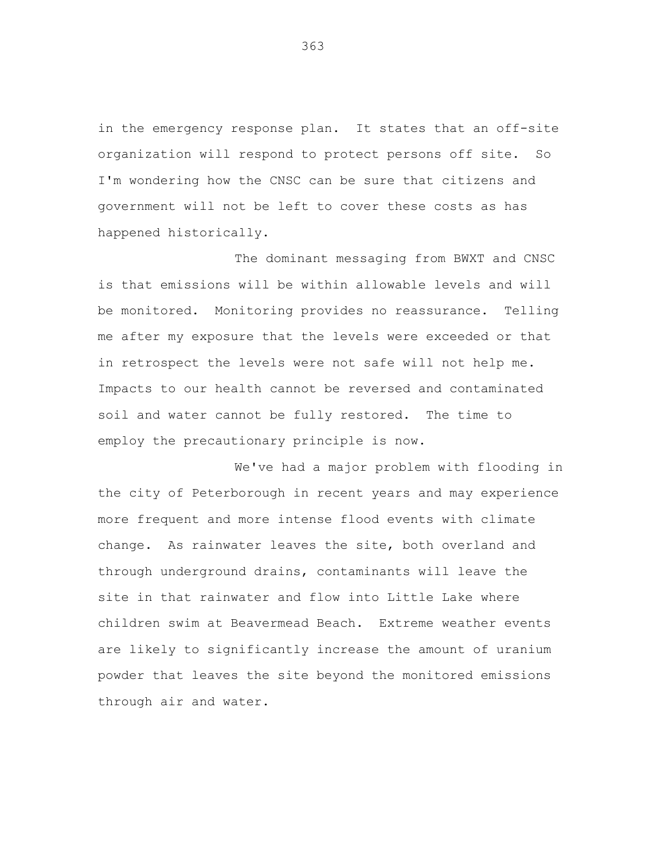in the emergency response plan. It states that an off-site organization will respond to protect persons off site. So I'm wondering how the CNSC can be sure that citizens and government will not be left to cover these costs as has happened historically.

The dominant messaging from BWXT and CNSC is that emissions will be within allowable levels and will be monitored. Monitoring provides no reassurance. Telling me after my exposure that the levels were exceeded or that in retrospect the levels were not safe will not help me. Impacts to our health cannot be reversed and contaminated soil and water cannot be fully restored. The time to employ the precautionary principle is now.

We've had a major problem with flooding in the city of Peterborough in recent years and may experience more frequent and more intense flood events with climate change. As rainwater leaves the site, both overland and through underground drains, contaminants will leave the site in that rainwater and flow into Little Lake where children swim at Beavermead Beach. Extreme weather events are likely to significantly increase the amount of uranium powder that leaves the site beyond the monitored emissions through air and water.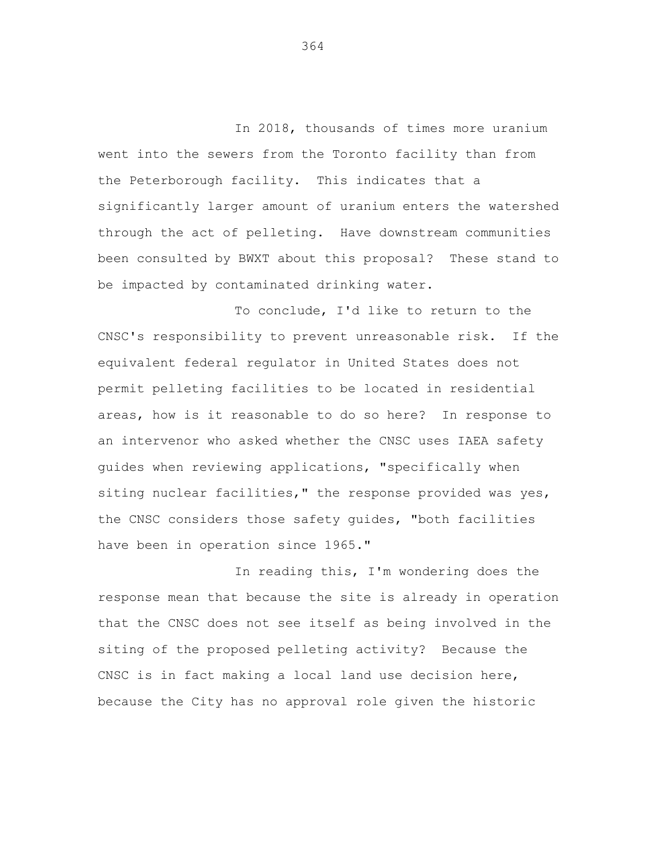In 2018, thousands of times more uranium went into the sewers from the Toronto facility than from the Peterborough facility. This indicates that a significantly larger amount of uranium enters the watershed through the act of pelleting. Have downstream communities been consulted by BWXT about this proposal? These stand to be impacted by contaminated drinking water.

To conclude, I'd like to return to the CNSC's responsibility to prevent unreasonable risk. If the equivalent federal regulator in United States does not permit pelleting facilities to be located in residential areas, how is it reasonable to do so here? In response to an intervenor who asked whether the CNSC uses IAEA safety guides when reviewing applications, "specifically when siting nuclear facilities," the response provided was yes, the CNSC considers those safety guides, "both facilities have been in operation since 1965."

In reading this, I'm wondering does the response mean that because the site is already in operation that the CNSC does not see itself as being involved in the siting of the proposed pelleting activity? Because the CNSC is in fact making a local land use decision here, because the City has no approval role given the historic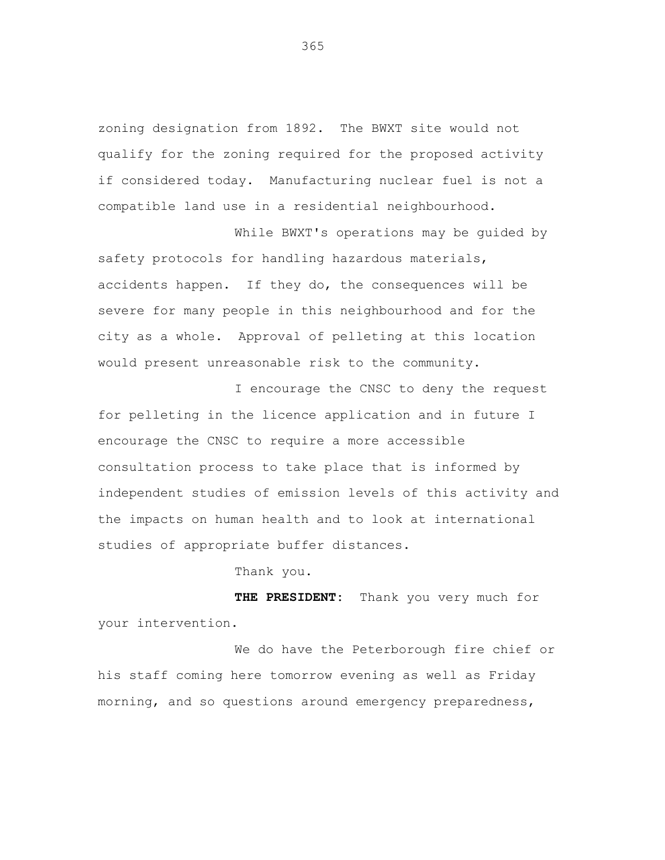zoning designation from 1892. The BWXT site would not qualify for the zoning required for the proposed activity if considered today. Manufacturing nuclear fuel is not a compatible land use in a residential neighbourhood.

While BWXT's operations may be guided by safety protocols for handling hazardous materials, accidents happen. If they do, the consequences will be severe for many people in this neighbourhood and for the city as a whole. Approval of pelleting at this location would present unreasonable risk to the community.

I encourage the CNSC to deny the request for pelleting in the licence application and in future I encourage the CNSC to require a more accessible consultation process to take place that is informed by independent studies of emission levels of this activity and the impacts on human health and to look at international studies of appropriate buffer distances.

Thank you.

**THE PRESIDENT:** Thank you very much for your intervention.

We do have the Peterborough fire chief or his staff coming here tomorrow evening as well as Friday morning, and so questions around emergency preparedness,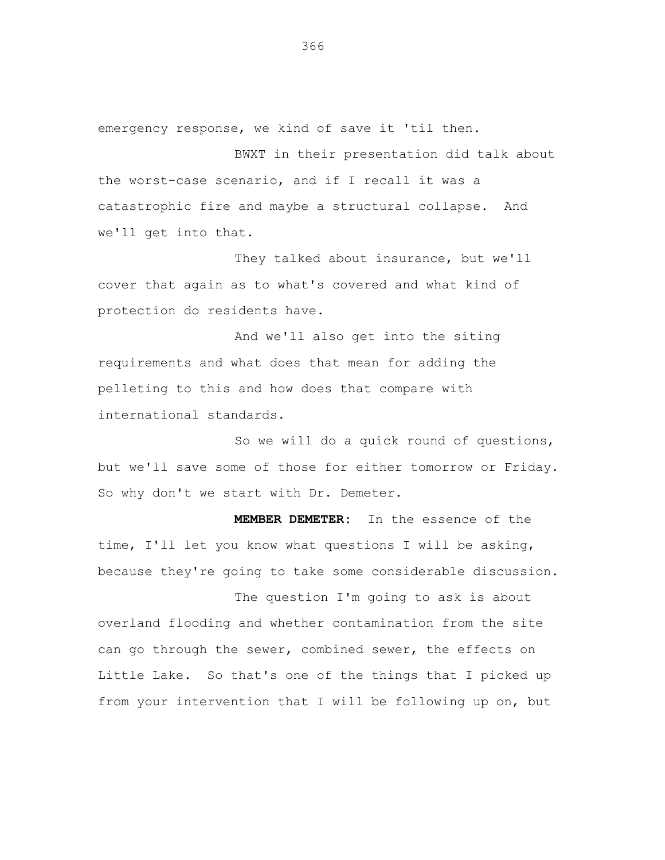emergency response, we kind of save it 'til then.

BWXT in their presentation did talk about the worst-case scenario, and if I recall it was a catastrophic fire and maybe a structural collapse. And we'll get into that.

They talked about insurance, but we'll cover that again as to what's covered and what kind of protection do residents have.

And we'll also get into the siting requirements and what does that mean for adding the pelleting to this and how does that compare with international standards.

So we will do a quick round of questions, but we'll save some of those for either tomorrow or Friday. So why don't we start with Dr. Demeter.

**MEMBER DEMETER:** In the essence of the time, I'll let you know what questions I will be asking, because they're going to take some considerable discussion.

The question I'm going to ask is about overland flooding and whether contamination from the site can go through the sewer, combined sewer, the effects on Little Lake. So that's one of the things that I picked up from your intervention that I will be following up on, but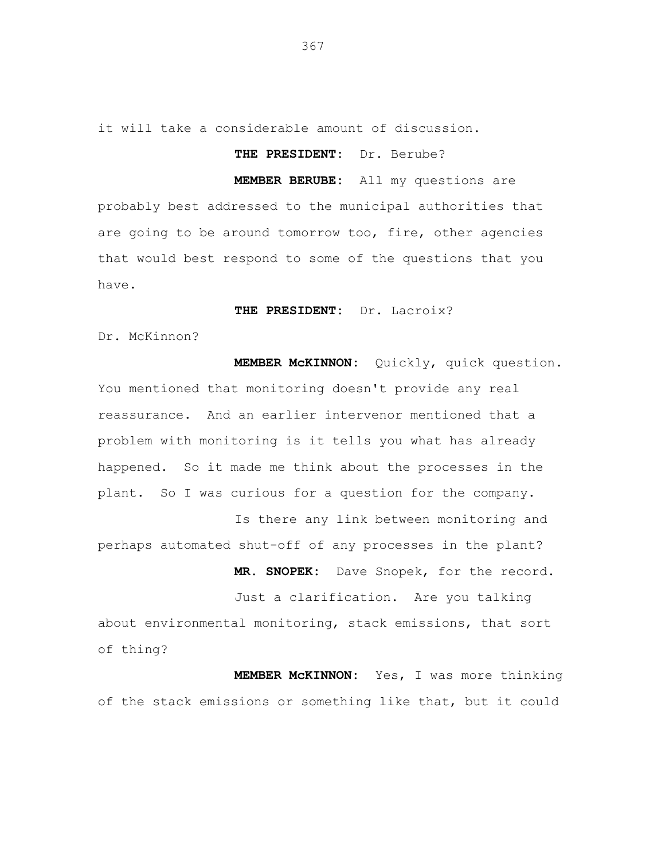it will take a considerable amount of discussion.

## **THE PRESIDENT:** Dr. Berube?

**MEMBER BERUBE:** All my questions are probably best addressed to the municipal authorities that are going to be around tomorrow too, fire, other agencies that would best respond to some of the questions that you have.

## **THE PRESIDENT:** Dr. Lacroix?

Dr. McKinnon?

**MEMBER McKINNON:** Quickly, quick question. You mentioned that monitoring doesn't provide any real reassurance. And an earlier intervenor mentioned that a problem with monitoring is it tells you what has already happened. So it made me think about the processes in the plant. So I was curious for a question for the company.

Is there any link between monitoring and perhaps automated shut-off of any processes in the plant?

**MR. SNOPEK:** Dave Snopek, for the record.

Just a clarification. Are you talking about environmental monitoring, stack emissions, that sort of thing?

**MEMBER McKINNON:** Yes, I was more thinking of the stack emissions or something like that, but it could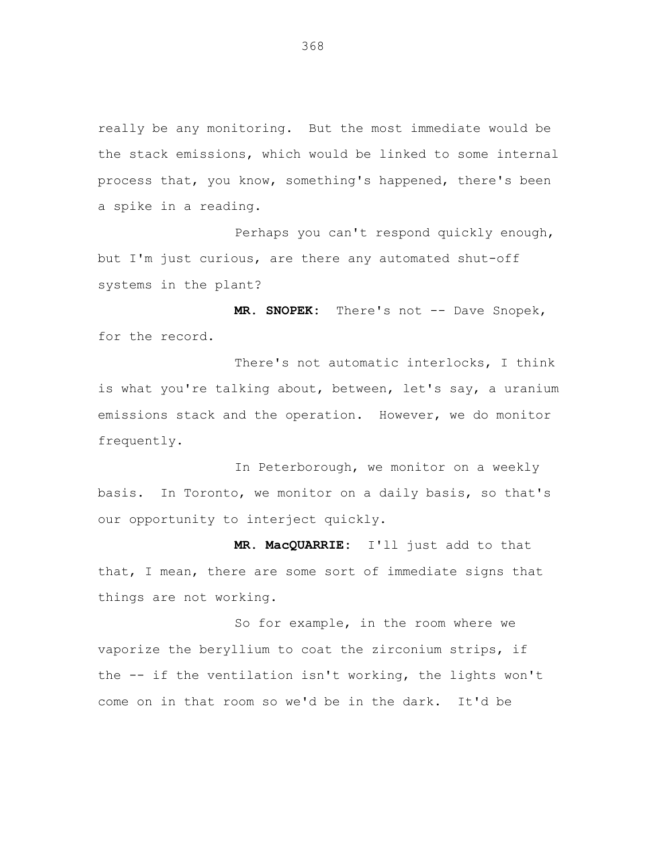really be any monitoring. But the most immediate would be the stack emissions, which would be linked to some internal process that, you know, something's happened, there's been a spike in a reading.

Perhaps you can't respond quickly enough, but I'm just curious, are there any automated shut-off systems in the plant?

**MR. SNOPEK:** There's not -- Dave Snopek, for the record.

There's not automatic interlocks, I think is what you're talking about, between, let's say, a uranium emissions stack and the operation. However, we do monitor frequently.

In Peterborough, we monitor on a weekly basis. In Toronto, we monitor on a daily basis, so that's our opportunity to interject quickly.

**MR. MacQUARRIE:** I'll just add to that that, I mean, there are some sort of immediate signs that things are not working.

So for example, in the room where we vaporize the beryllium to coat the zirconium strips, if the -- if the ventilation isn't working, the lights won't come on in that room so we'd be in the dark. It'd be